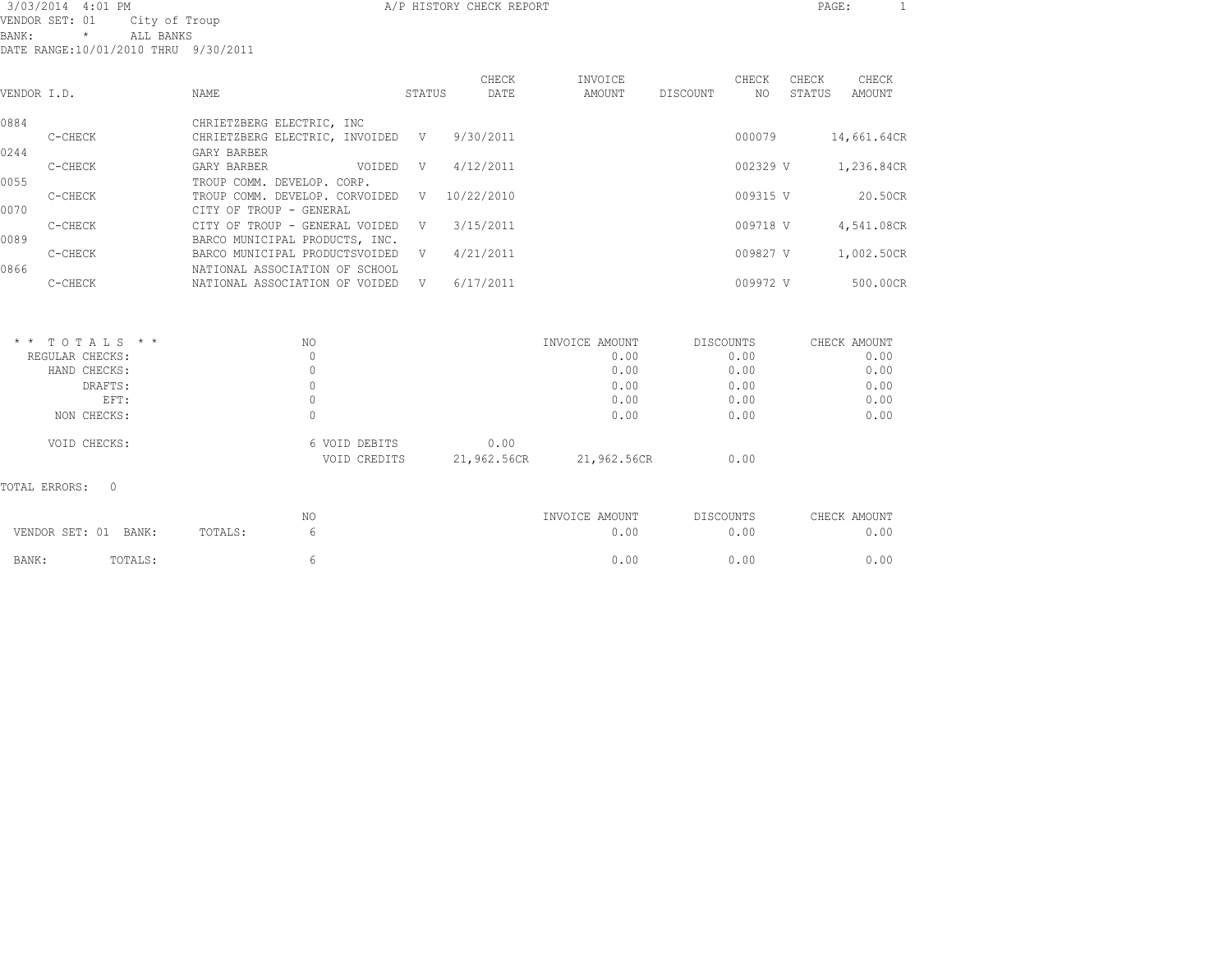| 3/03/2014 4:01 PM |                                                                                                 |                                                                  |        | A/P HISTORY CHECK REPORT |                   |           |              | PAGE:           | 1               |
|-------------------|-------------------------------------------------------------------------------------------------|------------------------------------------------------------------|--------|--------------------------|-------------------|-----------|--------------|-----------------|-----------------|
| BANK:             | VENDOR SET: 01<br>City of Troup<br>ALL BANKS<br>$\star$<br>DATE RANGE:10/01/2010 THRU 9/30/2011 |                                                                  |        |                          |                   |           |              |                 |                 |
| VENDOR I.D.       |                                                                                                 | <b>NAME</b>                                                      | STATUS | CHECK<br>DATE            | INVOICE<br>AMOUNT | DISCOUNT  | CHECK<br>NO. | CHECK<br>STATUS | CHECK<br>AMOUNT |
| 0884              |                                                                                                 | CHRIETZBERG ELECTRIC, INC                                        |        |                          |                   |           |              |                 |                 |
| 0244              | C-CHECK                                                                                         | CHRIETZBERG ELECTRIC, INVOIDED V<br>GARY BARBER                  |        | 9/30/2011                |                   |           | 000079       |                 | 14,661.64CR     |
|                   | C-CHECK                                                                                         | GARY BARBER<br>VOIDED                                            | V      | 4/12/2011                |                   |           | 002329 V     |                 | 1,236.84CR      |
| 0055              |                                                                                                 | TROUP COMM. DEVELOP. CORP.                                       |        |                          |                   |           |              |                 |                 |
| 0070              | C-CHECK                                                                                         | TROUP COMM. DEVELOP. CORVOIDED<br>CITY OF TROUP - GENERAL        | V      | 10/22/2010               |                   |           | 009315 V     |                 | 20.50CR         |
|                   | C-CHECK                                                                                         | CITY OF TROUP - GENERAL VOIDED                                   | V      | 3/15/2011                |                   |           | 009718 V     |                 | 4,541.08CR      |
| 0089              | C-CHECK                                                                                         | BARCO MUNICIPAL PRODUCTS, INC.<br>BARCO MUNICIPAL PRODUCTSVOIDED | V      | 4/21/2011                |                   |           | 009827 V     |                 | 1,002.50CR      |
| 0866              |                                                                                                 | NATIONAL ASSOCIATION OF SCHOOL                                   |        |                          |                   |           |              |                 |                 |
|                   | C-CHECK                                                                                         | NATIONAL ASSOCIATION OF VOIDED                                   | V      | 6/17/2011                |                   |           | 009972 V     |                 | 500.00CR        |
|                   |                                                                                                 |                                                                  |        |                          |                   |           |              |                 |                 |
|                   | $*$ * TOTALS * *                                                                                | NO.                                                              |        |                          | INVOICE AMOUNT    | DISCOUNTS |              |                 | CHECK AMOUNT    |
|                   | REGULAR CHECKS:                                                                                 | $\circ$                                                          |        |                          | 0.00              |           | 0.00         |                 | 0.00            |

| REGULAR CHECKS: |               |             | 0.00        | 0.00 | 0.00 |
|-----------------|---------------|-------------|-------------|------|------|
| HAND CHECKS:    |               |             | 0.00        | 0.00 | 0.00 |
| DRAFTS:         |               |             | 0.00        | 0.00 | 0.00 |
| EFT:            |               |             | 0.00        | 0.00 | 0.00 |
| NON CHECKS:     |               |             | 0.00        | 0.00 | 0.00 |
| VOID CHECKS:    | 6 VOID DEBITS | 0.00        |             |      |      |
|                 | VOID CREDITS  | 21,962.56CR | 21,962.56CR | 0.00 |      |
|                 |               |             |             |      |      |

TOTAL ERRORS: 0

|       |                      |         | NΟ | INVOICE AMOUNT | DISCOUNTS | CHECK AMOUNT |
|-------|----------------------|---------|----|----------------|-----------|--------------|
|       | VENDOR SET: 01 BANK: | TOTALS: |    | 0.00           | ).OO      | J.00         |
| BANK: | TOTALS:              |         |    | O.OC           | ).OC      | ,.00         |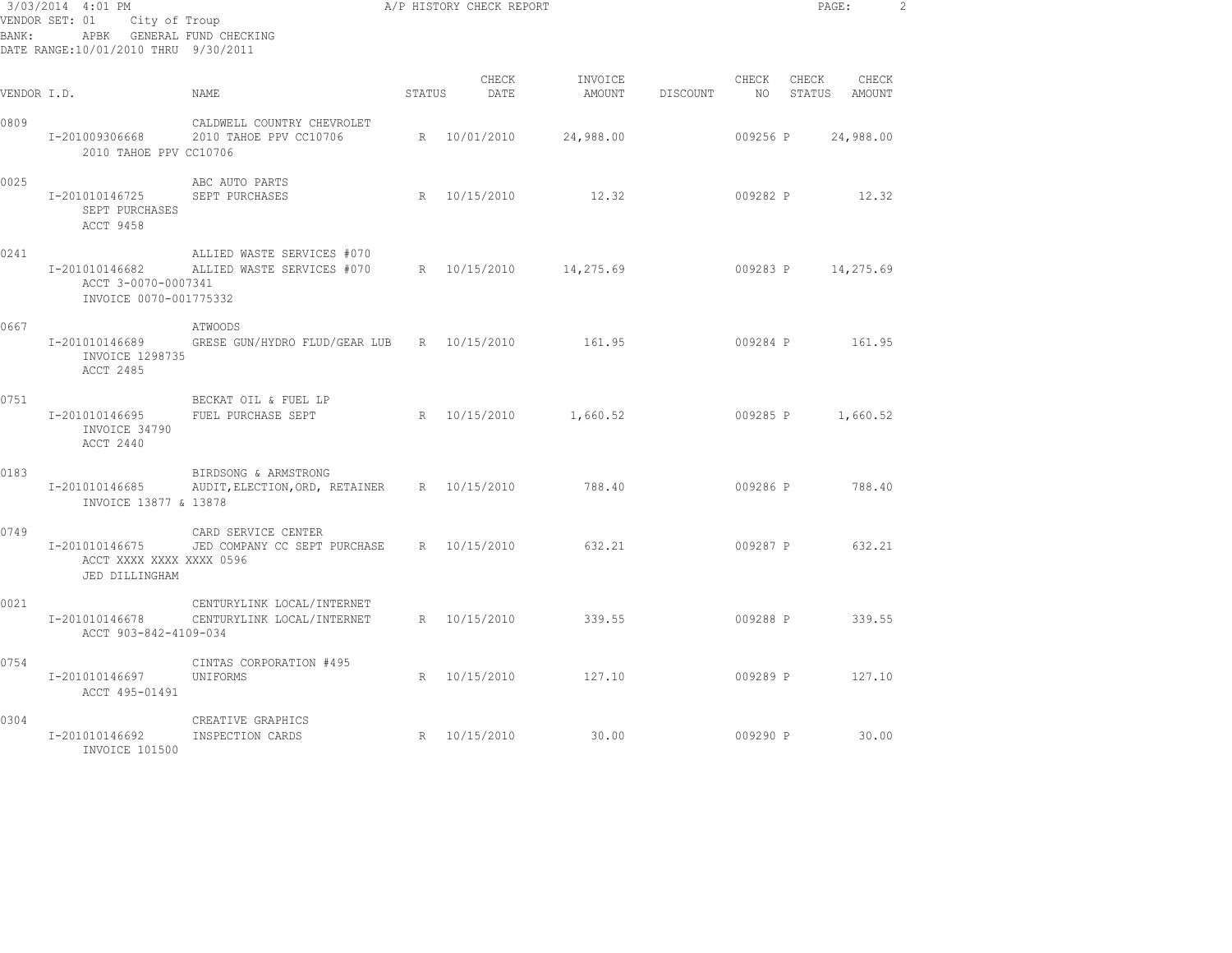| 3/03/2014 4:01 PM<br>VENDOR SET: 01<br>City of Troup<br>APBK GENERAL FUND CHECKING<br>BANK:<br>DATE RANGE:10/01/2010 THRU 9/30/2011 |                                                                 |                                                                     | A/P HISTORY CHECK REPORT |               |                        |          |               | PAGE:<br>$\overline{c}$ |                    |  |
|-------------------------------------------------------------------------------------------------------------------------------------|-----------------------------------------------------------------|---------------------------------------------------------------------|--------------------------|---------------|------------------------|----------|---------------|-------------------------|--------------------|--|
| VENDOR I.D.                                                                                                                         |                                                                 | NAME                                                                | STATUS                   | CHECK<br>DATE | INVOICE<br>AMOUNT      | DISCOUNT | CHECK<br>NO 1 | CHECK<br>STATUS         | CHECK<br>AMOUNT    |  |
| 0809                                                                                                                                | I-201009306668<br>2010 TAHOE PPV CC10706                        | CALDWELL COUNTRY CHEVROLET<br>2010 TAHOE PPV CC10706                |                          | R 10/01/2010  | 24,988.00              |          | 009256 P      |                         | 24,988.00          |  |
| 0025                                                                                                                                | I-201010146725<br>SEPT PURCHASES<br>ACCT 9458                   | ABC AUTO PARTS<br>SEPT PURCHASES                                    |                          | R 10/15/2010  | 12.32                  |          | 009282 P      |                         | 12.32              |  |
| 0241                                                                                                                                | I-201010146682<br>ACCT 3-0070-0007341<br>INVOICE 0070-001775332 | ALLIED WASTE SERVICES #070<br>ALLIED WASTE SERVICES #070            |                          |               | R 10/15/2010 14,275.69 |          |               |                         | 009283 P 14,275.69 |  |
| 0667                                                                                                                                | I-201010146689<br>INVOICE 1298735<br>ACCT 2485                  | ATWOODS<br>GRESE GUN/HYDRO FLUD/GEAR LUB R 10/15/2010               |                          |               | 161.95                 |          | 009284 P      |                         | 161.95             |  |
| 0751                                                                                                                                | I-201010146695<br>INVOICE 34790<br>ACCT 2440                    | BECKAT OIL & FUEL LP<br>FUEL PURCHASE SEPT                          |                          | R 10/15/2010  | 1,660.52               |          | 009285 P      |                         | 1,660.52           |  |
| 0183                                                                                                                                | I-201010146685<br>INVOICE 13877 & 13878                         | BIRDSONG & ARMSTRONG<br>AUDIT, ELECTION, ORD, RETAINER R 10/15/2010 |                          |               | 788.40                 |          |               |                         | 009286 P 788.40    |  |
| 0749                                                                                                                                | I-201010146675<br>ACCT XXXX XXXX XXXX 0596<br>JED DILLINGHAM    | CARD SERVICE CENTER<br>JED COMPANY CC SEPT PURCHASE                 |                          | R 10/15/2010  | 632.21                 |          | 009287 P      |                         | 632.21             |  |
| 0021                                                                                                                                | I-201010146678<br>ACCT 903-842-4109-034                         | CENTURYLINK LOCAL/INTERNET<br>CENTURYLINK LOCAL/INTERNET            |                          | R 10/15/2010  | 339.55                 |          |               |                         | 009288 P 339.55    |  |
| 0754                                                                                                                                | I-201010146697<br>ACCT 495-01491                                | CINTAS CORPORATION #495<br>UNIFORMS                                 |                          | R 10/15/2010  | 127.10                 |          |               | 009289 P                | 127.10             |  |
| 0304                                                                                                                                | I-201010146692<br>INVOICE 101500                                | CREATIVE GRAPHICS<br>INSPECTION CARDS                               |                          | R 10/15/2010  | 30.00                  |          | 009290 P      |                         | 30.00              |  |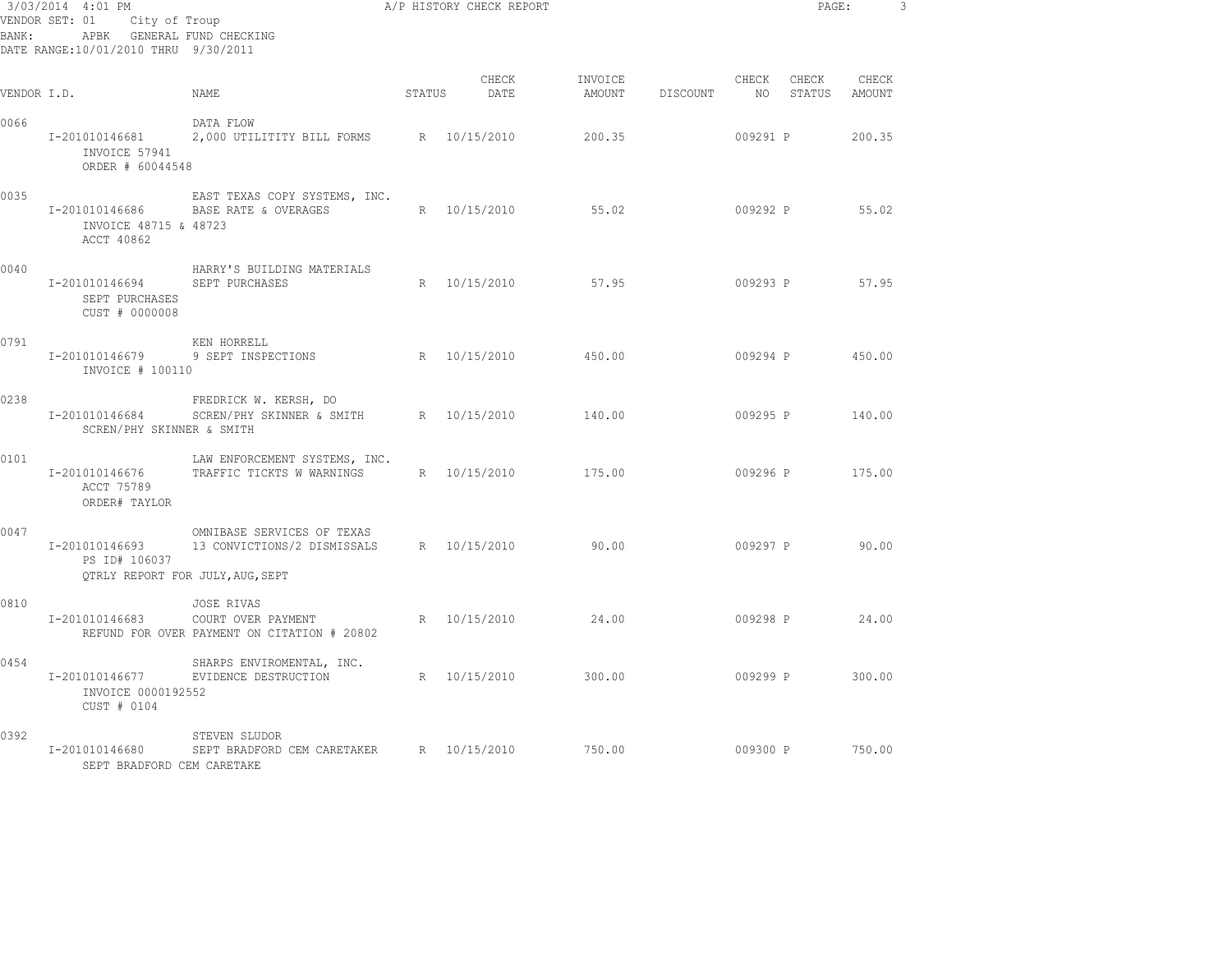| 3/03/2014 4:01 PM<br>VENDOR SET: 01 City of Troup<br>APBK GENERAL FUND CHECKING<br>BANK:<br>DATE RANGE:10/01/2010 THRU 9/30/2011 |                                                       |                                                                                               |        | A/P HISTORY CHECK REPORT |                   | PAGE:    |          | 3                  |                 |  |
|----------------------------------------------------------------------------------------------------------------------------------|-------------------------------------------------------|-----------------------------------------------------------------------------------------------|--------|--------------------------|-------------------|----------|----------|--------------------|-----------------|--|
| VENDOR I.D.                                                                                                                      |                                                       | NAME                                                                                          | STATUS | CHECK<br>DATE            | INVOICE<br>AMOUNT | DISCOUNT | CHECK    | CHECK<br>NO STATUS | CHECK<br>AMOUNT |  |
| 0066                                                                                                                             | I-201010146681<br>INVOICE 57941<br>ORDER # 60044548   | DATA FLOW<br>2,000 UTILITITY BILL FORMS R 10/15/2010                                          |        |                          | 200.35            |          | 009291 P |                    | 200.35          |  |
| 0035                                                                                                                             | I-201010146686<br>INVOICE 48715 & 48723<br>ACCT 40862 | EAST TEXAS COPY SYSTEMS, INC.<br>BASE RATE & OVERAGES                                         |        | R 10/15/2010             | 55.02             |          | 009292 P |                    | 55.02           |  |
| 0040                                                                                                                             | I-201010146694<br>SEPT PURCHASES<br>CUST # 0000008    | HARRY'S BUILDING MATERIALS<br>SEPT PURCHASES                                                  |        | R 10/15/2010             | 57.95             |          | 009293 P |                    | 57.95           |  |
| 0791                                                                                                                             | I-201010146679<br>INVOICE # 100110                    | KEN HORRELL<br>9 SEPT INSPECTIONS                                                             |        | R 10/15/2010             | 450.00            |          | 009294 P |                    | 450.00          |  |
| 0238                                                                                                                             | I-201010146684<br>SCREN/PHY SKINNER & SMITH           | FREDRICK W. KERSH, DO<br>SCREN/PHY SKINNER & SMITH                                            |        | R 10/15/2010             | 140.00            |          | 009295 P |                    | 140.00          |  |
| 0101                                                                                                                             | I-201010146676<br>ACCT 75789<br>ORDER# TAYLOR         | LAW ENFORCEMENT SYSTEMS, INC.<br>TRAFFIC TICKTS W WARNINGS                                    |        | R 10/15/2010             | 175.00            |          | 009296 P |                    | 175.00          |  |
| 0047                                                                                                                             | I-201010146693<br>PS ID# 106037                       | OMNIBASE SERVICES OF TEXAS<br>13 CONVICTIONS/2 DISMISSALS<br>QTRLY REPORT FOR JULY, AUG, SEPT |        | R 10/15/2010             | 90.00             |          | 009297 P |                    | 90.00           |  |
| 0810                                                                                                                             | I-201010146683                                        | JOSE RIVAS<br>COURT OVER PAYMENT<br>REFUND FOR OVER PAYMENT ON CITATION # 20802               |        | R 10/15/2010             | 24.00             |          | 009298 P |                    | 24.00           |  |
| 0454                                                                                                                             | I-201010146677<br>INVOICE 0000192552<br>CUST # 0104   | SHARPS ENVIROMENTAL, INC.<br>EVIDENCE DESTRUCTION                                             |        | R 10/15/2010             | 300.00            |          | 009299 P |                    | 300.00          |  |
| 0392                                                                                                                             | I-201010146680<br>SEPT BRADFORD CEM CARETAKE          | STEVEN SLUDOR<br>SEPT BRADFORD CEM CARETAKER                                                  |        | R 10/15/2010             | 750.00            |          | 009300 P |                    | 750.00          |  |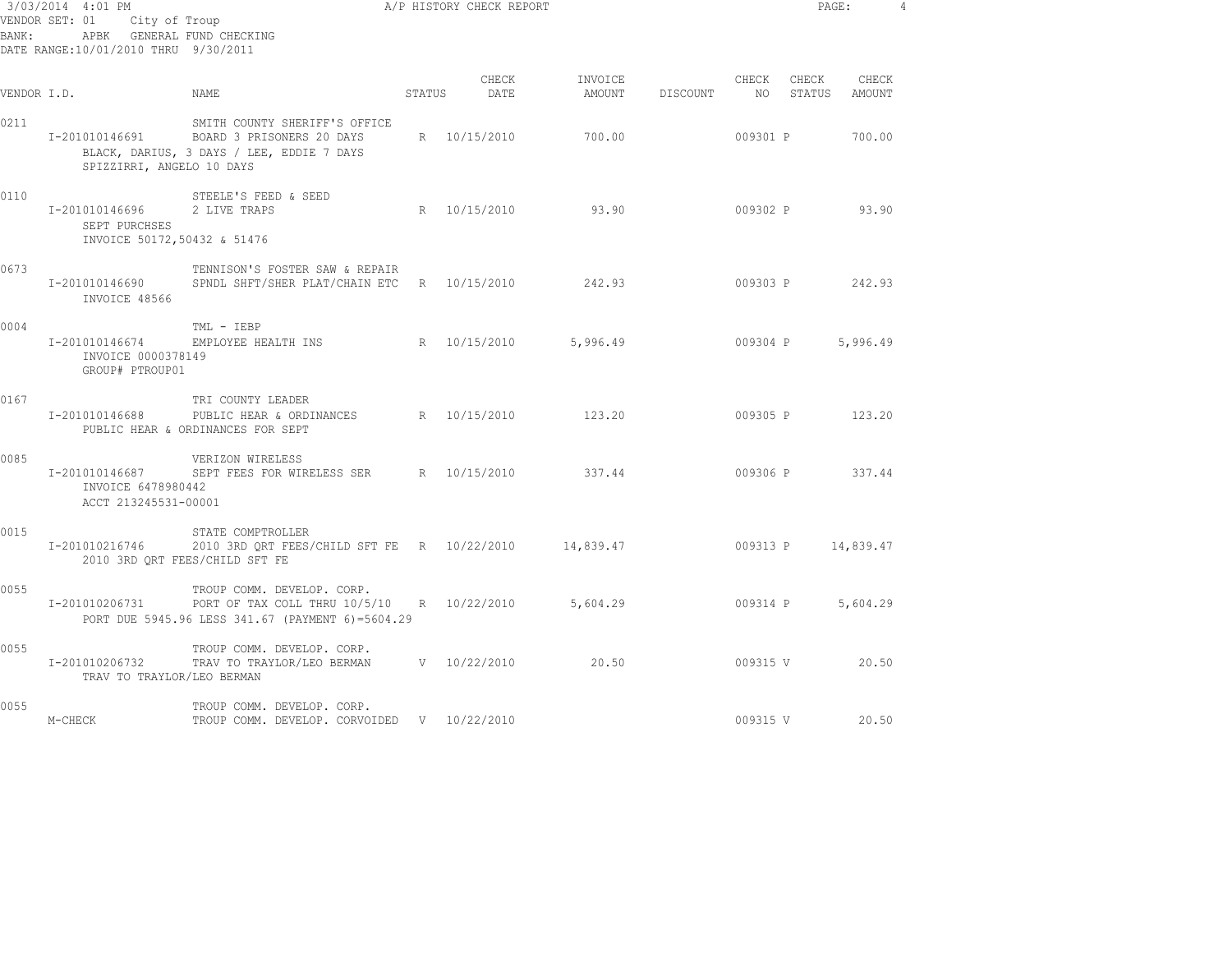| 3/03/2014 4:01 PM<br>VENDOR SET: 01 City of Troup<br>APBK GENERAL FUND CHECKING<br>BANK:<br>DATE RANGE:10/01/2010 THRU 9/30/2011 |                                                                                                                                                     |                                                                                                                                                      |        | A/P HISTORY CHECK REPORT |                                             |          | PAGE:       |                 | $\overline{4}$ |
|----------------------------------------------------------------------------------------------------------------------------------|-----------------------------------------------------------------------------------------------------------------------------------------------------|------------------------------------------------------------------------------------------------------------------------------------------------------|--------|--------------------------|---------------------------------------------|----------|-------------|-----------------|----------------|
| VENDOR I.D.                                                                                                                      |                                                                                                                                                     | NAME                                                                                                                                                 | STATUS | CHECK<br>DATE            | INVOICE<br>AMOUNT DISCOUNT NO STATUS AMOUNT |          | CHECK CHECK | CHECK           |                |
| 0211                                                                                                                             | SMITH COUNTY SHERIFF'S OFFICE<br>I-201010146691 BOARD 3 PRISONERS 20 DAYS<br>BLACK, DARIUS, 3 DAYS / LEE, EDDIE 7 DAYS<br>SPIZZIRRI, ANGELO 10 DAYS |                                                                                                                                                      |        | R 10/15/2010             | 700.00                                      | 009301 P |             | 700.00          |                |
| 0110                                                                                                                             | I-201010146696<br>SEPT PURCHSES<br>INVOICE 50172,50432 & 51476                                                                                      | STEELE'S FEED & SEED<br>2 LIVE TRAPS                                                                                                                 |        | R 10/15/2010 93.90       |                                             |          |             | 009302 P 93.90  |                |
| 0673                                                                                                                             | I-201010146690<br>INVOICE 48566                                                                                                                     | TENNISON'S FOSTER SAW & REPAIR<br>SPNDL SHFT/SHER PLAT/CHAIN ETC B 10/15/2010                                                                        |        |                          | 242.93 009303 P 242.93                      |          |             |                 |                |
| 0004                                                                                                                             | INVOICE 0000378149<br>GROUP# PTROUP01                                                                                                               | TML - IEBP<br>I-201010146674 EMPLOYEE HEALTH INS R 10/15/2010                                                                                        |        |                          | 5,996.49                                    |          | 009304 P    | 5,996.49        |                |
| 0167                                                                                                                             | I-201010146688                                                                                                                                      | TRI COUNTY LEADER<br>PUBLIC HEAR & ORDINANCES R 10/15/2010 123.20<br>PUBLIC HEAR & ORDINANCES FOR SEPT                                               |        |                          |                                             |          |             | 009305 P 123.20 |                |
| 0085                                                                                                                             | I-201010146687<br>INVOICE 6478980442<br>ACCT 213245531-00001                                                                                        | VERIZON WIRELESS<br>SEPT FEES FOR WIRELESS SER BR 10/15/2010                                                                                         |        |                          | 337.44                                      |          |             | 009306 P 337.44 |                |
| 0015                                                                                                                             |                                                                                                                                                     | STATE COMPTROLLER<br>I-201010216746 2010 3RD QRT FEES/CHILD SFT FE R 10/22/2010 14,839.47 009313 P 14,839.47<br>2010 3RD QRT FEES/CHILD SFT FE       |        |                          |                                             |          |             |                 |                |
| 0055                                                                                                                             |                                                                                                                                                     | TROUP COMM. DEVELOP. CORP.<br>I-201010206731 PORT OF TAX COLL THRU 10/5/10 R 10/22/2010 5,604.29<br>PORT DUE 5945.96 LESS 341.67 (PAYMENT 6)=5604.29 |        |                          |                                             |          | 009314 P    | 5,604.29        |                |
| 0055                                                                                                                             | TRAV TO TRAYLOR/LEO BERMAN                                                                                                                          | TROUP COMM. DEVELOP. CORP.<br>I-201010206732 TRAV TO TRAYLOR/LEO BERMAN V 10/22/2010                                                                 |        |                          | 20.50                                       |          |             | 009315 V 20.50  |                |
| 0055                                                                                                                             | M-CHECK                                                                                                                                             | TROUP COMM. DEVELOP. CORP.<br>TROUP COMM. DEVELOP. CORVOIDED V 10/22/2010                                                                            |        |                          |                                             | 009315 V |             | 20.50           |                |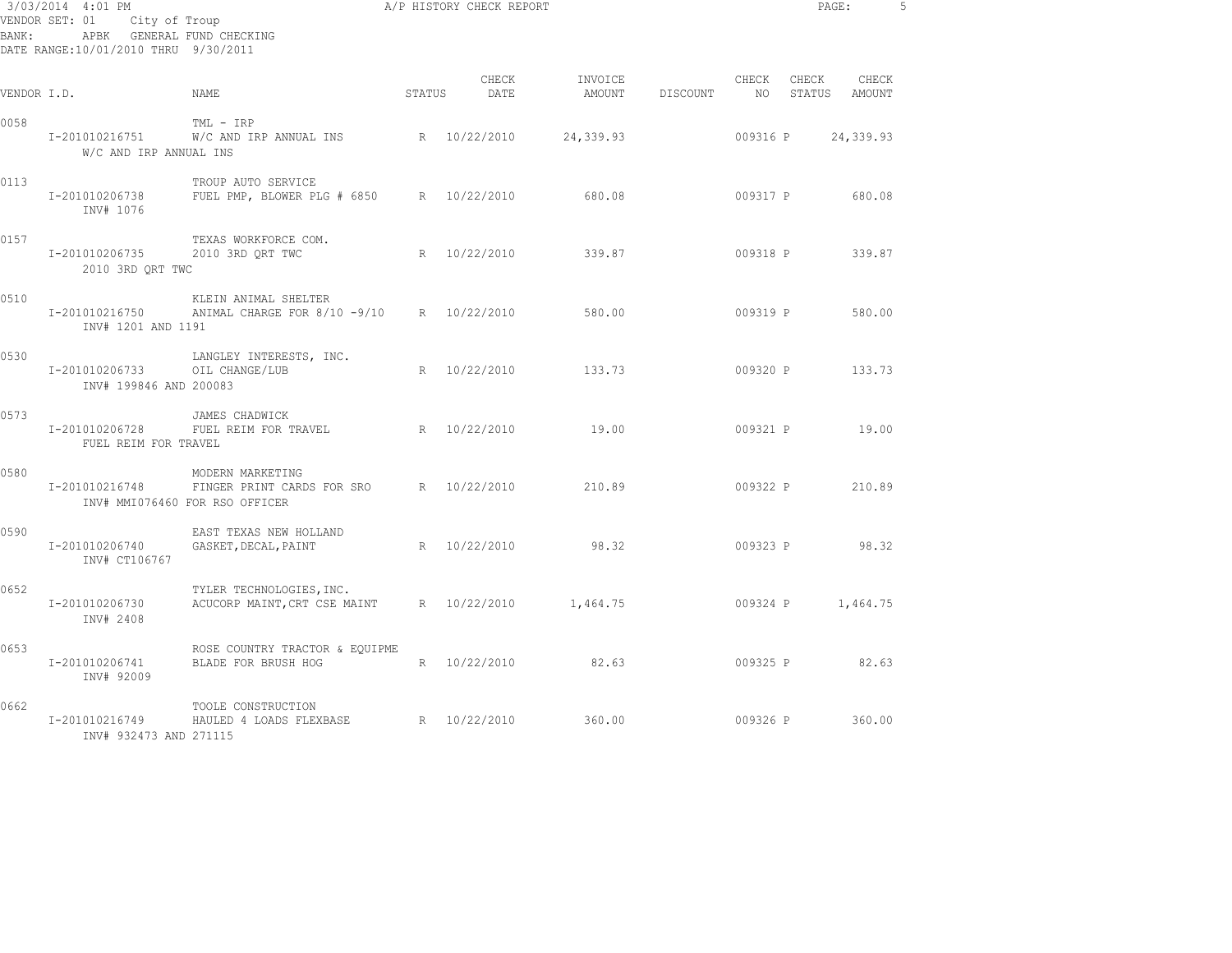| BANK:       | 3/03/2014 4:01 PM<br>City of Troup<br>VENDOR SET: 01<br>APBK GENERAL FUND CHECKING<br>DATE RANGE:10/01/2010 THRU 9/30/2011 |                                                                                               |        | A/P HISTORY CHECK REPORT |                   |          |             |          | PAGE:<br>5             |  |  |
|-------------|----------------------------------------------------------------------------------------------------------------------------|-----------------------------------------------------------------------------------------------|--------|--------------------------|-------------------|----------|-------------|----------|------------------------|--|--|
| VENDOR I.D. |                                                                                                                            | NAME                                                                                          | STATUS | CHECK<br>DATE            | INVOICE<br>AMOUNT | DISCOUNT | CHECK<br>NO | CHECK    | CHECK<br>STATUS AMOUNT |  |  |
| 0058        | I-201010216751<br>W/C AND IRP ANNUAL INS                                                                                   | TML - IRP<br>W/C AND IRP ANNUAL INS                                                           |        | R 10/22/2010             | 24,339.93         |          | 009316 P    |          | 24,339.93              |  |  |
| 0113        | I-201010206738<br>INV# 1076                                                                                                | TROUP AUTO SERVICE<br>FUEL PMP, BLOWER PLG # 6850 R 10/22/2010                                |        |                          | 680.08            |          | 009317 P    |          | 680.08                 |  |  |
| 0157        | I-201010206735<br>2010 3RD QRT TWC                                                                                         | TEXAS WORKFORCE COM.<br>2010 3RD QRT TWC                                                      |        | R 10/22/2010             | 339.87            |          | 009318 P    |          | 339.87                 |  |  |
| 0510        | I-201010216750<br>INV# 1201 AND 1191                                                                                       | KLEIN ANIMAL SHELTER<br>ANIMAL CHARGE FOR 8/10 -9/10 R 10/22/2010                             |        |                          | 580.00            |          | 009319 P    |          | 580.00                 |  |  |
| 0530        | I-201010206733<br>INV# 199846 AND 200083                                                                                   | LANGLEY INTERESTS, INC.<br>OIL CHANGE/LUB                                                     |        | R 10/22/2010             | 133.73            |          |             |          | 009320 P 133.73        |  |  |
| 0573        | I-201010206728<br>FUEL REIM FOR TRAVEL                                                                                     | JAMES CHADWICK<br>FUEL REIM FOR TRAVEL R 10/22/2010                                           |        |                          | 19.00             |          | 009321 P    |          | 19.00                  |  |  |
| 0580        | I-201010216748                                                                                                             | MODERN MARKETING<br>FINGER PRINT CARDS FOR SRO R 10/22/2010<br>INV# MMI076460 FOR RSO OFFICER |        |                          | 210.89            |          |             | 009322 P | 210.89                 |  |  |
| 0590        | I-201010206740<br>INV# CT106767                                                                                            | EAST TEXAS NEW HOLLAND<br>GASKET, DECAL, PAINT                                                |        | R 10/22/2010             | 98.32             |          | 009323 P    |          | 98.32                  |  |  |
| 0652        | I-201010206730<br>INV# 2408                                                                                                | TYLER TECHNOLOGIES, INC.<br>ACUCORP MAINT, CRT CSE MAINT R 10/22/2010                         |        |                          | 1,464.75          |          | 009324 P    |          | 1,464.75               |  |  |
| 0653        | I-201010206741<br>INV# 92009                                                                                               | ROSE COUNTRY TRACTOR & EQUIPME<br>BLADE FOR BRUSH HOG                                         |        | R 10/22/2010             | 82.63             |          | 009325 P    |          | 82.63                  |  |  |
| 0662        | I-201010216749<br>INV# 932473 AND 271115                                                                                   | TOOLE CONSTRUCTION<br>HAULED 4 LOADS FLEXBASE                                                 |        | R 10/22/2010             | 360.00            |          | 009326 P    |          | 360.00                 |  |  |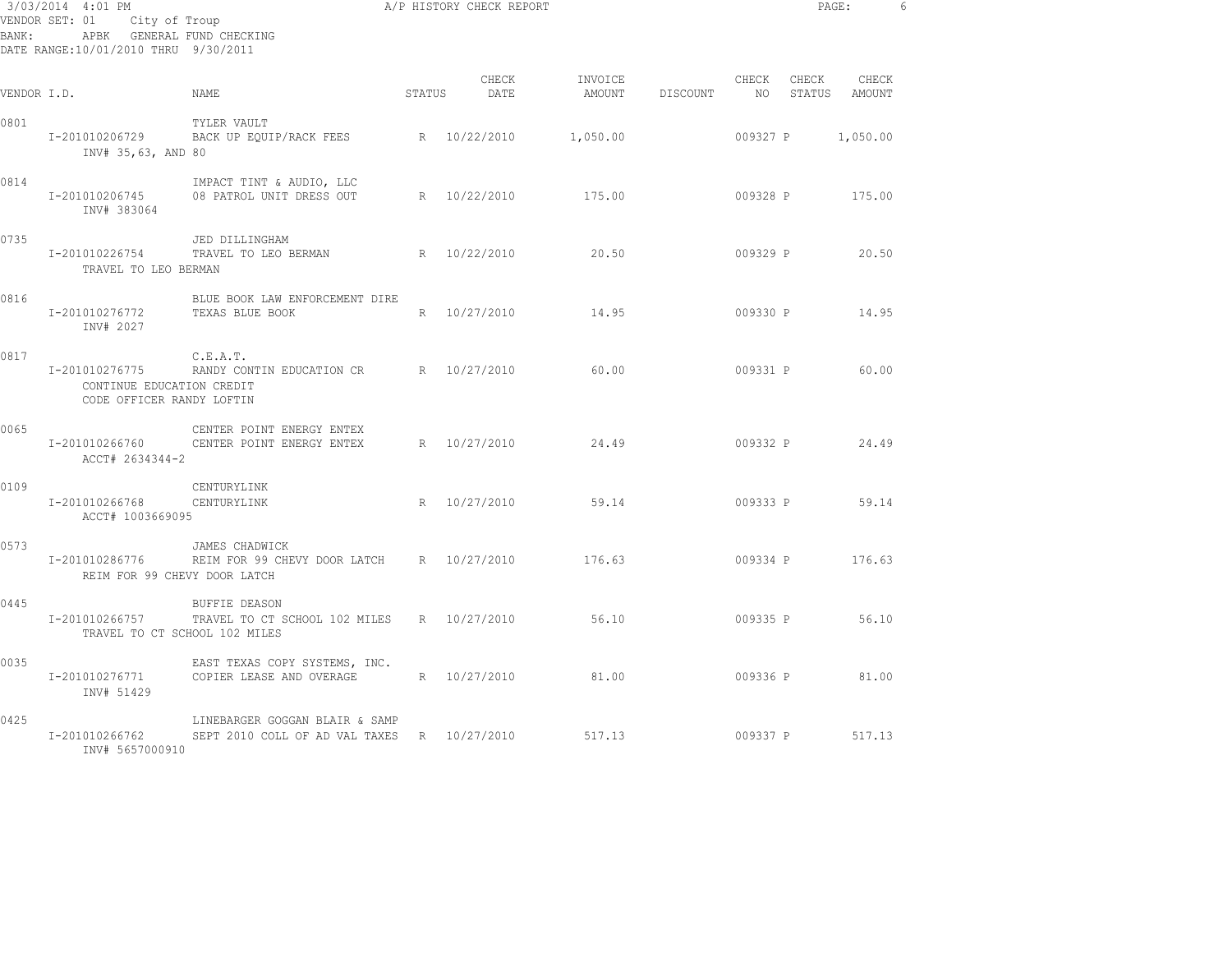| 3/03/2014 4:01 PM<br>City of Troup<br>VENDOR SET: 01<br>APBK GENERAL FUND CHECKING<br>BANK :<br>DATE RANGE:10/01/2010 THRU 9/30/2011 |                                                                          |                                                                               |        | A/P HISTORY CHECK REPORT |                            | PAGE: |                          | - 6      |                        |  |
|--------------------------------------------------------------------------------------------------------------------------------------|--------------------------------------------------------------------------|-------------------------------------------------------------------------------|--------|--------------------------|----------------------------|-------|--------------------------|----------|------------------------|--|
| VENDOR I.D.                                                                                                                          |                                                                          | <b>NAME</b>                                                                   | STATUS | CHECK<br>DATE            | INVOICE<br>AMOUNT DISCOUNT |       | CHECK<br>NO <sub>1</sub> | CHECK    | CHECK<br>STATUS AMOUNT |  |
| 0801                                                                                                                                 | I-201010206729<br>INV# 35,63, AND 80                                     | TYLER VAULT<br>BACK UP EQUIP/RACK FEES R 10/22/2010                           |        |                          | 1,050.00                   |       | 009327 P                 |          | 1,050.00               |  |
| 0814                                                                                                                                 | I-201010206745<br>INV# 383064                                            | IMPACT TINT & AUDIO, LLC<br>08 PATROL UNIT DRESS OUT                          |        | R 10/22/2010             | 175.00                     |       | 009328 P                 |          | 175.00                 |  |
| 0735                                                                                                                                 | I-201010226754<br>TRAVEL TO LEO BERMAN                                   | JED DILLINGHAM<br>TRAVEL TO LEO BERMAN                                        |        | R 10/22/2010             | 20.50                      |       | 009329 P                 |          | 20.50                  |  |
| 0816                                                                                                                                 | I-201010276772<br>INV# 2027                                              | BLUE BOOK LAW ENFORCEMENT DIRE<br>TEXAS BLUE BOOK                             |        | R 10/27/2010             | 14.95                      |       | 009330 P                 |          | 14.95                  |  |
| 0817                                                                                                                                 | I-201010276775<br>CONTINUE EDUCATION CREDIT<br>CODE OFFICER RANDY LOFTIN | C.E.A.T.<br>RANDY CONTIN EDUCATION CR                                         |        | R 10/27/2010             | 60.00                      |       | 009331 P                 |          | 60.00                  |  |
| 0065                                                                                                                                 | I-201010266760<br>ACCT# 2634344-2                                        | CENTER POINT ENERGY ENTEX<br>CENTER POINT ENERGY ENTEX                        |        | R 10/27/2010             | 24.49                      |       | 009332 P                 |          | 24.49                  |  |
| 0109                                                                                                                                 | I-201010266768<br>ACCT# 1003669095                                       | CENTURYLINK<br>CENTURYLINK                                                    |        | R 10/27/2010             | 59.14                      |       | 009333 P                 |          | 59.14                  |  |
| 0573                                                                                                                                 | I-201010286776<br>REIM FOR 99 CHEVY DOOR LATCH                           | JAMES CHADWICK<br>REIM FOR 99 CHEVY DOOR LATCH R 10/27/2010                   |        |                          | 176.63                     |       | 009334 P                 |          | 176.63                 |  |
| 0445                                                                                                                                 | I-201010266757<br>TRAVEL TO CT SCHOOL 102 MILES                          | <b>BUFFIE DEASON</b><br>TRAVEL TO CT SCHOOL 102 MILES R 10/27/2010            |        |                          | 56.10                      |       | 009335 P                 |          | 56.10                  |  |
| 0035                                                                                                                                 | I-201010276771<br>INV# 51429                                             | EAST TEXAS COPY SYSTEMS, INC.<br>COPIER LEASE AND OVERAGE                     |        | R 10/27/2010             | 81.00                      |       |                          | 009336 P | 81.00                  |  |
| 0425                                                                                                                                 | I-201010266762<br>INV# 5657000910                                        | LINEBARGER GOGGAN BLAIR & SAMP<br>SEPT 2010 COLL OF AD VAL TAXES R 10/27/2010 |        |                          | 517.13                     |       |                          | 009337 P | 517.13                 |  |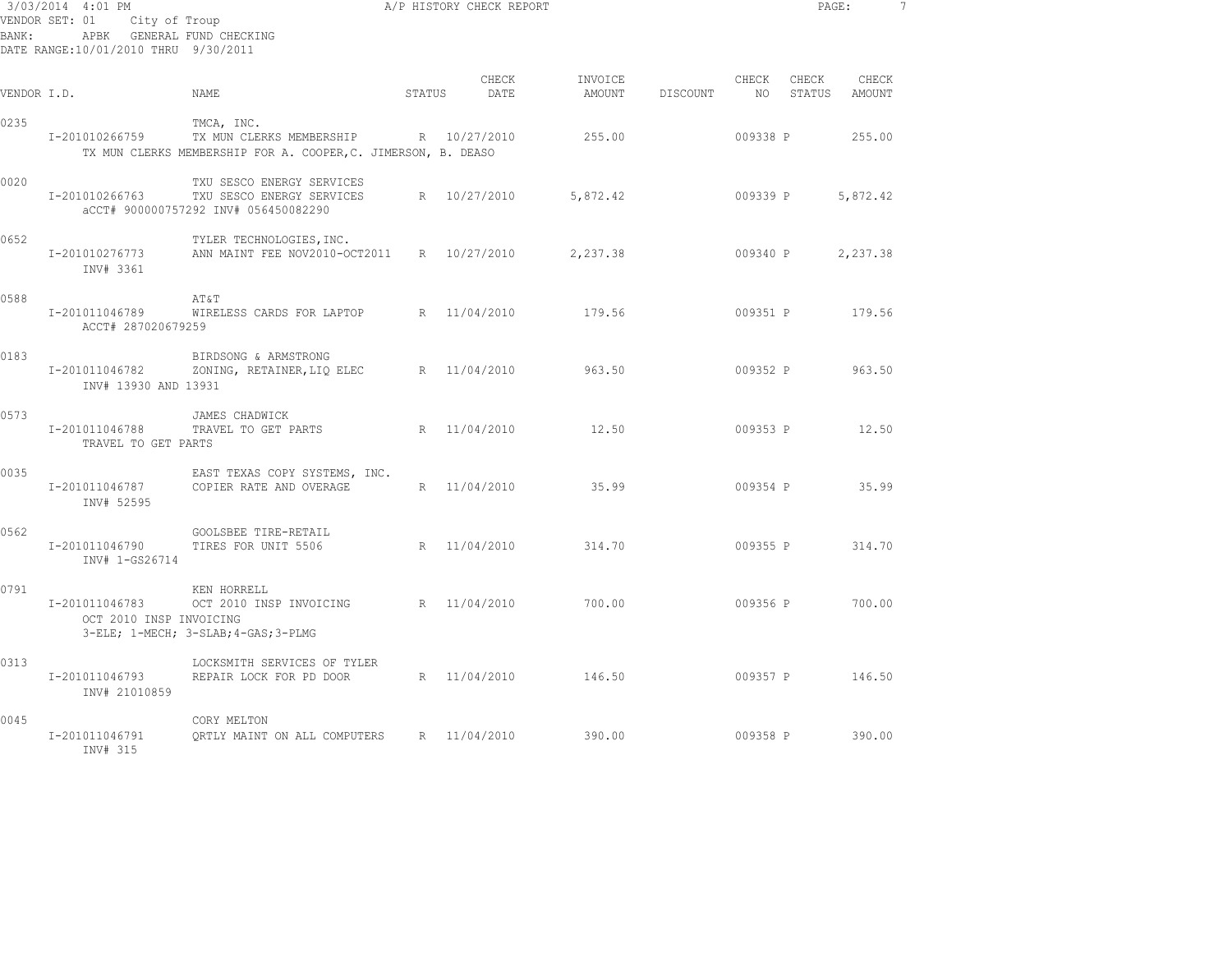| 3/03/2014 4:01 PM<br>City of Troup<br>VENDOR SET: 01<br>APBK GENERAL FUND CHECKING<br>BANK:<br>DATE RANGE:10/01/2010 THRU 9/30/2011 |                                           |                                                                                                         |        | A/P HISTORY CHECK REPORT |                   | PAGE:<br>$\overline{7}$ |             |                 |                 |  |
|-------------------------------------------------------------------------------------------------------------------------------------|-------------------------------------------|---------------------------------------------------------------------------------------------------------|--------|--------------------------|-------------------|-------------------------|-------------|-----------------|-----------------|--|
| VENDOR I.D.                                                                                                                         |                                           | NAME                                                                                                    | STATUS | CHECK<br>DATE            | INVOICE<br>AMOUNT | DISCOUNT                | CHECK<br>NO | CHECK<br>STATUS | CHECK<br>AMOUNT |  |
| 0235                                                                                                                                | I-201010266759                            | TMCA, INC.<br>TX MUN CLERKS MEMBERSHIP<br>TX MUN CLERKS MEMBERSHIP FOR A. COOPER, C. JIMERSON, B. DEASO |        | R 10/27/2010             | 255.00            |                         | 009338 P    |                 | 255.00          |  |
| 0020                                                                                                                                | I-201010266763                            | TXU SESCO ENERGY SERVICES<br>TXU SESCO ENERGY SERVICES<br>aCCT# 900000757292 INV# 056450082290          |        | R 10/27/2010             | 5,872.42          |                         | 009339 P    |                 | 5,872.42        |  |
| 0652                                                                                                                                | I-201010276773<br>INV# 3361               | TYLER TECHNOLOGIES, INC.<br>ANN MAINT FEE NOV2010-OCT2011 R 10/27/2010                                  |        |                          | 2,237.38          |                         | 009340 P    |                 | 2,237.38        |  |
| 0588                                                                                                                                | I-201011046789<br>ACCT# 287020679259      | AT&T<br>WIRELESS CARDS FOR LAPTOP                                                                       |        | R 11/04/2010             | 179.56            |                         | 009351 P    |                 | 179.56          |  |
| 0183                                                                                                                                | I-201011046782<br>INV# 13930 AND 13931    | BIRDSONG & ARMSTRONG<br>ZONING, RETAINER, LIQ ELEC                                                      |        | R 11/04/2010             | 963.50            |                         | 009352 P    |                 | 963.50          |  |
| 0573                                                                                                                                | I-201011046788<br>TRAVEL TO GET PARTS     | JAMES CHADWICK<br>TRAVEL TO GET PARTS                                                                   |        | R 11/04/2010             | 12.50             |                         | 009353 P    |                 | 12.50           |  |
| 0035                                                                                                                                | I-201011046787<br>INV# 52595              | EAST TEXAS COPY SYSTEMS, INC.<br>COPIER RATE AND OVERAGE                                                |        | R 11/04/2010             | 35.99             |                         | 009354 P    |                 | 35.99           |  |
| 0562                                                                                                                                | I-201011046790<br>INV# 1-GS26714          | GOOLSBEE TIRE-RETAIL<br>TIRES FOR UNIT 5506                                                             |        | R 11/04/2010             | 314.70            |                         | 009355 P    |                 | 314.70          |  |
| 0791                                                                                                                                | I-201011046783<br>OCT 2010 INSP INVOICING | KEN HORRELL<br>OCT 2010 INSP INVOICING R 11/04/2010<br>3-ELE; 1-MECH; 3-SLAB; 4-GAS; 3-PLMG             |        |                          | 700.00            |                         | 009356 P    |                 | 700.00          |  |
| 0313                                                                                                                                | I-201011046793<br>INV# 21010859           | LOCKSMITH SERVICES OF TYLER<br>REPAIR LOCK FOR PD DOOR                                                  |        | R 11/04/2010             | 146.50            |                         |             |                 | 009357 P 146.50 |  |
| 0045                                                                                                                                | I-201011046791<br>INV# 315                | CORY MELTON<br>ORTLY MAINT ON ALL COMPUTERS                                                             |        | R 11/04/2010             | 390.00            |                         | 009358 P    |                 | 390.00          |  |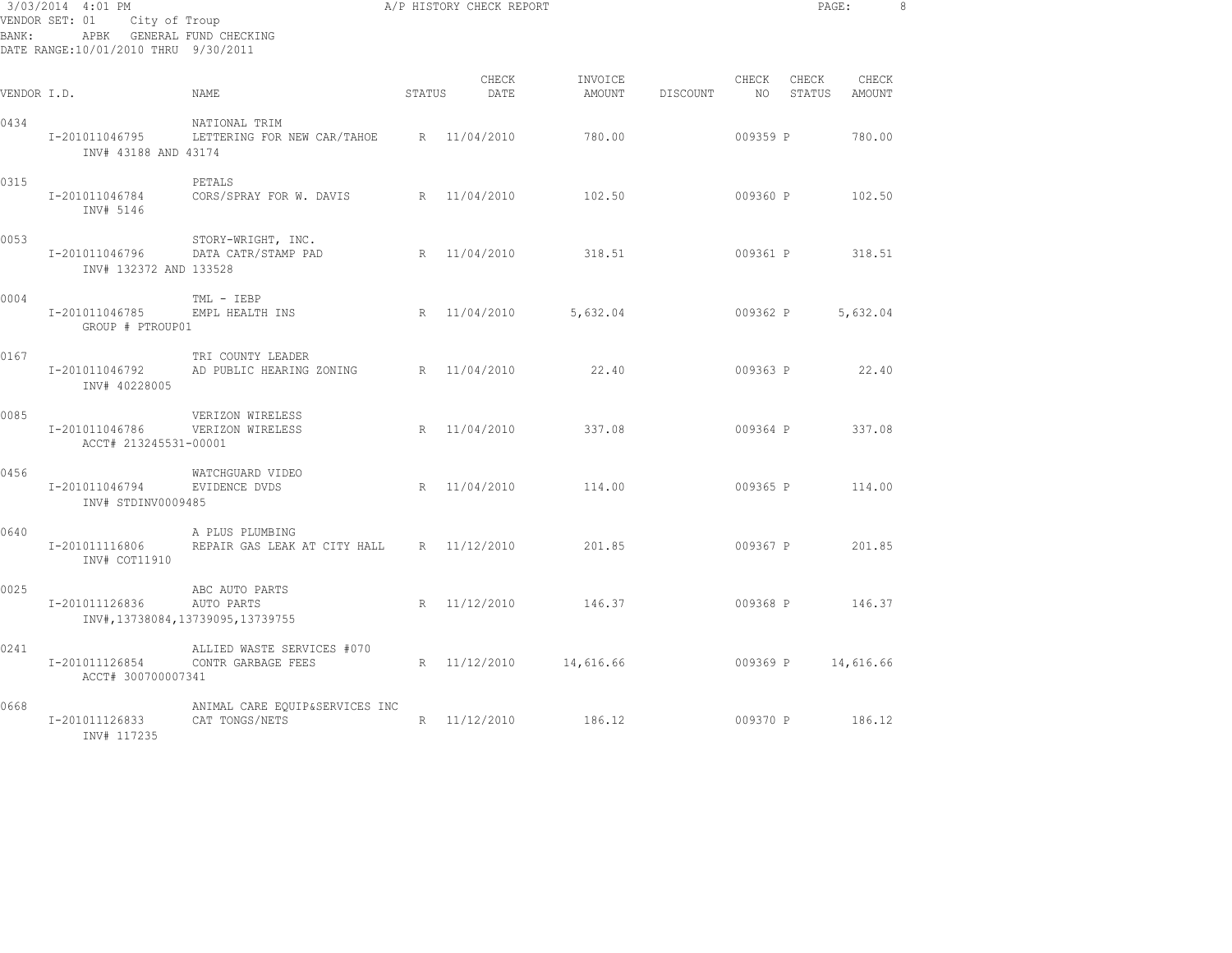| BANK:       | 3/03/2014 4:01 PM<br>VENDOR SET: 01 City of Troup<br>APBK GENERAL FUND CHECKING<br>DATE RANGE:10/01/2010 THRU 9/30/2011 |                                                                    |        | A/P HISTORY CHECK REPORT |                   | PAGE:    |          | - 8                |                 |  |
|-------------|-------------------------------------------------------------------------------------------------------------------------|--------------------------------------------------------------------|--------|--------------------------|-------------------|----------|----------|--------------------|-----------------|--|
| VENDOR I.D. |                                                                                                                         | NAME                                                               | STATUS | CHECK<br>DATE            | INVOICE<br>AMOUNT | DISCOUNT | CHECK    | CHECK<br>NO STATUS | CHECK<br>AMOUNT |  |
| 0434        | I-201011046795<br>INV# 43188 AND 43174                                                                                  | NATIONAL TRIM<br>LETTERING FOR NEW CAR/TAHOE R 11/04/2010          |        |                          | 780.00            |          | 009359 P |                    | 780.00          |  |
| 0315        | I-201011046784<br>INV# 5146                                                                                             | PETALS<br>CORS/SPRAY FOR W. DAVIS                                  |        | R 11/04/2010             | 102.50            |          | 009360 P |                    | 102.50          |  |
| 0053        | I-201011046796<br>INV# 132372 AND 133528                                                                                | STORY-WRIGHT, INC.<br>DATA CATR/STAMP PAD                          |        | R 11/04/2010             | 318.51            |          | 009361 P |                    | 318.51          |  |
| 0004        | I-201011046785<br>GROUP # PTROUP01                                                                                      | TML - IEBP<br>EMPL HEALTH INS                                      |        | R 11/04/2010             | 5,632.04          |          | 009362 P |                    | 5,632.04        |  |
| 0167        | I-201011046792<br>INV# 40228005                                                                                         | TRI COUNTY LEADER<br>AD PUBLIC HEARING ZONING                      |        | R 11/04/2010             | 22.40             |          | 009363 P |                    | 22.40           |  |
| 0085        | I-201011046786<br>ACCT# 213245531-00001                                                                                 | VERIZON WIRELESS<br>VERIZON WIRELESS                               |        | R 11/04/2010             | 337.08            |          |          | 009364 P           | 337.08          |  |
| 0456        | I-201011046794<br>INV# STDINV0009485                                                                                    | WATCHGUARD VIDEO<br>EVIDENCE DVDS                                  |        | R 11/04/2010             | 114.00            |          |          | 009365 P           | 114.00          |  |
| 0640        | I-201011116806<br>INV# COT11910                                                                                         | A PLUS PLUMBING<br>REPAIR GAS LEAK AT CITY HALL R 11/12/2010       |        |                          | 201.85            |          |          | 009367 P           | 201.85          |  |
| 0025        | I-201011126836                                                                                                          | ABC AUTO PARTS<br>AUTO PARTS<br>INV#, 13738084, 13739095, 13739755 |        | R 11/12/2010             | 146.37            |          |          | 009368 P 146.37    |                 |  |
| 0241        | I-201011126854<br>ACCT# 300700007341                                                                                    | ALLIED WASTE SERVICES #070<br>CONTR GARBAGE FEES                   |        | R 11/12/2010 14,616.66   |                   |          | 009369 P |                    | 14,616.66       |  |
| 0668        | I-201011126833<br>INV# 117235                                                                                           | ANIMAL CARE EQUIP&SERVICES INC<br>CAT TONGS/NETS                   |        | R 11/12/2010             | 186.12            |          | 009370 P |                    | 186.12          |  |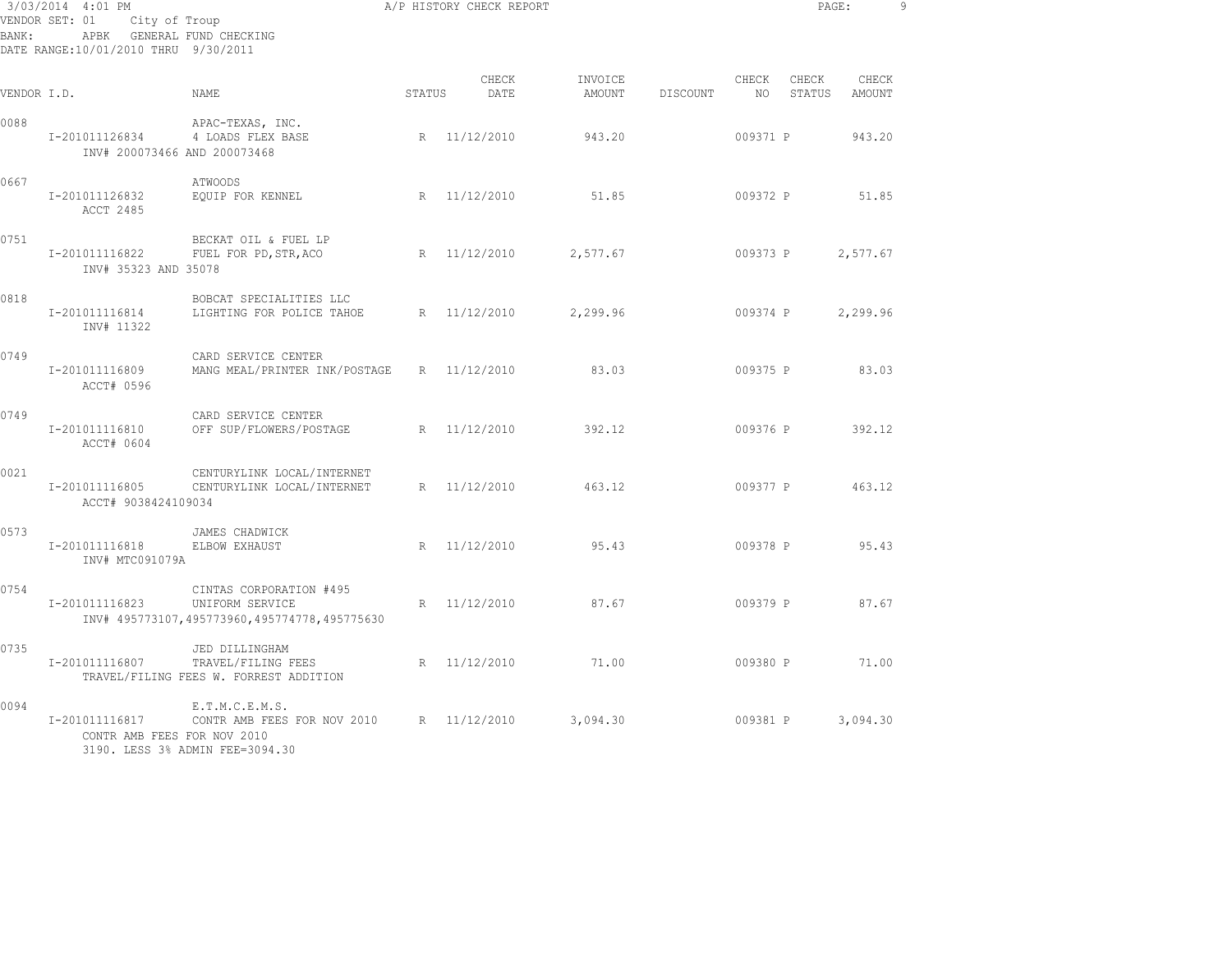| BANK:       | 3/03/2014 4:01 PM<br>VENDOR SET: 01<br>City of Troup<br>APBK GENERAL FUND CHECKING<br>DATE RANGE: 10/01/2010 THRU 9/30/2011 |                                                                                            |             | A/P HISTORY CHECK REPORT |                   |                 |             | PAGE:           |                 | 9 |
|-------------|-----------------------------------------------------------------------------------------------------------------------------|--------------------------------------------------------------------------------------------|-------------|--------------------------|-------------------|-----------------|-------------|-----------------|-----------------|---|
| VENDOR I.D. |                                                                                                                             | <b>NAME</b>                                                                                | STATUS      | CHECK<br>DATE            | INVOICE<br>AMOUNT | <b>DISCOUNT</b> | CHECK<br>NO | CHECK<br>STATUS | CHECK<br>AMOUNT |   |
| 0088        | I-201011126834<br>INV# 200073466 AND 200073468                                                                              | APAC-TEXAS, INC.<br>4 LOADS FLEX BASE                                                      |             | R 11/12/2010             | 943.20            |                 | 009371 P    |                 | 943.20          |   |
| 0667        | I-201011126832<br>ACCT 2485                                                                                                 | <b>ATWOODS</b><br>EQUIP FOR KENNEL                                                         |             | R 11/12/2010             | 51.85             |                 | 009372 P    |                 | 51.85           |   |
| 0751        | I-201011116822<br>INV# 35323 AND 35078                                                                                      | BECKAT OIL & FUEL LP<br>FUEL FOR PD, STR, ACO                                              |             | R 11/12/2010             | 2,577.67          |                 | 009373 P    |                 | 2,577.67        |   |
| 0818        | I-201011116814<br>INV# 11322                                                                                                | BOBCAT SPECIALITIES LLC<br>LIGHTING FOR POLICE TAHOE                                       |             | R 11/12/2010             | 2,299.96          |                 | 009374 P    |                 | 2,299.96        |   |
| 0749        | I-201011116809<br>ACCT# 0596                                                                                                | CARD SERVICE CENTER<br>MANG MEAL/PRINTER INK/POSTAGE                                       |             | R 11/12/2010             | 83.03             |                 | 009375 P    |                 | 83.03           |   |
| 0749        | I-201011116810<br>ACCT# 0604                                                                                                | CARD SERVICE CENTER<br>OFF SUP/FLOWERS/POSTAGE                                             |             | R 11/12/2010             | 392.12            |                 | 009376 P    |                 | 392.12          |   |
| 0021        | I-201011116805<br>ACCT# 9038424109034                                                                                       | CENTURYLINK LOCAL/INTERNET<br>CENTURYLINK LOCAL/INTERNET                                   | $R_{\perp}$ | 11/12/2010               | 463.12            |                 | 009377 P    |                 | 463.12          |   |
| 0573        | I-201011116818<br>INV# MTC091079A                                                                                           | JAMES CHADWICK<br>ELBOW EXHAUST                                                            |             | R 11/12/2010             | 95.43             |                 | 009378 P    |                 | 95.43           |   |
| 0754        | I-201011116823                                                                                                              | CINTAS CORPORATION #495<br>UNIFORM SERVICE<br>INV# 495773107,495773960,495774778,495775630 | R           | 11/12/2010               | 87.67             |                 | 009379 P    |                 | 87.67           |   |
| 0735        | I-201011116807                                                                                                              | JED DILLINGHAM<br>TRAVEL/FILING FEES<br>TRAVEL/FILING FEES W. FORREST ADDITION             | R           | 11/12/2010               | 71.00             |                 | 009380 P    |                 | 71.00           |   |
| 0094        | I-201011116817<br>CONTR AMB FEES FOR NOV 2010                                                                               | E.T.M.C.E.M.S.<br>CONTR AMB FEES FOR NOV 2010<br>3190. LESS 3% ADMIN FEE=3094.30           |             | R 11/12/2010             | 3,094.30          |                 | 009381 P    |                 | 3,094.30        |   |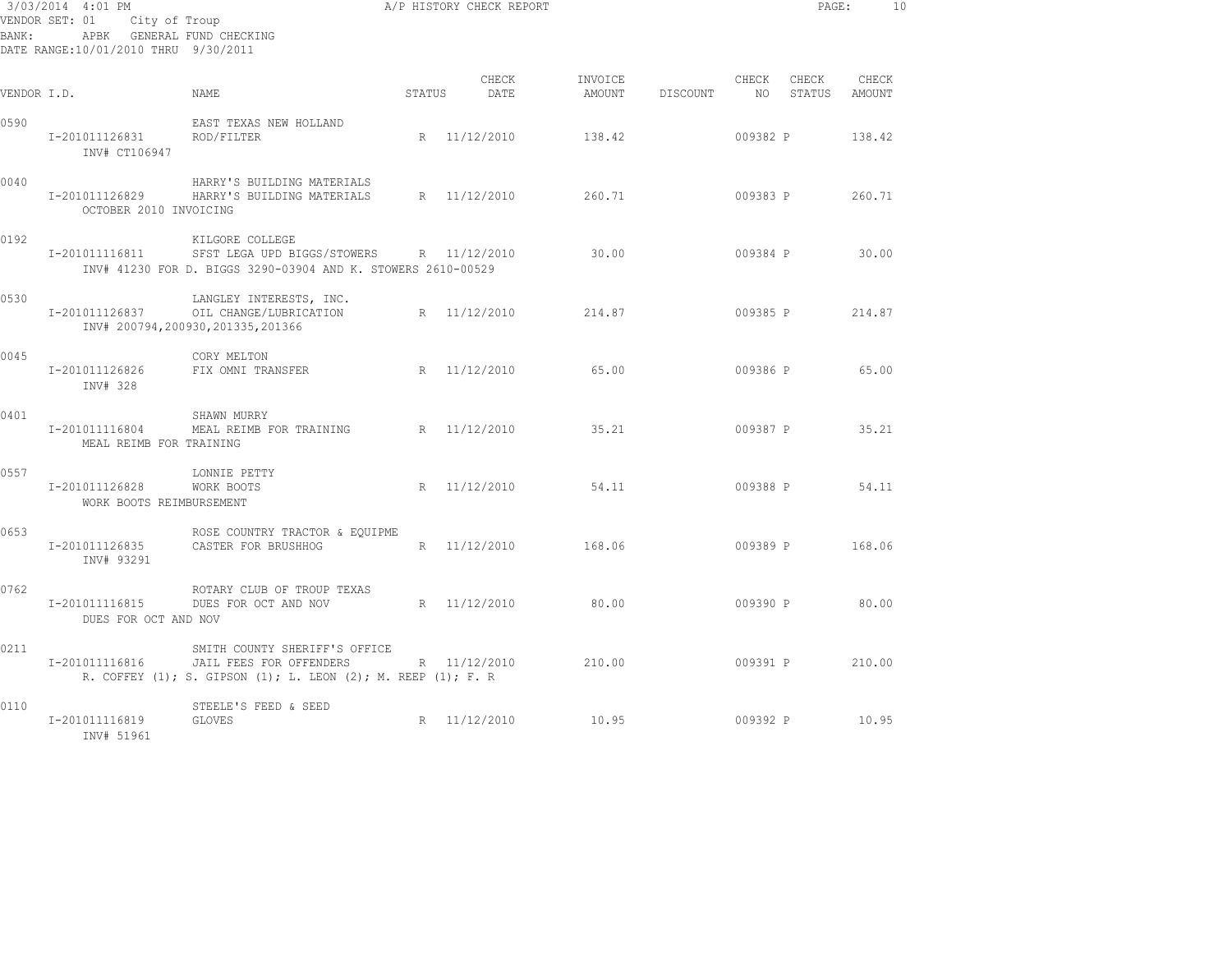| 3/03/2014 4:01 PM<br>VENDOR SET: 01<br>City of Troup<br>APBK GENERAL FUND CHECKING<br>BANK:<br>DATE RANGE:10/01/2010 THRU 9/30/2011 |                                                                         |                                                                                                                             | A/P HISTORY CHECK REPORT | PAGE:         | 10                |          |                |                 |                 |  |
|-------------------------------------------------------------------------------------------------------------------------------------|-------------------------------------------------------------------------|-----------------------------------------------------------------------------------------------------------------------------|--------------------------|---------------|-------------------|----------|----------------|-----------------|-----------------|--|
| VENDOR I.D.                                                                                                                         |                                                                         | NAME.                                                                                                                       | STATUS                   | CHECK<br>DATE | INVOICE<br>AMOUNT | DISCOUNT | CHECK<br>NO 11 | CHECK<br>STATUS | CHECK<br>AMOUNT |  |
| 0590                                                                                                                                | EAST TEXAS NEW HOLLAND<br>I-201011126831<br>ROD/FILTER<br>INV# CT106947 |                                                                                                                             |                          | R 11/12/2010  | 138.42            |          | 009382 P       |                 | 138.42          |  |
| 0040                                                                                                                                | I-201011126829<br>OCTOBER 2010 INVOICING                                | HARRY'S BUILDING MATERIALS<br>HARRY'S BUILDING MATERIALS                                                                    |                          | R 11/12/2010  | 260.71            |          | 009383 P       |                 | 260.71          |  |
| 0192                                                                                                                                | I-201011116811                                                          | KILGORE COLLEGE<br>SFST LEGA UPD BIGGS/STOWERS R 11/12/2010<br>INV# 41230 FOR D. BIGGS 3290-03904 AND K. STOWERS 2610-00529 |                          |               | 30.00             |          | 009384 P       |                 | 30.00           |  |
| 0530                                                                                                                                | I-201011126837                                                          | LANGLEY INTERESTS, INC.<br>OIL CHANGE/LUBRICATION<br>INV# 200794,200930,201335,201366                                       |                          | R 11/12/2010  | 214.87            |          | 009385 P       |                 | 214.87          |  |
| 0045                                                                                                                                | I-201011126826<br>INV# 328                                              | CORY MELTON<br>FIX OMNI TRANSFER                                                                                            |                          | R 11/12/2010  | 65.00             |          | 009386 P       |                 | 65.00           |  |
| 0401                                                                                                                                | I-201011116804<br>MEAL REIMB FOR TRAINING                               | SHAWN MURRY<br>MEAL REIMB FOR TRAINING                                                                                      |                          | R 11/12/2010  | 35.21             |          | 009387 P       |                 | 35.21           |  |
| 0557                                                                                                                                | I-201011126828<br>WORK BOOTS REIMBURSEMENT                              | LONNIE PETTY<br>WORK BOOTS                                                                                                  |                          | R 11/12/2010  | 54.11             |          | 009388 P       |                 | 54.11           |  |
| 0653                                                                                                                                | I-201011126835<br>INV# 93291                                            | ROSE COUNTRY TRACTOR & EQUIPME<br>CASTER FOR BRUSHHOG                                                                       |                          | R 11/12/2010  | 168.06            |          |                | 009389 P        | 168.06          |  |
| 0762                                                                                                                                | I-201011116815<br>DUES FOR OCT AND NOV                                  | ROTARY CLUB OF TROUP TEXAS<br>DUES FOR OCT AND NOV                                                                          |                          | R 11/12/2010  | 80.00             |          | 009390 P       |                 | 80.00           |  |
| 0211                                                                                                                                | I-201011116816                                                          | SMITH COUNTY SHERIFF'S OFFICE<br>JAIL FEES FOR OFFENDERS<br>R. COFFEY (1); S. GIPSON (1); L. LEON (2); M. REEP (1); F. R    |                          | R 11/12/2010  | 210.00            |          | 009391 P       |                 | 210.00          |  |
| 0110                                                                                                                                | I-201011116819<br>INV# 51961                                            | STEELE'S FEED & SEED<br><b>GLOVES</b>                                                                                       |                          | R 11/12/2010  | 10.95             |          | 009392 P       |                 | 10.95           |  |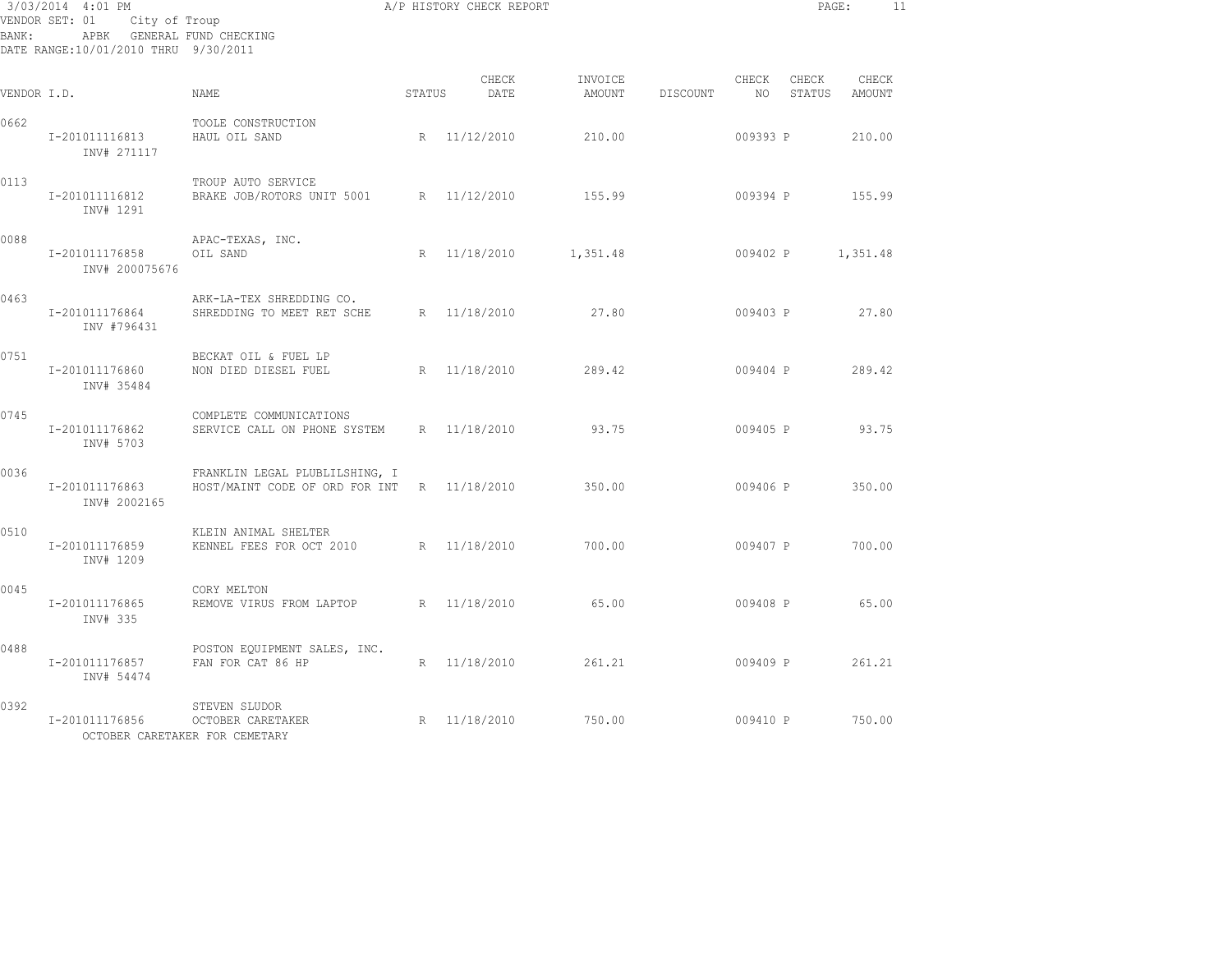| 3/03/2014 4:01 PM<br>City of Troup<br>VENDOR SET: 01<br>APBK GENERAL FUND CHECKING<br>BANK:<br>DATE RANGE:10/01/2010 THRU 9/30/2011 |                                  |                                                                      |        | A/P HISTORY CHECK REPORT |                   |          |               | PAGE:           |                 | 11 |
|-------------------------------------------------------------------------------------------------------------------------------------|----------------------------------|----------------------------------------------------------------------|--------|--------------------------|-------------------|----------|---------------|-----------------|-----------------|----|
| VENDOR I.D.                                                                                                                         |                                  | NAME                                                                 | STATUS | CHECK<br>DATE            | INVOICE<br>AMOUNT | DISCOUNT | CHECK<br>NO 1 | CHECK<br>STATUS | CHECK<br>AMOUNT |    |
| 0662                                                                                                                                | I-201011116813<br>INV# 271117    | TOOLE CONSTRUCTION<br>HAUL OIL SAND                                  |        | R 11/12/2010             | 210.00            |          | 009393 P      |                 | 210.00          |    |
| 0113                                                                                                                                | I-201011116812<br>INV# 1291      | TROUP AUTO SERVICE<br>BRAKE JOB/ROTORS UNIT 5001                     |        | R 11/12/2010             | 155.99            |          | 009394 P      |                 | 155.99          |    |
| 0088                                                                                                                                | I-201011176858<br>INV# 200075676 | APAC-TEXAS, INC.<br>OIL SAND                                         | R      | 11/18/2010               | 1,351.48          |          | 009402 P      |                 | 1,351.48        |    |
| 0463                                                                                                                                | I-201011176864<br>INV #796431    | ARK-LA-TEX SHREDDING CO.<br>SHREDDING TO MEET RET SCHE               |        | R 11/18/2010             | 27.80             |          | 009403 P      |                 | 27.80           |    |
| 0751                                                                                                                                | I-201011176860<br>INV# 35484     | BECKAT OIL & FUEL LP<br>NON DIED DIESEL FUEL                         |        | R 11/18/2010             | 289.42            |          | 009404 P      |                 | 289.42          |    |
| 0745                                                                                                                                | I-201011176862<br>INV# 5703      | COMPLETE COMMUNICATIONS<br>SERVICE CALL ON PHONE SYSTEM              |        | R 11/18/2010             | 93.75             |          | 009405 P      |                 | 93.75           |    |
| 0036                                                                                                                                | I-201011176863<br>INV# 2002165   | FRANKLIN LEGAL PLUBLILSHING, I<br>HOST/MAINT CODE OF ORD FOR INT     |        | R 11/18/2010             | 350.00            |          | 009406 P      |                 | 350.00          |    |
| 0510                                                                                                                                | I-201011176859<br>INV# 1209      | KLEIN ANIMAL SHELTER<br>KENNEL FEES FOR OCT 2010                     |        | R 11/18/2010             | 700.00            |          | 009407 P      |                 | 700.00          |    |
| 0045                                                                                                                                | I-201011176865<br>INV# 335       | CORY MELTON<br>REMOVE VIRUS FROM LAPTOP                              |        | R 11/18/2010             | 65.00             |          | 009408 P      |                 | 65.00           |    |
| 0488                                                                                                                                | I-201011176857<br>INV# 54474     | POSTON EQUIPMENT SALES, INC.<br>FAN FOR CAT 86 HP                    |        | R 11/18/2010             | 261.21            |          | 009409 P      |                 | 261.21          |    |
| 0392                                                                                                                                | I-201011176856                   | STEVEN SLUDOR<br>OCTOBER CARETAKER<br>OCTOBER CARETAKER FOR CEMETARY |        | R 11/18/2010             | 750.00            |          | 009410 P      |                 | 750.00          |    |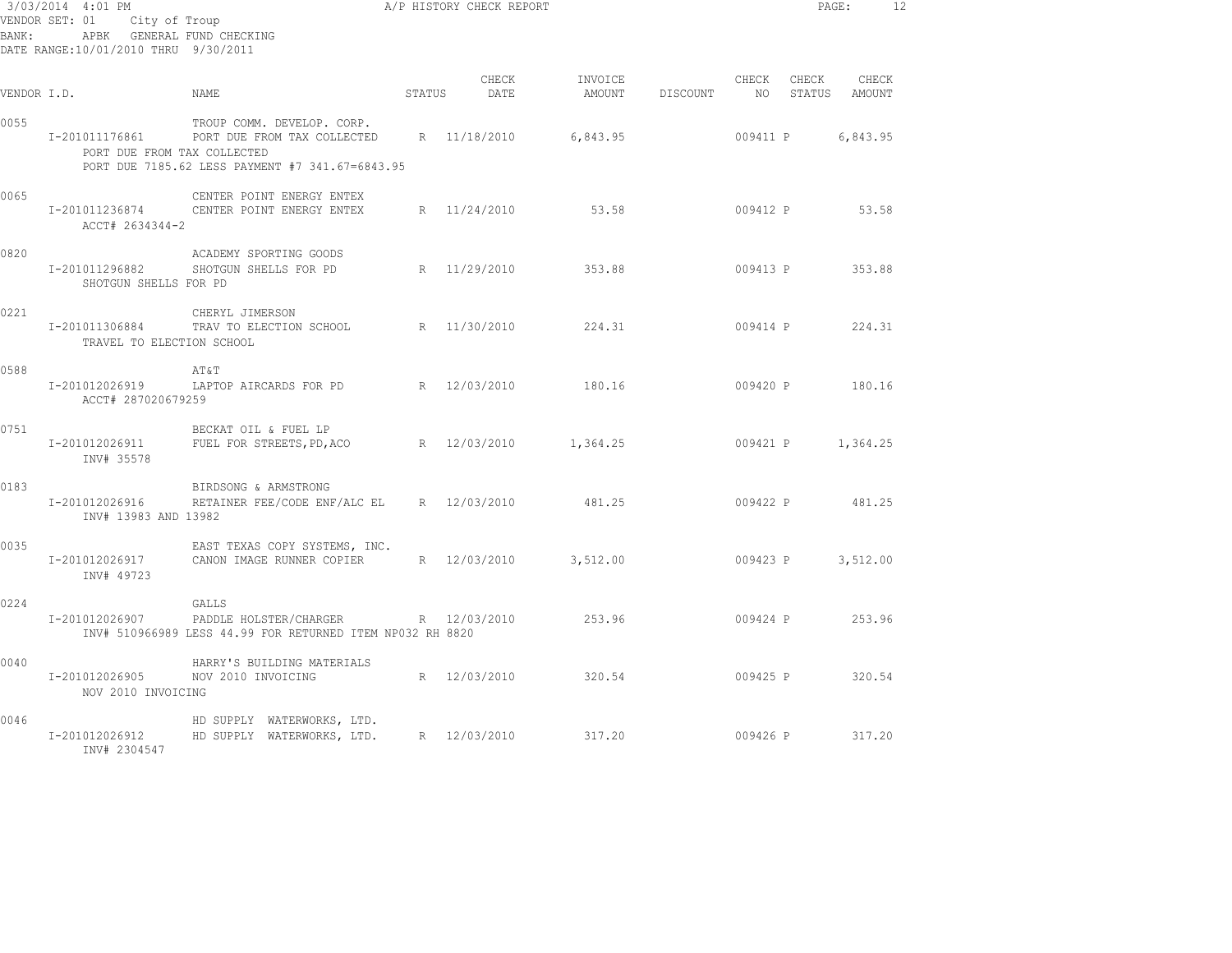| BANK:       | 3/03/2014 4:01 PM<br>VENDOR SET: 01 City of Troup<br>APBK GENERAL FUND CHECKING<br>DATE RANGE:10/01/2010 THRU 9/30/2011 | A/P HISTORY CHECK REPORT                                                                                                  |        |                     |                            |            |          |       | PAGE:                     | -12 |
|-------------|-------------------------------------------------------------------------------------------------------------------------|---------------------------------------------------------------------------------------------------------------------------|--------|---------------------|----------------------------|------------|----------|-------|---------------------------|-----|
| VENDOR I.D. |                                                                                                                         | NAME                                                                                                                      | STATUS | CHECK<br>DATE       | INVOICE<br>AMOUNT DISCOUNT |            | CHECK    | CHECK | CHECK<br>NO STATUS AMOUNT |     |
| 0055        | I-201011176861<br>PORT DUE FROM TAX COLLECTED                                                                           | TROUP COMM. DEVELOP. CORP.<br>PORT DUE FROM TAX COLLECTED R 11/18/2010<br>PORT DUE 7185.62 LESS PAYMENT #7 341.67=6843.95 |        |                     | 6,843.95                   |            | 009411 P |       | 6,843.95                  |     |
| 0065        | I-201011236874<br>ACCT# 2634344-2                                                                                       | CENTER POINT ENERGY ENTEX<br>CENTER POINT ENERGY ENTEX                                                                    |        | R 11/24/2010 53.58  |                            |            |          |       | 009412 P 53.58            |     |
| 0820        | I-201011296882<br>SHOTGUN SHELLS FOR PD                                                                                 | ACADEMY SPORTING GOODS<br>SHOTGUN SHELLS FOR PD                                                                           |        | R 11/29/2010 353.88 |                            |            |          |       | 009413 P 353.88           |     |
| 0221        | TRAVEL TO ELECTION SCHOOL                                                                                               | CHERYL JIMERSON<br>I-201011306884 TRAV TO ELECTION SCHOOL                                                                 |        | R 11/30/2010        | 224.31                     |            |          |       | 009414 P 224.31           |     |
| 0588        | ACCT# 287020679259                                                                                                      | AT&T<br>I-201012026919 LAPTOP AIRCARDS FOR PD                                                                             |        | R 12/03/2010        | 180.16                     |            |          |       | 009420 P 180.16           |     |
| 0751        | I-201012026911<br>INV# 35578                                                                                            | BECKAT OIL & FUEL LP<br>FUEL FOR STREETS, PD, ACO R 12/03/2010 1, 364.25                                                  |        |                     |                            |            |          |       | 009421 P 1,364.25         |     |
| 0183        | I-201012026916<br>INV# 13983 AND 13982                                                                                  | BIRDSONG & ARMSTRONG<br>RETAINER FEE/CODE ENF/ALC EL R 12/03/2010                                                         |        |                     | 481.25                     |            |          |       | 009422 P 481.25           |     |
| 0035        | I-201012026917<br>INV# 49723                                                                                            | EAST TEXAS COPY SYSTEMS, INC.<br>CANON IMAGE RUNNER COPIER R 12/03/2010                                                   |        |                     | 3,512.00                   | $009423$ P |          |       | 3,512.00                  |     |
| 0224        | I-201012026907                                                                                                          | GALLS<br>PADDLE HOLSTER/CHARGER<br>INV# 510966989 LESS 44.99 FOR RETURNED ITEM NP032 RH 8820                              |        | R 12/03/2010        | 253.96                     |            |          |       | 009424 P 253.96           |     |
| 0040        | I-201012026905<br>NOV 2010 INVOICING                                                                                    | HARRY'S BUILDING MATERIALS<br>NOV 2010 INVOICING                                                                          |        | R 12/03/2010        | 320.54                     |            |          |       | 009425 P 320.54           |     |
| 0046        | I-201012026912<br>INV# 2304547                                                                                          | HD SUPPLY WATERWORKS, LTD.<br>HD SUPPLY WATERWORKS, LTD. R 12/03/2010 317.20                                              |        |                     |                            |            |          |       | 009426 P 317.20           |     |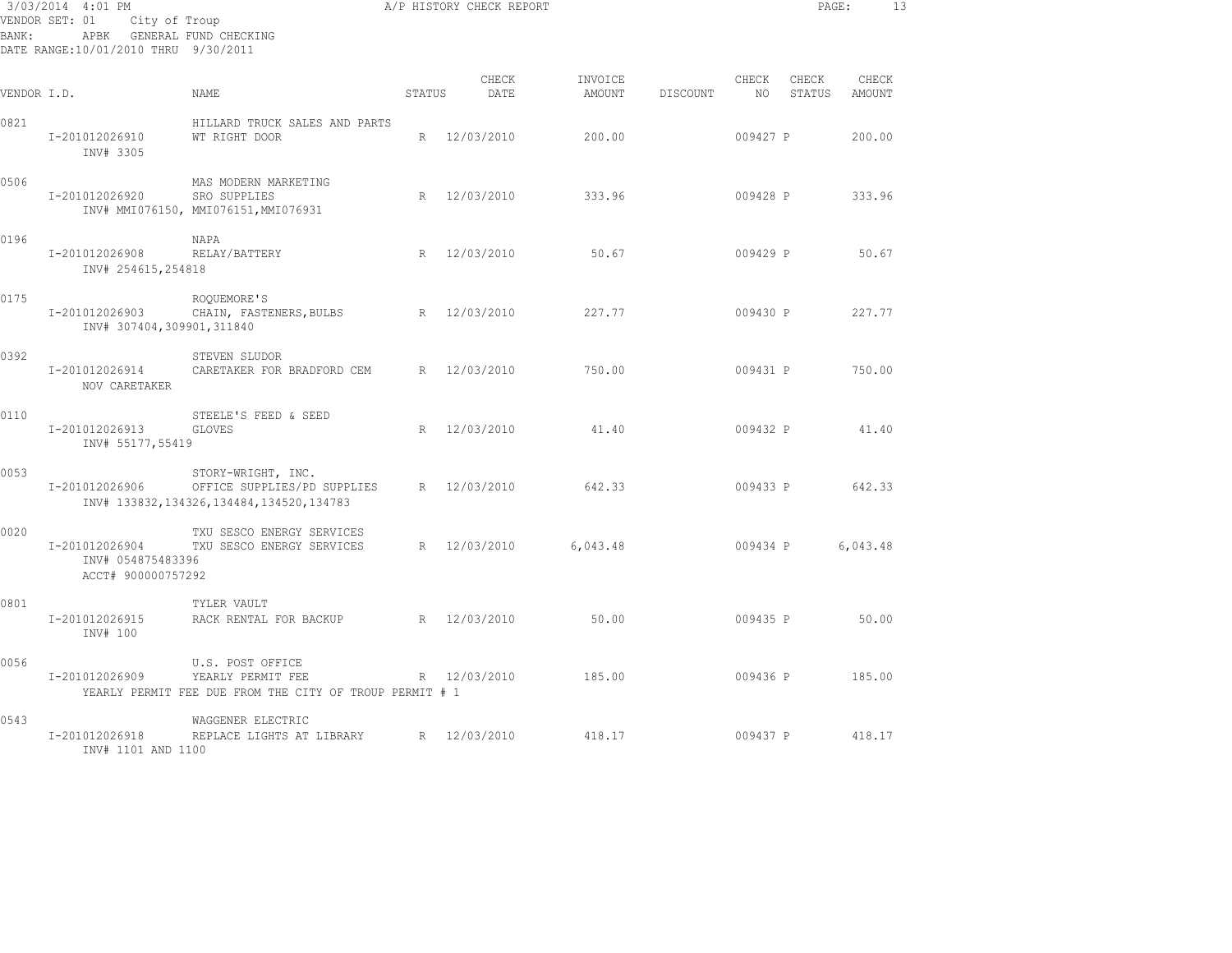| 3/03/2014 4:01 PM<br>VENDOR SET: 01<br>City of Troup<br>GENERAL FUND CHECKING<br>BANK:<br>APBK<br>DATE RANGE:10/01/2010 THRU 9/30/2011 |                                                           |                                                                                                  |                 | A/P HISTORY CHECK REPORT |                   |          |             | PAGE:           |                 | 13 |
|----------------------------------------------------------------------------------------------------------------------------------------|-----------------------------------------------------------|--------------------------------------------------------------------------------------------------|-----------------|--------------------------|-------------------|----------|-------------|-----------------|-----------------|----|
| VENDOR I.D.                                                                                                                            |                                                           | <b>NAME</b>                                                                                      | STATUS          | CHECK<br>DATE            | INVOICE<br>AMOUNT | DISCOUNT | CHECK<br>NO | CHECK<br>STATUS | CHECK<br>AMOUNT |    |
| 0821                                                                                                                                   | I-201012026910<br>INV# 3305                               | HILLARD TRUCK SALES AND PARTS<br>WT RIGHT DOOR                                                   | R               | 12/03/2010               | 200.00            |          | 009427 P    |                 | 200.00          |    |
| 0506                                                                                                                                   | I-201012026920                                            | MAS MODERN MARKETING<br>SRO SUPPLIES<br>INV# MMI076150, MMI076151, MMI076931                     | $R_{\parallel}$ | 12/03/2010               | 333.96            |          | 009428 P    |                 | 333.96          |    |
| 0196                                                                                                                                   | I-201012026908<br>INV# 254615,254818                      | NAPA<br>RELAY/BATTERY                                                                            | R               | 12/03/2010               | 50.67             |          | 009429 P    |                 | 50.67           |    |
| 0175                                                                                                                                   | I-201012026903<br>INV# 307404,309901,311840               | ROQUEMORE'S<br>CHAIN, FASTENERS, BULBS                                                           | R               | 12/03/2010               | 227.77            |          | 009430 P    |                 | 227.77          |    |
| 0392                                                                                                                                   | I-201012026914<br>NOV CARETAKER                           | STEVEN SLUDOR<br>CARETAKER FOR BRADFORD CEM                                                      | R               | 12/03/2010               | 750.00            |          | 009431 P    |                 | 750.00          |    |
| 0110                                                                                                                                   | I-201012026913<br>INV# 55177,55419                        | STEELE'S FEED & SEED<br><b>GLOVES</b>                                                            | R               | 12/03/2010               | 41.40             |          | 009432 P    |                 | 41.40           |    |
| 0053                                                                                                                                   | I-201012026906                                            | STORY-WRIGHT, INC.<br>OFFICE SUPPLIES/PD SUPPLIES<br>INV# 133832, 134326, 134484, 134520, 134783 | R               | 12/03/2010               | 642.33            |          | 009433 P    |                 | 642.33          |    |
| 0020                                                                                                                                   | I-201012026904<br>INV# 054875483396<br>ACCT# 900000757292 | TXU SESCO ENERGY SERVICES<br>TXU SESCO ENERGY SERVICES                                           | R               | 12/03/2010               | 6,043.48          |          | 009434 P    |                 | 6,043.48        |    |
| 0801                                                                                                                                   | I-201012026915<br>INV# 100                                | TYLER VAULT<br>RACK RENTAL FOR BACKUP                                                            | R               | 12/03/2010               | 50.00             |          | 009435 P    |                 | 50.00           |    |
| 0056                                                                                                                                   | I-201012026909                                            | U.S. POST OFFICE<br>YEARLY PERMIT FEE<br>YEARLY PERMIT FEE DUE FROM THE CITY OF TROUP PERMIT # 1 | $R_{\parallel}$ | 12/03/2010               | 185.00            |          | 009436 P    |                 | 185.00          |    |
| 0543                                                                                                                                   | I-201012026918<br>INV# 1101 AND 1100                      | WAGGENER ELECTRIC<br>REPLACE LIGHTS AT LIBRARY                                                   | R               | 12/03/2010               | 418.17            |          | 009437 P    |                 | 418.17          |    |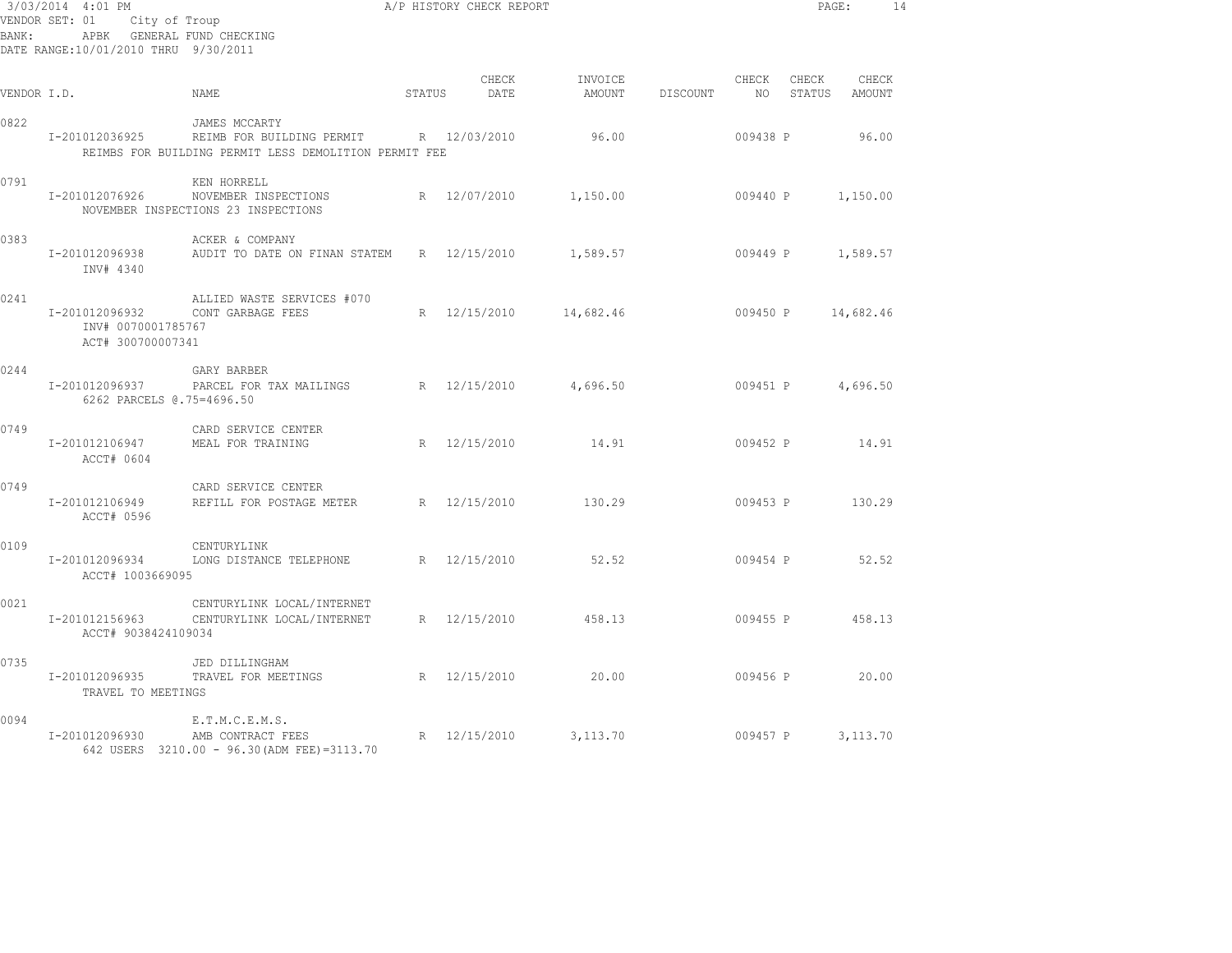| BANK:       | 3/03/2014 4:01 PM<br>VENDOR SET: 01 City of Troup<br>DATE RANGE:10/01/2010 THRU 9/30/2011 | A/P HISTORY CHECK REPORT<br>APBK GENERAL FUND CHECKING                                                           |        |                       |                                           |          |                          |                 | PAGE:                  | 14 |
|-------------|-------------------------------------------------------------------------------------------|------------------------------------------------------------------------------------------------------------------|--------|-----------------------|-------------------------------------------|----------|--------------------------|-----------------|------------------------|----|
| VENDOR I.D. |                                                                                           | NAME                                                                                                             | STATUS | CHECK<br>DATE         | INVOICE<br>AMOUNT                         | DISCOUNT | CHECK<br>NO <sub>1</sub> | CHECK           | CHECK<br>STATUS AMOUNT |    |
| 0822        | I-201012036925                                                                            | JAMES MCCARTY<br>REIMB FOR BUILDING PERMIT R 12/03/2010<br>REIMBS FOR BUILDING PERMIT LESS DEMOLITION PERMIT FEE |        |                       | 96.00                                     |          | 009438 P                 |                 | 96.00                  |    |
| 0791        | I-201012076926                                                                            | KEN HORRELL<br>NOVEMBER INSPECTIONS<br>NOVEMBER INSPECTIONS 23 INSPECTIONS                                       |        | R 12/07/2010          | 1,150.00                                  |          | 009440 P                 |                 | 1,150.00               |    |
| 0383        | I-201012096938<br>INV# 4340                                                               | ACKER & COMPANY<br>AUDIT TO DATE ON FINAN STATEM                                                                 |        | R 12/15/2010          | 1,589.57 009449 P 1,589.57                |          |                          |                 |                        |    |
| 0241        | INV# 0070001785767<br>ACT# 300700007341                                                   | ALLIED WASTE SERVICES #070<br>I-201012096932 CONT GARBAGE FEES                                                   |        |                       | R 12/15/2010 14,682.46 009450 P 14,682.46 |          |                          |                 |                        |    |
| 0244        | I-201012096937<br>6262 PARCELS 0.75=4696.50                                               | GARY BARBER<br>PARCEL FOR TAX MAILINGS R 12/15/2010                                                              |        |                       | 4,696.50                                  |          | 009451 P 4,696.50        |                 |                        |    |
| 0749        | I-201012106947<br>ACCT# 0604                                                              | CARD SERVICE CENTER<br>MEAL FOR TRAINING                                                                         |        | R 12/15/2010          | 14.91                                     |          | 009452 P                 |                 | 14.91                  |    |
| 0749        | I-201012106949<br>ACCT# 0596                                                              | CARD SERVICE CENTER<br>REFILL FOR POSTAGE METER R 12/15/2010                                                     |        |                       | 130.29                                    |          | 009453 P                 |                 | 130.29                 |    |
| 0109        | I-201012096934<br>ACCT# 1003669095                                                        | CENTURYLINK<br>LONG DISTANCE TELEPHONE                                                                           |        | R 12/15/2010          | 52.52                                     |          | 009454 P 52.52           |                 |                        |    |
| 0021        | I-201012156963<br>ACCT# 9038424109034                                                     | CENTURYLINK LOCAL/INTERNET<br>CENTURYLINK LOCAL/INTERNET                                                         |        | R 12/15/2010          | 458.13                                    |          |                          | 009455 P 458.13 |                        |    |
| 0735        | I-201012096935<br>TRAVEL TO MEETINGS                                                      | JED DILLINGHAM<br>TRAVEL FOR MEETINGS                                                                            |        | R 12/15/2010 20.00    |                                           |          | 009456 P 20.00           |                 |                        |    |
| 0094        | I-201012096930                                                                            | E.T.M.C.E.M.S.<br>AMB CONTRACT FEES<br>642 USERS 3210.00 - 96.30 (ADM FEE) = 3113.70                             |        | R 12/15/2010 3,113.70 |                                           |          | 009457 P 3,113.70        |                 |                        |    |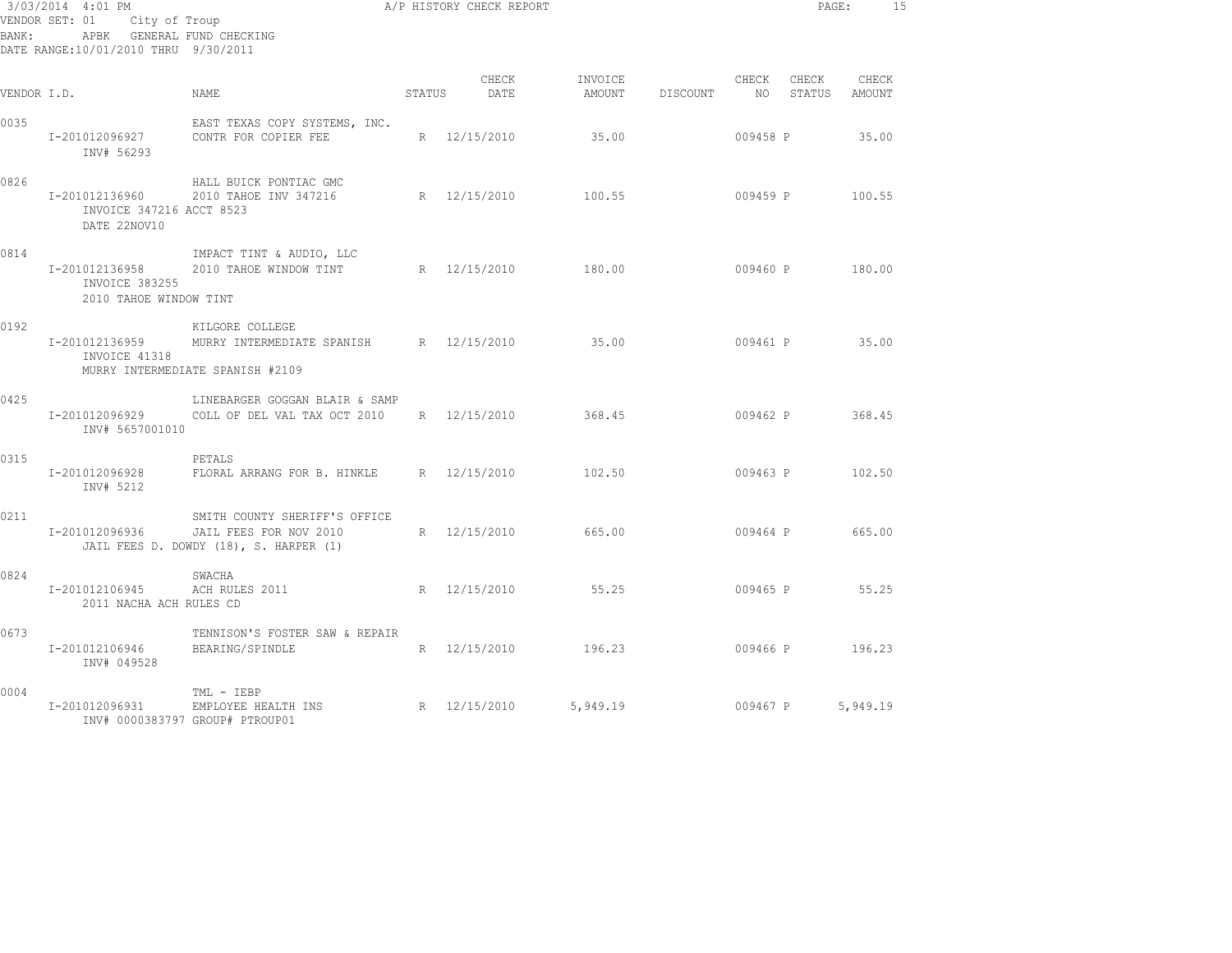| 3/03/2014 4:01 PM<br>VENDOR SET: 01 City of Troup<br>APBK GENERAL FUND CHECKING<br>BANK:<br>DATE RANGE:10/01/2010 THRU 9/30/2011 |                                                            |                                                                                                               |        | A/P HISTORY CHECK REPORT |                   |                    |          |                | PAGE:           | 15 |
|----------------------------------------------------------------------------------------------------------------------------------|------------------------------------------------------------|---------------------------------------------------------------------------------------------------------------|--------|--------------------------|-------------------|--------------------|----------|----------------|-----------------|----|
| VENDOR I.D.                                                                                                                      |                                                            | NAME                                                                                                          | STATUS | CHECK<br>DATE            | INVOICE<br>AMOUNT | DISCOUNT NO STATUS |          | CHECK CHECK    | CHECK<br>AMOUNT |    |
| 0035                                                                                                                             | I-201012096927<br>INV# 56293                               | EAST TEXAS COPY SYSTEMS, INC.<br>CONTR FOR COPIER FEE                                                         |        | R 12/15/2010             | 35.00             |                    | 009458 P |                | 35.00           |    |
| 0826                                                                                                                             | I-201012136960<br>INVOICE 347216 ACCT 8523<br>DATE 22NOV10 | HALL BUICK PONTIAC GMC<br>2010 TAHOE INV 347216                                                               |        | R 12/15/2010             | 100.55            |                    |          | 009459 P       | 100.55          |    |
| 0814                                                                                                                             | I-201012136958<br>INVOICE 383255<br>2010 TAHOE WINDOW TINT | IMPACT TINT & AUDIO, LLC<br>2010 TAHOE WINDOW TINT R 12/15/2010                                               |        |                          | 180.00            |                    |          | 009460 P       | 180.00          |    |
| 0192                                                                                                                             | INVOICE 41318                                              | KILGORE COLLEGE<br>I-201012136959 MURRY INTERMEDIATE SPANISH R 12/15/2010<br>MURRY INTERMEDIATE SPANISH #2109 |        |                          | 35.00             |                    |          | 009461 P 35.00 |                 |    |
| 0425                                                                                                                             | I-201012096929<br>INV# 5657001010                          | LINEBARGER GOGGAN BLAIR & SAMP<br>COLL OF DEL VAL TAX OCT 2010 R 12/15/2010                                   |        |                          | 368.45            |                    | 009462 P |                | 368.45          |    |
| 0315                                                                                                                             | I-201012096928<br>INV# 5212                                | PETALS<br>FLORAL ARRANG FOR B. HINKLE R 12/15/2010                                                            |        |                          | 102.50            |                    |          | 009463 P       | 102.50          |    |
| 0211                                                                                                                             | I-201012096936                                             | SMITH COUNTY SHERIFF'S OFFICE<br>JAIL FEES FOR NOV 2010<br>JAIL FEES D. DOWDY (18), S. HARPER (1)             |        | R 12/15/2010             | 665.00            |                    | 009464 P |                | 665.00          |    |
| 0824                                                                                                                             | I-201012106945<br>2011 NACHA ACH RULES CD                  | SWACHA<br>ACH RULES 2011                                                                                      |        | R 12/15/2010             | 55.25             |                    | 009465 P |                | 55.25           |    |
| 0673                                                                                                                             | I-201012106946<br>INV# 049528                              | TENNISON'S FOSTER SAW & REPAIR<br>BEARING/SPINDLE                                                             |        | R 12/15/2010             | 196.23            |                    |          | 009466 P       | 196.23          |    |
| 0004                                                                                                                             | I-201012096931                                             | TML - IEBP<br>EMPLOYEE HEALTH INS<br>INV# 0000383797 GROUP# PTROUP01                                          |        | R 12/15/2010             | 5,949.19          |                    | 009467 P |                | 5,949.19        |    |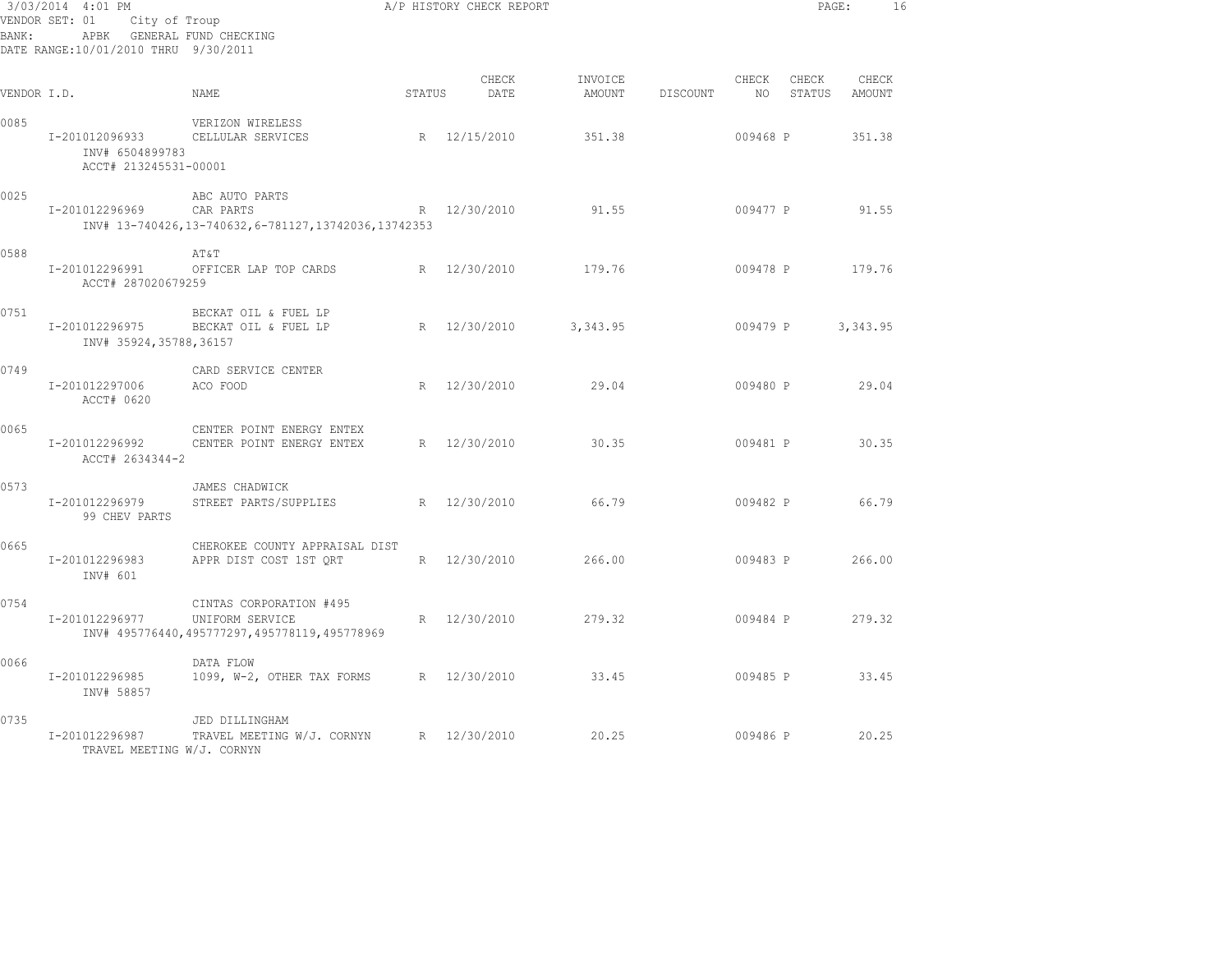| BANK :      | 3/03/2014 4:01 PM<br>VENDOR SET: 01<br>City of Troup<br>APBK GENERAL FUND CHECKING<br>DATE RANGE:10/01/2010 THRU 9/30/2011 | A/P HISTORY CHECK REPORT                                                                   |        |               |                   |          |             |                 | PAGE:<br>16     |  |
|-------------|----------------------------------------------------------------------------------------------------------------------------|--------------------------------------------------------------------------------------------|--------|---------------|-------------------|----------|-------------|-----------------|-----------------|--|
| VENDOR I.D. |                                                                                                                            | NAME                                                                                       | STATUS | CHECK<br>DATE | INVOICE<br>AMOUNT | DISCOUNT | CHECK<br>NO | CHECK<br>STATUS | CHECK<br>AMOUNT |  |
| 0085        | I-201012096933<br>INV# 6504899783<br>ACCT# 213245531-00001                                                                 | VERIZON WIRELESS<br>CELLULAR SERVICES                                                      |        | R 12/15/2010  | 351.38            |          | 009468 P    |                 | 351.38          |  |
| 0025        | I-201012296969                                                                                                             | ABC AUTO PARTS<br>CAR PARTS<br>INV# 13-740426,13-740632,6-781127,13742036,13742353         |        | R 12/30/2010  | 91.55             |          | 009477 P    |                 | 91.55           |  |
| 0588        | I-201012296991<br>ACCT# 287020679259                                                                                       | AT&T<br>OFFICER LAP TOP CARDS                                                              |        | R 12/30/2010  | 179.76            |          | 009478 P    |                 | 179.76          |  |
| 0751        | I-201012296975<br>INV# 35924,35788,36157                                                                                   | BECKAT OIL & FUEL LP<br>BECKAT OIL & FUEL LP                                               |        | R 12/30/2010  | 3, 343.95         |          | 009479 P    |                 | 3,343.95        |  |
| 0749        | I-201012297006<br>ACCT# 0620                                                                                               | CARD SERVICE CENTER<br>ACO FOOD                                                            |        | R 12/30/2010  | 29.04             |          | 009480 P    |                 | 29.04           |  |
| 0065        | I-201012296992<br>ACCT# 2634344-2                                                                                          | CENTER POINT ENERGY ENTEX<br>CENTER POINT ENERGY ENTEX                                     |        | R 12/30/2010  | 30.35             |          | 009481 P    |                 | 30.35           |  |
| 0573        | I-201012296979<br>99 CHEV PARTS                                                                                            | JAMES CHADWICK<br>STREET PARTS/SUPPLIES                                                    |        | R 12/30/2010  | 66.79             |          | 009482 P    |                 | 66.79           |  |
| 0665        | I-201012296983<br>INV# 601                                                                                                 | CHEROKEE COUNTY APPRAISAL DIST<br>APPR DIST COST 1ST ORT                                   |        | R 12/30/2010  | 266.00            |          | 009483 P    |                 | 266.00          |  |
| 0754        | I-201012296977                                                                                                             | CINTAS CORPORATION #495<br>UNIFORM SERVICE<br>INV# 495776440,495777297,495778119,495778969 | R      | 12/30/2010    | 279.32            |          | 009484 P    |                 | 279.32          |  |
| 0066        | I-201012296985<br>INV# 58857                                                                                               | DATA FLOW<br>1099, W-2, OTHER TAX FORMS                                                    |        | R 12/30/2010  | 33.45             |          | 009485 P    |                 | 33.45           |  |
| 0735        | I-201012296987<br>TRAVEL MEETING W/J. CORNYN                                                                               | JED DILLINGHAM<br>TRAVEL MEETING W/J. CORNYN                                               |        | R 12/30/2010  | 20.25             |          | 009486 P    |                 | 20.25           |  |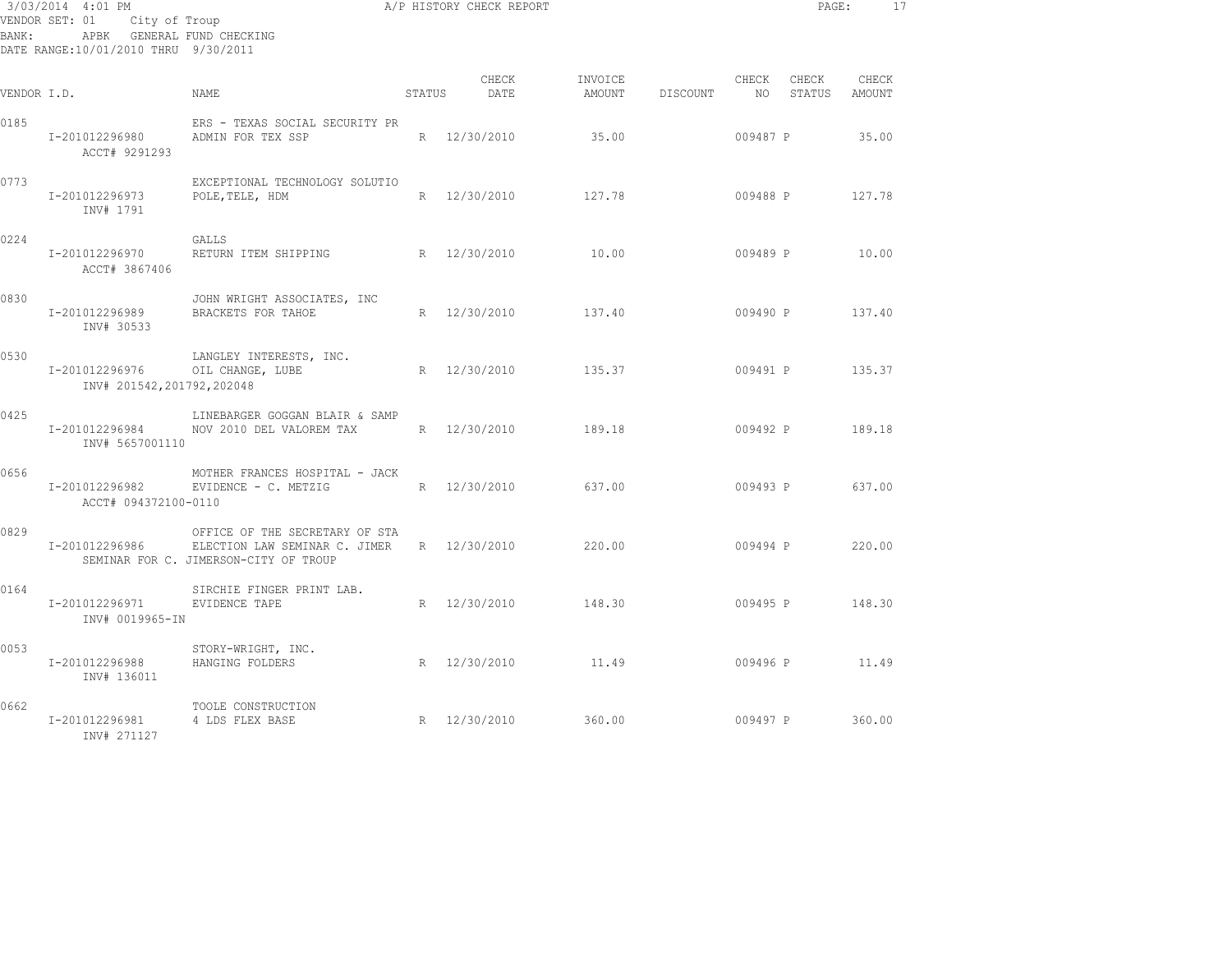| 3/03/2014 4:01 PM<br>City of Troup<br>VENDOR SET: 01<br>APBK GENERAL FUND CHECKING<br>BANK:<br>DATE RANGE:10/01/2010 THRU 9/30/2011 |                                             |                                                                                                          |        | A/P HISTORY CHECK REPORT |                   |          |                          | PAGE:           |                 | 17 |
|-------------------------------------------------------------------------------------------------------------------------------------|---------------------------------------------|----------------------------------------------------------------------------------------------------------|--------|--------------------------|-------------------|----------|--------------------------|-----------------|-----------------|----|
| VENDOR I.D.                                                                                                                         |                                             | <b>NAME</b>                                                                                              | STATUS | CHECK<br>DATE            | INVOICE<br>AMOUNT | DISCOUNT | CHECK<br>NO <sub>1</sub> | CHECK<br>STATUS | CHECK<br>AMOUNT |    |
| 0185                                                                                                                                | I-201012296980<br>ACCT# 9291293             | ERS - TEXAS SOCIAL SECURITY PR<br>ADMIN FOR TEX SSP                                                      |        | R 12/30/2010             | 35.00             |          | 009487 P                 |                 | 35.00           |    |
| 0773                                                                                                                                | I-201012296973<br>INV# 1791                 | EXCEPTIONAL TECHNOLOGY SOLUTIO<br>POLE, TELE, HDM                                                        | R      | 12/30/2010               | 127.78            |          | 009488 P                 |                 | 127.78          |    |
| 0224                                                                                                                                | I-201012296970<br>ACCT# 3867406             | GALLS<br>RETURN ITEM SHIPPING                                                                            |        | R 12/30/2010             | 10.00             |          | 009489 P                 |                 | 10.00           |    |
| 0830                                                                                                                                | I-201012296989<br>INV# 30533                | JOHN WRIGHT ASSOCIATES, INC<br>BRACKETS FOR TAHOE                                                        |        | R 12/30/2010             | 137.40            |          | 009490 P                 |                 | 137.40          |    |
| 0530                                                                                                                                | I-201012296976<br>INV# 201542,201792,202048 | LANGLEY INTERESTS, INC.<br>OIL CHANGE, LUBE                                                              |        | R 12/30/2010             | 135.37            |          | 009491 P                 |                 | 135.37          |    |
| 0425                                                                                                                                | I-201012296984<br>INV# 5657001110           | LINEBARGER GOGGAN BLAIR & SAMP<br>NOV 2010 DEL VALOREM TAX                                               |        | R 12/30/2010             | 189.18            |          | 009492 P                 |                 | 189.18          |    |
| 0656                                                                                                                                | I-201012296982<br>ACCT# 094372100-0110      | MOTHER FRANCES HOSPITAL - JACK<br>EVIDENCE - C. METZIG                                                   |        | R 12/30/2010             | 637.00            |          | 009493 P                 |                 | 637.00          |    |
| 0829                                                                                                                                | I-201012296986                              | OFFICE OF THE SECRETARY OF STA<br>ELECTION LAW SEMINAR C. JIMER<br>SEMINAR FOR C. JIMERSON-CITY OF TROUP |        | R 12/30/2010             | 220.00            |          | 009494 P                 |                 | 220.00          |    |
| 0164                                                                                                                                | I-201012296971<br>INV# 0019965-IN           | SIRCHIE FINGER PRINT LAB.<br>EVIDENCE TAPE                                                               |        | R 12/30/2010             | 148.30            |          | 009495 P                 |                 | 148.30          |    |
| 0053                                                                                                                                | I-201012296988<br>INV# 136011               | STORY-WRIGHT, INC.<br>HANGING FOLDERS                                                                    |        | R 12/30/2010             | 11.49             |          | 009496 P                 |                 | 11.49           |    |
| 0662                                                                                                                                | I-201012296981<br>INV# 271127               | TOOLE CONSTRUCTION<br>4 LDS FLEX BASE                                                                    |        | R 12/30/2010             | 360.00            |          | 009497 P                 |                 | 360.00          |    |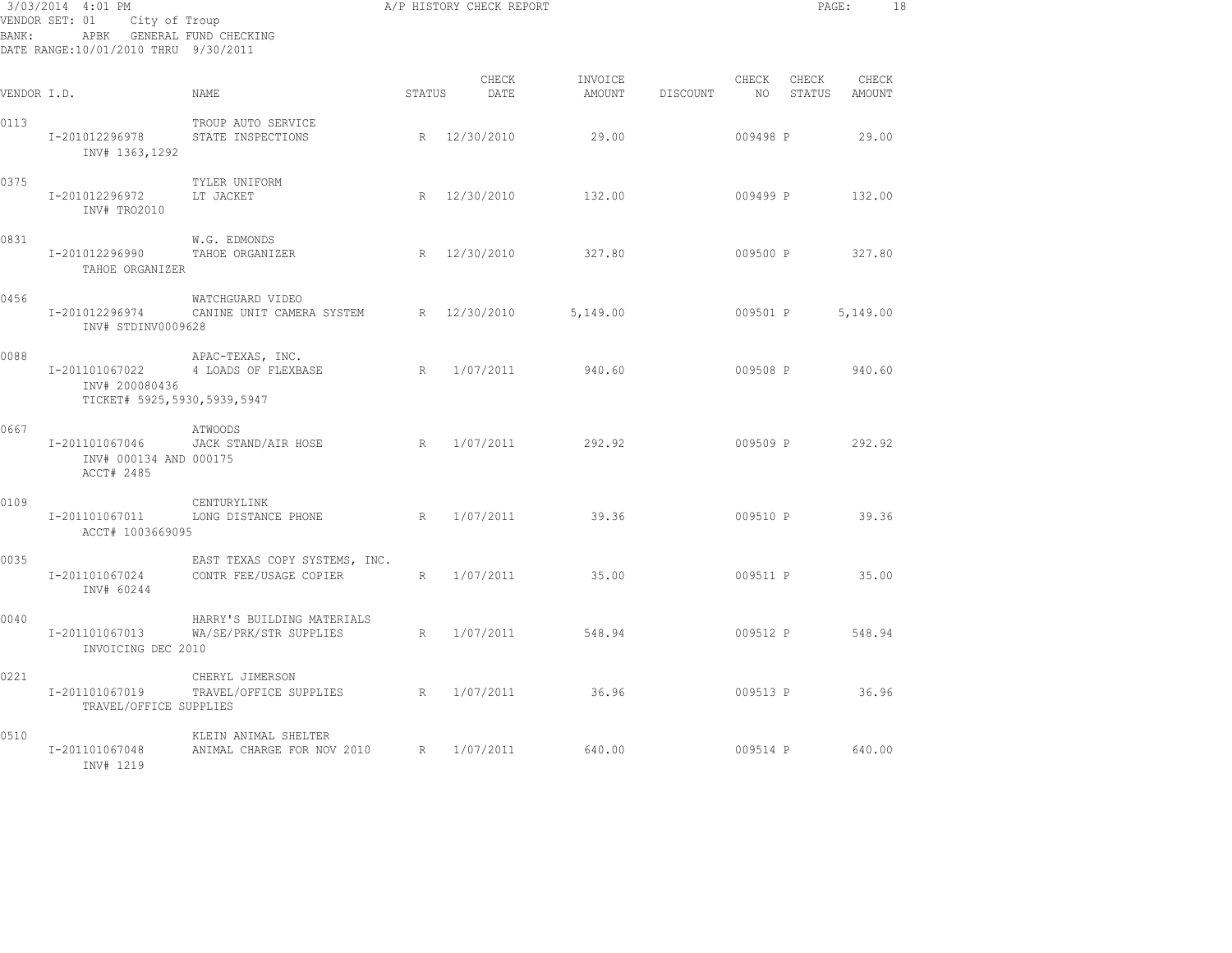| BANK:       | 3/03/2014 4:01 PM<br>VENDOR SET: 01 City of Troup<br>APBK GENERAL FUND CHECKING<br>DATE RANGE:10/01/2010 THRU 9/30/2011 | A/P HISTORY CHECK REPORT                                |               |                    |                   |          |               | PAGE:           |                 | 18 |
|-------------|-------------------------------------------------------------------------------------------------------------------------|---------------------------------------------------------|---------------|--------------------|-------------------|----------|---------------|-----------------|-----------------|----|
| VENDOR I.D. |                                                                                                                         | NAME.                                                   | <b>STATUS</b> | CHECK<br>DATE      | INVOICE<br>AMOUNT | DISCOUNT | CHECK<br>NO 1 | CHECK<br>STATUS | CHECK<br>AMOUNT |    |
| 0113        | I-201012296978<br>INV# 1363,1292                                                                                        | TROUP AUTO SERVICE<br>STATE INSPECTIONS                 |               | R 12/30/2010       | 29.00             |          | 009498 P      |                 | 29.00           |    |
| 0375        | I-201012296972<br>INV# TRO2010                                                                                          | TYLER UNIFORM<br>LT JACKET                              |               | R 12/30/2010       | 132.00            |          |               |                 | 009499 P 132.00 |    |
| 0831        | I-201012296990<br>TAHOE ORGANIZER                                                                                       | W.G. EDMONDS<br>TAHOE ORGANIZER                         |               | R 12/30/2010       | 327.80            |          | 009500 P      |                 | 327.80          |    |
| 0456        | I-201012296974<br>INV# STDINV0009628                                                                                    | WATCHGUARD VIDEO<br>CANINE UNIT CAMERA SYSTEM           |               | R 12/30/2010       | 5,149.00          |          | 009501 P      |                 | 5,149.00        |    |
| 0088        | I-201101067022<br>INV# 200080436<br>TICKET# 5925,5930,5939,5947                                                         | APAC-TEXAS, INC.<br>4 LOADS OF FLEXBASE                 | R             | 1/07/2011          | 940.60            |          | 009508 P      |                 | 940.60          |    |
| 0667        | I-201101067046<br>INV# 000134 AND 000175<br>ACCT# 2485                                                                  | ATWOODS<br>JACK STAND/AIR HOSE                          |               | R 1/07/2011 292.92 |                   |          |               |                 | 009509 P 292.92 |    |
| 0109        | I-201101067011<br>ACCT# 1003669095                                                                                      | CENTURYLINK<br>LONG DISTANCE PHONE                      | R             | 1/07/2011          | 39.36             |          | 009510 P      |                 | 39.36           |    |
| 0035        | I-201101067024<br>INV# 60244                                                                                            | EAST TEXAS COPY SYSTEMS, INC.<br>CONTR FEE/USAGE COPIER |               | R 1/07/2011        | 35.00             |          | 009511 P      |                 | 35.00           |    |
| 0040        | I-201101067013<br>INVOICING DEC 2010                                                                                    | HARRY'S BUILDING MATERIALS<br>WA/SE/PRK/STR SUPPLIES    | R             | 1/07/2011          | 548.94            |          |               | 009512 P        | 548.94          |    |
| 0221        | I-201101067019<br>TRAVEL/OFFICE SUPPLIES                                                                                | CHERYL JIMERSON<br>TRAVEL/OFFICE SUPPLIES               |               | R 1/07/2011        | 36.96             |          |               |                 | 009513 P 36.96  |    |
| 0510        | I-201101067048<br>INV# 1219                                                                                             | KLEIN ANIMAL SHELTER<br>ANIMAL CHARGE FOR NOV 2010      | R             | 1/07/2011          | 640.00            |          | 009514 P      |                 | 640.00          |    |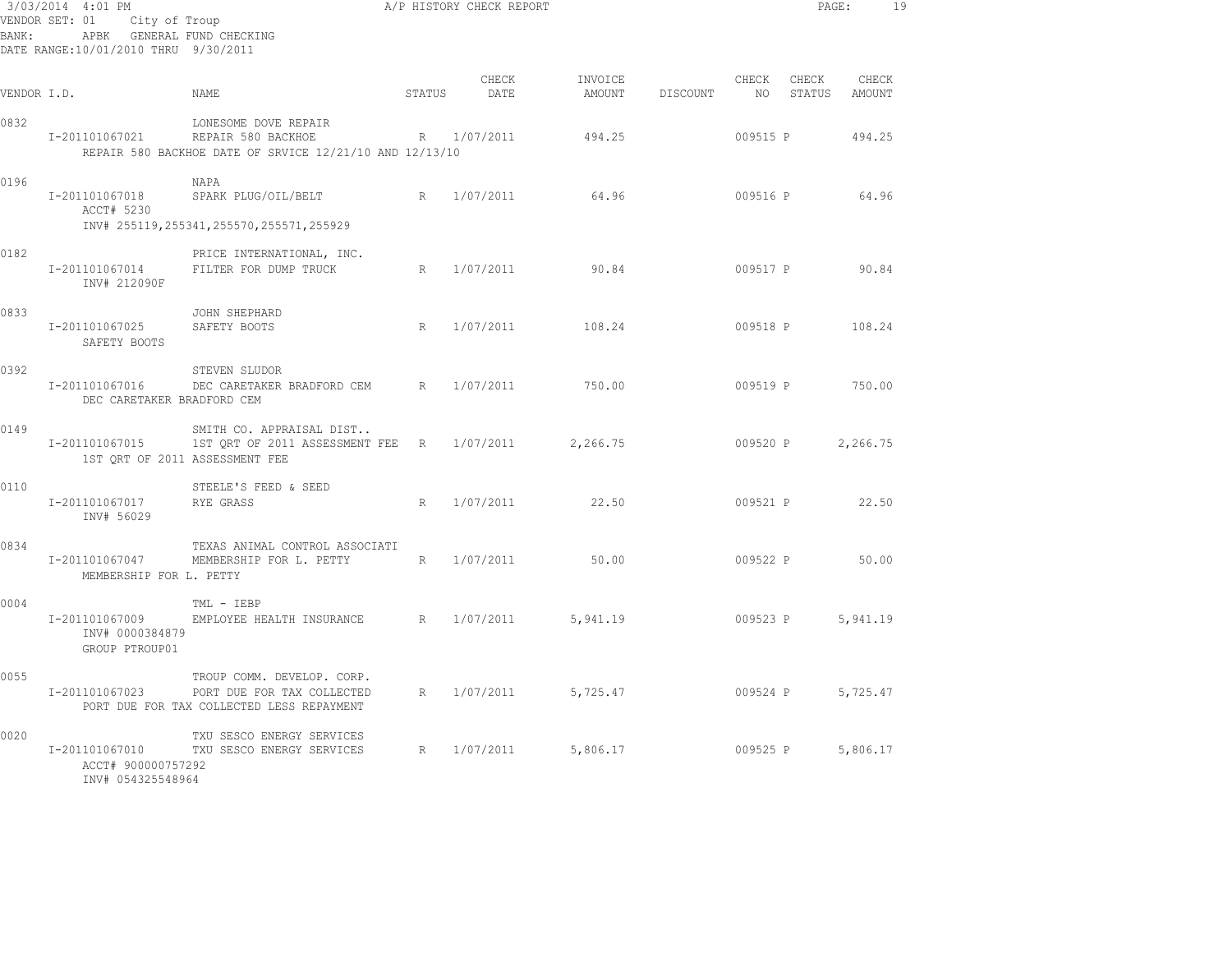| BANK:       | 3/03/2014 4:01 PM<br>VENDOR SET: 01<br>City of Troup<br>APBK GENERAL FUND CHECKING<br>DATE RANGE:10/01/2010 THRU 9/30/2011 |                                                                                                       |        | A/P HISTORY CHECK REPORT |                   |          |             | PAGE:           |                 | 19 |
|-------------|----------------------------------------------------------------------------------------------------------------------------|-------------------------------------------------------------------------------------------------------|--------|--------------------------|-------------------|----------|-------------|-----------------|-----------------|----|
| VENDOR I.D. |                                                                                                                            | NAME                                                                                                  | STATUS | CHECK<br>DATE            | INVOICE<br>AMOUNT | DISCOUNT | CHECK<br>NO | CHECK<br>STATUS | CHECK<br>AMOUNT |    |
| 0832        | I-201101067021                                                                                                             | LONESOME DOVE REPAIR<br>REPAIR 580 BACKHOE<br>REPAIR 580 BACKHOE DATE OF SRVICE 12/21/10 AND 12/13/10 |        | R 1/07/2011              | 494.25            |          | 009515 P    |                 | 494.25          |    |
| 0196        | I-201101067018<br>ACCT# 5230                                                                                               | NAPA<br>SPARK PLUG/OIL/BELT<br>INV# 255119, 255341, 255570, 255571, 255929                            | R      | 1/07/2011                | 64.96             |          | 009516 P    |                 | 64.96           |    |
| 0182        | I-201101067014<br>INV# 212090F                                                                                             | PRICE INTERNATIONAL, INC.<br>FILTER FOR DUMP TRUCK                                                    | R      | 1/07/2011                | 90.84             |          | 009517 P    |                 | 90.84           |    |
| 0833        | I-201101067025<br>SAFETY BOOTS                                                                                             | JOHN SHEPHARD<br>SAFETY BOOTS                                                                         | R      | 1/07/2011                | 108.24            |          | 009518 P    |                 | 108.24          |    |
| 0392        | I-201101067016<br>DEC CARETAKER BRADFORD CEM                                                                               | STEVEN SLUDOR<br>DEC CARETAKER BRADFORD CEM                                                           | R      | 1/07/2011                | 750.00            |          | 009519 P    |                 | 750.00          |    |
| 0149        | I-201101067015<br>1ST QRT OF 2011 ASSESSMENT FEE                                                                           | SMITH CO. APPRAISAL DIST<br>1ST QRT OF 2011 ASSESSMENT FEE R                                          |        | 1/07/2011                | 2,266.75          |          | 009520 P    |                 | 2,266.75        |    |
| 0110        | I-201101067017<br>INV# 56029                                                                                               | STEELE'S FEED & SEED<br>RYE GRASS                                                                     | R      | 1/07/2011                | 22.50             |          | 009521 P    |                 | 22.50           |    |
| 0834        | I-201101067047<br>MEMBERSHIP FOR L. PETTY                                                                                  | TEXAS ANIMAL CONTROL ASSOCIATI<br>MEMBERSHIP FOR L. PETTY                                             | R      | 1/07/2011                | 50.00             |          | 009522 P    |                 | 50.00           |    |
| 0004        | I-201101067009<br>INV# 0000384879<br>GROUP PTROUP01                                                                        | TML - IEBP<br>EMPLOYEE HEALTH INSURANCE                                                               | R      | 1/07/2011                | 5,941.19          |          | 009523 P    |                 | 5,941.19        |    |
| 0055        | I-201101067023                                                                                                             | TROUP COMM. DEVELOP. CORP.<br>PORT DUE FOR TAX COLLECTED<br>PORT DUE FOR TAX COLLECTED LESS REPAYMENT | R      | 1/07/2011                | 5,725.47          |          | 009524 P    |                 | 5,725.47        |    |
| 0020        | I-201101067010<br>ACCT# 900000757292<br>INV# 054325548964                                                                  | TXU SESCO ENERGY SERVICES<br>TXU SESCO ENERGY SERVICES                                                | R      | 1/07/2011                | 5,806.17          |          | 009525 P    |                 | 5,806.17        |    |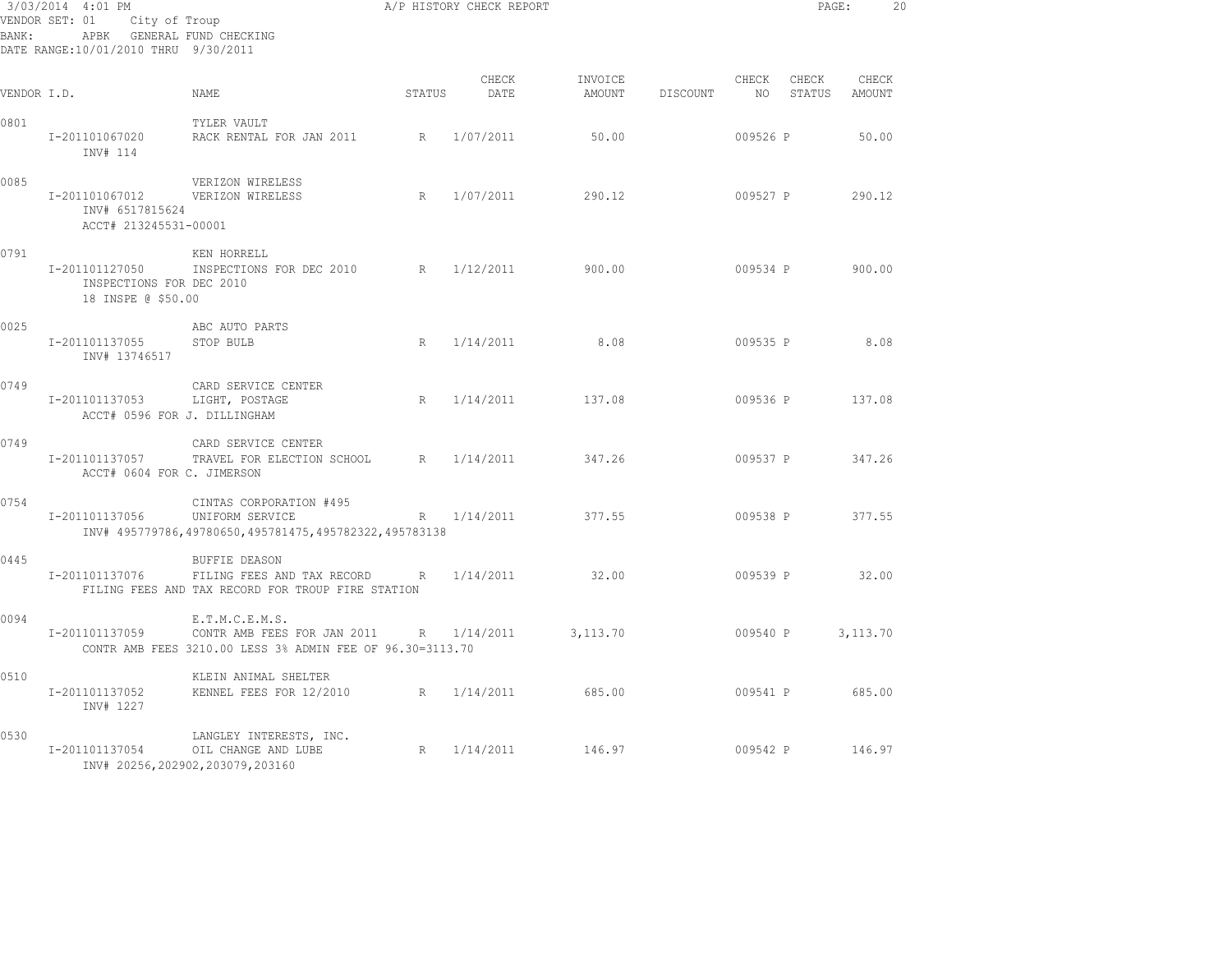| BANK:       | 3/03/2014 4:01 PM<br>VENDOR SET: 01<br>City of Troup<br>APBK GENERAL FUND CHECKING<br>DATE RANGE:10/01/2010 THRU 9/30/2011 |                                                                                                              |        | A/P HISTORY CHECK REPORT |                   |          |             | PAGE:           |                 | 20 |
|-------------|----------------------------------------------------------------------------------------------------------------------------|--------------------------------------------------------------------------------------------------------------|--------|--------------------------|-------------------|----------|-------------|-----------------|-----------------|----|
| VENDOR I.D. |                                                                                                                            | NAME                                                                                                         | STATUS | CHECK<br>DATE            | INVOICE<br>AMOUNT | DISCOUNT | CHECK<br>NO | CHECK<br>STATUS | CHECK<br>AMOUNT |    |
| 0801        | I-201101067020<br>INV# 114                                                                                                 | TYLER VAULT<br>RACK RENTAL FOR JAN 2011                                                                      | R      | 1/07/2011                | 50.00             |          | 009526 P    |                 | 50.00           |    |
| 0085        | I-201101067012<br>INV# 6517815624<br>ACCT# 213245531-00001                                                                 | VERIZON WIRELESS<br>VERIZON WIRELESS                                                                         | R      | 1/07/2011                | 290.12            |          | 009527 P    |                 | 290.12          |    |
| 0791        | I-201101127050<br>INSPECTIONS FOR DEC 2010<br>18 INSPE @ \$50.00                                                           | KEN HORRELL<br>INSPECTIONS FOR DEC 2010                                                                      |        | R 1/12/2011              | 900.00            |          | 009534 P    |                 | 900.00          |    |
| 0025        | I-201101137055<br>INV# 13746517                                                                                            | ABC AUTO PARTS<br>STOP BULB                                                                                  | R      | 1/14/2011                | 8.08              |          | 009535 P    |                 | 8.08            |    |
| 0749        | I-201101137053<br>ACCT# 0596 FOR J. DILLINGHAM                                                                             | CARD SERVICE CENTER<br>LIGHT, POSTAGE                                                                        | R      | 1/14/2011                | 137.08            |          | 009536 P    |                 | 137.08          |    |
| 0749        | I-201101137057<br>ACCT# 0604 FOR C. JIMERSON                                                                               | CARD SERVICE CENTER<br>TRAVEL FOR ELECTION SCHOOL                                                            | R      | 1/14/2011                | 347.26            |          | 009537 P    |                 | 347.26          |    |
| 0754        | I-201101137056                                                                                                             | CINTAS CORPORATION #495<br>UNIFORM SERVICE<br>INV# 495779786,49780650,495781475,495782322,495783138          | R      | 1/14/2011                | 377.55            |          | 009538 P    |                 | 377.55          |    |
| 0445        | I-201101137076                                                                                                             | <b>BUFFIE DEASON</b><br>FILING FEES AND TAX RECORD<br>FILING FEES AND TAX RECORD FOR TROUP FIRE STATION      | R      | 1/14/2011                | 32.00             |          | 009539 P    |                 | 32.00           |    |
| 0094        | I-201101137059                                                                                                             | E.T.M.C.E.M.S.<br>CONTR AMB FEES FOR JAN 2011 R<br>CONTR AMB FEES 3210.00 LESS 3% ADMIN FEE OF 96.30=3113.70 |        | 1/14/2011                | 3,113.70          |          | 009540 P    |                 | 3,113.70        |    |
| 0510        | I-201101137052<br>INV# 1227                                                                                                | KLEIN ANIMAL SHELTER<br>KENNEL FEES FOR 12/2010                                                              | R      | 1/14/2011                | 685.00            |          | 009541 P    |                 | 685.00          |    |
| 0530        | I-201101137054                                                                                                             | LANGLEY INTERESTS, INC.<br>OIL CHANGE AND LUBE<br>INV# 20256,202902,203079,203160                            | R      | 1/14/2011                | 146.97            |          | 009542 P    |                 | 146.97          |    |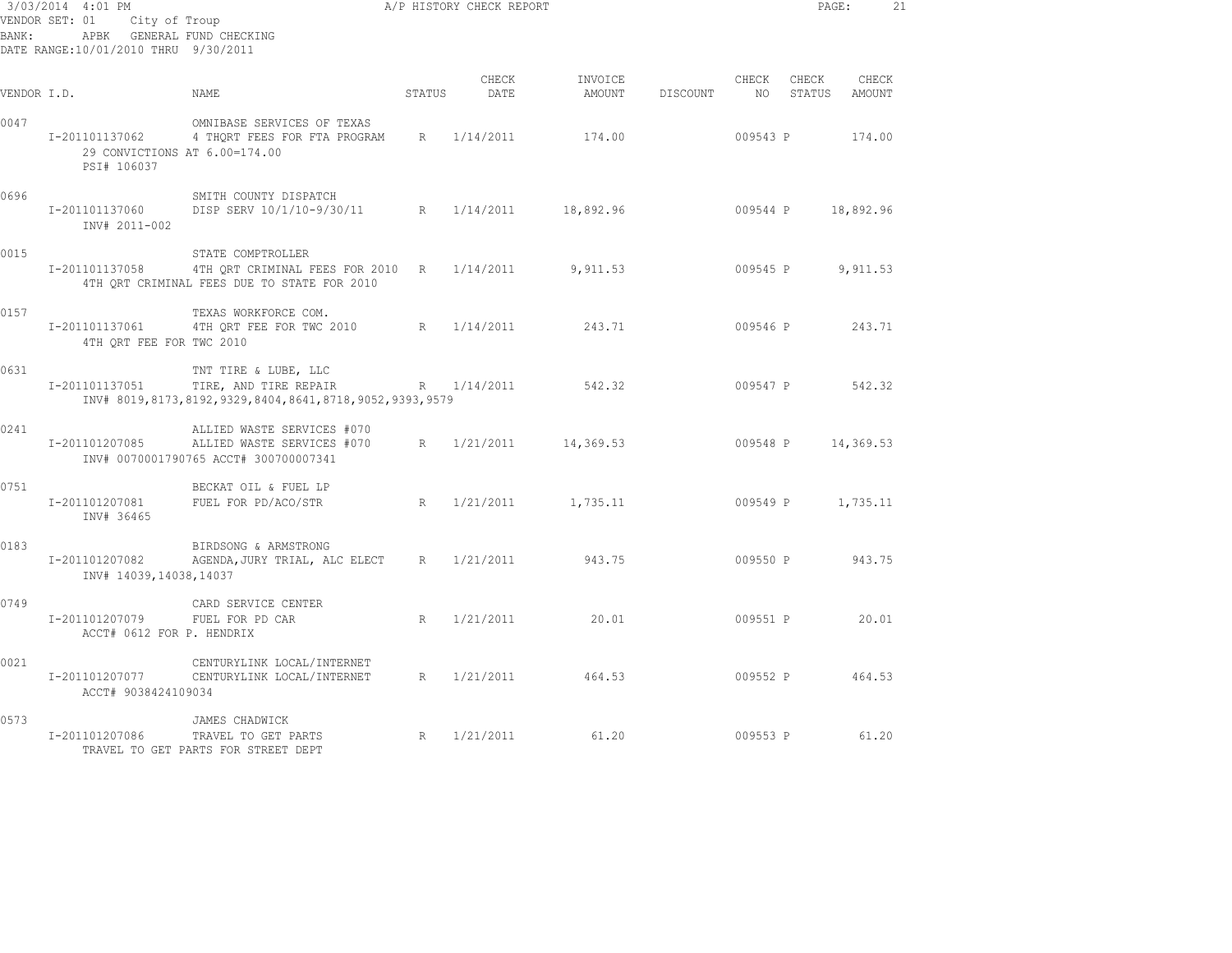| BANK:       | 3/03/2014 4:01 PM<br>VENDOR SET: 01<br>APBK GENERAL FUND CHECKING<br>DATE RANGE:10/01/2010 THRU 9/30/2011 | City of Troup                                                                                                           |             | A/P HISTORY CHECK REPORT |                   |          |                          | PAGE:              |                 | 21 |
|-------------|-----------------------------------------------------------------------------------------------------------|-------------------------------------------------------------------------------------------------------------------------|-------------|--------------------------|-------------------|----------|--------------------------|--------------------|-----------------|----|
| VENDOR I.D. |                                                                                                           | NAME                                                                                                                    | STATUS      | CHECK<br>DATE            | INVOICE<br>AMOUNT | DISCOUNT | CHECK<br>NO <sub>1</sub> | CHECK<br>STATUS    | CHECK<br>AMOUNT |    |
| 0047        | I-201101137062<br>PSI# 106037                                                                             | OMNIBASE SERVICES OF TEXAS<br>4 THORT FEES FOR FTA PROGRAM R 1/14/2011<br>29 CONVICTIONS AT 6.00=174.00                 |             |                          | 174.00            |          | 009543 P                 |                    | 174.00          |    |
| 0696        | I-201101137060<br>INV# 2011-002                                                                           | SMITH COUNTY DISPATCH<br>DISP SERV 10/1/10-9/30/11 R 1/14/2011                                                          |             |                          | 18,892.96         |          |                          | 009544 P 18,892.96 |                 |    |
| 0015        | I-201101137058                                                                                            | STATE COMPTROLLER<br>4TH ORT CRIMINAL FEES FOR 2010 R 1/14/2011 9,911.53<br>4TH ORT CRIMINAL FEES DUE TO STATE FOR 2010 |             |                          |                   |          | 009545 P                 |                    | 9,911.53        |    |
| 0157        | I-201101137061<br>4TH QRT FEE FOR TWC 2010                                                                | TEXAS WORKFORCE COM.<br>4TH ORT FEE FOR TWC 2010 R 1/14/2011                                                            |             |                          | 243.71            |          | 009546 P                 |                    | 243.71          |    |
| 0631        | I-201101137051                                                                                            | TNT TIRE & LUBE, LLC<br>TIRE, AND TIRE REPAIR<br>INV# 8019, 8173, 8192, 9329, 8404, 8641, 8718, 9052, 9393, 9579        |             | R 1/14/2011              | 542.32            |          | 009547 P                 |                    | 542.32          |    |
| 0241        | I-201101207085                                                                                            | ALLIED WASTE SERVICES #070<br>ALLIED WASTE SERVICES #070<br>INV# 0070001790765 ACCT# 300700007341                       | $R_{\odot}$ | 1/21/2011                | 14,369.53         |          | 009548 P                 |                    | 14,369.53       |    |
| 0751        | I-201101207081<br>INV# 36465                                                                              | BECKAT OIL & FUEL LP<br>FUEL FOR PD/ACO/STR                                                                             | $R_{\perp}$ | 1/21/2011                | 1,735.11          |          | 009549 P                 |                    | 1,735.11        |    |
| 0183        | I-201101207082<br>INV# 14039,14038,14037                                                                  | BIRDSONG & ARMSTRONG<br>AGENDA, JURY TRIAL, ALC ELECT R 1/21/2011                                                       |             |                          | 943.75            |          | 009550 P                 |                    | 943.75          |    |
| 0749        | I-201101207079<br>ACCT# 0612 FOR P. HENDRIX                                                               | CARD SERVICE CENTER<br>FUEL FOR PD CAR                                                                                  | R           | 1/21/2011                | 20.01             |          | 009551 P                 |                    | 20.01           |    |
| 0021        | I-201101207077<br>ACCT# 9038424109034                                                                     | CENTURYLINK LOCAL/INTERNET<br>CENTURYLINK LOCAL/INTERNET                                                                | R           | 1/21/2011                | 464.53            |          | 009552 P                 |                    | 464.53          |    |
| 0573        | I-201101207086                                                                                            | JAMES CHADWICK<br>R<br>TRAVEL TO GET PARTS<br>TRAVEL TO GET PARTS FOR STREET DEPT                                       |             | 1/21/2011                | 61.20             |          | 009553 P                 |                    | 61.20           |    |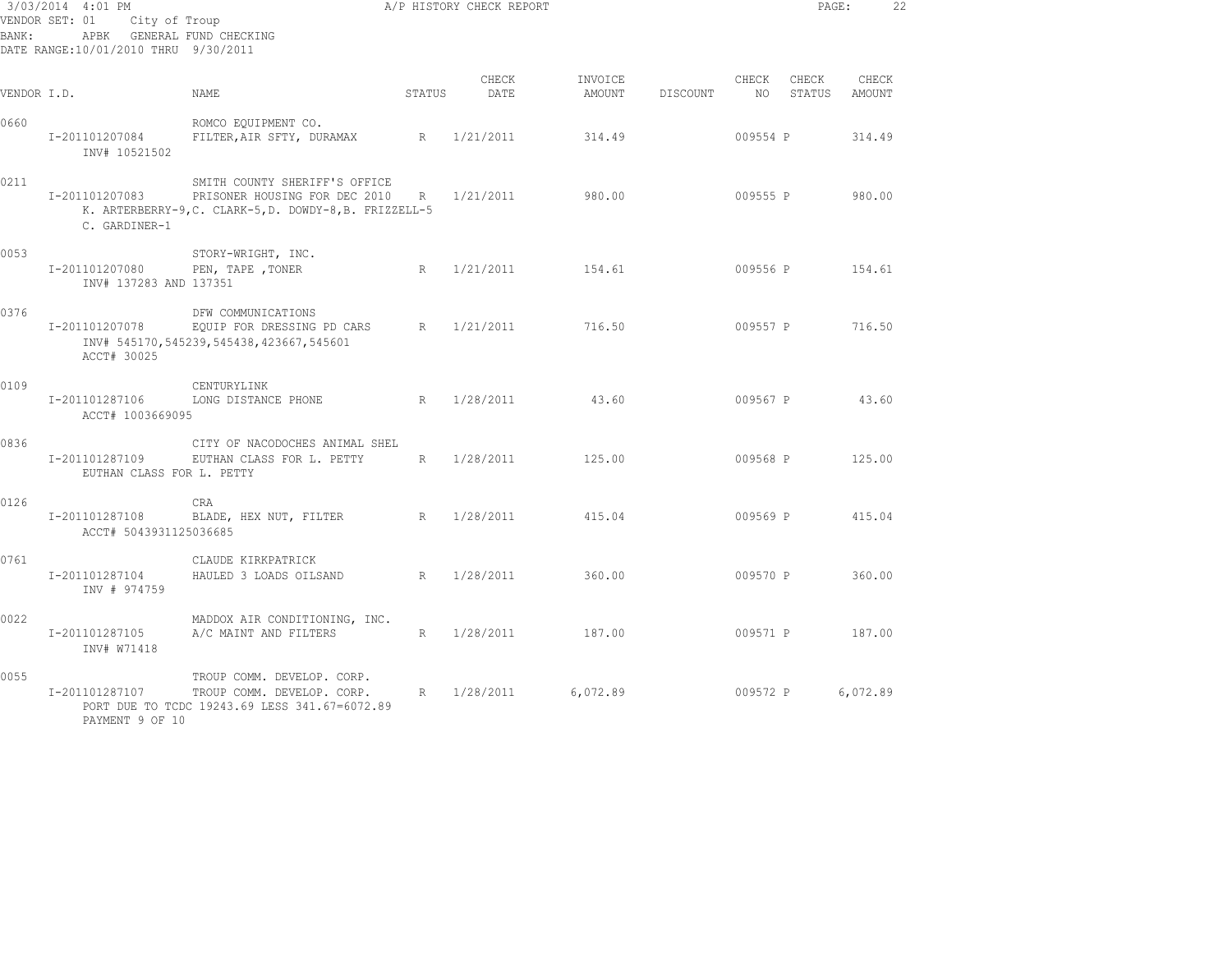| BANK:       | 3/03/2014 4:01 PM<br>VENDOR SET: 01<br>City of Troup<br>APBK GENERAL FUND CHECKING<br>DATE RANGE:10/01/2010 THRU 9/30/2011 |                                                                                                                          |        | A/P HISTORY CHECK REPORT |                   |          |             | PAGE:           | 22              |  |
|-------------|----------------------------------------------------------------------------------------------------------------------------|--------------------------------------------------------------------------------------------------------------------------|--------|--------------------------|-------------------|----------|-------------|-----------------|-----------------|--|
| VENDOR I.D. |                                                                                                                            | NAME                                                                                                                     | STATUS | CHECK<br>DATE            | INVOICE<br>AMOUNT | DISCOUNT | CHECK<br>NO | CHECK<br>STATUS | CHECK<br>AMOUNT |  |
| 0660        | I-201101207084<br>INV# 10521502                                                                                            | ROMCO EQUIPMENT CO.<br>FILTER, AIR SFTY, DURAMAX                                                                         | R      | 1/21/2011                | 314.49            |          | 009554 P    |                 | 314.49          |  |
| 0211        | I-201101207083<br>C. GARDINER-1                                                                                            | SMITH COUNTY SHERIFF'S OFFICE<br>PRISONER HOUSING FOR DEC 2010<br>K. ARTERBERRY-9, C. CLARK-5, D. DOWDY-8, B. FRIZZELL-5 | R      | 1/21/2011                | 980.00            |          | 009555 P    |                 | 980.00          |  |
| 0053        | I-201101207080<br>INV# 137283 AND 137351                                                                                   | STORY-WRIGHT, INC.<br>PEN, TAPE , TONER                                                                                  | R      | 1/21/2011                | 154.61            |          | 009556 P    |                 | 154.61          |  |
| 0376        | I-201101207078<br>ACCT# 30025                                                                                              | DFW COMMUNICATIONS<br>EQUIP FOR DRESSING PD CARS<br>INV# 545170, 545239, 545438, 423667, 545601                          | R      | 1/21/2011                | 716.50            |          | 009557 P    |                 | 716.50          |  |
| 0109        | I-201101287106<br>ACCT# 1003669095                                                                                         | CENTURYLINK<br>LONG DISTANCE PHONE                                                                                       |        | R 1/28/2011              | 43.60             |          | 009567 P    |                 | 43.60           |  |
| 0836        | I-201101287109<br>EUTHAN CLASS FOR L. PETTY                                                                                | CITY OF NACODOCHES ANIMAL SHEL<br>EUTHAN CLASS FOR L. PETTY                                                              | R      | 1/28/2011                | 125.00            |          | 009568 P    |                 | 125.00          |  |
| 0126        | I-201101287108<br>ACCT# 5043931125036685                                                                                   | <b>CRA</b><br>BLADE, HEX NUT, FILTER                                                                                     | R      | 1/28/2011                | 415.04            |          | 009569 P    |                 | 415.04          |  |
| 0761        | I-201101287104<br>INV # 974759                                                                                             | CLAUDE KIRKPATRICK<br>HAULED 3 LOADS OILSAND                                                                             | R      | 1/28/2011                | 360.00            |          | 009570 P    |                 | 360.00          |  |
| 0022        | I-201101287105<br>INV# W71418                                                                                              | MADDOX AIR CONDITIONING, INC.<br>A/C MAINT AND FILTERS                                                                   | R      | 1/28/2011                | 187.00            |          | 009571 P    |                 | 187.00          |  |
| 0055        | I-201101287107<br>PAYMENT 9 OF 10                                                                                          | TROUP COMM. DEVELOP. CORP.<br>TROUP COMM. DEVELOP. CORP.<br>PORT DUE TO TCDC 19243.69 LESS 341.67=6072.89                | R      | 1/28/2011                | 6,072.89          |          | 009572 P    |                 | 6,072.89        |  |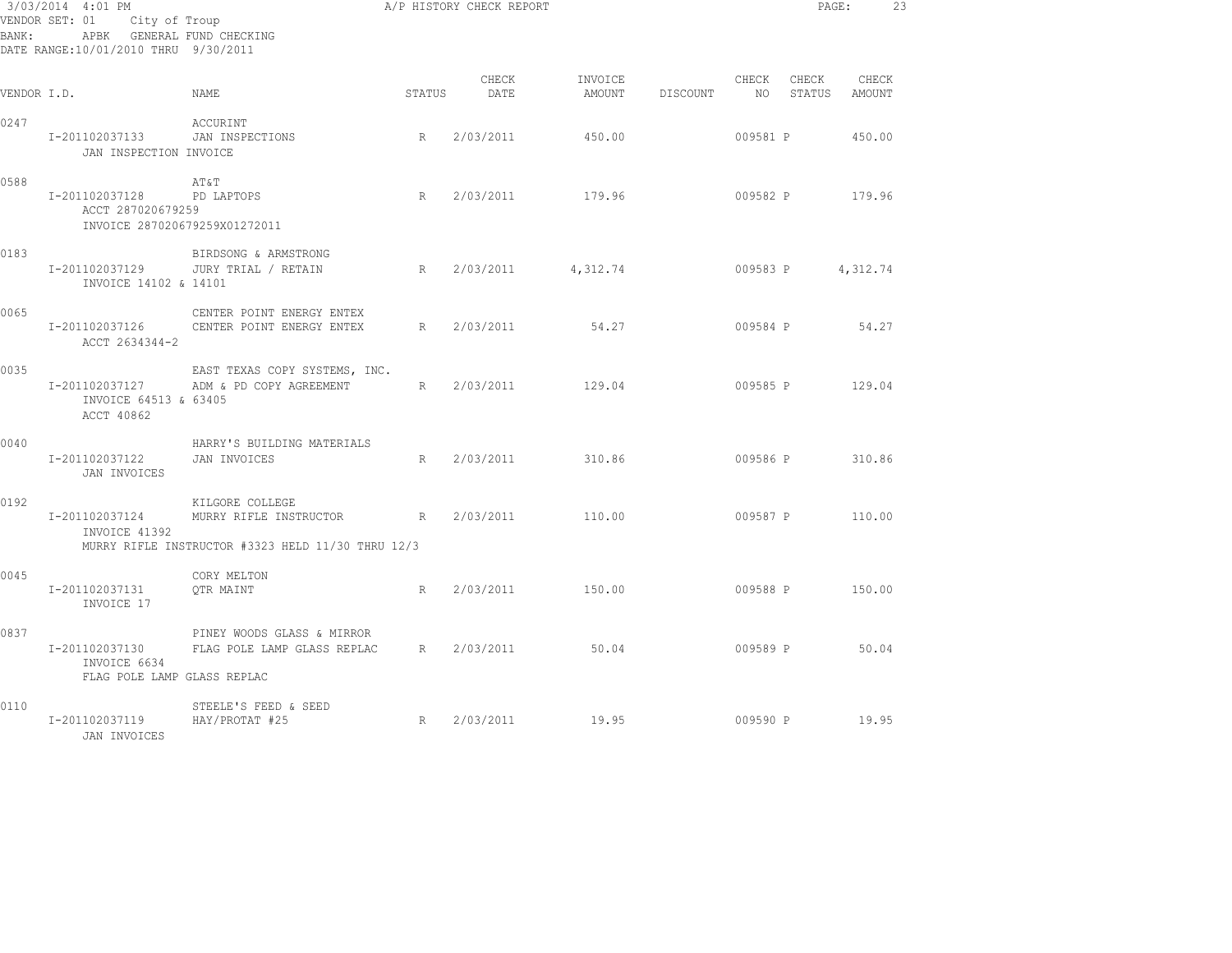|             | 3/03/2014 4:01 PM                                                               | A/P HISTORY CHECK REPORT                                                                                        |        |               |                                      |          |          |       | PAGE:                     | 23 |
|-------------|---------------------------------------------------------------------------------|-----------------------------------------------------------------------------------------------------------------|--------|---------------|--------------------------------------|----------|----------|-------|---------------------------|----|
|             | VENDOR SET: 01 City of Troup                                                    |                                                                                                                 |        |               |                                      |          |          |       |                           |    |
| BANK:       | APBK GENERAL FUND CHECKING                                                      |                                                                                                                 |        |               |                                      |          |          |       |                           |    |
|             | DATE RANGE:10/01/2010 THRU 9/30/2011                                            |                                                                                                                 |        |               |                                      |          |          |       |                           |    |
| VENDOR I.D. |                                                                                 | NAME                                                                                                            | STATUS | CHECK<br>DATE | INVOICE<br>AMOUNT                    | DISCOUNT | CHECK    | CHECK | CHECK<br>NO STATUS AMOUNT |    |
| 0247        | I-201102037133<br>JAN INSPECTION INVOICE                                        | ACCURINT<br>JAN INSPECTIONS                                                                                     | R      | 2/03/2011     | 450.00                               |          | 009581 P |       | 450.00                    |    |
| 0588        | I-201102037128 PD LAPTOPS<br>ACCT 287020679259<br>INVOICE 287020679259X01272011 | AT&T                                                                                                            | R      |               | 2/03/2011 179.96                     |          |          |       | 009582 P 179.96           |    |
| 0183        | I-201102037129<br>INVOICE 14102 & 14101                                         | BIRDSONG & ARMSTRONG<br>JURY TRIAL / RETAIN                                                                     | R      |               | 2/03/2011 4,312.74 009583 P 4,312.74 |          |          |       |                           |    |
| 0065        | I-201102037126<br>ACCT 2634344-2                                                | CENTER POINT ENERGY ENTEX<br>CENTER POINT ENERGY ENTEX                                                          |        |               | R 2/03/2011 54.27                    |          |          |       | 009584 P 54.27            |    |
| 0035        | I-201102037127<br>INVOICE 64513 & 63405<br>ACCT 40862                           | EAST TEXAS COPY SYSTEMS, INC.<br>ADM & PD COPY AGREEMENT                                                        |        |               | R 2/03/2011 129.04                   |          |          |       | 009585 P 129.04           |    |
| 0040        | I-201102037122 JAN INVOICES<br>JAN INVOICES                                     | HARRY'S BUILDING MATERIALS                                                                                      | R      | 2/03/2011     | 310.86                               |          |          |       | 009586 P 310.86           |    |
| 0192        | INVOICE 41392                                                                   | KILGORE COLLEGE<br>I-201102037124 MURRY RIFLE INSTRUCTOR R<br>MURRY RIFLE INSTRUCTOR #3323 HELD 11/30 THRU 12/3 |        | 2/03/2011     | 110.00                               |          | 009587 P |       | 110.00                    |    |
| 0045        | I-201102037131<br>INVOICE 17                                                    | CORY MELTON<br>OTR MAINT                                                                                        | R      | 2/03/2011     | 150.00                               |          |          |       | 009588 P 150.00           |    |
| 0837        | I-201102037130<br>INVOICE 6634<br>FLAG POLE LAMP GLASS REPLAC                   | PINEY WOODS GLASS & MIRROR<br>FLAG POLE LAMP GLASS REPLAC R 2/03/2011 50.04                                     |        |               |                                      |          |          |       | 009589 P 50.04            |    |
| 0110        | I-201102037119<br>JAN INVOICES                                                  | STEELE'S FEED & SEED<br>HAY/PROTAT #25                                                                          | R      |               | 2/03/2011 19.95                      |          |          |       | 009590 P 19.95            |    |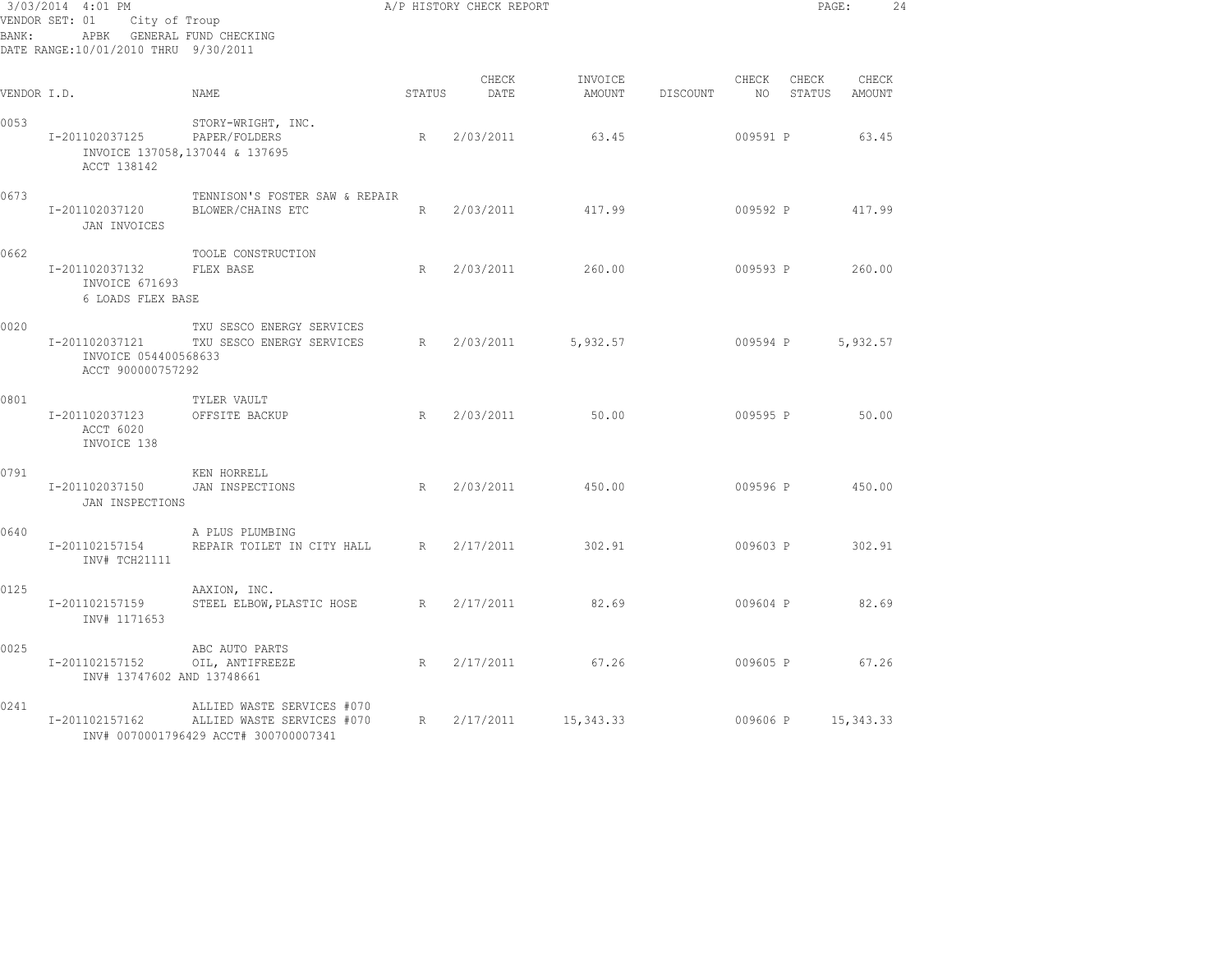| 3/03/2014 4:01 PM<br>VENDOR SET: 01<br>City of Troup<br>APBK GENERAL FUND CHECKING<br>BANK:<br>DATE RANGE:10/01/2010 THRU 9/30/2011 |                                                             |                                                                                                   |             | A/P HISTORY CHECK REPORT |                   |          |             |                 | PAGE:           | 24 |
|-------------------------------------------------------------------------------------------------------------------------------------|-------------------------------------------------------------|---------------------------------------------------------------------------------------------------|-------------|--------------------------|-------------------|----------|-------------|-----------------|-----------------|----|
| VENDOR I.D.                                                                                                                         |                                                             | NAME                                                                                              | STATUS      | CHECK<br>DATE            | INVOICE<br>AMOUNT | DISCOUNT | CHECK<br>NO | CHECK<br>STATUS | CHECK<br>AMOUNT |    |
| 0053                                                                                                                                | I-201102037125<br>ACCT 138142                               | STORY-WRIGHT, INC.<br>PAPER/FOLDERS<br>INVOICE 137058,137044 & 137695                             | R           | 2/03/2011                | 63.45             |          | 009591 P    |                 | 63.45           |    |
| 0673                                                                                                                                | I-201102037120<br>JAN INVOICES                              | TENNISON'S FOSTER SAW & REPAIR<br>BLOWER/CHAINS ETC                                               | R           | 2/03/2011                | 417.99            |          | 009592 P    |                 | 417.99          |    |
| 0662                                                                                                                                | I-201102037132<br>INVOICE 671693<br>6 LOADS FLEX BASE       | TOOLE CONSTRUCTION<br>FLEX BASE                                                                   | R           | 2/03/2011                | 260.00            |          |             | 009593 P 260.00 |                 |    |
| 0020                                                                                                                                | I-201102037121<br>INVOICE 054400568633<br>ACCT 900000757292 | TXU SESCO ENERGY SERVICES<br>TXU SESCO ENERGY SERVICES                                            |             | R 2/03/2011              | 5,932.57          |          | 009594 P    |                 | 5,932.57        |    |
| 0801                                                                                                                                | I-201102037123<br>ACCT 6020<br>INVOICE 138                  | TYLER VAULT<br>OFFSITE BACKUP                                                                     | $R_{\odot}$ | 2/03/2011                | 50.00             |          | 009595 P    |                 | 50.00           |    |
| 0791                                                                                                                                | I-201102037150<br>JAN INSPECTIONS                           | KEN HORRELL<br>JAN INSPECTIONS                                                                    | R           | 2/03/2011                | 450.00            |          |             | 009596 P 450.00 |                 |    |
| 0640                                                                                                                                | I-201102157154<br>INV# TCH21111                             | A PLUS PLUMBING<br>REPAIR TOILET IN CITY HALL R                                                   |             | 2/17/2011                | 302.91            |          | 009603 P    |                 | 302.91          |    |
| 0125                                                                                                                                | I-201102157159<br>INV# 1171653                              | AAXION, INC.<br>STEEL ELBOW, PLASTIC HOSE                                                         |             | R 2/17/2011              | 82.69             |          | 009604 P    |                 | 82.69           |    |
| 0025                                                                                                                                | I-201102157152<br>INV# 13747602 AND 13748661                | ABC AUTO PARTS<br>OIL, ANTIFREEZE                                                                 | R           | 2/17/2011                | 67.26             |          | 009605 P    |                 | 67.26           |    |
| 0241                                                                                                                                | I-201102157162                                              | ALLIED WASTE SERVICES #070<br>ALLIED WASTE SERVICES #070<br>INV# 0070001796429 ACCT# 300700007341 | R           | 2/17/2011                | 15,343.33         |          | 009606 P    |                 | 15, 343.33      |    |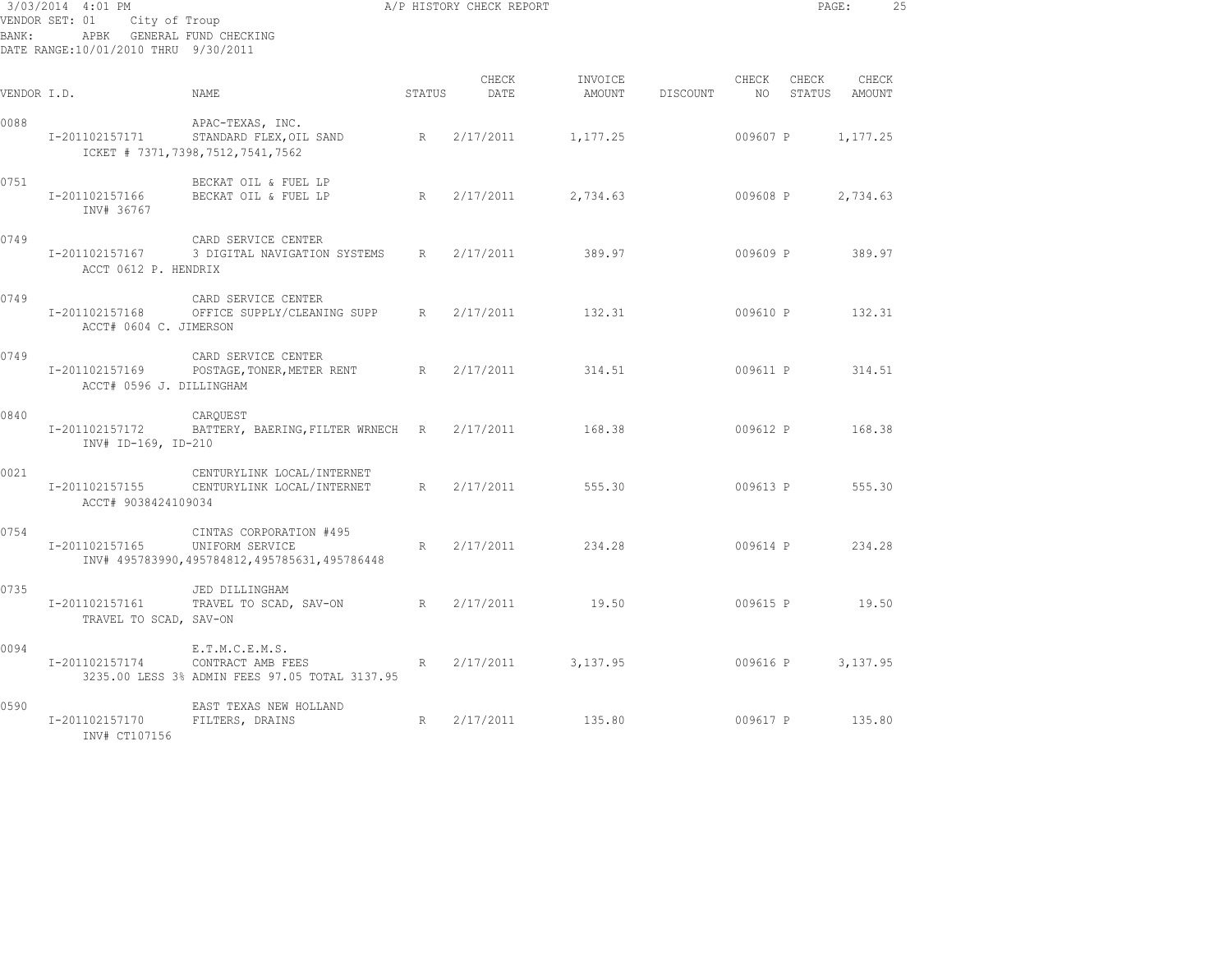| 3/03/2014 4:01 PM<br>VENDOR SET: 01<br>City of Troup<br>APBK GENERAL FUND CHECKING<br>BANK:<br>DATE RANGE:10/01/2010 THRU 9/30/2011 |                                            |                                                                                            |        | A/P HISTORY CHECK REPORT |          |                 |                          |                 | PAGE:           | 25 |
|-------------------------------------------------------------------------------------------------------------------------------------|--------------------------------------------|--------------------------------------------------------------------------------------------|--------|--------------------------|----------|-----------------|--------------------------|-----------------|-----------------|----|
| VENDOR I.D.                                                                                                                         |                                            | NAME.                                                                                      | STATUS | CHECK<br>DATE            | INVOICE  | AMOUNT DISCOUNT | CHECK<br>NO <sub>1</sub> | CHECK<br>STATUS | CHECK<br>AMOUNT |    |
| 0088                                                                                                                                | I-201102157171                             | APAC-TEXAS, INC.<br>STANDARD FLEX, OIL SAND<br>ICKET # 7371, 7398, 7512, 7541, 7562        | R      | 2/17/2011                | 1,177.25 |                 | 009607 P                 |                 | 1,177.25        |    |
| 0751                                                                                                                                | I-201102157166<br>INV# 36767               | BECKAT OIL & FUEL LP<br>BECKAT OIL & FUEL LP                                               | R      | 2/17/2011                | 2,734.63 |                 | 009608 P                 |                 | 2,734.63        |    |
| 0749                                                                                                                                | I-201102157167<br>ACCT 0612 P. HENDRIX     | CARD SERVICE CENTER<br>3 DIGITAL NAVIGATION SYSTEMS R                                      |        | 2/17/2011                | 389.97   |                 | 009609 P                 |                 | 389.97          |    |
| 0749                                                                                                                                | I-201102157168<br>ACCT# 0604 C. JIMERSON   | CARD SERVICE CENTER<br>OFFICE SUPPLY/CLEANING SUPP R 2/17/2011                             |        |                          | 132.31   |                 | 009610 P                 |                 | 132.31          |    |
| 0749                                                                                                                                | I-201102157169<br>ACCT# 0596 J. DILLINGHAM | CARD SERVICE CENTER<br>POSTAGE, TONER, METER RENT R                                        |        | 2/17/2011                | 314.51   |                 | 009611 P                 |                 | 314.51          |    |
| 0840                                                                                                                                | I-201102157172<br>INV# ID-169, ID-210      | CAROUEST<br>BATTERY, BAERING, FILTER WRNECH R                                              |        | 2/17/2011                | 168.38   |                 |                          | 009612 P        | 168.38          |    |
| 0021                                                                                                                                | I-201102157155<br>ACCT# 9038424109034      | CENTURYLINK LOCAL/INTERNET<br>CENTURYLINK LOCAL/INTERNET                                   | R      | 2/17/2011                | 555.30   |                 |                          | 009613 P        | 555.30          |    |
| 0754                                                                                                                                | I-201102157165                             | CINTAS CORPORATION #495<br>UNIFORM SERVICE<br>INV# 495783990,495784812,495785631,495786448 | R      | 2/17/2011                | 234.28   |                 |                          | 009614 P        | 234.28          |    |
| 0735                                                                                                                                | I-201102157161<br>TRAVEL TO SCAD, SAV-ON   | JED DILLINGHAM<br>TRAVEL TO SCAD, SAV-ON                                                   | R      | 2/17/2011                | 19.50    |                 |                          |                 | 009615 P 19.50  |    |
| 0094                                                                                                                                | I-201102157174                             | E.T.M.C.E.M.S.<br>CONTRACT AMB FEES<br>3235.00 LESS 3% ADMIN FEES 97.05 TOTAL 3137.95      | R      | 2/17/2011                | 3,137.95 |                 |                          | 009616 P        | 3,137.95        |    |
| 0590                                                                                                                                | I-201102157170<br>INV# CT107156            | EAST TEXAS NEW HOLLAND<br>FILTERS, DRAINS                                                  | R      | 2/17/2011                | 135.80   |                 | 009617 P                 |                 | 135.80          |    |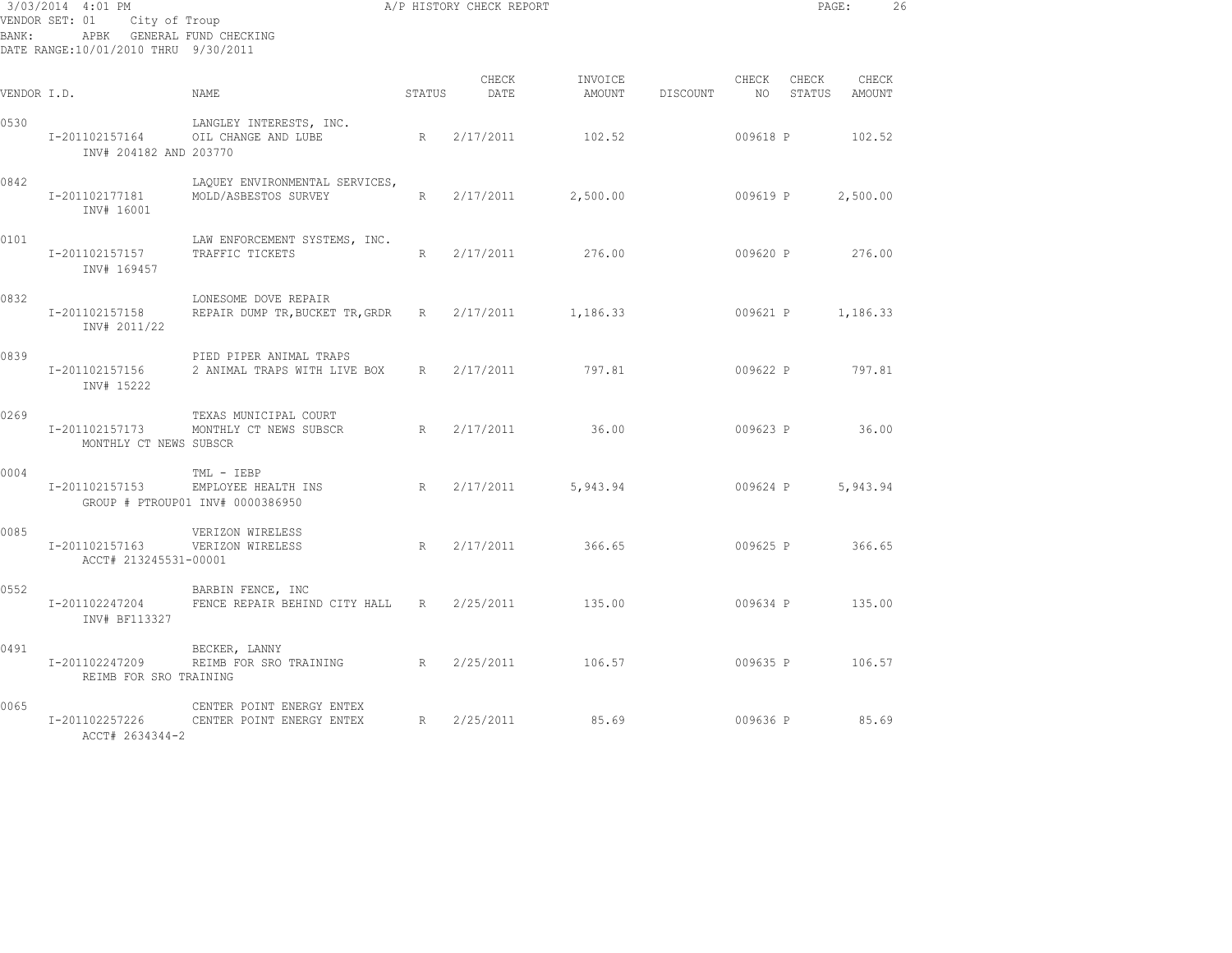| BANK:       | 3/03/2014 4:01 PM<br>VENDOR SET: 01<br>APBK GENERAL FUND CHECKING<br>DATE RANGE:10/01/2010 THRU 9/30/2011 | City of Troup                                                              |             | A/P HISTORY CHECK REPORT |                   |          |                          | PAGE:           |                 | 26 |
|-------------|-----------------------------------------------------------------------------------------------------------|----------------------------------------------------------------------------|-------------|--------------------------|-------------------|----------|--------------------------|-----------------|-----------------|----|
| VENDOR I.D. |                                                                                                           | NAME                                                                       | STATUS      | CHECK<br>DATE            | INVOICE<br>AMOUNT | DISCOUNT | CHECK<br>NO <sub>1</sub> | CHECK<br>STATUS | CHECK<br>AMOUNT |    |
| 0530        | I-201102157164<br>INV# 204182 AND 203770                                                                  | LANGLEY INTERESTS, INC.<br>OIL CHANGE AND LUBE                             | $R_{\perp}$ | 2/17/2011                | 102.52            |          | 009618 P                 |                 | 102.52          |    |
| 0842        | I-201102177181<br>INV# 16001                                                                              | LAQUEY ENVIRONMENTAL SERVICES,<br>MOLD/ASBESTOS SURVEY                     | R           | 2/17/2011                | 2,500.00          |          | 009619 P                 |                 | 2,500.00        |    |
| 0101        | I-201102157157<br>INV# 169457                                                                             | LAW ENFORCEMENT SYSTEMS, INC.<br>TRAFFIC TICKETS                           | R           | 2/17/2011                | 276.00            |          | 009620 P                 |                 | 276.00          |    |
| 0832        | I-201102157158<br>INV# 2011/22                                                                            | LONESOME DOVE REPAIR<br>REPAIR DUMP TR, BUCKET TR, GRDR                    | R           | 2/17/2011                | 1,186.33          |          | 009621 P                 |                 | 1,186.33        |    |
| 0839        | I-201102157156<br>INV# 15222                                                                              | PIED PIPER ANIMAL TRAPS<br>2 ANIMAL TRAPS WITH LIVE BOX                    | $R_{\perp}$ | 2/17/2011                | 797.81            |          | 009622 P                 |                 | 797.81          |    |
| 0269        | I-201102157173<br>MONTHLY CT NEWS SUBSCR                                                                  | TEXAS MUNICIPAL COURT<br>MONTHLY CT NEWS SUBSCR                            | R           | 2/17/2011                | 36.00             |          | 009623 P                 |                 | 36.00           |    |
| 0004        | I-201102157153                                                                                            | TML - IEBP<br>EMPLOYEE HEALTH INS<br>R<br>GROUP # PTROUP01 INV# 0000386950 |             | 2/17/2011                | 5,943.94          |          | 009624 P                 |                 | 5,943.94        |    |
| 0085        | I-201102157163<br>ACCT# 213245531-00001                                                                   | VERIZON WIRELESS<br>VERIZON WIRELESS                                       | R           | 2/17/2011                | 366.65            |          |                          | 009625 P 366.65 |                 |    |
| 0552        | I-201102247204<br>INV# BF113327                                                                           | BARBIN FENCE, INC<br>FENCE REPAIR BEHIND CITY HALL R                       |             | 2/25/2011                | 135.00            |          | 009634 P                 |                 | 135.00          |    |
| 0491        | I-201102247209<br>REIMB FOR SRO TRAINING                                                                  | BECKER, LANNY<br>REIMB FOR SRO TRAINING R 2/25/2011                        |             |                          | 106.57            |          | 009635 P                 |                 | 106.57          |    |
| 0065        | I-201102257226<br>ACCT# 2634344-2                                                                         | CENTER POINT ENERGY ENTEX<br>CENTER POINT ENERGY ENTEX                     | R           | 2/25/2011                | 85.69             |          | 009636 P                 |                 | 85.69           |    |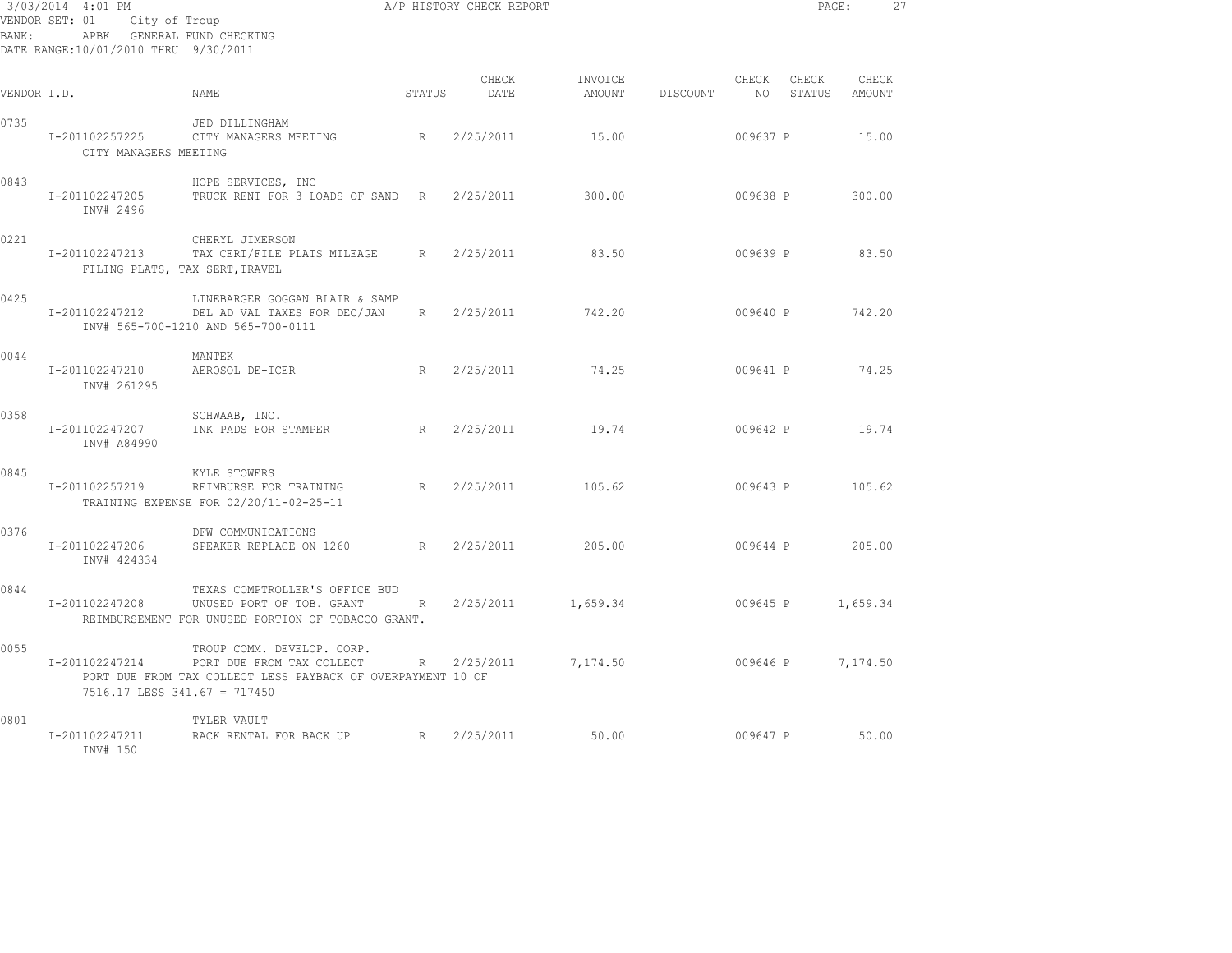| BANK:       | 3/03/2014 4:01 PM<br>VENDOR SET: 01<br>City of Troup<br>APBK GENERAL FUND CHECKING<br>DATE RANGE:10/01/2010 THRU 9/30/2011 |                                                                                                                        |        | A/P HISTORY CHECK REPORT |                   |          |             | PAGE:           |                 | 27 |
|-------------|----------------------------------------------------------------------------------------------------------------------------|------------------------------------------------------------------------------------------------------------------------|--------|--------------------------|-------------------|----------|-------------|-----------------|-----------------|----|
| VENDOR I.D. |                                                                                                                            | NAME                                                                                                                   | STATUS | CHECK<br>DATE            | INVOICE<br>AMOUNT | DISCOUNT | CHECK<br>NO | CHECK<br>STATUS | CHECK<br>AMOUNT |    |
| 0735        | I-201102257225<br>CITY MANAGERS MEETING                                                                                    | JED DILLINGHAM<br>CITY MANAGERS MEETING                                                                                | R      | 2/25/2011                | 15.00             |          | 009637 P    |                 | 15.00           |    |
| 0843        | I-201102247205<br>INV# 2496                                                                                                | HOPE SERVICES, INC<br>TRUCK RENT FOR 3 LOADS OF SAND R                                                                 |        | 2/25/2011                | 300.00            |          | 009638 P    |                 | 300.00          |    |
| 0221        | I-201102247213<br>FILING PLATS, TAX SERT, TRAVEL                                                                           | CHERYL JIMERSON<br>TAX CERT/FILE PLATS MILEAGE                                                                         | R      | 2/25/2011                | 83.50             |          | 009639 P    |                 | 83.50           |    |
| 0425        | I-201102247212                                                                                                             | LINEBARGER GOGGAN BLAIR & SAMP<br>DEL AD VAL TAXES FOR DEC/JAN<br>INV# 565-700-1210 AND 565-700-0111                   | R      | 2/25/2011                | 742.20            |          |             | 009640 P        | 742.20          |    |
| 0044        | I-201102247210<br>INV# 261295                                                                                              | MANTEK<br>AEROSOL DE-ICER                                                                                              |        | R 2/25/2011              | 74.25             |          | 009641 P    |                 | 74.25           |    |
| 0358        | I-201102247207<br>INV# A84990                                                                                              | SCHWAAB, INC.<br>INK PADS FOR STAMPER                                                                                  |        | R 2/25/2011              | 19.74             |          | 009642 P    |                 | 19.74           |    |
| 0845        | I-201102257219                                                                                                             | KYLE STOWERS<br>REIMBURSE FOR TRAINING<br>TRAINING EXPENSE FOR 02/20/11-02-25-11                                       | R      | 2/25/2011                | 105.62            |          | 009643 P    |                 | 105.62          |    |
| 0376        | I-201102247206<br>INV# 424334                                                                                              | DFW COMMUNICATIONS<br>SPEAKER REPLACE ON 1260                                                                          | R      | 2/25/2011                | 205.00            |          | 009644 P    |                 | 205.00          |    |
| 0844        | I-201102247208                                                                                                             | TEXAS COMPTROLLER'S OFFICE BUD<br>UNUSED PORT OF TOB. GRANT<br>REIMBURSEMENT FOR UNUSED PORTION OF TOBACCO GRANT.      | R      | 2/25/2011                | 1,659.34          |          | 009645 P    |                 | 1,659.34        |    |
| 0055        | I-201102247214<br>7516.17 LESS 341.67 = 717450                                                                             | TROUP COMM. DEVELOP. CORP.<br>PORT DUE FROM TAX COLLECT<br>PORT DUE FROM TAX COLLECT LESS PAYBACK OF OVERPAYMENT 10 OF | R      | 2/25/2011                | 7,174.50          |          | 009646 P    |                 | 7,174.50        |    |
| 0801        | I-201102247211<br>INV# 150                                                                                                 | TYLER VAULT<br>RACK RENTAL FOR BACK UP                                                                                 |        | R 2/25/2011              | 50.00             |          | 009647 P    |                 | 50.00           |    |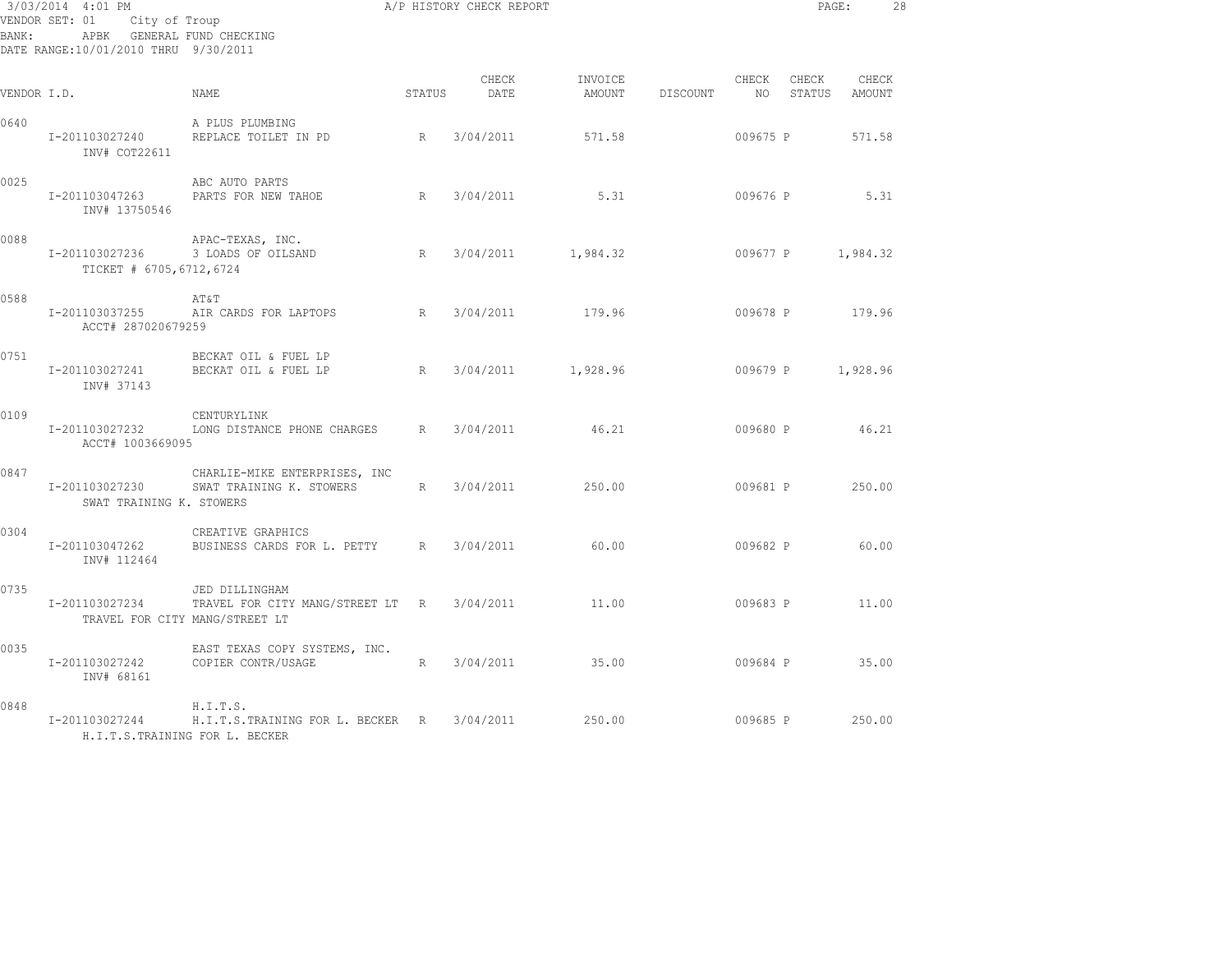| BANK:       | 3/03/2014 4:01 PM<br>VENDOR SET: 01<br>City of Troup<br>APBK GENERAL FUND CHECKING<br>DATE RANGE:10/01/2010 THRU 9/30/2011 | A/P HISTORY CHECK REPORT                                                                       |             |               |                   |          |               | PAGE:           |                 | 28 |
|-------------|----------------------------------------------------------------------------------------------------------------------------|------------------------------------------------------------------------------------------------|-------------|---------------|-------------------|----------|---------------|-----------------|-----------------|----|
| VENDOR I.D. |                                                                                                                            | <b>NAME</b>                                                                                    | STATUS      | CHECK<br>DATE | INVOICE<br>AMOUNT | DISCOUNT | CHECK<br>NO 1 | CHECK<br>STATUS | CHECK<br>AMOUNT |    |
| 0640        | I-201103027240<br>INV# COT22611                                                                                            | A PLUS PLUMBING<br>REPLACE TOILET IN PD                                                        | R           | 3/04/2011     | 571.58            |          | 009675 P      |                 | 571.58          |    |
| 0025        | I-201103047263<br>INV# 13750546                                                                                            | ABC AUTO PARTS<br>PARTS FOR NEW TAHOE                                                          | R           | 3/04/2011     | 5.31              |          | 009676 P      |                 | 5.31            |    |
| 0088        | I-201103027236<br>TICKET # 6705, 6712, 6724                                                                                | APAC-TEXAS, INC.<br>3 LOADS OF OILSAND                                                         | R           | 3/04/2011     | 1,984.32          |          | 009677 P      |                 | 1,984.32        |    |
| 0588        | I-201103037255<br>ACCT# 287020679259                                                                                       | AT&T<br>AIR CARDS FOR LAPTOPS                                                                  | R           | 3/04/2011     | 179.96            |          | 009678 P      |                 | 179.96          |    |
| 0751        | I-201103027241<br>INV# 37143                                                                                               | BECKAT OIL & FUEL LP<br>BECKAT OIL & FUEL LP                                                   | R           | 3/04/2011     | 1,928.96          |          | 009679 P      |                 | 1,928.96        |    |
| 0109        | I-201103027232<br>ACCT# 1003669095                                                                                         | CENTURYLINK<br>LONG DISTANCE PHONE CHARGES                                                     | R           | 3/04/2011     | 46.21             |          | 009680 P      |                 | 46.21           |    |
| 0847        | I-201103027230<br>SWAT TRAINING K. STOWERS                                                                                 | CHARLIE-MIKE ENTERPRISES, INC<br>SWAT TRAINING K. STOWERS                                      | $R_{\perp}$ | 3/04/2011     | 250.00            |          |               | 009681 P        | 250.00          |    |
| 0304        | I-201103047262<br>INV# 112464                                                                                              | CREATIVE GRAPHICS<br>BUSINESS CARDS FOR L. PETTY R                                             |             | 3/04/2011     | 60.00             |          | 009682 P      |                 | 60.00           |    |
| 0735        | I-201103027234                                                                                                             | JED DILLINGHAM<br>TRAVEL FOR CITY MANG/STREET LT R 3/04/2011<br>TRAVEL FOR CITY MANG/STREET LT |             |               | 11.00             |          | 009683 P      |                 | 11.00           |    |
| 0035        | I-201103027242<br>INV# 68161                                                                                               | EAST TEXAS COPY SYSTEMS, INC.<br>COPIER CONTR/USAGE                                            | R           | 3/04/2011     | 35.00             |          | 009684 P      |                 | 35.00           |    |
| 0848        | I-201103027244                                                                                                             | H.I.T.S.<br>H.I.T.S.TRAINING FOR L. BECKER R<br>H.I.T.S.TRAINING FOR L. BECKER                 |             | 3/04/2011     | 250.00            |          | 009685 P      |                 | 250.00          |    |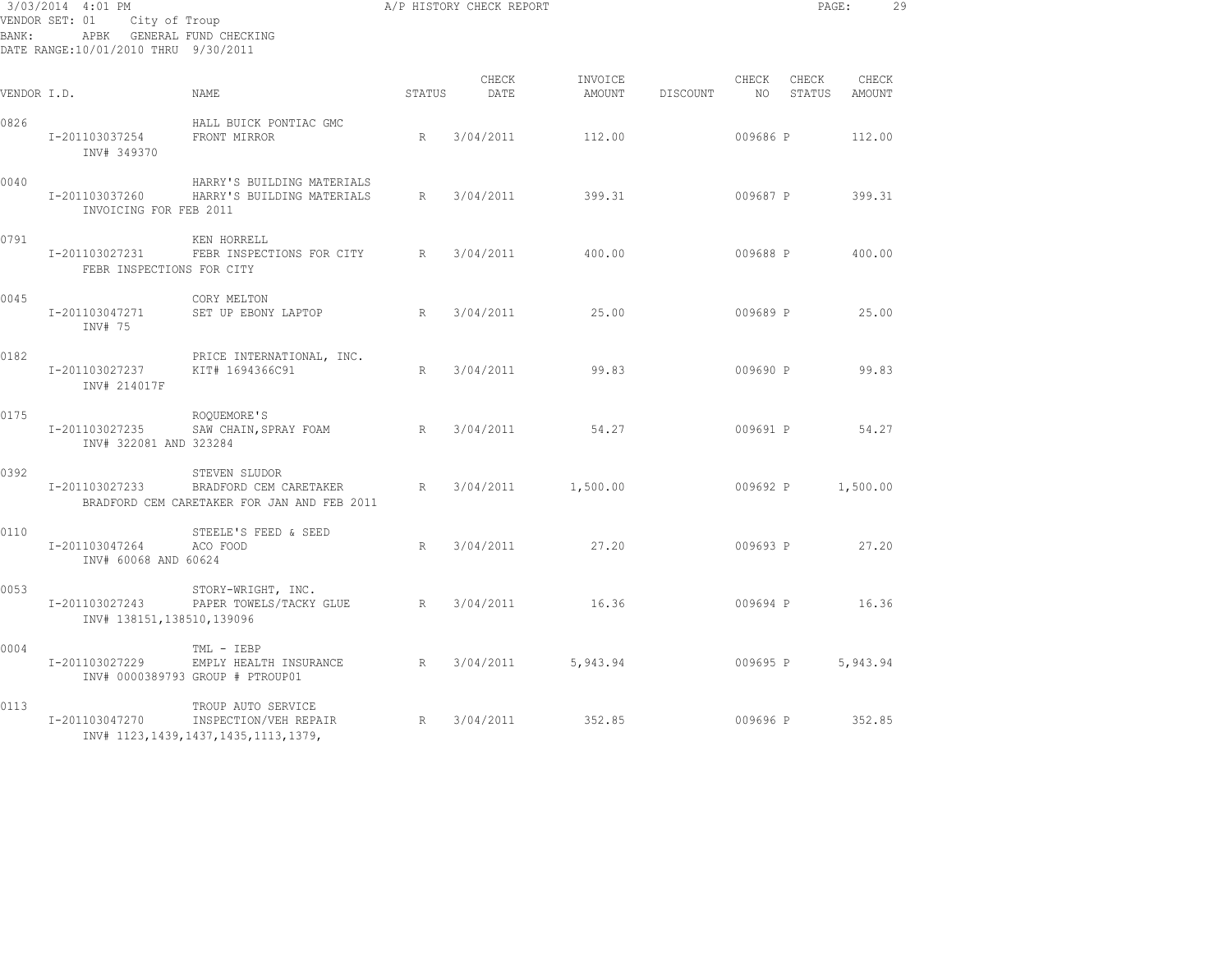| 3/03/2014 4:01 PM<br>VENDOR SET: 01<br>City of Troup<br>APBK GENERAL FUND CHECKING<br>BANK :<br>DATE RANGE:10/01/2010 THRU 9/30/2011 |                                             |                                                                                         |        | A/P HISTORY CHECK REPORT |                   |          |               | PAGE:           |                 | 29 |
|--------------------------------------------------------------------------------------------------------------------------------------|---------------------------------------------|-----------------------------------------------------------------------------------------|--------|--------------------------|-------------------|----------|---------------|-----------------|-----------------|----|
| VENDOR I.D.                                                                                                                          |                                             | NAME.                                                                                   | STATUS | CHECK<br>DATE            | INVOICE<br>AMOUNT | DISCOUNT | CHECK<br>NO 1 | CHECK<br>STATUS | CHECK<br>AMOUNT |    |
| 0826                                                                                                                                 | I-201103037254<br>INV# 349370               | HALL BUICK PONTIAC GMC<br>FRONT MIRROR                                                  | R      | 3/04/2011                | 112.00            |          | 009686 P      |                 | 112.00          |    |
| 0040                                                                                                                                 | I-201103037260<br>INVOICING FOR FEB 2011    | HARRY'S BUILDING MATERIALS<br>HARRY'S BUILDING MATERIALS                                | R      | 3/04/2011                | 399.31            |          | 009687 P      |                 | 399.31          |    |
| 0791                                                                                                                                 | I-201103027231<br>FEBR INSPECTIONS FOR CITY | KEN HORRELL<br>FEBR INSPECTIONS FOR CITY R                                              |        | 3/04/2011                | 400.00            |          | 009688 P      |                 | 400.00          |    |
| 0045                                                                                                                                 | I-201103047271<br>INV# 75                   | CORY MELTON<br>SET UP EBONY LAPTOP                                                      | R      | 3/04/2011                | 25.00             |          | 009689 P      |                 | 25.00           |    |
| 0182                                                                                                                                 | I-201103027237<br>INV# 214017F              | PRICE INTERNATIONAL, INC.<br>KIT# 1694366C91                                            | R      | 3/04/2011                | 99.83             |          | 009690 P      |                 | 99.83           |    |
| 0175                                                                                                                                 | I-201103027235<br>INV# 322081 AND 323284    | ROQUEMORE'S<br>SAW CHAIN, SPRAY FOAM                                                    | R      | 3/04/2011                | 54.27             |          | 009691 P      |                 | 54.27           |    |
| 0392                                                                                                                                 | I-201103027233                              | STEVEN SLUDOR<br>BRADFORD CEM CARETAKER<br>BRADFORD CEM CARETAKER FOR JAN AND FEB 2011  | R      | 3/04/2011                | 1,500.00          |          | 009692 P      |                 | 1,500.00        |    |
| 0110                                                                                                                                 | I-201103047264<br>INV# 60068 AND 60624      | STEELE'S FEED & SEED<br>ACO FOOD                                                        | R      | 3/04/2011                | 27.20             |          | 009693 P      |                 | 27.20           |    |
| 0053                                                                                                                                 | I-201103027243<br>INV# 138151,138510,139096 | STORY-WRIGHT, INC.<br>PAPER TOWELS/TACKY GLUE R                                         |        | 3/04/2011                | 16.36             |          | 009694 P      |                 | 16.36           |    |
| 0004                                                                                                                                 | I-201103027229                              | TML - IEBP<br>EMPLY HEALTH INSURANCE<br>INV# 0000389793 GROUP # PTROUP01                | R      | 3/04/2011                | 5,943.94          |          | 009695 P      |                 | 5,943.94        |    |
| 0113                                                                                                                                 | I-201103047270                              | TROUP AUTO SERVICE<br>INSPECTION/VEH REPAIR<br>INV# 1123, 1439, 1437, 1435, 1113, 1379, | R      | 3/04/2011                | 352.85            |          | 009696 P      |                 | 352.85          |    |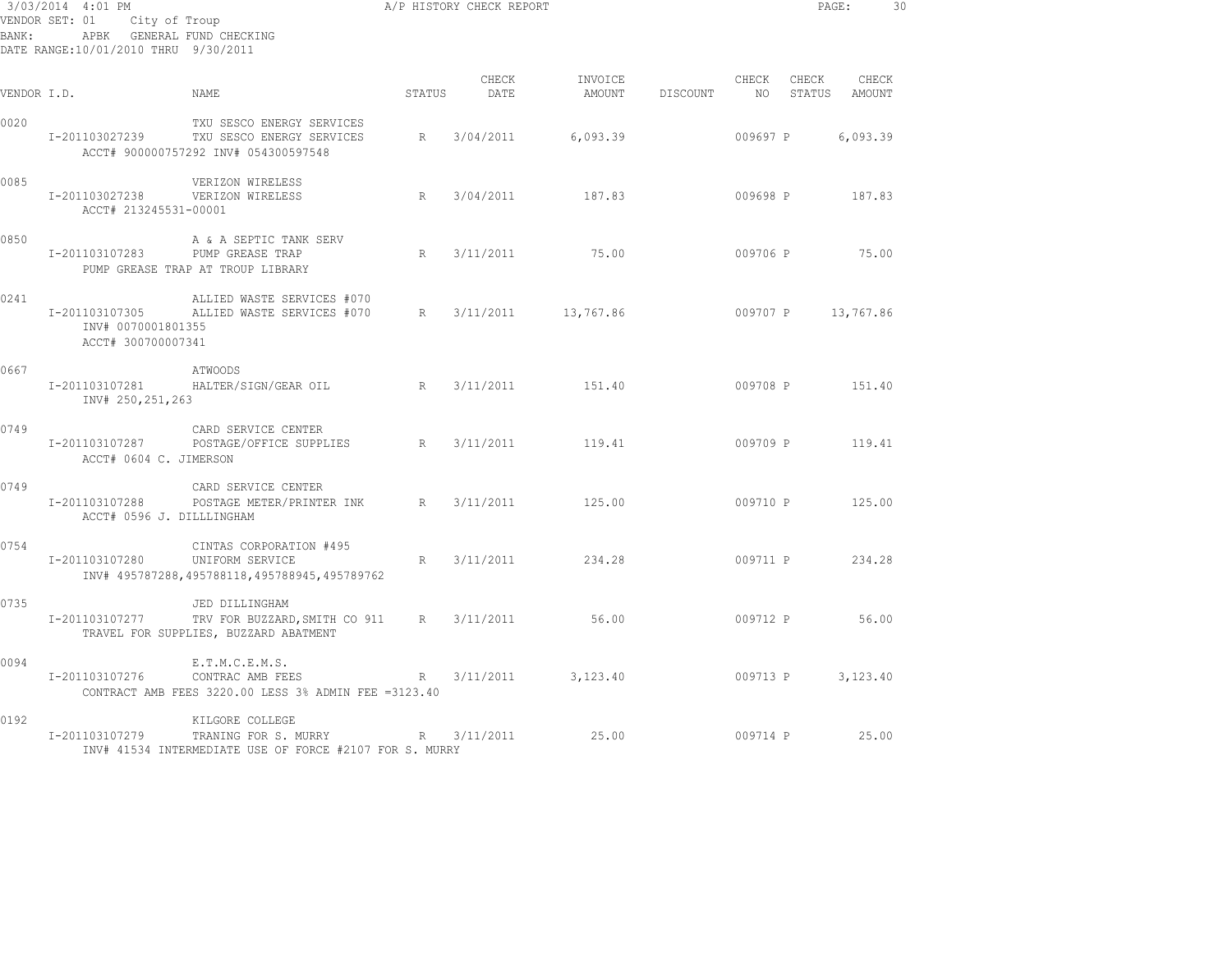| BANK:       | 3/03/2014 4:01 PM<br>VENDOR SET: 01<br>City of Troup<br>DATE RANGE: 10/01/2010 THRU 9/30/2011 | APBK GENERAL FUND CHECKING                                                                         |             | A/P HISTORY CHECK REPORT |                   |          |             | PAGE:           |                 | 30 |
|-------------|-----------------------------------------------------------------------------------------------|----------------------------------------------------------------------------------------------------|-------------|--------------------------|-------------------|----------|-------------|-----------------|-----------------|----|
| VENDOR I.D. |                                                                                               | NAME                                                                                               | STATUS      | CHECK<br>DATE            | INVOICE<br>AMOUNT | DISCOUNT | CHECK<br>NO | CHECK<br>STATUS | CHECK<br>AMOUNT |    |
| 0020        | I-201103027239                                                                                | TXU SESCO ENERGY SERVICES<br>TXU SESCO ENERGY SERVICES<br>ACCT# 900000757292 INV# 054300597548     | R           | 3/04/2011                | 6,093.39          |          | 009697 P    |                 | 6,093.39        |    |
| 0085        | I-201103027238<br>ACCT# 213245531-00001                                                       | VERIZON WIRELESS<br>VERIZON WIRELESS                                                               | R           | 3/04/2011                | 187.83            |          | 009698 P    |                 | 187.83          |    |
| 0850        | I-201103107283                                                                                | A & A SEPTIC TANK SERV<br>PUMP GREASE TRAP<br>PUMP GREASE TRAP AT TROUP LIBRARY                    | R           | 3/11/2011                | 75.00             |          | 009706 P    |                 | 75.00           |    |
| 0241        | I-201103107305<br>INV# 0070001801355<br>ACCT# 300700007341                                    | ALLIED WASTE SERVICES #070<br>ALLIED WASTE SERVICES #070                                           | R           | 3/11/2011                | 13,767.86         |          | 009707 P    |                 | 13,767.86       |    |
| 0667        | I-201103107281<br>INV# 250,251,263                                                            | ATWOODS<br>HALTER/SIGN/GEAR OIL                                                                    | R           | 3/11/2011                | 151.40            |          | 009708 P    |                 | 151.40          |    |
| 0749        | I-201103107287<br>ACCT# 0604 C. JIMERSON                                                      | CARD SERVICE CENTER<br>POSTAGE/OFFICE SUPPLIES                                                     | R           | 3/11/2011                | 119.41            |          | 009709 P    |                 | 119.41          |    |
| 0749        | I-201103107288<br>ACCT# 0596 J. DILLLINGHAM                                                   | CARD SERVICE CENTER<br>POSTAGE METER/PRINTER INK R                                                 |             | 3/11/2011                | 125.00            |          | 009710 P    |                 | 125.00          |    |
| 0754        | I-201103107280                                                                                | CINTAS CORPORATION #495<br>UNIFORM SERVICE<br>INV# 495787288,495788118,495788945,495789762         | R           | 3/11/2011                | 234.28            |          | 009711 P    |                 | 234.28          |    |
| 0735        | I-201103107277                                                                                | JED DILLINGHAM<br>TRV FOR BUZZARD, SMITH CO 911<br>TRAVEL FOR SUPPLIES, BUZZARD ABATMENT           | $R_{\perp}$ | 3/11/2011                | 56.00             |          | 009712 P    |                 | 56.00           |    |
| 0094        | I-201103107276                                                                                | E.T.M.C.E.M.S.<br>CONTRAC AMB FEES<br>CONTRACT AMB FEES 3220.00 LESS 3% ADMIN FEE = 3123.40        | R           | 3/11/2011                | 3,123,40          |          | 009713 P    |                 | 3,123.40        |    |
| 0192        | I-201103107279                                                                                | KILGORE COLLEGE<br>TRANING FOR S. MURRY<br>INV# 41534 INTERMEDIATE USE OF FORCE #2107 FOR S. MURRY | R           | 3/11/2011                | 25.00             |          | 009714 P    |                 | 25.00           |    |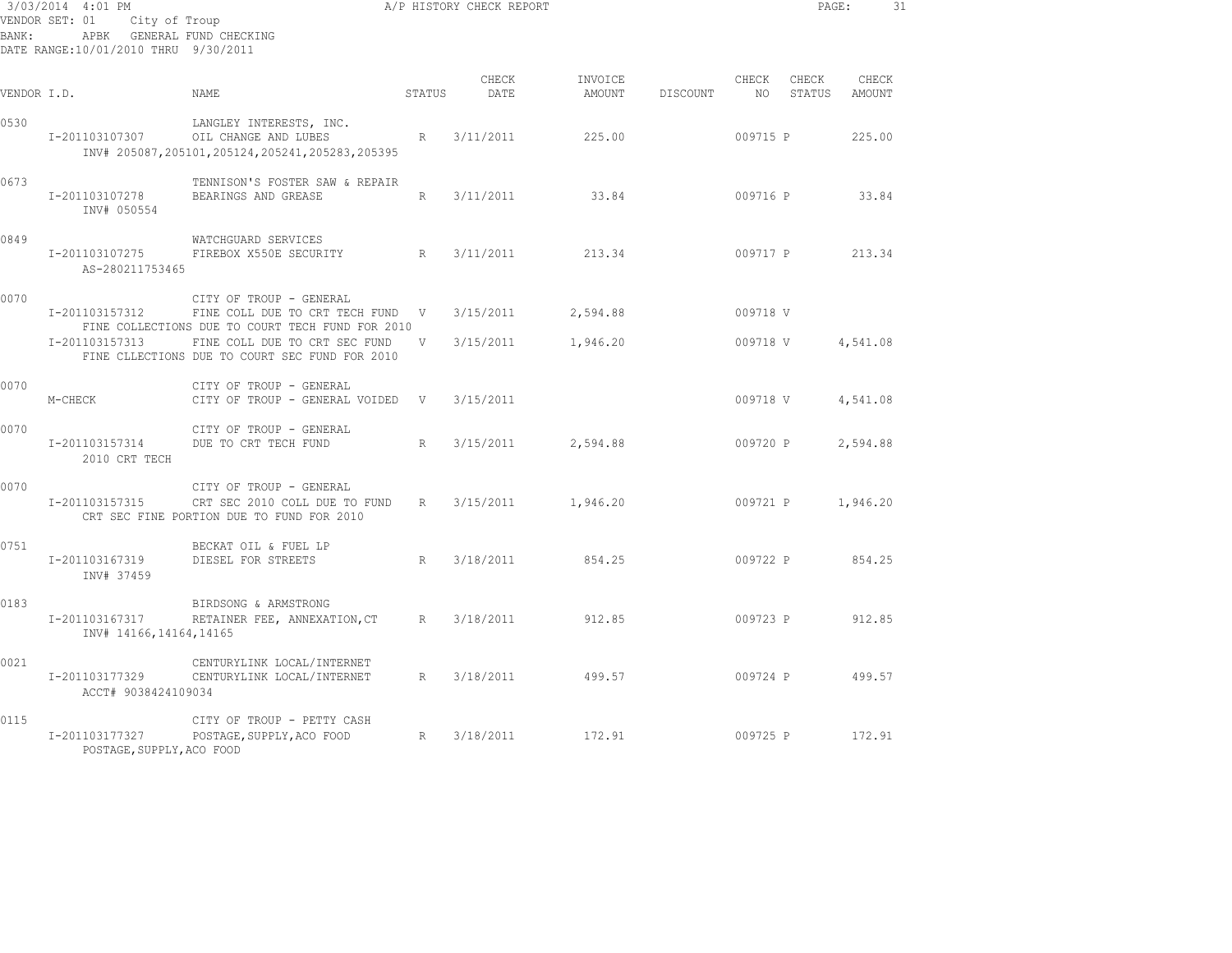| BANK :      | 3/03/2014 4:01 PM<br>VENDOR SET: 01<br>City of Troup<br>APBK GENERAL FUND CHECKING<br>DATE RANGE:10/01/2010 THRU 9/30/2011 | A/P HISTORY CHECK REPORT                                                                                        |                 |               |                   |          |             | PAGE:           | 31              |  |
|-------------|----------------------------------------------------------------------------------------------------------------------------|-----------------------------------------------------------------------------------------------------------------|-----------------|---------------|-------------------|----------|-------------|-----------------|-----------------|--|
| VENDOR I.D. |                                                                                                                            | NAME                                                                                                            | STATUS          | CHECK<br>DATE | INVOICE<br>AMOUNT | DISCOUNT | CHECK<br>NO | CHECK<br>STATUS | CHECK<br>AMOUNT |  |
| 0530        | I-201103107307                                                                                                             | LANGLEY INTERESTS, INC.<br>OIL CHANGE AND LUBES<br>INV# 205087, 205101, 205124, 205241, 205283, 205395          | R               | 3/11/2011     | 225.00            |          | 009715 P    |                 | 225.00          |  |
| 0673        | I-201103107278<br>INV# 050554                                                                                              | TENNISON'S FOSTER SAW & REPAIR<br>BEARINGS AND GREASE                                                           | $R_{\parallel}$ | 3/11/2011     | 33.84             |          | 009716 P    |                 | 33.84           |  |
| 0849        | I-201103107275<br>AS-280211753465                                                                                          | WATCHGUARD SERVICES<br>FIREBOX X550E SECURITY                                                                   | R               | 3/11/2011     | 213.34            |          | 009717 P    |                 | 213.34          |  |
| 0070        | I-201103157312                                                                                                             | CITY OF TROUP - GENERAL<br>FINE COLL DUE TO CRT TECH FUND V<br>FINE COLLECTIONS DUE TO COURT TECH FUND FOR 2010 |                 | 3/15/2011     | 2,594.88          |          | 009718 V    |                 |                 |  |
|             | I-201103157313                                                                                                             | FINE COLL DUE TO CRT SEC FUND<br>FINE CLLECTIONS DUE TO COURT SEC FUND FOR 2010                                 | V               | 3/15/2011     | 1,946.20          |          | 009718 V    |                 | 4,541.08        |  |
| 0070        | M-CHECK                                                                                                                    | CITY OF TROUP - GENERAL<br>CITY OF TROUP - GENERAL VOIDED                                                       | V               | 3/15/2011     |                   |          | 009718 V    |                 | 4,541.08        |  |
| 0070        | I-201103157314<br>2010 CRT TECH                                                                                            | CITY OF TROUP - GENERAL<br>DUE TO CRT TECH FUND                                                                 | R               | 3/15/2011     | 2,594.88          |          | 009720 P    |                 | 2,594.88        |  |
| 0070        | I-201103157315                                                                                                             | CITY OF TROUP - GENERAL<br>CRT SEC 2010 COLL DUE TO FUND<br>CRT SEC FINE PORTION DUE TO FUND FOR 2010           | $R_{\parallel}$ | 3/15/2011     | 1,946.20          |          | 009721 P    |                 | 1,946.20        |  |
| 0751        | I-201103167319<br>INV# 37459                                                                                               | BECKAT OIL & FUEL LP<br>DIESEL FOR STREETS                                                                      | R               | 3/18/2011     | 854.25            |          | 009722 P    |                 | 854.25          |  |
| 0183        | I-201103167317<br>INV# 14166, 14164, 14165                                                                                 | BIRDSONG & ARMSTRONG<br>RETAINER FEE, ANNEXATION, CT                                                            | R               | 3/18/2011     | 912.85            |          | 009723 P    |                 | 912.85          |  |
| 0021        | I-201103177329<br>ACCT# 9038424109034                                                                                      | CENTURYLINK LOCAL/INTERNET<br>CENTURYLINK LOCAL/INTERNET                                                        | R               | 3/18/2011     | 499.57            |          | 009724 P    |                 | 499.57          |  |
| 0115        | I-201103177327<br>POSTAGE, SUPPLY, ACO FOOD                                                                                | CITY OF TROUP - PETTY CASH<br>POSTAGE, SUPPLY, ACO FOOD                                                         | R               | 3/18/2011     | 172.91            |          | 009725 P    |                 | 172.91          |  |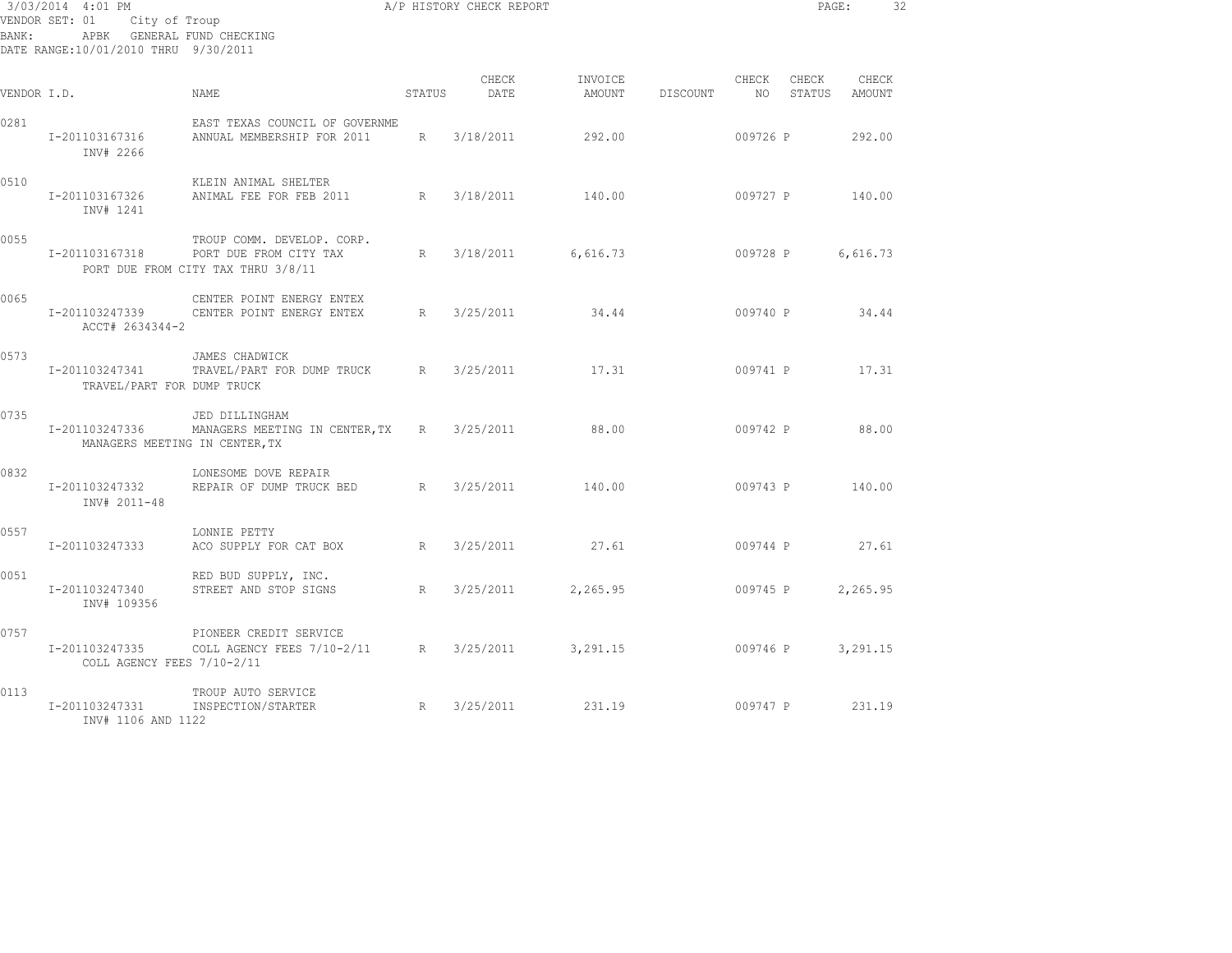| BANK:       | 3/03/2014 4:01 PM<br>VENDOR SET: 01 City of Troup<br>APBK GENERAL FUND CHECKING<br>DATE RANGE:10/01/2010 THRU 9/30/2011 | A/P HISTORY CHECK REPORT                                                                                  |        |               |                   |          |          |                    | PAGE:           | 32 |
|-------------|-------------------------------------------------------------------------------------------------------------------------|-----------------------------------------------------------------------------------------------------------|--------|---------------|-------------------|----------|----------|--------------------|-----------------|----|
| VENDOR I.D. |                                                                                                                         | NAME                                                                                                      | STATUS | CHECK<br>DATE | INVOICE<br>AMOUNT | DISCOUNT | CHECK    | CHECK<br>NO STATUS | CHECK<br>AMOUNT |    |
| 0281        | I-201103167316<br>INV# 2266                                                                                             | EAST TEXAS COUNCIL OF GOVERNME<br>ANNUAL MEMBERSHIP FOR 2011                                              | R      | 3/18/2011     | 292.00            |          |          | 009726 P           | 292.00          |    |
| 0510        | I-201103167326<br>INV# 1241                                                                                             | KLEIN ANIMAL SHELTER<br>ANIMAL FEE FOR FEB 2011                                                           | R      | 3/18/2011     | 140.00            |          |          | 009727 P 140.00    |                 |    |
| 0055        |                                                                                                                         | TROUP COMM. DEVELOP. CORP.<br>I-201103167318 PORT DUE FROM CITY TAX<br>PORT DUE FROM CITY TAX THRU 3/8/11 | R      | 3/18/2011     | 6,616.73          |          | 009728 P |                    | 6,616.73        |    |
| 0065        | ACCT# 2634344-2                                                                                                         | CENTER POINT ENERGY ENTEX<br>I-201103247339 CENTER POINT ENERGY ENTEX                                     | R      | 3/25/2011     | 34.44             |          |          | 009740 P 34.44     |                 |    |
| 0573        | I-201103247341<br>TRAVEL/PART FOR DUMP TRUCK                                                                            | JAMES CHADWICK<br>TRAVEL/PART FOR DUMP TRUCK R                                                            |        | 3/25/2011     | 17.31             |          |          | 009741 P 17.31     |                 |    |
| 0735        | MANAGERS MEETING IN CENTER, TX                                                                                          | JED DILLINGHAM<br>I-201103247336 MANAGERS MEETING IN CENTER, TX R 3/25/2011                               |        |               | 88.00             |          |          | 009742 P 88.00     |                 |    |
| 0832        | I-201103247332<br>INV# 2011-48                                                                                          | LONESOME DOVE REPAIR<br>REPAIR OF DUMP TRUCK BED                                                          | R      | 3/25/2011     | 140.00            |          |          | 009743 P 140.00    |                 |    |
| 0557        | I-201103247333                                                                                                          | LONNIE PETTY<br>ACO SUPPLY FOR CAT BOX<br>R                                                               |        | 3/25/2011     | 27.61             |          |          | 009744 P 27.61     |                 |    |
| 0051        | I-201103247340<br>INV# 109356                                                                                           | RED BUD SUPPLY, INC.<br>STREET AND STOP SIGNS                                                             | R      | 3/25/2011     | 2,265.95          |          | 009745 P |                    | 2,265.95        |    |
| 0757        | I-201103247335<br>COLL AGENCY FEES 7/10-2/11                                                                            | PIONEER CREDIT SERVICE<br>COLL AGENCY FEES 7/10-2/11 R 3/25/2011 3,291.15                                 |        |               |                   |          | 009746 P |                    | 3,291.15        |    |
| 0113        | I-201103247331<br>INV# 1106 AND 1122                                                                                    | TROUP AUTO SERVICE<br>INSPECTION/STARTER                                                                  |        | R 3/25/2011   | 231.19            |          |          | 009747 P 231.19    |                 |    |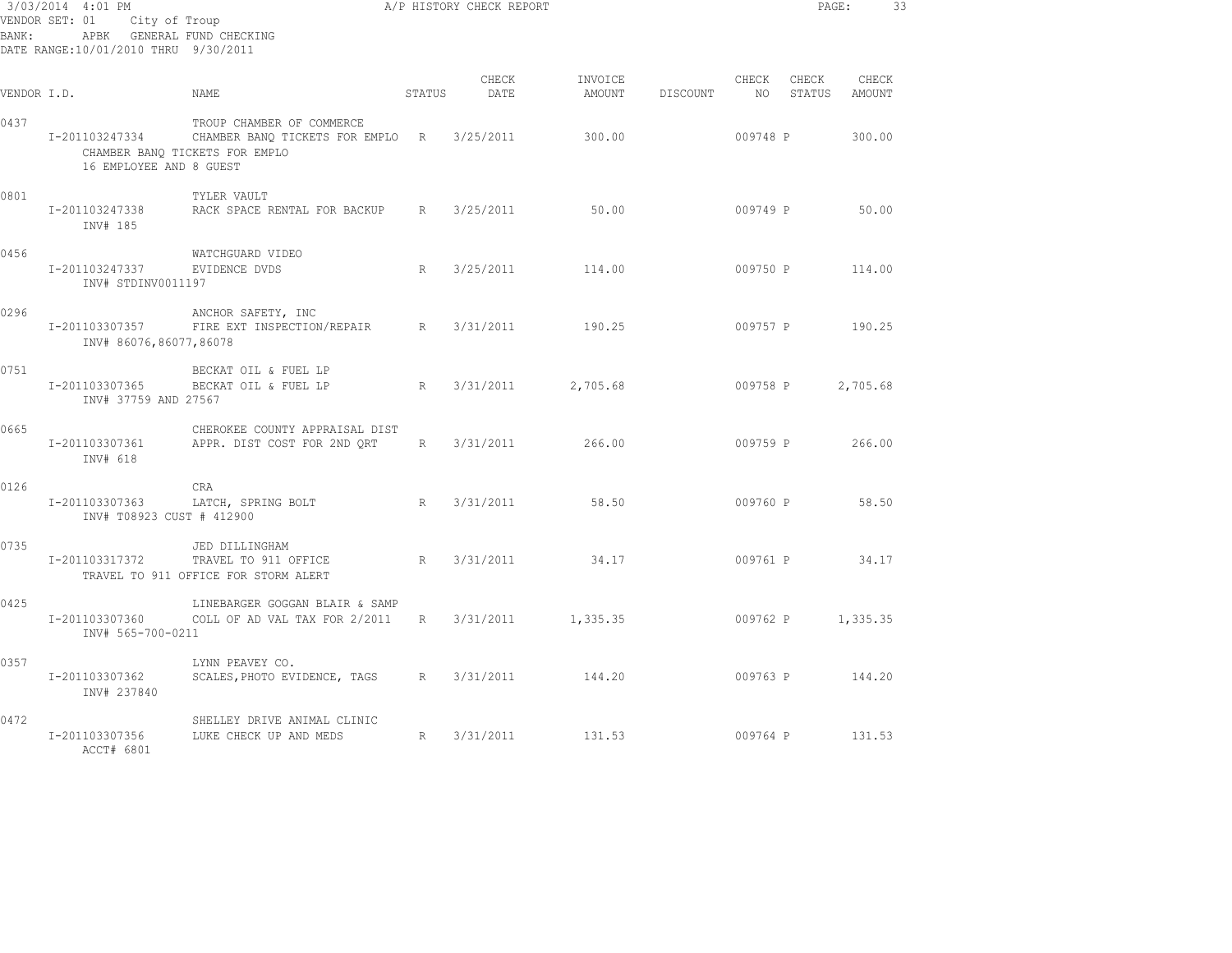| 3/03/2014 4:01 PM<br>VENDOR SET: 01<br>City of Troup<br>APBK GENERAL FUND CHECKING<br>BANK:<br>DATE RANGE:10/01/2010 THRU 9/30/2011 |                                             |                                                                                                 |        | A/P HISTORY CHECK REPORT |                   |          |               | PAGE:           |                 | 33 |
|-------------------------------------------------------------------------------------------------------------------------------------|---------------------------------------------|-------------------------------------------------------------------------------------------------|--------|--------------------------|-------------------|----------|---------------|-----------------|-----------------|----|
| VENDOR I.D.                                                                                                                         |                                             | <b>NAME</b>                                                                                     | STATUS | CHECK<br>DATE            | INVOICE<br>AMOUNT | DISCOUNT | CHECK<br>NO 1 | CHECK<br>STATUS | CHECK<br>AMOUNT |    |
| 0437                                                                                                                                | I-201103247334<br>16 EMPLOYEE AND 8 GUEST   | TROUP CHAMBER OF COMMERCE<br>CHAMBER BANQ TICKETS FOR EMPLO R<br>CHAMBER BANQ TICKETS FOR EMPLO |        | 3/25/2011                | 300.00            |          | 009748 P      |                 | 300.00          |    |
| 0801                                                                                                                                | I-201103247338<br>INV# 185                  | TYLER VAULT<br>RACK SPACE RENTAL FOR BACKUP R                                                   |        | 3/25/2011                | 50.00             |          | 009749 P      |                 | 50.00           |    |
| 0456                                                                                                                                | I-201103247337<br>INV# STDINV0011197        | WATCHGUARD VIDEO<br>EVIDENCE DVDS                                                               | R      | 3/25/2011                | 114.00            |          | 009750 P      |                 | 114.00          |    |
| 0296                                                                                                                                | I-201103307357<br>INV# 86076,86077,86078    | ANCHOR SAFETY, INC<br>FIRE EXT INSPECTION/REPAIR                                                | R      | 3/31/2011                | 190.25            |          | 009757 P      |                 | 190.25          |    |
| 0751                                                                                                                                | I-201103307365<br>INV# 37759 AND 27567      | BECKAT OIL & FUEL LP<br>BECKAT OIL & FUEL LP                                                    | R      | 3/31/2011                | 2,705.68          |          | 009758 P      |                 | 2,705.68        |    |
| 0665                                                                                                                                | I-201103307361<br>INV# 618                  | CHEROKEE COUNTY APPRAISAL DIST<br>APPR. DIST COST FOR 2ND QRT                                   | R      | 3/31/2011                | 266.00            |          | 009759 P      |                 | 266.00          |    |
| 0126                                                                                                                                | I-201103307363<br>INV# T08923 CUST # 412900 | <b>CRA</b><br>LATCH, SPRING BOLT                                                                | R      | 3/31/2011                | 58.50             |          | 009760 P      |                 | 58.50           |    |
| 0735                                                                                                                                | I-201103317372                              | JED DILLINGHAM<br>TRAVEL TO 911 OFFICE<br>TRAVEL TO 911 OFFICE FOR STORM ALERT                  | R      | 3/31/2011                | 34.17             |          | 009761 P      |                 | 34.17           |    |
| 0425                                                                                                                                | I-201103307360<br>INV# 565-700-0211         | LINEBARGER GOGGAN BLAIR & SAMP<br>COLL OF AD VAL TAX FOR 2/2011                                 | R      | 3/31/2011                | 1,335.35          |          | 009762 P      |                 | 1,335.35        |    |
| 0357                                                                                                                                | I-201103307362<br>INV# 237840               | LYNN PEAVEY CO.<br>SCALES, PHOTO EVIDENCE, TAGS                                                 | R      | 3/31/2011                | 144.20            |          | 009763 P      |                 | 144.20          |    |
| 0472                                                                                                                                | I-201103307356<br>ACCT# 6801                | SHELLEY DRIVE ANIMAL CLINIC<br>LUKE CHECK UP AND MEDS                                           | R      | 3/31/2011                | 131.53            |          | 009764 P      |                 | 131.53          |    |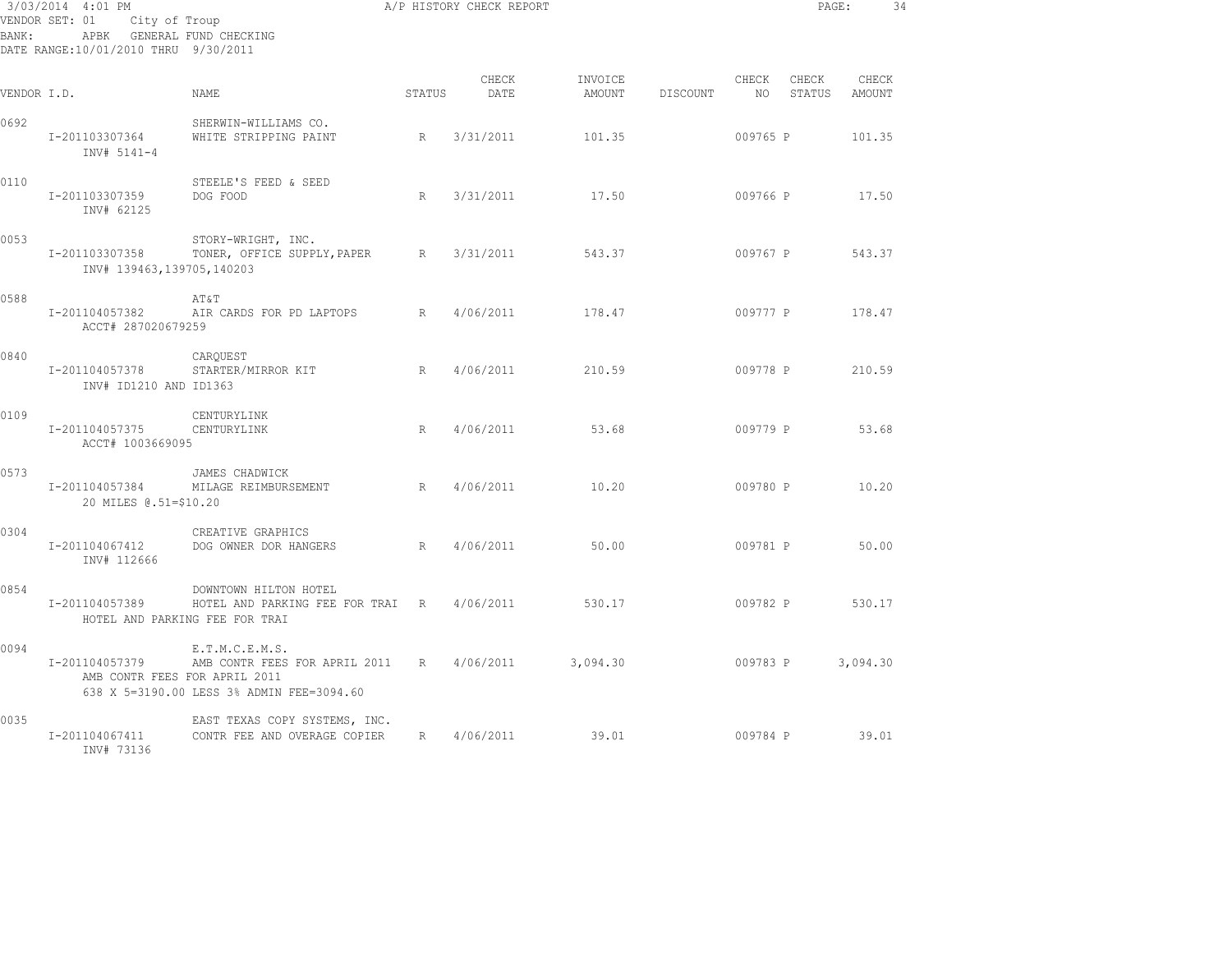| 3/03/2014 4:01 PM<br>VENDOR SET: 01<br>City of Troup<br>APBK GENERAL FUND CHECKING<br>BANK:<br>DATE RANGE:10/01/2010 THRU 9/30/2011 |                                                 |                                                                                                |                 | A/P HISTORY CHECK REPORT |                   |          |             | PAGE:           |                 | 34 |
|-------------------------------------------------------------------------------------------------------------------------------------|-------------------------------------------------|------------------------------------------------------------------------------------------------|-----------------|--------------------------|-------------------|----------|-------------|-----------------|-----------------|----|
| VENDOR I.D.                                                                                                                         |                                                 | NAME                                                                                           | STATUS          | CHECK<br>DATE            | INVOICE<br>AMOUNT | DISCOUNT | CHECK<br>NO | CHECK<br>STATUS | CHECK<br>AMOUNT |    |
| 0692                                                                                                                                | I-201103307364<br>INV# 5141-4                   | SHERWIN-WILLIAMS CO.<br>WHITE STRIPPING PAINT                                                  | R               | 3/31/2011                | 101.35            |          | 009765 P    |                 | 101.35          |    |
| 0110                                                                                                                                | I-201103307359<br>INV# 62125                    | STEELE'S FEED & SEED<br>DOG FOOD                                                               | $R_{\parallel}$ | 3/31/2011                | 17.50             |          | 009766 P    |                 | 17.50           |    |
| 0053                                                                                                                                | I-201103307358<br>INV# 139463,139705,140203     | STORY-WRIGHT, INC.<br>TONER, OFFICE SUPPLY, PAPER                                              | R               | 3/31/2011                | 543.37            |          | 009767 P    |                 | 543.37          |    |
| 0588                                                                                                                                | I-201104057382<br>ACCT# 287020679259            | AT&T<br>AIR CARDS FOR PD LAPTOPS                                                               | R               | 4/06/2011                | 178.47            |          | 009777 P    |                 | 178.47          |    |
| 0840                                                                                                                                | I-201104057378<br>INV# ID1210 AND ID1363        | CARQUEST<br>STARTER/MIRROR KIT                                                                 | R               | 4/06/2011                | 210.59            |          | 009778 P    |                 | 210.59          |    |
| 0109                                                                                                                                | I-201104057375<br>ACCT# 1003669095              | CENTURYLINK<br>CENTURYLINK                                                                     | R               | 4/06/2011                | 53.68             |          | 009779 P    |                 | 53.68           |    |
| 0573                                                                                                                                | I-201104057384<br>20 MILES @.51=\$10.20         | JAMES CHADWICK<br>MILAGE REIMBURSEMENT                                                         | R               | 4/06/2011                | 10.20             |          | 009780 P    |                 | 10.20           |    |
| 0304                                                                                                                                | I-201104067412<br>INV# 112666                   | CREATIVE GRAPHICS<br>DOG OWNER DOR HANGERS                                                     | R               | 4/06/2011                | 50.00             |          | 009781 P    |                 | 50.00           |    |
| 0854                                                                                                                                | I-201104057389                                  | DOWNTOWN HILTON HOTEL<br>HOTEL AND PARKING FEE FOR TRAI R<br>HOTEL AND PARKING FEE FOR TRAI    |                 | 4/06/2011                | 530.17            |          | 009782 P    |                 | 530.17          |    |
| 0094                                                                                                                                | I-201104057379<br>AMB CONTR FEES FOR APRIL 2011 | E.T.M.C.E.M.S.<br>AMB CONTR FEES FOR APRIL 2011 R<br>638 X 5=3190.00 LESS 3% ADMIN FEE=3094.60 |                 | 4/06/2011                | 3,094.30          |          | 009783 P    |                 | 3,094.30        |    |
| 0035                                                                                                                                | I-201104067411<br>INV# 73136                    | EAST TEXAS COPY SYSTEMS, INC.<br>CONTR FEE AND OVERAGE COPIER                                  | R               | 4/06/2011                | 39.01             |          | 009784 P    |                 | 39.01           |    |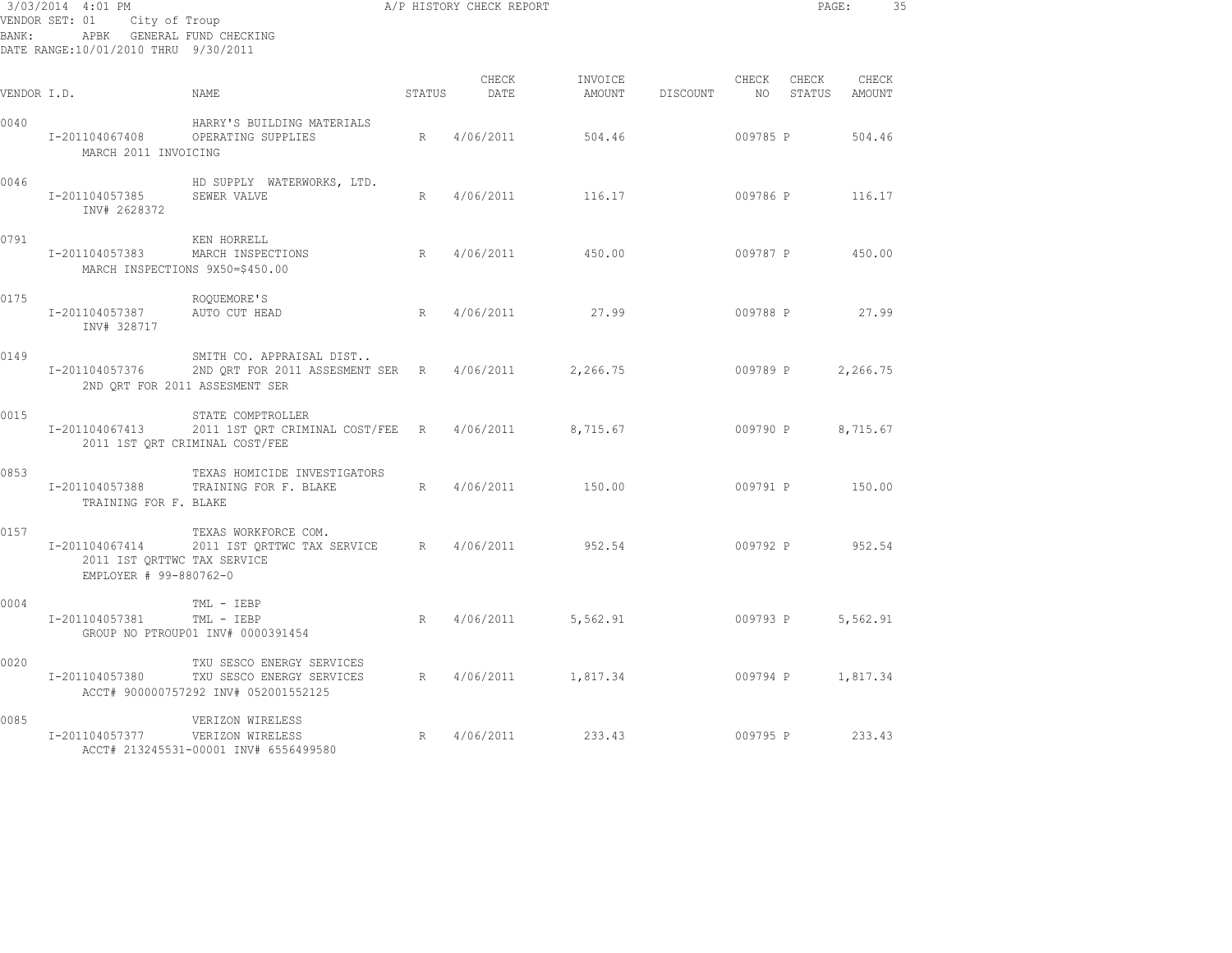| 3/03/2014 4:01 PM<br>VENDOR SET: 01<br>City of Troup<br>APBK GENERAL FUND CHECKING<br>BANK :<br>DATE RANGE:10/01/2010 THRU 9/30/2011 |                                                                         |                                                                                                          | A/P HISTORY CHECK REPORT |               |                   |          |                          | PAGE:           |                 | 35 |
|--------------------------------------------------------------------------------------------------------------------------------------|-------------------------------------------------------------------------|----------------------------------------------------------------------------------------------------------|--------------------------|---------------|-------------------|----------|--------------------------|-----------------|-----------------|----|
| VENDOR I.D.                                                                                                                          |                                                                         | NAME                                                                                                     | STATUS                   | CHECK<br>DATE | INVOICE<br>AMOUNT | DISCOUNT | CHECK<br>NO <sub>1</sub> | CHECK<br>STATUS | CHECK<br>AMOUNT |    |
| 0040                                                                                                                                 | I-201104067408<br>MARCH 2011 INVOICING                                  | HARRY'S BUILDING MATERIALS<br>OPERATING SUPPLIES                                                         | R                        | 4/06/2011     | 504.46            |          | 009785 P                 |                 | 504.46          |    |
| 0046                                                                                                                                 | I-201104057385<br>INV# 2628372                                          | HD SUPPLY WATERWORKS, LTD.<br>SEWER VALVE                                                                | R                        | 4/06/2011     | 116.17            |          | 009786 P                 |                 | 116.17          |    |
| 0791                                                                                                                                 | I-201104057383                                                          | KEN HORRELL<br>MARCH INSPECTIONS<br>MARCH INSPECTIONS 9X50=\$450.00                                      | R                        | 4/06/2011     | 450.00            |          | 009787 P                 |                 | 450.00          |    |
| 0175                                                                                                                                 | I-201104057387<br>INV# 328717                                           | ROQUEMORE'S<br>AUTO CUT HEAD                                                                             | R                        | 4/06/2011     | 27.99             |          | 009788 P                 |                 | 27.99           |    |
| 0149                                                                                                                                 | I-201104057376                                                          | SMITH CO. APPRAISAL DIST<br>2ND QRT FOR 2011 ASSESMENT SER R 4/06/2011<br>2ND ORT FOR 2011 ASSESMENT SER |                          |               | 2,266.75          |          | 009789 P                 |                 | 2,266.75        |    |
| 0015                                                                                                                                 | I-201104067413                                                          | STATE COMPTROLLER<br>2011 1ST QRT CRIMINAL COST/FEE R<br>2011 1ST QRT CRIMINAL COST/FEE                  |                          | 4/06/2011     | 8,715.67          |          | 009790 P                 |                 | 8,715.67        |    |
| 0853                                                                                                                                 | I-201104057388<br>TRAINING FOR F. BLAKE                                 | TEXAS HOMICIDE INVESTIGATORS<br>TRAINING FOR F. BLAKE                                                    | R                        | 4/06/2011     | 150.00            |          | 009791 P                 |                 | 150.00          |    |
| 0157                                                                                                                                 | I-201104067414<br>2011 IST QRTTWC TAX SERVICE<br>EMPLOYER # 99-880762-0 | TEXAS WORKFORCE COM.<br>2011 IST QRTTWC TAX SERVICE R                                                    |                          | 4/06/2011     | 952.54            |          | 009792 P                 |                 | 952.54          |    |
| 0004                                                                                                                                 | I-201104057381                                                          | TML - IEBP<br>TML - IEBP<br>GROUP NO PTROUP01 INV# 0000391454                                            | R                        | 4/06/2011     | 5,562.91          |          | 009793 P                 |                 | 5,562.91        |    |
| 0020                                                                                                                                 | I-201104057380                                                          | TXU SESCO ENERGY SERVICES<br>TXU SESCO ENERGY SERVICES<br>ACCT# 900000757292 INV# 052001552125           | R                        | 4/06/2011     | 1,817.34          |          | 009794 P                 |                 | 1,817.34        |    |
| 0085                                                                                                                                 | I-201104057377                                                          | VERIZON WIRELESS<br>VERIZON WIRELESS<br>ACCT# 213245531-00001 INV# 6556499580                            | R                        | 4/06/2011     | 233.43            |          | 009795 P                 |                 | 233.43          |    |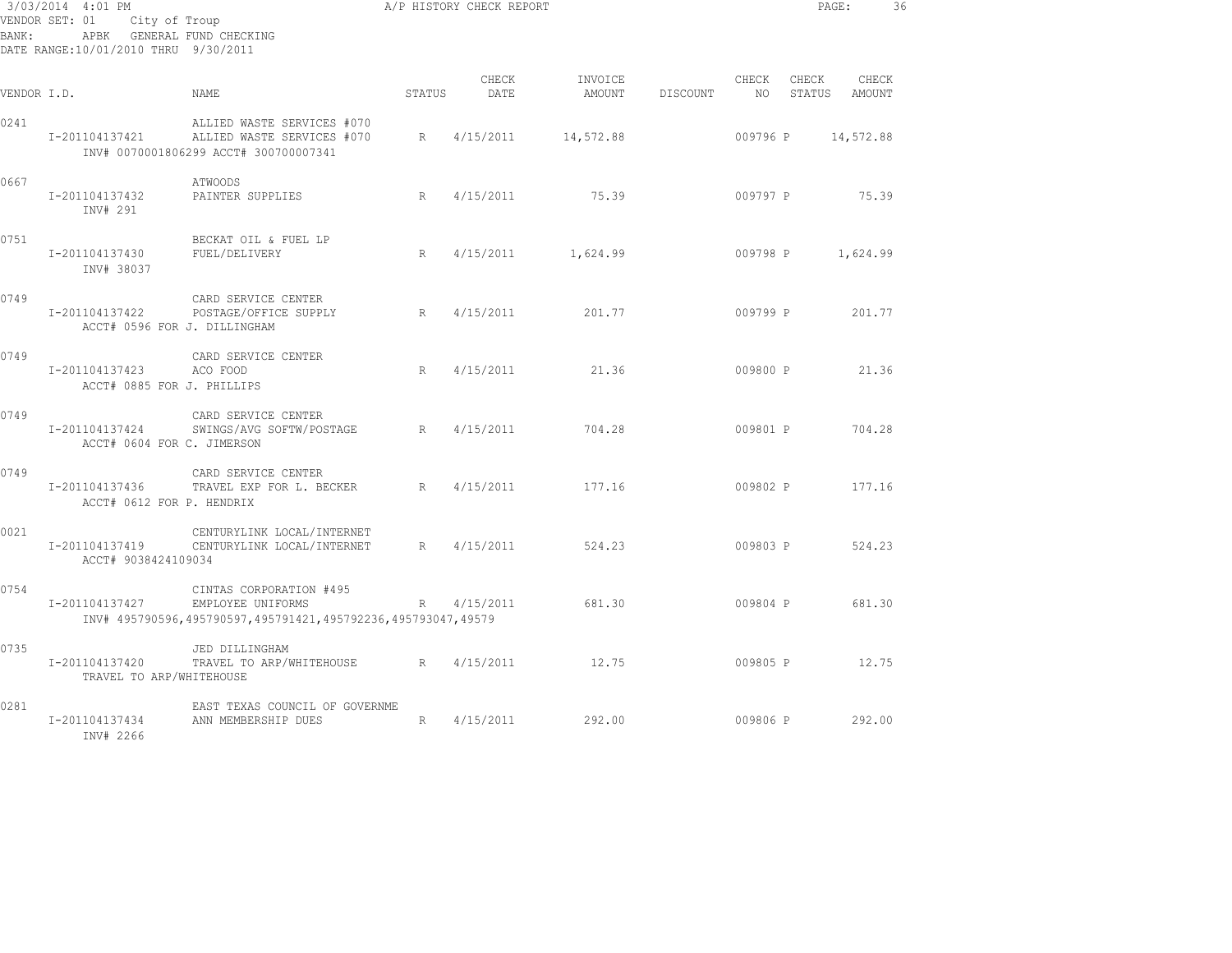| BANK:       | 3/03/2014 4:01 PM<br>VENDOR SET: 01 City of Troup<br>APBK GENERAL FUND CHECKING<br>DATE RANGE:10/01/2010 THRU 9/30/2011 |                                                                                                              |             | A/P HISTORY CHECK REPORT |                            |          | PAGE:                              | 36 |
|-------------|-------------------------------------------------------------------------------------------------------------------------|--------------------------------------------------------------------------------------------------------------|-------------|--------------------------|----------------------------|----------|------------------------------------|----|
| VENDOR I.D. |                                                                                                                         | <b>NAME</b>                                                                                                  | STATUS      | CHECK<br>DATE            | INVOICE<br>AMOUNT DISCOUNT | CHECK    | CHECK<br>CHECK<br>NO STATUS AMOUNT |    |
| 0241        | I-201104137421                                                                                                          | ALLIED WASTE SERVICES #070<br>ALLIED WASTE SERVICES #070<br>INV# 0070001806299 ACCT# 300700007341            | $R_{\odot}$ | 4/15/2011                | 14,572.88                  | 009796 P | 14,572.88                          |    |
| 0667        | I-201104137432<br>INV# 291                                                                                              | ATWOODS<br>PAINTER SUPPLIES                                                                                  | R           | 4/15/2011                | 75.39                      | 009797 P | 75.39                              |    |
| 0751        | I-201104137430<br>INV# 38037                                                                                            | BECKAT OIL & FUEL LP<br>FUEL/DELIVERY                                                                        | R           | 4/15/2011                | 1,624.99                   | 009798 P | 1,624.99                           |    |
| 0749        | I-201104137422<br>ACCT# 0596 FOR J. DILLINGHAM                                                                          | CARD SERVICE CENTER<br>POSTAGE/OFFICE SUPPLY                                                                 | R           | 4/15/2011                | 201.77                     | 009799 P | 201.77                             |    |
| 0749        | I-201104137423<br>ACCT# 0885 FOR J. PHILLIPS                                                                            | CARD SERVICE CENTER<br>ACO FOOD                                                                              | R           | 4/15/2011                | 21.36                      | 009800 P | 21.36                              |    |
| 0749        | I-201104137424<br>ACCT# 0604 FOR C. JIMERSON                                                                            | CARD SERVICE CENTER<br>SWINGS/AVG SOFTW/POSTAGE R                                                            |             | 4/15/2011                | 704.28                     |          | 009801 P 704.28                    |    |
| 0749        | I-201104137436<br>ACCT# 0612 FOR P. HENDRIX                                                                             | CARD SERVICE CENTER<br>TRAVEL EXP FOR L. BECKER                                                              | R           | 4/15/2011                | 177.16                     |          | 009802 P 177.16                    |    |
| 0021        | I-201104137419<br>ACCT# 9038424109034                                                                                   | CENTURYLINK LOCAL/INTERNET<br>CENTURYLINK LOCAL/INTERNET                                                     | R           | 4/15/2011                | 524.23                     |          | 009803 P 524.23                    |    |
| 0754        | I-201104137427                                                                                                          | CINTAS CORPORATION #495<br>EMPLOYEE UNIFORMS<br>INV# 495790596,495790597,495791421,495792236,495793047,49579 | R           | 4/15/2011                | 681.30                     | 009804 P | 681.30                             |    |
| 0735        | I-201104137420<br>TRAVEL TO ARP/WHITEHOUSE                                                                              | JED DILLINGHAM<br>TRAVEL TO ARP/WHITEHOUSE R 4/15/2011                                                       |             |                          | 12.75                      |          | 009805 P 12.75                     |    |
| 0281        | I-201104137434<br>INV# 2266                                                                                             | EAST TEXAS COUNCIL OF GOVERNME<br>ANN MEMBERSHIP DUES                                                        | R           | 4/15/2011                | 292.00                     | 009806 P | 292.00                             |    |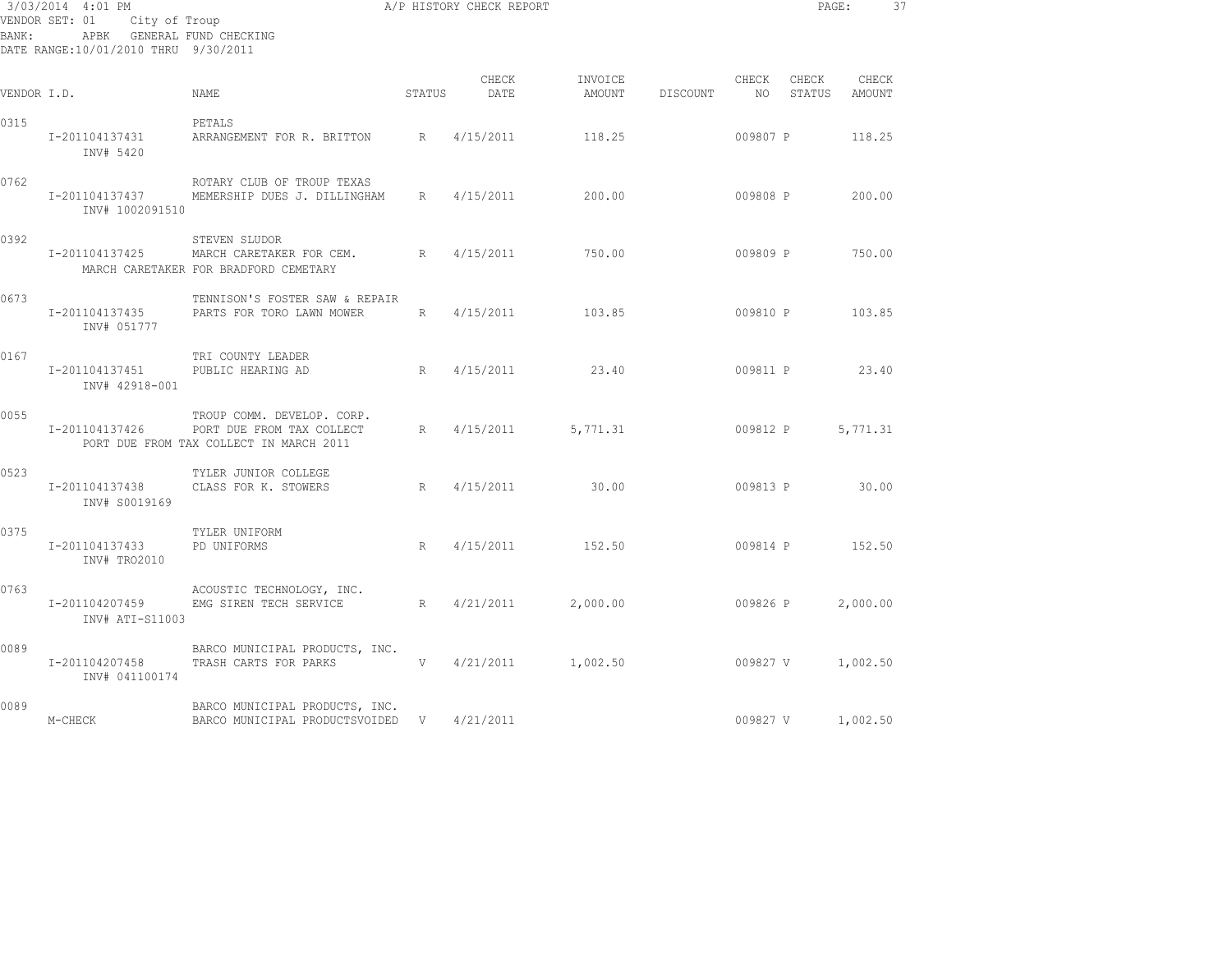| 3/03/2014 4:01 PM<br>VENDOR SET: 01 City of Troup<br>APBK GENERAL FUND CHECKING<br>BANK:<br>DATE RANGE:10/01/2010 THRU 9/30/2011 |                                                    |                                                                                                                   |        | A/P HISTORY CHECK REPORT |                   |                    |          |       | PAGE:<br>37     |  |
|----------------------------------------------------------------------------------------------------------------------------------|----------------------------------------------------|-------------------------------------------------------------------------------------------------------------------|--------|--------------------------|-------------------|--------------------|----------|-------|-----------------|--|
| VENDOR I.D.                                                                                                                      |                                                    | NAME                                                                                                              | STATUS | CHECK<br>DATE            | INVOICE<br>AMOUNT | DISCOUNT NO STATUS | CHECK    | CHECK | CHECK<br>AMOUNT |  |
| 0315                                                                                                                             | I-201104137431<br>INV# 5420                        | PETALS<br>ARRANGEMENT FOR R. BRITTON R 4/15/2011                                                                  |        |                          | 118.25            |                    | 009807 P |       | 118.25          |  |
| 0762                                                                                                                             | INV# 1002091510                                    | ROTARY CLUB OF TROUP TEXAS<br>I-201104137437 MEMERSHIP DUES J. DILLINGHAM                                         |        | R 4/15/2011              | 200.00            |                    |          |       | 009808 P 200.00 |  |
| 0392                                                                                                                             |                                                    | STEVEN SLUDOR<br>I-201104137425 MARCH CARETAKER FOR CEM. R 4/15/2011<br>MARCH CARETAKER FOR BRADFORD CEMETARY     |        |                          | 750.00            |                    | 009809 P |       | 750.00          |  |
| 0673                                                                                                                             | INV# 051777                                        | TENNISON'S FOSTER SAW & REPAIR<br>I-201104137435 PARTS FOR TORO LAWN MOWER                                        |        | R 4/15/2011              | 103.85            |                    |          |       | 009810 P 103.85 |  |
| 0167                                                                                                                             | I-201104137451 PUBLIC HEARING AD<br>INV# 42918-001 | TRI COUNTY LEADER<br>$R$ and $R$                                                                                  |        | 4/15/2011                | 23.40             |                    |          |       | 009811 P 23.40  |  |
| 0055                                                                                                                             |                                                    | TROUP COMM. DEVELOP. CORP.<br>I-201104137426 PORT DUE FROM TAX COLLECT<br>PORT DUE FROM TAX COLLECT IN MARCH 2011 |        | R 4/15/2011              | 5,771.31          |                    | 009812 P |       | 5,771.31        |  |
| 0523                                                                                                                             | INV# S0019169                                      | TYLER JUNIOR COLLEGE<br>I-201104137438 CLASS FOR K. STOWERS                                                       |        | R 4/15/2011              | 30.00             |                    |          |       | 009813 P 30.00  |  |
| 0375                                                                                                                             | I-201104137433 PD UNIFORMS<br>INV# TRO2010         | TYLER UNIFORM                                                                                                     | R      | 4/15/2011                | 152.50            |                    |          |       | 009814 P 152.50 |  |
| 0763                                                                                                                             | I-201104207459<br>INV# ATI-S11003                  | ACOUSTIC TECHNOLOGY, INC.<br>EMG SIREN TECH SERVICE                                                               | R      | 4/21/2011                | 2,000.00          |                    | 009826 P |       | 2,000.00        |  |
| 0089                                                                                                                             | I-201104207458<br>INV# 041100174                   | BARCO MUNICIPAL PRODUCTS, INC.<br>TRASH CARTS FOR PARKS                                                           |        | $V = 4/21/2011$          | 1,002.50          | $009827$ V         |          |       | 1,002.50        |  |
| 0089                                                                                                                             | M-CHECK                                            | BARCO MUNICIPAL PRODUCTS, INC.<br>BARCO MUNICIPAL PRODUCTSVOIDED V 4/21/2011                                      |        |                          |                   |                    | 009827 V |       | 1,002.50        |  |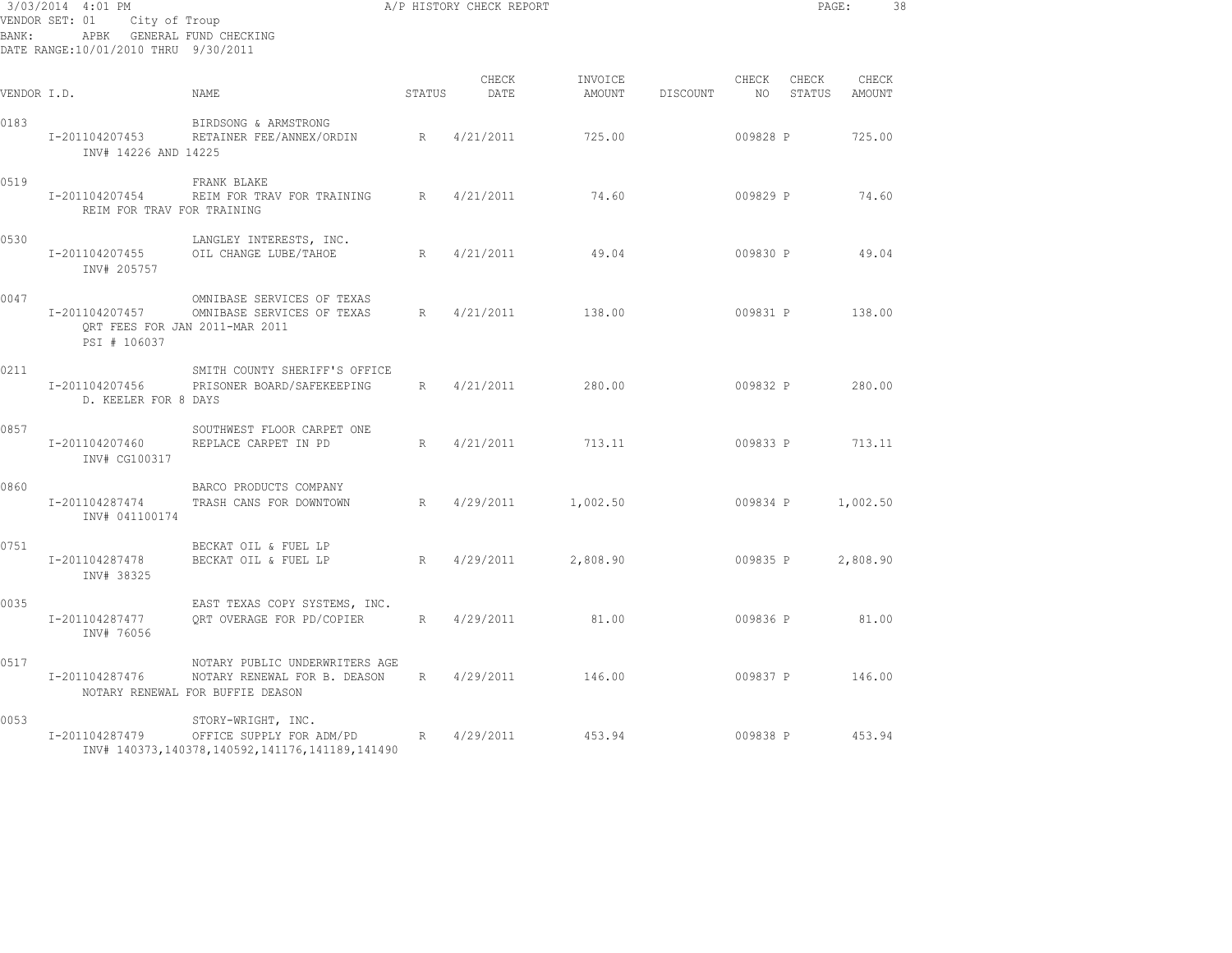| A/P HISTORY CHECK REPORT<br>3/03/2014 4:01 PM<br>VENDOR SET: 01 City of Troup<br>APBK GENERAL FUND CHECKING<br>BANK:<br>DATE RANGE: 10/01/2010 THRU 9/30/2011 |                                              |                                                                                                                     |        |               |                   |          |                          |                 | PAGE:                  | 38 |
|---------------------------------------------------------------------------------------------------------------------------------------------------------------|----------------------------------------------|---------------------------------------------------------------------------------------------------------------------|--------|---------------|-------------------|----------|--------------------------|-----------------|------------------------|----|
| VENDOR I.D.                                                                                                                                                   |                                              | NAME                                                                                                                | STATUS | CHECK<br>DATE | INVOICE<br>AMOUNT | DISCOUNT | CHECK<br>NO <sub>1</sub> | CHECK           | CHECK<br>STATUS AMOUNT |    |
| 0183                                                                                                                                                          | I-201104207453<br>INV# 14226 AND 14225       | BIRDSONG & ARMSTRONG<br>RETAINER FEE/ANNEX/ORDIN R 4/21/2011                                                        |        |               | 725.00            |          | 009828 P                 |                 | 725.00                 |    |
| 0519                                                                                                                                                          | I-201104207454<br>REIM FOR TRAV FOR TRAINING | FRANK BLAKE<br>REIM FOR TRAV FOR TRAINING R 4/21/2011                                                               |        |               | 74.60             |          | 009829 P                 |                 | 74.60                  |    |
| 0530                                                                                                                                                          | I-201104207455<br>INV# 205757                | LANGLEY INTERESTS, INC.<br>R<br>OIL CHANGE LUBE/TAHOE                                                               |        | 4/21/2011     | 49.04             |          | 009830 P                 |                 | 49.04                  |    |
| 0047                                                                                                                                                          | I-201104207457<br>PSI # 106037               | OMNIBASE SERVICES OF TEXAS<br>OMNIBASE SERVICES OF TEXAS<br>QRT FEES FOR JAN 2011-MAR 2011                          | R      | 4/21/2011     | 138.00            |          |                          | 009831 P 138.00 |                        |    |
| 0211                                                                                                                                                          | I-201104207456<br>D. KEELER FOR 8 DAYS       | SMITH COUNTY SHERIFF'S OFFICE<br>PRISONER BOARD/SAFEKEEPING                                                         | R      | 4/21/2011     | 280.00            |          |                          | 009832 P        | 280.00                 |    |
| 0857                                                                                                                                                          | I-201104207460<br>INV# CG100317              | SOUTHWEST FLOOR CARPET ONE<br>REPLACE CARPET IN PD                                                                  | R      | 4/21/2011     | 713.11            |          | 009833 P                 |                 | 713.11                 |    |
| 0860                                                                                                                                                          | I-201104287474<br>INV# 041100174             | BARCO PRODUCTS COMPANY<br>R<br>TRASH CANS FOR DOWNTOWN                                                              |        | 4/29/2011     | 1,002.50          |          | 009834 P                 |                 | 1,002.50               |    |
| 0751                                                                                                                                                          | I-201104287478<br>INV# 38325                 | BECKAT OIL & FUEL LP<br>BECKAT OIL & FUEL LP                                                                        |        | R 4/29/2011   | 2,808.90          |          | 009835 P                 |                 | 2,808.90               |    |
| 0035                                                                                                                                                          | I-201104287477<br>INV# 76056                 | EAST TEXAS COPY SYSTEMS, INC.<br>ORT OVERAGE FOR PD/COPIER                                                          |        | R 4/29/2011   | 81.00             |          | 009836 P                 |                 | 81.00                  |    |
| 0517                                                                                                                                                          | I-201104287476                               | NOTARY PUBLIC UNDERWRITERS AGE<br>NOTARY RENEWAL FOR B. DEASON<br>NOTARY RENEWAL FOR BUFFIE DEASON                  |        | R 4/29/2011   | 146.00            |          |                          | 009837 P 146.00 |                        |    |
| 0053                                                                                                                                                          | I-201104287479                               | STORY-WRIGHT, INC.<br>OFFICE SUPPLY FOR ADM/PD R 4/29/2011 453.94<br>INV# 140373,140378,140592,141176,141189,141490 |        |               |                   |          |                          | 009838 P 453.94 |                        |    |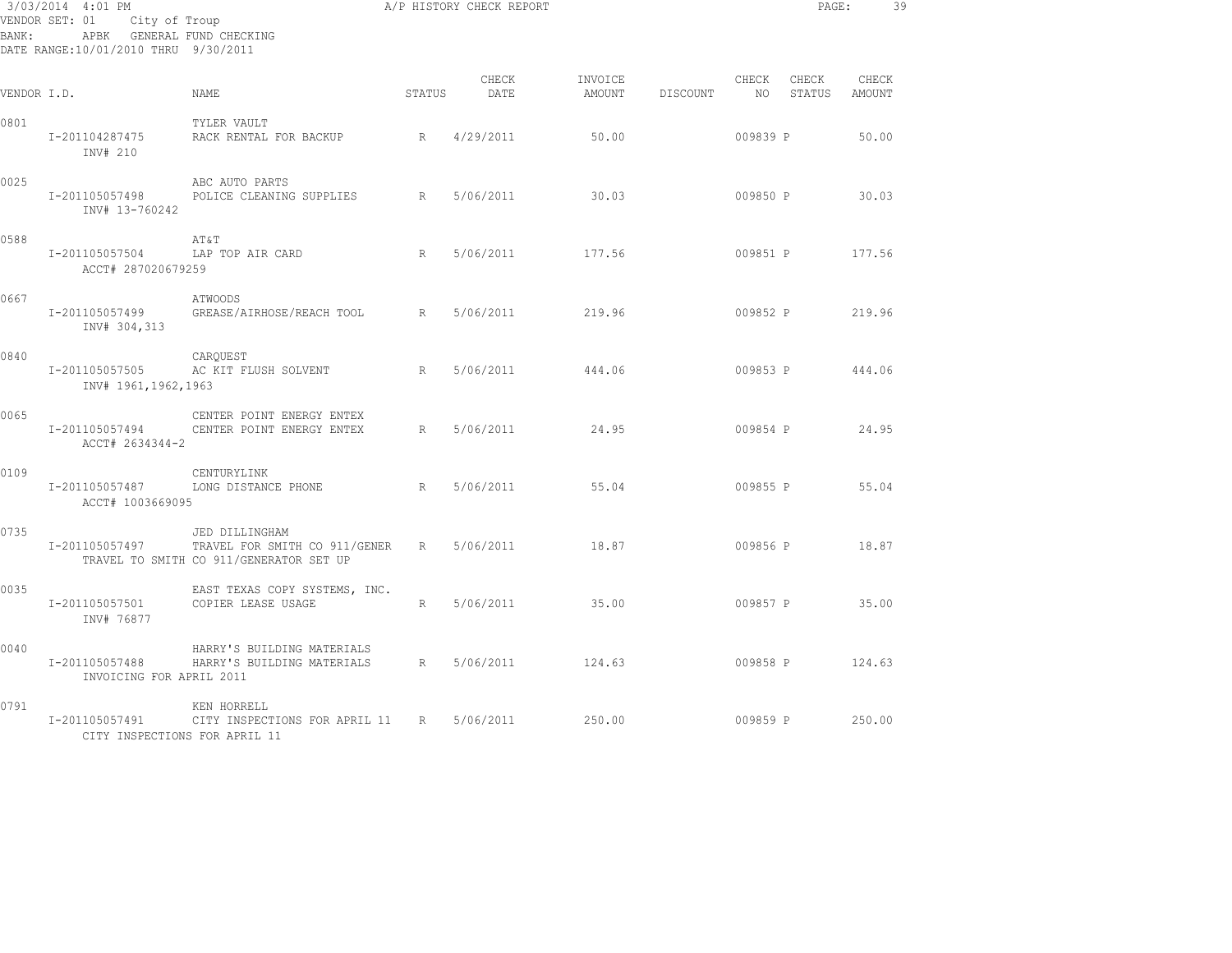| 3/03/2014 4:01 PM<br>VENDOR SET: 01<br>City of Troup<br>APBK GENERAL FUND CHECKING<br>BANK :<br>DATE RANGE:10/01/2010 THRU 9/30/2011 |                                                 |                                                                                            |                 | A/P HISTORY CHECK REPORT |                   |          |                | PAGE:           | 39              |
|--------------------------------------------------------------------------------------------------------------------------------------|-------------------------------------------------|--------------------------------------------------------------------------------------------|-----------------|--------------------------|-------------------|----------|----------------|-----------------|-----------------|
| VENDOR I.D.                                                                                                                          |                                                 | NAME.                                                                                      | STATUS          | CHECK<br>DATE            | INVOICE<br>AMOUNT | DISCOUNT | CHECK<br>NO 11 | CHECK<br>STATUS | CHECK<br>AMOUNT |
| 0801                                                                                                                                 | I-201104287475<br>INV# 210                      | TYLER VAULT<br>RACK RENTAL FOR BACKUP                                                      | R               | 4/29/2011                | 50.00             |          | 009839 P       |                 | 50.00           |
| 0025                                                                                                                                 | I-201105057498<br>INV# 13-760242                | ABC AUTO PARTS<br>POLICE CLEANING SUPPLIES                                                 | R               | 5/06/2011                | 30.03             |          | 009850 P       |                 | 30.03           |
| 0588                                                                                                                                 | I-201105057504<br>ACCT# 287020679259            | AT&T<br>LAP TOP AIR CARD                                                                   | R               | 5/06/2011                | 177.56            |          | 009851 P       |                 | 177.56          |
| 0667                                                                                                                                 | I-201105057499<br>INV# 304,313                  | ATWOODS<br>GREASE/AIRHOSE/REACH TOOL R                                                     |                 | 5/06/2011                | 219.96            |          | 009852 P       |                 | 219.96          |
| 0840                                                                                                                                 | I-201105057505<br>INV# 1961,1962,1963           | CARQUEST<br>AC KIT FLUSH SOLVENT                                                           | R               | 5/06/2011                | 444.06            |          | 009853 P       |                 | 444.06          |
| 0065                                                                                                                                 | I-201105057494<br>ACCT# 2634344-2               | CENTER POINT ENERGY ENTEX<br>CENTER POINT ENERGY ENTEX                                     | R               | 5/06/2011                | 24.95             |          | 009854 P       |                 | 24.95           |
| 0109                                                                                                                                 | I-201105057487<br>ACCT# 1003669095              | CENTURYLINK<br>LONG DISTANCE PHONE                                                         | R               | 5/06/2011                | 55.04             |          | 009855 P       |                 | 55.04           |
| 0735                                                                                                                                 | I-201105057497                                  | JED DILLINGHAM<br>TRAVEL FOR SMITH CO 911/GENER<br>TRAVEL TO SMITH CO 911/GENERATOR SET UP | $R_{\parallel}$ | 5/06/2011                | 18.87             |          | 009856 P       |                 | 18.87           |
| 0035                                                                                                                                 | I-201105057501<br>INV# 76877                    | EAST TEXAS COPY SYSTEMS, INC.<br>COPIER LEASE USAGE                                        | R               | 5/06/2011                | 35.00             |          | 009857 P       |                 | 35.00           |
| 0040                                                                                                                                 | I-201105057488<br>INVOICING FOR APRIL 2011      | HARRY'S BUILDING MATERIALS<br>HARRY'S BUILDING MATERIALS                                   | R               | 5/06/2011                | 124.63            |          | 009858 P       |                 | 124.63          |
| 0791                                                                                                                                 | I-201105057491<br>CITY INSPECTIONS FOR APRIL 11 | KEN HORRELL<br>CITY INSPECTIONS FOR APRIL 11 R                                             |                 | 5/06/2011                | 250.00            |          | 009859 P       |                 | 250.00          |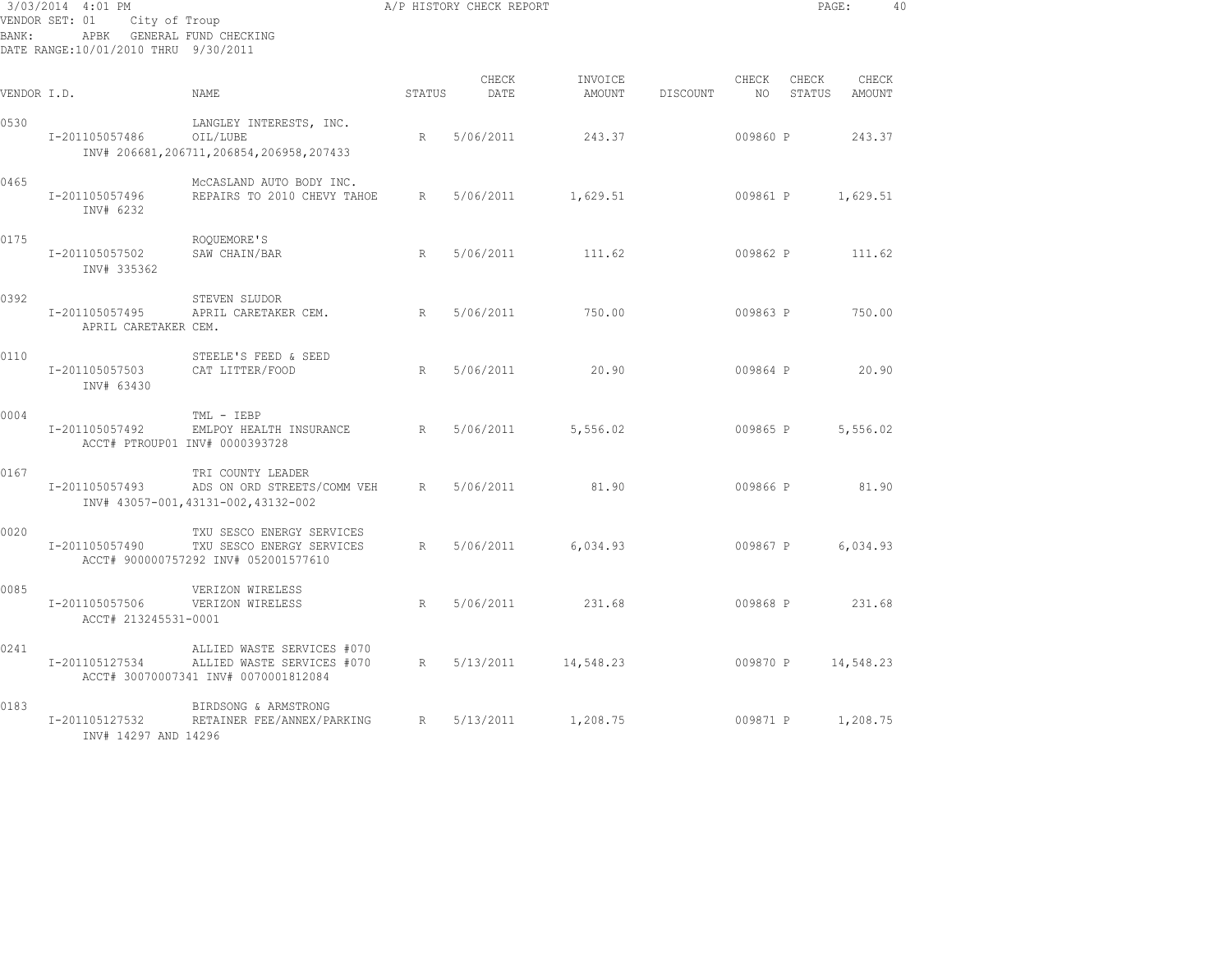| 3/03/2014 4:01 PM<br>VENDOR SET: 01<br>City of Troup<br>APBK GENERAL FUND CHECKING<br>BANK:<br>DATE RANGE:10/01/2010 THRU 9/30/2011 |                                        |                                                                                                  | A/P HISTORY CHECK REPORT |               |                   |          | PAGE:       |                 | 40              |  |
|-------------------------------------------------------------------------------------------------------------------------------------|----------------------------------------|--------------------------------------------------------------------------------------------------|--------------------------|---------------|-------------------|----------|-------------|-----------------|-----------------|--|
| VENDOR I.D.                                                                                                                         |                                        | NAME                                                                                             | STATUS                   | CHECK<br>DATE | INVOICE<br>AMOUNT | DISCOUNT | CHECK<br>NO | CHECK<br>STATUS | CHECK<br>AMOUNT |  |
| 0530                                                                                                                                | I-201105057486                         | LANGLEY INTERESTS, INC.<br>OIL/LUBE<br>INV# 206681, 206711, 206854, 206958, 207433               | R                        | 5/06/2011     | 243.37            |          | 009860 P    |                 | 243.37          |  |
| 0465                                                                                                                                | I-201105057496<br>INV# 6232            | MCCASLAND AUTO BODY INC.<br>REPAIRS TO 2010 CHEVY TAHOE                                          | R                        | 5/06/2011     | 1,629.51          |          | 009861 P    |                 | 1,629.51        |  |
| 0175                                                                                                                                | I-201105057502<br>INV# 335362          | ROQUEMORE'S<br>SAW CHAIN/BAR                                                                     | R                        | 5/06/2011     | 111.62            |          | 009862 P    |                 | 111.62          |  |
| 0392                                                                                                                                | I-201105057495<br>APRIL CARETAKER CEM. | STEVEN SLUDOR<br>APRIL CARETAKER CEM.                                                            | R                        | 5/06/2011     | 750.00            |          | 009863 P    |                 | 750.00          |  |
| 0110                                                                                                                                | I-201105057503<br>INV# 63430           | STEELE'S FEED & SEED<br>CAT LITTER/FOOD                                                          | R                        | 5/06/2011     | 20.90             |          | 009864 P    |                 | 20.90           |  |
| 0004                                                                                                                                | I-201105057492                         | TML - IEBP<br>EMLPOY HEALTH INSURANCE<br>ACCT# PTROUP01 INV# 0000393728                          | R                        | 5/06/2011     | 5,556.02          |          | 009865 P    |                 | 5,556.02        |  |
| 0167                                                                                                                                | I-201105057493                         | TRI COUNTY LEADER<br>ADS ON ORD STREETS/COMM VEH<br>INV# 43057-001, 43131-002, 43132-002         | R                        | 5/06/2011     | 81.90             |          | 009866 P    |                 | 81.90           |  |
| 0020                                                                                                                                | I-201105057490                         | TXU SESCO ENERGY SERVICES<br>TXU SESCO ENERGY SERVICES<br>ACCT# 900000757292 INV# 052001577610   | R                        | 5/06/2011     | 6,034.93          |          | 009867 P    |                 | 6,034.93        |  |
| 0085                                                                                                                                | I-201105057506<br>ACCT# 213245531-0001 | VERIZON WIRELESS<br>VERIZON WIRELESS                                                             | R                        | 5/06/2011     | 231.68            |          | 009868 P    |                 | 231.68          |  |
| 0241                                                                                                                                | I-201105127534                         | ALLIED WASTE SERVICES #070<br>ALLIED WASTE SERVICES #070<br>ACCT# 30070007341 INV# 0070001812084 | R                        | 5/13/2011     | 14,548.23         |          | 009870 P    |                 | 14,548.23       |  |
| 0183                                                                                                                                | I-201105127532<br>INV# 14297 AND 14296 | BIRDSONG & ARMSTRONG<br>RETAINER FEE/ANNEX/PARKING                                               | R                        | 5/13/2011     | 1,208.75          |          | 009871 P    |                 | 1,208.75        |  |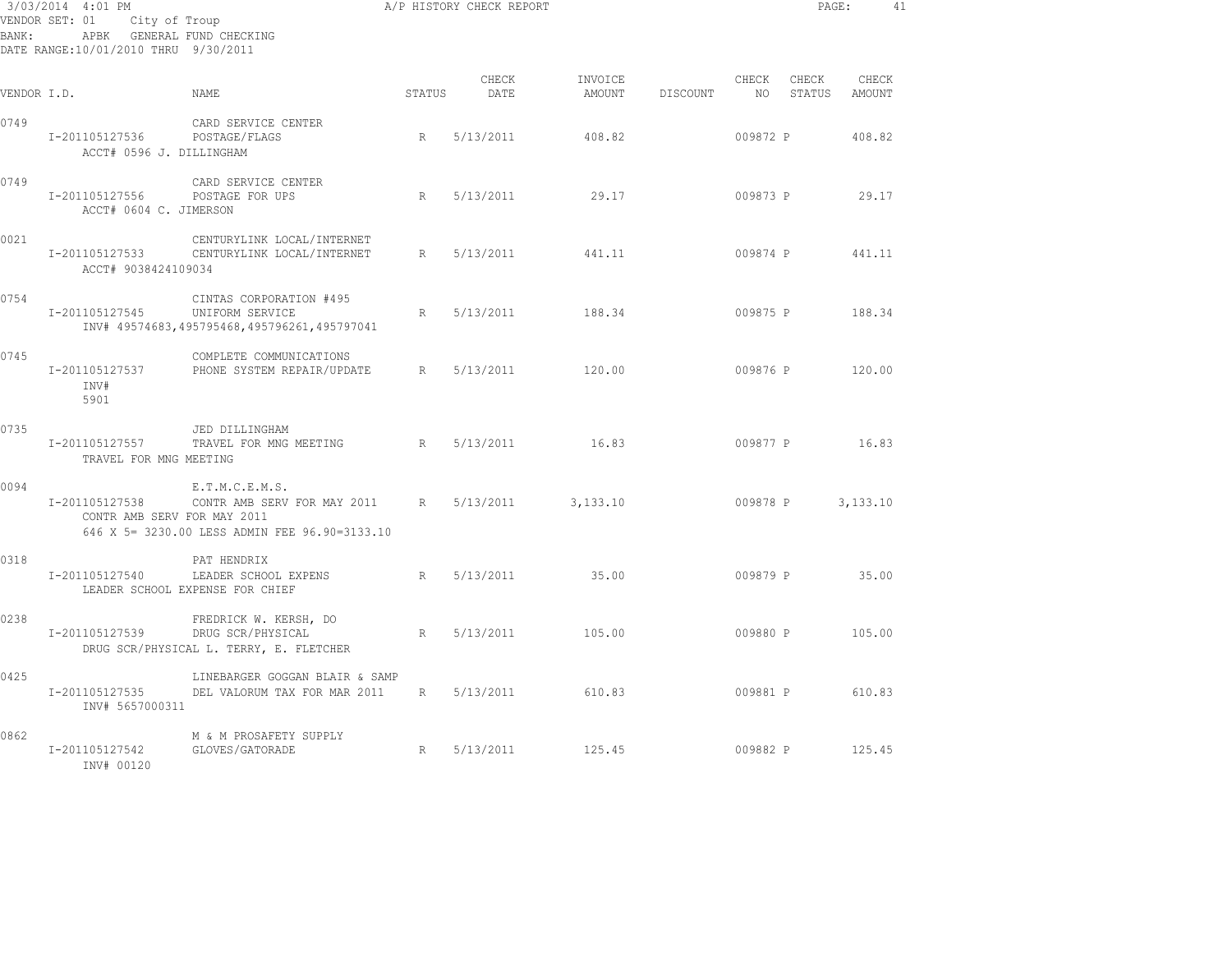| BANK:       | 3/03/2014 4:01 PM<br>VENDOR SET: 01<br>City of Troup<br>APBK GENERAL FUND CHECKING<br>DATE RANGE: 10/01/2010 THRU 9/30/2011 |                                                                                                |                 | A/P HISTORY CHECK REPORT |                   |          |             | PAGE:           |                 | 41 |
|-------------|-----------------------------------------------------------------------------------------------------------------------------|------------------------------------------------------------------------------------------------|-----------------|--------------------------|-------------------|----------|-------------|-----------------|-----------------|----|
| VENDOR I.D. |                                                                                                                             | NAME                                                                                           | STATUS          | CHECK<br>DATE            | INVOICE<br>AMOUNT | DISCOUNT | CHECK<br>NO | CHECK<br>STATUS | CHECK<br>AMOUNT |    |
| 0749        | I-201105127536<br>ACCT# 0596 J. DILLINGHAM                                                                                  | CARD SERVICE CENTER<br>POSTAGE/FLAGS                                                           | R               | 5/13/2011                | 408.82            |          | 009872 P    |                 | 408.82          |    |
| 0749        | I-201105127556<br>ACCT# 0604 C. JIMERSON                                                                                    | CARD SERVICE CENTER<br>POSTAGE FOR UPS                                                         | R               | 5/13/2011                | 29.17             |          | 009873 P    |                 | 29.17           |    |
| 0021        | I-201105127533<br>ACCT# 9038424109034                                                                                       | CENTURYLINK LOCAL/INTERNET<br>CENTURYLINK LOCAL/INTERNET                                       | R               | 5/13/2011                | 441.11            |          | 009874 P    |                 | 441.11          |    |
| 0754        | I-201105127545                                                                                                              | CINTAS CORPORATION #495<br>UNIFORM SERVICE<br>INV# 49574683,495795468,495796261,495797041      | R               | 5/13/2011                | 188.34            |          | 009875 P    |                 | 188.34          |    |
| 0745        | I-201105127537<br>INV#<br>5901                                                                                              | COMPLETE COMMUNICATIONS<br>PHONE SYSTEM REPAIR/UPDATE                                          | R               | 5/13/2011                | 120.00            |          | 009876 P    |                 | 120.00          |    |
| 0735        | I-201105127557<br>TRAVEL FOR MNG MEETING                                                                                    | JED DILLINGHAM<br>TRAVEL FOR MNG MEETING                                                       | R               | 5/13/2011                | 16.83             |          | 009877 P    |                 | 16.83           |    |
| 0094        | I-201105127538<br>CONTR AMB SERV FOR MAY 2011                                                                               | E.T.M.C.E.M.S.<br>CONTR AMB SERV FOR MAY 2011<br>646 X 5= 3230.00 LESS ADMIN FEE 96.90=3133.10 | R               | 5/13/2011                | 3,133.10          |          | 009878 P    |                 | 3,133.10        |    |
| 0318        | I-201105127540                                                                                                              | PAT HENDRIX<br>LEADER SCHOOL EXPENS<br>LEADER SCHOOL EXPENSE FOR CHIEF                         | R               | 5/13/2011                | 35.00             |          | 009879 P    |                 | 35.00           |    |
| 0238        | I-201105127539                                                                                                              | FREDRICK W. KERSH, DO<br>DRUG SCR/PHYSICAL<br>DRUG SCR/PHYSICAL L. TERRY, E. FLETCHER          | R               | 5/13/2011                | 105.00            |          | 009880 P    |                 | 105.00          |    |
| 0425        | I-201105127535<br>INV# 5657000311                                                                                           | LINEBARGER GOGGAN BLAIR & SAMP<br>DEL VALORUM TAX FOR MAR 2011                                 | $R_{\parallel}$ | 5/13/2011                | 610.83            |          | 009881 P    |                 | 610.83          |    |
| 0862        | I-201105127542<br>INV# 00120                                                                                                | M & M PROSAFETY SUPPLY<br>GLOVES/GATORADE                                                      | R               | 5/13/2011                | 125.45            |          | 009882 P    |                 | 125.45          |    |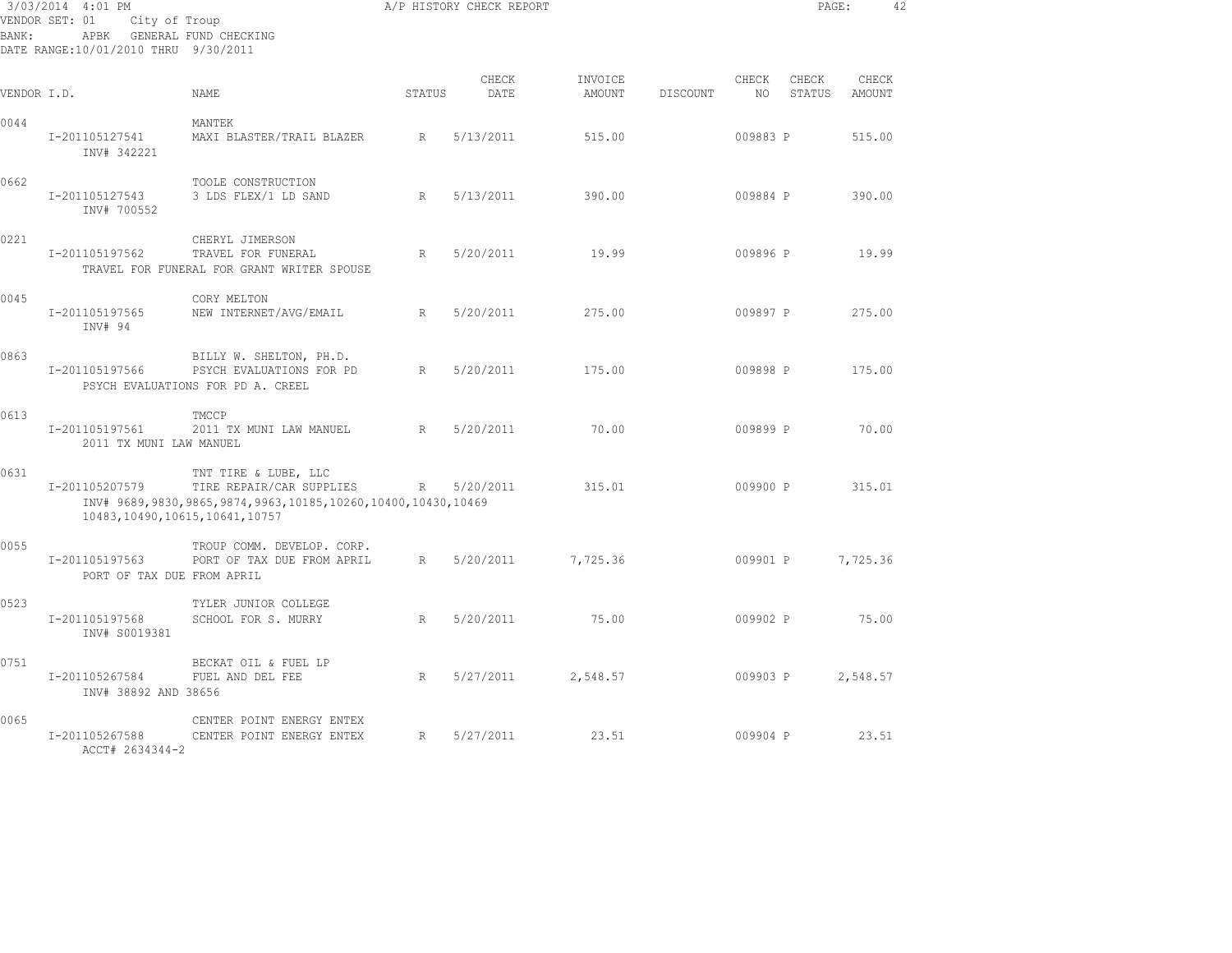| 3/03/2014 4:01 PM<br>VENDOR SET: 01<br>City of Troup<br>APBK GENERAL FUND CHECKING<br>BANK:<br>DATE RANGE:10/01/2010 THRU 9/30/2011 |                                                     |                                                                                                                          |             | A/P HISTORY CHECK REPORT |                   |          |               | PAGE:           |                 | 42 |
|-------------------------------------------------------------------------------------------------------------------------------------|-----------------------------------------------------|--------------------------------------------------------------------------------------------------------------------------|-------------|--------------------------|-------------------|----------|---------------|-----------------|-----------------|----|
| VENDOR I.D.                                                                                                                         |                                                     | <b>NAME</b>                                                                                                              | STATUS      | CHECK<br>DATE            | INVOICE<br>AMOUNT | DISCOUNT | CHECK<br>NO . | CHECK<br>STATUS | CHECK<br>AMOUNT |    |
| 0044                                                                                                                                | I-201105127541<br>INV# 342221                       | MANTEK<br>MAXI BLASTER/TRAIL BLAZER                                                                                      | R           | 5/13/2011                | 515.00            |          | 009883 P      |                 | 515.00          |    |
| 0662                                                                                                                                | I-201105127543<br>INV# 700552                       | TOOLE CONSTRUCTION<br>3 LDS FLEX/1 LD SAND                                                                               | R           | 5/13/2011                | 390.00            |          | 009884 P      |                 | 390.00          |    |
| 0221                                                                                                                                | I-201105197562                                      | CHERYL JIMERSON<br>TRAVEL FOR FUNERAL<br>TRAVEL FOR FUNERAL FOR GRANT WRITER SPOUSE                                      | R           | 5/20/2011                | 19.99             |          | 009896 P      |                 | 19.99           |    |
| 0045                                                                                                                                | I-201105197565<br>INV# 94                           | CORY MELTON<br>NEW INTERNET/AVG/EMAIL                                                                                    | R           | 5/20/2011                | 275.00            |          | 009897 P      |                 | 275.00          |    |
| 0863                                                                                                                                | I-201105197566                                      | BILLY W. SHELTON, PH.D.<br>PSYCH EVALUATIONS FOR PD<br>PSYCH EVALUATIONS FOR PD A. CREEL                                 | R           | 5/20/2011                | 175.00            |          | 009898 P      |                 | 175.00          |    |
| 0613                                                                                                                                | I-201105197561<br>2011 TX MUNI LAW MANUEL           | TMCCP<br>2011 TX MUNI LAW MANUEL                                                                                         | R           | 5/20/2011                | 70.00             |          | 009899 P      |                 | 70.00           |    |
| 0631                                                                                                                                | I-201105207579<br>10483, 10490, 10615, 10641, 10757 | TNT TIRE & LUBE, LLC<br>TIRE REPAIR/CAR SUPPLIES<br>INV# 9689, 9830, 9865, 9874, 9963, 10185, 10260, 10400, 10430, 10469 | $R_{\perp}$ | 5/20/2011                | 315.01            |          | 009900 P      |                 | 315.01          |    |
| 0055                                                                                                                                | I-201105197563<br>PORT OF TAX DUE FROM APRIL        | TROUP COMM. DEVELOP. CORP.<br>PORT OF TAX DUE FROM APRIL                                                                 | R           | 5/20/2011                | 7,725.36          |          | 009901 P      |                 | 7,725.36        |    |
| 0523                                                                                                                                | I-201105197568<br>INV# S0019381                     | TYLER JUNIOR COLLEGE<br>SCHOOL FOR S. MURRY                                                                              | R           | 5/20/2011                | 75.00             |          | 009902 P      |                 | 75.00           |    |
| 0751                                                                                                                                | I-201105267584<br>INV# 38892 AND 38656              | BECKAT OIL & FUEL LP<br>FUEL AND DEL FEE                                                                                 | R           | 5/27/2011                | 2,548.57          |          | 009903 P      |                 | 2,548.57        |    |
| 0065                                                                                                                                | I-201105267588<br>ACCT# 2634344-2                   | CENTER POINT ENERGY ENTEX<br>CENTER POINT ENERGY ENTEX                                                                   | R           | 5/27/2011                | 23.51             |          | 009904 P      |                 | 23.51           |    |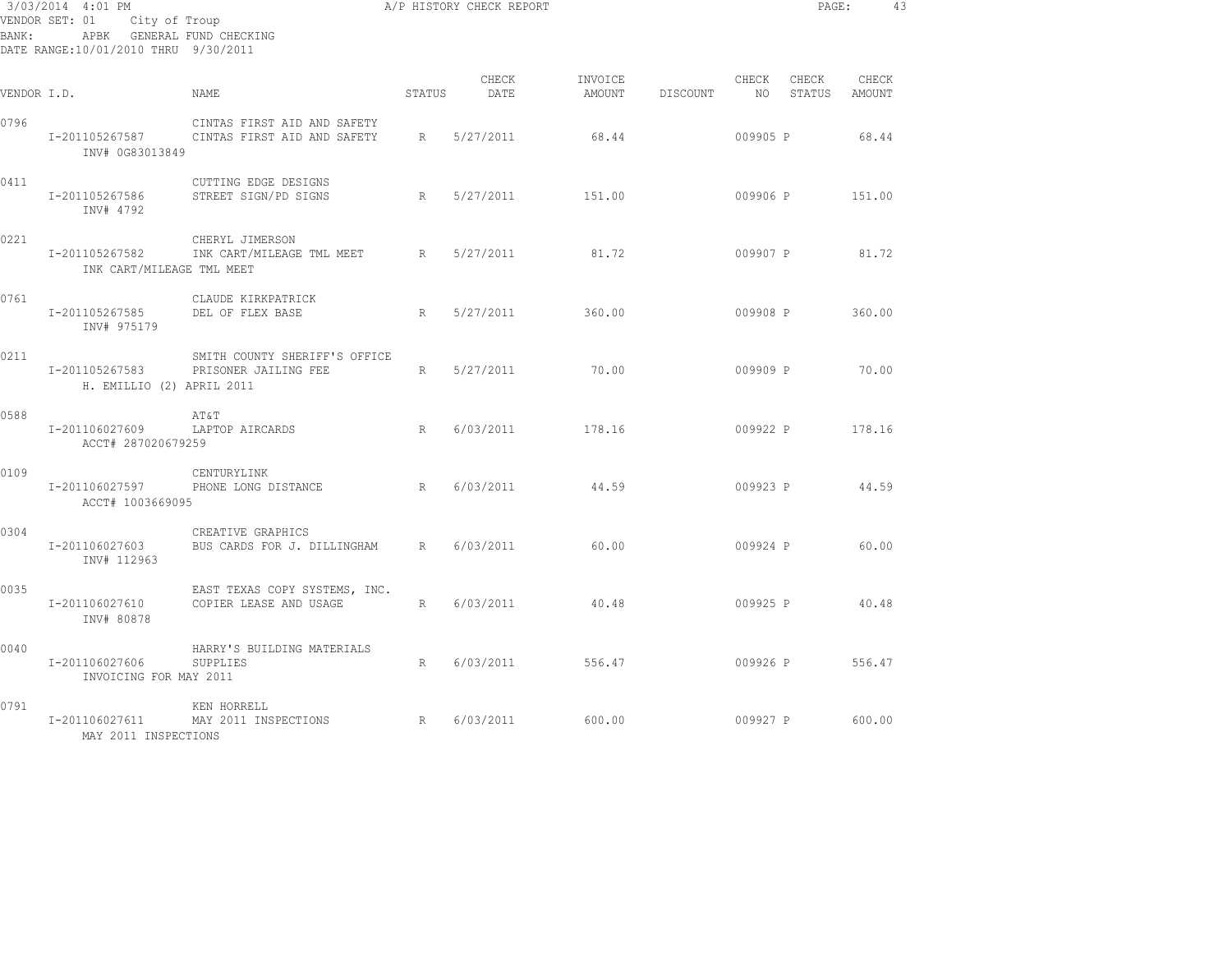| 3/03/2014 4:01 PM<br>VENDOR SET: 01 City of Troup<br>APBK GENERAL FUND CHECKING<br>BANK:<br>DATE RANGE:10/01/2010 THRU 9/30/2011 |                                             |                                                            |             | A/P HISTORY CHECK REPORT |                   |          |          | PAGE:              |                 | 43 |
|----------------------------------------------------------------------------------------------------------------------------------|---------------------------------------------|------------------------------------------------------------|-------------|--------------------------|-------------------|----------|----------|--------------------|-----------------|----|
| VENDOR I.D.                                                                                                                      |                                             | NAME                                                       | STATUS      | CHECK<br>DATE            | INVOICE<br>AMOUNT | DISCOUNT | CHECK    | CHECK<br>NO STATUS | CHECK<br>AMOUNT |    |
| 0796                                                                                                                             | I-201105267587<br>INV# 0G83013849           | CINTAS FIRST AID AND SAFETY<br>CINTAS FIRST AID AND SAFETY | R           | 5/27/2011                | 68.44             |          | 009905 P |                    | 68.44           |    |
| 0411                                                                                                                             | I-201105267586<br>INV# 4792                 | CUTTING EDGE DESIGNS<br>STREET SIGN/PD SIGNS               | R           | 5/27/2011                | 151.00            |          | 009906 P |                    | 151.00          |    |
| 0221                                                                                                                             | I-201105267582<br>INK CART/MILEAGE TML MEET | CHERYL JIMERSON<br>INK CART/MILEAGE TML MEET R             |             | 5/27/2011                | 81.72             |          | 009907 P |                    | 81.72           |    |
| 0761                                                                                                                             | I-201105267585<br>INV# 975179               | CLAUDE KIRKPATRICK<br>DEL OF FLEX BASE                     | R           | 5/27/2011                | 360.00            |          | 009908 P |                    | 360.00          |    |
| 0211                                                                                                                             | I-201105267583<br>H. EMILLIO (2) APRIL 2011 | SMITH COUNTY SHERIFF'S OFFICE<br>PRISONER JAILING FEE      |             | R 5/27/2011              | 70.00             |          | 009909 P |                    | 70.00           |    |
| 0588                                                                                                                             | I-201106027609<br>ACCT# 287020679259        | AT&T<br>R<br>LAPTOP AIRCARDS                               |             | 6/03/2011                | 178.16            |          |          | 009922 P           | 178.16          |    |
| 0109                                                                                                                             | I-201106027597<br>ACCT# 1003669095          | CENTURYLINK<br>R<br>PHONE LONG DISTANCE                    |             | 6/03/2011                | 44.59             |          | 009923 P |                    | 44.59           |    |
| 0304                                                                                                                             | I-201106027603<br>INV# 112963               | CREATIVE GRAPHICS<br>BUS CARDS FOR J. DILLINGHAM R         |             | 6/03/2011                | 60.00             |          |          | 009924 P 60.00     |                 |    |
| 0035                                                                                                                             | I-201106027610<br>INV# 80878                | EAST TEXAS COPY SYSTEMS, INC.<br>COPIER LEASE AND USAGE    | R           | 6/03/2011                | 40.48             |          |          | 009925 P           | 40.48           |    |
| 0040                                                                                                                             | I-201106027606<br>INVOICING FOR MAY 2011    | HARRY'S BUILDING MATERIALS<br>SUPPLIES                     | $R_{\perp}$ | 6/03/2011 556.47         |                   |          |          | 009926 P 556.47    |                 |    |
| 0791                                                                                                                             | I-201106027611<br>MAY 2011 INSPECTIONS      | KEN HORRELL<br>MAY 2011 INSPECTIONS R                      |             | 6/03/2011                | 600.00            |          | 009927 P |                    | 600.00          |    |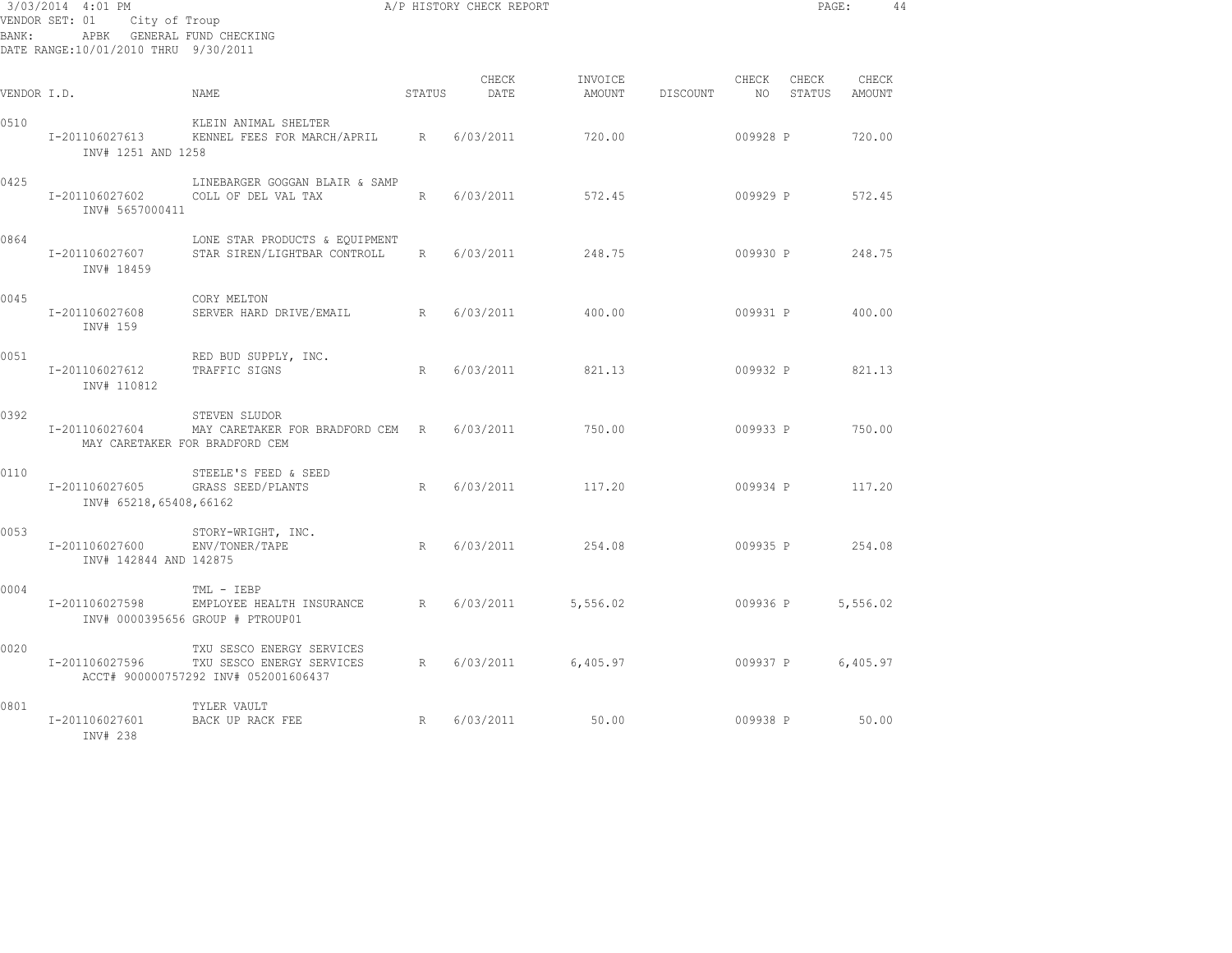| 3/03/2014 4:01 PM<br>VENDOR SET: 01<br>City of Troup<br>APBK GENERAL FUND CHECKING<br>BANK:<br>DATE RANGE:10/01/2010 THRU 9/30/2011 |                                                  |                                                                                                |        | A/P HISTORY CHECK REPORT |                   |          |                | PAGE:           |                 | 44 |
|-------------------------------------------------------------------------------------------------------------------------------------|--------------------------------------------------|------------------------------------------------------------------------------------------------|--------|--------------------------|-------------------|----------|----------------|-----------------|-----------------|----|
| VENDOR I.D.                                                                                                                         |                                                  | NAME.                                                                                          | STATUS | CHECK<br>DATE            | INVOICE<br>AMOUNT | DISCOUNT | CHECK<br>NO 11 | CHECK<br>STATUS | CHECK<br>AMOUNT |    |
| 0510                                                                                                                                | I-201106027613<br>INV# 1251 AND 1258             | KLEIN ANIMAL SHELTER<br>KENNEL FEES FOR MARCH/APRIL                                            | R      | 6/03/2011                | 720.00            |          | 009928 P       |                 | 720.00          |    |
| 0425                                                                                                                                | I-201106027602<br>INV# 5657000411                | LINEBARGER GOGGAN BLAIR & SAMP<br>COLL OF DEL VAL TAX                                          | R      | 6/03/2011                | 572.45            |          | 009929 P       |                 | 572.45          |    |
| 0864                                                                                                                                | I-201106027607<br>INV# 18459                     | LONE STAR PRODUCTS & EQUIPMENT<br>STAR SIREN/LIGHTBAR CONTROLL                                 | R      | 6/03/2011                | 248.75            |          | 009930 P       |                 | 248.75          |    |
| 0045                                                                                                                                | I-201106027608<br>INV# 159                       | CORY MELTON<br>SERVER HARD DRIVE/EMAIL<br>R                                                    |        | 6/03/2011                | 400.00            |          | 009931 P       |                 | 400.00          |    |
| 0051                                                                                                                                | I-201106027612<br>INV# 110812                    | RED BUD SUPPLY, INC.<br>TRAFFIC SIGNS                                                          | R      | 6/03/2011                | 821.13            |          | 009932 P       |                 | 821.13          |    |
| 0392                                                                                                                                | I-201106027604<br>MAY CARETAKER FOR BRADFORD CEM | STEVEN SLUDOR<br>MAY CARETAKER FOR BRADFORD CEM R                                              |        | 6/03/2011                | 750.00            |          | 009933 P       |                 | 750.00          |    |
| 0110                                                                                                                                | I-201106027605<br>INV# 65218,65408,66162         | STEELE'S FEED & SEED<br>GRASS SEED/PLANTS                                                      | R      | 6/03/2011                | 117.20            |          | 009934 P       |                 | 117.20          |    |
| 0053                                                                                                                                | I-201106027600<br>INV# 142844 AND 142875         | STORY-WRIGHT, INC.<br>ENV/TONER/TAPE                                                           | R      | 6/03/2011                | 254.08            |          |                | 009935 P 254.08 |                 |    |
| 0004                                                                                                                                | I-201106027598                                   | TML - IEBP<br>EMPLOYEE HEALTH INSURANCE R<br>INV# 0000395656 GROUP # PTROUP01                  |        | 6/03/2011                | 5,556.02          |          | 009936 P       |                 | 5,556.02        |    |
| 0020                                                                                                                                | I-201106027596                                   | TXU SESCO ENERGY SERVICES<br>TXU SESCO ENERGY SERVICES<br>ACCT# 900000757292 INV# 052001606437 | R      | 6/03/2011                | 6,405.97          |          | 009937 P       |                 | 6,405.97        |    |
| 0801                                                                                                                                | I-201106027601<br>INV# 238                       | TYLER VAULT<br>R<br>BACK UP RACK FEE                                                           |        | 6/03/2011                | 50.00             |          | 009938 P       |                 | 50.00           |    |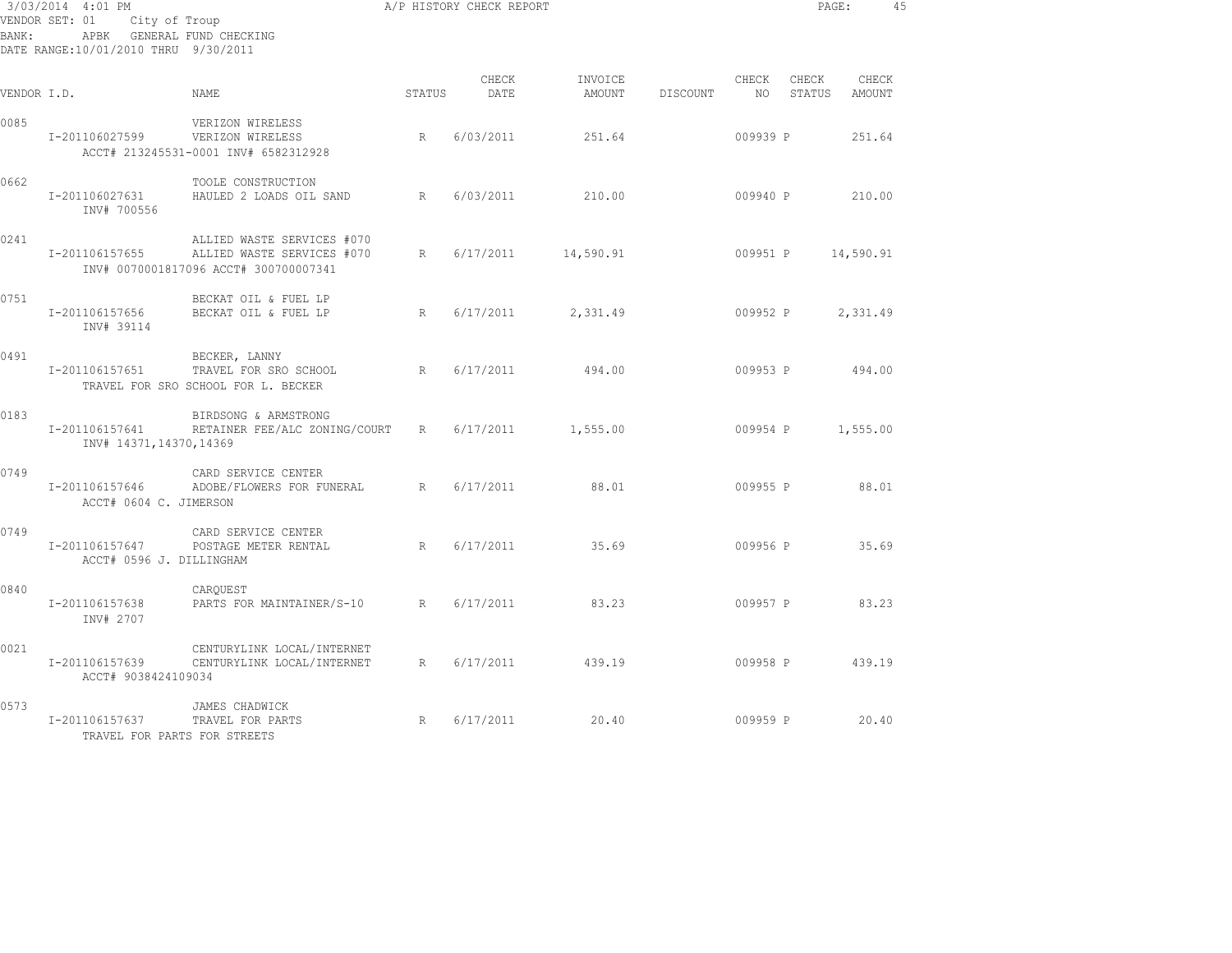| BANK:       | 3/03/2014 4:01 PM<br>VENDOR SET: 01<br>City of Troup<br>APBK GENERAL FUND CHECKING<br>DATE RANGE:10/01/2010 THRU 9/30/2011 | A/P HISTORY CHECK REPORT                                                                          |        |               |                   |          |             | PAGE:           |                 | 45 |
|-------------|----------------------------------------------------------------------------------------------------------------------------|---------------------------------------------------------------------------------------------------|--------|---------------|-------------------|----------|-------------|-----------------|-----------------|----|
| VENDOR I.D. |                                                                                                                            | NAME.                                                                                             | STATUS | CHECK<br>DATE | INVOICE<br>AMOUNT | DISCOUNT | CHECK<br>NO | CHECK<br>STATUS | CHECK<br>AMOUNT |    |
| 0085        | I-201106027599                                                                                                             | VERIZON WIRELESS<br>VERIZON WIRELESS<br>ACCT# 213245531-0001 INV# 6582312928                      | R      | 6/03/2011     | 251.64            |          | 009939 P    |                 | 251.64          |    |
| 0662        | I-201106027631<br>INV# 700556                                                                                              | TOOLE CONSTRUCTION<br>HAULED 2 LOADS OIL SAND                                                     | R      | 6/03/2011     | 210.00            |          | 009940 P    |                 | 210.00          |    |
| 0241        | I-201106157655                                                                                                             | ALLIED WASTE SERVICES #070<br>ALLIED WASTE SERVICES #070<br>INV# 0070001817096 ACCT# 300700007341 | R      | 6/17/2011     | 14,590.91         |          | 009951 P    |                 | 14,590.91       |    |
| 0751        | I-201106157656<br>INV# 39114                                                                                               | BECKAT OIL & FUEL LP<br>BECKAT OIL & FUEL LP                                                      | R      | 6/17/2011     | 2,331.49          |          | 009952 P    |                 | 2,331.49        |    |
| 0491        | I-201106157651                                                                                                             | BECKER, LANNY<br>TRAVEL FOR SRO SCHOOL<br>TRAVEL FOR SRO SCHOOL FOR L. BECKER                     | R      | 6/17/2011     | 494.00            |          | 009953 P    |                 | 494.00          |    |
| 0183        | I-201106157641<br>INV# 14371, 14370, 14369                                                                                 | BIRDSONG & ARMSTRONG<br>RETAINER FEE/ALC ZONING/COURT                                             | R      | 6/17/2011     | 1,555.00          |          | 009954 P    |                 | 1,555.00        |    |
| 0749        | I-201106157646<br>ACCT# 0604 C. JIMERSON                                                                                   | CARD SERVICE CENTER<br>ADOBE/FLOWERS FOR FUNERAL                                                  | R      | 6/17/2011     | 88.01             |          | 009955 P    |                 | 88.01           |    |
| 0749        | I-201106157647<br>ACCT# 0596 J. DILLINGHAM                                                                                 | CARD SERVICE CENTER<br>POSTAGE METER RENTAL                                                       | R      | 6/17/2011     | 35.69             |          | 009956 P    |                 | 35.69           |    |
| 0840        | I-201106157638<br>INV# 2707                                                                                                | CARQUEST<br>PARTS FOR MAINTAINER/S-10                                                             | R      | 6/17/2011     | 83.23             |          | 009957 P    |                 | 83.23           |    |
| 0021        | I-201106157639<br>ACCT# 9038424109034                                                                                      | CENTURYLINK LOCAL/INTERNET<br>CENTURYLINK LOCAL/INTERNET                                          | R      | 6/17/2011     | 439.19            |          | 009958 P    |                 | 439.19          |    |
| 0573        | I-201106157637<br>TRAVEL FOR PARTS FOR STREETS                                                                             | JAMES CHADWICK<br>TRAVEL FOR PARTS                                                                | R      | 6/17/2011     | 20.40             |          | 009959 P    |                 | 20.40           |    |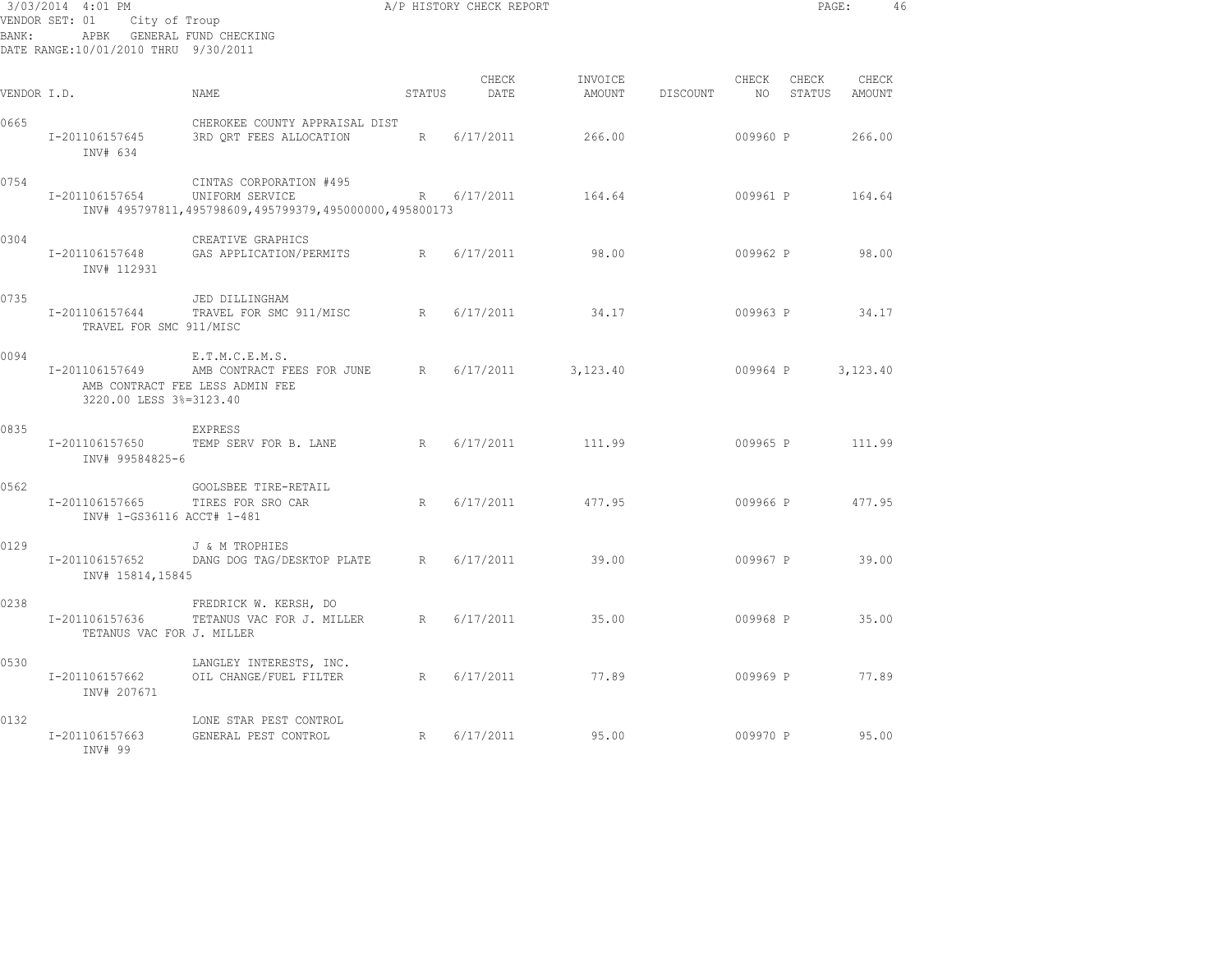| 3/03/2014 4:01 PM<br>VENDOR SET: 01<br>City of Troup<br>APBK GENERAL FUND CHECKING<br>BANK:<br>DATE RANGE:10/01/2010 THRU 9/30/2011 |                                              |                                                                                                      | A/P HISTORY CHECK REPORT |               |                   |          | PAGE:       |                 | 46              |  |
|-------------------------------------------------------------------------------------------------------------------------------------|----------------------------------------------|------------------------------------------------------------------------------------------------------|--------------------------|---------------|-------------------|----------|-------------|-----------------|-----------------|--|
| VENDOR I.D.                                                                                                                         |                                              | NAME                                                                                                 | STATUS                   | CHECK<br>DATE | INVOICE<br>AMOUNT | DISCOUNT | CHECK<br>NO | CHECK<br>STATUS | CHECK<br>AMOUNT |  |
| 0665                                                                                                                                | I-201106157645<br>INV# 634                   | CHEROKEE COUNTY APPRAISAL DIST<br>3RD ORT FEES ALLOCATION                                            | R                        | 6/17/2011     | 266.00            |          | 009960 P    |                 | 266.00          |  |
| 0754                                                                                                                                | I-201106157654                               | CINTAS CORPORATION #495<br>UNIFORM SERVICE<br>INV# 495797811,495798609,495799379,495000000,495800173 |                          | R 6/17/2011   | 164.64            |          | 009961 P    |                 | 164.64          |  |
| 0304                                                                                                                                | I-201106157648<br>INV# 112931                | CREATIVE GRAPHICS<br>GAS APPLICATION/PERMITS                                                         | R                        | 6/17/2011     | 98.00             |          | 009962 P    |                 | 98.00           |  |
| 0735                                                                                                                                | I-201106157644<br>TRAVEL FOR SMC 911/MISC    | JED DILLINGHAM<br>TRAVEL FOR SMC 911/MISC                                                            | R                        | 6/17/2011     | 34.17             |          | 009963 P    |                 | 34.17           |  |
| 0094                                                                                                                                | I-201106157649<br>3220.00 LESS 3%=3123.40    | E.T.M.C.E.M.S.<br>AMB CONTRACT FEES FOR JUNE<br>AMB CONTRACT FEE LESS ADMIN FEE                      | R                        | 6/17/2011     | 3,123.40          |          | 009964 P    |                 | 3,123.40        |  |
| 0835                                                                                                                                | I-201106157650<br>INV# 99584825-6            | <b>EXPRESS</b><br>TEMP SERV FOR B. LANE                                                              | R                        | 6/17/2011     | 111.99            |          | 009965 P    |                 | 111.99          |  |
| 0562                                                                                                                                | I-201106157665<br>INV# 1-GS36116 ACCT# 1-481 | GOOLSBEE TIRE-RETAIL<br>TIRES FOR SRO CAR                                                            | R                        | 6/17/2011     | 477.95            |          | 009966 P    |                 | 477.95          |  |
| 0129                                                                                                                                | I-201106157652<br>INV# 15814,15845           | J & M TROPHIES<br>DANG DOG TAG/DESKTOP PLATE                                                         | R                        | 6/17/2011     | 39.00             |          | 009967 P    |                 | 39.00           |  |
| 0238                                                                                                                                | I-201106157636<br>TETANUS VAC FOR J. MILLER  | FREDRICK W. KERSH, DO<br>TETANUS VAC FOR J. MILLER                                                   | R                        | 6/17/2011     | 35.00             |          | 009968 P    |                 | 35.00           |  |
| 0530                                                                                                                                | I-201106157662<br>INV# 207671                | LANGLEY INTERESTS, INC.<br>OIL CHANGE/FUEL FILTER                                                    | R                        | 6/17/2011     | 77.89             |          | 009969 P    |                 | 77.89           |  |
| 0132                                                                                                                                | I-201106157663<br>INV# 99                    | LONE STAR PEST CONTROL<br>GENERAL PEST CONTROL                                                       | R                        | 6/17/2011     | 95.00             |          | 009970 P    |                 | 95.00           |  |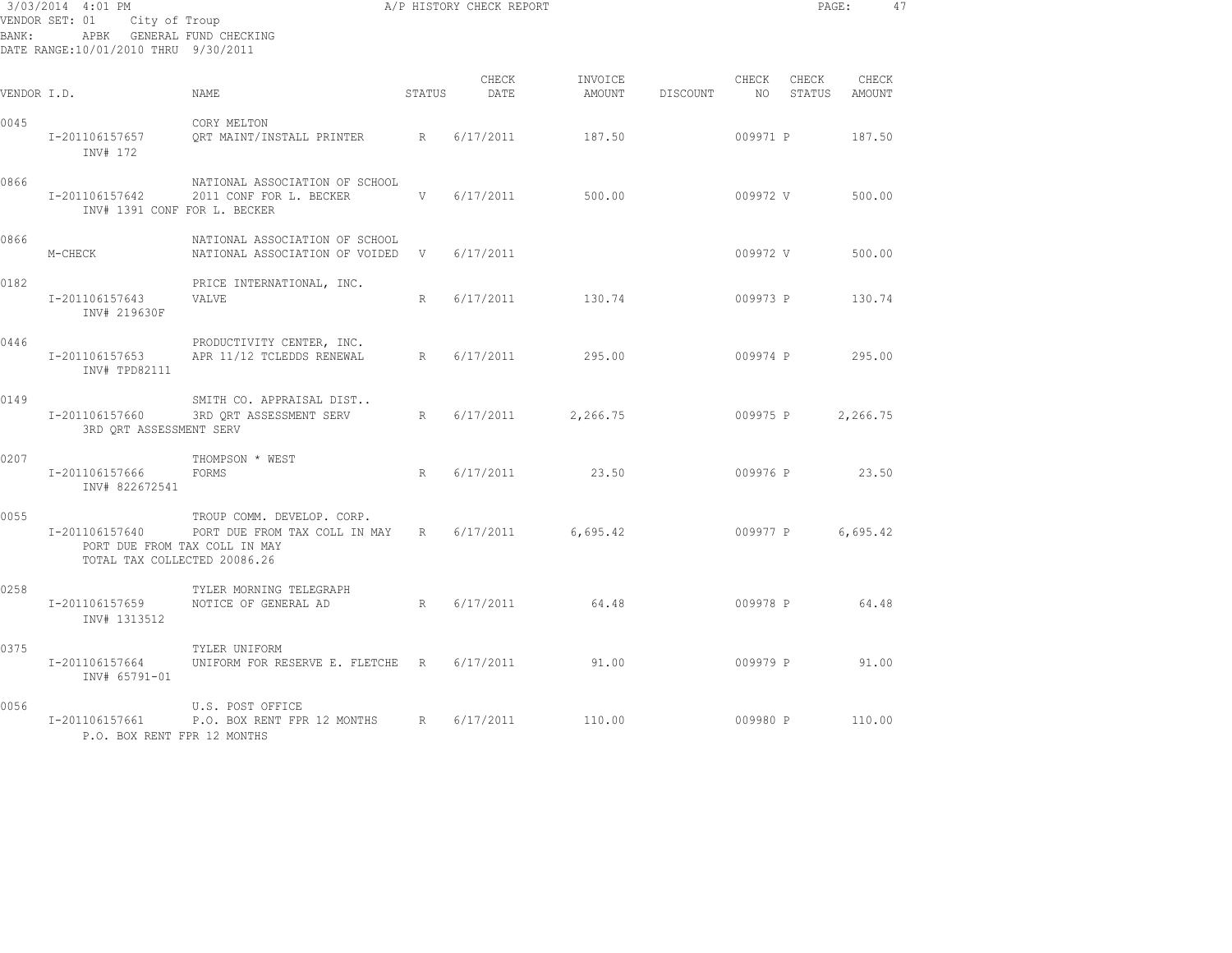| BANK:       | 3/03/2014 4:01 PM<br>VENDOR SET: 01<br>City of Troup<br>APBK GENERAL FUND CHECKING<br>DATE RANGE:10/01/2010 THRU 9/30/2011 | A/P HISTORY CHECK REPORT                                           |        |               |                   |          |                | PAGE:           |                 | 47 |
|-------------|----------------------------------------------------------------------------------------------------------------------------|--------------------------------------------------------------------|--------|---------------|-------------------|----------|----------------|-----------------|-----------------|----|
| VENDOR I.D. |                                                                                                                            | NAME                                                               | STATUS | CHECK<br>DATE | INVOICE<br>AMOUNT | DISCOUNT | CHECK<br>NO 11 | CHECK<br>STATUS | CHECK<br>AMOUNT |    |
| 0045        | I-201106157657<br>INV# 172                                                                                                 | CORY MELTON<br>ORT MAINT/INSTALL PRINTER R                         |        | 6/17/2011     | 187.50            |          | 009971 P       |                 | 187.50          |    |
| 0866        | I-201106157642<br>INV# 1391 CONF FOR L. BECKER                                                                             | NATIONAL ASSOCIATION OF SCHOOL<br>2011 CONF FOR L. BECKER          | V      | 6/17/2011     | 500.00            |          | 009972 V       |                 | 500.00          |    |
| 0866        | M-CHECK                                                                                                                    | NATIONAL ASSOCIATION OF SCHOOL<br>NATIONAL ASSOCIATION OF VOIDED V |        | 6/17/2011     |                   |          | 009972 V       |                 | 500.00          |    |
| 0182        | I-201106157643<br>INV# 219630F                                                                                             | PRICE INTERNATIONAL, INC.<br>VALVE                                 | R      | 6/17/2011     | 130.74            |          | 009973 P       |                 | 130.74          |    |
| 0446        | I-201106157653<br>INV# TPD82111                                                                                            | PRODUCTIVITY CENTER, INC.<br>APR 11/12 TCLEDDS RENEWAL             | R      | 6/17/2011     | 295.00            |          | 009974 P       |                 | 295.00          |    |
| 0149        | I-201106157660<br>3RD QRT ASSESSMENT SERV                                                                                  | SMITH CO. APPRAISAL DIST<br>3RD QRT ASSESSMENT SERV                | R      | 6/17/2011     | 2,266.75          |          | 009975 P       |                 | 2,266.75        |    |
| 0207        | I-201106157666<br>INV# 822672541                                                                                           | THOMPSON * WEST<br>FORMS                                           | R      | 6/17/2011     | 23.50             |          | 009976 P       |                 | 23.50           |    |
| 0055        | I-201106157640<br>PORT DUE FROM TAX COLL IN MAY<br>TOTAL TAX COLLECTED 20086.26                                            | TROUP COMM. DEVELOP. CORP.<br>PORT DUE FROM TAX COLL IN MAY R      |        | 6/17/2011     | 6,695.42          |          | 009977 P       |                 | 6,695.42        |    |
| 0258        | I-201106157659<br>INV# 1313512                                                                                             | TYLER MORNING TELEGRAPH<br>NOTICE OF GENERAL AD                    | R      | 6/17/2011     | 64.48             |          | 009978 P       |                 | 64.48           |    |
| 0375        | I-201106157664<br>INV# 65791-01                                                                                            | TYLER UNIFORM<br>UNIFORM FOR RESERVE E. FLETCHE R 6/17/2011        |        |               | 91.00             |          | 009979 P       |                 | 91.00           |    |
| 0056        | I-201106157661<br>P.O. BOX RENT FPR 12 MONTHS                                                                              | U.S. POST OFFICE<br>P.O. BOX RENT FPR 12 MONTHS                    | R      | 6/17/2011     | 110.00            |          | 009980 P       |                 | 110.00          |    |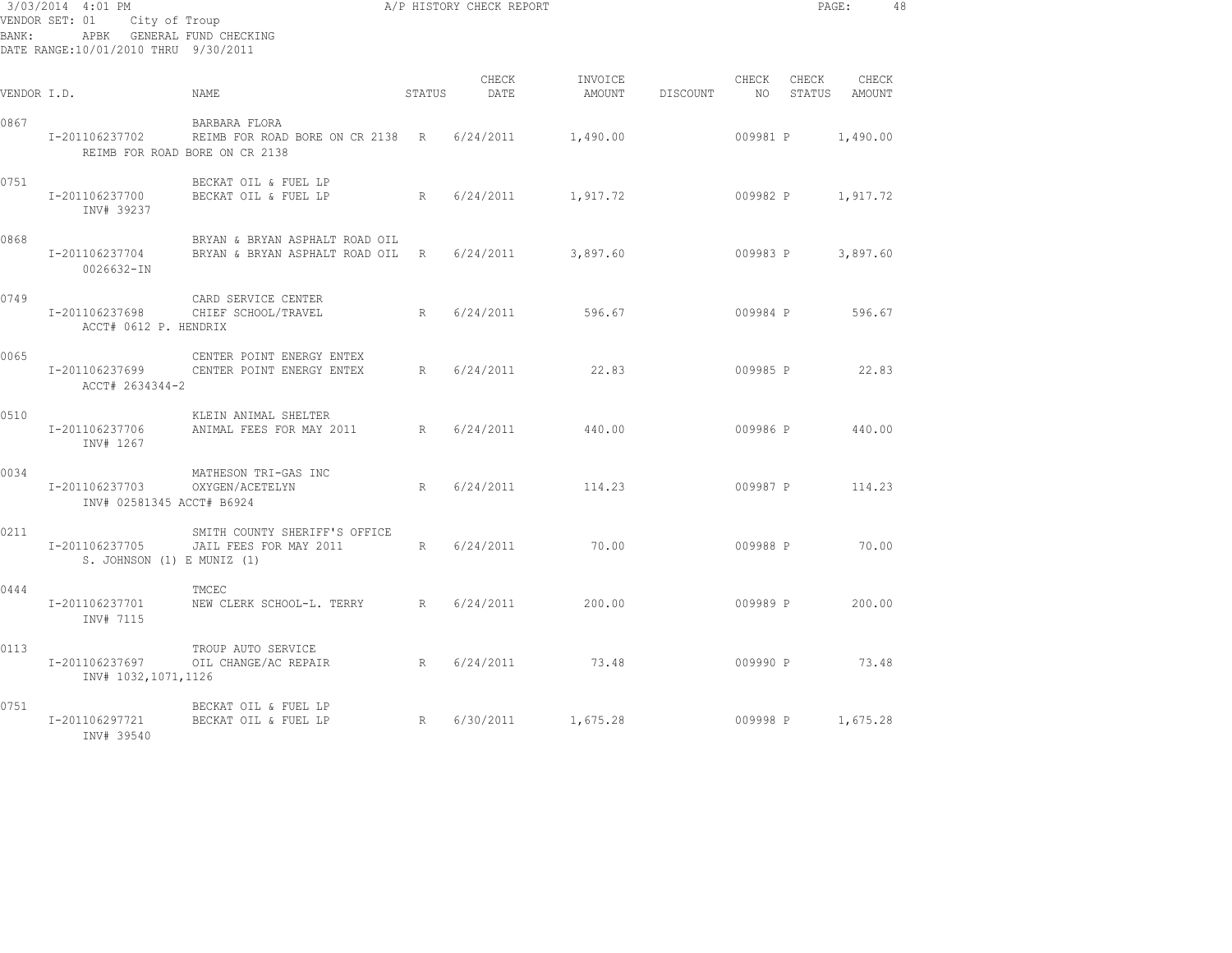| BANK:       | 3/03/2014 4:01 PM<br>VENDOR SET: 01<br>City of Troup<br>DATE RANGE:10/01/2010 THRU 9/30/2011 | ${\rm A/P\ HISTORY\ CHECK\ REPORT}$ of Troup<br>APBK GENERAL FUND CHECKING                    |        |               |                   | PAGE: 48 |             |          |                        |  |
|-------------|----------------------------------------------------------------------------------------------|-----------------------------------------------------------------------------------------------|--------|---------------|-------------------|----------|-------------|----------|------------------------|--|
| VENDOR I.D. |                                                                                              | NAME                                                                                          | STATUS | CHECK<br>DATE | INVOICE<br>AMOUNT | DISCOUNT | CHECK<br>NO | CHECK    | CHECK<br>STATUS AMOUNT |  |
| 0867        | I-201106237702                                                                               | BARBARA FLORA<br>REIMB FOR ROAD BORE ON CR 2138 R 6/24/2011<br>REIMB FOR ROAD BORE ON CR 2138 |        |               | 1,490.00          |          | 009981 P    |          | 1,490.00               |  |
| 0751        | I-201106237700<br>INV# 39237                                                                 | BECKAT OIL & FUEL LP<br>BECKAT OIL & FUEL LP                                                  | R      | 6/24/2011     | 1,917.72          |          | 009982 P    |          | 1,917.72               |  |
| 0868        | I-201106237704<br>0026632-IN                                                                 | BRYAN & BRYAN ASPHALT ROAD OIL<br>BRYAN & BRYAN ASPHALT ROAD OIL                              |        | R 6/24/2011   | 3,897.60          |          | 009983 P    |          | 3,897.60               |  |
| 0749        | I-201106237698<br>ACCT# 0612 P. HENDRIX                                                      | CARD SERVICE CENTER<br>CHIEF SCHOOL/TRAVEL                                                    | R      | 6/24/2011     | 596.67            |          | 009984 P    |          | 596.67                 |  |
| 0065        | I-201106237699<br>ACCT# 2634344-2                                                            | CENTER POINT ENERGY ENTEX<br>CENTER POINT ENERGY ENTEX                                        | R      | 6/24/2011     | 22.83             |          | 009985 P    |          | 22.83                  |  |
| 0510        | I-201106237706<br>INV# 1267                                                                  | KLEIN ANIMAL SHELTER<br>ANIMAL FEES FOR MAY 2011                                              | R      | 6/24/2011     | 440.00            |          | 009986 P    |          | 440.00                 |  |
| 0034        | I-201106237703<br>INV# 02581345 ACCT# B6924                                                  | MATHESON TRI-GAS INC<br>OXYGEN/ACETELYN                                                       | R      | 6/24/2011     | 114.23            |          |             | 009987 P | 114.23                 |  |
| 0211        | I-201106237705<br>S. JOHNSON (1) E MUNIZ (1)                                                 | SMITH COUNTY SHERIFF'S OFFICE<br>JAIL FEES FOR MAY 2011                                       | R      | 6/24/2011     | 70.00             |          | 009988 P    |          | 70.00                  |  |
| 0444        | I-201106237701<br>INV# 7115                                                                  | TMCEC<br>NEW CLERK SCHOOL-L. TERRY R                                                          |        | 6/24/2011     | 200.00            |          | 009989 P    |          | 200.00                 |  |
| 0113        | I-201106237697<br>INV# 1032,1071,1126                                                        | TROUP AUTO SERVICE<br>OIL CHANGE/AC REPAIR                                                    |        | R 6/24/2011   | 73.48             |          | 009990 P    |          | 73.48                  |  |
| 0751        | I-201106297721<br>INV# 39540                                                                 | BECKAT OIL & FUEL LP<br>BECKAT OIL & FUEL LP                                                  |        | R 6/30/2011   | 1,675.28          |          |             |          | 009998 P 1,675.28      |  |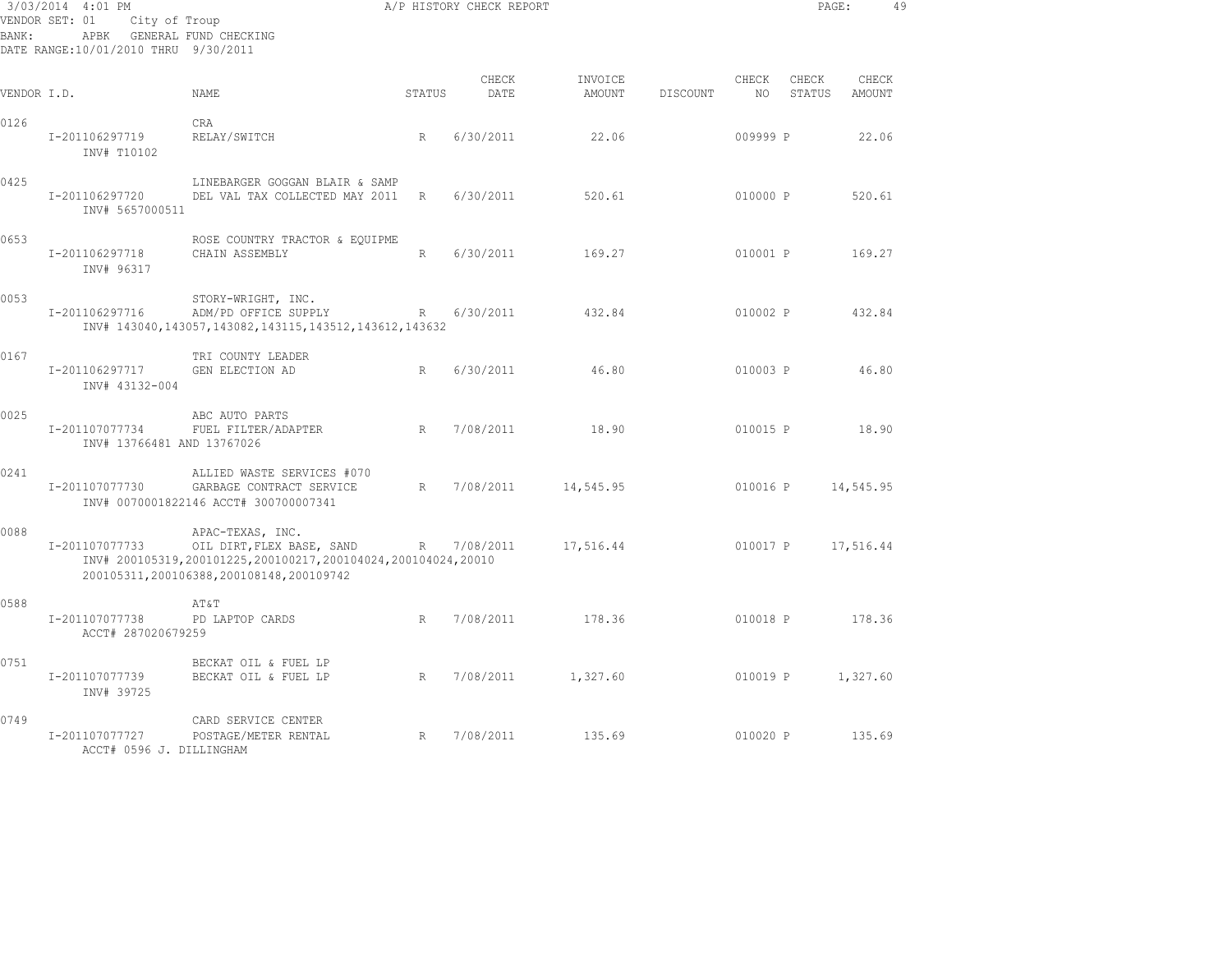| BANK:       | 3/03/2014 4:01 PM<br>VENDOR SET: 01<br>City of Troup<br>APBK GENERAL FUND CHECKING<br>DATE RANGE:10/01/2010 THRU 9/30/2011 |                                                                                                                                                             |        | A/P HISTORY CHECK REPORT |                   |          |             | PAGE:           |                 | 49 |
|-------------|----------------------------------------------------------------------------------------------------------------------------|-------------------------------------------------------------------------------------------------------------------------------------------------------------|--------|--------------------------|-------------------|----------|-------------|-----------------|-----------------|----|
| VENDOR I.D. |                                                                                                                            | NAME                                                                                                                                                        | STATUS | CHECK<br>DATE            | INVOICE<br>AMOUNT | DISCOUNT | CHECK<br>NO | CHECK<br>STATUS | CHECK<br>AMOUNT |    |
| 0126        | I-201106297719<br>INV# T10102                                                                                              | <b>CRA</b><br>RELAY/SWITCH                                                                                                                                  | R      | 6/30/2011                | 22.06             |          | 009999 P    |                 | 22.06           |    |
| 0425        | I-201106297720<br>INV# 5657000511                                                                                          | LINEBARGER GOGGAN BLAIR & SAMP<br>DEL VAL TAX COLLECTED MAY 2011                                                                                            | R      | 6/30/2011                | 520.61            |          | 010000 P    |                 | 520.61          |    |
| 0653        | I-201106297718<br>INV# 96317                                                                                               | ROSE COUNTRY TRACTOR & EQUIPME<br>CHAIN ASSEMBLY                                                                                                            | R      | 6/30/2011                | 169.27            |          | 010001 P    |                 | 169.27          |    |
| 0053        | I-201106297716                                                                                                             | STORY-WRIGHT, INC.<br>ADM/PD OFFICE SUPPLY<br>INV# 143040, 143057, 143082, 143115, 143512, 143612, 143632                                                   | R      | 6/30/2011                | 432.84            |          | 010002 P    |                 | 432.84          |    |
| 0167        | I-201106297717<br>INV# 43132-004                                                                                           | TRI COUNTY LEADER<br>GEN ELECTION AD                                                                                                                        | R      | 6/30/2011                | 46.80             |          | 010003 P    |                 | 46.80           |    |
| 0025        | I-201107077734<br>INV# 13766481 AND 13767026                                                                               | ABC AUTO PARTS<br>FUEL FILTER/ADAPTER                                                                                                                       | R      | 7/08/2011                | 18.90             |          | 010015 P    |                 | 18.90           |    |
| 0241        | I-201107077730                                                                                                             | ALLIED WASTE SERVICES #070<br>GARBAGE CONTRACT SERVICE<br>INV# 0070001822146 ACCT# 300700007341                                                             | R      | 7/08/2011                | 14,545.95         |          | 010016 P    |                 | 14,545.95       |    |
| 0088        | I-201107077733                                                                                                             | APAC-TEXAS, INC.<br>OIL DIRT, FLEX BASE, SAND<br>INV# 200105319,200101225,200100217,200104024,200104024,20010<br>200105311, 200106388, 200108148, 200109742 | R      | 7/08/2011                | 17,516.44         |          | 010017 P    |                 | 17,516.44       |    |
| 0588        | I-201107077738<br>ACCT# 287020679259                                                                                       | AT&T<br>PD LAPTOP CARDS                                                                                                                                     | R      | 7/08/2011                | 178.36            |          | 010018 P    |                 | 178.36          |    |
| 0751        | I-201107077739<br>INV# 39725                                                                                               | BECKAT OIL & FUEL LP<br>BECKAT OIL & FUEL LP                                                                                                                | R      | 7/08/2011                | 1,327.60          |          | 010019 P    |                 | 1,327.60        |    |
| 0749        | I-201107077727<br>ACCT# 0596 J. DILLINGHAM                                                                                 | CARD SERVICE CENTER<br>POSTAGE/METER RENTAL                                                                                                                 | R      | 7/08/2011                | 135.69            |          | 010020 P    |                 | 135.69          |    |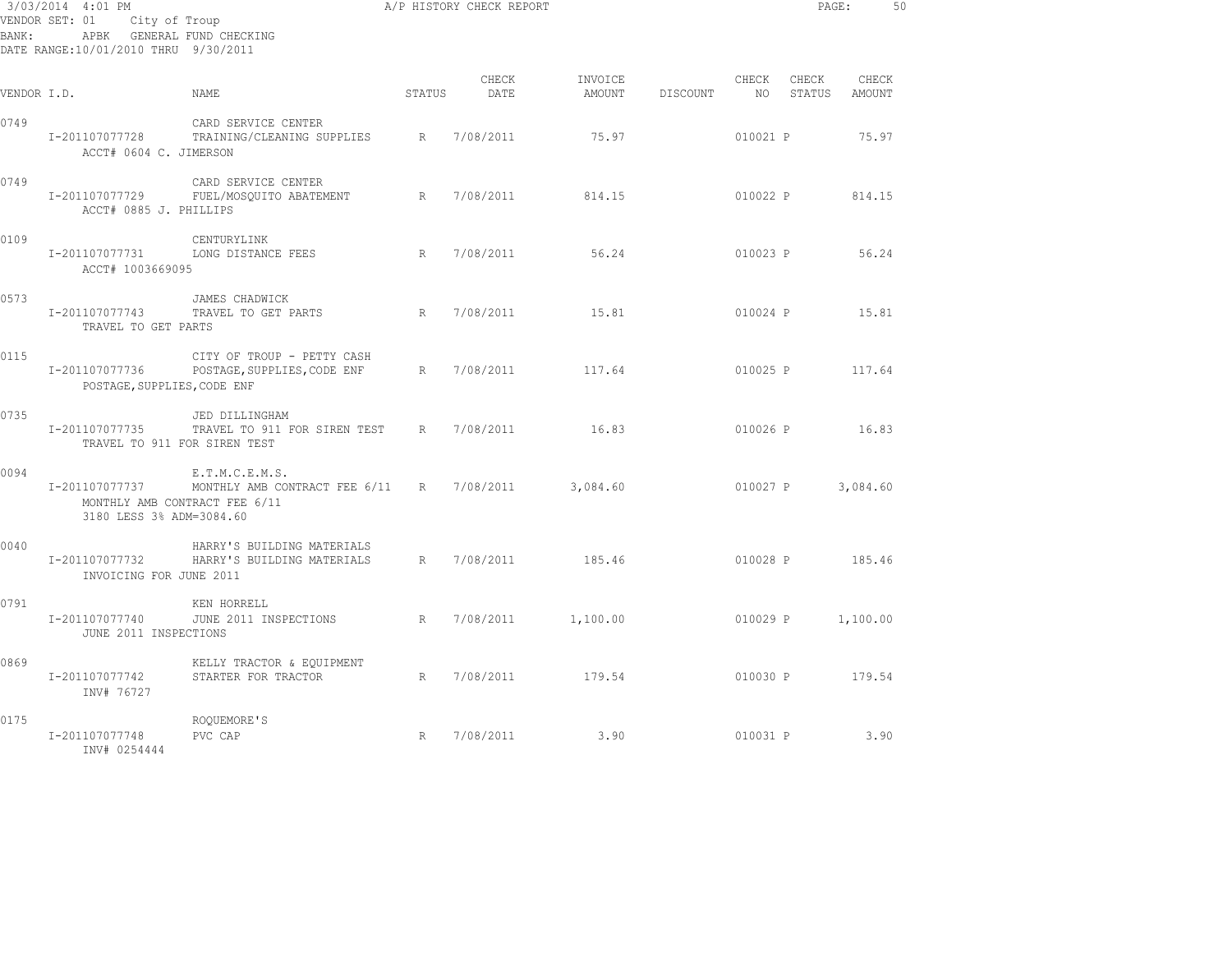| 3/03/2014 4:01 PM<br>VENDOR SET: 01<br>City of Troup<br>APBK GENERAL FUND CHECKING<br>BANK:<br>DATE RANGE:10/01/2010 THRU 9/30/2011 |                                               |                                                                                            |        | A/P HISTORY CHECK REPORT |                   |          |               | PAGE:           |                 | 50 |
|-------------------------------------------------------------------------------------------------------------------------------------|-----------------------------------------------|--------------------------------------------------------------------------------------------|--------|--------------------------|-------------------|----------|---------------|-----------------|-----------------|----|
| VENDOR I.D.                                                                                                                         |                                               | NAME                                                                                       | STATUS | CHECK<br>DATE            | INVOICE<br>AMOUNT | DISCOUNT | CHECK<br>NO 1 | CHECK<br>STATUS | CHECK<br>AMOUNT |    |
| 0749                                                                                                                                | I-201107077728<br>ACCT# 0604 C. JIMERSON      | CARD SERVICE CENTER<br>TRAINING/CLEANING SUPPLIES R                                        |        | 7/08/2011                | 75.97             |          | 010021 P      |                 | 75.97           |    |
| 0749                                                                                                                                | I-201107077729<br>ACCT# 0885 J. PHILLIPS      | CARD SERVICE CENTER<br>FUEL/MOSQUITO ABATEMENT                                             | R      | 7/08/2011                | 814.15            |          | 010022 P      |                 | 814.15          |    |
| 0109                                                                                                                                | I-201107077731<br>ACCT# 1003669095            | CENTURYLINK<br>LONG DISTANCE FEES                                                          | R      | 7/08/2011                | 56.24             |          | 010023 P      |                 | 56.24           |    |
| 0573                                                                                                                                | I-201107077743<br>TRAVEL TO GET PARTS         | JAMES CHADWICK<br>R<br>TRAVEL TO GET PARTS                                                 |        | 7/08/2011                | 15.81             |          | 010024 P      |                 | 15.81           |    |
| 0115                                                                                                                                | I-201107077736<br>POSTAGE, SUPPLIES, CODE ENF | CITY OF TROUP - PETTY CASH<br>POSTAGE, SUPPLIES, CODE ENF                                  | R      | 7/08/2011                | 117.64            |          |               | 010025 P        | 117.64          |    |
| 0735                                                                                                                                | I-201107077735                                | JED DILLINGHAM<br>TRAVEL TO 911 FOR SIREN TEST R 7/08/2011<br>TRAVEL TO 911 FOR SIREN TEST |        |                          | 16.83             |          | 010026 P      |                 | 16.83           |    |
| 0094                                                                                                                                | I-201107077737<br>3180 LESS 3% ADM=3084.60    | E.T.M.C.E.M.S.<br>MONTHLY AMB CONTRACT FEE 6/11 R<br>MONTHLY AMB CONTRACT FEE 6/11         |        | 7/08/2011                | 3,084.60          |          | 010027 P      |                 | 3,084.60        |    |
| 0040                                                                                                                                | I-201107077732<br>INVOICING FOR JUNE 2011     | HARRY'S BUILDING MATERIALS<br>HARRY'S BUILDING MATERIALS                                   |        | R 7/08/2011              | 185.46            |          | 010028 P      |                 | 185.46          |    |
| 0791                                                                                                                                | I-201107077740<br>JUNE 2011 INSPECTIONS       | KEN HORRELL<br>R<br>JUNE 2011 INSPECTIONS                                                  |        | 7/08/2011                | 1,100.00          |          | 010029 P      |                 | 1,100.00        |    |
| 0869                                                                                                                                | I-201107077742<br>INV# 76727                  | KELLY TRACTOR & EQUIPMENT<br>STARTER FOR TRACTOR                                           | R      | 7/08/2011                | 179.54            |          |               | 010030 P 179.54 |                 |    |
| 0175                                                                                                                                | I-201107077748<br>INV# 0254444                | ROQUEMORE'S<br>PVC CAP                                                                     | R      | 7/08/2011                | 3.90              |          | 010031 P      |                 | 3.90            |    |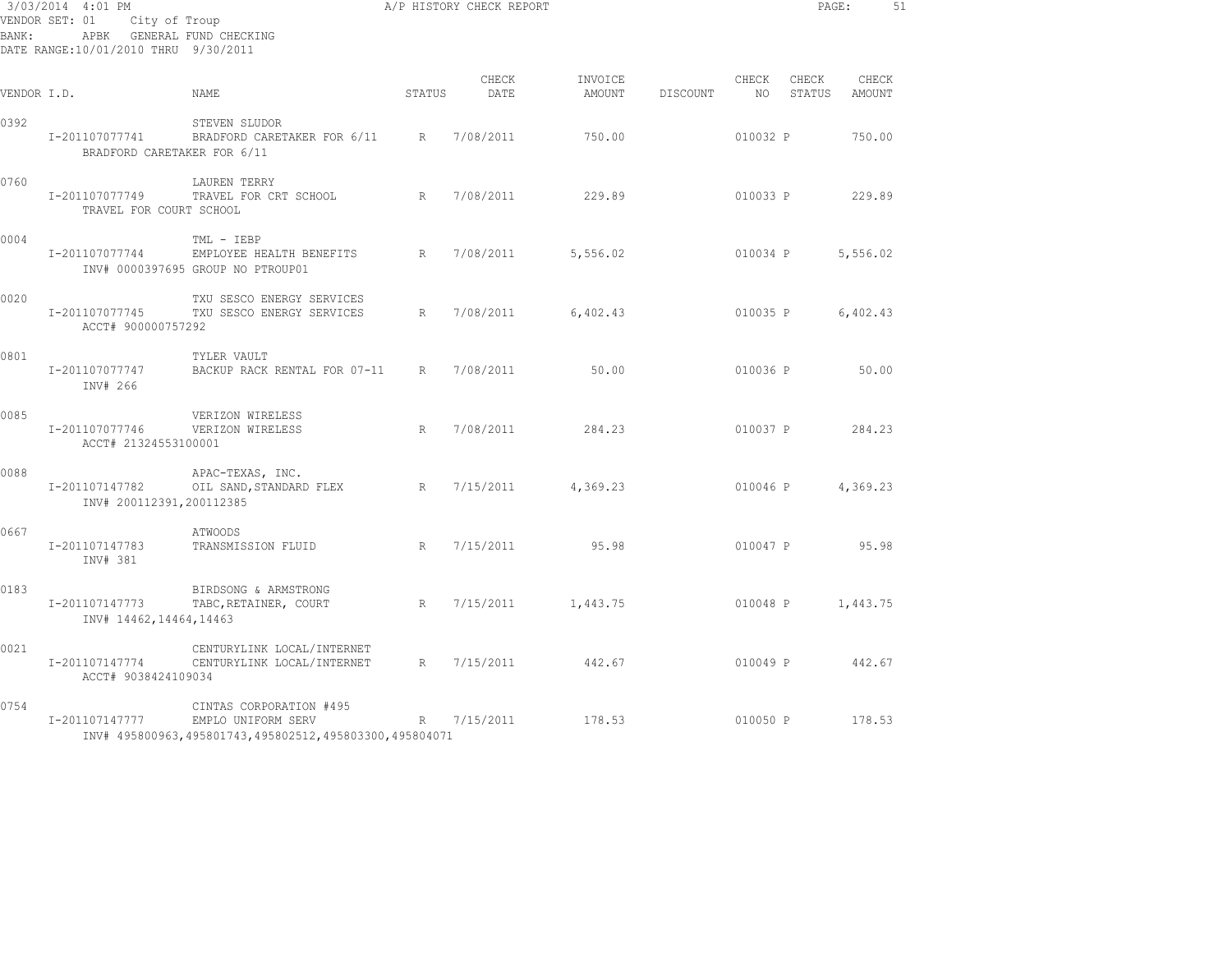| 3/03/2014 4:01 PM<br>VENDOR SET: 01<br>City of Troup<br>APBK GENERAL FUND CHECKING<br>BANK:<br>DATE RANGE:10/01/2010 THRU 9/30/2011 |                                               |                                                                                                         |                 | A/P HISTORY CHECK REPORT |                   |          |             | PAGE:           |                 | 51 |
|-------------------------------------------------------------------------------------------------------------------------------------|-----------------------------------------------|---------------------------------------------------------------------------------------------------------|-----------------|--------------------------|-------------------|----------|-------------|-----------------|-----------------|----|
| VENDOR I.D.                                                                                                                         |                                               | NAME                                                                                                    | STATUS          | CHECK<br>DATE            | INVOICE<br>AMOUNT | DISCOUNT | CHECK<br>NO | CHECK<br>STATUS | CHECK<br>AMOUNT |    |
| 0392                                                                                                                                | I-201107077741<br>BRADFORD CARETAKER FOR 6/11 | STEVEN SLUDOR<br>BRADFORD CARETAKER FOR 6/11 R                                                          |                 | 7/08/2011                | 750.00            |          | 010032 P    |                 | 750.00          |    |
| 0760                                                                                                                                | I-201107077749<br>TRAVEL FOR COURT SCHOOL     | LAUREN TERRY<br>TRAVEL FOR CRT SCHOOL                                                                   | R               | 7/08/2011                | 229.89            |          | 010033 P    |                 | 229.89          |    |
| 0004                                                                                                                                | I-201107077744                                | TML - IEBP<br>EMPLOYEE HEALTH BENEFITS<br>INV# 0000397695 GROUP NO PTROUP01                             | $R_{\parallel}$ | 7/08/2011                | 5,556.02          |          | 010034 P    |                 | 5,556.02        |    |
| 0020                                                                                                                                | I-201107077745<br>ACCT# 900000757292          | TXU SESCO ENERGY SERVICES<br>TXU SESCO ENERGY SERVICES                                                  | R               | 7/08/2011                | 6,402.43          |          | 010035 P    |                 | 6,402.43        |    |
| 0801                                                                                                                                | I-201107077747<br>INV# 266                    | TYLER VAULT<br>BACKUP RACK RENTAL FOR 07-11                                                             | R               | 7/08/2011                | 50.00             |          | 010036 P    |                 | 50.00           |    |
| 0085                                                                                                                                | I-201107077746<br>ACCT# 21324553100001        | VERIZON WIRELESS<br>VERIZON WIRELESS                                                                    | R               | 7/08/2011                | 284.23            |          | 010037 P    |                 | 284.23          |    |
| 0088                                                                                                                                | I-201107147782<br>INV# 200112391,200112385    | APAC-TEXAS, INC.<br>OIL SAND, STANDARD FLEX                                                             | R               | 7/15/2011                | 4,369.23          |          | 010046 P    |                 | 4,369.23        |    |
| 0667                                                                                                                                | I-201107147783<br>INV# 381                    | ATWOODS<br>TRANSMISSION FLUID                                                                           | R               | 7/15/2011                | 95.98             |          | 010047 P    |                 | 95.98           |    |
| 0183                                                                                                                                | I-201107147773<br>INV# 14462, 14464, 14463    | BIRDSONG & ARMSTRONG<br>TABC, RETAINER, COURT                                                           | R               | 7/15/2011                | 1,443.75          |          | 010048 P    |                 | 1,443.75        |    |
| 0021                                                                                                                                | I-201107147774<br>ACCT# 9038424109034         | CENTURYLINK LOCAL/INTERNET<br>CENTURYLINK LOCAL/INTERNET                                                | R               | 7/15/2011                | 442.67            |          | 010049 P    |                 | 442.67          |    |
| 0754                                                                                                                                | I-201107147777                                | CINTAS CORPORATION #495<br>EMPLO UNIFORM SERV<br>INV# 495800963,495801743,495802512,495803300,495804071 | R               | 7/15/2011                | 178.53            |          | 010050 P    |                 | 178.53          |    |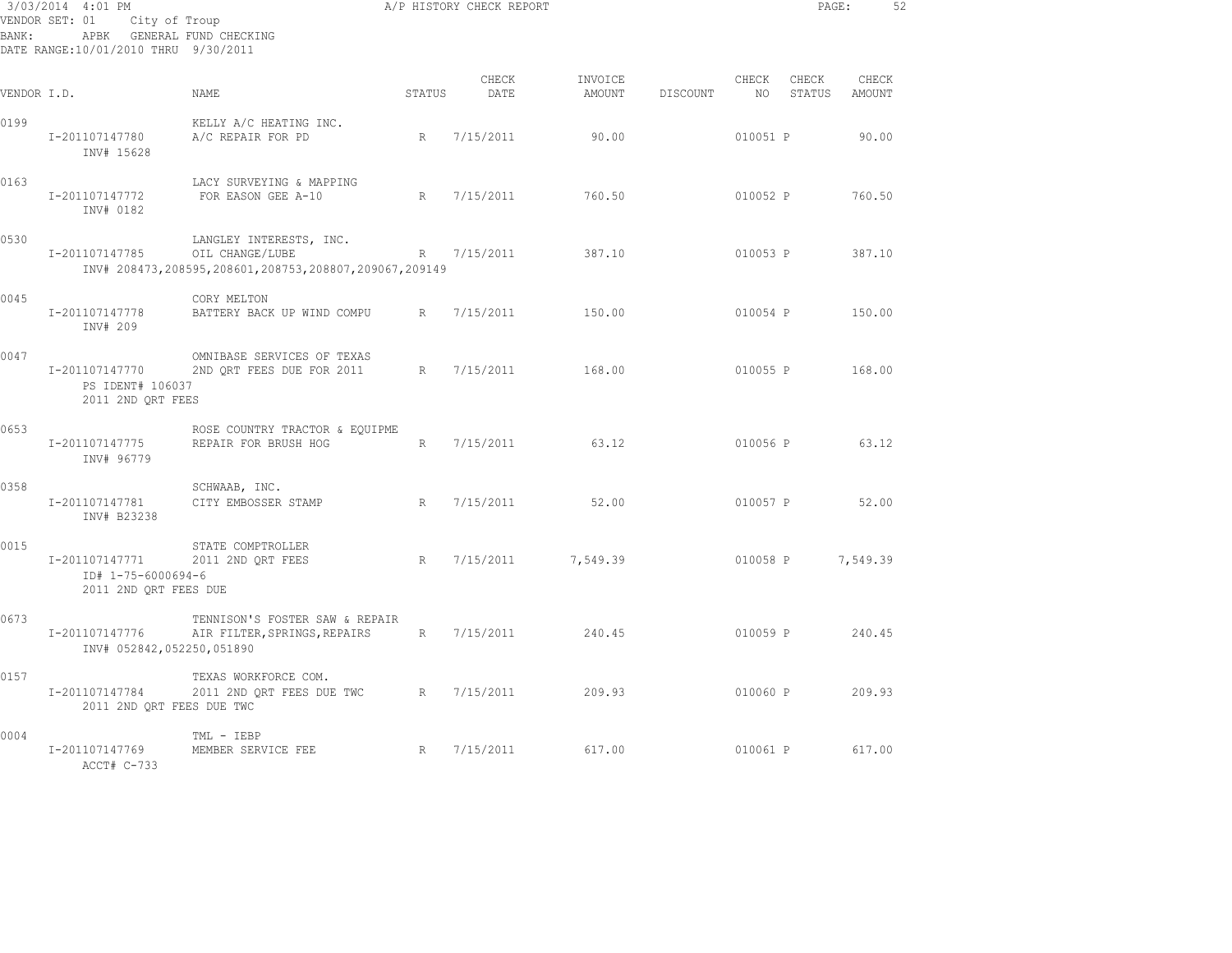| 3/03/2014 4:01 PM<br>VENDOR SET: 01<br>City of Troup<br>APBK GENERAL FUND CHECKING<br>BANK:<br>DATE RANGE:10/01/2010 THRU 9/30/2011 |                                                               |                                                                                                     |        | A/P HISTORY CHECK REPORT |                   |          |             | PAGE:           |                        | 52 |
|-------------------------------------------------------------------------------------------------------------------------------------|---------------------------------------------------------------|-----------------------------------------------------------------------------------------------------|--------|--------------------------|-------------------|----------|-------------|-----------------|------------------------|----|
| VENDOR I.D.                                                                                                                         |                                                               | NAME                                                                                                | STATUS | CHECK<br>DATE            | INVOICE<br>AMOUNT | DISCOUNT | CHECK<br>NO | CHECK<br>STATUS | CHECK<br><b>AMOUNT</b> |    |
| 0199                                                                                                                                | I-201107147780<br>INV# 15628                                  | KELLY A/C HEATING INC.<br>A/C REPAIR FOR PD                                                         | R      | 7/15/2011                | 90.00             |          | 010051 P    |                 | 90.00                  |    |
| 0163                                                                                                                                | I-201107147772<br>INV# 0182                                   | LACY SURVEYING & MAPPING<br>FOR EASON GEE A-10                                                      | R      | 7/15/2011                | 760.50            |          | 010052 P    |                 | 760.50                 |    |
| 0530                                                                                                                                | I-201107147785                                                | LANGLEY INTERESTS, INC.<br>OIL CHANGE/LUBE<br>INV# 208473,208595,208601,208753,208807,209067,209149 | R      | 7/15/2011                | 387.10            |          | 010053 P    |                 | 387.10                 |    |
| 0045                                                                                                                                | I-201107147778<br>INV# 209                                    | CORY MELTON<br>BATTERY BACK UP WIND COMPU                                                           | R      | 7/15/2011                | 150.00            |          | 010054 P    |                 | 150.00                 |    |
| 0047                                                                                                                                | I-201107147770<br>PS IDENT# 106037<br>2011 2ND ORT FEES       | OMNIBASE SERVICES OF TEXAS<br>2ND QRT FEES DUE FOR 2011                                             | R      | 7/15/2011                | 168.00            |          | 010055 P    |                 | 168.00                 |    |
| 0653                                                                                                                                | I-201107147775<br>INV# 96779                                  | ROSE COUNTRY TRACTOR & EQUIPME<br>REPAIR FOR BRUSH HOG                                              | R      | 7/15/2011                | 63.12             |          | 010056 P    |                 | 63.12                  |    |
| 0358                                                                                                                                | I-201107147781<br>INV# B23238                                 | SCHWAAB, INC.<br>CITY EMBOSSER STAMP                                                                | R      | 7/15/2011                | 52.00             |          | 010057 P    |                 | 52.00                  |    |
| 0015                                                                                                                                | I-201107147771<br>ID# 1-75-6000694-6<br>2011 2ND QRT FEES DUE | STATE COMPTROLLER<br>2011 2ND QRT FEES                                                              | R      | 7/15/2011                | 7,549.39          |          | 010058 P    |                 | 7,549.39               |    |
| 0673                                                                                                                                | I-201107147776<br>INV# 052842,052250,051890                   | TENNISON'S FOSTER SAW & REPAIR<br>AIR FILTER, SPRINGS, REPAIRS                                      | R      | 7/15/2011                | 240.45            |          | 010059 P    |                 | 240.45                 |    |
| 0157                                                                                                                                | I-201107147784<br>2011 2ND QRT FEES DUE TWC                   | TEXAS WORKFORCE COM.<br>2011 2ND QRT FEES DUE TWC                                                   | R      | 7/15/2011                | 209.93            |          | 010060 P    |                 | 209.93                 |    |
| 0004                                                                                                                                | I-201107147769<br>ACCT# C-733                                 | TML - IEBP<br>MEMBER SERVICE FEE                                                                    | R      | 7/15/2011                | 617.00            |          | 010061 P    |                 | 617.00                 |    |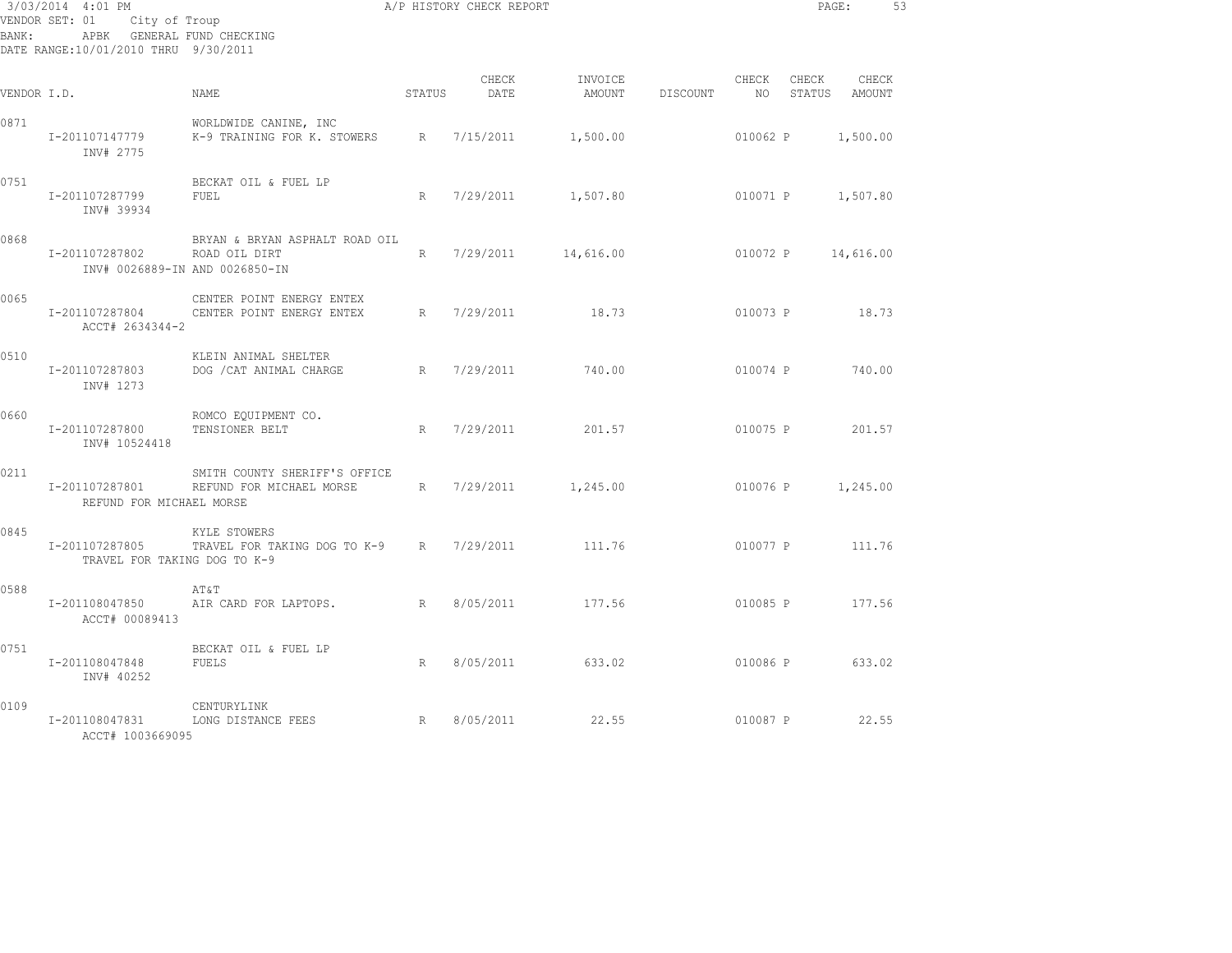| BANK:       | 3/03/2014 4:01 PM<br>VENDOR SET: 01<br>City of Troup<br>APBK GENERAL FUND CHECKING<br>DATE RANGE:10/01/2010 THRU 9/30/2011 |                                                           |        | A/P HISTORY CHECK REPORT |                   |          |               | PAGE:             |                 | 53 |
|-------------|----------------------------------------------------------------------------------------------------------------------------|-----------------------------------------------------------|--------|--------------------------|-------------------|----------|---------------|-------------------|-----------------|----|
| VENDOR I.D. |                                                                                                                            | NAME                                                      | STATUS | CHECK<br>DATE            | INVOICE<br>AMOUNT | DISCOUNT | CHECK<br>NO . | CHECK<br>STATUS   | CHECK<br>AMOUNT |    |
| 0871        | I-201107147779<br>INV# 2775                                                                                                | WORLDWIDE CANINE, INC<br>K-9 TRAINING FOR K. STOWERS      | R      | 7/15/2011                | 1,500.00          |          | 010062 P      |                   | 1,500.00        |    |
| 0751        | I-201107287799<br>INV# 39934                                                                                               | BECKAT OIL & FUEL LP<br>FUEL                              | R      | 7/29/2011                | 1,507.80          |          | 010071 P      |                   | 1,507.80        |    |
| 0868        | I-201107287802<br>INV# 0026889-IN AND 0026850-IN                                                                           | BRYAN & BRYAN ASPHALT ROAD OIL<br>ROAD OIL DIRT           | R      | 7/29/2011                | 14,616.00         |          | 010072 P      |                   | 14,616.00       |    |
| 0065        | I-201107287804<br>ACCT# 2634344-2                                                                                          | CENTER POINT ENERGY ENTEX<br>CENTER POINT ENERGY ENTEX    | R      | 7/29/2011                | 18.73             |          | 010073 P      |                   | 18.73           |    |
| 0510        | I-201107287803<br>INV# 1273                                                                                                | KLEIN ANIMAL SHELTER<br>DOG / CAT ANIMAL CHARGE           | R      | 7/29/2011                | 740.00            |          | 010074 P      |                   | 740.00          |    |
| 0660        | I-201107287800<br>INV# 10524418                                                                                            | ROMCO EQUIPMENT CO.<br>TENSIONER BELT                     | R      | 7/29/2011                | 201.57            |          | 010075 P      |                   | 201.57          |    |
| 0211        | I-201107287801<br>REFUND FOR MICHAEL MORSE                                                                                 | SMITH COUNTY SHERIFF'S OFFICE<br>REFUND FOR MICHAEL MORSE | R      | 7/29/2011                | 1,245.00          |          |               | 010076 P 1,245.00 |                 |    |
| 0845        | I-201107287805<br>TRAVEL FOR TAKING DOG TO K-9                                                                             | KYLE STOWERS<br>TRAVEL FOR TAKING DOG TO K-9 R            |        | 7/29/2011                | 111.76            |          | 010077 P      |                   | 111.76          |    |
| 0588        | I-201108047850<br>ACCT# 00089413                                                                                           | AT&T<br>AIR CARD FOR LAPTOPS.                             | R      | 8/05/2011                | 177.56            |          | 010085 P      |                   | 177.56          |    |
| 0751        | I-201108047848<br>INV# 40252                                                                                               | BECKAT OIL & FUEL LP<br>FUELS                             | R      | 8/05/2011                | 633.02            |          | 010086 P      |                   | 633.02          |    |
| 0109        | I-201108047831<br>ACCT# 1003669095                                                                                         | CENTURYLINK<br>R<br>LONG DISTANCE FEES                    |        | 8/05/2011                | 22.55             |          | 010087 P      |                   | 22.55           |    |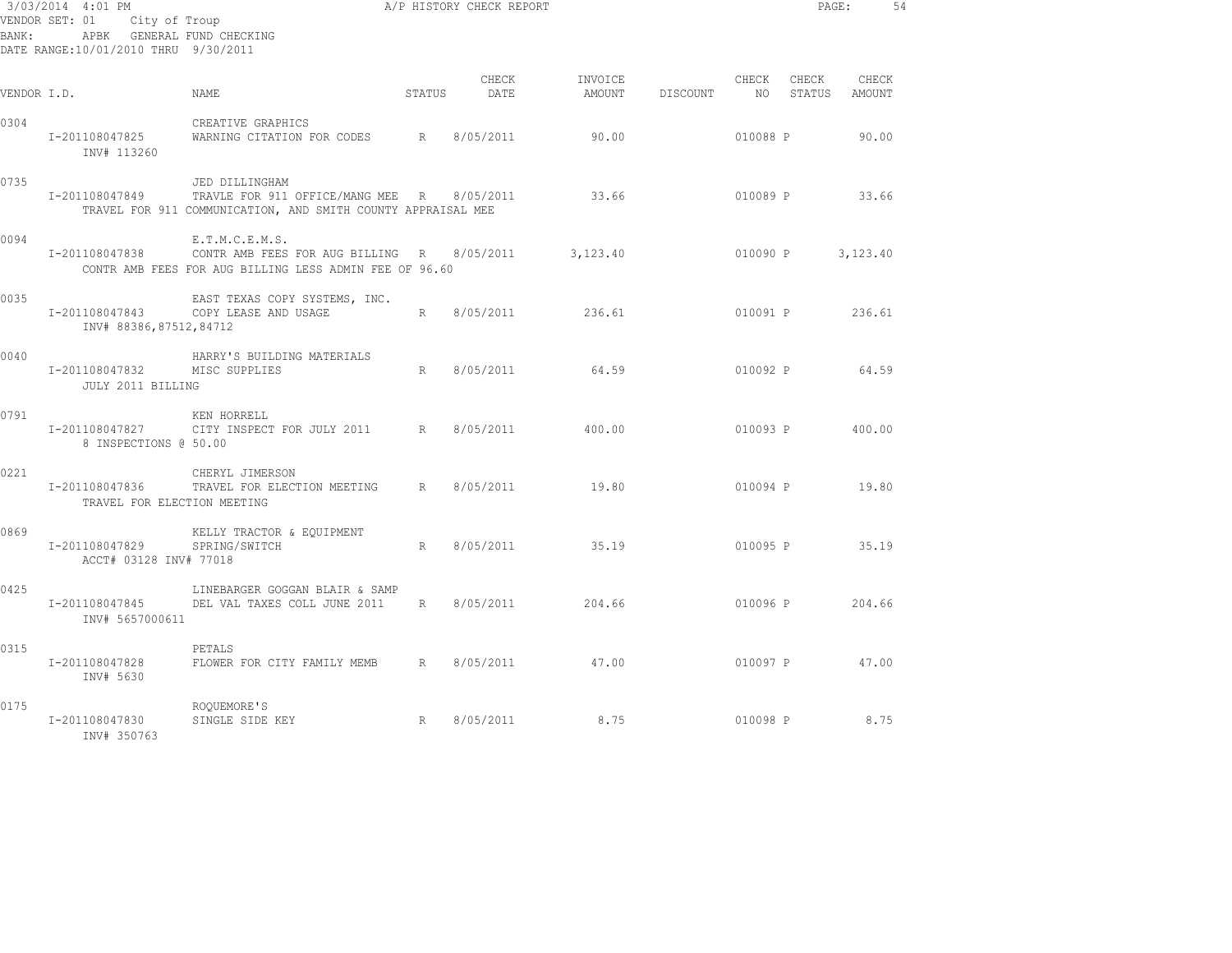|             | 3/03/2014 4:01 PM                             |                                                                                                                              |        | A/P HISTORY CHECK REPORT |                   |          |                |                 | PAGE:           | 54 |
|-------------|-----------------------------------------------|------------------------------------------------------------------------------------------------------------------------------|--------|--------------------------|-------------------|----------|----------------|-----------------|-----------------|----|
|             | VENDOR SET: 01                                | City of Troup                                                                                                                |        |                          |                   |          |                |                 |                 |    |
| BANK:       | APBK GENERAL FUND CHECKING                    |                                                                                                                              |        |                          |                   |          |                |                 |                 |    |
|             | DATE RANGE:10/01/2010 THRU 9/30/2011          |                                                                                                                              |        |                          |                   |          |                |                 |                 |    |
| VENDOR I.D. |                                               | NAME                                                                                                                         | STATUS | CHECK<br>DATE            | INVOICE<br>AMOUNT | DISCOUNT | CHECK<br>NO 11 | CHECK<br>STATUS | CHECK<br>AMOUNT |    |
| 0304        | I-201108047825<br>INV# 113260                 | CREATIVE GRAPHICS<br>WARNING CITATION FOR CODES R                                                                            |        | 8/05/2011                | 90.00             |          | 010088 P       |                 | 90.00           |    |
| 0735        | I-201108047849                                | JED DILLINGHAM<br>TRAVLE FOR 911 OFFICE/MANG MEE R 8/05/2011<br>TRAVEL FOR 911 COMMUNICATION, AND SMITH COUNTY APPRAISAL MEE |        |                          | 33.66             |          |                |                 | 010089 P 33.66  |    |
| 0094        | I-201108047838                                | E.T.M.C.E.M.S.<br>CONTR AMB FEES FOR AUG BILLING R 8/05/2011<br>CONTR AMB FEES FOR AUG BILLING LESS ADMIN FEE OF 96.60       |        |                          | 3,123.40          |          | 010090 P       |                 | 3,123.40        |    |
| 0035        | I-201108047843<br>INV# 88386,87512,84712      | EAST TEXAS COPY SYSTEMS, INC.<br>COPY LEASE AND USAGE                                                                        |        | R 8/05/2011              | 236.61            |          | 010091 P       |                 | 236.61          |    |
| 0040        | I-201108047832<br>JULY 2011 BILLING           | HARRY'S BUILDING MATERIALS<br>MISC SUPPLIES                                                                                  | R      | 8/05/2011                | 64.59             |          | 010092 P       |                 | 64.59           |    |
| 0791        | I-201108047827<br>8 INSPECTIONS @ 50.00       | KEN HORRELL<br>CITY INSPECT FOR JULY 2011 R 8/05/2011                                                                        |        |                          | 400.00            |          |                | 010093 P        | 400.00          |    |
| 0221        | I-201108047836<br>TRAVEL FOR ELECTION MEETING | CHERYL JIMERSON<br>TRAVEL FOR ELECTION MEETING R 8/05/2011                                                                   |        |                          | 19.80             |          |                |                 | 010094 P 19.80  |    |
| 0869        | I-201108047829<br>ACCT# 03128 INV# 77018      | KELLY TRACTOR & EQUIPMENT<br>SPRING/SWITCH                                                                                   | R      | 8/05/2011                | 35.19             |          |                | 010095 P        | 35.19           |    |
| 0425        | I-201108047845<br>INV# 5657000611             | LINEBARGER GOGGAN BLAIR & SAMP<br>DEL VAL TAXES COLL JUNE 2011                                                               |        | R 8/05/2011              | 204.66            |          | 010096 P       |                 | 204.66          |    |
| 0315        | I-201108047828<br>INV# 5630                   | PETALS<br>FLOWER FOR CITY FAMILY MEMB R 8/05/2011                                                                            |        |                          | 47.00             |          | 010097 P       |                 | 47.00           |    |
| 0175        | I-201108047830<br>INV# 350763                 | ROQUEMORE'S<br>R<br>SINGLE SIDE KEY                                                                                          |        | 8/05/2011                | 8.75              |          | 010098 P       |                 | 8.75            |    |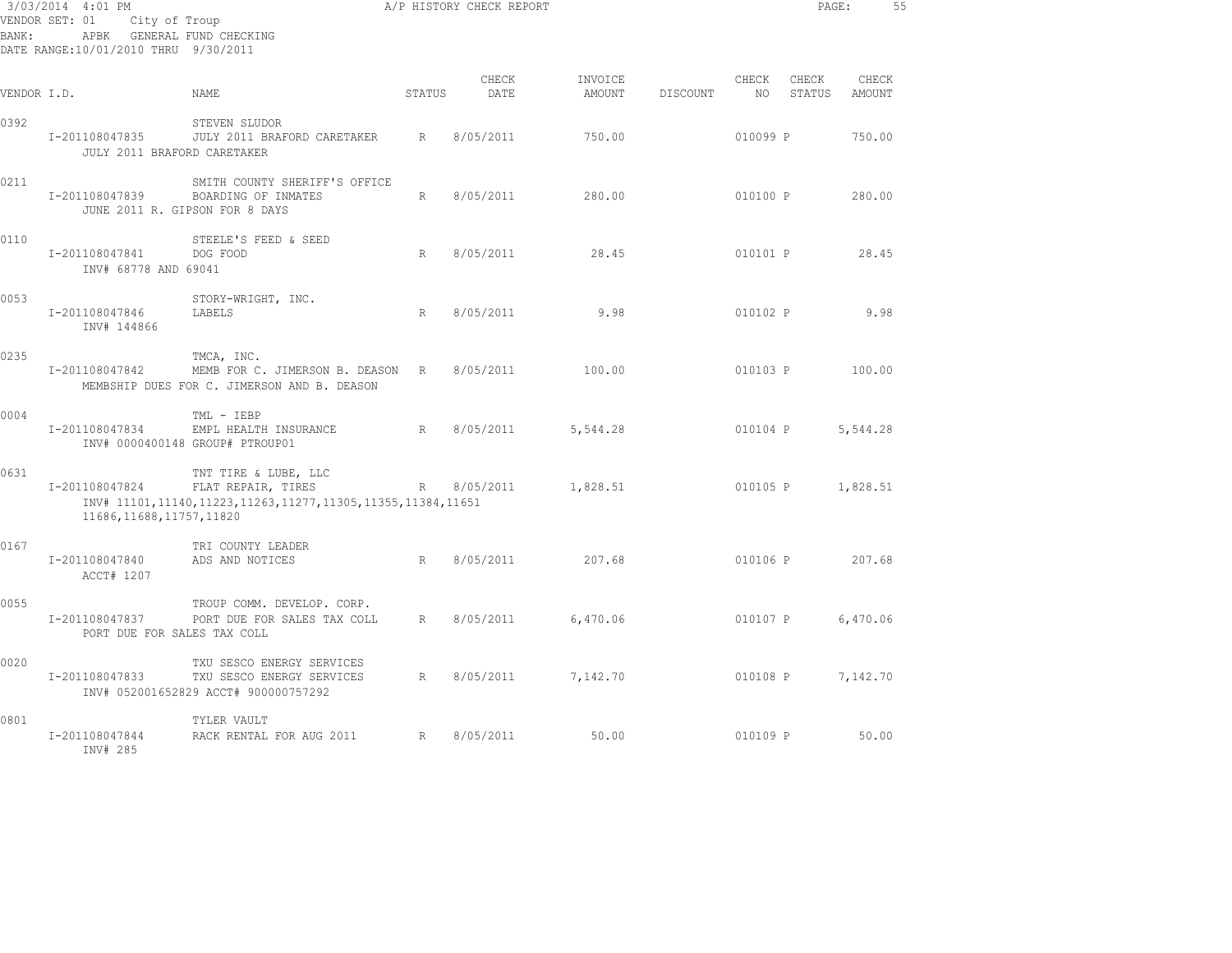| 3/03/2014 4:01 PM<br>VENDOR SET: 01<br>City of Troup<br>APBK GENERAL FUND CHECKING<br>BANK:<br>DATE RANGE:10/01/2010 THRU 9/30/2011 |                                               |                                                                                                          |                 | A/P HISTORY CHECK REPORT |                   |          |             | PAGE:           |                 | 55 |
|-------------------------------------------------------------------------------------------------------------------------------------|-----------------------------------------------|----------------------------------------------------------------------------------------------------------|-----------------|--------------------------|-------------------|----------|-------------|-----------------|-----------------|----|
| VENDOR I.D.                                                                                                                         |                                               | NAME                                                                                                     | STATUS          | CHECK<br>DATE            | INVOICE<br>AMOUNT | DISCOUNT | CHECK<br>NO | CHECK<br>STATUS | CHECK<br>AMOUNT |    |
| 0392                                                                                                                                | I-201108047835<br>JULY 2011 BRAFORD CARETAKER | STEVEN SLUDOR<br>JULY 2011 BRAFORD CARETAKER                                                             | R               | 8/05/2011                | 750.00            |          | 010099 P    |                 | 750.00          |    |
| 0211                                                                                                                                | I-201108047839                                | SMITH COUNTY SHERIFF'S OFFICE<br>BOARDING OF INMATES<br>JUNE 2011 R. GIPSON FOR 8 DAYS                   | R               | 8/05/2011                | 280.00            |          | 010100 P    |                 | 280.00          |    |
| 0110                                                                                                                                | I-201108047841<br>INV# 68778 AND 69041        | STEELE'S FEED & SEED<br>DOG FOOD                                                                         | R               | 8/05/2011                | 28.45             |          | 010101 P    |                 | 28.45           |    |
| 0053                                                                                                                                | I-201108047846<br>INV# 144866                 | STORY-WRIGHT, INC.<br>LABELS                                                                             | R               | 8/05/2011                | 9.98              |          | 010102 P    |                 | 9.98            |    |
| 0235                                                                                                                                | I-201108047842                                | TMCA, INC.<br>MEMB FOR C. JIMERSON B. DEASON R<br>MEMBSHIP DUES FOR C. JIMERSON AND B. DEASON            |                 | 8/05/2011                | 100.00            |          | 010103 P    |                 | 100.00          |    |
| 0004                                                                                                                                | I-201108047834                                | TML - IEBP<br>EMPL HEALTH INSURANCE<br>INV# 0000400148 GROUP# PTROUP01                                   | R               | 8/05/2011                | 5,544.28          |          | 010104 P    |                 | 5,544.28        |    |
| 0631                                                                                                                                | I-201108047824<br>11686, 11688, 11757, 11820  | TNT TIRE & LUBE, LLC<br>FLAT REPAIR, TIRES<br>INV# 11101,11140,11223,11263,11277,11305,11355,11384,11651 | $R_{\parallel}$ | 8/05/2011                | 1,828.51          |          | 010105 P    |                 | 1,828.51        |    |
| 0167                                                                                                                                | I-201108047840<br>ACCT# 1207                  | TRI COUNTY LEADER<br>ADS AND NOTICES                                                                     | R               | 8/05/2011                | 207.68            |          | 010106 P    |                 | 207.68          |    |
| 0055                                                                                                                                | I-201108047837<br>PORT DUE FOR SALES TAX COLL | TROUP COMM. DEVELOP. CORP.<br>PORT DUE FOR SALES TAX COLL                                                | R               | 8/05/2011                | 6,470.06          |          | 010107 P    |                 | 6,470.06        |    |
| 0020                                                                                                                                | I-201108047833                                | TXU SESCO ENERGY SERVICES<br>TXU SESCO ENERGY SERVICES<br>INV# 052001652829 ACCT# 900000757292           | R               | 8/05/2011                | 7,142.70          |          | 010108 P    |                 | 7,142.70        |    |
| 0801                                                                                                                                | I-201108047844<br>INV# 285                    | TYLER VAULT<br>RACK RENTAL FOR AUG 2011                                                                  | R               | 8/05/2011                | 50.00             |          | 010109 P    |                 | 50.00           |    |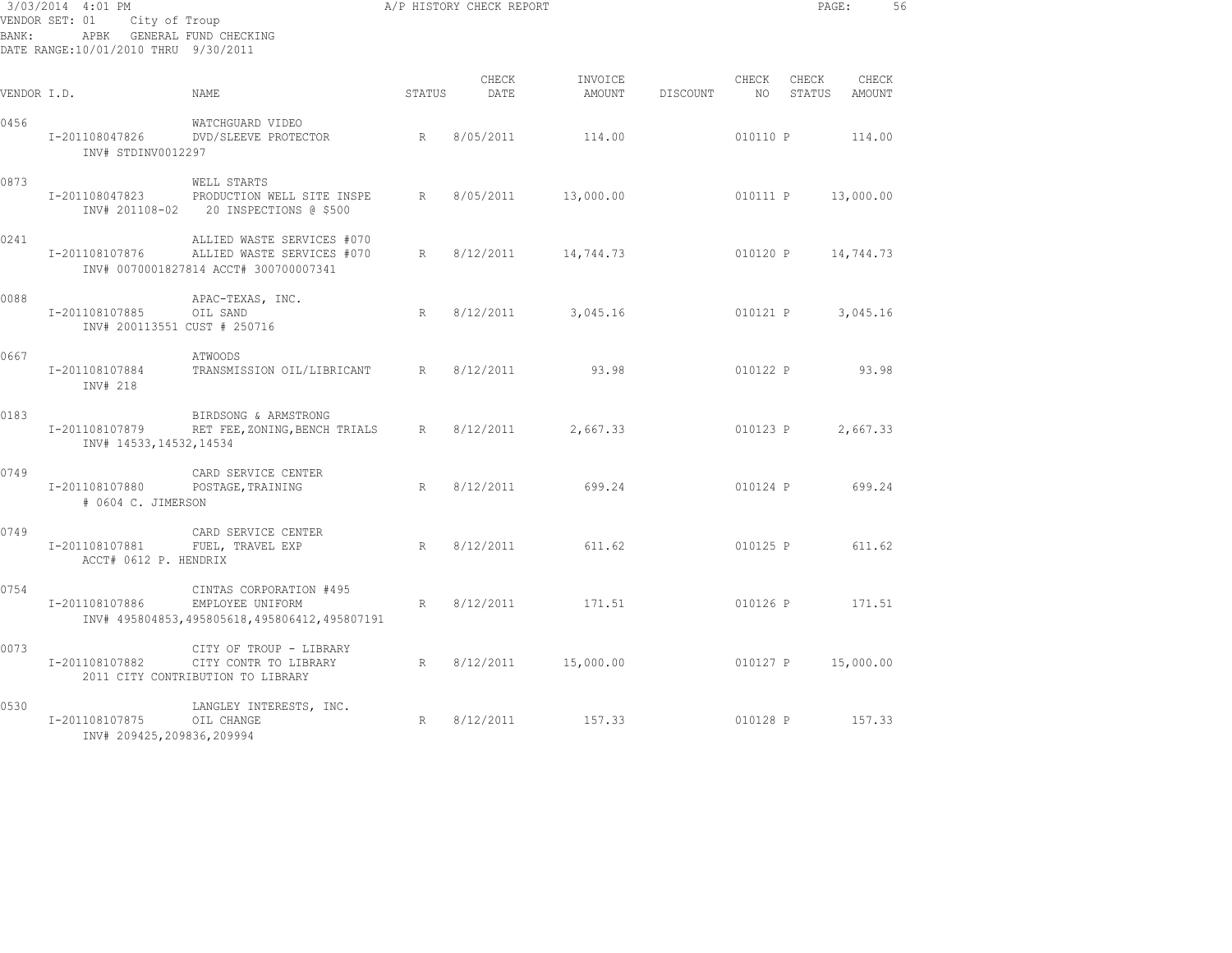| 3/03/2014 4:01 PM<br>City of Troup<br>VENDOR SET: 01<br>APBK GENERAL FUND CHECKING<br>BANK:<br>DATE RANGE:10/01/2010 THRU 9/30/2011 |                                                |                                                                                                   |        | A/P HISTORY CHECK REPORT |                     |          |                 | PAGE:                     | 56        |  |
|-------------------------------------------------------------------------------------------------------------------------------------|------------------------------------------------|---------------------------------------------------------------------------------------------------|--------|--------------------------|---------------------|----------|-----------------|---------------------------|-----------|--|
| VENDOR I.D.                                                                                                                         |                                                | NAME                                                                                              | STATUS | CHECK<br>DATE            | INVOICE<br>AMOUNT   | DISCOUNT | CHECK           | CHECK<br>NO STATUS AMOUNT | CHECK     |  |
| 0456                                                                                                                                | INV# STDINV0012297                             | WATCHGUARD VIDEO<br>I-201108047826 DVD/SLEEVE PROTECTOR                                           | R      | 8/05/2011                | 114.00              |          | 010110 P        |                           | 114.00    |  |
| 0873                                                                                                                                | I-201108047823                                 | WELL STARTS<br>PRODUCTION WELL SITE INSPE<br>INV# 201108-02 20 INSPECTIONS @ \$500                | R      | 8/05/2011                | 13,000.00           |          | 010111 P        |                           | 13,000.00 |  |
| 0241                                                                                                                                | I-201108107876                                 | ALLIED WASTE SERVICES #070<br>ALLIED WASTE SERVICES #070<br>INV# 0070001827814 ACCT# 300700007341 | R      | 8/12/2011                | 14,744.73           |          | 010120 P        |                           | 14,744.73 |  |
| 0088                                                                                                                                | I-201108107885<br>INV# 200113551 CUST # 250716 | APAC-TEXAS, INC.<br>OIL SAND                                                                      | R      | 8/12/2011                | 3,045.16            |          | 010121 P        |                           | 3,045.16  |  |
| 0667                                                                                                                                | I-201108107884<br>INV# 218                     | ATWOODS<br>TRANSMISSION OIL/LIBRICANT R 8/12/2011                                                 |        |                          | 93.98               |          | 010122 P        |                           | 93.98     |  |
| 0183                                                                                                                                | I-201108107879<br>INV# 14533, 14532, 14534     | BIRDSONG & ARMSTRONG<br>RET FEE, ZONING, BENCH TRIALS R 8/12/2011                                 |        |                          | 2,667.33            |          | 010123 P        |                           | 2,667.33  |  |
| 0749                                                                                                                                | I-201108107880<br># 0604 C. JIMERSON           | CARD SERVICE CENTER<br>POSTAGE, TRAINING                                                          | R      | 8/12/2011                | 699.24              |          | 010124 P 699.24 |                           |           |  |
| 0749                                                                                                                                | I-201108107881<br>ACCT# 0612 P. HENDRIX        | CARD SERVICE CENTER<br>FUEL, TRAVEL EXP                                                           | R      |                          | 8/12/2011 611.62    |          |                 | 010125 P 611.62           |           |  |
| 0754                                                                                                                                | I-201108107886                                 | CINTAS CORPORATION #495<br>EMPLOYEE UNIFORM<br>INV# 495804853,495805618,495806412,495807191       | R      | 8/12/2011                | 171.51              |          | 010126 P 171.51 |                           |           |  |
| 0073                                                                                                                                | I-201108107882                                 | CITY OF TROUP - LIBRARY<br>CITY CONTR TO LIBRARY<br>2011 CITY CONTRIBUTION TO LIBRARY             | R      |                          | 8/12/2011 15,000.00 |          | 010127 P        |                           | 15,000.00 |  |
| 0530                                                                                                                                | I-201108107875<br>INV# 209425,209836,209994    | LANGLEY INTERESTS, INC.<br>OIL CHANGE                                                             | R      | 8/12/2011                | 157.33              |          | 010128 P        |                           | 157.33    |  |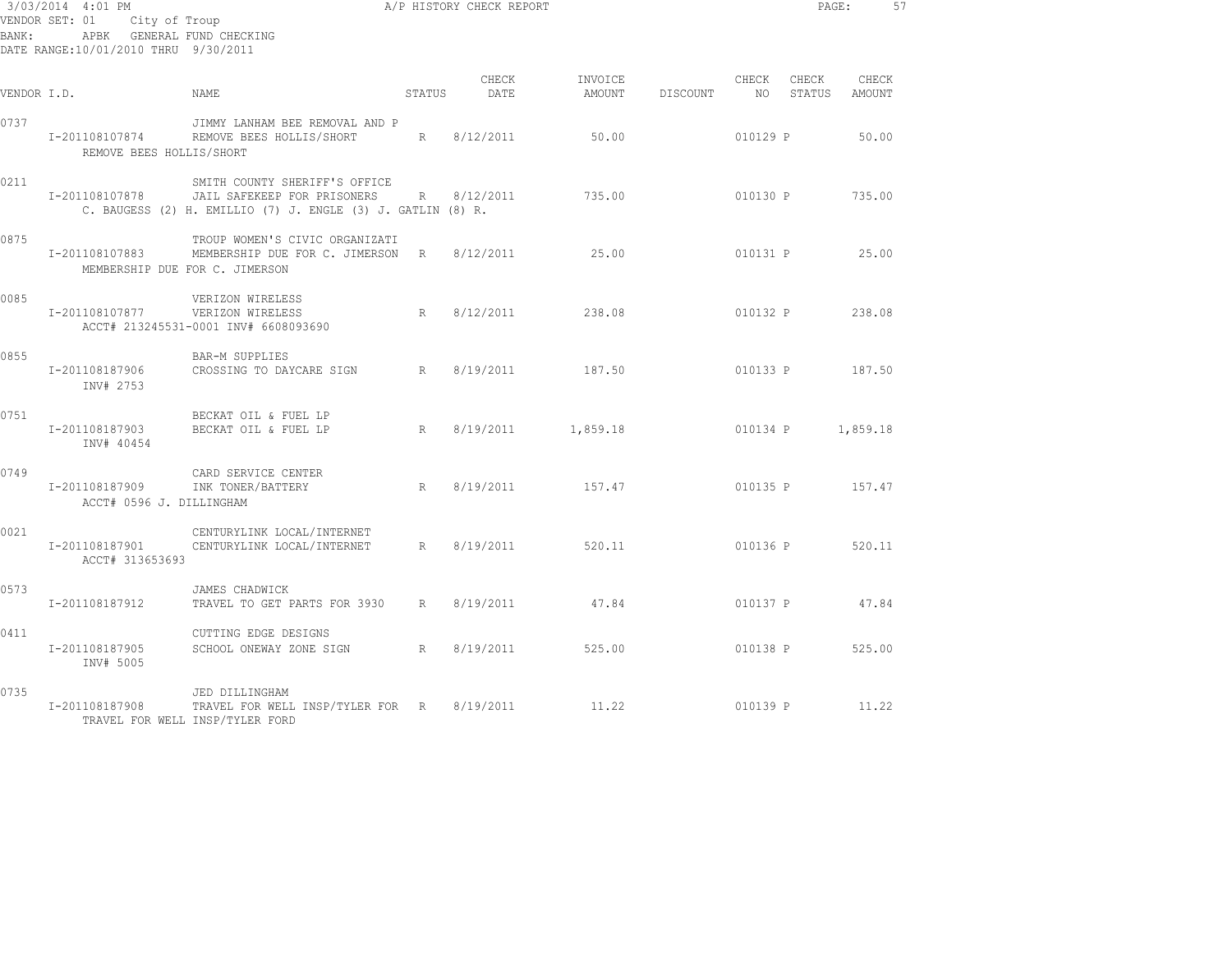| BANK:       | 3/03/2014 4:01 PM<br>VENDOR SET: 01 City of Troup<br>APBK GENERAL FUND CHECKING<br>DATE RANGE:10/01/2010 THRU 9/30/2011 | A/P HISTORY CHECK REPORT                                                                                                                               |        |               |                    |                           |       |                   | PAGE:  | -57 |
|-------------|-------------------------------------------------------------------------------------------------------------------------|--------------------------------------------------------------------------------------------------------------------------------------------------------|--------|---------------|--------------------|---------------------------|-------|-------------------|--------|-----|
| VENDOR I.D. |                                                                                                                         | NAME                                                                                                                                                   | STATUS | CHECK<br>DATE | INVOICE<br>AMOUNT  | DISCOUNT NO STATUS AMOUNT | CHECK | CHECK             | CHECK  |     |
| 0737        | REMOVE BEES HOLLIS/SHORT                                                                                                | JIMMY LANHAM BEE REMOVAL AND P<br>I-201108107874 REMOVE BEES HOLLIS/SHORT R 8/12/2011                                                                  |        |               | 50.00              |                           |       | 010129 P 50.00    |        |     |
| 0211        |                                                                                                                         | SMITH COUNTY SHERIFF'S OFFICE<br>1-201108107878 JAIL SAFEKEEP FOR PRISONERS R 8/12/2011<br>C. BAUGESS (2) H. EMILLIO (7) J. ENGLE (3) J. GATLIN (8) R. |        |               | 735.00             |                           |       | 010130 P 735.00   |        |     |
| 0875        | MEMBERSHIP DUE FOR C. JIMERSON                                                                                          | TROUP WOMEN'S CIVIC ORGANIZATI<br>I-201108107883 MEMBERSHIP DUE FOR C. JIMERSON R 8/12/2011 25.00                                                      |        |               |                    |                           |       | 010131 P 25.00    |        |     |
| 0085        | I-201108107877 VERIZON WIRELESS                                                                                         | VERIZON WIRELESS<br>ACCT# 213245531-0001 INV# 6608093690                                                                                               | R      |               | 8/12/2011 238.08   |                           |       | 010132 P 238.08   |        |     |
| 0855        | I-201108187906<br>INV# 2753                                                                                             | BAR-M SUPPLIES<br>CROSSING TO DAYCARE SIGN R 8/19/2011 187.50                                                                                          |        |               |                    |                           |       | 010133 P 187.50   |        |     |
| 0751        | I-201108187903<br>INV# 40454                                                                                            | BECKAT OIL & FUEL LP<br>BECKAT OIL & FUEL LP                                                                                                           | R      |               | 8/19/2011 1,859.18 |                           |       | 010134 P 1,859.18 |        |     |
| 0749        | I-201108187909<br>ACCT# 0596 J. DILLINGHAM                                                                              | CARD SERVICE CENTER<br>INK TONER/BATTERY                                                                                                               |        |               | R 8/19/2011 157.47 |                           |       | 010135 P 157.47   |        |     |
| 0021        | I-201108187901<br>ACCT# 313653693                                                                                       | CENTURYLINK LOCAL/INTERNET<br>CENTURYLINK LOCAL/INTERNET R 8/19/2011 520.11                                                                            |        |               |                    |                           |       | 010136 P 520.11   |        |     |
| 0573        | I-201108187912                                                                                                          | JAMES CHADWICK<br>TRAVEL TO GET PARTS FOR 3930 R 8/19/2011 47.84                                                                                       |        |               |                    |                           |       | 010137 P 47.84    |        |     |
| 0411        | I-201108187905<br>INV# 5005                                                                                             | CUTTING EDGE DESIGNS<br>SCHOOL ONEWAY ZONE SIGN R 8/19/2011                                                                                            |        |               | 525.00             |                           |       | 010138 P          | 525.00 |     |
| 0735        | I-201108187908<br>TRAVEL FOR WELL INSP/TYLER FORD                                                                       | JED DILLINGHAM<br>TRAVEL FOR WELL INSP/TYLER FOR R 8/19/2011                                                                                           |        |               | 11.22              |                           |       | 010139 P 11.22    |        |     |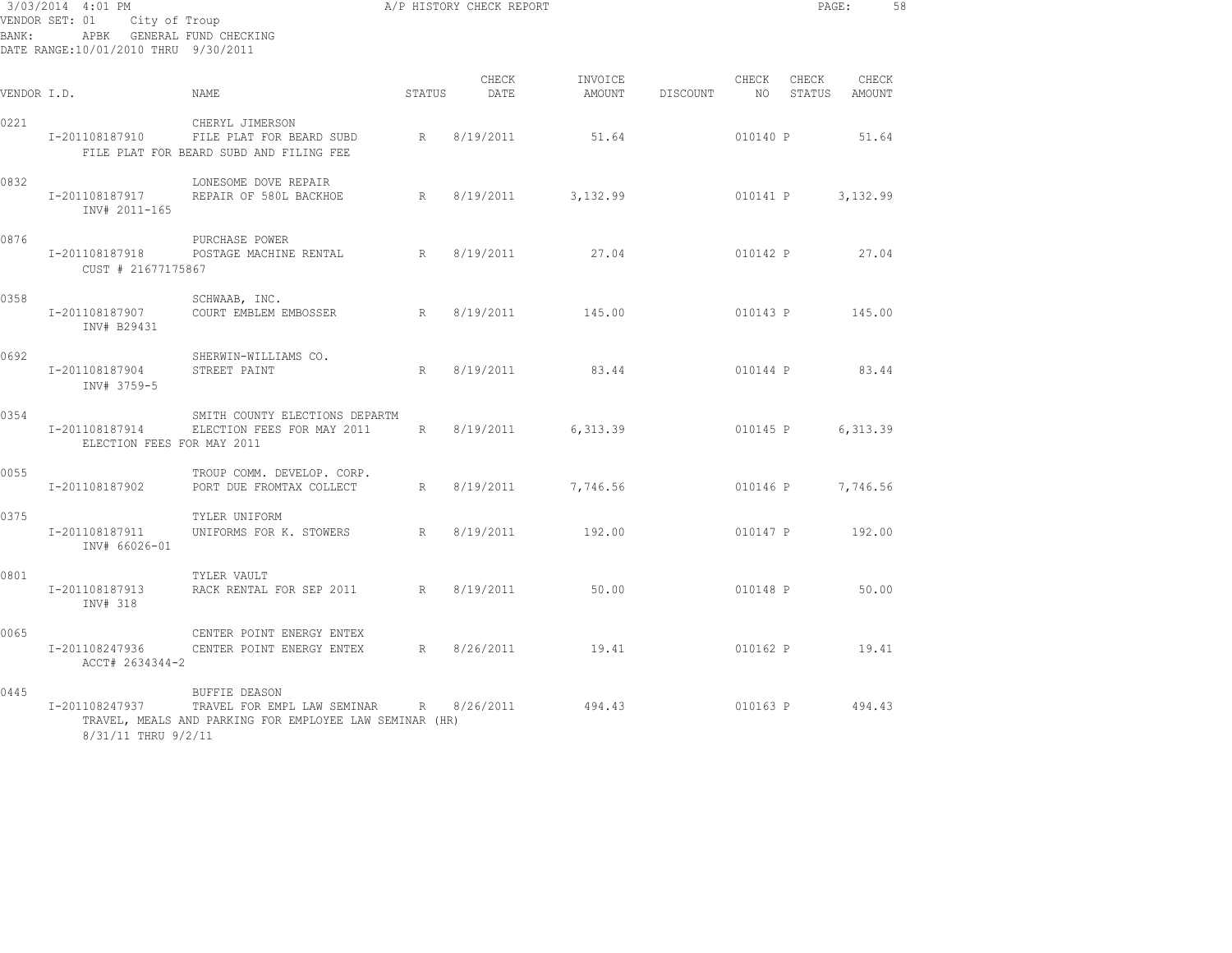| 3/03/2014 4:01 PM<br>VENDOR SET: 01 City of Troup<br>APBK GENERAL FUND CHECKING<br>BANK:<br>DATE RANGE:10/01/2010 THRU 9/30/2011 |                                              |                                                                                                                |        | A/P HISTORY CHECK REPORT |                   |          |                          | PAGE:                  |          | 58 |
|----------------------------------------------------------------------------------------------------------------------------------|----------------------------------------------|----------------------------------------------------------------------------------------------------------------|--------|--------------------------|-------------------|----------|--------------------------|------------------------|----------|----|
| VENDOR I.D.                                                                                                                      |                                              | NAME                                                                                                           | STATUS | CHECK<br>DATE            | INVOICE<br>AMOUNT | DISCOUNT | CHECK<br>NO <sub>1</sub> | CHECK<br>STATUS AMOUNT | CHECK    |    |
| 0221                                                                                                                             | I-201108187910                               | CHERYL JIMERSON<br>FILE PLAT FOR BEARD SUBD<br>FILE PLAT FOR BEARD SUBD AND FILING FEE                         | R      | 8/19/2011                | 51.64             |          | 010140 P                 |                        | 51.64    |    |
| 0832                                                                                                                             | I-201108187917<br>INV# 2011-165              | LONESOME DOVE REPAIR<br>REPAIR OF 580L BACKHOE                                                                 | R      | 8/19/2011                | 3,132.99          |          |                          | 010141 P               | 3,132.99 |    |
| 0876                                                                                                                             | I-201108187918<br>CUST # 21677175867         | PURCHASE POWER<br>POSTAGE MACHINE RENTAL R                                                                     |        | 8/19/2011                | 27.04             |          | 010142 P                 |                        | 27.04    |    |
| 0358                                                                                                                             | I-201108187907<br>INV# B29431                | SCHWAAB, INC.<br>COURT EMBLEM EMBOSSER                                                                         | R      | 8/19/2011                | 145.00            |          | 010143 P                 |                        | 145.00   |    |
| 0692                                                                                                                             | I-201108187904<br>INV# 3759-5                | SHERWIN-WILLIAMS CO.<br>STREET PAINT                                                                           | R      | 8/19/2011                | 83.44             |          | 010144 P                 |                        | 83.44    |    |
| 0354                                                                                                                             | I-201108187914<br>ELECTION FEES FOR MAY 2011 | SMITH COUNTY ELECTIONS DEPARTM<br>ELECTION FEES FOR MAY 2011                                                   |        | R 8/19/2011              | 6,313.39          |          | 010145 P                 |                        | 6,313.39 |    |
| 0055                                                                                                                             | I-201108187902                               | TROUP COMM. DEVELOP. CORP.<br>PORT DUE FROMTAX COLLECT                                                         | R      | 8/19/2011                | 7,746.56          |          |                          | 010146 P               | 7,746.56 |    |
| 0375                                                                                                                             | I-201108187911<br>INV# 66026-01              | TYLER UNIFORM<br>UNIFORMS FOR K. STOWERS                                                                       | R      | 8/19/2011                | 192.00            |          | 010147 P                 |                        | 192.00   |    |
| 0801                                                                                                                             | I-201108187913<br>INV# 318                   | TYLER VAULT<br>RACK RENTAL FOR SEP 2011 R 8/19/2011                                                            |        |                          | 50.00             |          | 010148 P                 |                        | 50.00    |    |
| 0065                                                                                                                             | I-201108247936<br>ACCT# 2634344-2            | CENTER POINT ENERGY ENTEX<br>CENTER POINT ENERGY ENTEX                                                         |        | R 8/26/2011              | 19.41             |          | 010162 P                 |                        | 19.41    |    |
| 0445                                                                                                                             | I-201108247937<br>8/31/11 THRU 9/2/11        | <b>BUFFIE DEASON</b><br>TRAVEL FOR EMPL LAW SEMINAR<br>TRAVEL, MEALS AND PARKING FOR EMPLOYEE LAW SEMINAR (HR) |        | R 8/26/2011              | 494.43            |          |                          | 010163 P 494.43        |          |    |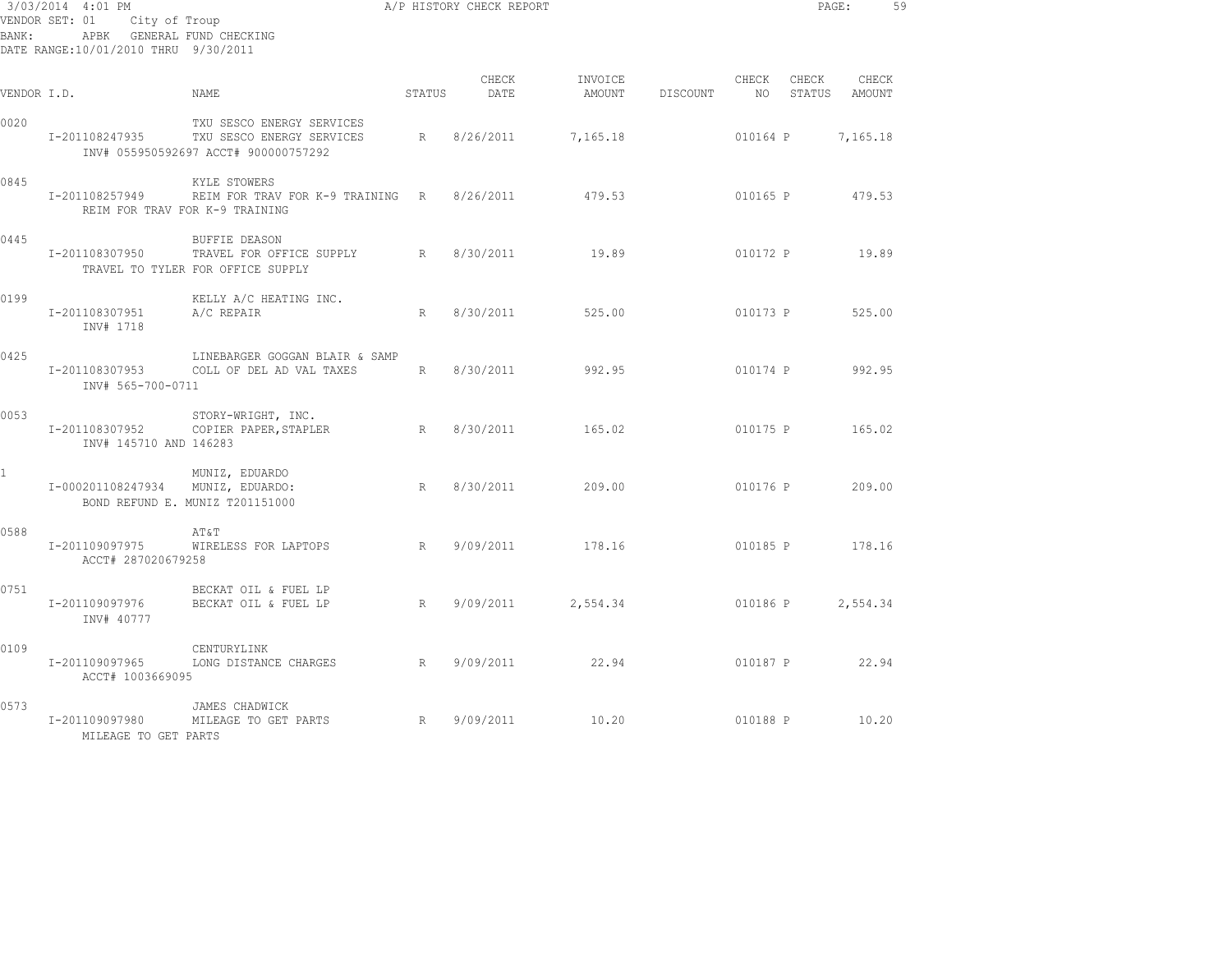| BANK:        | 3/03/2014 4:01 PM<br>VENDOR SET: 01<br>APBK GENERAL FUND CHECKING<br>DATE RANGE:10/01/2010 THRU 9/30/2011 | A/P HISTORY CHECK REPORT<br>City of Troup                                                                     |        |                      |                   |          |                          |       | PAGE: 59               |  |
|--------------|-----------------------------------------------------------------------------------------------------------|---------------------------------------------------------------------------------------------------------------|--------|----------------------|-------------------|----------|--------------------------|-------|------------------------|--|
| VENDOR I.D.  |                                                                                                           | NAME.                                                                                                         | STATUS | CHECK<br>DATE        | INVOICE<br>AMOUNT | DISCOUNT | CHECK<br>NO <sub>1</sub> | CHECK | CHECK<br>STATUS AMOUNT |  |
| 0020         |                                                                                                           | TXU SESCO ENERGY SERVICES<br>I-201108247935 TXU SESCO ENERGY SERVICES<br>INV# 055950592697 ACCT# 900000757292 |        | R 8/26/2011          | 7,165.18          |          |                          |       | 010164 P 7,165.18      |  |
| 0845         | I-201108257949                                                                                            | KYLE STOWERS<br>REIM FOR TRAV FOR K-9 TRAINING R 8/26/2011 479.53<br>REIM FOR TRAV FOR K-9 TRAINING           |        |                      |                   |          |                          |       | 010165 P 479.53        |  |
| 0445         | I-201108307950                                                                                            | BUFFIE DEASON<br>TRAVEL FOR OFFICE SUPPLY R 8/30/2011<br>TRAVEL TO TYLER FOR OFFICE SUPPLY                    |        |                      | 19.89             |          |                          |       | 010172 P 19.89         |  |
| 0199         | I-201108307951<br>INV# 1718                                                                               | KELLY A/C HEATING INC.<br>A/C REPAIR                                                                          | R      | 8/30/2011            | 525.00            |          | 010173 P                 |       | 525.00                 |  |
| 0425         | INV# 565-700-0711                                                                                         | LINEBARGER GOGGAN BLAIR & SAMP<br>I-201108307953 COLL OF DEL AD VAL TAXES                                     |        | R 8/30/2011          | 992.95            |          |                          |       | 010174 P 992.95        |  |
| 0053         | I-201108307952<br>INV# 145710 AND 146283                                                                  | STORY-WRIGHT, INC.<br>R<br>COPIER PAPER, STAPLER                                                              |        | 8/30/2011            | 165.02            |          |                          |       | 010175 P 165.02        |  |
| $\mathbf{1}$ | I-000201108247934 MUNIZ, EDUARDO:                                                                         | MUNIZ, EDUARDO<br>BOND REFUND E. MUNIZ T201151000                                                             | R      | 8/30/2011            | 209.00            |          |                          |       | 010176 P 209.00        |  |
| 0588         | I-201109097975<br>ACCT# 287020679258                                                                      | AΤ&Τ<br>R<br>WIRELESS FOR LAPTOPS                                                                             |        |                      | 9/09/2011 178.16  |          |                          |       | 010185 P 178.16        |  |
| 0751         | I-201109097976<br>INV# 40777                                                                              | BECKAT OIL & FUEL LP<br>BECKAT OIL & FUEL LP                                                                  |        | R 9/09/2011 2,554.34 |                   |          |                          |       | 010186 P 2,554.34      |  |
| 0109         | I-201109097965<br>ACCT# 1003669095                                                                        | CENTURYLINK<br>LONG DISTANCE CHARGES R 9/09/2011 22.94                                                        |        |                      |                   |          |                          |       | 010187 P 22.94         |  |
| 0573         | I-201109097980<br>MILEAGE TO GET PARTS                                                                    | JAMES CHADWICK<br>MILEAGE TO GET PARTS R                                                                      |        | 9/09/2011            | 10.20             |          |                          |       | 010188 P 10.20         |  |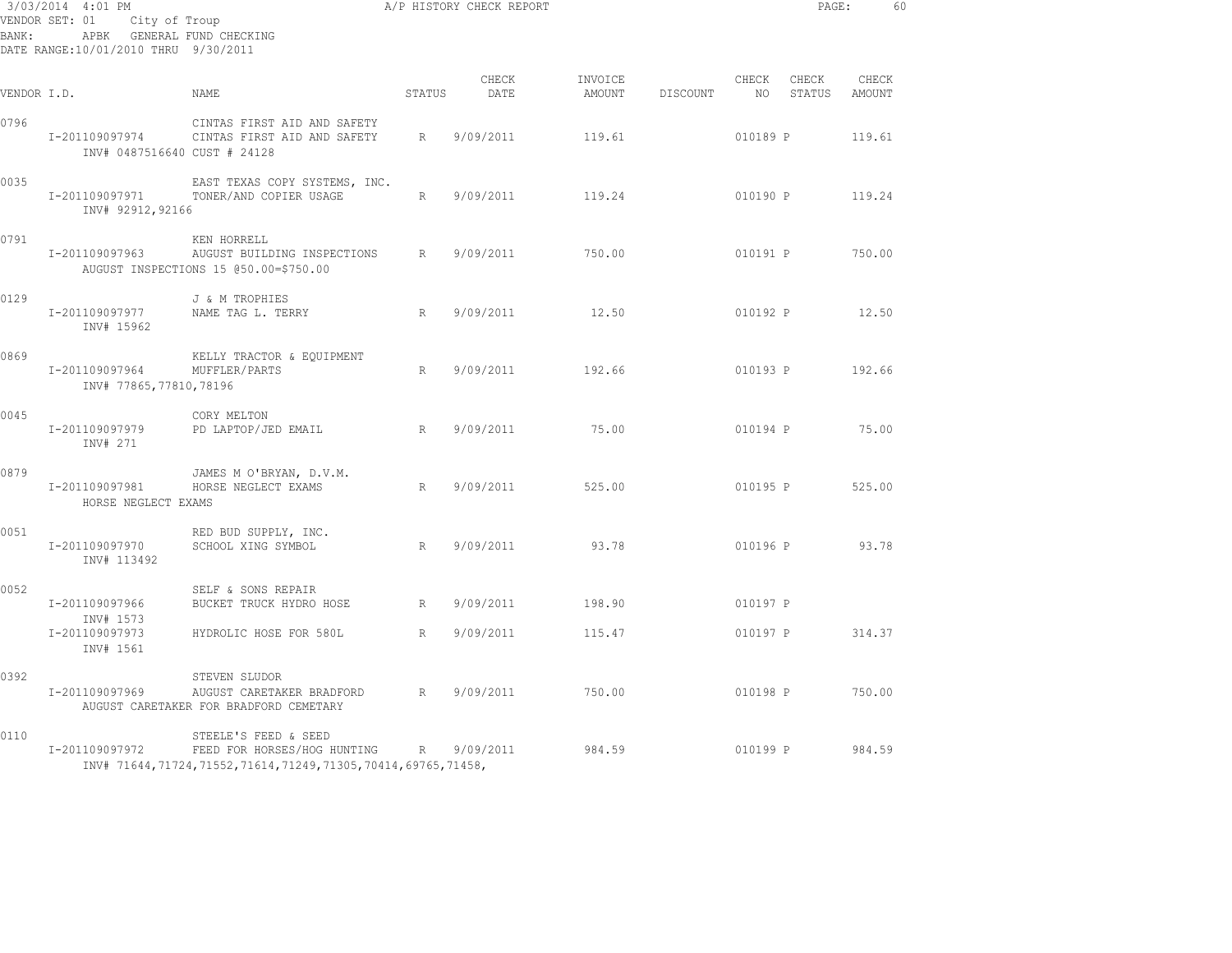| BANK:       | 3/03/2014 4:01 PM<br>VENDOR SET: 01<br>City of Troup<br>APBK GENERAL FUND CHECKING<br>DATE RANGE: 10/01/2010 THRU 9/30/2011 |                                                                                                                    |        | A/P HISTORY CHECK REPORT |                   |          |                      | PAGE:           | 60              |  |
|-------------|-----------------------------------------------------------------------------------------------------------------------------|--------------------------------------------------------------------------------------------------------------------|--------|--------------------------|-------------------|----------|----------------------|-----------------|-----------------|--|
| VENDOR I.D. |                                                                                                                             | NAME                                                                                                               | STATUS | CHECK<br>DATE            | INVOICE<br>AMOUNT | DISCOUNT | CHECK<br>NO          | CHECK<br>STATUS | CHECK<br>AMOUNT |  |
| 0796        | I-201109097974<br>INV# 0487516640 CUST # 24128                                                                              | CINTAS FIRST AID AND SAFETY<br>CINTAS FIRST AID AND SAFETY                                                         | R      | 9/09/2011                | 119.61            |          | 010189 P             |                 | 119.61          |  |
| 0035        | I-201109097971<br>INV# 92912,92166                                                                                          | EAST TEXAS COPY SYSTEMS, INC.<br>TONER/AND COPIER USAGE                                                            | R      | 9/09/2011                | 119.24            |          | 010190 P             |                 | 119.24          |  |
| 0791        | I-201109097963                                                                                                              | KEN HORRELL<br>AUGUST BUILDING INSPECTIONS<br>AUGUST INSPECTIONS 15 @50.00=\$750.00                                | R      | 9/09/2011                | 750.00            |          | 010191 P             |                 | 750.00          |  |
| 0129        | I-201109097977<br>INV# 15962                                                                                                | J & M TROPHIES<br>NAME TAG L. TERRY                                                                                | R      | 9/09/2011                | 12.50             |          | 010192 P             |                 | 12.50           |  |
| 0869        | I-201109097964<br>INV# 77865,77810,78196                                                                                    | KELLY TRACTOR & EQUIPMENT<br>MUFFLER/PARTS                                                                         | R      | 9/09/2011                | 192.66            |          | 010193 P             |                 | 192.66          |  |
| 0045        | I-201109097979<br>INV# 271                                                                                                  | CORY MELTON<br>PD LAPTOP/JED EMAIL                                                                                 | R      | 9/09/2011                | 75.00             |          | 010194 P             |                 | 75.00           |  |
| 0879        | I-201109097981<br>HORSE NEGLECT EXAMS                                                                                       | JAMES M O'BRYAN, D.V.M.<br>HORSE NEGLECT EXAMS                                                                     | R      | 9/09/2011                | 525.00            |          | 010195 P             |                 | 525.00          |  |
| 0051        | I-201109097970<br>INV# 113492                                                                                               | RED BUD SUPPLY, INC.<br>SCHOOL XING SYMBOL                                                                         | R      | 9/09/2011                | 93.78             |          | 010196 P             |                 | 93.78           |  |
| 0052        | I-201109097966<br>INV# 1573<br>I-201109097973                                                                               | SELF & SONS REPAIR<br>BUCKET TRUCK HYDRO HOSE<br>HYDROLIC HOSE FOR 580L                                            | R<br>R | 9/09/2011<br>9/09/2011   | 198.90<br>115.47  |          | 010197 P<br>010197 P |                 | 314.37          |  |
|             | INV# 1561                                                                                                                   |                                                                                                                    |        |                          |                   |          |                      |                 |                 |  |
| 0392        | I-201109097969                                                                                                              | STEVEN SLUDOR<br>AUGUST CARETAKER BRADFORD<br>AUGUST CARETAKER FOR BRADFORD CEMETARY                               | R      | 9/09/2011                | 750.00            |          | 010198 P             |                 | 750.00          |  |
| 0110        | I-201109097972                                                                                                              | STEELE'S FEED & SEED<br>FEED FOR HORSES/HOG HUNTING<br>INV# 71644,71724,71552,71614,71249,71305,70414,69765,71458, | R      | 9/09/2011                | 984.59            |          | 010199 P             |                 | 984.59          |  |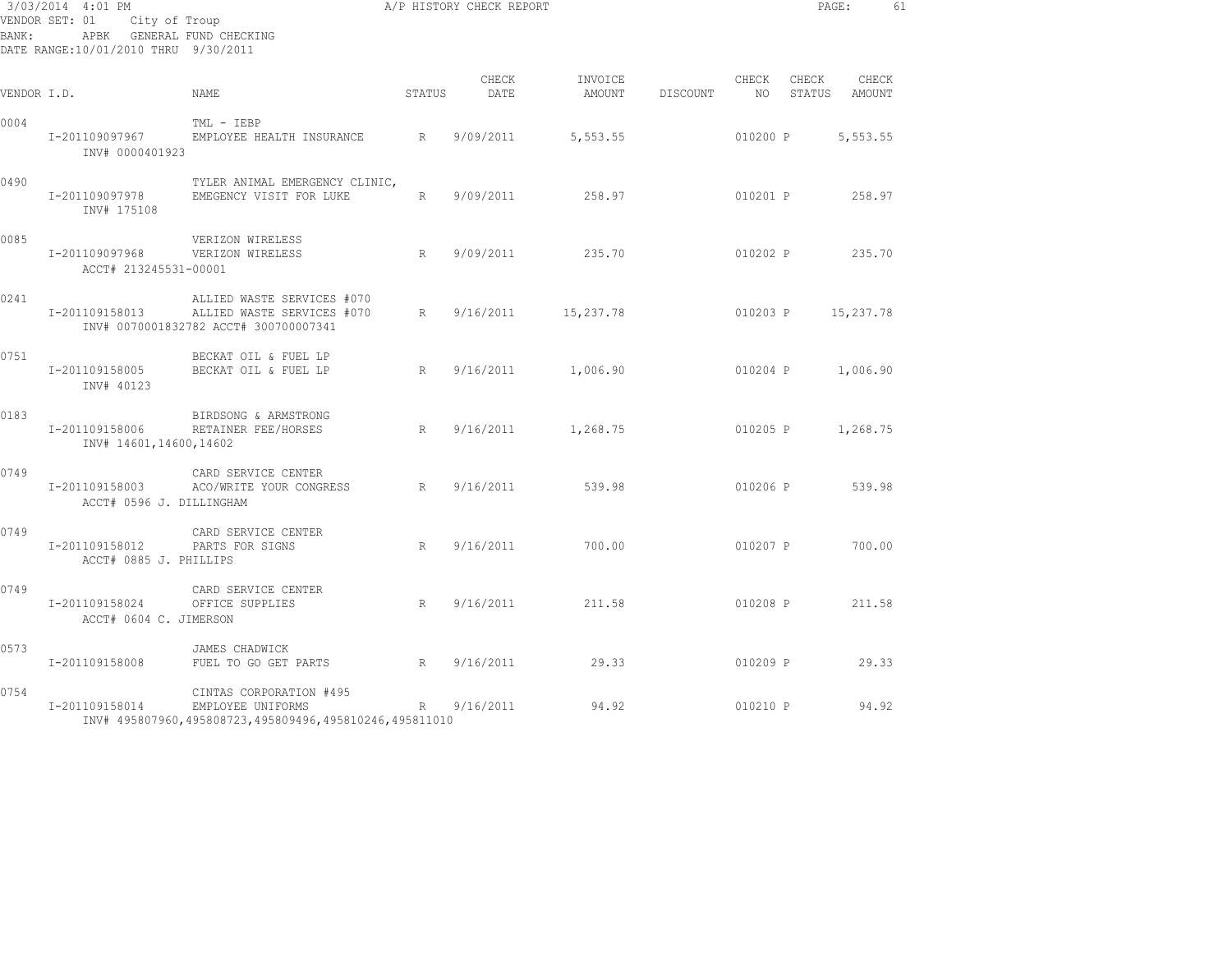| 3/03/2014 4:01 PM<br>VENDOR SET: 01 City of Troup<br>APBK GENERAL FUND CHECKING<br>BANK:<br>DATE RANGE:10/01/2010 THRU 9/30/2011 |                                                          |                                                                                                                  |              | A/P HISTORY CHECK REPORT |               |                                  |          | PAGE:           |           | 61 |
|----------------------------------------------------------------------------------------------------------------------------------|----------------------------------------------------------|------------------------------------------------------------------------------------------------------------------|--------------|--------------------------|---------------|----------------------------------|----------|-----------------|-----------|----|
| VENDOR I.D.                                                                                                                      |                                                          | NAME                                                                                                             | STATUS       | CHECK<br>DATE            | INVOICE CHECK | AMOUNT DISCOUNT NO STATUS AMOUNT |          | CHECK           | CHECK     |    |
| 0004                                                                                                                             | INV# 0000401923                                          | TML - IEBP<br>I-201109097967 EMPLOYEE HEALTH INSURANCE R                                                         |              | 9/09/2011 5,553.55       |               | 010200 P                         |          |                 | 5,553.55  |    |
| 0490                                                                                                                             | I-201109097978<br>INV# 175108                            | TYLER ANIMAL EMERGENCY CLINIC,<br>EMEGENCY VISIT FOR LUKE                                                        | R            | 9/09/2011 258.97         |               |                                  |          | 010201 P 258.97 |           |    |
| 0085                                                                                                                             | I-201109097968 VERIZON WIRELESS<br>ACCT# 213245531-00001 | VERIZON WIRELESS<br>R                                                                                            |              | 9/09/2011                | 235.70        |                                  |          | 010202 P 235.70 |           |    |
| 0241                                                                                                                             |                                                          | ALLIED WASTE SERVICES #070<br>I-201109158013 ALLIED WASTE SERVICES #070<br>INV# 0070001832782 ACCT# 300700007341 | $R_{\rm{1}}$ | 9/16/2011 15,237.78      |               |                                  | 010203 P |                 | 15,237.78 |    |
| 0751                                                                                                                             | INV# 40123                                               | BECKAT OIL & FUEL LP<br>I-201109158005 BECKAT OIL & FUEL LP<br>R                                                 |              | 9/16/2011 1,006.90       |               |                                  |          | 010204 P        | 1,006.90  |    |
| 0183                                                                                                                             | INV# 14601,14600,14602                                   | BIRDSONG & ARMSTRONG<br>I-201109158006 RETAINER FEE/HORSES<br>R                                                  |              | $9/16/2011$ 1,268.75     |               | 010205 P 1,268.75                |          |                 |           |    |
| 0749                                                                                                                             | ACCT# 0596 J. DILLINGHAM                                 | CARD SERVICE CENTER<br>I-201109158003 ACO/WRITE YOUR CONGRESS R                                                  |              | 9/16/2011 539.98         |               |                                  |          | 010206 P 539.98 |           |    |
| 0749                                                                                                                             | I-201109158012 PARTS FOR SIGNS<br>ACCT# 0885 J. PHILLIPS | CARD SERVICE CENTER                                                                                              | R            | 9/16/2011                | 700.00        |                                  |          | 010207 P 700.00 |           |    |
| 0749                                                                                                                             | I-201109158024 OFFICE SUPPLIES<br>ACCT# 0604 C. JIMERSON | CARD SERVICE CENTER                                                                                              | R            | 9/16/2011 211.58         |               |                                  |          | 010208 P        | 211.58    |    |
| 0573                                                                                                                             |                                                          | JAMES CHADWICK<br>I-201109158008 FUEL TO GO GET PARTS R                                                          |              | 9/16/2011 29.33          |               |                                  |          | 010209 P 29.33  |           |    |
| 0754                                                                                                                             | I-201109158014 EMPLOYEE UNIFORMS                         | CINTAS CORPORATION #495<br>INV# 495807960,495808723,495809496,495810246,495811010                                |              | R 9/16/2011              | 94.92         |                                  | 010210 P |                 | 94.92     |    |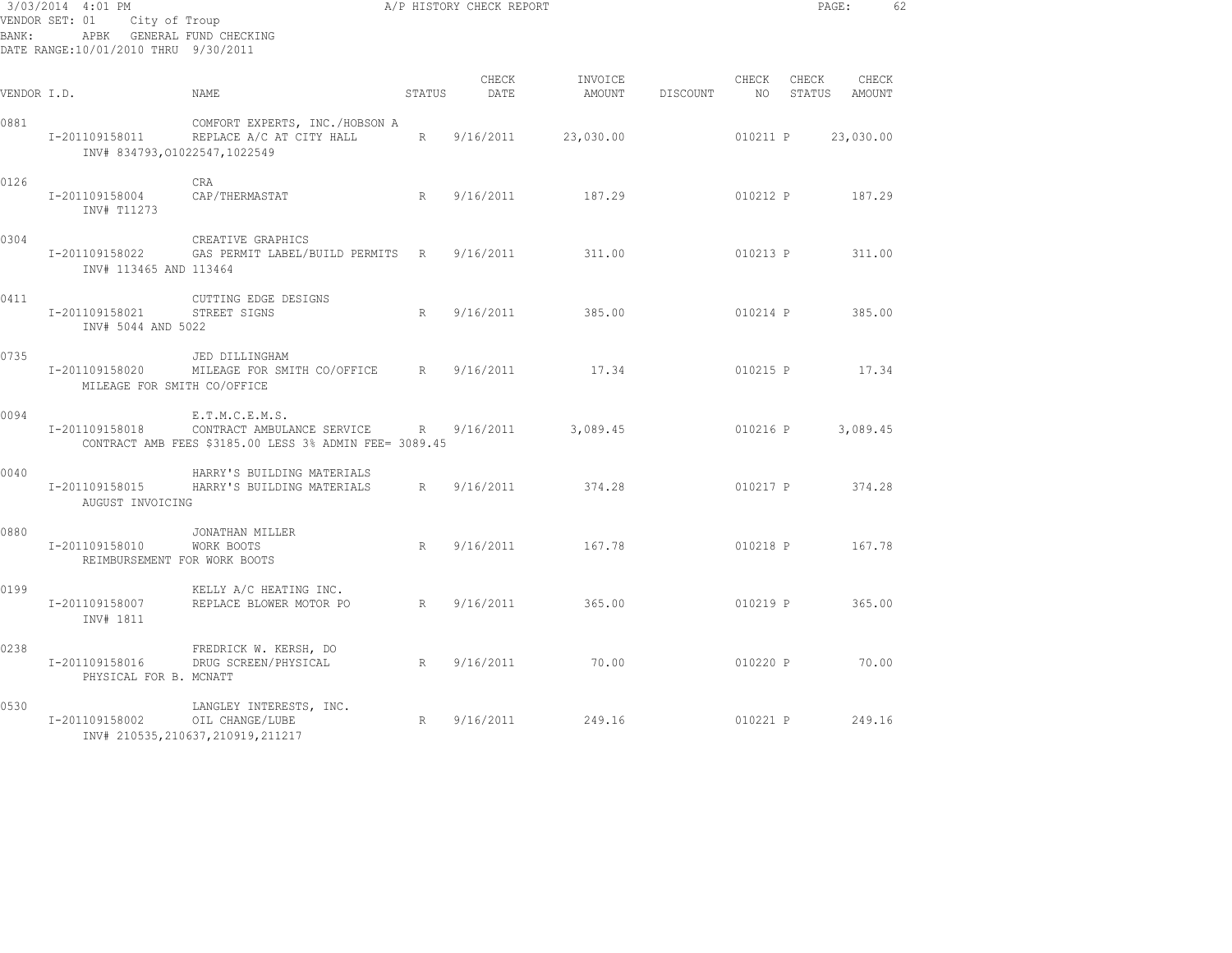| BANK:       | 3/03/2014 4:01 PM<br>VENDOR SET: 01<br>City of Troup<br>APBK GENERAL FUND CHECKING<br>DATE RANGE:10/01/2010 THRU 9/30/2011 |                                                                                                        |             | A/P HISTORY CHECK REPORT |                   |          |          | PAGE:              |                 | 62 |
|-------------|----------------------------------------------------------------------------------------------------------------------------|--------------------------------------------------------------------------------------------------------|-------------|--------------------------|-------------------|----------|----------|--------------------|-----------------|----|
| VENDOR I.D. |                                                                                                                            | NAME                                                                                                   | STATUS      | CHECK<br>DATE            | INVOICE<br>AMOUNT | DISCOUNT | CHECK    | CHECK<br>NO STATUS | CHECK<br>AMOUNT |    |
| 0881        | I-201109158011<br>INV# 834793,01022547,1022549                                                                             | COMFORT EXPERTS, INC./HOBSON A<br>REPLACE A/C AT CITY HALL                                             | $R_{\perp}$ | 9/16/2011                | 23,030.00         |          | 010211 P |                    | 23,030.00       |    |
| 0126        | I-201109158004<br>INV# T11273                                                                                              | CRA<br>CAP/THERMASTAT                                                                                  | R           | 9/16/2011                | 187.29            |          | 010212 P |                    | 187.29          |    |
| 0304        | I-201109158022<br>INV# 113465 AND 113464                                                                                   | CREATIVE GRAPHICS<br>GAS PERMIT LABEL/BUILD PERMITS R 9/16/2011                                        |             |                          | 311.00            |          | 010213 P |                    | 311.00          |    |
| 0411        | I-201109158021<br>INV# 5044 AND 5022                                                                                       | CUTTING EDGE DESIGNS<br>STREET SIGNS                                                                   | R           | 9/16/2011                | 385.00            |          | 010214 P |                    | 385.00          |    |
| 0735        | I-201109158020<br>MILEAGE FOR SMITH CO/OFFICE                                                                              | JED DILLINGHAM<br>MILEAGE FOR SMITH CO/OFFICE R                                                        |             | 9/16/2011                | 17.34             |          | 010215 P |                    | 17.34           |    |
| 0094        | I-201109158018                                                                                                             | E.T.M.C.E.M.S.<br>CONTRACT AMBULANCE SERVICE<br>CONTRACT AMB FEES \$3185.00 LESS 3% ADMIN FEE= 3089.45 | R           | 9/16/2011                | 3,089.45          |          | 010216 P |                    | 3,089.45        |    |
| 0040        | I-201109158015<br>AUGUST INVOICING                                                                                         | HARRY'S BUILDING MATERIALS<br>HARRY'S BUILDING MATERIALS                                               | R           | 9/16/2011                | 374.28            |          | 010217 P |                    | 374.28          |    |
| 0880        | I-201109158010<br>REIMBURSEMENT FOR WORK BOOTS                                                                             | JONATHAN MILLER<br>WORK BOOTS                                                                          | R           | 9/16/2011                | 167.78            |          |          | 010218 P           | 167.78          |    |
| 0199        | I-201109158007<br>INV# 1811                                                                                                | KELLY A/C HEATING INC.<br>REPLACE BLOWER MOTOR PO                                                      | R           | 9/16/2011                | 365.00            |          | 010219 P |                    | 365.00          |    |
| 0238        | I-201109158016<br>PHYSICAL FOR B. MCNATT                                                                                   | FREDRICK W. KERSH, DO<br>DRUG SCREEN/PHYSICAL                                                          | R           | 9/16/2011                | 70.00             |          | 010220 P |                    | 70.00           |    |
| 0530        | I-201109158002                                                                                                             | LANGLEY INTERESTS, INC.<br>OIL CHANGE/LUBE<br>INV# 210535, 210637, 210919, 211217                      | R           | 9/16/2011                | 249.16            |          | 010221 P |                    | 249.16          |    |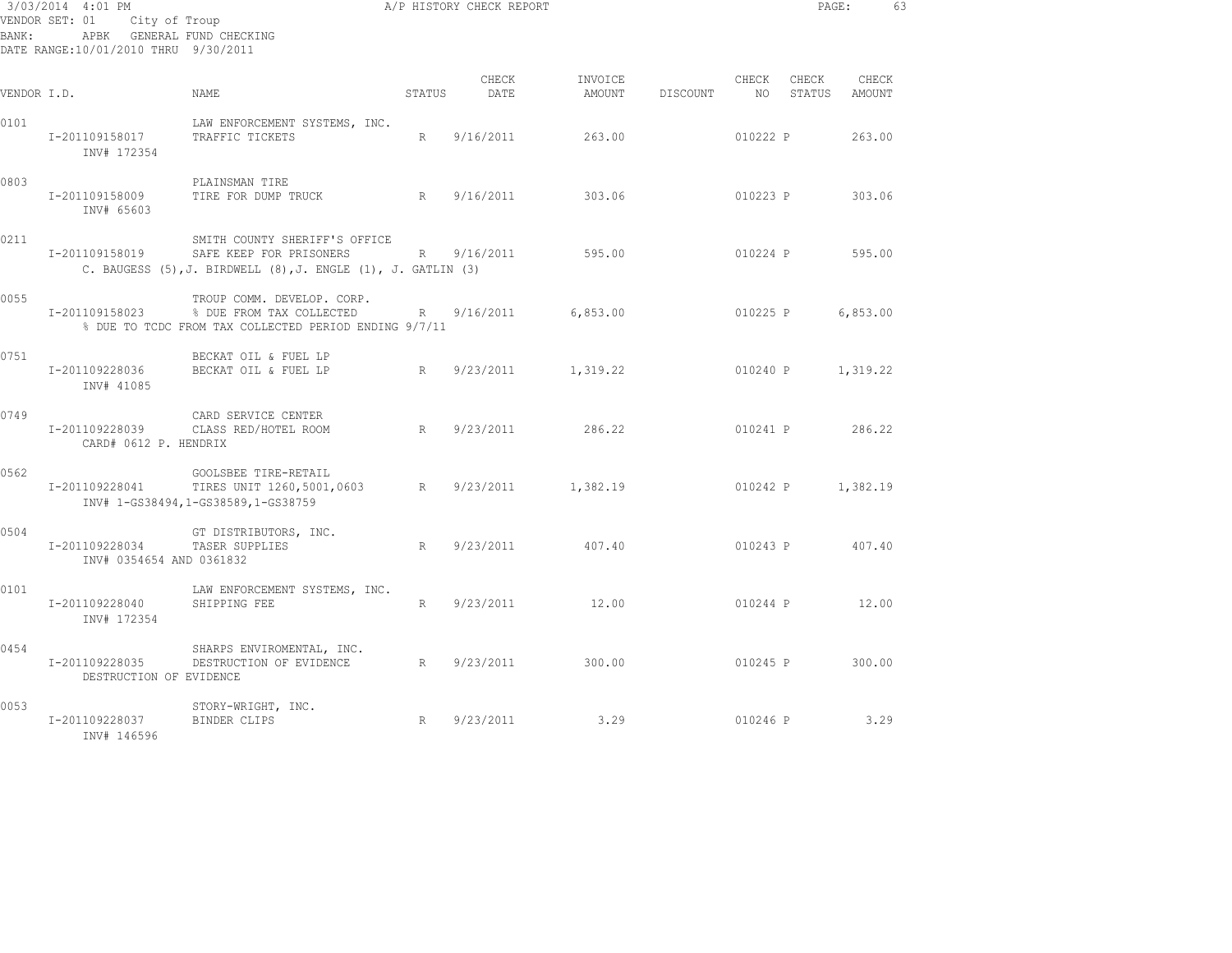| BANK :      | 3/03/2014 4:01 PM<br>VENDOR SET: 01 City of Troup<br>DATE RANGE:10/01/2010 THRU 9/30/2011 | APBK GENERAL FUND CHECKING                                                                                                          |        | A/P HISTORY CHECK REPORT |                   |          |                          | PAGE:             |                        | 63 |
|-------------|-------------------------------------------------------------------------------------------|-------------------------------------------------------------------------------------------------------------------------------------|--------|--------------------------|-------------------|----------|--------------------------|-------------------|------------------------|----|
| VENDOR I.D. |                                                                                           | <b>NAME</b>                                                                                                                         | STATUS | CHECK<br>DATE            | INVOICE<br>AMOUNT | DISCOUNT | CHECK<br>NO <sub>1</sub> | CHECK             | CHECK<br>STATUS AMOUNT |    |
| 0101        | I-201109158017<br>INV# 172354                                                             | LAW ENFORCEMENT SYSTEMS, INC.<br>TRAFFIC TICKETS                                                                                    | R      | 9/16/2011                | 263.00            |          | 010222 P                 |                   | 263.00                 |    |
| 0803        | I-201109158009<br>INV# 65603                                                              | PLAINSMAN TIRE<br>TIRE FOR DUMP TRUCK                                                                                               | R      | 9/16/2011                | 303.06            |          | 010223 P                 |                   | 303.06                 |    |
| 0211        | I-201109158019                                                                            | SMITH COUNTY SHERIFF'S OFFICE<br>SAFE KEEP FOR PRISONERS<br>C. BAUGESS $(5)$ , J. BIRDWELL $(8)$ , J. ENGLE $(1)$ , J. GATLIN $(3)$ |        | R 9/16/2011              | 595.00            |          | 010224 P                 |                   | 595.00                 |    |
| 0055        | I-201109158023                                                                            | TROUP COMM. DEVELOP. CORP.<br>% DUE FROM TAX COLLECTED<br>% DUE TO TCDC FROM TAX COLLECTED PERIOD ENDING 9/7/11                     |        | R 9/16/2011              | 6,853.00          |          | 010225 P                 |                   | 6,853.00               |    |
| 0751        | I-201109228036<br>INV# 41085                                                              | BECKAT OIL & FUEL LP<br>BECKAT OIL & FUEL LP                                                                                        |        | R 9/23/2011              | 1,319.22          |          | 010240 P                 |                   | 1,319.22               |    |
| 0749        | I-201109228039<br>CARD# 0612 P. HENDRIX                                                   | CARD SERVICE CENTER<br>CLASS RED/HOTEL ROOM                                                                                         |        | R 9/23/2011              | 286.22            |          |                          | 010241 P 286.22   |                        |    |
| 0562        | I-201109228041                                                                            | GOOLSBEE TIRE-RETAIL<br>TIRES UNIT 1260, 5001, 0603 R 9/23/2011<br>INV# 1-GS38494, 1-GS38589, 1-GS38759                             |        |                          | 1,382.19          |          |                          | 010242 P 1,382.19 |                        |    |
| 0504        | I-201109228034<br>INV# 0354654 AND 0361832                                                | GT DISTRIBUTORS, INC.<br>TASER SUPPLIES                                                                                             | R      | 9/23/2011                | 407.40            |          |                          | 010243 P 407.40   |                        |    |
| 0101        | I-201109228040<br>INV# 172354                                                             | LAW ENFORCEMENT SYSTEMS, INC.<br>SHIPPING FEE                                                                                       | R      | 9/23/2011                | 12.00             |          |                          | 010244 P 12.00    |                        |    |
| 0454        | I-201109228035<br>DESTRUCTION OF EVIDENCE                                                 | SHARPS ENVIROMENTAL, INC.<br>DESTRUCTION OF EVIDENCE R 9/23/2011                                                                    |        |                          | 300.00            |          | 010245 P                 |                   | 300.00                 |    |
| 0053        | I-201109228037<br>INV# 146596                                                             | STORY-WRIGHT, INC.<br>BINDER CLIPS                                                                                                  | R      | 9/23/2011                | 3.29              |          |                          | 010246 P          | 3.29                   |    |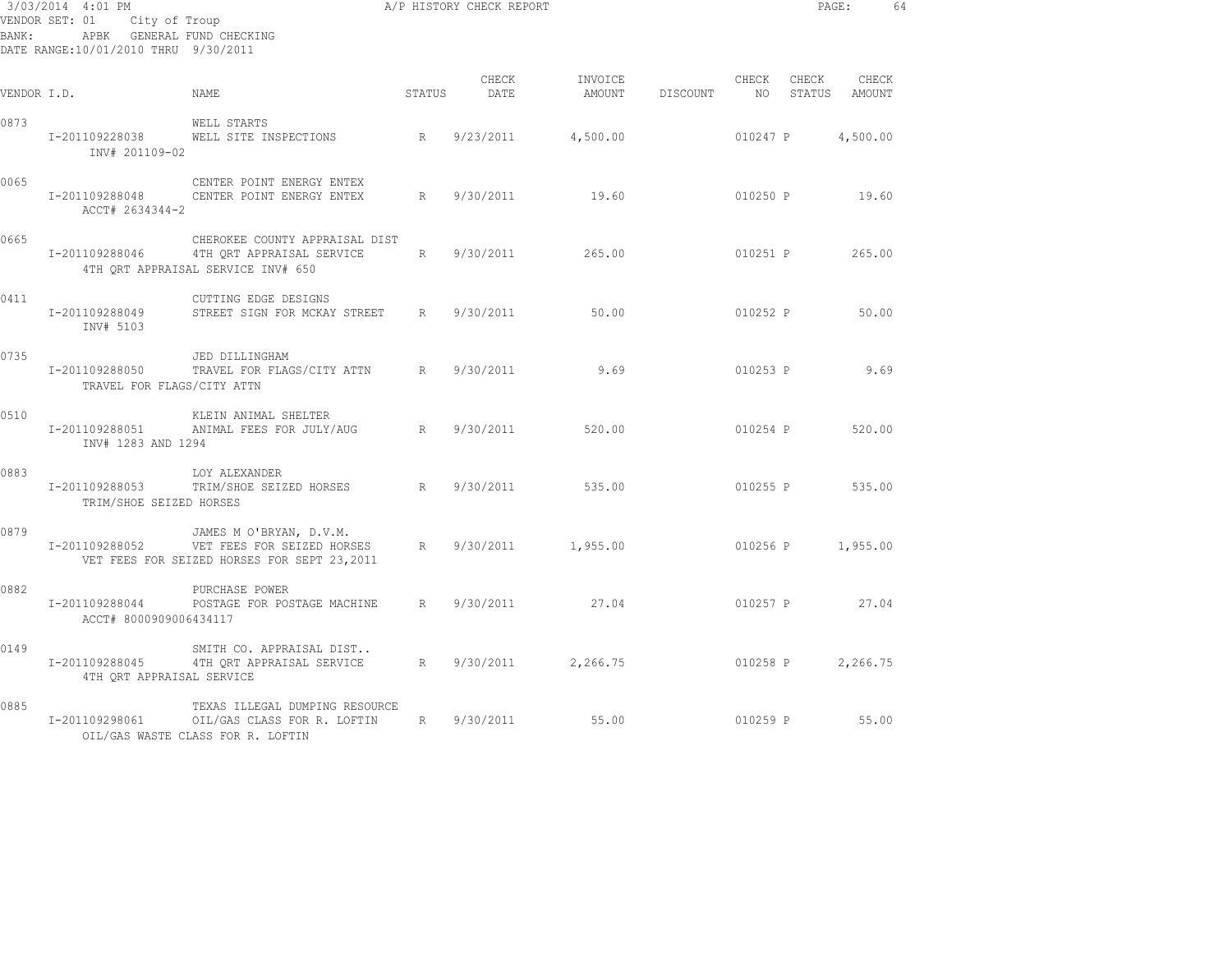| BANK:       | 3/03/2014 4:01 PM<br>VENDOR SET: 01 City of Troup<br>APBK GENERAL FUND CHECKING<br>DATE RANGE:10/01/2010 THRU 9/30/2011 |                                                                                                        |        | A/P HISTORY CHECK REPORT |          |                 |          |       | PAGE:                     | 64 |
|-------------|-------------------------------------------------------------------------------------------------------------------------|--------------------------------------------------------------------------------------------------------|--------|--------------------------|----------|-----------------|----------|-------|---------------------------|----|
| VENDOR I.D. |                                                                                                                         | <b>NAME</b>                                                                                            | STATUS | CHECK<br>DATE            | INVOICE  | AMOUNT DISCOUNT | CHECK    | CHECK | CHECK<br>NO STATUS AMOUNT |    |
| 0873        | INV# 201109-02                                                                                                          | WELL STARTS<br>I-201109228038 WELL SITE INSPECTIONS R                                                  |        | 9/23/2011                | 4,500.00 |                 | 010247 P |       | 4,500.00                  |    |
| 0065        | I-201109288048<br>ACCT# 2634344-2                                                                                       | CENTER POINT ENERGY ENTEX<br>CENTER POINT ENERGY ENTEX                                                 | R      | 9/30/2011                | 19.60    |                 |          |       | 010250 P 19.60            |    |
| 0665        | I-201109288046                                                                                                          | CHEROKEE COUNTY APPRAISAL DIST<br>4TH QRT APPRAISAL SERVICE<br>4TH ORT APPRAISAL SERVICE INV# 650      |        | R 9/30/2011              | 265.00   |                 | 010251 P |       | 265.00                    |    |
| 0411        | I-201109288049<br>INV# 5103                                                                                             | CUTTING EDGE DESIGNS<br>STREET SIGN FOR MCKAY STREET R 9/30/2011                                       |        |                          | 50.00    |                 | 010252 P |       | 50.00                     |    |
| 0735        | I-201109288050<br>TRAVEL FOR FLAGS/CITY ATTN                                                                            | JED DILLINGHAM<br>TRAVEL FOR FLAGS/CITY ATTN R                                                         |        | 9/30/2011                | 9.69     |                 |          |       | 010253 P 9.69             |    |
| 0510        | I-201109288051<br>INV# 1283 AND 1294                                                                                    | KLEIN ANIMAL SHELTER<br>ANIMAL FEES FOR JULY/AUG                                                       | R      | 9/30/2011                | 520.00   |                 |          |       | 010254 P 520.00           |    |
| 0883        | I-201109288053<br>TRIM/SHOE SEIZED HORSES                                                                               | LOY ALEXANDER<br>TRIM/SHOE SEIZED HORSES R                                                             |        | 9/30/2011                | 535.00   |                 |          |       | 010255 P 535.00           |    |
| 0879        | I-201109288052                                                                                                          | JAMES M O'BRYAN, D.V.M.<br>VET FEES FOR SEIZED HORSES R<br>VET FEES FOR SEIZED HORSES FOR SEPT 23,2011 |        | 9/30/2011                | 1,955.00 |                 |          |       | 010256 P 1,955.00         |    |
| 0882        | I-201109288044<br>ACCT# 8000909006434117                                                                                | PURCHASE POWER<br>POSTAGE FOR POSTAGE MACHINE R 9/30/2011                                              |        |                          | 27.04    |                 |          |       | 010257 P 27.04            |    |
| 0149        | I-201109288045<br>4TH QRT APPRAISAL SERVICE                                                                             | SMITH CO. APPRAISAL DIST<br>4TH QRT APPRAISAL SERVICE R 9/30/2011 2,266.75                             |        |                          |          |                 | 010258 P |       | 2,266.75                  |    |
| 0885        | I-201109298061                                                                                                          | TEXAS ILLEGAL DUMPING RESOURCE<br>OIL/GAS CLASS FOR R. LOFTIN<br>OIL/GAS WASTE CLASS FOR R. LOFTIN     | R      | 9/30/2011                | 55.00    |                 |          |       | 010259 P 55.00            |    |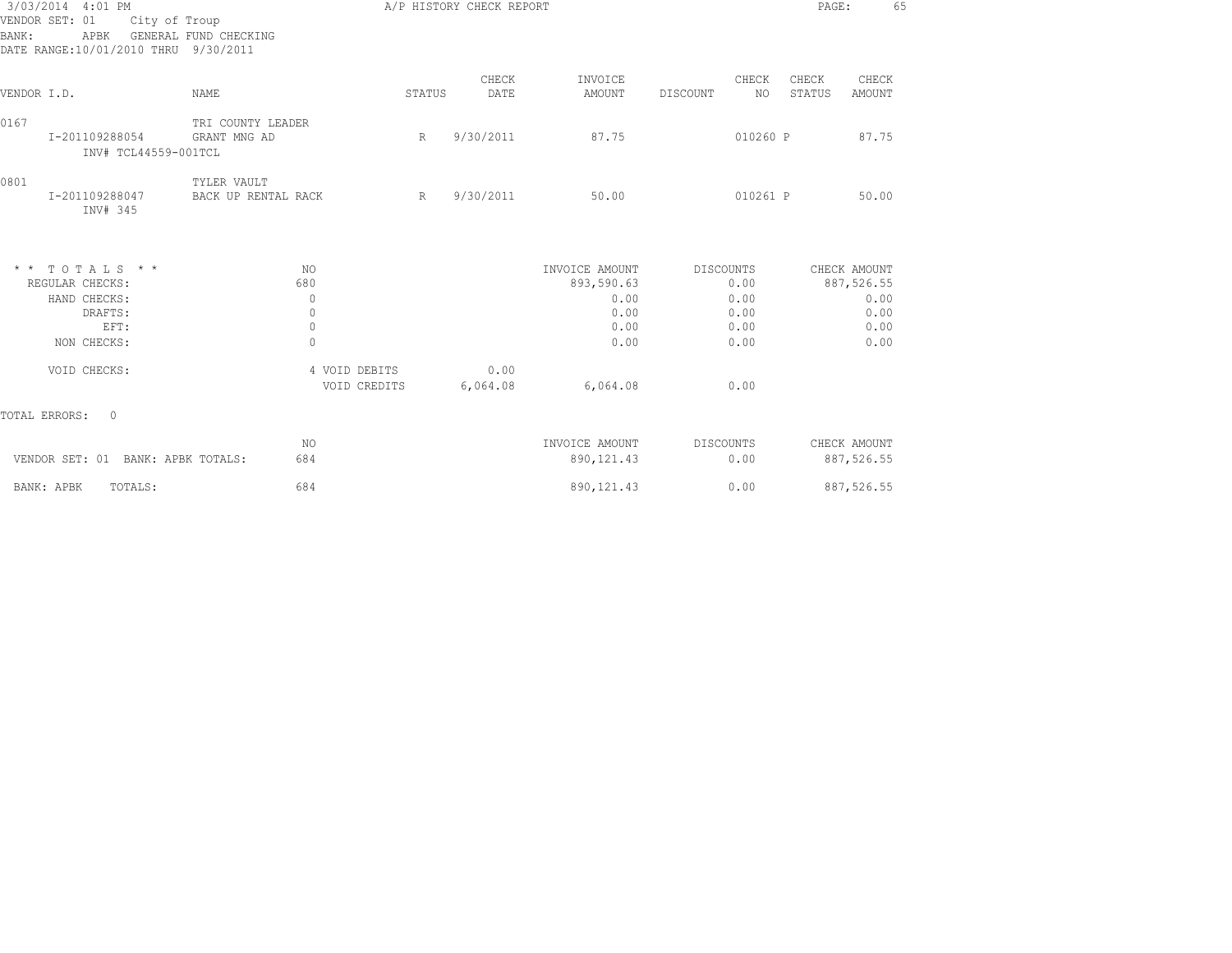| 3/03/2014 4:01 PM<br>VENDOR SET: 01<br>BANK:<br>APBK                                                                                                             | City of Troup<br>GENERAL FUND CHECKING<br>DATE RANGE:10/01/2010 THRU 9/30/2011 |                                    |        | A/P HISTORY CHECK REPORT |                              |                         | 65<br>PAGE:                        |
|------------------------------------------------------------------------------------------------------------------------------------------------------------------|--------------------------------------------------------------------------------|------------------------------------|--------|--------------------------|------------------------------|-------------------------|------------------------------------|
| VENDOR I.D.                                                                                                                                                      | <b>NAME</b>                                                                    |                                    | STATUS | CHECK<br>DATE            | INVOICE<br>AMOUNT            | CHECK<br>NO<br>DISCOUNT | CHECK<br>CHECK<br>STATUS<br>AMOUNT |
| 0167<br>I-201109288054                                                                                                                                           | INV# TCL44559-001TCL                                                           | TRI COUNTY LEADER<br>GRANT MNG AD  | R      | 9/30/2011                | 87.75                        | 010260 P                | 87.75                              |
| 0801<br>I-201109288047                                                                                                                                           | INV# 345                                                                       | TYLER VAULT<br>BACK UP RENTAL RACK | R      | 9/30/2011                | 50.00                        | 010261 P                | 50.00                              |
| $\begin{array}{cccccccccccccc} \star & \star & & \text{T} & \text{O} & \text{T} & \text{A} & \text{L} & \text{S} & \star & \star \end{array}$<br>REGULAR CHECKS: |                                                                                | NO.<br>680                         |        |                          | INVOICE AMOUNT<br>893,590.63 | DISCOUNTS<br>0.00       | CHECK AMOUNT<br>887,526.55         |
| HAND CHECKS:                                                                                                                                                     |                                                                                | $\mathbf{0}$                       |        |                          | 0.00                         | 0.00                    | 0.00                               |
|                                                                                                                                                                  | DRAFTS:                                                                        | $\mathbf{0}$                       |        |                          | 0.00                         | 0.00                    | 0.00                               |
|                                                                                                                                                                  | EFT:                                                                           | $\mathbf{0}$                       |        |                          | 0.00                         | 0.00                    | 0.00                               |
| NON CHECKS:                                                                                                                                                      |                                                                                | $\circ$                            |        |                          | 0.00                         | 0.00                    | 0.00                               |
| VOID CHECKS:                                                                                                                                                     |                                                                                | 4 VOID DEBITS                      |        | 0.00                     |                              |                         |                                    |
|                                                                                                                                                                  |                                                                                | VOID CREDITS                       |        | 6,064.08                 | 6,064.08                     | 0.00                    |                                    |
| TOTAL ERRORS:                                                                                                                                                    | $\overline{0}$                                                                 |                                    |        |                          |                              |                         |                                    |
|                                                                                                                                                                  |                                                                                | NO.                                |        |                          | INVOICE AMOUNT               | DISCOUNTS               | CHECK AMOUNT                       |
|                                                                                                                                                                  | VENDOR SET: 01 BANK: APBK TOTALS:                                              | 684                                |        |                          | 890, 121.43                  | 0.00                    | 887,526.55                         |
| BANK: APBK                                                                                                                                                       | TOTALS:                                                                        | 684                                |        |                          | 890, 121.43                  | 0.00                    | 887,526.55                         |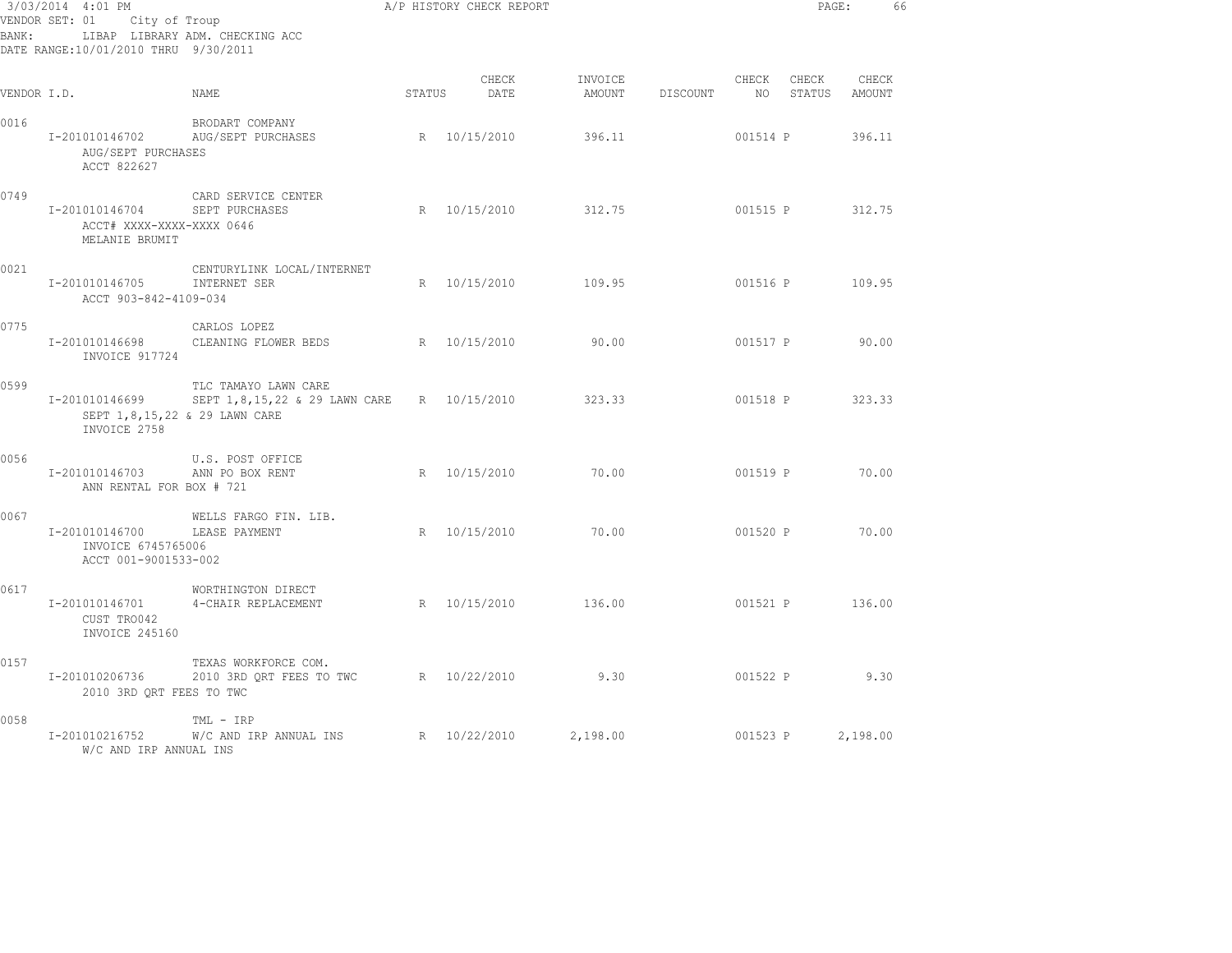| 3/03/2014 4:01 PM<br>VENDOR SET: 01 City of Troup<br>LIBAP LIBRARY ADM. CHECKING ACC<br>BANK:<br>DATE RANGE:10/01/2010 THRU 9/30/2011 |                                                               |                                                                                                     |        | A/P HISTORY CHECK REPORT |                   |          |          | PAGE:                     | 66     |  |
|---------------------------------------------------------------------------------------------------------------------------------------|---------------------------------------------------------------|-----------------------------------------------------------------------------------------------------|--------|--------------------------|-------------------|----------|----------|---------------------------|--------|--|
| VENDOR I.D.                                                                                                                           |                                                               | NAME                                                                                                | STATUS | CHECK<br>DATE            | INVOICE<br>AMOUNT | DISCOUNT | CHECK    | CHECK<br>NO STATUS AMOUNT | CHECK  |  |
| 0016                                                                                                                                  | I-201010146702<br>AUG/SEPT PURCHASES<br>ACCT 822627           | BRODART COMPANY<br>AUG/SEPT PURCHASES                                                               |        | R 10/15/2010             | 396.11            |          | 001514 P |                           | 396.11 |  |
| 0749                                                                                                                                  | I-201010146704<br>ACCT# XXXX-XXXX-XXXX 0646<br>MELANIE BRUMIT | CARD SERVICE CENTER<br>SEPT PURCHASES                                                               |        | R 10/15/2010             | 312.75            |          |          | 001515 P 312.75           |        |  |
| 0021                                                                                                                                  | I-201010146705<br>ACCT 903-842-4109-034                       | CENTURYLINK LOCAL/INTERNET<br>INTERNET SER                                                          |        | R 10/15/2010             | 109.95            |          |          | 001516 P                  | 109.95 |  |
| 0775                                                                                                                                  | I-201010146698<br>INVOICE 917724                              | CARLOS LOPEZ<br>CLEANING FLOWER BEDS R 10/15/2010                                                   |        |                          | 90.00             |          | 001517 P |                           | 90.00  |  |
| 0599                                                                                                                                  | I-201010146699<br>INVOICE 2758                                | TLC TAMAYO LAWN CARE<br>SEPT 1,8,15,22 & 29 LAWN CARE R 10/15/2010<br>SEPT 1,8,15,22 & 29 LAWN CARE |        |                          | 323.33            |          | 001518 P |                           | 323.33 |  |
| 0056                                                                                                                                  | I-201010146703<br>ANN RENTAL FOR BOX # 721                    | U.S. POST OFFICE<br>ANN PO BOX RENT                                                                 |        | R 10/15/2010             | 70.00             |          |          | 001519 P 70.00            |        |  |
| 0067                                                                                                                                  | I-201010146700<br>INVOICE 6745765006<br>ACCT 001-9001533-002  | WELLS FARGO FIN. LIB.<br>LEASE PAYMENT                                                              |        | R 10/15/2010             | 70.00             |          | 001520 P |                           | 70.00  |  |
| 0617                                                                                                                                  | I-201010146701<br>CUST TRO042<br>INVOICE 245160               | WORTHINGTON DIRECT<br>4-CHAIR REPLACEMENT                                                           |        | R 10/15/2010             | 136.00            |          |          | 001521 P                  | 136.00 |  |
| 0157                                                                                                                                  | I-201010206736<br>2010 3RD ORT FEES TO TWC                    | TEXAS WORKFORCE COM.<br>2010 3RD QRT FEES TO TWC R 10/22/2010                                       |        |                          | 9.30              |          |          | 001522 P 9.30             |        |  |
| 0058                                                                                                                                  | I-201010216752<br>W/C AND IRP ANNUAL INS                      | TML - IRP<br>$W/C$ AND IRP ANNUAL INS $R = 10/22/2010$                                              |        |                          | 2,198.00          |          |          | 001523 P 2,198.00         |        |  |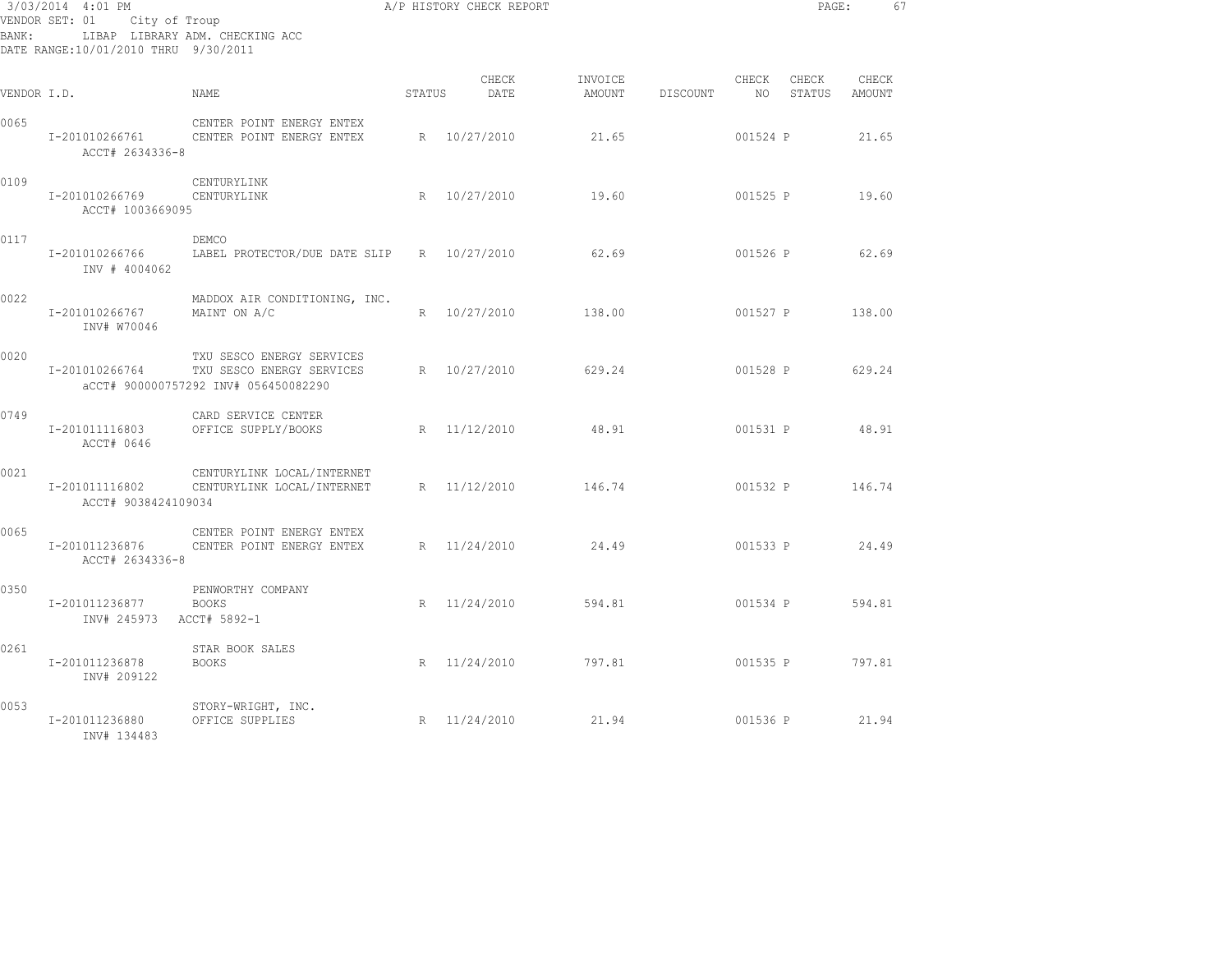| 3/03/2014 4:01 PM<br>VENDOR SET: 01<br>City of Troup<br>LIBAP LIBRARY ADM. CHECKING ACC<br>BANK:<br>DATE RANGE:10/01/2010 THRU 9/30/2011 |                                            |                                                                                                |        | A/P HISTORY CHECK REPORT |                   | PAGE:    |             | 67              |                 |  |
|------------------------------------------------------------------------------------------------------------------------------------------|--------------------------------------------|------------------------------------------------------------------------------------------------|--------|--------------------------|-------------------|----------|-------------|-----------------|-----------------|--|
| VENDOR I.D.                                                                                                                              |                                            | NAME                                                                                           | STATUS | CHECK<br>DATE            | INVOICE<br>AMOUNT | DISCOUNT | CHECK<br>NO | CHECK<br>STATUS | CHECK<br>AMOUNT |  |
| 0065                                                                                                                                     | I-201010266761<br>ACCT# 2634336-8          | CENTER POINT ENERGY ENTEX<br>CENTER POINT ENERGY ENTEX                                         |        | R 10/27/2010             | 21.65             |          | 001524 P    |                 | 21.65           |  |
| 0109                                                                                                                                     | I-201010266769<br>ACCT# 1003669095         | CENTURYLINK<br>CENTURYLINK                                                                     |        | R 10/27/2010             | 19.60             |          | 001525 P    |                 | 19.60           |  |
| 0117                                                                                                                                     | I-201010266766<br>INV # 4004062            | DEMCO<br>LABEL PROTECTOR/DUE DATE SLIP                                                         |        | R 10/27/2010             | 62.69             |          | 001526 P    |                 | 62.69           |  |
| 0022                                                                                                                                     | I-201010266767<br>INV# W70046              | MADDOX AIR CONDITIONING, INC.<br>MAINT ON A/C                                                  |        | R 10/27/2010             | 138.00            |          | 001527 P    |                 | 138.00          |  |
| 0020                                                                                                                                     | I-201010266764                             | TXU SESCO ENERGY SERVICES<br>TXU SESCO ENERGY SERVICES<br>aCCT# 900000757292 INV# 056450082290 |        | R 10/27/2010             | 629.24            |          | 001528 P    |                 | 629.24          |  |
| 0749                                                                                                                                     | I-201011116803<br>ACCT# 0646               | CARD SERVICE CENTER<br>OFFICE SUPPLY/BOOKS                                                     |        | R 11/12/2010             | 48.91             |          | 001531 P    |                 | 48.91           |  |
| 0021                                                                                                                                     | I-201011116802<br>ACCT# 9038424109034      | CENTURYLINK LOCAL/INTERNET<br>CENTURYLINK LOCAL/INTERNET                                       |        | R 11/12/2010             | 146.74            |          |             | 001532 P        | 146.74          |  |
| 0065                                                                                                                                     | I-201011236876<br>ACCT# 2634336-8          | CENTER POINT ENERGY ENTEX<br>CENTER POINT ENERGY ENTEX                                         |        | R 11/24/2010             | 24.49             |          |             | 001533 P 24.49  |                 |  |
| 0350                                                                                                                                     | I-201011236877<br>INV# 245973 ACCT# 5892-1 | PENWORTHY COMPANY<br><b>BOOKS</b>                                                              |        | R 11/24/2010             | 594.81            |          |             | 001534 P        | 594.81          |  |
| 0261                                                                                                                                     | I-201011236878<br>INV# 209122              | STAR BOOK SALES<br><b>BOOKS</b>                                                                |        | R 11/24/2010             | 797.81            |          | 001535 P    |                 | 797.81          |  |
| 0053                                                                                                                                     | I-201011236880<br>INV# 134483              | STORY-WRIGHT, INC.<br>OFFICE SUPPLIES                                                          |        | R 11/24/2010             | 21.94             |          |             | 001536 P 21.94  |                 |  |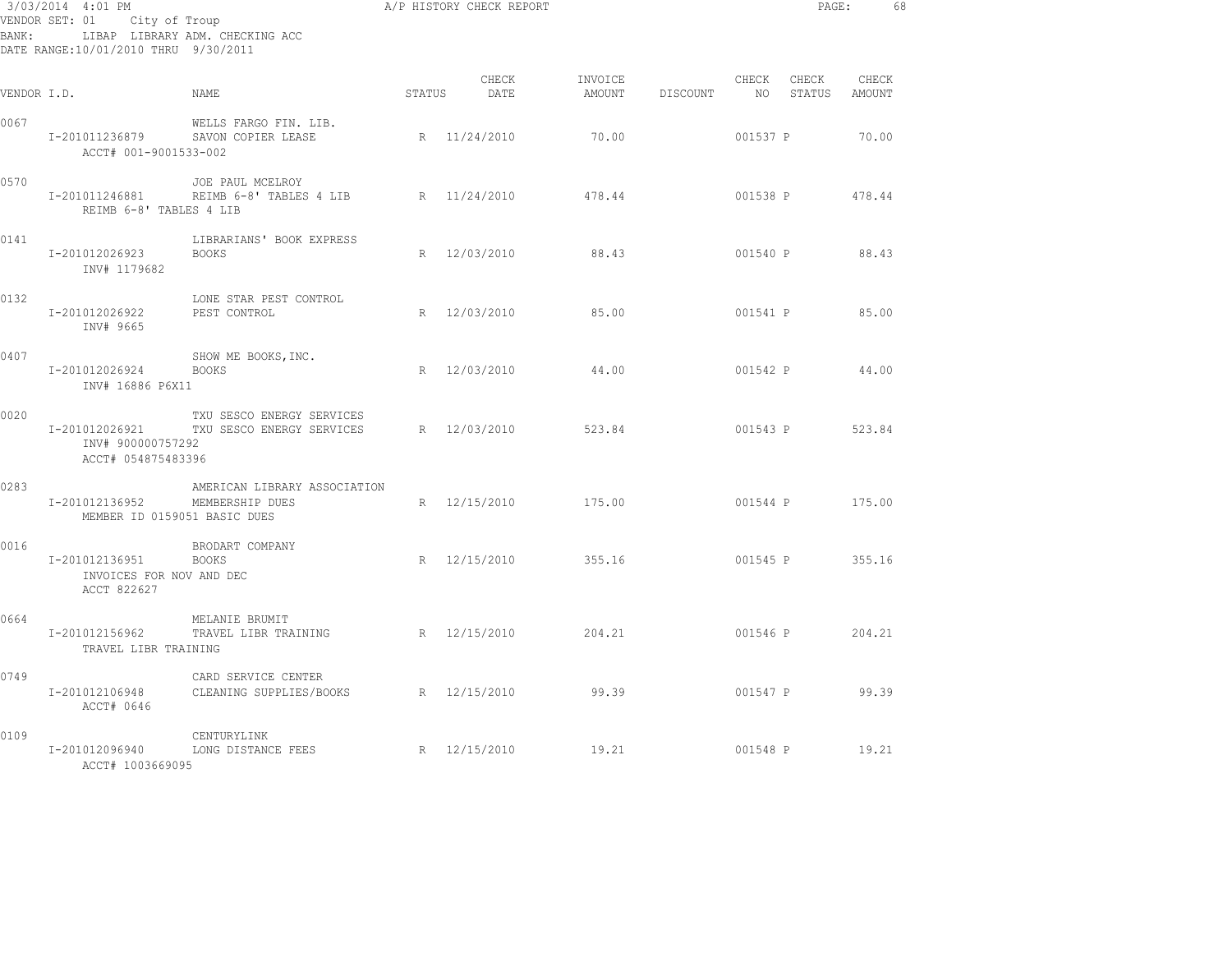| BANK:       | 3/03/2014 4:01 PM<br>VENDOR SET: 01 City of Troup<br>DATE RANGE:10/01/2010 THRU 9/30/2011 | LIBAP LIBRARY ADM. CHECKING ACC                                                           |        | A/P HISTORY CHECK REPORT |        |                 |                 | PAGE: | 68 |
|-------------|-------------------------------------------------------------------------------------------|-------------------------------------------------------------------------------------------|--------|--------------------------|--------|-----------------|-----------------|-------|----|
| VENDOR I.D. |                                                                                           | NAME                                                                                      | STATUS | CHECK<br>DATE            |        |                 |                 |       |    |
| 0067        | I-201011236879<br>ACCT# 001-9001533-002                                                   | WELLS FARGO FIN. LIB.<br>SAVON COPIER LEASE                                               |        | R 11/24/2010             | 70.00  |                 | 001537 P 70.00  |       |    |
| 0570        | I-201011246881<br>REIMB 6-8' TABLES 4 LIB                                                 | JOE PAUL MCELROY<br>REIMB 6-8' TABLES 4 LIB R 11/24/2010 478.44                           |        |                          |        | 001538 P 478.44 |                 |       |    |
| 0141        | I-201012026923<br>INV# 1179682                                                            | LIBRARIANS' BOOK EXPRESS<br><b>BOOKS</b>                                                  |        | R 12/03/2010 88.43       |        |                 | 001540 P 88.43  |       |    |
| 0132        | I-201012026922<br>INV# 9665                                                               | LONE STAR PEST CONTROL<br>PEST CONTROL                                                    |        | R 12/03/2010 85.00       |        |                 | 001541 P 85.00  |       |    |
| 0407        | I-201012026924 BOOKS<br>INV# 16886 P6X11                                                  | SHOW ME BOOKS, INC.                                                                       |        | R 12/03/2010 44.00       |        |                 | 001542 P 44.00  |       |    |
| 0020        | INV# 900000757292<br>ACCT# 054875483396                                                   | TXU SESCO ENERGY SERVICES<br>I-201012026921 TXU SESCO ENERGY SERVICES R 12/03/2010 523.84 |        |                          |        |                 | 001543 P 523.84 |       |    |
| 0283        | I-201012136952<br>MEMBER ID 0159051 BASIC DUES                                            | AMERICAN LIBRARY ASSOCIATION<br>MEMBERSHIP DUES                                           |        | R 12/15/2010 175.00      |        |                 | 001544 P 175.00 |       |    |
| 0016        | I-201012136951<br>INVOICES FOR NOV AND DEC<br>ACCT 822627                                 | BRODART COMPANY<br><b>BOOKS</b>                                                           |        | R 12/15/2010             | 355.16 |                 | 001545 P 355.16 |       |    |
| 0664        | TRAVEL LIBR TRAINING                                                                      | MELANIE BRUMIT<br>I-201012156962 TRAVEL LIBR TRAINING R 12/15/2010 204.21 001546 P 204.21 |        |                          |        |                 |                 |       |    |
| 0749        | I-201012106948<br>ACCT# 0646                                                              | CARD SERVICE CENTER<br>CLEANING SUPPLIES/BOOKS A R 12/15/2010 99.39 001547 P 99.39        |        |                          |        |                 |                 |       |    |
| 0109        | I-201012096940<br>ACCT# 1003669095                                                        | CENTURYLINK<br>LONG DISTANCE FEES                                                         |        | R 12/15/2010 19.21       |        |                 | 001548 P 19.21  |       |    |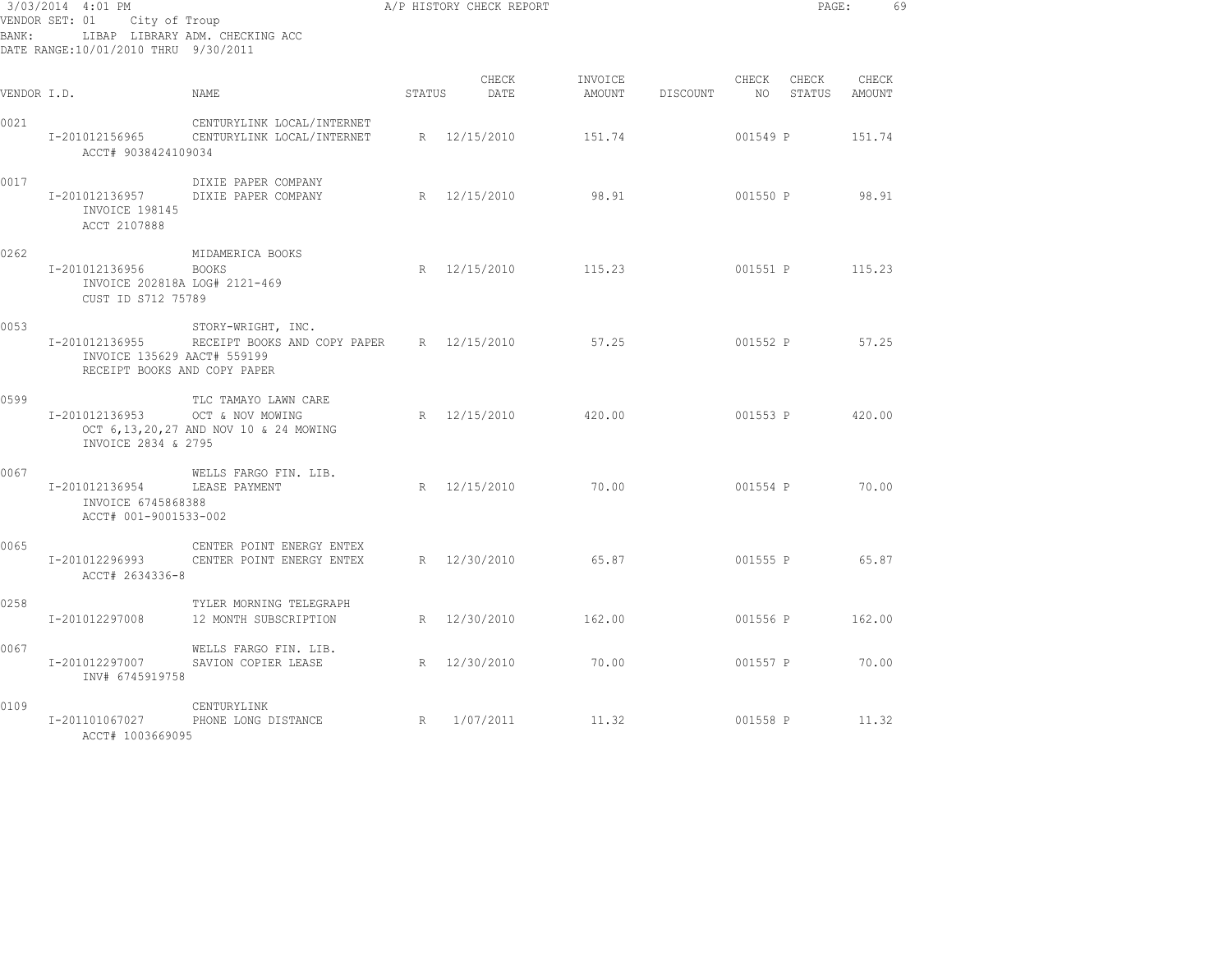| 3/03/2014 4:01 PM<br>VENDOR SET: 01 City of Troup |                                                                               |                                                                 | A/P HISTORY CHECK REPORT |               |                   |          | PAGE:           |                       | 69              |  |
|---------------------------------------------------|-------------------------------------------------------------------------------|-----------------------------------------------------------------|--------------------------|---------------|-------------------|----------|-----------------|-----------------------|-----------------|--|
| BANK:                                             | DATE RANGE:10/01/2010 THRU 9/30/2011                                          | LIBAP LIBRARY ADM. CHECKING ACC                                 |                          |               |                   |          |                 |                       |                 |  |
| VENDOR I.D.                                       |                                                                               | <b>NAME</b>                                                     | STATUS                   | CHECK<br>DATE | INVOICE<br>AMOUNT | DISCOUNT | NO <sub>1</sub> | CHECK CHECK<br>STATUS | CHECK<br>AMOUNT |  |
| 0021                                              | I-201012156965<br>ACCT# 9038424109034                                         | CENTURYLINK LOCAL/INTERNET<br>CENTURYLINK LOCAL/INTERNET        |                          | R 12/15/2010  | 151.74            |          | 001549 P        |                       | 151.74          |  |
| 0017                                              | I-201012136957<br>INVOICE 198145<br>ACCT 2107888                              | DIXIE PAPER COMPANY<br>DIXIE PAPER COMPANY                      |                          | R 12/15/2010  | 98.91             |          | 001550 P        |                       | 98.91           |  |
| 0262                                              | I-201012136956<br>INVOICE 202818A LOG# 2121-469<br>CUST ID S712 75789         | MIDAMERICA BOOKS<br><b>BOOKS</b>                                |                          | R 12/15/2010  | 115.23            |          | 001551 P        |                       | 115.23          |  |
| 0053                                              | I-201012136955<br>INVOICE 135629 AACT# 559199<br>RECEIPT BOOKS AND COPY PAPER | STORY-WRIGHT, INC.<br>RECEIPT BOOKS AND COPY PAPER R 12/15/2010 |                          |               | 57.25             |          | 001552 P        |                       | 57.25           |  |
| 0599                                              | I-201012136953 OCT & NOV MOWING<br>INVOICE 2834 & 2795                        | TLC TAMAYO LAWN CARE<br>OCT 6,13,20,27 AND NOV 10 & 24 MOWING   |                          | R 12/15/2010  | 420.00            |          | 001553 P        |                       | 420.00          |  |
| 0067                                              | I-201012136954 LEASE PAYMENT<br>INVOICE 6745868388<br>ACCT# 001-9001533-002   | WELLS FARGO FIN. LIB.                                           |                          | R 12/15/2010  | 70.00             |          | 001554 P        |                       | 70.00           |  |
| 0065                                              | I-201012296993<br>ACCT# 2634336-8                                             | CENTER POINT ENERGY ENTEX<br>CENTER POINT ENERGY ENTEX          |                          | R 12/30/2010  | 65.87             |          | 001555 P        |                       | 65.87           |  |
| 0258                                              | I-201012297008                                                                | TYLER MORNING TELEGRAPH<br>12 MONTH SUBSCRIPTION                |                          | R 12/30/2010  | 162.00            |          | 001556 P        |                       | 162.00          |  |
| 0067                                              | I-201012297007<br>INV# 6745919758                                             | WELLS FARGO FIN. LIB.<br>SAVION COPIER LEASE                    |                          | R 12/30/2010  | 70.00             |          | 001557 P        |                       | 70.00           |  |
| 0109                                              | I-201101067027<br>ACCT# 1003669095                                            | CENTURYLINK<br>PHONE LONG DISTANCE                              | R                        | 1/07/2011     | 11.32             |          | 001558 P        |                       | 11.32           |  |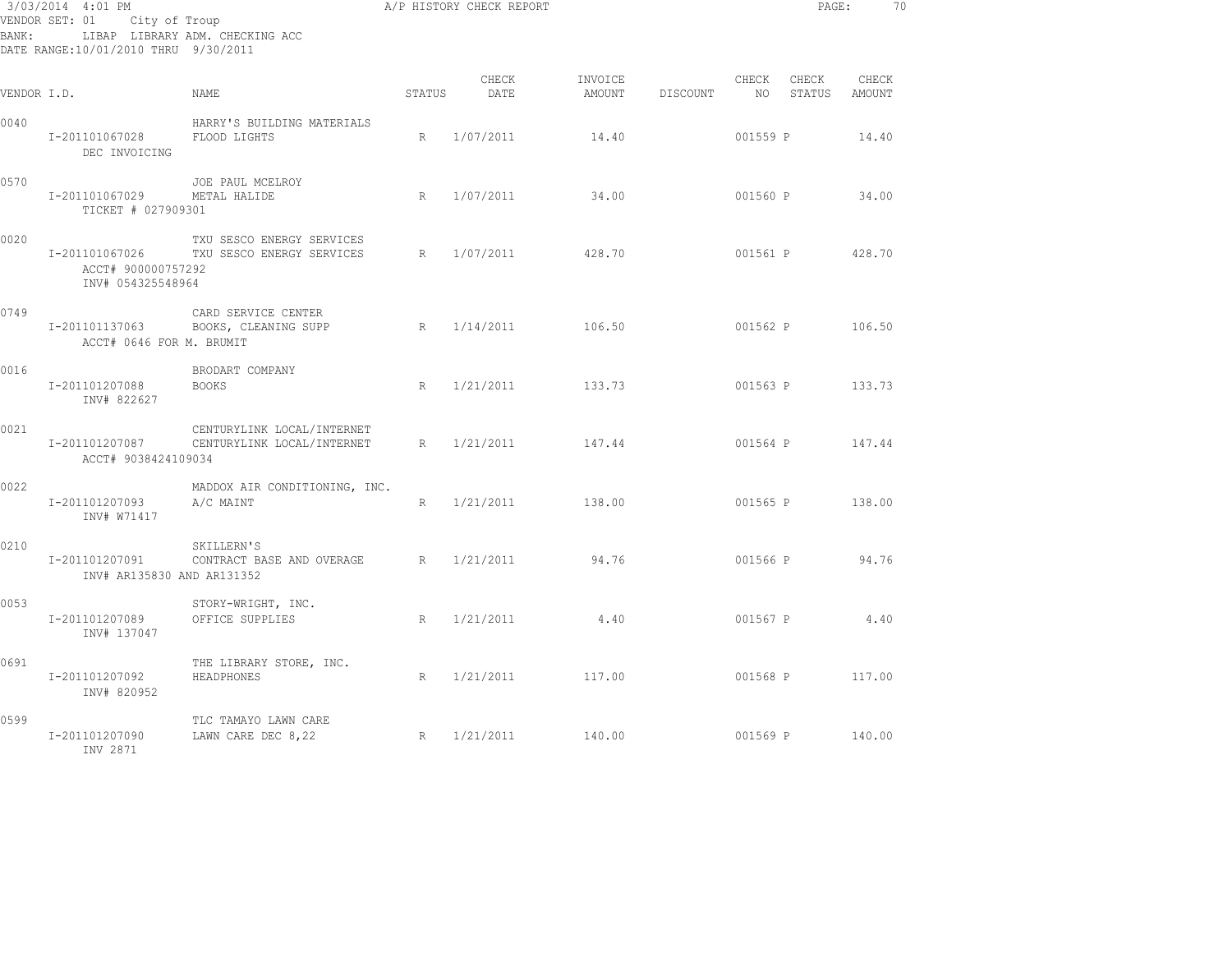| 3/03/2014 4:01 PM<br>VENDOR SET: 01 City of Troup<br>LIBAP LIBRARY ADM. CHECKING ACC<br>BANK:<br>DATE RANGE: 10/01/2010 THRU 9/30/2011 |                                                           |                                                                         |        | A/P HISTORY CHECK REPORT |         |                 |          | PAGE:                     |        | 70 |
|----------------------------------------------------------------------------------------------------------------------------------------|-----------------------------------------------------------|-------------------------------------------------------------------------|--------|--------------------------|---------|-----------------|----------|---------------------------|--------|----|
| VENDOR I.D.                                                                                                                            |                                                           | NAME                                                                    | STATUS | CHECK<br>DATE            | INVOICE | AMOUNT DISCOUNT | CHECK    | CHECK<br>NO STATUS AMOUNT | CHECK  |    |
| 0040                                                                                                                                   | I-201101067028<br>DEC INVOICING                           | HARRY'S BUILDING MATERIALS<br>FLOOD LIGHTS                              | R      | 1/07/2011                | 14.40   |                 | 001559 P |                           | 14.40  |    |
| 0570                                                                                                                                   | I-201101067029<br>TICKET # 027909301                      | JOE PAUL MCELROY<br>METAL HALIDE                                        | R      | 1/07/2011                | 34.00   |                 | 001560 P |                           | 34.00  |    |
| 0020                                                                                                                                   | I-201101067026<br>ACCT# 900000757292<br>INV# 054325548964 | TXU SESCO ENERGY SERVICES<br>TXU SESCO ENERGY SERVICES                  |        | R 1/07/2011              | 428.70  |                 | 001561 P |                           | 428.70 |    |
| 0749                                                                                                                                   | I-201101137063<br>ACCT# 0646 FOR M. BRUMIT                | CARD SERVICE CENTER<br>BOOKS, CLEANING SUPP                             |        | R 1/14/2011              | 106.50  |                 | 001562 P |                           | 106.50 |    |
| 0016                                                                                                                                   | I-201101207088<br>INV# 822627                             | BRODART COMPANY<br><b>BOOKS</b>                                         |        | R 1/21/2011              | 133.73  |                 | 001563 P |                           | 133.73 |    |
| 0021                                                                                                                                   | ACCT# 9038424109034                                       | CENTURYLINK LOCAL/INTERNET<br>I-201101207087 CENTURYLINK LOCAL/INTERNET | R      | 1/21/2011                | 147.44  |                 |          | 001564 P 147.44           |        |    |
| 0022                                                                                                                                   | I-201101207093<br>INV# W71417                             | MADDOX AIR CONDITIONING, INC.<br>A/C MAINT                              | R      | 1/21/2011                | 138.00  |                 | 001565 P |                           | 138.00 |    |
| 0210                                                                                                                                   | I-201101207091<br>INV# AR135830 AND AR131352              | SKILLERN'S<br>CONTRACT BASE AND OVERAGE R 1/21/2011                     |        |                          | 94.76   |                 | 001566 P |                           | 94.76  |    |
| 0053                                                                                                                                   | I-201101207089<br>INV# 137047                             | STORY-WRIGHT, INC.<br>OFFICE SUPPLIES                                   |        | R 1/21/2011              | 4.40    |                 |          | 001567 P 4.40             |        |    |
| 0691                                                                                                                                   | I-201101207092<br>INV# 820952                             | THE LIBRARY STORE, INC.<br>HEADPHONES                                   | R      | 1/21/2011                | 117.00  |                 |          | 001568 P 117.00           |        |    |
| 0599                                                                                                                                   | I-201101207090<br>INV 2871                                | TLC TAMAYO LAWN CARE<br>LAWN CARE DEC 8,22                              |        | R $1/21/2011$ 140.00     |         |                 |          | 001569 P 140.00           |        |    |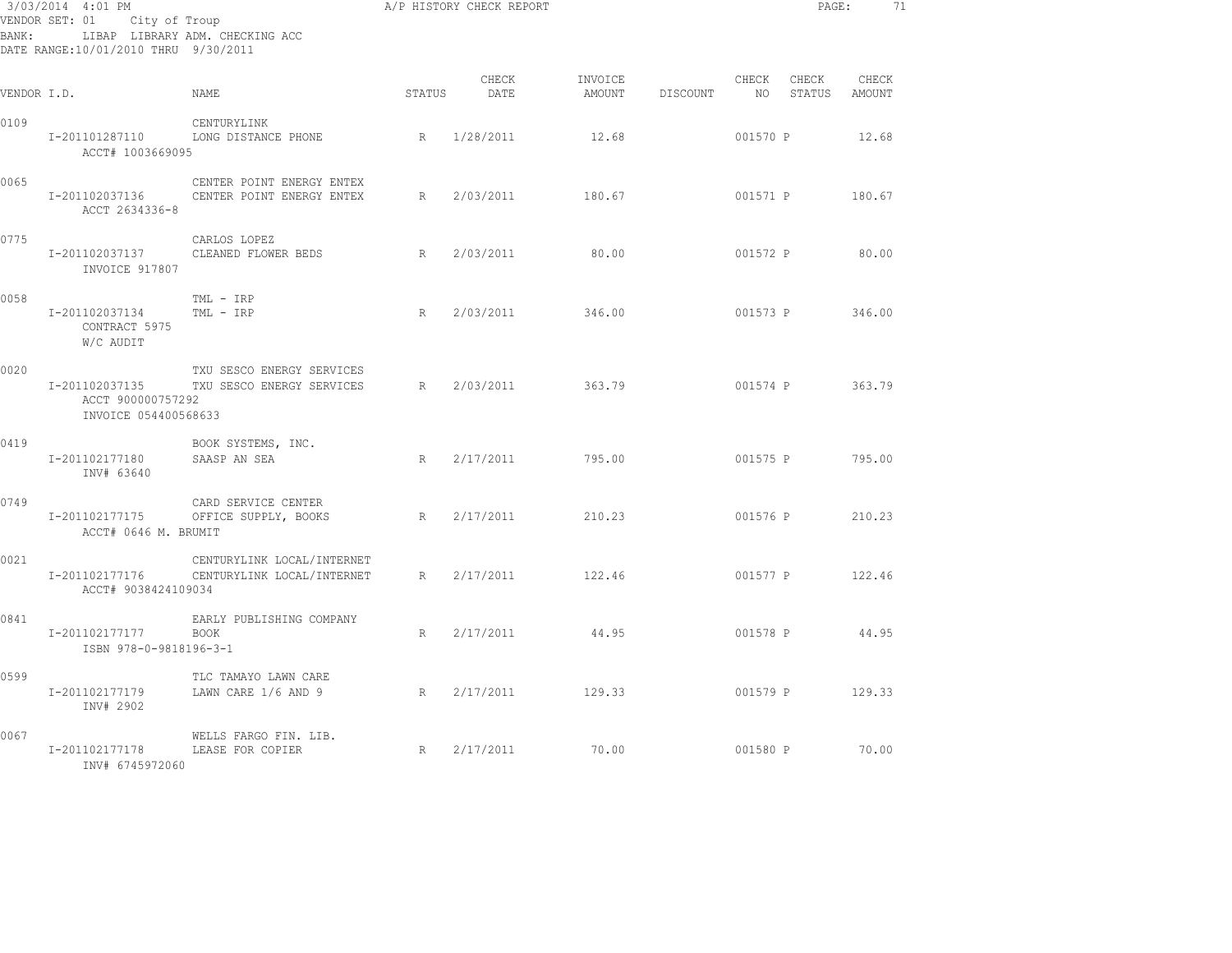| 3/03/2014 4:01 PM<br>VENDOR SET: 01<br>City of Troup<br>LIBAP LIBRARY ADM. CHECKING ACC<br>BANK :<br>DATE RANGE: 10/01/2010 THRU 9/30/2011 |                                                             |                                                          | A/P HISTORY CHECK REPORT |               |                   |          |                          | PAGE:           | 71                     |  |
|--------------------------------------------------------------------------------------------------------------------------------------------|-------------------------------------------------------------|----------------------------------------------------------|--------------------------|---------------|-------------------|----------|--------------------------|-----------------|------------------------|--|
| VENDOR I.D.                                                                                                                                |                                                             | NAME                                                     | <b>STATUS</b>            | CHECK<br>DATE | INVOICE<br>AMOUNT | DISCOUNT | CHECK<br>NO <sub>1</sub> | CHECK           | CHECK<br>STATUS AMOUNT |  |
| 0109                                                                                                                                       | I-201101287110<br>ACCT# 1003669095                          | CENTURYLINK<br>LONG DISTANCE PHONE                       | R                        | 1/28/2011     | 12.68             |          | 001570 P                 |                 | 12.68                  |  |
| 0065                                                                                                                                       | I-201102037136<br>ACCT 2634336-8                            | CENTER POINT ENERGY ENTEX<br>CENTER POINT ENERGY ENTEX   | R                        | 2/03/2011     | 180.67            |          |                          | 001571 P        | 180.67                 |  |
| 0775                                                                                                                                       | I-201102037137<br>INVOICE 917807                            | CARLOS LOPEZ<br>CLEANED FLOWER BEDS                      |                          | R 2/03/2011   | 80.00             |          | 001572 P                 |                 | 80.00                  |  |
| 0058                                                                                                                                       | I-201102037134<br>CONTRACT 5975<br>W/C AUDIT                | TML - IRP<br>TML - IRP                                   | R                        | 2/03/2011     | 346.00            |          | 001573 P                 |                 | 346.00                 |  |
| 0020                                                                                                                                       | I-201102037135<br>ACCT 900000757292<br>INVOICE 054400568633 | TXU SESCO ENERGY SERVICES<br>TXU SESCO ENERGY SERVICES   | R                        | 2/03/2011     | 363.79            |          | 001574 P                 |                 | 363.79                 |  |
| 0419                                                                                                                                       | I-201102177180<br>INV# 63640                                | BOOK SYSTEMS, INC.<br>SAASP AN SEA                       | R                        | 2/17/2011     | 795.00            |          | 001575 P                 |                 | 795.00                 |  |
| 0749                                                                                                                                       | I-201102177175<br>ACCT# 0646 M. BRUMIT                      | CARD SERVICE CENTER<br>OFFICE SUPPLY, BOOKS              | R                        | 2/17/2011     | 210.23            |          | 001576 P                 |                 | 210.23                 |  |
| 0021                                                                                                                                       | I-201102177176<br>ACCT# 9038424109034                       | CENTURYLINK LOCAL/INTERNET<br>CENTURYLINK LOCAL/INTERNET | R                        | 2/17/2011     | 122.46            |          | 001577 P                 |                 | 122.46                 |  |
| 0841                                                                                                                                       | I-201102177177<br>ISBN 978-0-9818196-3-1                    | EARLY PUBLISHING COMPANY<br><b>BOOK</b>                  | R                        | 2/17/2011     | 44.95             |          | 001578 P                 |                 | 44.95                  |  |
| 0599                                                                                                                                       | I-201102177179<br>INV# 2902                                 | TLC TAMAYO LAWN CARE<br>LAWN CARE 1/6 AND 9              | R                        | 2/17/2011     | 129.33            |          |                          | 001579 P 129.33 |                        |  |
| 0067                                                                                                                                       | I-201102177178<br>INV# 6745972060                           | WELLS FARGO FIN. LIB.<br>LEASE FOR COPIER                | R                        | 2/17/2011     | 70.00             |          | 001580 P                 |                 | 70.00                  |  |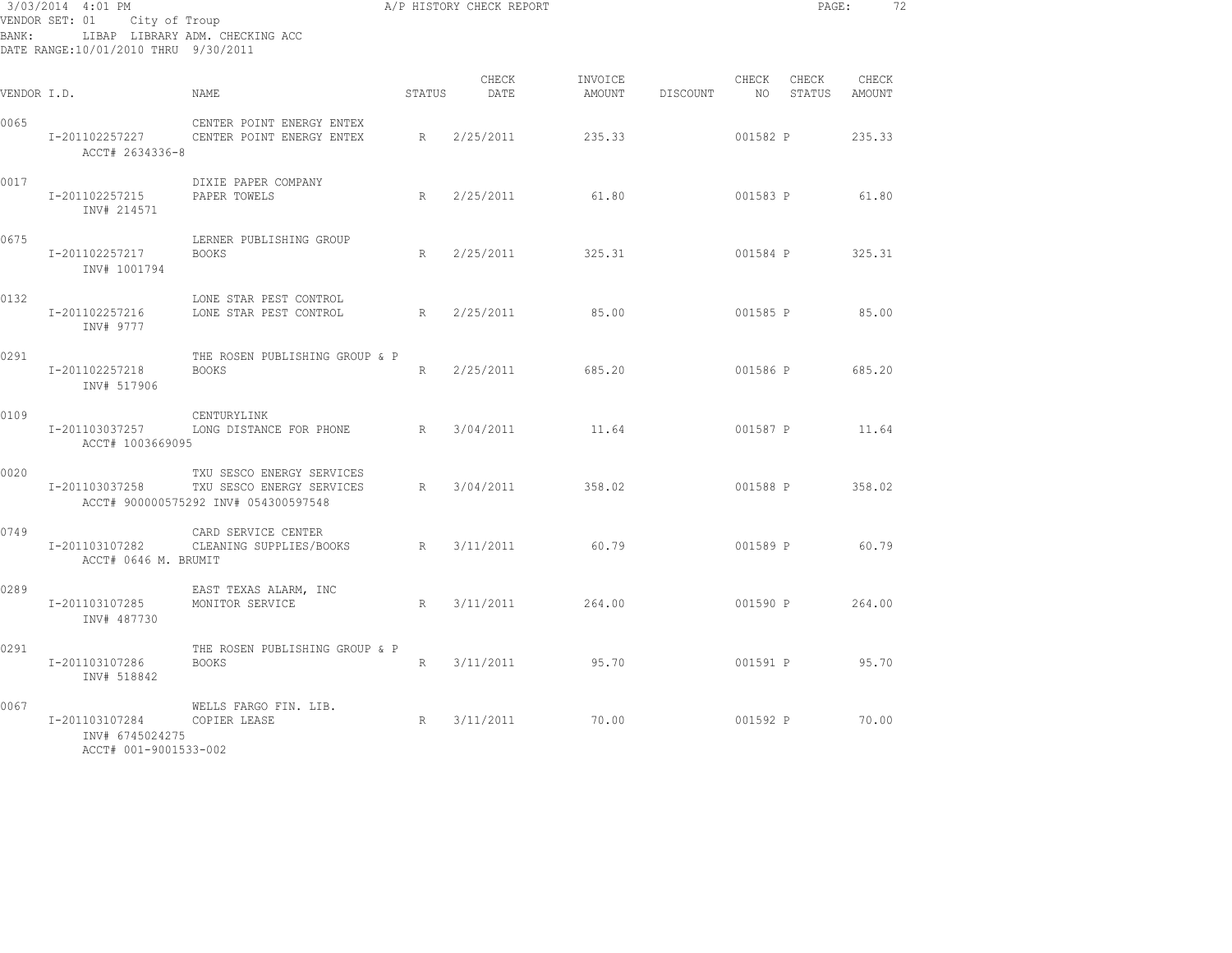| 3/03/2014 4:01 PM<br>VENDOR SET: 01 City of Troup<br>LIBAP LIBRARY ADM. CHECKING ACC<br>BANK:<br>DATE RANGE:10/01/2010 THRU 9/30/2011 |                                                            |                                                                                                     |        | A/P HISTORY CHECK REPORT |         |                 |                          | PAGE:                  |        | 72 |
|---------------------------------------------------------------------------------------------------------------------------------------|------------------------------------------------------------|-----------------------------------------------------------------------------------------------------|--------|--------------------------|---------|-----------------|--------------------------|------------------------|--------|----|
| VENDOR I.D.                                                                                                                           |                                                            | NAME                                                                                                | STATUS | CHECK<br>DATE            | INVOICE | AMOUNT DISCOUNT | CHECK<br>NO <sub>1</sub> | CHECK<br>STATUS AMOUNT | CHECK  |    |
| 0065                                                                                                                                  | I-201102257227<br>ACCT# 2634336-8                          | CENTER POINT ENERGY ENTEX<br>CENTER POINT ENERGY ENTEX                                              | R      | 2/25/2011                | 235.33  |                 | 001582 P                 |                        | 235.33 |    |
| 0017                                                                                                                                  | I-201102257215<br>INV# 214571                              | DIXIE PAPER COMPANY<br>PAPER TOWELS                                                                 | R      | 2/25/2011                | 61.80   |                 | 001583 P                 |                        | 61.80  |    |
| 0675                                                                                                                                  | I-201102257217<br>INV# 1001794                             | LERNER PUBLISHING GROUP<br>BOOKS                                                                    | R      | 2/25/2011                | 325.31  |                 | 001584 P                 |                        | 325.31 |    |
| 0132                                                                                                                                  | I-201102257216<br>INV# 9777                                | LONE STAR PEST CONTROL<br>LONE STAR PEST CONTROL                                                    | R      | 2/25/2011                | 85.00   |                 | 001585 P                 |                        | 85.00  |    |
| 0291                                                                                                                                  | I-201102257218<br>INV# 517906                              | THE ROSEN PUBLISHING GROUP & P<br><b>BOOKS</b>                                                      | R      | 2/25/2011                | 685.20  |                 |                          | 001586 P               | 685.20 |    |
| 0109                                                                                                                                  | I-201103037257<br>ACCT# 1003669095                         | CENTURYLINK<br>LONG DISTANCE FOR PHONE R 3/04/2011                                                  |        |                          | 11.64   |                 | 001587 P                 |                        | 11.64  |    |
| 0020                                                                                                                                  | I-201103037258                                             | TXU SESCO ENERGY SERVICES<br>TXU SESCO ENERGY SERVICES<br>ACCT# 900000575292 INV# 054300597548      | R      | 3/04/2011                | 358.02  |                 |                          | 001588 P               | 358.02 |    |
| 0749                                                                                                                                  | I-201103107282<br>ACCT# 0646 M. BRUMIT                     | CARD SERVICE CENTER<br>CLEANING SUPPLIES/BOOKS                                                      | R      | 3/11/2011                | 60.79   |                 | 001589 P                 |                        | 60.79  |    |
| 0289                                                                                                                                  | I-201103107285<br>INV# 487730                              | EAST TEXAS ALARM, INC<br>MONITOR SERVICE                                                            | R      | 3/11/2011                | 264.00  |                 |                          | 001590 P               | 264.00 |    |
| 0291                                                                                                                                  | I-201103107286<br>INV# 518842                              | THE ROSEN PUBLISHING GROUP & P<br><b>BOOKS</b>                                                      | R      | 3/11/2011                | 95.70   |                 | 001591 P                 |                        | 95.70  |    |
| 0067                                                                                                                                  | I-201103107284<br>INV# 6745024275<br>ACCT# 001-9001533-002 | WELLS FARGO FIN. LIB.<br>$\begin{array}{c} \mathbb{R}^n & \mathbb{R}^n \end{array}$<br>COPIER LEASE |        | 3/11/2011                | 70.00   |                 | 001592 P                 |                        | 70.00  |    |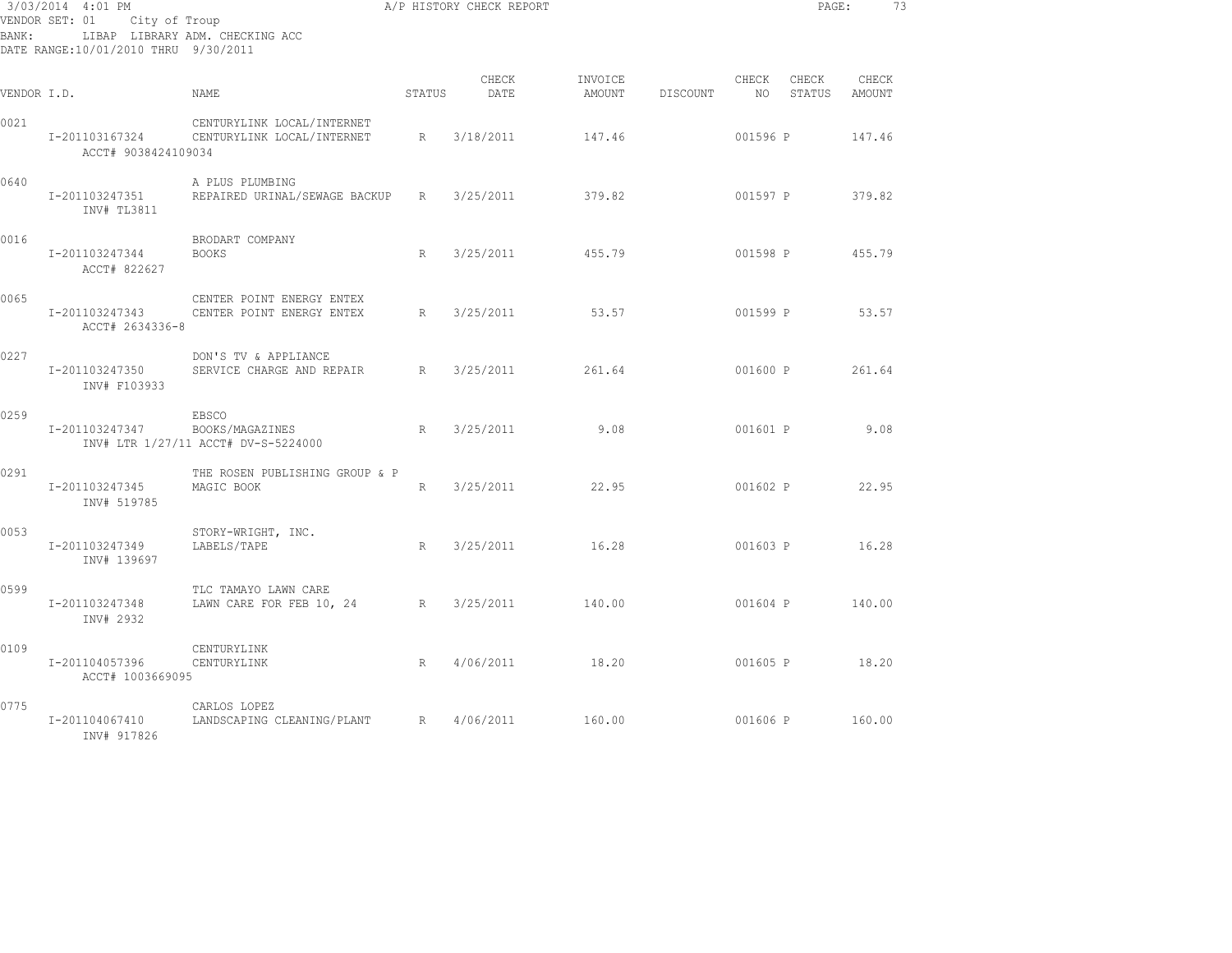| BANK:       | 3/03/2014 4:01 PM<br>VENDOR SET: 01 City of Troup<br>DATE RANGE:10/01/2010 THRU 9/30/2011 | LIBAP LIBRARY ADM. CHECKING ACC                                 |             | A/P HISTORY CHECK REPORT |                   |          |          |                    | PAGE:<br>-73    |
|-------------|-------------------------------------------------------------------------------------------|-----------------------------------------------------------------|-------------|--------------------------|-------------------|----------|----------|--------------------|-----------------|
| VENDOR I.D. |                                                                                           | NAME                                                            | STATUS      | CHECK<br>DATE            | INVOICE<br>AMOUNT | DISCOUNT | CHECK    | CHECK<br>NO STATUS | CHECK<br>AMOUNT |
| 0021        | I-201103167324<br>ACCT# 9038424109034                                                     | CENTURYLINK LOCAL/INTERNET<br>CENTURYLINK LOCAL/INTERNET        | R           | 3/18/2011                | 147.46            |          | 001596 P |                    | 147.46          |
| 0640        | I-201103247351<br>INV# TL3811                                                             | A PLUS PLUMBING<br>REPAIRED URINAL/SEWAGE BACKUP                | R           | 3/25/2011                | 379.82            |          | 001597 P |                    | 379.82          |
| 0016        | I-201103247344<br>ACCT# 822627                                                            | BRODART COMPANY<br><b>BOOKS</b>                                 | R           | 3/25/2011                | 455.79            |          | 001598 P |                    | 455.79          |
| 0065        | I-201103247343<br>ACCT# 2634336-8                                                         | CENTER POINT ENERGY ENTEX<br>CENTER POINT ENERGY ENTEX          | $R_{\perp}$ | 3/25/2011                | 53.57             |          | 001599 P |                    | 53.57           |
| 0227        | I-201103247350<br>INV# F103933                                                            | DON'S TV & APPLIANCE<br>SERVICE CHARGE AND REPAIR BRACK         |             | 3/25/2011                | 261.64            |          |          | 001600 P           | 261.64          |
| 0259        | I-201103247347                                                                            | EBSCO<br>BOOKS/MAGAZINES<br>INV# LTR 1/27/11 ACCT# DV-S-5224000 | R           | 3/25/2011                | 9.08              |          | 001601 P |                    | 9.08            |
| 0291        | I-201103247345<br>INV# 519785                                                             | THE ROSEN PUBLISHING GROUP & P<br>MAGIC BOOK                    | R           | 3/25/2011                | 22.95             |          | 001602 P |                    | 22.95           |
| 0053        | I-201103247349<br>INV# 139697                                                             | STORY-WRIGHT, INC.<br>LABELS/TAPE                               | R           | 3/25/2011                | 16.28             |          |          | 001603 P 16.28     |                 |
| 0599        | I-201103247348<br>INV# 2932                                                               | TLC TAMAYO LAWN CARE<br>LAWN CARE FOR FEB 10, 24                | R           | 3/25/2011                | 140.00            |          | 001604 P |                    | 140.00          |
| 0109        | I-201104057396<br>ACCT# 1003669095                                                        | CENTURYLINK<br>CENTURYLINK                                      | R           | 4/06/2011                | 18.20             |          | 001605 P |                    | 18.20           |
| 0775        | I-201104067410<br>INV# 917826                                                             | CARLOS LOPEZ<br>LANDSCAPING CLEANING/PLANT                      | R           | 4/06/2011                | 160.00            |          | 001606 P |                    | 160.00          |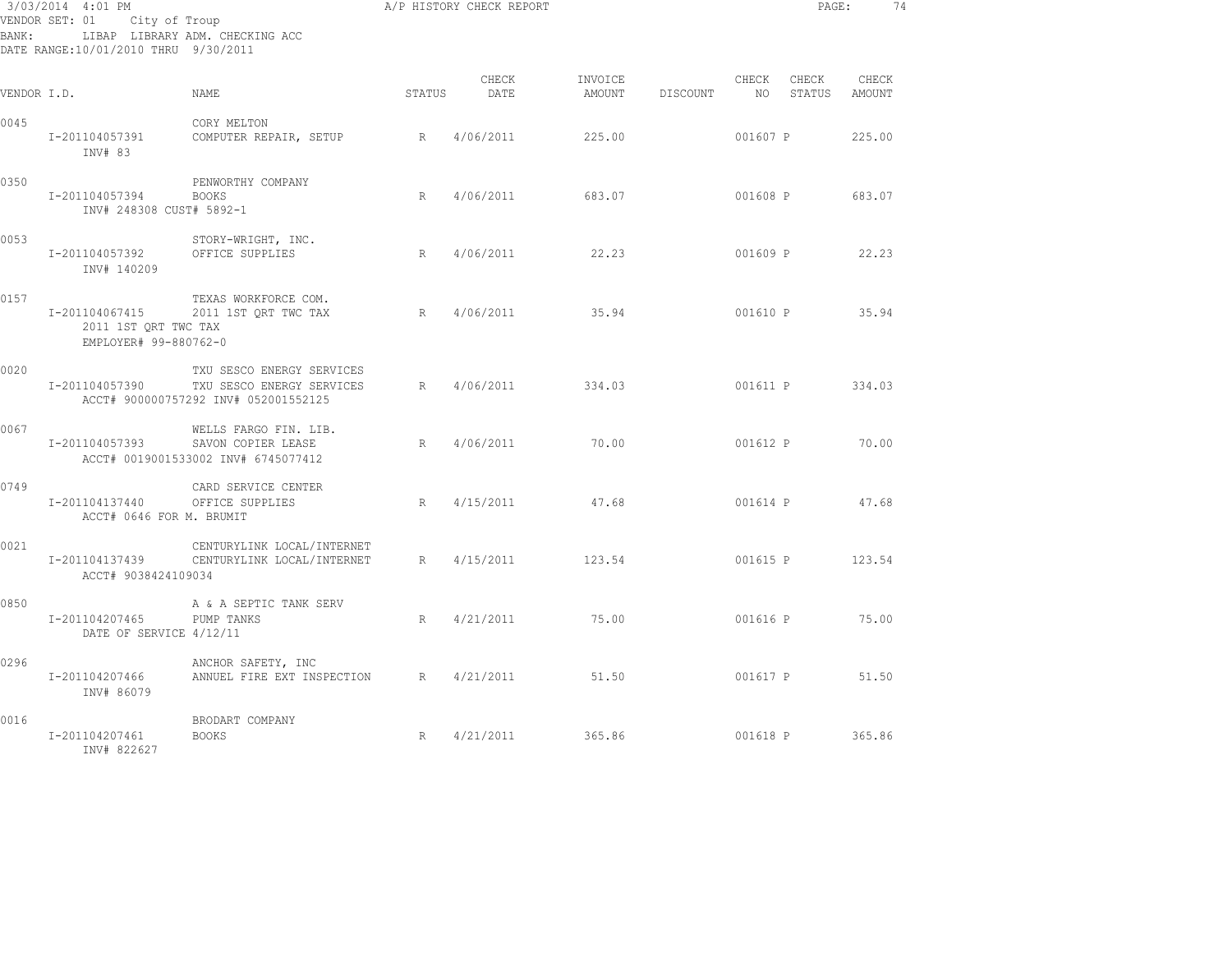| BANK:       | 3/03/2014 4:01 PM<br>VENDOR SET: 01 City of Troup<br>DATE RANGE:10/01/2010 THRU 9/30/2011 | LIBAP LIBRARY ADM. CHECKING ACC                                                                |        | A/P HISTORY CHECK REPORT |         |                 |                          | PAGE:           |                 | 74 |
|-------------|-------------------------------------------------------------------------------------------|------------------------------------------------------------------------------------------------|--------|--------------------------|---------|-----------------|--------------------------|-----------------|-----------------|----|
| VENDOR I.D. |                                                                                           | NAME                                                                                           | STATUS | CHECK<br>DATE            | INVOICE | AMOUNT DISCOUNT | CHECK<br>NO <sub>1</sub> | CHECK<br>STATUS | CHECK<br>AMOUNT |    |
| 0045        | I-201104057391<br>INV# 83                                                                 | CORY MELTON<br>COMPUTER REPAIR, SETUP                                                          | R      | 4/06/2011                | 225.00  |                 | 001607 P                 |                 | 225.00          |    |
| 0350        | I-201104057394<br>INV# 248308 CUST# 5892-1                                                | PENWORTHY COMPANY<br><b>BOOKS</b>                                                              | R      | 4/06/2011                | 683.07  |                 | 001608 P                 |                 | 683.07          |    |
| 0053        | I-201104057392<br>INV# 140209                                                             | STORY-WRIGHT, INC.<br>OFFICE SUPPLIES                                                          | R      | 4/06/2011                | 22.23   |                 | 001609 P                 |                 | 22.23           |    |
| 0157        | I-201104067415<br>2011 1ST ORT TWC TAX<br>EMPLOYER# 99-880762-0                           | TEXAS WORKFORCE COM.<br>2011 1ST ORT TWC TAX                                                   | R      | 4/06/2011                | 35.94   |                 |                          | 001610 P 35.94  |                 |    |
| 0020        | I-201104057390                                                                            | TXU SESCO ENERGY SERVICES<br>TXU SESCO ENERGY SERVICES<br>ACCT# 900000757292 INV# 052001552125 |        | R 4/06/2011              | 334.03  |                 |                          | 001611 P        | 334.03          |    |
| 0067        | I-201104057393                                                                            | WELLS FARGO FIN. LIB.<br>SAVON COPIER LEASE<br>ACCT# 0019001533002 INV# 6745077412             | R      | 4/06/2011                | 70.00   |                 | 001612 P                 |                 | 70.00           |    |
| 0749        | I-201104137440<br>ACCT# 0646 FOR M. BRUMIT                                                | CARD SERVICE CENTER<br>OFFICE SUPPLIES                                                         | R      | 4/15/2011                | 47.68   |                 | 001614 P                 |                 | 47.68           |    |
| 0021        | I-201104137439<br>ACCT# 9038424109034                                                     | CENTURYLINK LOCAL/INTERNET<br>CENTURYLINK LOCAL/INTERNET                                       | R      | 4/15/2011                | 123.54  |                 | 001615 P                 |                 | 123.54          |    |
| 0850        | I-201104207465<br>DATE OF SERVICE 4/12/11                                                 | A & A SEPTIC TANK SERV<br>PUMP TANKS                                                           | R      | 4/21/2011                | 75.00   |                 |                          | 001616 P 75.00  |                 |    |
| 0296        | I-201104207466<br>INV# 86079                                                              | ANCHOR SAFETY, INC<br>ANNUEL FIRE EXT INSPECTION                                               | R      | 4/21/2011                | 51.50   |                 |                          | 001617 P 51.50  |                 |    |
| 0016        | I-201104207461<br>INV# 822627                                                             | BRODART COMPANY<br><b>BOOKS</b>                                                                | R      | 4/21/2011 365.86         |         |                 |                          | 001618 P 365.86 |                 |    |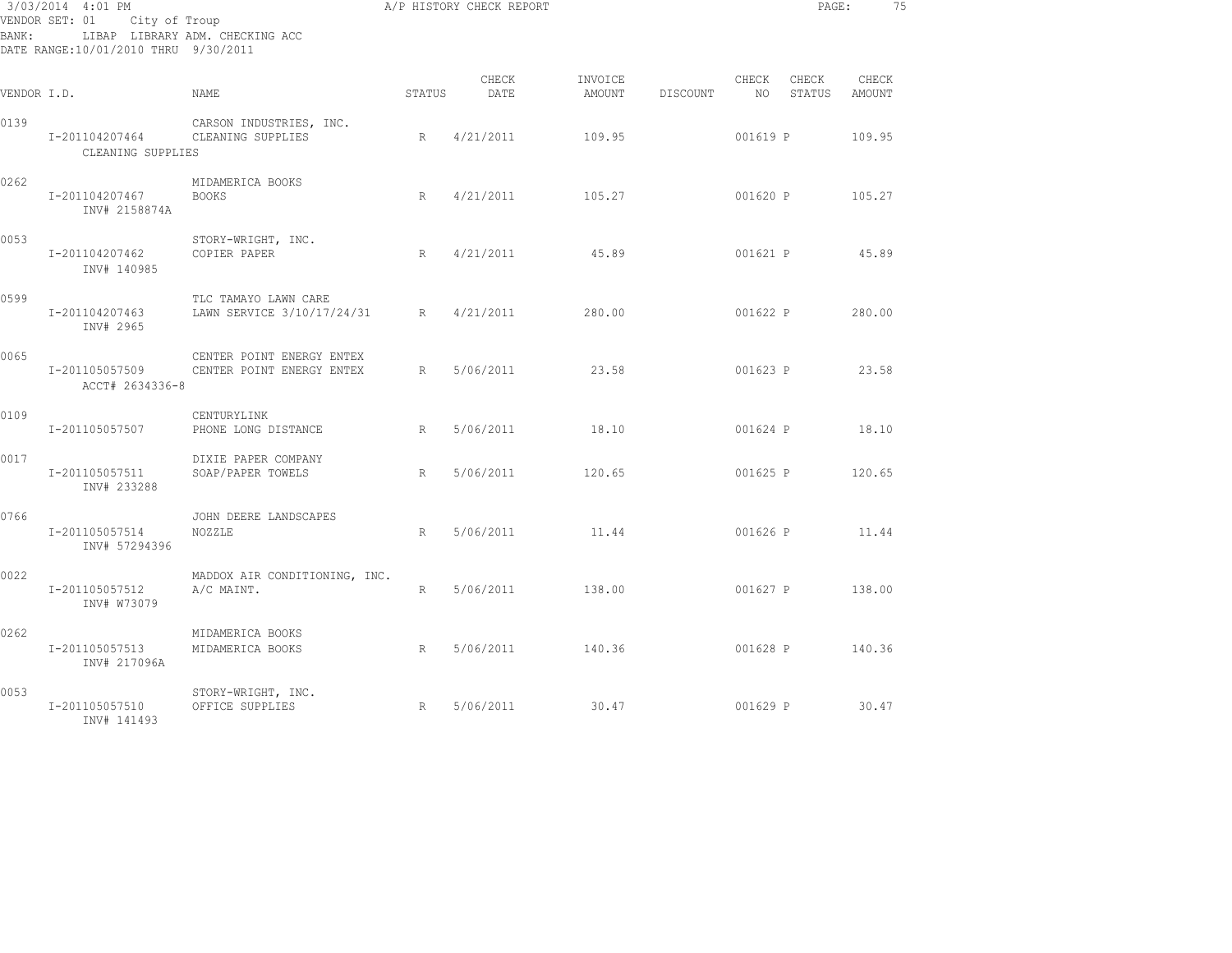| BANK:       | 3/03/2014 4:01 PM<br>VENDOR SET: 01 City of Troup<br>DATE RANGE:10/01/2010 THRU 9/30/2011 | LIBAP LIBRARY ADM. CHECKING ACC                        |                 | A/P HISTORY CHECK REPORT |                   |          |               | PAGE:           |                 | 75 |
|-------------|-------------------------------------------------------------------------------------------|--------------------------------------------------------|-----------------|--------------------------|-------------------|----------|---------------|-----------------|-----------------|----|
| VENDOR I.D. |                                                                                           | NAME.                                                  | STATUS          | CHECK<br>DATE            | INVOICE<br>AMOUNT | DISCOUNT | CHECK<br>NO – | CHECK<br>STATUS | CHECK<br>AMOUNT |    |
| 0139        | I-201104207464<br>CLEANING SUPPLIES                                                       | CARSON INDUSTRIES, INC.<br>CLEANING SUPPLIES           | $R_{\perp}$     | 4/21/2011                | 109.95            |          | 001619 P      |                 | 109.95          |    |
| 0262        | I-201104207467<br>INV# 2158874A                                                           | MIDAMERICA BOOKS<br><b>BOOKS</b>                       | R               | 4/21/2011                | 105.27            |          | 001620 P      |                 | 105.27          |    |
| 0053        | I-201104207462<br>INV# 140985                                                             | STORY-WRIGHT, INC.<br>COPIER PAPER                     | R               | 4/21/2011                | 45.89             |          | 001621 P      |                 | 45.89           |    |
| 0599        | I-201104207463<br>INV# 2965                                                               | TLC TAMAYO LAWN CARE<br>LAWN SERVICE 3/10/17/24/31     | R               | 4/21/2011                | 280.00            |          | 001622 P      |                 | 280.00          |    |
| 0065        | I-201105057509<br>ACCT# 2634336-8                                                         | CENTER POINT ENERGY ENTEX<br>CENTER POINT ENERGY ENTEX | R               | 5/06/2011                | 23.58             |          | 001623 P      |                 | 23.58           |    |
| 0109        | I-201105057507                                                                            | CENTURYLINK<br>PHONE LONG DISTANCE                     | R               | 5/06/2011                | 18.10             |          | 001624 P      |                 | 18.10           |    |
| 0017        | I-201105057511<br>INV# 233288                                                             | DIXIE PAPER COMPANY<br>SOAP/PAPER TOWELS               | R               | 5/06/2011                | 120.65            |          | 001625 P      |                 | 120.65          |    |
| 0766        | I-201105057514<br>INV# 57294396                                                           | JOHN DEERE LANDSCAPES<br>NOZZLE                        | R               | 5/06/2011                | 11.44             |          | 001626 P      |                 | 11.44           |    |
| 0022        | I-201105057512<br>INV# W73079                                                             | MADDOX AIR CONDITIONING, INC.<br>A/C MAINT.            | $R_{\parallel}$ | 5/06/2011                | 138.00            |          | 001627 P      |                 | 138.00          |    |
| 0262        | I-201105057513<br>INV# 217096A                                                            | MIDAMERICA BOOKS<br>MIDAMERICA BOOKS                   | R               | 5/06/2011                | 140.36            |          | 001628 P      |                 | 140.36          |    |
| 0053        | I-201105057510<br>INV# 141493                                                             | STORY-WRIGHT, INC.<br>OFFICE SUPPLIES                  | R               | 5/06/2011                | 30.47             |          | 001629 P      |                 | 30.47           |    |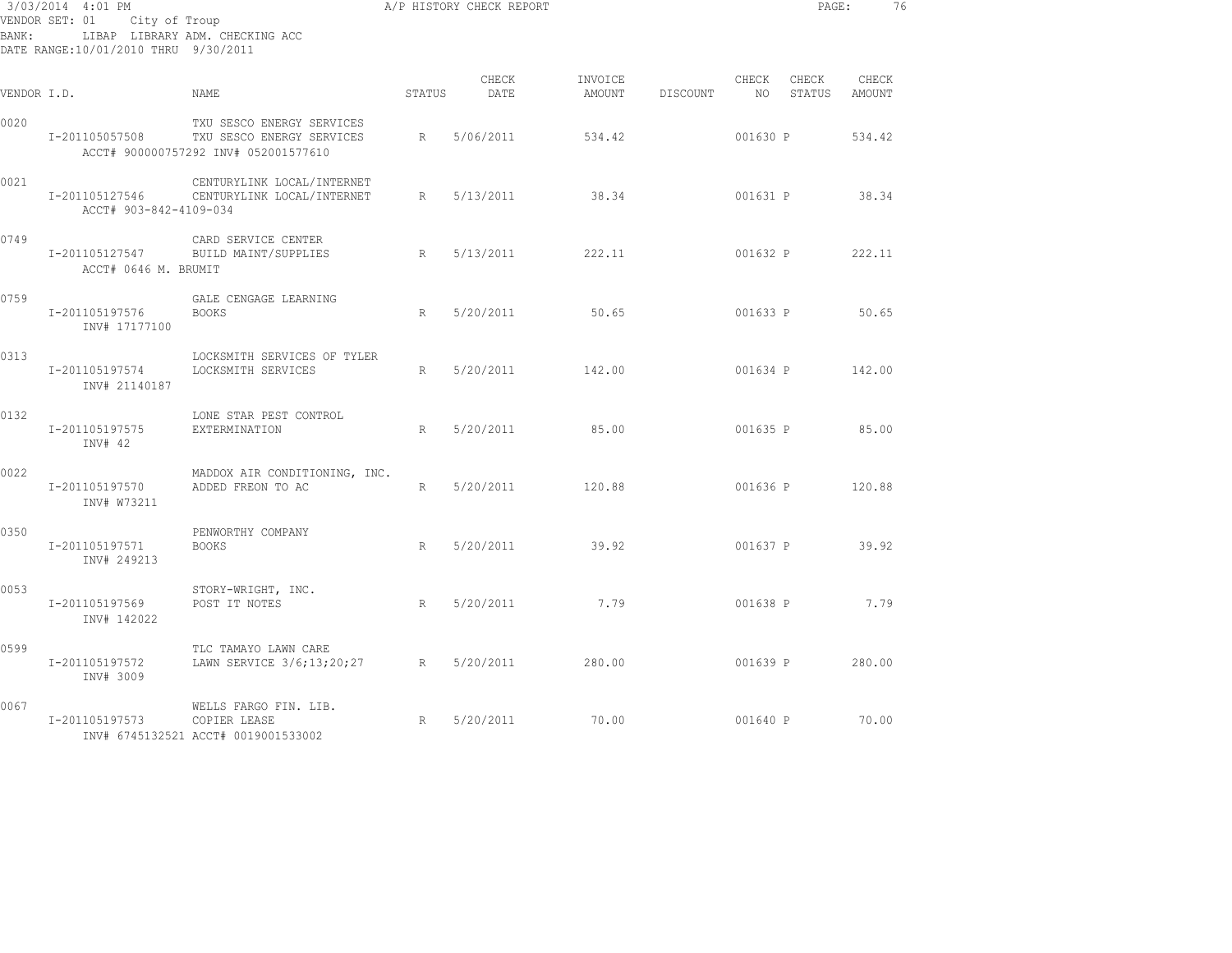| BANK :      | 3/03/2014 4:01 PM<br>VENDOR SET: 01 City of Troup<br>DATE RANGE:10/01/2010 THRU 9/30/2011 | LIBAP LIBRARY ADM. CHECKING ACC                                                                |        | A/P HISTORY CHECK REPORT |         |                 |                          | PAGE:           | 76                     |  |
|-------------|-------------------------------------------------------------------------------------------|------------------------------------------------------------------------------------------------|--------|--------------------------|---------|-----------------|--------------------------|-----------------|------------------------|--|
| VENDOR I.D. |                                                                                           | NAME                                                                                           | STATUS | CHECK<br>DATE            | INVOICE | AMOUNT DISCOUNT | CHECK<br>NO <sub>1</sub> | CHECK           | CHECK<br>STATUS AMOUNT |  |
| 0020        | I-201105057508                                                                            | TXU SESCO ENERGY SERVICES<br>TXU SESCO ENERGY SERVICES<br>ACCT# 900000757292 INV# 052001577610 | R      | 5/06/2011                | 534.42  |                 | 001630 P                 |                 | 534.42                 |  |
| 0021        | ACCT# 903-842-4109-034                                                                    | CENTURYLINK LOCAL/INTERNET<br>I-201105127546 CENTURYLINK LOCAL/INTERNET                        | R      | 5/13/2011                | 38.34   |                 | 001631 P                 |                 | 38.34                  |  |
| 0749        | I-201105127547<br>ACCT# 0646 M. BRUMIT                                                    | CARD SERVICE CENTER<br>BUILD MAINT/SUPPLIES                                                    | R      | 5/13/2011                | 222.11  |                 | 001632 P                 |                 | 222.11                 |  |
| 0759        | I-201105197576<br>INV# 17177100                                                           | GALE CENGAGE LEARNING<br><b>BOOKS</b>                                                          | R      | 5/20/2011                | 50.65   |                 | 001633 P                 |                 | 50.65                  |  |
| 0313        | I-201105197574<br>INV# 21140187                                                           | LOCKSMITH SERVICES OF TYLER<br>LOCKSMITH SERVICES                                              | R      | 5/20/2011                | 142.00  |                 |                          | 001634 P 142.00 |                        |  |
| 0132        | I-201105197575<br>INV# 42                                                                 | LONE STAR PEST CONTROL<br>EXTERMINATION                                                        | R      | 5/20/2011                | 85.00   |                 |                          | 001635 P 85.00  |                        |  |
| 0022        | I-201105197570<br>INV# W73211                                                             | MADDOX AIR CONDITIONING, INC.<br>ADDED FREON TO AC                                             | R      | 5/20/2011                | 120.88  |                 |                          | 001636 P 120.88 |                        |  |
| 0350        | I-201105197571<br>INV# 249213                                                             | PENWORTHY COMPANY<br><b>BOOKS</b>                                                              | R      | 5/20/2011                | 39.92   |                 |                          | 001637 P 39.92  |                        |  |
| 0053        | I-201105197569<br>INV# 142022                                                             | STORY-WRIGHT, INC.<br>POST IT NOTES                                                            | R      | 5/20/2011                | 7.79    |                 |                          | 001638 P        | 7.79                   |  |
| 0599        | I-201105197572<br>INV# 3009                                                               | TLC TAMAYO LAWN CARE<br>LAWN SERVICE 3/6;13;20;27 R 5/20/2011                                  |        |                          | 280.00  |                 |                          | 001639 P        | 280.00                 |  |
| 0067        | I-201105197573                                                                            | WELLS FARGO FIN. LIB.<br>COPIER LEASE<br>INV# 6745132521 ACCT# 0019001533002                   | R      | 5/20/2011                | 70.00   |                 |                          | 001640 P 70.00  |                        |  |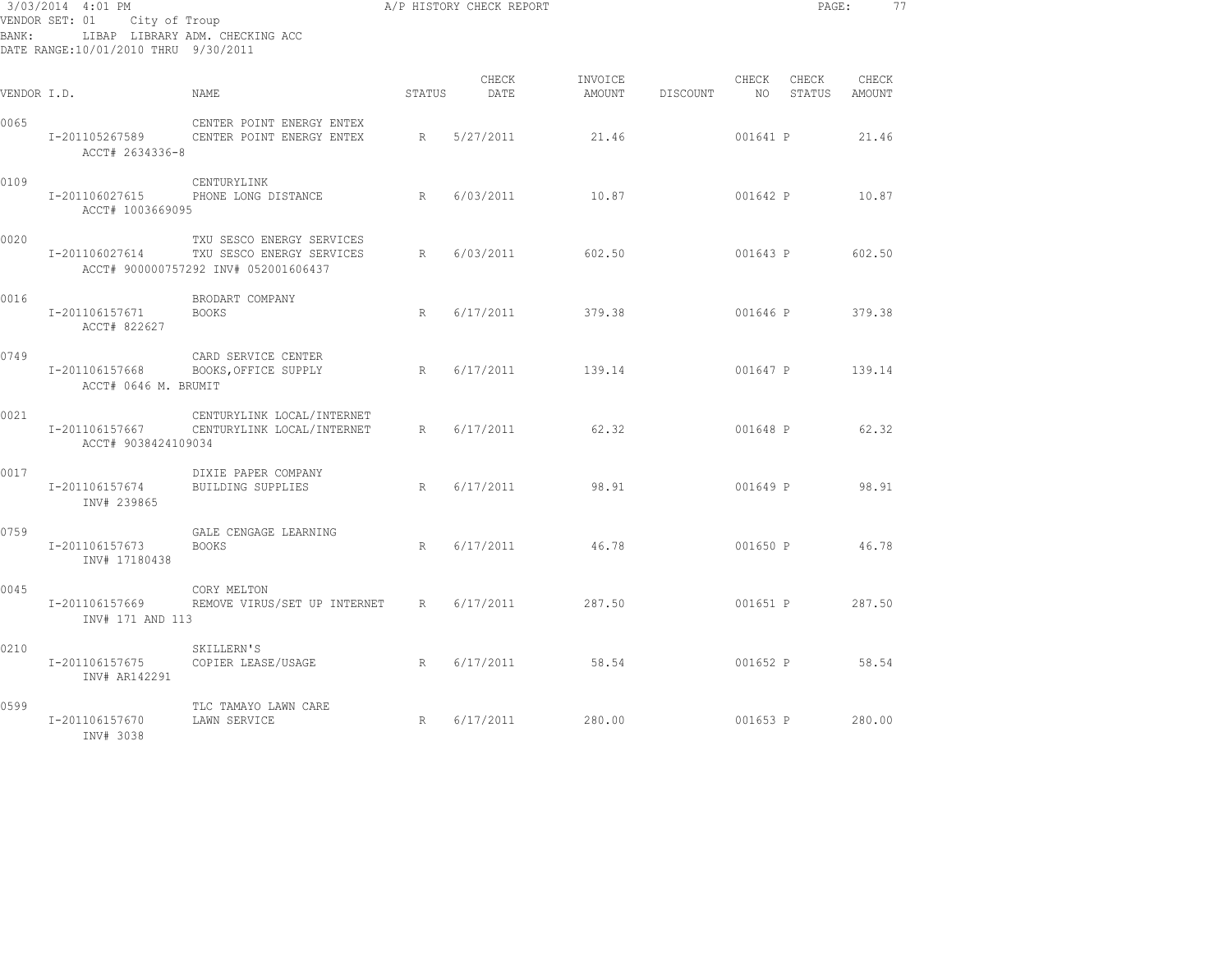| BANK:       | 3/03/2014 4:01 PM<br>VENDOR SET: 01<br>City of Troup<br>DATE RANGE:10/01/2010 THRU 9/30/2011 | LIBAP LIBRARY ADM. CHECKING ACC                                                                |        | A/P HISTORY CHECK REPORT |                   |          |          |                    | PAGE:<br>77     |  |
|-------------|----------------------------------------------------------------------------------------------|------------------------------------------------------------------------------------------------|--------|--------------------------|-------------------|----------|----------|--------------------|-----------------|--|
| VENDOR I.D. |                                                                                              | NAME.                                                                                          | STATUS | CHECK<br>DATE            | INVOICE<br>AMOUNT | DISCOUNT | CHECK    | CHECK<br>NO STATUS | CHECK<br>AMOUNT |  |
| 0065        | I-201105267589<br>ACCT# 2634336-8                                                            | CENTER POINT ENERGY ENTEX<br>CENTER POINT ENERGY ENTEX                                         | R      | 5/27/2011                | 21.46             |          | 001641 P |                    | 21.46           |  |
| 0109        | I-201106027615<br>ACCT# 1003669095                                                           | CENTURYLINK<br>PHONE LONG DISTANCE                                                             | R      | 6/03/2011                | 10.87             |          | 001642 P |                    | 10.87           |  |
| 0020        | I-201106027614                                                                               | TXU SESCO ENERGY SERVICES<br>TXU SESCO ENERGY SERVICES<br>ACCT# 900000757292 INV# 052001606437 | R      | 6/03/2011                | 602.50            |          | 001643 P |                    | 602.50          |  |
| 0016        | I-201106157671<br>ACCT# 822627                                                               | BRODART COMPANY<br><b>BOOKS</b>                                                                | R      | 6/17/2011                | 379.38            |          | 001646 P |                    | 379.38          |  |
| 0749        | I-201106157668<br>ACCT# 0646 M. BRUMIT                                                       | CARD SERVICE CENTER<br>BOOKS, OFFICE SUPPLY                                                    | R      | 6/17/2011                | 139.14            |          | 001647 P |                    | 139.14          |  |
| 0021        | I-201106157667<br>ACCT# 9038424109034                                                        | CENTURYLINK LOCAL/INTERNET<br>CENTURYLINK LOCAL/INTERNET                                       | R      | 6/17/2011                | 62.32             |          | 001648 P |                    | 62.32           |  |
| 0017        | I-201106157674<br>INV# 239865                                                                | DIXIE PAPER COMPANY<br><b>BUILDING SUPPLIES</b>                                                | R      | 6/17/2011                | 98.91             |          | 001649 P |                    | 98.91           |  |
| 0759        | I-201106157673<br>INV# 17180438                                                              | GALE CENGAGE LEARNING<br><b>BOOKS</b>                                                          | R      | 6/17/2011                | 46.78             |          |          | 001650 P           | 46.78           |  |
| 0045        | I-201106157669<br>INV# 171 AND 113                                                           | CORY MELTON<br>REMOVE VIRUS/SET UP INTERNET R                                                  |        | 6/17/2011                | 287.50            |          |          | 001651 P           | 287.50          |  |
| 0210        | I-201106157675<br>INV# AR142291                                                              | SKILLERN'S<br>COPIER LEASE/USAGE                                                               |        | R 6/17/2011              | 58.54             |          | 001652 P |                    | 58.54           |  |
| 0599        | I-201106157670<br>INV# 3038                                                                  | TLC TAMAYO LAWN CARE<br>LAWN SERVICE                                                           | R      | 6/17/2011                | 280.00            |          | 001653 P |                    | 280.00          |  |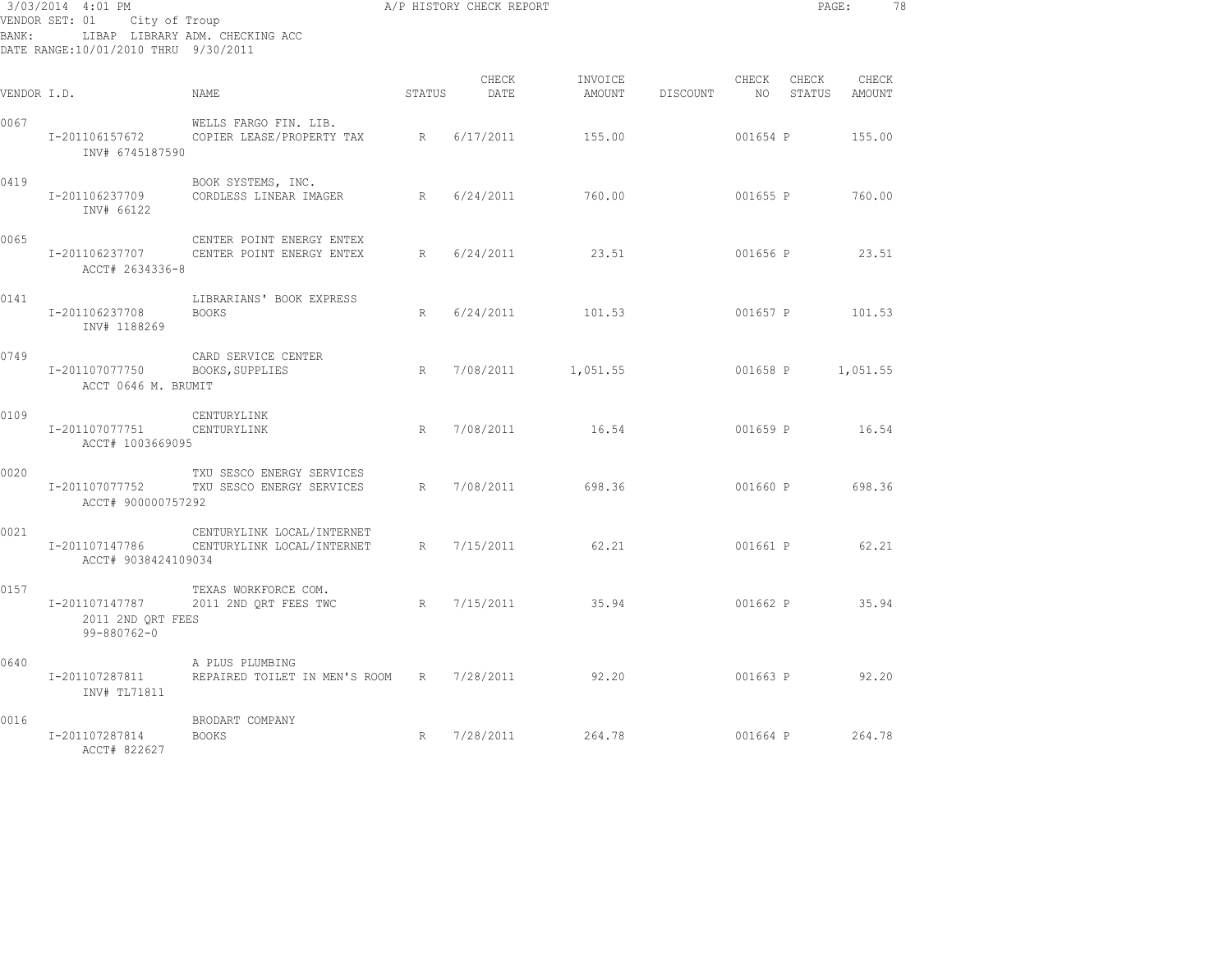| BANK:       | 3/03/2014 4:01 PM<br>VENDOR SET: 01<br>City of Troup<br>DATE RANGE:10/01/2010 THRU 9/30/2011 | LIBAP LIBRARY ADM. CHECKING ACC                          |        | A/P HISTORY CHECK REPORT |                   |          |               | PAGE:           |                        | 78 |
|-------------|----------------------------------------------------------------------------------------------|----------------------------------------------------------|--------|--------------------------|-------------------|----------|---------------|-----------------|------------------------|----|
| VENDOR I.D. |                                                                                              | <b>NAME</b>                                              | STATUS | CHECK<br>DATE            | INVOICE<br>AMOUNT | DISCOUNT | CHECK<br>NO . | CHECK<br>STATUS | CHECK<br><b>AMOUNT</b> |    |
| 0067        | I-201106157672<br>INV# 6745187590                                                            | WELLS FARGO FIN. LIB.<br>COPIER LEASE/PROPERTY TAX       | R      | 6/17/2011                | 155.00            |          | 001654 P      |                 | 155.00                 |    |
| 0419        | I-201106237709<br>INV# 66122                                                                 | BOOK SYSTEMS, INC.<br>CORDLESS LINEAR IMAGER             | R      | 6/24/2011                | 760.00            |          | 001655 P      |                 | 760.00                 |    |
| 0065        | I-201106237707<br>ACCT# 2634336-8                                                            | CENTER POINT ENERGY ENTEX<br>CENTER POINT ENERGY ENTEX   | R      | 6/24/2011                | 23.51             |          | 001656 P      |                 | 23.51                  |    |
| 0141        | I-201106237708<br>INV# 1188269                                                               | LIBRARIANS' BOOK EXPRESS<br><b>BOOKS</b>                 | R      | 6/24/2011                | 101.53            |          | 001657 P      |                 | 101.53                 |    |
| 0749        | I-201107077750<br>ACCT 0646 M. BRUMIT                                                        | CARD SERVICE CENTER<br>BOOKS, SUPPLIES                   | R      | 7/08/2011                | 1,051.55          |          | 001658 P      |                 | 1,051.55               |    |
| 0109        | I-201107077751<br>ACCT# 1003669095                                                           | CENTURYLINK<br>CENTURYLINK                               | R      | 7/08/2011                | 16.54             |          | 001659 P      |                 | 16.54                  |    |
| 0020        | I-201107077752<br>ACCT# 900000757292                                                         | TXU SESCO ENERGY SERVICES<br>TXU SESCO ENERGY SERVICES   | R      | 7/08/2011                | 698.36            |          | 001660 P      |                 | 698.36                 |    |
| 0021        | I-201107147786<br>ACCT# 9038424109034                                                        | CENTURYLINK LOCAL/INTERNET<br>CENTURYLINK LOCAL/INTERNET | R      | 7/15/2011                | 62.21             |          | 001661 P      |                 | 62.21                  |    |
| 0157        | I-201107147787<br>2011 2ND QRT FEES<br>$99 - 880762 - 0$                                     | TEXAS WORKFORCE COM.<br>2011 2ND QRT FEES TWC            | R      | 7/15/2011                | 35.94             |          | 001662 P      |                 | 35.94                  |    |
| 0640        | I-201107287811<br>INV# TL71811                                                               | A PLUS PLUMBING<br>REPAIRED TOILET IN MEN'S ROOM         | R      | 7/28/2011                | 92.20             |          | 001663 P      |                 | 92.20                  |    |
| 0016        | I-201107287814<br>ACCT# 822627                                                               | BRODART COMPANY<br><b>BOOKS</b>                          | R      | 7/28/2011                | 264.78            |          | 001664 P      |                 | 264.78                 |    |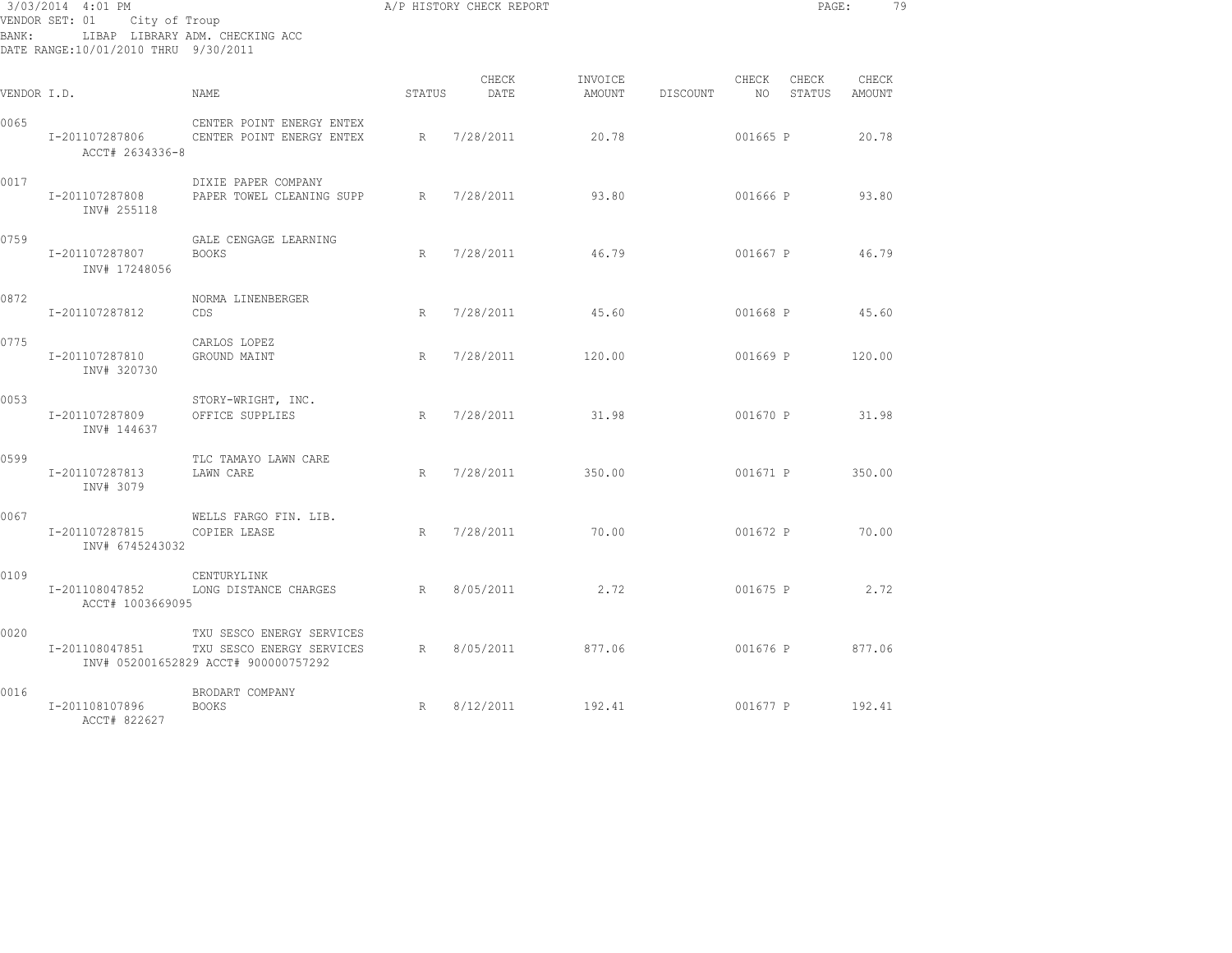| BANK:       | 3/03/2014 4:01 PM<br>VENDOR SET: 01 City of Troup<br>DATE RANGE:10/01/2010 THRU 9/30/2011 | LIBAP LIBRARY ADM. CHECKING ACC                                                                |        | A/P HISTORY CHECK REPORT |                   |          |          |                    | PAGE:<br>79     |
|-------------|-------------------------------------------------------------------------------------------|------------------------------------------------------------------------------------------------|--------|--------------------------|-------------------|----------|----------|--------------------|-----------------|
| VENDOR I.D. |                                                                                           | NAME                                                                                           | STATUS | CHECK<br>DATE            | INVOICE<br>AMOUNT | DISCOUNT | CHECK    | CHECK<br>NO STATUS | CHECK<br>AMOUNT |
| 0065        | I-201107287806<br>ACCT# 2634336-8                                                         | CENTER POINT ENERGY ENTEX<br>CENTER POINT ENERGY ENTEX                                         | R      | 7/28/2011                | 20.78             |          | 001665 P |                    | 20.78           |
| 0017        | I-201107287808<br>INV# 255118                                                             | DIXIE PAPER COMPANY<br>PAPER TOWEL CLEANING SUPP                                               | R      | 7/28/2011                | 93.80             |          | 001666 P |                    | 93.80           |
| 0759        | I-201107287807<br>INV# 17248056                                                           | GALE CENGAGE LEARNING<br><b>BOOKS</b>                                                          | R      | 7/28/2011                | 46.79             |          | 001667 P |                    | 46.79           |
| 0872        | I-201107287812                                                                            | NORMA LINENBERGER<br>CDS                                                                       | R      | 7/28/2011                | 45.60             |          | 001668 P |                    | 45.60           |
| 0775        | I-201107287810<br>INV# 320730                                                             | CARLOS LOPEZ<br>GROUND MAINT                                                                   | R      | 7/28/2011                | 120.00            |          | 001669 P |                    | 120.00          |
| 0053        | I-201107287809<br>INV# 144637                                                             | STORY-WRIGHT, INC.<br>OFFICE SUPPLIES                                                          | R      | 7/28/2011 31.98          |                   |          | 001670 P |                    | 31.98           |
| 0599        | I-201107287813<br>INV# 3079                                                               | TLC TAMAYO LAWN CARE<br>LAWN CARE                                                              | R      | 7/28/2011                | 350.00            |          | 001671 P |                    | 350.00          |
| 0067        | I-201107287815<br>INV# 6745243032                                                         | WELLS FARGO FIN. LIB.<br>COPIER LEASE                                                          | R      | 7/28/2011                | 70.00             |          | 001672 P |                    | 70.00           |
| 0109        | I-201108047852<br>ACCT# 1003669095                                                        | CENTURYLINK<br>LONG DISTANCE CHARGES                                                           | R      | 8/05/2011                | 2.72              |          | 001675 P |                    | 2.72            |
| 0020        | I-201108047851                                                                            | TXU SESCO ENERGY SERVICES<br>TXU SESCO ENERGY SERVICES<br>INV# 052001652829 ACCT# 900000757292 | R      | 8/05/2011                | 877.06            |          | 001676 P |                    | 877.06          |
| 0016        | I-201108107896<br>ACCT# 822627                                                            | BRODART COMPANY<br><b>BOOKS</b>                                                                | R      | 8/12/2011                | 192.41            |          | 001677 P |                    | 192.41          |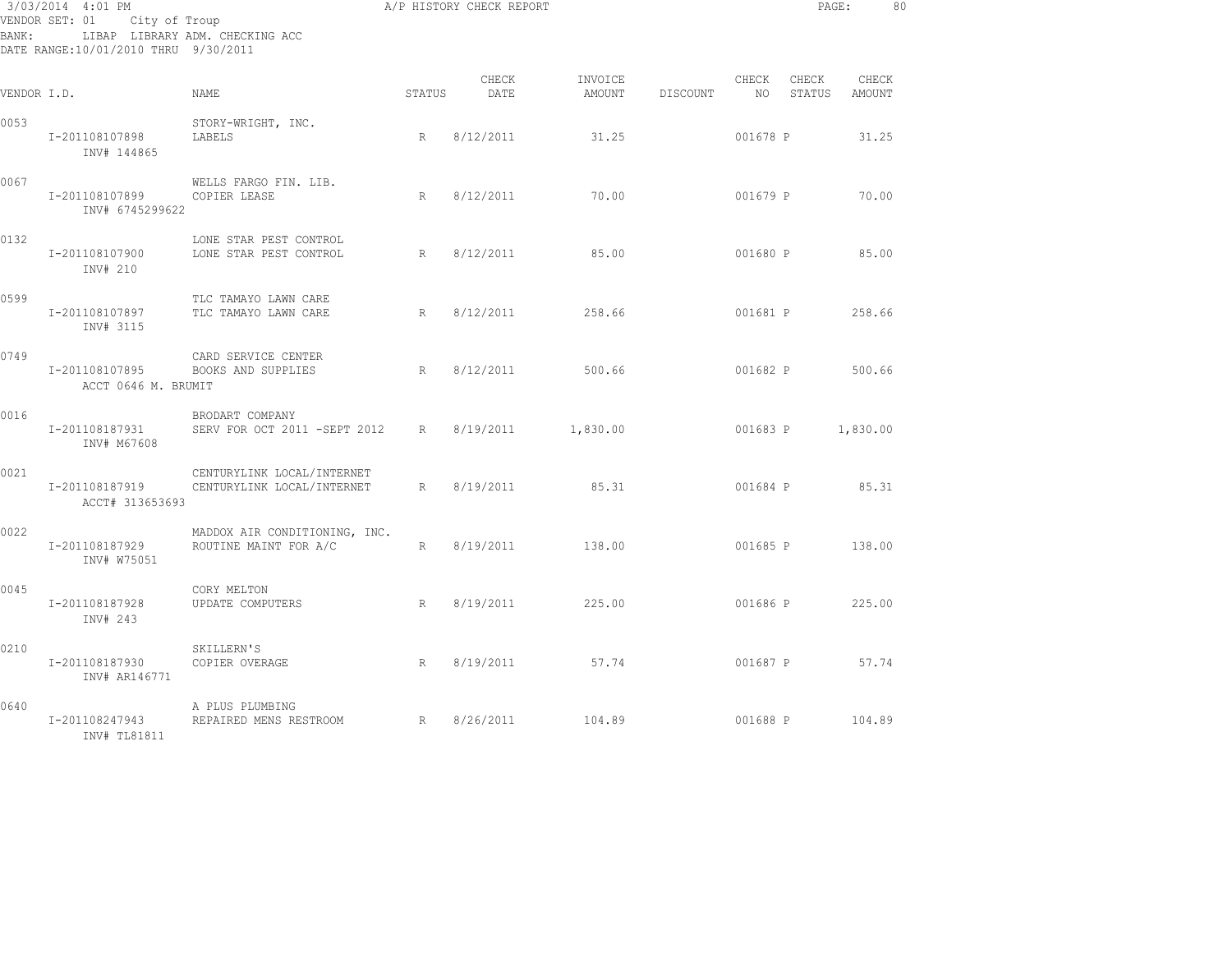| BANK:       | 3/03/2014 4:01 PM<br>VENDOR SET: 01 City of Troup<br>DATE RANGE:10/01/2010 THRU 9/30/2011 | LIBAP LIBRARY ADM. CHECKING ACC                          |                 | A/P HISTORY CHECK REPORT |                   |          |             | PAGE:           |                 | 80 |
|-------------|-------------------------------------------------------------------------------------------|----------------------------------------------------------|-----------------|--------------------------|-------------------|----------|-------------|-----------------|-----------------|----|
| VENDOR I.D. |                                                                                           | NAME                                                     | STATUS          | CHECK<br>DATE            | INVOICE<br>AMOUNT | DISCOUNT | CHECK<br>NO | CHECK<br>STATUS | CHECK<br>AMOUNT |    |
| 0053        | I-201108107898<br>INV# 144865                                                             | STORY-WRIGHT, INC.<br>LABELS                             | R               | 8/12/2011                | 31.25             |          | 001678 P    |                 | 31.25           |    |
| 0067        | I-201108107899<br>INV# 6745299622                                                         | WELLS FARGO FIN. LIB.<br>COPIER LEASE                    | R               | 8/12/2011                | 70.00             |          | 001679 P    |                 | 70.00           |    |
| 0132        | I-201108107900<br>INV# 210                                                                | LONE STAR PEST CONTROL<br>LONE STAR PEST CONTROL         | $R_{\parallel}$ | 8/12/2011                | 85.00             |          | 001680 P    |                 | 85.00           |    |
| 0599        | I-201108107897<br>INV# 3115                                                               | TLC TAMAYO LAWN CARE<br>TLC TAMAYO LAWN CARE             | R               | 8/12/2011                | 258.66            |          | 001681 P    |                 | 258.66          |    |
| 0749        | I-201108107895<br>ACCT 0646 M. BRUMIT                                                     | CARD SERVICE CENTER<br>BOOKS AND SUPPLIES                | R               | 8/12/2011                | 500.66            |          | 001682 P    |                 | 500.66          |    |
| 0016        | I-201108187931<br>INV# M67608                                                             | BRODART COMPANY<br>SERV FOR OCT 2011 -SEPT 2012          | R               | 8/19/2011                | 1,830.00          |          | 001683 P    |                 | 1,830.00        |    |
| 0021        | I-201108187919<br>ACCT# 313653693                                                         | CENTURYLINK LOCAL/INTERNET<br>CENTURYLINK LOCAL/INTERNET | R               | 8/19/2011                | 85.31             |          | 001684 P    |                 | 85.31           |    |
| 0022        | I-201108187929<br>INV# W75051                                                             | MADDOX AIR CONDITIONING, INC.<br>ROUTINE MAINT FOR A/C   | R               | 8/19/2011                | 138.00            |          | 001685 P    |                 | 138.00          |    |
| 0045        | I-201108187928<br>INV# 243                                                                | CORY MELTON<br>UPDATE COMPUTERS                          | R               | 8/19/2011                | 225.00            |          | 001686 P    |                 | 225.00          |    |
| 0210        | I-201108187930<br>INV# AR146771                                                           | SKILLERN'S<br>COPIER OVERAGE                             | R               | 8/19/2011                | 57.74             |          | 001687 P    |                 | 57.74           |    |
| 0640        | I-201108247943<br>INV# TL81811                                                            | A PLUS PLUMBING<br>REPAIRED MENS RESTROOM                | R               | 8/26/2011                | 104.89            |          | 001688 P    |                 | 104.89          |    |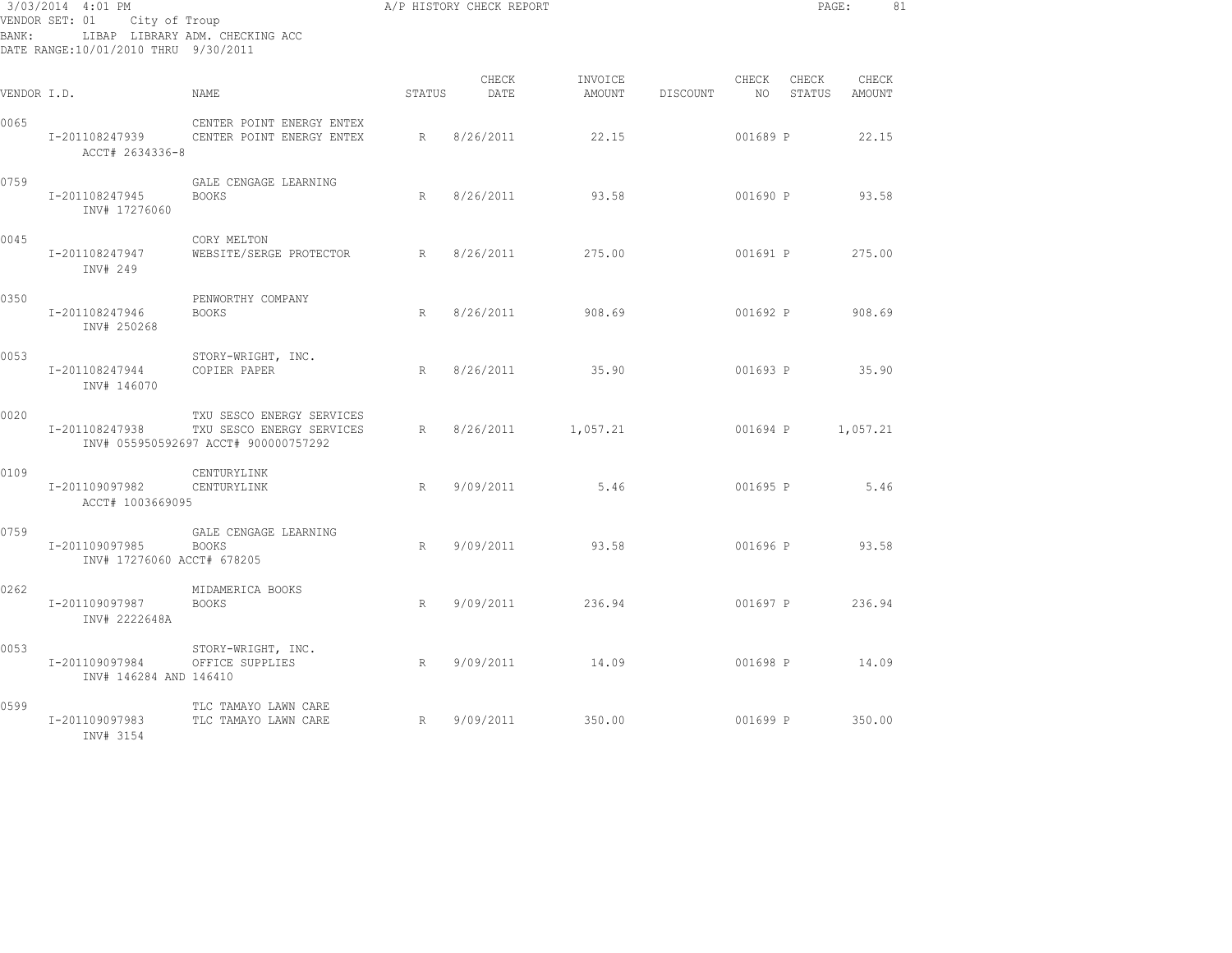|             | 3/03/2014 4:01 PM<br>VENDOR SET: 01 City of Troup |                                                                                                |        | A/P HISTORY CHECK REPORT |                   |          |                | PAGE:           |                 | 81 |
|-------------|---------------------------------------------------|------------------------------------------------------------------------------------------------|--------|--------------------------|-------------------|----------|----------------|-----------------|-----------------|----|
| BANK:       | DATE RANGE:10/01/2010 THRU 9/30/2011              | LIBAP LIBRARY ADM. CHECKING ACC                                                                |        |                          |                   |          |                |                 |                 |    |
| VENDOR I.D. |                                                   | NAME                                                                                           | STATUS | CHECK<br>DATE            | INVOICE<br>AMOUNT | DISCOUNT | CHECK<br>NO 11 | CHECK<br>STATUS | CHECK<br>AMOUNT |    |
| 0065        | I-201108247939<br>ACCT# 2634336-8                 | CENTER POINT ENERGY ENTEX<br>CENTER POINT ENERGY ENTEX                                         | R      | 8/26/2011                | 22.15             |          | 001689 P       |                 | 22.15           |    |
| 0759        | I-201108247945<br>INV# 17276060                   | GALE CENGAGE LEARNING<br><b>BOOKS</b>                                                          | R      | 8/26/2011                | 93.58             |          | 001690 P       |                 | 93.58           |    |
| 0045        | I-201108247947<br>INV# 249                        | CORY MELTON<br>WEBSITE/SERGE PROTECTOR                                                         | R      | 8/26/2011                | 275.00            |          | 001691 P       |                 | 275.00          |    |
| 0350        | I-201108247946<br>INV# 250268                     | PENWORTHY COMPANY<br><b>BOOKS</b>                                                              | R      | 8/26/2011                | 908.69            |          | 001692 P       |                 | 908.69          |    |
| 0053        | I-201108247944<br>INV# 146070                     | STORY-WRIGHT, INC.<br>COPIER PAPER                                                             | R      | 8/26/2011                | 35.90             |          | 001693 P       |                 | 35.90           |    |
| 0020        | I-201108247938                                    | TXU SESCO ENERGY SERVICES<br>TXU SESCO ENERGY SERVICES<br>INV# 055950592697 ACCT# 900000757292 | R      | 8/26/2011                | 1,057.21          |          | 001694 P       |                 | 1,057.21        |    |
| 0109        | I-201109097982<br>ACCT# 1003669095                | CENTURYLINK<br>CENTURYLINK                                                                     | R      | 9/09/2011                | 5.46              |          | 001695 P       |                 | 5.46            |    |
| 0759        | I-201109097985<br>INV# 17276060 ACCT# 678205      | GALE CENGAGE LEARNING<br><b>BOOKS</b>                                                          | R      | 9/09/2011                | 93.58             |          | 001696 P       |                 | 93.58           |    |
| 0262        | I-201109097987<br>INV# 2222648A                   | MIDAMERICA BOOKS<br><b>BOOKS</b>                                                               | R      | 9/09/2011                | 236.94            |          |                | 001697 P        | 236.94          |    |
| 0053        | I-201109097984<br>INV# 146284 AND 146410          | STORY-WRIGHT, INC.<br>OFFICE SUPPLIES                                                          | R      | 9/09/2011                | 14.09             |          | 001698 P       |                 | 14.09           |    |
| 0599        | I-201109097983<br>INV# 3154                       | TLC TAMAYO LAWN CARE<br>TLC TAMAYO LAWN CARE                                                   | R      | 9/09/2011                | 350.00            |          | 001699 P       |                 | 350.00          |    |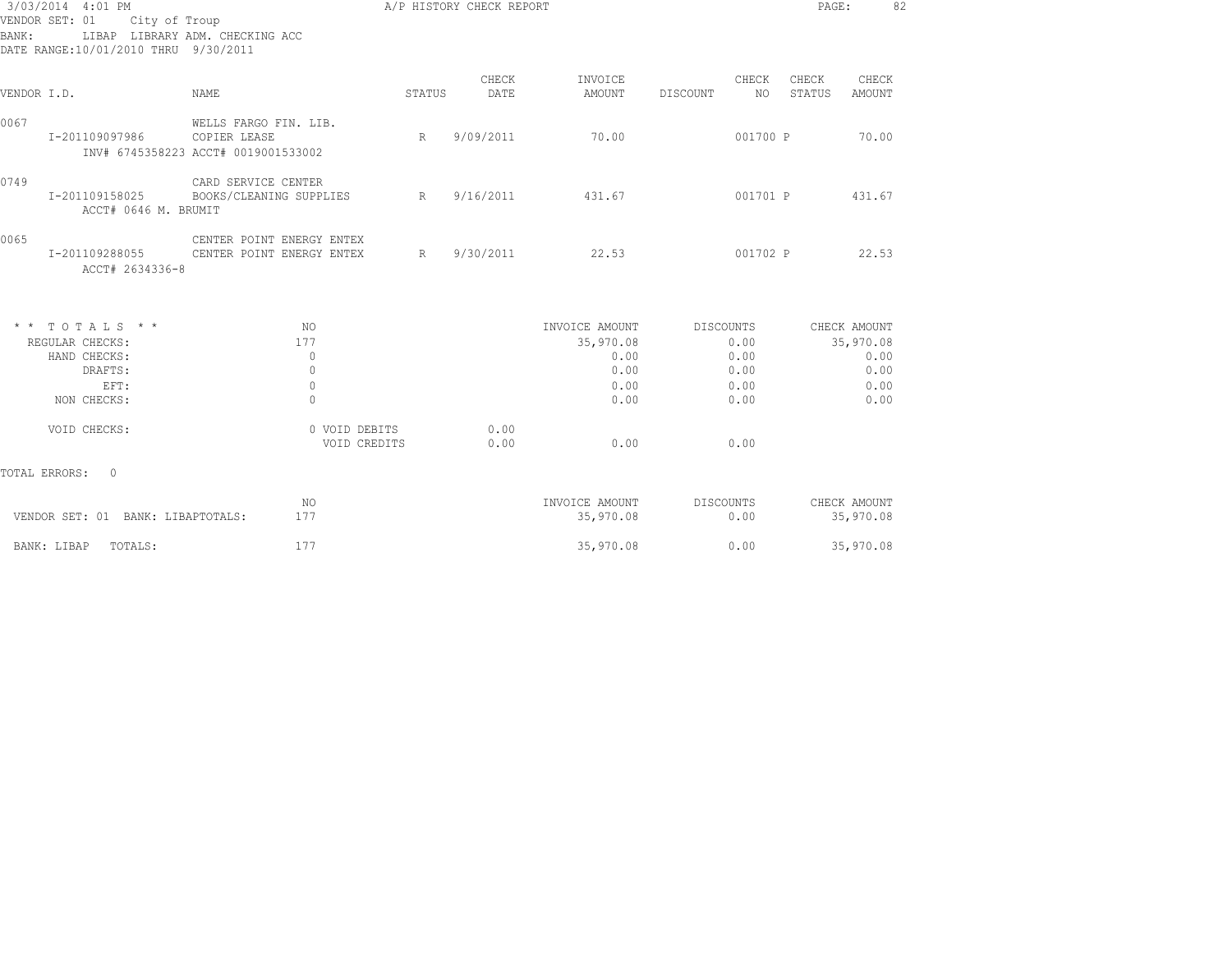| BANK:       | 3/03/2014 4:01 PM<br>VENDOR SET: 01<br>City of Troup<br>DATE RANGE:10/01/2010 THRU 9/30/2011 | LIBAP LIBRARY ADM. CHECKING ACC                                              |        | A/P HISTORY CHECK REPORT |                             |                         |                 | 82<br>PAGE:               |  |
|-------------|----------------------------------------------------------------------------------------------|------------------------------------------------------------------------------|--------|--------------------------|-----------------------------|-------------------------|-----------------|---------------------------|--|
| VENDOR I.D. |                                                                                              | NAME                                                                         | STATUS | CHECK<br>DATE            | INVOICE<br>AMOUNT           | CHECK<br>NO<br>DISCOUNT | CHECK<br>STATUS | CHECK<br><b>AMOUNT</b>    |  |
| 0067        | I-201109097986                                                                               | WELLS FARGO FIN. LIB.<br>COPIER LEASE<br>INV# 6745358223 ACCT# 0019001533002 | R      | 9/09/2011                | 70.00                       | 001700 P                |                 | 70.00                     |  |
| 0749        | I-201109158025<br>ACCT# 0646 M. BRUMIT                                                       | CARD SERVICE CENTER<br>BOOKS/CLEANING SUPPLIES                               | R      | 9/16/2011                | 431.67                      | 001701 P                |                 | 431.67                    |  |
| 0065        | I-201109288055<br>ACCT# 2634336-8                                                            | CENTER POINT ENERGY ENTEX<br>CENTER POINT ENERGY ENTEX                       | R      | 9/30/2011                | 22.53                       | 001702 P                |                 | 22.53                     |  |
|             | $*$ * TOTALS * *                                                                             | NO.                                                                          |        |                          | INVOICE AMOUNT              | DISCOUNTS               |                 | CHECK AMOUNT              |  |
|             | REGULAR CHECKS:                                                                              | 177                                                                          |        |                          | 35,970.08                   | 0.00                    |                 | 35,970.08                 |  |
|             | HAND CHECKS:                                                                                 | $\mathbf{0}$                                                                 |        |                          | 0.00                        | 0.00                    |                 | 0.00                      |  |
|             | DRAFTS:                                                                                      | $\mathbf{0}$                                                                 |        |                          | 0.00                        | 0.00                    |                 | 0.00                      |  |
|             | EFT:<br>NON CHECKS:                                                                          | $\mathbf{0}$<br>$\mathbf 0$                                                  |        |                          | 0.00<br>0.00                | 0.00<br>0.00            |                 | 0.00<br>0.00              |  |
|             | VOID CHECKS:                                                                                 | 0 VOID DEBITS<br>VOID CREDITS                                                |        | 0.00<br>0.00             | 0.00                        | 0.00                    |                 |                           |  |
|             | TOTAL ERRORS: 0                                                                              |                                                                              |        |                          |                             |                         |                 |                           |  |
|             | VENDOR SET: 01 BANK: LIBAPTOTALS:                                                            | NO<br>177                                                                    |        |                          | INVOICE AMOUNT<br>35,970.08 | DISCOUNTS<br>0.00       |                 | CHECK AMOUNT<br>35,970.08 |  |
|             | TOTALS:<br>BANK: LIBAP                                                                       | 177                                                                          |        |                          | 35,970.08                   | 0.00                    |                 | 35,970.08                 |  |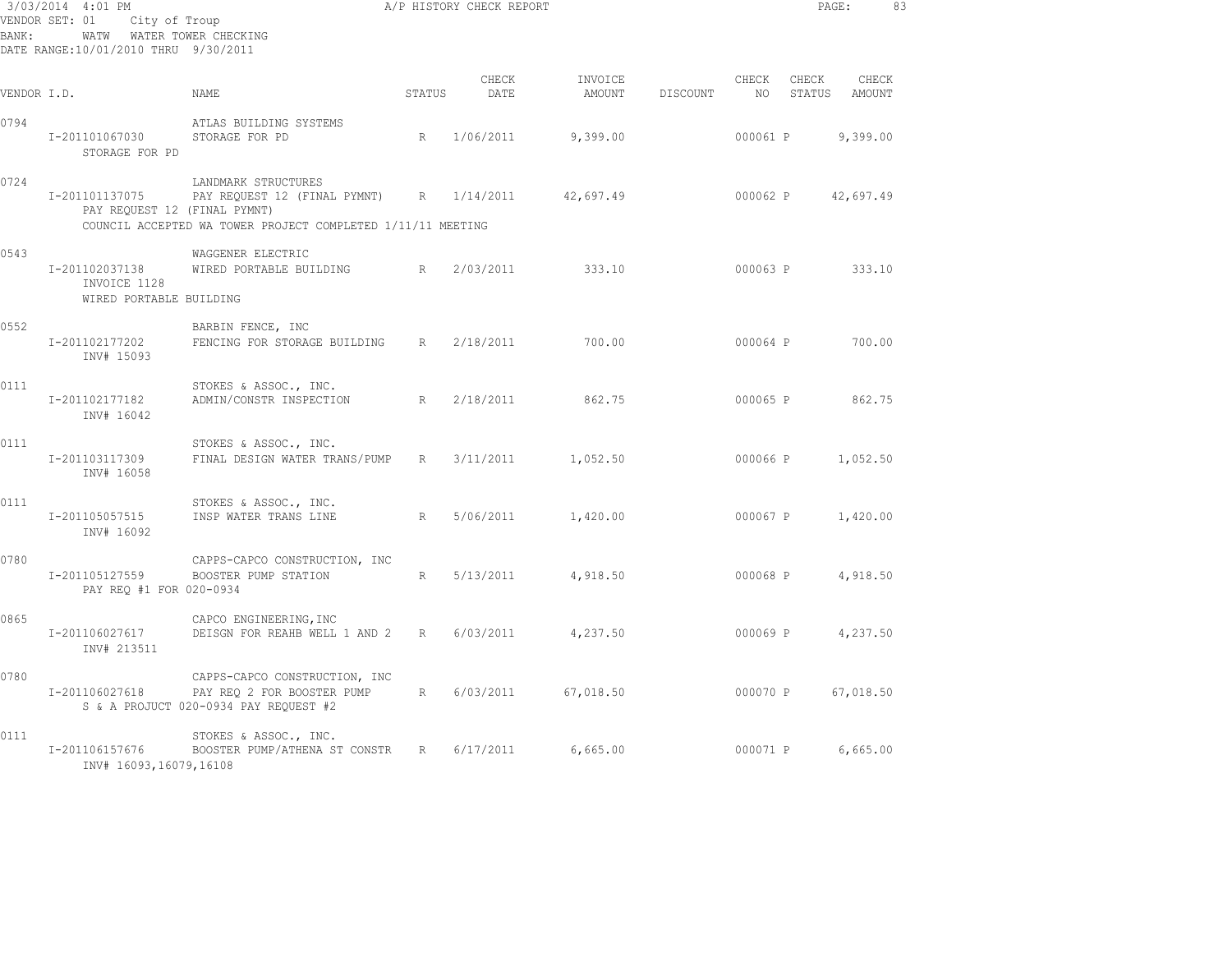| BANK:       | 3/03/2014 4:01 PM<br>VENDOR SET: 01<br>City of Troup<br>WATW<br>DATE RANGE:10/01/2010 THRU 9/30/2011 | WATER TOWER CHECKING                                                                                               |                 | A/P HISTORY CHECK REPORT |                   |          |             | PAGE:           |                 | 83 |
|-------------|------------------------------------------------------------------------------------------------------|--------------------------------------------------------------------------------------------------------------------|-----------------|--------------------------|-------------------|----------|-------------|-----------------|-----------------|----|
| VENDOR I.D. |                                                                                                      | NAME.                                                                                                              | STATUS          | CHECK<br>DATE            | INVOICE<br>AMOUNT | DISCOUNT | CHECK<br>NO | CHECK<br>STATUS | CHECK<br>AMOUNT |    |
| 0794        | I-201101067030<br>STORAGE FOR PD                                                                     | ATLAS BUILDING SYSTEMS<br>STORAGE FOR PD                                                                           | R               | 1/06/2011                | 9,399.00          |          | 000061 P    |                 | 9,399.00        |    |
| 0724        | I-201101137075<br>PAY REQUEST 12 (FINAL PYMNT)                                                       | LANDMARK STRUCTURES<br>PAY REQUEST 12 (FINAL PYMNT)<br>COUNCIL ACCEPTED WA TOWER PROJECT COMPLETED 1/11/11 MEETING | R               | 1/14/2011                | 42,697.49         |          | 000062 P    |                 | 42,697.49       |    |
| 0543        | I-201102037138<br>INVOICE 1128<br>WIRED PORTABLE BUILDING                                            | WAGGENER ELECTRIC<br>WIRED PORTABLE BUILDING                                                                       | R               | 2/03/2011                | 333.10            |          | 000063 P    |                 | 333.10          |    |
| 0552        | I-201102177202<br>INV# 15093                                                                         | BARBIN FENCE, INC<br>FENCING FOR STORAGE BUILDING                                                                  | R               | 2/18/2011                | 700.00            |          | 000064 P    |                 | 700.00          |    |
| 0111        | I-201102177182<br>INV# 16042                                                                         | STOKES & ASSOC., INC.<br>ADMIN/CONSTR INSPECTION                                                                   | R               | 2/18/2011                | 862.75            |          | 000065 P    |                 | 862.75          |    |
| 0111        | I-201103117309<br>INV# 16058                                                                         | STOKES & ASSOC., INC.<br>FINAL DESIGN WATER TRANS/PUMP                                                             | R               | 3/11/2011                | 1,052.50          |          | 000066 P    |                 | 1,052.50        |    |
| 0111        | I-201105057515<br>INV# 16092                                                                         | STOKES & ASSOC., INC.<br>INSP WATER TRANS LINE                                                                     | R               | 5/06/2011                | 1,420.00          |          | 000067 P    |                 | 1,420.00        |    |
| 0780        | I-201105127559<br>PAY REQ #1 FOR 020-0934                                                            | CAPPS-CAPCO CONSTRUCTION, INC<br>BOOSTER PUMP STATION                                                              | R               | 5/13/2011                | 4,918.50          |          | 000068 P    |                 | 4,918.50        |    |
| 0865        | I-201106027617<br>INV# 213511                                                                        | CAPCO ENGINEERING, INC<br>DEISGN FOR REAHB WELL 1 AND 2                                                            | R               | 6/03/2011                | 4,237.50          |          | 000069 P    |                 | 4,237.50        |    |
| 0780        | I-201106027618                                                                                       | CAPPS-CAPCO CONSTRUCTION, INC<br>PAY REO 2 FOR BOOSTER PUMP<br>S & A PROJUCT 020-0934 PAY REQUEST #2               | $R_{\parallel}$ | 6/03/2011                | 67,018.50         |          | 000070 P    |                 | 67,018.50       |    |
| 0111        | I-201106157676<br>INV# 16093,16079,16108                                                             | STOKES & ASSOC., INC.<br>BOOSTER PUMP/ATHENA ST CONSTR                                                             | R               | 6/17/2011                | 6,665.00          |          | 000071 P    |                 | 6,665.00        |    |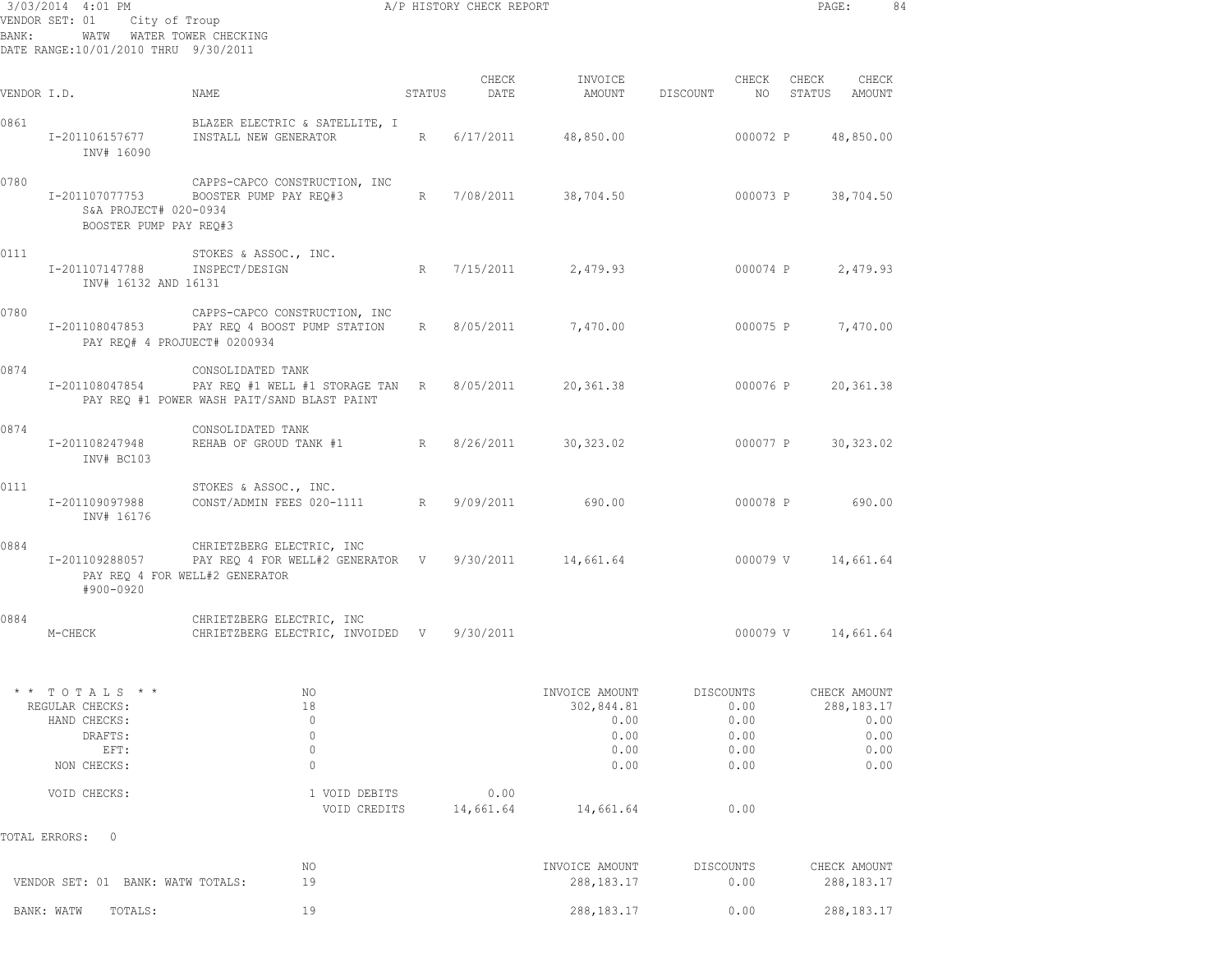|             | 3/03/2014 4:01 PM<br>VENDOR SET: 01 City of Troup                                   | A/P HISTORY CHECK REPORT                                                                                                           |        |                   |                                                              |                                                   |             | $\mathtt{PAGE}$ :            | 84                           |
|-------------|-------------------------------------------------------------------------------------|------------------------------------------------------------------------------------------------------------------------------------|--------|-------------------|--------------------------------------------------------------|---------------------------------------------------|-------------|------------------------------|------------------------------|
| BANK:       | WATW WATER TOWER CHECKING<br>DATE RANGE:10/01/2010 THRU 9/30/2011                   |                                                                                                                                    |        |                   |                                                              |                                                   |             |                              |                              |
| VENDOR I.D. |                                                                                     | NAME                                                                                                                               | STATUS | CHECK<br>DATE     | INVOICE<br>AMOUNT                                            | DISCOUNT                                          | CHECK<br>NO | CHECK<br>STATUS<br>AMOUNT    | CHECK                        |
| 0861        | I-201106157677<br>INV# 16090                                                        | BLAZER ELECTRIC & SATELLITE, I<br>INSTALL NEW GENERATOR                                                                            |        | R 6/17/2011       | 48,850.00                                                    |                                                   | 000072 P    | 48,850.00                    |                              |
| 0780        | I-201107077753<br>S&A PROJECT# 020-0934<br>BOOSTER PUMP PAY REQ#3                   | CAPPS-CAPCO CONSTRUCTION, INC<br>BOOSTER PUMP PAY REQ#3                                                                            |        |                   | R 7/08/2011 38,704.50                                        |                                                   |             | 000073 P 38,704.50           |                              |
| 0111        | I-201107147788<br>INV# 16132 AND 16131                                              | STOKES & ASSOC., INC.<br>INSPECT/DESIGN                                                                                            |        |                   | R 7/15/2011 2,479.93                                         |                                                   |             | 000074 P 2,479.93            |                              |
| 0780        | I-201108047853<br>PAY REQ# 4 PROJUECT# 0200934                                      | CAPPS-CAPCO CONSTRUCTION, INC<br>PAY REQ 4 BOOST PUMP STATION                                                                      |        |                   | R 8/05/2011 7,470.00                                         |                                                   |             | 000075 P 7,470.00            |                              |
| 0874        | I-201108047854                                                                      | CONSOLIDATED TANK<br>PAY REQ #1 WELL #1 STORAGE TAN R 8/05/2011<br>PAY REO #1 POWER WASH PAIT/SAND BLAST PAINT                     |        |                   | 20,361.38                                                    |                                                   | 000076 P    | 20,361.38                    |                              |
| 0874        | I-201108247948<br>INV# BC103                                                        | CONSOLIDATED TANK<br>REHAB OF GROUD TANK #1                                                                                        |        |                   | R 8/26/2011 30,323.02                                        |                                                   | 000077 P    | 30,323.02                    |                              |
| 0111        | I-201109097988<br>INV# 16176                                                        | STOKES & ASSOC., INC.<br>CONST/ADMIN FEES 020-1111 R 9/09/2011                                                                     |        |                   | 690.00                                                       |                                                   |             | 000078 P 690.00              |                              |
| 0884        | #900-0920                                                                           | CHRIETZBERG ELECTRIC, INC<br>I-201109288057 PAY REQ 4 FOR WELL#2 GENERATOR V 9/30/2011 14,661.64<br>PAY REQ 4 FOR WELL#2 GENERATOR |        |                   |                                                              |                                                   | 000079 V    | 14,661.64                    |                              |
| 0884        | M-CHECK                                                                             | CHRIETZBERG ELECTRIC, INC<br>CHRIETZBERG ELECTRIC, INVOIDED V 9/30/2011                                                            |        |                   |                                                              |                                                   |             | 000079 V 14,661.64           |                              |
|             | * * TOTALS * *<br>REGULAR CHECKS:<br>HAND CHECKS:<br>DRAFTS:<br>EFT:<br>NON CHECKS: | NO<br>18<br>$\mathbb O$<br>$\mathbb O$<br>$\mathbb O$<br>$\mathbb O$                                                               |        |                   | INVOICE AMOUNT<br>302,844.81<br>0.00<br>0.00<br>0.00<br>0.00 | DISCOUNTS<br>0.00<br>0.00<br>0.00<br>0.00<br>0.00 |             | CHECK AMOUNT<br>288,183.17   | 0.00<br>0.00<br>0.00<br>0.00 |
|             | VOID CHECKS:                                                                        | 1 VOID DEBITS<br>VOID CREDITS                                                                                                      |        | 0.00<br>14,661.64 | 14,661.64                                                    | 0.00                                              |             |                              |                              |
|             | TOTAL ERRORS:<br>$\circ$                                                            |                                                                                                                                    |        |                   |                                                              |                                                   |             |                              |                              |
|             | VENDOR SET: 01 BANK: WATW TOTALS:                                                   | NO.<br>19                                                                                                                          |        |                   | INVOICE AMOUNT<br>288, 183. 17                               | DISCOUNTS<br>0.00                                 |             | CHECK AMOUNT<br>288, 183. 17 |                              |
|             | BANK: WATW<br>TOTALS:                                                               | 19                                                                                                                                 |        |                   | 288, 183. 17                                                 | 0.00                                              |             | 288, 183. 17                 |                              |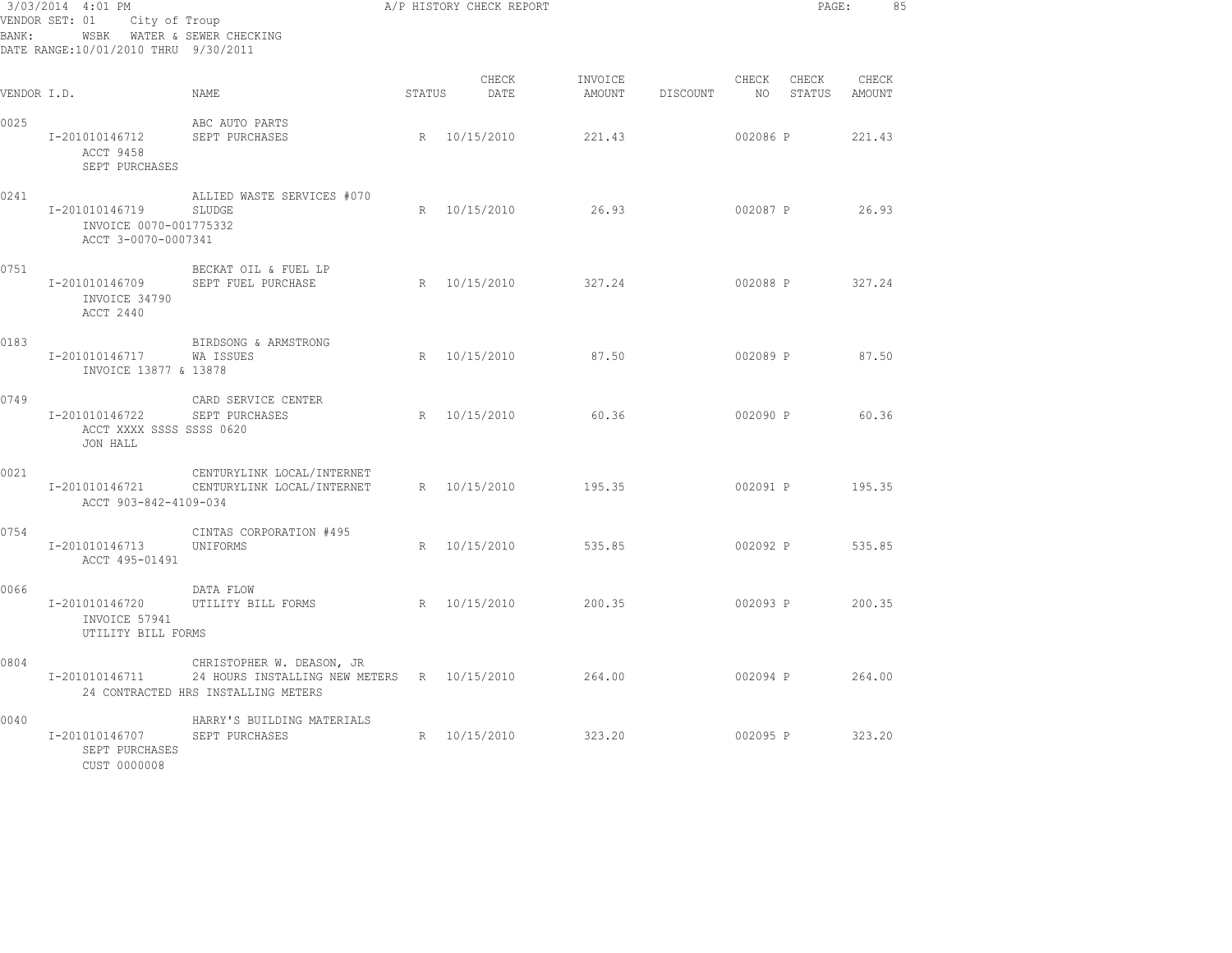| BANK:       | 3/03/2014 4:01 PM<br>VENDOR SET: 01<br>City of Troup<br>WSBK WATER & SEWER CHECKING<br>DATE RANGE:10/01/2010 THRU 9/30/2011 |                                                                                                                 |        | A/P HISTORY CHECK REPORT |                   |          |                                   | PAGE:<br>85     |
|-------------|-----------------------------------------------------------------------------------------------------------------------------|-----------------------------------------------------------------------------------------------------------------|--------|--------------------------|-------------------|----------|-----------------------------------|-----------------|
| VENDOR I.D. |                                                                                                                             | NAME                                                                                                            | STATUS | CHECK<br>DATE            | INVOICE<br>AMOUNT | DISCOUNT | CHECK<br>CHECK<br>NO 11<br>STATUS | CHECK<br>AMOUNT |
| 0025        | I-201010146712<br>ACCT 9458<br>SEPT PURCHASES                                                                               | ABC AUTO PARTS<br>SEPT PURCHASES                                                                                |        | R 10/15/2010             | 221.43            |          | 002086 P                          | 221.43          |
| 0241        | I-201010146719<br>INVOICE 0070-001775332<br>ACCT 3-0070-0007341                                                             | ALLIED WASTE SERVICES #070<br>SLUDGE                                                                            |        | R 10/15/2010             | 26.93             |          | 002087 P                          | 26.93           |
| 0751        | I-201010146709<br>INVOICE 34790<br>ACCT 2440                                                                                | BECKAT OIL & FUEL LP<br>SEPT FUEL PURCHASE                                                                      |        | R 10/15/2010             | 327.24            |          | 002088 P 327.24                   |                 |
| 0183        | I-201010146717<br>INVOICE 13877 & 13878                                                                                     | BIRDSONG & ARMSTRONG<br>WA ISSUES                                                                               |        | R 10/15/2010             | 87.50             |          | 002089 P                          | 87.50           |
| 0749        | I-201010146722 SEPT PURCHASES<br>ACCT XXXX SSSS SSSS 0620<br>JON HALL                                                       | CARD SERVICE CENTER                                                                                             |        | R 10/15/2010             | 60.36             |          | 002090 P                          | 60.36           |
| 0021        | I-201010146721<br>ACCT 903-842-4109-034                                                                                     | CENTURYLINK LOCAL/INTERNET<br>CENTURYLINK LOCAL/INTERNET                                                        |        | R 10/15/2010             | 195.35            |          | 002091 P 195.35                   |                 |
| 0754        | I-201010146713<br>ACCT 495-01491                                                                                            | CINTAS CORPORATION #495<br>UNIFORMS                                                                             |        | R 10/15/2010             | 535.85            |          | 002092 P                          | 535.85          |
| 0066        | I-201010146720<br>INVOICE 57941<br>UTILITY BILL FORMS                                                                       | DATA FLOW<br>UTILITY BILL FORMS                                                                                 |        | R 10/15/2010             | 200.35            |          | 002093 P                          | 200.35          |
| 0804        | I-201010146711                                                                                                              | CHRISTOPHER W. DEASON, JR<br>24 HOURS INSTALLING NEW METERS R 10/15/2010<br>24 CONTRACTED HRS INSTALLING METERS |        |                          | 264.00            |          | 002094 P                          | 264.00          |
| 0040        | I-201010146707<br>SEPT PURCHASES<br>CUST 0000008                                                                            | HARRY'S BUILDING MATERIALS<br>SEPT PURCHASES                                                                    |        | R 10/15/2010             | 323.20            |          | 002095 P 323.20                   |                 |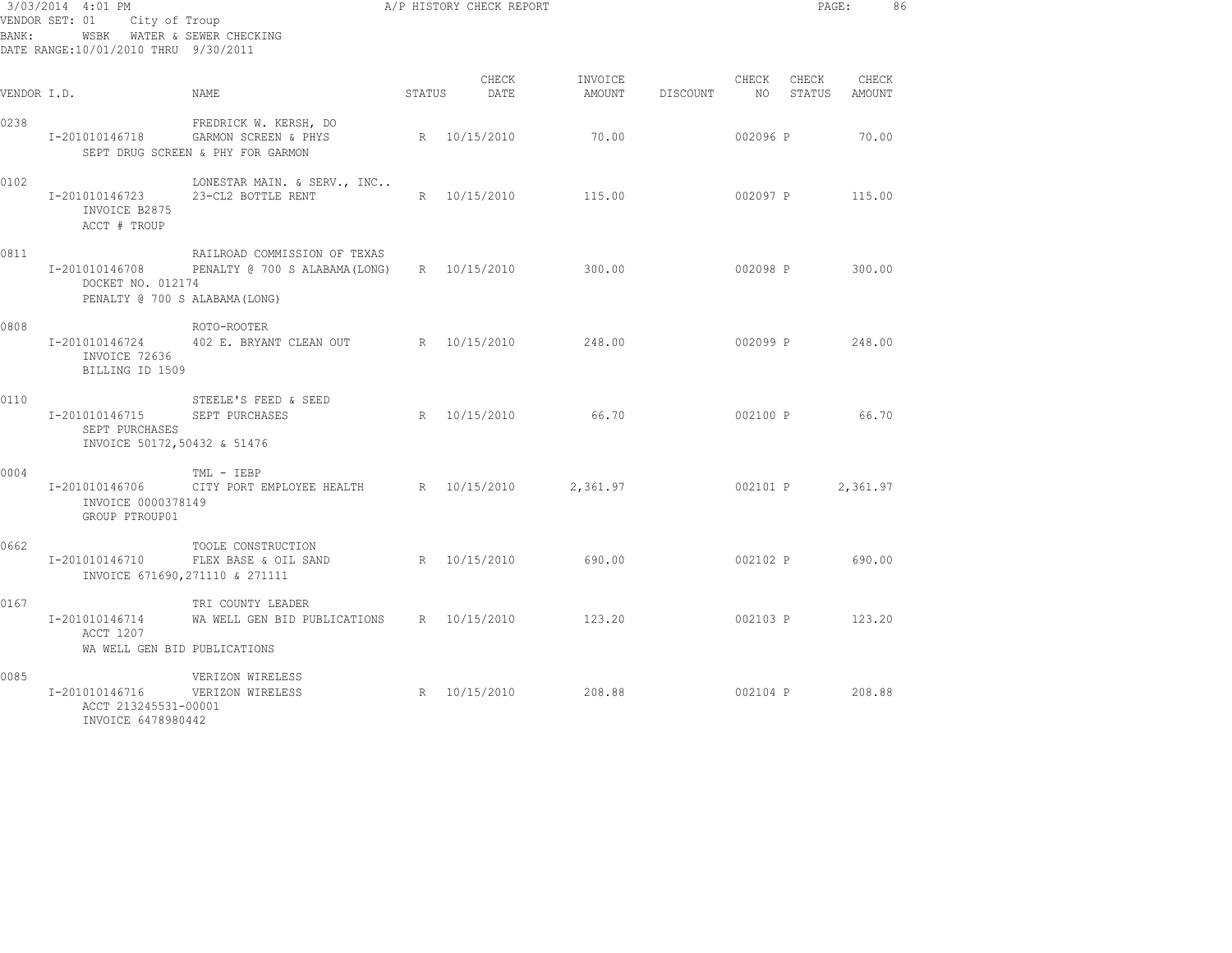| BANK:       | 3/03/2014 4:01 PM<br>VENDOR SET: 01 City of Troup<br>DATE RANGE:10/01/2010 THRU 9/30/2011 | WSBK WATER & SEWER CHECKING                                                        |        | A/P HISTORY CHECK REPORT |                   |          |          |                                 | PAGE:    | 86 |
|-------------|-------------------------------------------------------------------------------------------|------------------------------------------------------------------------------------|--------|--------------------------|-------------------|----------|----------|---------------------------------|----------|----|
| VENDOR I.D. |                                                                                           | NAME                                                                               | STATUS | CHECK<br>DATE            | INVOICE<br>AMOUNT | DISCOUNT |          | CHECK CHECK<br>NO STATUS AMOUNT | CHECK    |    |
| 0238        | I-201010146718                                                                            | FREDRICK W. KERSH, DO<br>GARMON SCREEN & PHYS<br>SEPT DRUG SCREEN & PHY FOR GARMON |        | R 10/15/2010             | 70.00             |          | 002096 P |                                 | 70.00    |    |
| 0102        | I-201010146723<br>INVOICE B2875<br>ACCT # TROUP                                           | LONESTAR MAIN. & SERV., INC<br>23-CL2 BOTTLE RENT                                  |        | R 10/15/2010             | 115.00            |          | 002097 P |                                 | 115.00   |    |
| 0811        | I-201010146708<br>DOCKET NO. 012174<br>PENALTY @ 700 S ALABAMA (LONG)                     | RAILROAD COMMISSION OF TEXAS<br>PENALTY @ 700 S ALABAMA(LONG) R 10/15/2010         |        |                          | 300.00            |          | 002098 P |                                 | 300.00   |    |
| 0808        | INVOICE 72636<br>BILLING ID 1509                                                          | ROTO-ROOTER<br>I-201010146724 402 E. BRYANT CLEAN OUT                              |        | R 10/15/2010             | 248.00            |          |          | 002099 P 248.00                 |          |    |
| 0110        | I-201010146715<br>SEPT PURCHASES<br>INVOICE 50172,50432 & 51476                           | STEELE'S FEED & SEED<br>SEPT PURCHASES                                             |        | R 10/15/2010 66.70       |                   |          |          | 002100 P                        | 66.70    |    |
| 0004        | INVOICE 0000378149<br>GROUP PTROUP01                                                      | TML - IEBP<br>I-201010146706 CITY PORT EMPLOYEE HEALTH R 10/15/2010                |        |                          | 2,361.97          |          |          | 002101 P                        | 2,361.97 |    |
| 0662        | I-201010146710                                                                            | TOOLE CONSTRUCTION<br>FLEX BASE & OIL SAND<br>INVOICE 671690, 271110 & 271111      |        | R 10/15/2010             | 690.00            |          |          | 002102 P 690.00                 |          |    |
| 0167        | I-201010146714<br>ACCT 1207<br>WA WELL GEN BID PUBLICATIONS                               | TRI COUNTY LEADER<br>WA WELL GEN BID PUBLICATIONS R 10/15/2010                     |        |                          | 123.20            |          |          | 002103 P                        | 123.20   |    |
| 0085        | I-201010146716<br>ACCT 213245531-00001<br>INVOICE 6478980442                              | VERIZON WIRELESS<br>VERIZON WIRELESS                                               |        | R 10/15/2010             | 208.88            |          |          | 002104 P 208.88                 |          |    |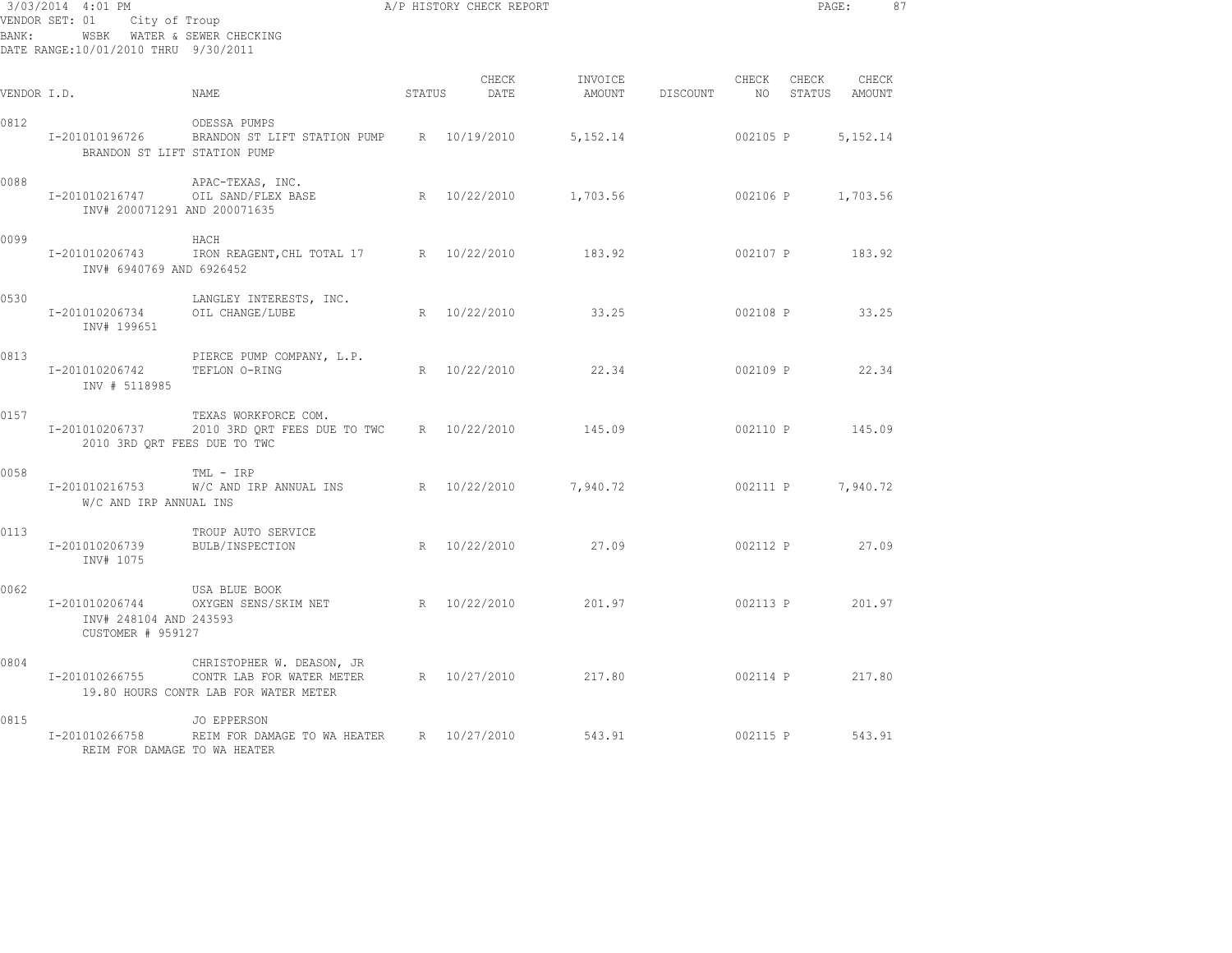| BANK:       | 3/03/2014 4:01 PM<br>VENDOR SET: 01<br>City of Troup<br>WSBK WATER & SEWER CHECKING<br>DATE RANGE:10/01/2010 THRU 9/30/2011 | A/P HISTORY CHECK REPORT                                                                        |        |               |                          |          |          |                           | PAGE:      | 87 |
|-------------|-----------------------------------------------------------------------------------------------------------------------------|-------------------------------------------------------------------------------------------------|--------|---------------|--------------------------|----------|----------|---------------------------|------------|----|
| VENDOR I.D. |                                                                                                                             | NAME                                                                                            | STATUS | CHECK<br>DATE | INVOICE<br><b>AMOUNT</b> | DISCOUNT | CHECK    | CHECK<br>NO STATUS AMOUNT | CHECK      |    |
| 0812        | I-201010196726<br>BRANDON ST LIFT STATION PUMP                                                                              | ODESSA PUMPS<br>BRANDON ST LIFT STATION PUMP R 10/19/2010                                       |        |               | 5, 152. 14               |          | 002105 P |                           | 5, 152. 14 |    |
| 0088        | I-201010216747<br>INV# 200071291 AND 200071635                                                                              | APAC-TEXAS, INC.<br>OIL SAND/FLEX BASE                                                          |        | R 10/22/2010  | 1,703.56                 |          | 002106 P |                           | 1,703.56   |    |
| 0099        | I-201010206743<br>INV# 6940769 AND 6926452                                                                                  | HACH<br>IRON REAGENT, CHL TOTAL 17 R 10/22/2010                                                 |        |               | 183.92                   |          |          | 002107 P 183.92           |            |    |
| 0530        | I-201010206734<br>INV# 199651                                                                                               | LANGLEY INTERESTS, INC.<br>OIL CHANGE/LUBE                                                      |        | R 10/22/2010  | 33.25                    |          |          | 002108 P 33.25            |            |    |
| 0813        | I-201010206742<br>INV # 5118985                                                                                             | PIERCE PUMP COMPANY, L.P.<br>TEFLON O-RING                                                      |        |               | R 10/22/2010 22.34       |          | 002109 P |                           | 22.34      |    |
| 0157        | 2010 3RD ORT FEES DUE TO TWC                                                                                                | TEXAS WORKFORCE COM.<br>I-201010206737 2010 3RD QRT FEES DUE TO TWC R 10/22/2010                |        |               | 145.09                   |          | 002110 P |                           | 145.09     |    |
| 0058        | I-201010216753<br>W/C AND IRP ANNUAL INS                                                                                    | TML - IRP<br>W/C AND IRP ANNUAL INS                                                             |        | R 10/22/2010  | 7,940.72                 |          |          | 002111 P                  | 7,940.72   |    |
| 0113        | I-201010206739<br>INV# 1075                                                                                                 | TROUP AUTO SERVICE<br>BULB/INSPECTION                                                           |        | R 10/22/2010  | 27.09                    |          | 002112 P |                           | 27.09      |    |
| 0062        | I-201010206744<br>INV# 248104 AND 243593<br>CUSTOMER # 959127                                                               | USA BLUE BOOK<br>OXYGEN SENS/SKIM NET R 10/22/2010                                              |        |               | 201.97                   |          |          | 002113 P                  | 201.97     |    |
| 0804        | I-201010266755                                                                                                              | CHRISTOPHER W. DEASON, JR<br>CONTR LAB FOR WATER METER<br>19.80 HOURS CONTR LAB FOR WATER METER |        |               | R 10/27/2010 217.80      |          |          | 002114 P 217.80           |            |    |
| 0815        | I-201010266758<br>REIM FOR DAMAGE TO WA HEATER                                                                              | <b>JO EPPERSON</b><br>REIM FOR DAMAGE TO WA HEATER R 10/27/2010                                 |        |               | 543.91                   |          |          | 002115 P                  | 543.91     |    |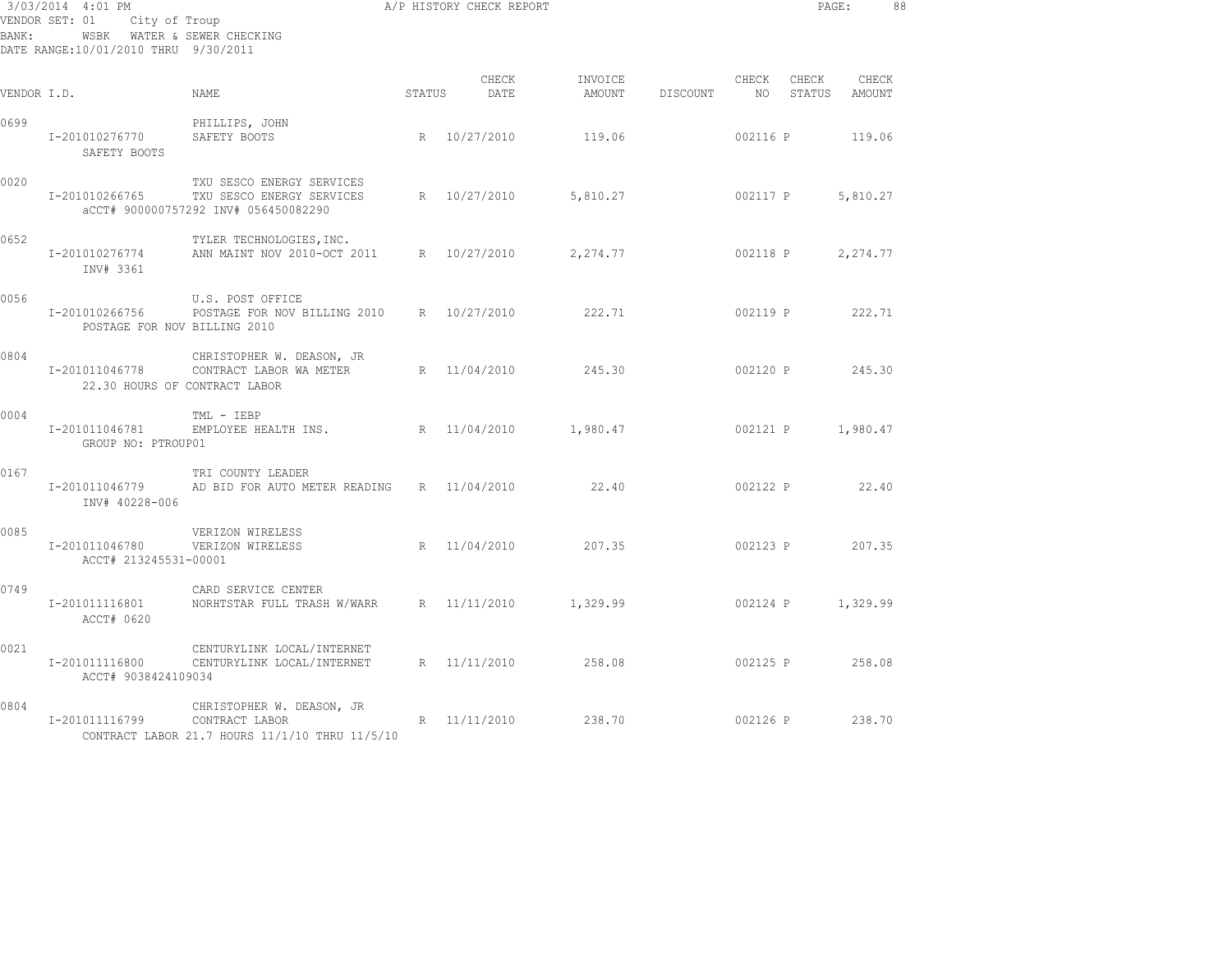| BANK:       | 3/03/2014 4:01 PM<br>VENDOR SET: 01<br>City of Troup<br>WSBK WATER & SEWER CHECKING<br>DATE RANGE:10/01/2010 THRU 9/30/2011 |                                                                                                |        | A/P HISTORY CHECK REPORT |                   |          | PAGE:         |                 | 88              |  |
|-------------|-----------------------------------------------------------------------------------------------------------------------------|------------------------------------------------------------------------------------------------|--------|--------------------------|-------------------|----------|---------------|-----------------|-----------------|--|
| VENDOR I.D. |                                                                                                                             | NAME                                                                                           | STATUS | CHECK<br>DATE            | INVOICE<br>AMOUNT | DISCOUNT | CHECK<br>NO 1 | CHECK<br>STATUS | CHECK<br>AMOUNT |  |
| 0699        | I-201010276770<br>SAFETY BOOTS                                                                                              | PHILLIPS, JOHN<br>SAFETY BOOTS                                                                 | R      | 10/27/2010               | 119.06            |          | 002116 P      |                 | 119.06          |  |
| 0020        | I-201010266765                                                                                                              | TXU SESCO ENERGY SERVICES<br>TXU SESCO ENERGY SERVICES<br>aCCT# 900000757292 INV# 056450082290 | R      | 10/27/2010               | 5,810.27          |          | 002117 P      |                 | 5,810.27        |  |
| 0652        | I-201010276774<br>INV# 3361                                                                                                 | TYLER TECHNOLOGIES, INC.<br>ANN MAINT NOV 2010-OCT 2011 R 10/27/2010                           |        |                          | 2,274.77          |          | 002118 P      |                 | 2,274.77        |  |
| 0056        | I-201010266756<br>POSTAGE FOR NOV BILLING 2010                                                                              | U.S. POST OFFICE<br>POSTAGE FOR NOV BILLING 2010 R 10/27/2010                                  |        |                          | 222.71            |          | 002119 P      |                 | 222.71          |  |
| 0804        | I-201011046778                                                                                                              | CHRISTOPHER W. DEASON, JR<br>CONTRACT LABOR WA METER<br>22.30 HOURS OF CONTRACT LABOR          |        | R 11/04/2010             | 245.30            |          | 002120 P      |                 | 245.30          |  |
| 0004        | I-201011046781<br>GROUP NO: PTROUP01                                                                                        | TML - IEBP<br>EMPLOYEE HEALTH INS.                                                             |        | R 11/04/2010             | 1,980.47          |          | 002121 P      |                 | 1,980.47        |  |
| 0167        | I-201011046779<br>INV# 40228-006                                                                                            | TRI COUNTY LEADER<br>AD BID FOR AUTO METER READING                                             |        | R 11/04/2010             | 22.40             |          | 002122 P      |                 | 22.40           |  |
| 0085        | I-201011046780<br>ACCT# 213245531-00001                                                                                     | VERIZON WIRELESS<br>VERIZON WIRELESS                                                           |        | R 11/04/2010             | 207.35            |          |               | 002123 P        | 207.35          |  |
| 0749        | I-201011116801<br>ACCT# 0620                                                                                                | CARD SERVICE CENTER<br>NORHTSTAR FULL TRASH W/WARR                                             |        | R 11/11/2010             | 1,329.99          |          | 002124 P      |                 | 1,329.99        |  |
| 0021        | I-201011116800<br>ACCT# 9038424109034                                                                                       | CENTURYLINK LOCAL/INTERNET<br>CENTURYLINK LOCAL/INTERNET                                       |        | R 11/11/2010             | 258.08            |          | 002125 P      |                 | 258.08          |  |
| 0804        | I-201011116799                                                                                                              | CHRISTOPHER W. DEASON, JR<br>CONTRACT LABOR<br>CONTRACT LABOR 21.7 HOURS 11/1/10 THRU 11/5/10  |        | R 11/11/2010             | 238.70            |          | 002126 P      |                 | 238.70          |  |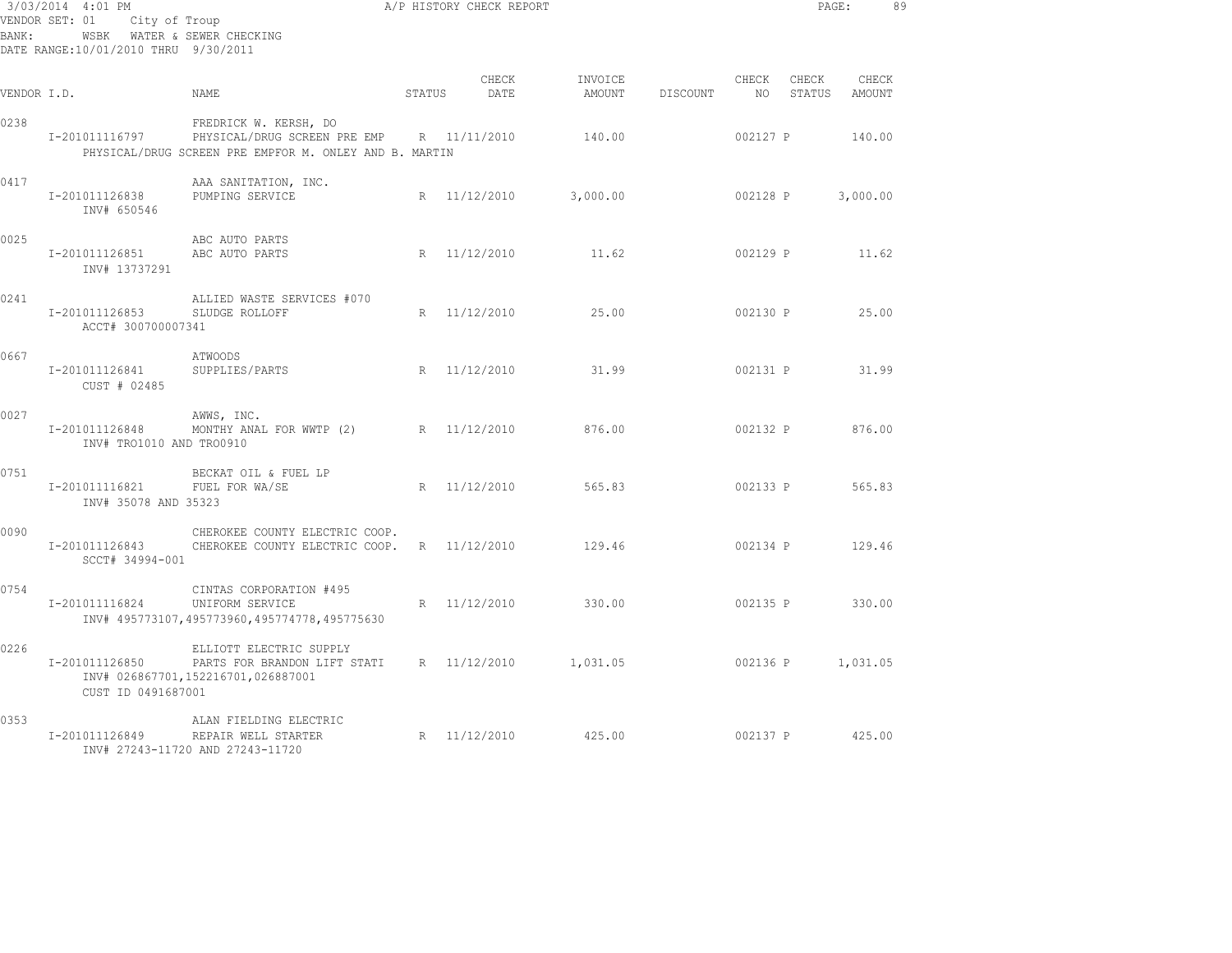| BANK:       | 3/03/2014 4:01 PM<br>VENDOR SET: 01<br>WSBK WATER & SEWER CHECKING<br>DATE RANGE:10/01/2010 THRU 9/30/2011 | A/P HISTORY CHECK REPORT<br>City of Troup                                                                                    |                     |                          |          |               |          | PAGE:                  | 89 |
|-------------|------------------------------------------------------------------------------------------------------------|------------------------------------------------------------------------------------------------------------------------------|---------------------|--------------------------|----------|---------------|----------|------------------------|----|
| VENDOR I.D. |                                                                                                            | <b>STATUS</b><br>NAME                                                                                                        | CHECK<br>DATE       | INVOICE<br><b>AMOUNT</b> | DISCOUNT | CHECK<br>NO 1 | CHECK    | CHECK<br>STATUS AMOUNT |    |
| 0238        | I-201011116797                                                                                             | FREDRICK W. KERSH, DO<br>PHYSICAL/DRUG SCREEN PRE EMP R 11/11/2010<br>PHYSICAL/DRUG SCREEN PRE EMPFOR M. ONLEY AND B. MARTIN |                     | 140.00                   |          | 002127 P      |          | 140.00                 |    |
| 0417        | I-201011126838<br>INV# 650546                                                                              | AAA SANITATION, INC.<br>PUMPING SERVICE                                                                                      | R 11/12/2010        | 3,000.00                 |          | 002128 P      |          | 3,000.00               |    |
| 0025        | I-201011126851<br>INV# 13737291                                                                            | ABC AUTO PARTS<br>ABC AUTO PARTS                                                                                             | R 11/12/2010        | 11.62                    |          |               |          | 002129 P 11.62         |    |
| 0241        | I-201011126853<br>ACCT# 300700007341                                                                       | ALLIED WASTE SERVICES #070<br>SLUDGE ROLLOFF                                                                                 | R 11/12/2010 25.00  |                          |          |               |          | 002130 P 25.00         |    |
| 0667        | I-201011126841<br>CUST # 02485                                                                             | ATWOODS<br>SUPPLIES/PARTS                                                                                                    | R 11/12/2010 31.99  |                          |          |               |          | 002131 P 31.99         |    |
| 0027        | I-201011126848<br>INV# TRO1010 AND TRO0910                                                                 | AWWS, INC.<br>MONTHY ANAL FOR WWTP (2) R 11/12/2010                                                                          |                     | 876.00                   |          |               | 002132 P | 876.00                 |    |
| 0751        | I-201011116821 FUEL FOR WA/SE<br>INV# 35078 AND 35323                                                      | BECKAT OIL & FUEL LP                                                                                                         | R 11/12/2010        | 565.83                   |          |               |          | 002133 P 565.83        |    |
| 0090        | SCCT# 34994-001                                                                                            | CHEROKEE COUNTY ELECTRIC COOP.<br>I-201011126843 CHEROKEE COUNTY ELECTRIC COOP. R  11/12/2010                                |                     | 129.46                   |          | 002134 P      |          | 129.46                 |    |
| 0754        | I-201011116824                                                                                             | CINTAS CORPORATION #495<br>UNIFORM SERVICE<br>INV# 495773107,495773960,495774778,495775630                                   | R 11/12/2010        | 330.00                   |          |               |          | 002135 P 330.00        |    |
| 0226        | I-201011126850<br>CUST ID 0491687001                                                                       | ELLIOTT ELECTRIC SUPPLY<br>PARTS FOR BRANDON LIFT STATI R 11/12/2010 1,031.05<br>INV# 026867701,152216701,026887001          |                     |                          |          |               |          | 002136 P 1,031.05      |    |
| 0353        | I-201011126849                                                                                             | ALAN FIELDING ELECTRIC<br>REPAIR WELL STARTER<br>INV# 27243-11720 AND 27243-11720                                            | R 11/12/2010 425.00 |                          |          |               |          | 002137 P 425.00        |    |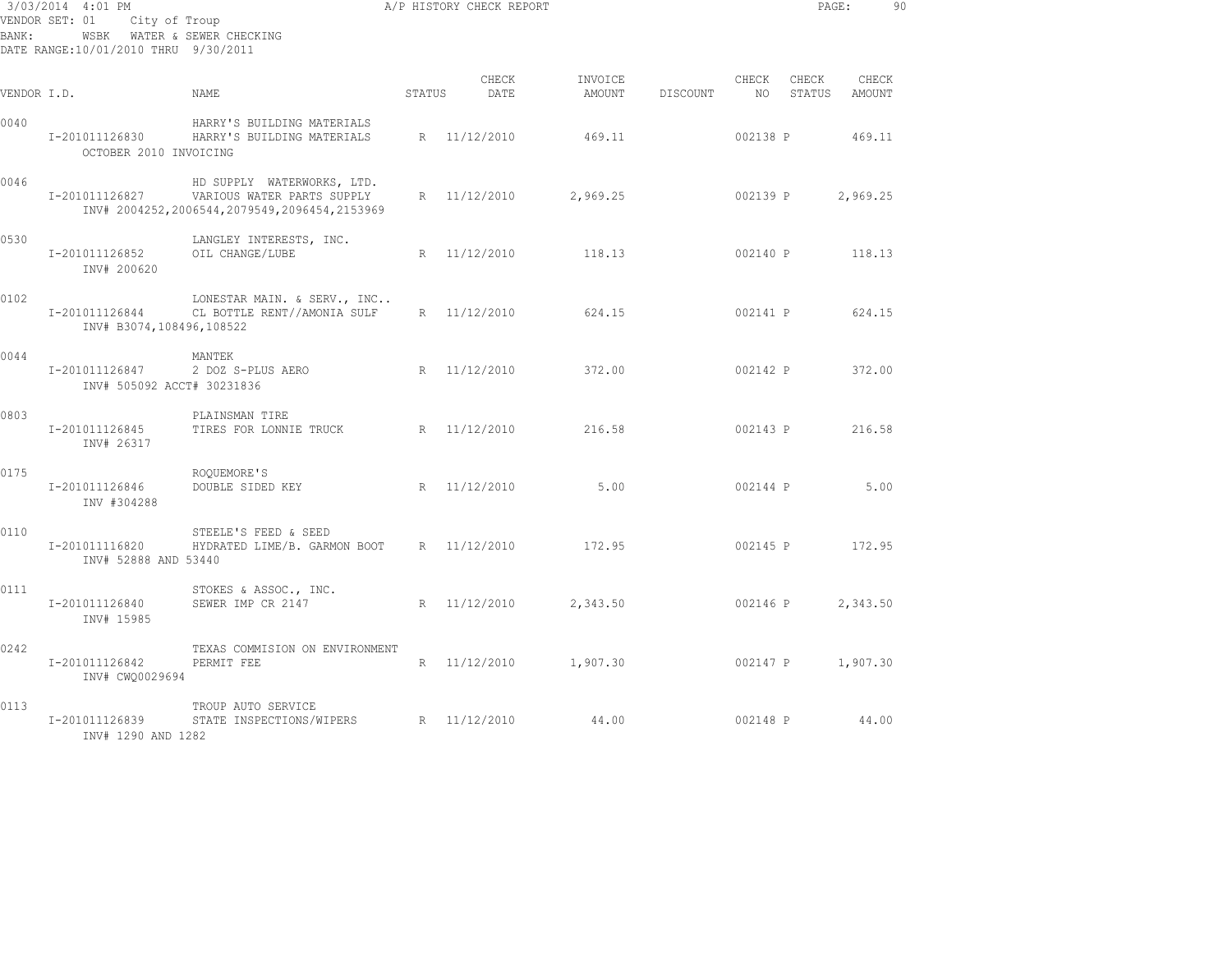| 3/03/2014 4:01 PM<br>VENDOR SET: 01<br>City of Troup<br>WSBK WATER & SEWER CHECKING<br>BANK:<br>DATE RANGE:10/01/2010 THRU 9/30/2011 |                                              |                                                                                                              | A/P HISTORY CHECK REPORT |               |                   |          | PAGE:         |                 | 90              |  |
|--------------------------------------------------------------------------------------------------------------------------------------|----------------------------------------------|--------------------------------------------------------------------------------------------------------------|--------------------------|---------------|-------------------|----------|---------------|-----------------|-----------------|--|
| VENDOR I.D.                                                                                                                          |                                              | NAME                                                                                                         | STATUS                   | CHECK<br>DATE | INVOICE<br>AMOUNT | DISCOUNT | CHECK<br>NO . | CHECK<br>STATUS | CHECK<br>AMOUNT |  |
| 0040                                                                                                                                 | I-201011126830<br>OCTOBER 2010 INVOICING     | HARRY'S BUILDING MATERIALS<br>HARRY'S BUILDING MATERIALS                                                     |                          | R 11/12/2010  | 469.11            |          | 002138 P      |                 | 469.11          |  |
| 0046                                                                                                                                 | I-201011126827                               | HD SUPPLY WATERWORKS, LTD.<br>VARIOUS WATER PARTS SUPPLY<br>INV# 2004252, 2006544, 2079549, 2096454, 2153969 | $R_{\parallel}$          | 11/12/2010    | 2,969.25          |          | 002139 P      |                 | 2,969.25        |  |
| 0530                                                                                                                                 | I-201011126852<br>INV# 200620                | LANGLEY INTERESTS, INC.<br>OIL CHANGE/LUBE                                                                   | R                        | 11/12/2010    | 118.13            |          | 002140 P      |                 | 118.13          |  |
| 0102                                                                                                                                 | I-201011126844<br>INV# B3074,108496,108522   | LONESTAR MAIN. & SERV., INC<br>CL BOTTLE RENT//AMONIA SULF                                                   |                          | R 11/12/2010  | 624.15            |          | 002141 P      |                 | 624.15          |  |
| 0044                                                                                                                                 | I-201011126847<br>INV# 505092 ACCT# 30231836 | MANTEK<br>2 DOZ S-PLUS AERO                                                                                  |                          | R 11/12/2010  | 372.00            |          | 002142 P      |                 | 372.00          |  |
| 0803                                                                                                                                 | I-201011126845<br>INV# 26317                 | PLAINSMAN TIRE<br>TIRES FOR LONNIE TRUCK                                                                     |                          | R 11/12/2010  | 216.58            |          | 002143 P      |                 | 216.58          |  |
| 0175                                                                                                                                 | I-201011126846<br>INV #304288                | ROOUEMORE'S<br>DOUBLE SIDED KEY                                                                              |                          | R 11/12/2010  | 5.00              |          | 002144 P      |                 | 5.00            |  |
| 0110                                                                                                                                 | I-201011116820<br>INV# 52888 AND 53440       | STEELE'S FEED & SEED<br>HYDRATED LIME/B. GARMON BOOT                                                         |                          | R 11/12/2010  | 172.95            |          | 002145 P      |                 | 172.95          |  |
| 0111                                                                                                                                 | I-201011126840<br>INV# 15985                 | STOKES & ASSOC., INC.<br>SEWER IMP CR 2147                                                                   |                          | R 11/12/2010  | 2,343.50          |          | 002146 P      |                 | 2,343.50        |  |
| 0242                                                                                                                                 | I-201011126842<br>INV# CWQ0029694            | TEXAS COMMISION ON ENVIRONMENT<br>PERMIT FEE                                                                 |                          | R 11/12/2010  | 1,907.30          |          | 002147 P      |                 | 1,907.30        |  |
| 0113                                                                                                                                 | I-201011126839<br>INV# 1290 AND 1282         | TROUP AUTO SERVICE<br>STATE INSPECTIONS/WIPERS                                                               |                          | R 11/12/2010  | 44.00             |          | 002148 P      |                 | 44.00           |  |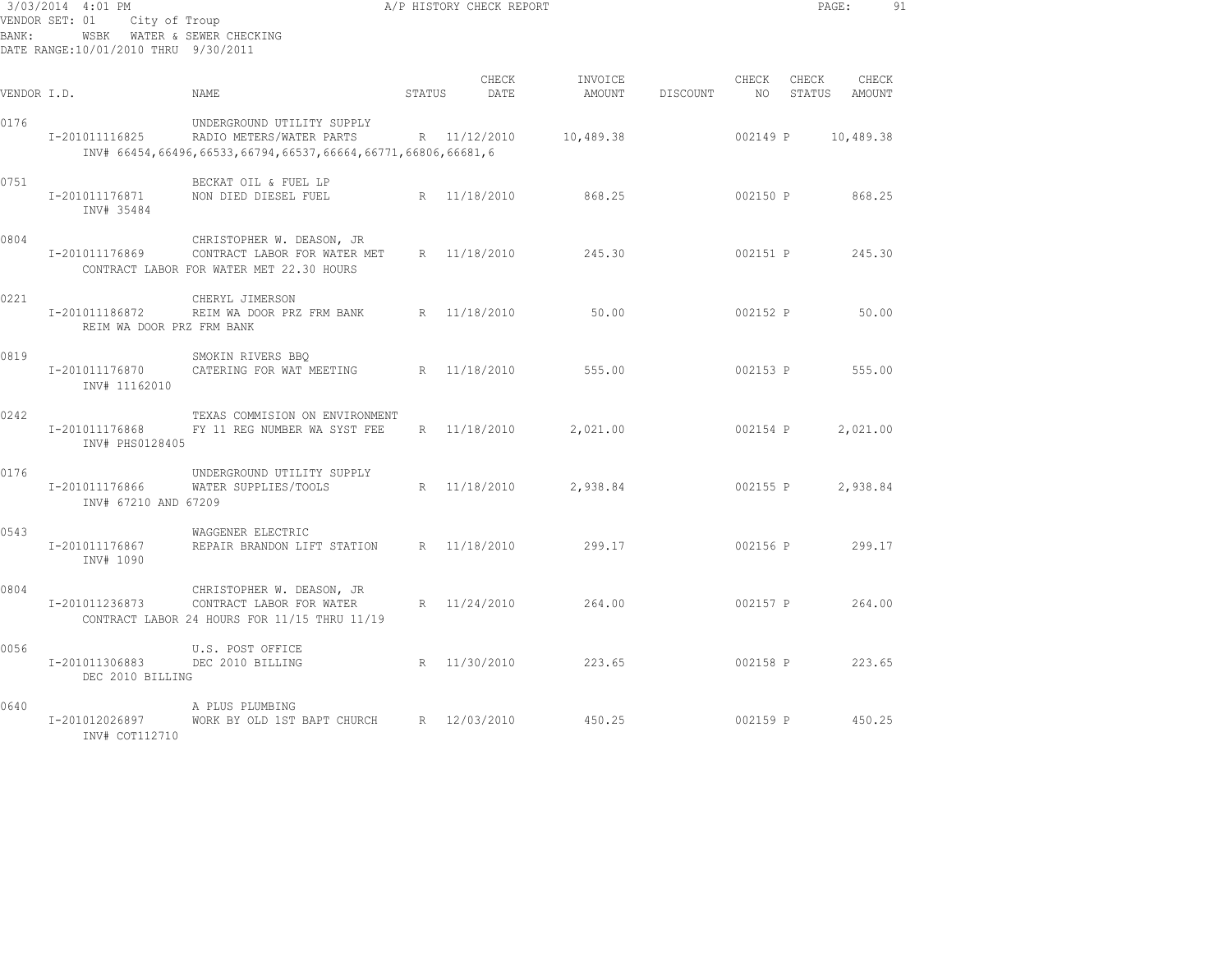| BANK:       | 3/03/2014 4:01 PM<br>VENDOR SET: 01<br>City of Troup<br>DATE RANGE:10/01/2010 THRU 9/30/2011 | WSBK WATER & SEWER CHECKING                                                                                            |        | A/P HISTORY CHECK REPORT |                   |          |               | PAGE:           |                 | 91 |
|-------------|----------------------------------------------------------------------------------------------|------------------------------------------------------------------------------------------------------------------------|--------|--------------------------|-------------------|----------|---------------|-----------------|-----------------|----|
| VENDOR I.D. |                                                                                              | NAME                                                                                                                   | STATUS | CHECK<br>DATE            | INVOICE<br>AMOUNT | DISCOUNT | CHECK<br>NO – | CHECK<br>STATUS | CHECK<br>AMOUNT |    |
| 0176        | I-201011116825                                                                               | UNDERGROUND UTILITY SUPPLY<br>RADIO METERS/WATER PARTS<br>INV# 66454,66496,66533,66794,66537,66664,66771,66806,66681,6 |        | R 11/12/2010             | 10,489.38         |          | 002149 P      |                 | 10,489.38       |    |
| 0751        | I-201011176871<br>INV# 35484                                                                 | BECKAT OIL & FUEL LP<br>NON DIED DIESEL FUEL                                                                           |        | R 11/18/2010             | 868.25            |          | 002150 P      |                 | 868.25          |    |
| 0804        | I-201011176869                                                                               | CHRISTOPHER W. DEASON, JR<br>CONTRACT LABOR FOR WATER MET<br>CONTRACT LABOR FOR WATER MET 22.30 HOURS                  |        | R 11/18/2010             | 245.30            |          | 002151 P      |                 | 245.30          |    |
| 0221        | I-201011186872<br>REIM WA DOOR PRZ FRM BANK                                                  | CHERYL JIMERSON<br>REIM WA DOOR PRZ FRM BANK                                                                           |        | R 11/18/2010             | 50.00             |          | 002152 P      |                 | 50.00           |    |
| 0819        | I-201011176870<br>INV# 11162010                                                              | SMOKIN RIVERS BBO<br>CATERING FOR WAT MEETING                                                                          |        | R 11/18/2010             | 555.00            |          | 002153 P      |                 | 555.00          |    |
| 0242        | I-201011176868<br>INV# PHS0128405                                                            | TEXAS COMMISION ON ENVIRONMENT<br>FY 11 REG NUMBER WA SYST FEE                                                         |        | R 11/18/2010             | 2,021.00          |          | 002154 P      |                 | 2,021.00        |    |
| 0176        | I-201011176866<br>INV# 67210 AND 67209                                                       | UNDERGROUND UTILITY SUPPLY<br>WATER SUPPLIES/TOOLS                                                                     |        | R 11/18/2010             | 2,938.84          |          | 002155 P      |                 | 2,938.84        |    |
| 0543        | I-201011176867<br>INV# 1090                                                                  | WAGGENER ELECTRIC<br>REPAIR BRANDON LIFT STATION                                                                       |        | R 11/18/2010             | 299.17            |          | 002156 P      |                 | 299.17          |    |
| 0804        | I-201011236873                                                                               | CHRISTOPHER W. DEASON, JR<br>CONTRACT LABOR FOR WATER<br>CONTRACT LABOR 24 HOURS FOR 11/15 THRU 11/19                  |        | R 11/24/2010             | 264.00            |          | 002157 P      |                 | 264.00          |    |
| 0056        | I-201011306883<br>DEC 2010 BILLING                                                           | U.S. POST OFFICE<br>DEC 2010 BILLING                                                                                   |        | R 11/30/2010             | 223.65            |          | 002158 P      |                 | 223.65          |    |
| 0640        | I-201012026897<br>INV# COT112710                                                             | A PLUS PLUMBING<br>WORK BY OLD 1ST BAPT CHURCH                                                                         |        | R 12/03/2010             | 450.25            |          | 002159 P      |                 | 450.25          |    |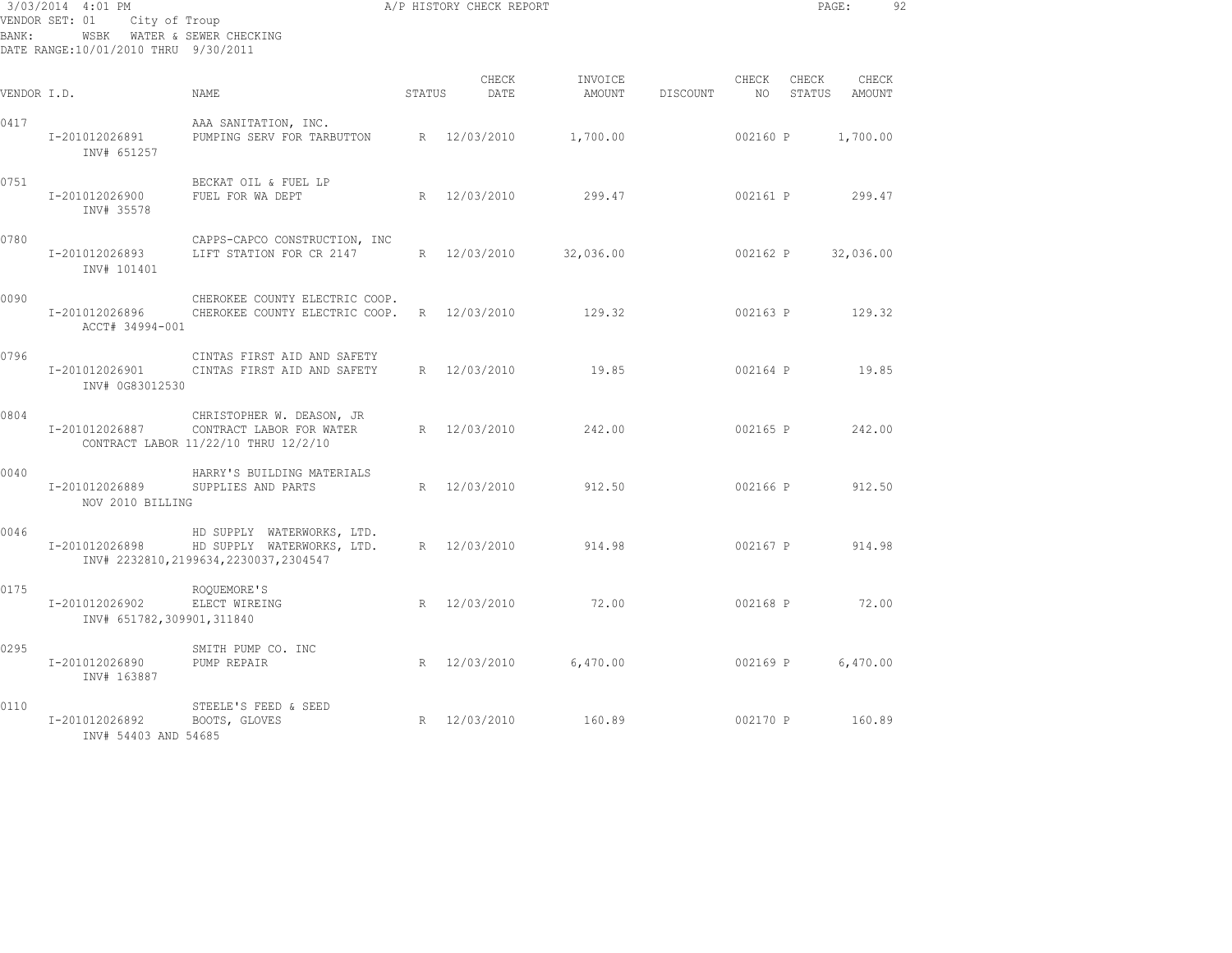| BANK:       | 3/03/2014 4:01 PM<br>VENDOR SET: 01<br>City of Troup<br>WSBK WATER & SEWER CHECKING<br>DATE RANGE:10/01/2010 THRU 9/30/2011 | A/P HISTORY CHECK REPORT                                                                            |        |               |                   |          |                          | PAGE:    |                        | 92 |
|-------------|-----------------------------------------------------------------------------------------------------------------------------|-----------------------------------------------------------------------------------------------------|--------|---------------|-------------------|----------|--------------------------|----------|------------------------|----|
| VENDOR I.D. |                                                                                                                             | <b>NAME</b>                                                                                         | STATUS | CHECK<br>DATE | INVOICE<br>AMOUNT | DISCOUNT | CHECK<br>NO <sub>1</sub> | CHECK    | CHECK<br>STATUS AMOUNT |    |
| 0417        | I-201012026891<br>INV# 651257                                                                                               | AAA SANITATION, INC.<br>PUMPING SERV FOR TARBUTTON                                                  |        | R 12/03/2010  | 1,700.00          |          | 002160 P                 |          | 1,700.00               |    |
| 0751        | I-201012026900<br>INV# 35578                                                                                                | BECKAT OIL & FUEL LP<br>FUEL FOR WA DEPT                                                            |        | R 12/03/2010  | 299.47            |          | 002161 P                 |          | 299.47                 |    |
| 0780        | I-201012026893<br>INV# 101401                                                                                               | CAPPS-CAPCO CONSTRUCTION, INC<br>LIFT STATION FOR CR 2147                                           |        | R 12/03/2010  | 32,036.00         |          | 002162 P                 |          | 32,036.00              |    |
| 0090        | I-201012026896<br>ACCT# 34994-001                                                                                           | CHEROKEE COUNTY ELECTRIC COOP.<br>CHEROKEE COUNTY ELECTRIC COOP.                                    |        | R 12/03/2010  | 129.32            |          | 002163 P                 |          | 129.32                 |    |
| 0796        | I-201012026901<br>INV# 0G83012530                                                                                           | CINTAS FIRST AID AND SAFETY<br>CINTAS FIRST AID AND SAFETY                                          |        | R 12/03/2010  | 19.85             |          | 002164 P                 |          | 19.85                  |    |
| 0804        | I-201012026887                                                                                                              | CHRISTOPHER W. DEASON, JR<br>CONTRACT LABOR FOR WATER<br>CONTRACT LABOR 11/22/10 THRU 12/2/10       |        | R 12/03/2010  | 242.00            |          |                          | 002165 P | 242.00                 |    |
| 0040        | I-201012026889<br>NOV 2010 BILLING                                                                                          | HARRY'S BUILDING MATERIALS<br>SUPPLIES AND PARTS                                                    |        | R 12/03/2010  | 912.50            |          | 002166 P                 |          | 912.50                 |    |
| 0046        | I-201012026898                                                                                                              | HD SUPPLY WATERWORKS, LTD.<br>HD SUPPLY WATERWORKS, LTD.<br>INV# 2232810, 2199634, 2230037, 2304547 |        | R 12/03/2010  | 914.98            |          |                          | 002167 P | 914.98                 |    |
| 0175        | I-201012026902<br>INV# 651782,309901,311840                                                                                 | ROOUEMORE'S<br>ELECT WIREING                                                                        |        | R 12/03/2010  | 72.00             |          | 002168 P                 |          | 72.00                  |    |
| 0295        | I-201012026890<br>INV# 163887                                                                                               | SMITH PUMP CO. INC<br>PUMP REPAIR                                                                   |        | R 12/03/2010  | 6,470.00          |          | 002169 P                 |          | 6,470.00               |    |
| 0110        | I-201012026892<br>INV# 54403 AND 54685                                                                                      | STEELE'S FEED & SEED<br>BOOTS, GLOVES                                                               |        | R 12/03/2010  | 160.89            |          | 002170 P                 |          | 160.89                 |    |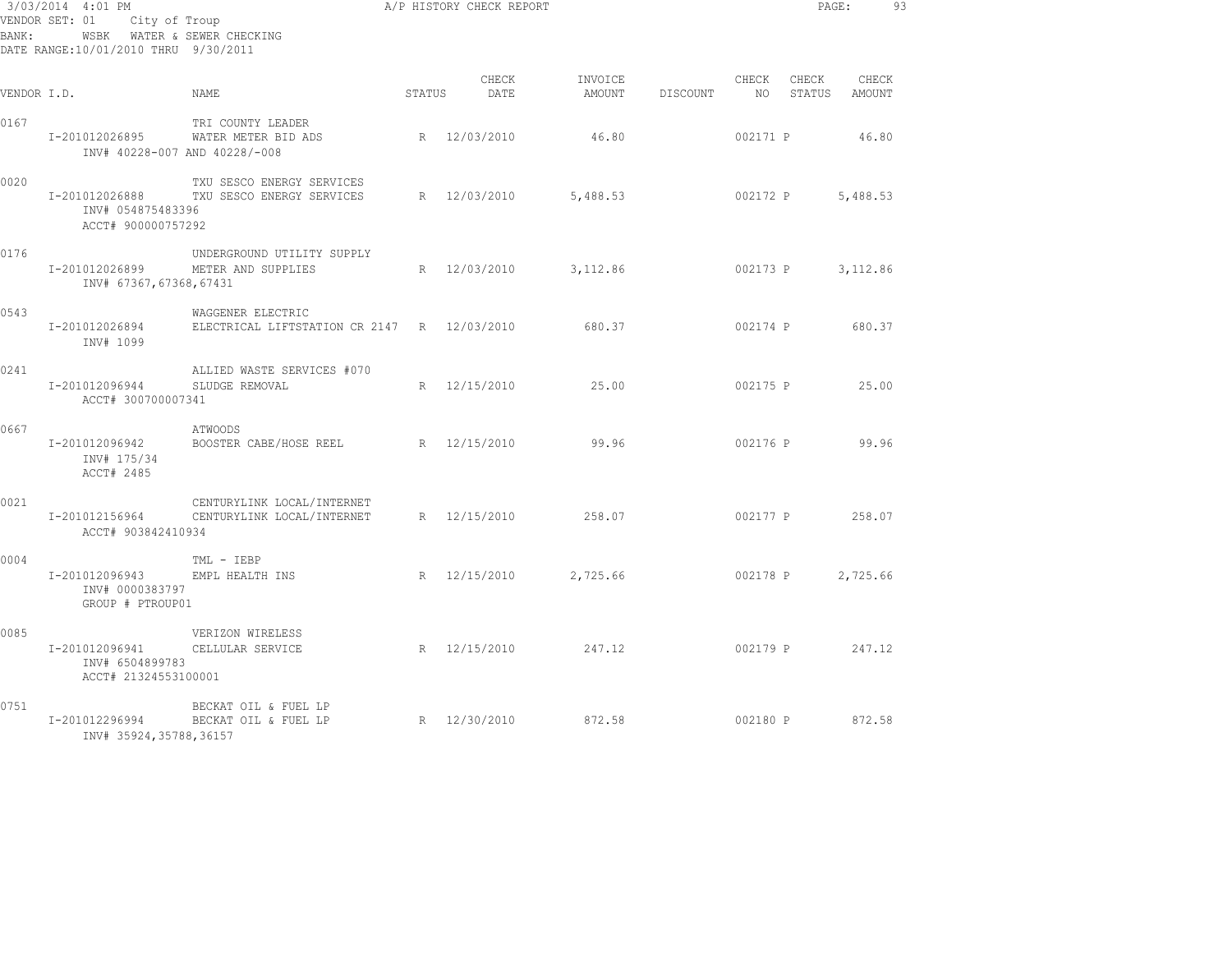| 3/03/2014 4:01 PM<br>VENDOR SET: 01 City of Troup<br>WSBK WATER & SEWER CHECKING<br>BANK:<br>DATE RANGE:10/01/2010 THRU 9/30/2011 |                                                                            |                                                                         | A/P HISTORY CHECK REPORT |                    |                                             |          | PAGE:           | 93       |  |
|-----------------------------------------------------------------------------------------------------------------------------------|----------------------------------------------------------------------------|-------------------------------------------------------------------------|--------------------------|--------------------|---------------------------------------------|----------|-----------------|----------|--|
| VENDOR I.D.                                                                                                                       |                                                                            | NAME                                                                    | STATUS                   | CHECK<br>DATE      | INVOICE<br>AMOUNT DISCOUNT NO STATUS AMOUNT | CHECK    | CHECK           | CHECK    |  |
| 0167                                                                                                                              | INV# 40228-007 AND 40228/-008                                              | TRI COUNTY LEADER<br>I-201012026895 WATER METER BID ADS                 |                          | R 12/03/2010       | 46.80                                       | 002171 P |                 | 46.80    |  |
| 0020                                                                                                                              | INV# 054875483396<br>ACCT# 900000757292                                    | TXU SESCO ENERGY SERVICES<br>I-201012026888 TXU SESCO ENERGY SERVICES   |                          | R 12/03/2010       | 5,488.53                                    |          | 002172 P        | 5,488.53 |  |
| 0176                                                                                                                              | I-201012026899<br>INV# 67367,67368,67431                                   | UNDERGROUND UTILITY SUPPLY<br>METER AND SUPPLIES                        |                          | R 12/03/2010       | 3,112.86 002173 P 3,112.86                  |          |                 |          |  |
| 0543                                                                                                                              | I-201012026894<br>INV# 1099                                                | WAGGENER ELECTRIC<br>ELECTRICAL LIFTSTATION CR 2147 R 12/03/2010        |                          |                    | 680.37 002174 P 680.37                      |          |                 |          |  |
| 0241                                                                                                                              | I-201012096944<br>ACCT# 300700007341                                       | ALLIED WASTE SERVICES #070<br>SLUDGE REMOVAL                            |                          | R 12/15/2010 25.00 |                                             |          | 002175 P 25.00  |          |  |
| 0667                                                                                                                              | I-201012096942<br>INV# 175/34<br>ACCT# 2485                                | ATWOODS<br>BOOSTER CABE/HOSE REEL R 12/15/2010                          |                          |                    | 99.96                                       |          | 002176 P        | 99.96    |  |
| 0021                                                                                                                              | ACCT# 903842410934                                                         | CENTURYLINK LOCAL/INTERNET<br>I-201012156964 CENTURYLINK LOCAL/INTERNET |                          | R 12/15/2010       | 258.07                                      |          | 002177 P 258.07 |          |  |
| 0004                                                                                                                              | I-201012096943 EMPL HEALTH INS<br>INV# 0000383797<br>GROUP # PTROUP01      | TML - IEBP                                                              |                          | R 12/15/2010       | 2,725.66                                    |          | 002178 P        | 2,725.66 |  |
| 0085                                                                                                                              | I-201012096941 CELLULAR SERVICE<br>INV# 6504899783<br>ACCT# 21324553100001 | VERIZON WIRELESS                                                        |                          | R 12/15/2010       | 247.12 002179 P 247.12                      |          |                 |          |  |
| 0751                                                                                                                              | INV# 35924,35788,36157                                                     | BECKAT OIL & FUEL LP<br>I-201012296994 BECKAT OIL & FUEL LP             |                          | R 12/30/2010       | 872.58                                      |          | 002180 P 872.58 |          |  |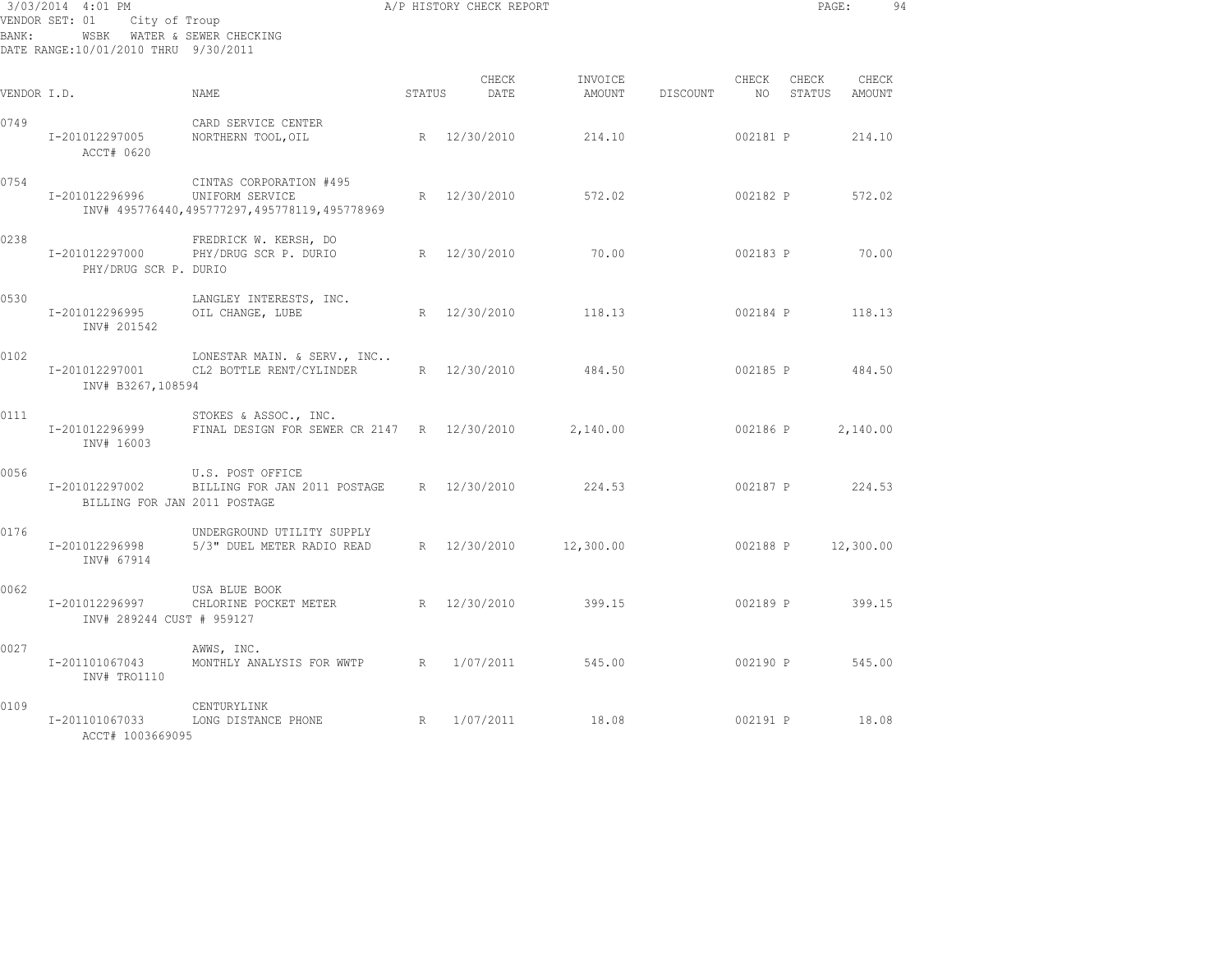| BANK :      | 3/03/2014 4:01 PM<br>VENDOR SET: 01<br>City of Troup<br>WSBK WATER & SEWER CHECKING<br>DATE RANGE:10/01/2010 THRU 9/30/2011 |                                                                                            |                 | A/P HISTORY CHECK REPORT |                   |          |               | PAGE:           |                 | 94 |
|-------------|-----------------------------------------------------------------------------------------------------------------------------|--------------------------------------------------------------------------------------------|-----------------|--------------------------|-------------------|----------|---------------|-----------------|-----------------|----|
| VENDOR I.D. |                                                                                                                             | NAME                                                                                       | STATUS          | CHECK<br>DATE            | INVOICE<br>AMOUNT | DISCOUNT | CHECK<br>NO 1 | CHECK<br>STATUS | CHECK<br>AMOUNT |    |
| 0749        | I-201012297005<br>ACCT# 0620                                                                                                | CARD SERVICE CENTER<br>NORTHERN TOOL, OIL                                                  |                 | R 12/30/2010             | 214.10            |          | 002181 P      |                 | 214.10          |    |
| 0754        | I-201012296996                                                                                                              | CINTAS CORPORATION #495<br>UNIFORM SERVICE<br>INV# 495776440,495777297,495778119,495778969 | $R_{\parallel}$ | 12/30/2010               | 572.02            |          | 002182 P      |                 | 572.02          |    |
| 0238        | I-201012297000<br>PHY/DRUG SCR P. DURIO                                                                                     | FREDRICK W. KERSH, DO<br>PHY/DRUG SCR P. DURIO                                             |                 | R 12/30/2010             | 70.00             |          | 002183 P      |                 | 70.00           |    |
| 0530        | I-201012296995<br>INV# 201542                                                                                               | LANGLEY INTERESTS, INC.<br>OIL CHANGE, LUBE                                                |                 | R 12/30/2010             | 118.13            |          | 002184 P      |                 | 118.13          |    |
| 0102        | I-201012297001<br>INV# B3267,108594                                                                                         | LONESTAR MAIN. & SERV., INC<br>CL2 BOTTLE RENT/CYLINDER                                    |                 | R 12/30/2010             | 484.50            |          | 002185 P      |                 | 484.50          |    |
| 0111        | I-201012296999<br>INV# 16003                                                                                                | STOKES & ASSOC., INC.<br>FINAL DESIGN FOR SEWER CR 2147 R 12/30/2010                       |                 |                          | 2,140.00          |          | 002186 P      |                 | 2,140.00        |    |
| 0056        | I-201012297002<br>BILLING FOR JAN 2011 POSTAGE                                                                              | U.S. POST OFFICE<br>BILLING FOR JAN 2011 POSTAGE                                           |                 | R 12/30/2010             | 224.53            |          | 002187 P      |                 | 224.53          |    |
| 0176        | I-201012296998<br>INV# 67914                                                                                                | UNDERGROUND UTILITY SUPPLY<br>5/3" DUEL METER RADIO READ                                   |                 | R 12/30/2010             | 12,300.00         |          | 002188 P      |                 | 12,300.00       |    |
| 0062        | I-201012296997<br>INV# 289244 CUST # 959127                                                                                 | USA BLUE BOOK<br>CHLORINE POCKET METER                                                     |                 | R 12/30/2010             | 399.15            |          | 002189 P      |                 | 399.15          |    |
| 0027        | I-201101067043<br>INV# TRO1110                                                                                              | AWWS, INC.<br>MONTHLY ANALYSIS FOR WWTP                                                    | R               | 1/07/2011                | 545.00            |          | 002190 P      |                 | 545.00          |    |
| 0109        | I-201101067033<br>ACCT# 1003669095                                                                                          | CENTURYLINK<br>LONG DISTANCE PHONE                                                         | R               | 1/07/2011                | 18.08             |          | 002191 P      |                 | 18.08           |    |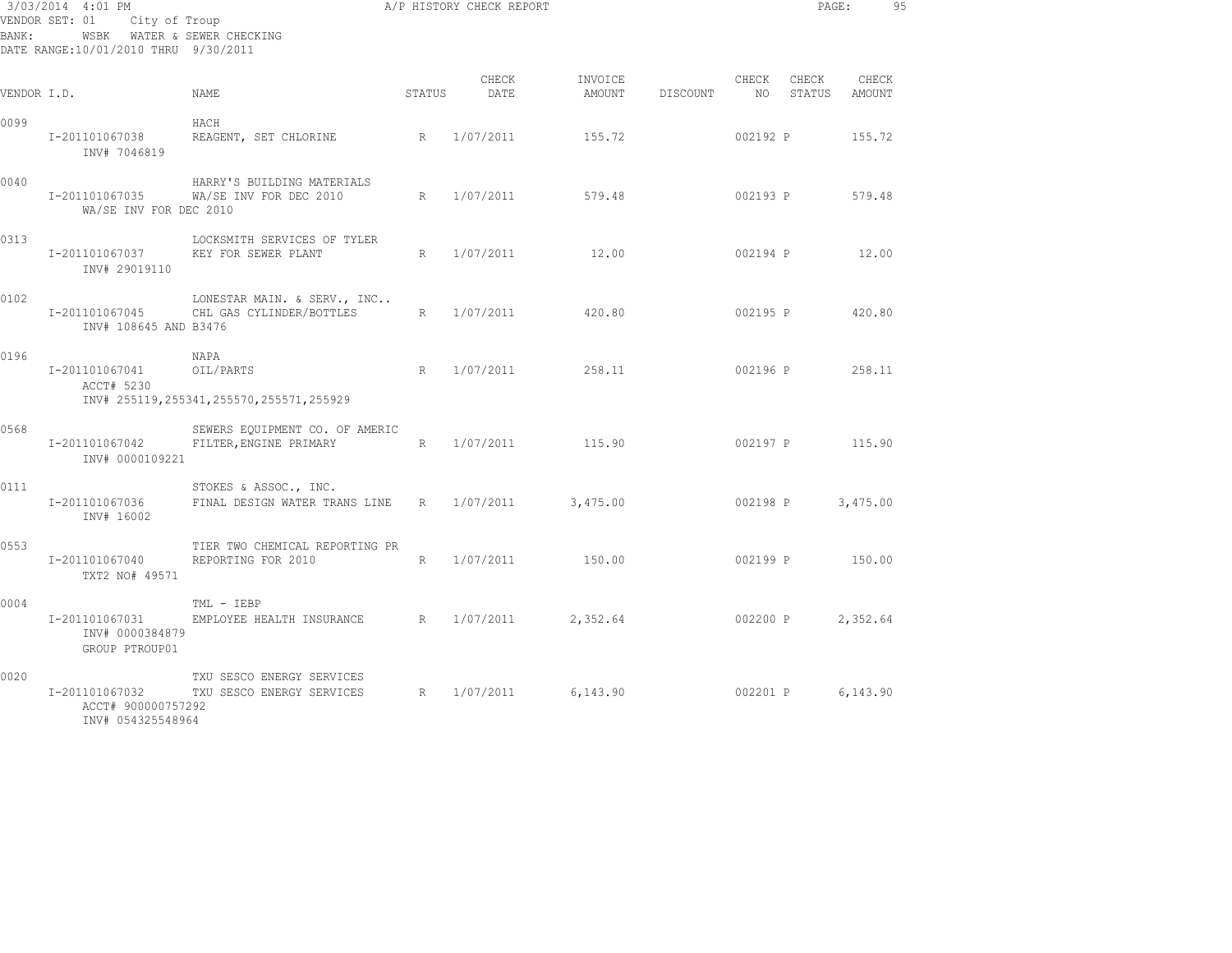| BANK:       | 3/03/2014 4:01 PM<br>VENDOR SET: 01<br>City of Troup<br>WSBK WATER & SEWER CHECKING<br>DATE RANGE:10/01/2010 THRU 9/30/2011 |                                                                     |        | A/P HISTORY CHECK REPORT |                   |          |                | PAGE:           |                 | 95 |
|-------------|-----------------------------------------------------------------------------------------------------------------------------|---------------------------------------------------------------------|--------|--------------------------|-------------------|----------|----------------|-----------------|-----------------|----|
| VENDOR I.D. |                                                                                                                             | NAME                                                                | STATUS | CHECK<br>DATE            | INVOICE<br>AMOUNT | DISCOUNT | CHECK<br>NO 11 | CHECK<br>STATUS | CHECK<br>AMOUNT |    |
| 0099        | I-201101067038<br>INV# 7046819                                                                                              | HACH<br>REAGENT, SET CHLORINE                                       | R      | 1/07/2011                | 155.72            |          | 002192 P       |                 | 155.72          |    |
| 0040        | WA/SE INV FOR DEC 2010                                                                                                      | HARRY'S BUILDING MATERIALS<br>I-201101067035 WA/SE INV FOR DEC 2010 | R      | 1/07/2011                | 579.48            |          | 002193 P       |                 | 579.48          |    |
| 0313        | I-201101067037<br>INV# 29019110                                                                                             | LOCKSMITH SERVICES OF TYLER<br>KEY FOR SEWER PLANT                  | R      | 1/07/2011                | 12.00             |          | 002194 P       |                 | 12.00           |    |
| 0102        | I-201101067045<br>INV# 108645 AND B3476                                                                                     | LONESTAR MAIN. & SERV., INC<br>CHL GAS CYLINDER/BOTTLES             | R      | 1/07/2011                | 420.80            |          | 002195 P       |                 | 420.80          |    |
| 0196        | I-201101067041<br>ACCT# 5230                                                                                                | NAPA<br>OIL/PARTS<br>INV# 255119, 255341, 255570, 255571, 255929    | R      | 1/07/2011                | 258.11            |          | 002196 P       |                 | 258.11          |    |
| 0568        | I-201101067042<br>INV# 0000109221                                                                                           | SEWERS EQUIPMENT CO. OF AMERIC<br>FILTER, ENGINE PRIMARY<br>R       |        | 1/07/2011                | 115.90            |          |                | 002197 P 115.90 |                 |    |
| 0111        | I-201101067036<br>INV# 16002                                                                                                | STOKES & ASSOC., INC.<br>FINAL DESIGN WATER TRANS LINE              | R      | 1/07/2011                | 3,475.00          |          | 002198 P       |                 | 3,475.00        |    |
| 0553        | I-201101067040<br>TXT2 NO# 49571                                                                                            | TIER TWO CHEMICAL REPORTING PR<br>REPORTING FOR 2010                | R      | 1/07/2011                | 150.00            |          | 002199 P       |                 | 150.00          |    |
| 0004        | I-201101067031<br>INV# 0000384879<br>GROUP PTROUP01                                                                         | TML - IEBP<br>EMPLOYEE HEALTH INSURANCE R                           |        | 1/07/2011                | 2,352.64          |          | 002200 P       |                 | 2,352.64        |    |
| 0020        | I-201101067032<br>ACCT# 900000757292<br>INV# 054325548964                                                                   | TXU SESCO ENERGY SERVICES<br>TXU SESCO ENERGY SERVICES R 1/07/2011  |        |                          | 6,143.90          |          |                | 002201 P        | 6,143.90        |    |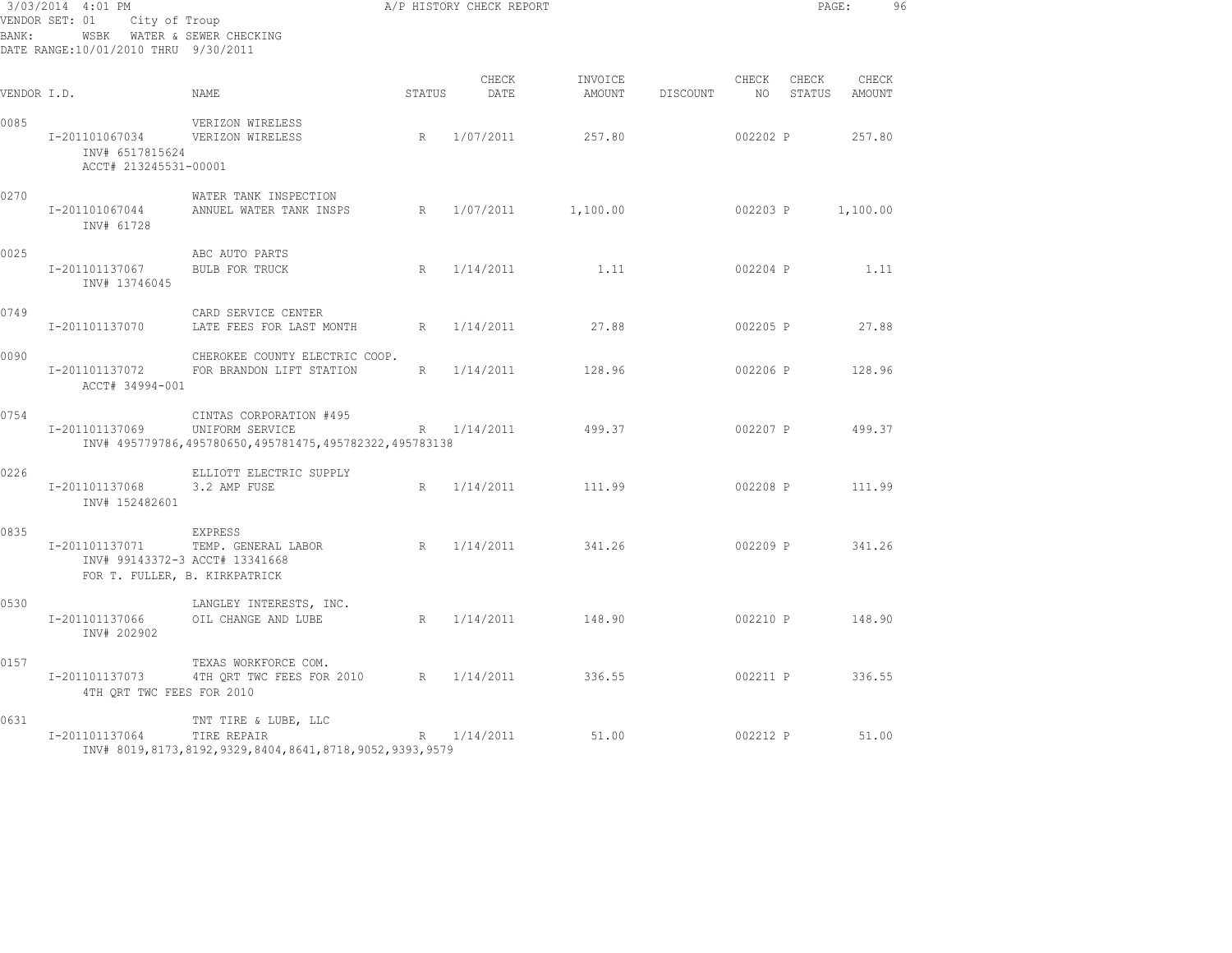| BANK:       | 3/03/2014 4:01 PM<br>VENDOR SET: 01<br>City of Troup<br>WSBK WATER & SEWER CHECKING<br>DATE RANGE: 10/01/2010 THRU 9/30/2011 |                                                                                                        |        | A/P HISTORY CHECK REPORT |                   |          |                   |                 | PAGE:           | 96 |
|-------------|------------------------------------------------------------------------------------------------------------------------------|--------------------------------------------------------------------------------------------------------|--------|--------------------------|-------------------|----------|-------------------|-----------------|-----------------|----|
| VENDOR I.D. |                                                                                                                              | NAME                                                                                                   | STATUS | CHECK<br>DATE            | INVOICE<br>AMOUNT | DISCOUNT | CHECK<br>NO –     | CHECK<br>STATUS | CHECK<br>AMOUNT |    |
| 0085        | I-201101067034<br>INV# 6517815624<br>ACCT# 213245531-00001                                                                   | VERIZON WIRELESS<br>VERIZON WIRELESS                                                                   | R      | 1/07/2011                | 257.80            |          | 002202 P          |                 | 257.80          |    |
| 0270        | I-201101067044<br>INV# 61728                                                                                                 | WATER TANK INSPECTION<br>ANNUEL WATER TANK INSPS                                                       |        | R 1/07/2011 1,100.00     |                   |          | 002203 P 1,100.00 |                 |                 |    |
| 0025        | I-201101137067<br>INV# 13746045                                                                                              | ABC AUTO PARTS<br>BULB FOR TRUCK                                                                       |        | R 1/14/2011              | 1.11              |          | 002204 P          |                 | 1.11            |    |
| 0749        | I-201101137070                                                                                                               | CARD SERVICE CENTER<br>LATE FEES FOR LAST MONTH                                                        | R      | 1/14/2011                | 27.88             |          | 002205 P          |                 | 27.88           |    |
| 0090        | I-201101137072<br>ACCT# 34994-001                                                                                            | CHEROKEE COUNTY ELECTRIC COOP.<br>FOR BRANDON LIFT STATION                                             | R      | 1/14/2011                | 128.96            |          | 002206 P          |                 | 128.96          |    |
| 0754        | I-201101137069                                                                                                               | CINTAS CORPORATION #495<br>UNIFORM SERVICE<br>INV# 495779786,495780650,495781475,495782322,495783138   |        | R 1/14/2011              | 499.37            |          | 002207 P          |                 | 499.37          |    |
| 0226        | I-201101137068<br>INV# 152482601                                                                                             | ELLIOTT ELECTRIC SUPPLY<br>3.2 AMP FUSE                                                                | R      | 1/14/2011                | 111.99            |          | 002208 P          |                 | 111.99          |    |
| 0835        | I-201101137071<br>INV# 99143372-3 ACCT# 13341668<br>FOR T. FULLER, B. KIRKPATRICK                                            | EXPRESS<br>TEMP. GENERAL LABOR                                                                         | R      | 1/14/2011                | 341.26            |          | 002209 P          |                 | 341.26          |    |
| 0530        | I-201101137066<br>INV# 202902                                                                                                | LANGLEY INTERESTS, INC.<br>OIL CHANGE AND LUBE                                                         | R      | 1/14/2011                | 148.90            |          | 002210 P          |                 | 148.90          |    |
| 0157        | I-201101137073<br>4TH QRT TWC FEES FOR 2010                                                                                  | TEXAS WORKFORCE COM.<br>4TH QRT TWC FEES FOR 2010 R 1/14/2011                                          |        |                          | 336.55            |          | 002211 P          |                 | 336.55          |    |
| 0631        | I-201101137064                                                                                                               | TNT TIRE & LUBE, LLC<br>TIRE REPAIR<br>INV# 8019, 8173, 8192, 9329, 8404, 8641, 8718, 9052, 9393, 9579 |        | R 1/14/2011              | 51.00             |          | 002212 P          |                 | 51.00           |    |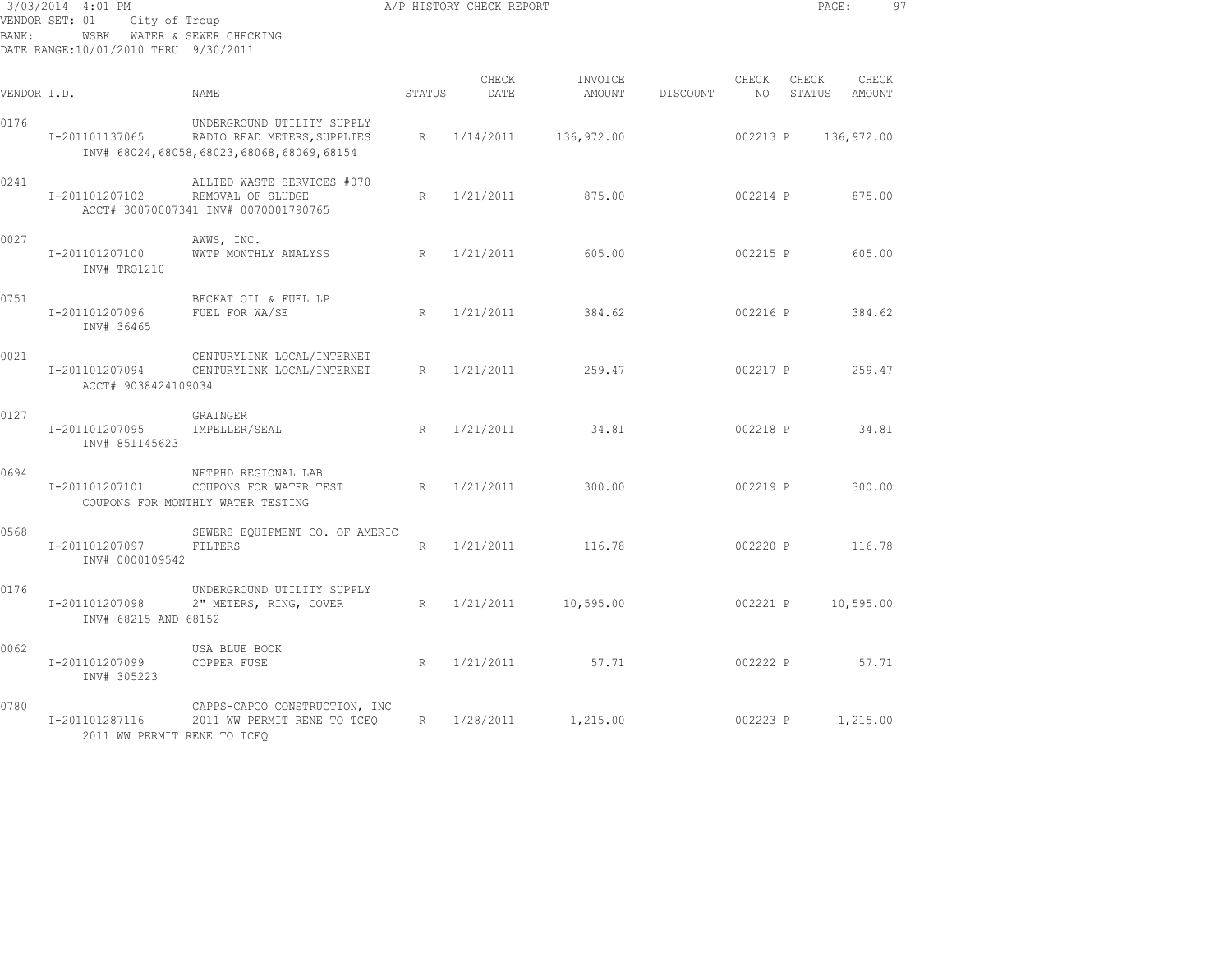| BANK:       | 3/03/2014 4:01 PM<br>VENDOR SET: 01<br>City of Troup<br>WSBK WATER & SEWER CHECKING<br>DATE RANGE:10/01/2010 THRU 9/30/2011 |                                                                                                       |        | A/P HISTORY CHECK REPORT |                   |          |             | PAGE:           |                 | 97 |
|-------------|-----------------------------------------------------------------------------------------------------------------------------|-------------------------------------------------------------------------------------------------------|--------|--------------------------|-------------------|----------|-------------|-----------------|-----------------|----|
| VENDOR I.D. |                                                                                                                             | NAME.                                                                                                 | STATUS | CHECK<br>DATE            | INVOICE<br>AMOUNT | DISCOUNT | CHECK<br>NO | CHECK<br>STATUS | CHECK<br>AMOUNT |    |
| 0176        | I-201101137065                                                                                                              | UNDERGROUND UTILITY SUPPLY<br>RADIO READ METERS, SUPPLIES<br>INV# 68024,68058,68023,68068,68069,68154 | R      | 1/14/2011                | 136,972.00        |          | 002213 P    |                 | 136,972.00      |    |
| 0241        | I-201101207102                                                                                                              | ALLIED WASTE SERVICES #070<br>REMOVAL OF SLUDGE<br>ACCT# 30070007341 INV# 0070001790765               | R      | 1/21/2011                | 875.00            |          | 002214 P    |                 | 875.00          |    |
| 0027        | I-201101207100<br>INV# TRO1210                                                                                              | AWWS, INC.<br>WWTP MONTHLY ANALYSS                                                                    | R      | 1/21/2011                | 605.00            |          | 002215 P    |                 | 605.00          |    |
| 0751        | I-201101207096<br>INV# 36465                                                                                                | BECKAT OIL & FUEL LP<br>FUEL FOR WA/SE                                                                | R      | 1/21/2011                | 384.62            |          | 002216 P    |                 | 384.62          |    |
| 0021        | I-201101207094<br>ACCT# 9038424109034                                                                                       | CENTURYLINK LOCAL/INTERNET<br>CENTURYLINK LOCAL/INTERNET                                              | R      | 1/21/2011                | 259.47            |          | 002217 P    |                 | 259.47          |    |
| 0127        | I-201101207095<br>INV# 851145623                                                                                            | GRAINGER<br>IMPELLER/SEAL                                                                             | R      | 1/21/2011                | 34.81             |          | 002218 P    |                 | 34.81           |    |
| 0694        | I-201101207101                                                                                                              | NETPHD REGIONAL LAB<br>COUPONS FOR WATER TEST<br>COUPONS FOR MONTHLY WATER TESTING                    | R      | 1/21/2011                | 300.00            |          | 002219 P    |                 | 300.00          |    |
| 0568        | I-201101207097<br>INV# 0000109542                                                                                           | SEWERS EQUIPMENT CO. OF AMERIC<br>FILTERS                                                             | R      | 1/21/2011                | 116.78            |          | 002220 P    |                 | 116.78          |    |
| 0176        | I-201101207098<br>INV# 68215 AND 68152                                                                                      | UNDERGROUND UTILITY SUPPLY<br>2" METERS, RING, COVER                                                  | R      | 1/21/2011                | 10,595.00         |          | 002221 P    |                 | 10,595.00       |    |
| 0062        | I-201101207099<br>INV# 305223                                                                                               | USA BLUE BOOK<br>COPPER FUSE                                                                          | R      | 1/21/2011                | 57.71             |          | 002222 P    |                 | 57.71           |    |
| 0780        | I-201101287116<br>2011 WW PERMIT RENE TO TCEO                                                                               | CAPPS-CAPCO CONSTRUCTION, INC<br>2011 WW PERMIT RENE TO TCEO                                          | R      | 1/28/2011                | 1,215.00          |          | 002223 P    |                 | 1,215.00        |    |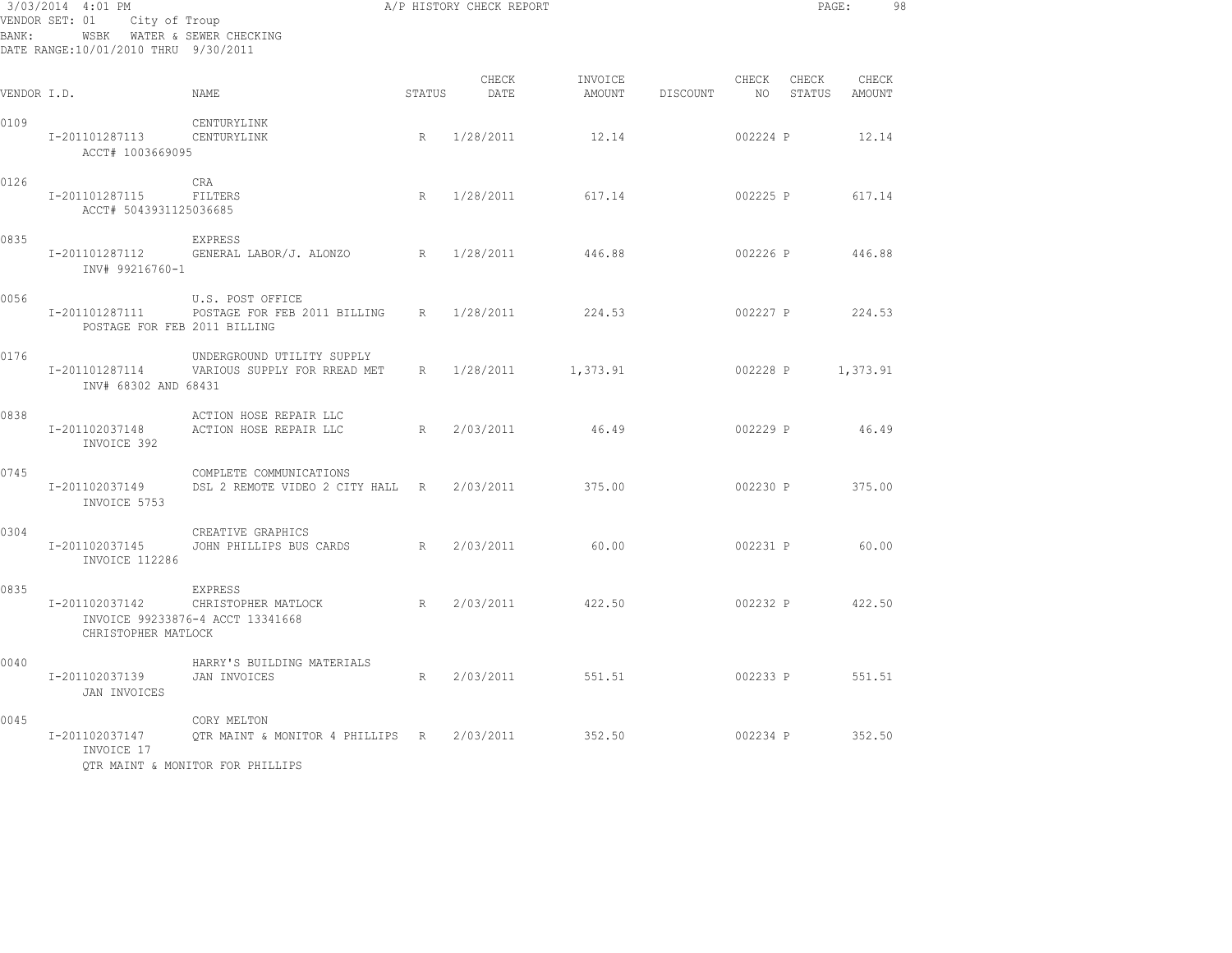| BANK:       | WSBK WATER & SEWER CHECKING<br>DATE RANGE:10/01/2010 THRU 9/30/2011 | $3/03/2014$ $4:01$ PM<br>VENDOR SET: 01 City of Troup                                                |   |                    |                            |                 |             |                   | PAGE: 98               |  |
|-------------|---------------------------------------------------------------------|------------------------------------------------------------------------------------------------------|---|--------------------|----------------------------|-----------------|-------------|-------------------|------------------------|--|
| VENDOR I.D. |                                                                     | STATUS<br>NAMF.                                                                                      |   | CHECK<br>DATE      | INVOICE<br>AMOUNT DISCOUNT |                 | CHECK<br>NO | CHECK             | CHECK<br>STATUS AMOUNT |  |
| 0109        | I-201101287113 CENTURYLINK<br>ACCT# 1003669095                      | CENTURYLINK                                                                                          |   | R 1/28/2011        | 12.14                      |                 | 002224 P    |                   | 12.14                  |  |
| 0126        | I-201101287115<br>ACCT# 5043931125036685                            | CRA<br>FILTERS                                                                                       |   | R 1/28/2011 617.14 |                            |                 |             | 002225 P 617.14   |                        |  |
| 0835        | I-201101287112<br>INV# 99216760-1                                   | EXPRESS<br>GENERAL LABOR/J. ALONZO R 1/28/2011 446.88                                                |   |                    |                            |                 |             | 002226 P 446.88   |                        |  |
| 0056        | I-201101287111<br>POSTAGE FOR FEB 2011 BILLING                      | U.S. POST OFFICE<br>POSTAGE FOR FEB 2011 BILLING R 1/28/2011                                         |   |                    | 224.53                     |                 |             | 002227 P 224.53   |                        |  |
| 0176        | INV# 68302 AND 68431                                                | UNDERGROUND UTILITY SUPPLY<br>I-201101287114 VARIOUS SUPPLY FOR RREAD MET R 1/28/2011 1,373.91       |   |                    |                            |                 |             | 002228 P 1,373.91 |                        |  |
| 0838        | I-201102037148<br>INVOICE 392                                       | ACTION HOSE REPAIR LLC<br>ACTION HOSE REPAIR LLC                                                     |   | R 2/03/2011        | 46.49                      |                 |             | 002229 P 46.49    |                        |  |
| 0745        | I-201102037149<br>INVOICE 5753                                      | COMPLETE COMMUNICATIONS<br>DSL 2 REMOTE VIDEO 2 CITY HALL R 2/03/2011                                |   |                    | 375.00                     | 002230 P 375.00 |             |                   |                        |  |
| 0304        | I-201102037145<br>INVOICE 112286                                    | CREATIVE GRAPHICS<br>JOHN PHILLIPS BUS CARDS R 2/03/2011 60.00                                       |   |                    |                            |                 |             | 002231 P 60.00    |                        |  |
| 0835        | I-201102037142<br>CHRISTOPHER MATLOCK                               | EXPRESS<br>CHRISTOPHER MATLOCK<br>INVOICE 99233876-4 ACCT 13341668                                   |   | R 2/03/2011        | 422.50                     |                 |             | 002232 P 422.50   |                        |  |
| 0040        | I-201102037139<br>JAN INVOICES                                      | HARRY'S BUILDING MATERIALS<br>JAN INVOICES                                                           | R | 2/03/2011          | 551.51                     |                 |             | 002233 P 551.51   |                        |  |
| 0045        | I-201102037147<br>INVOICE 17                                        | CORY MELTON<br>OTR MAINT & MONITOR 4 PHILLIPS R 2/03/2011 352.50<br>OTR MAINT & MONITOR FOR PHILLIPS |   |                    |                            | 002234 P 352.50 |             |                   |                        |  |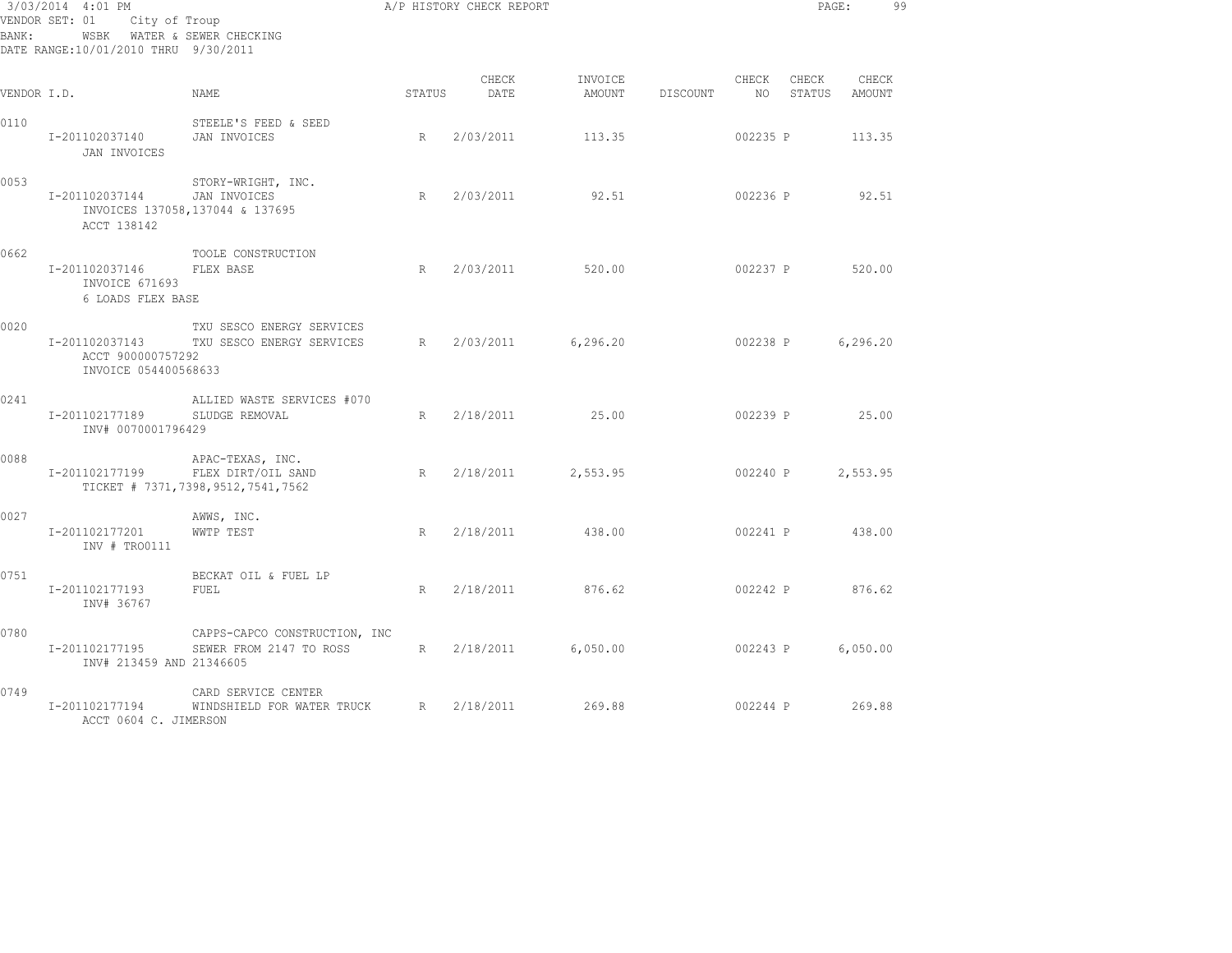| BANK:       | 3/03/2014 4:01 PM<br>VENDOR SET: 01 City of Troup<br>WSBK WATER & SEWER CHECKING<br>DATE RANGE:10/01/2010 THRU 9/30/2011 |                                                                             | A/P HISTORY CHECK REPORT |                    |                   |          |                | PAGE:           |                 | 99 |
|-------------|--------------------------------------------------------------------------------------------------------------------------|-----------------------------------------------------------------------------|--------------------------|--------------------|-------------------|----------|----------------|-----------------|-----------------|----|
| VENDOR I.D. |                                                                                                                          | NAME                                                                        | STATUS                   | CHECK<br>DATE      | INVOICE<br>AMOUNT | DISCOUNT | CHECK<br>NO 11 | CHECK<br>STATUS | CHECK<br>AMOUNT |    |
| 0110        | I-201102037140<br>JAN INVOICES                                                                                           | STEELE'S FEED & SEED<br>JAN INVOICES                                        | R                        | 2/03/2011          | 113.35            |          | 002235 P       |                 | 113.35          |    |
| 0053        | I-201102037144<br>ACCT 138142                                                                                            | STORY-WRIGHT, INC.<br>JAN INVOICES<br>INVOICES 137058, 137044 & 137695      | R                        | 2/03/2011          | 92.51             |          | 002236 P       |                 | 92.51           |    |
| 0662        | I-201102037146<br>INVOICE 671693<br>6 LOADS FLEX BASE                                                                    | TOOLE CONSTRUCTION<br>FLEX BASE                                             | R                        | 2/03/2011          | 520.00            |          | 002237 P       |                 | 520.00          |    |
| 0020        | ACCT 900000757292<br>INVOICE 054400568633                                                                                | TXU SESCO ENERGY SERVICES<br>I-201102037143 TXU SESCO ENERGY SERVICES       | R                        | 2/03/2011          | 6, 296, 20        |          | 002238 P       |                 | 6,296.20        |    |
| 0241        | I-201102177189<br>INV# 0070001796429                                                                                     | ALLIED WASTE SERVICES #070<br>SLUDGE REMOVAL                                |                          | R 2/18/2011 25.00  |                   |          |                | 002239 P 25.00  |                 |    |
| 0088        | I-201102177199                                                                                                           | APAC-TEXAS, INC.<br>FLEX DIRT/OIL SAND<br>TICKET # 7371,7398,9512,7541,7562 | R                        | 2/18/2011 2,553.95 |                   |          | 002240 P       |                 | 2,553.95        |    |
| 0027        | I-201102177201<br>INV # TRO0111                                                                                          | AWWS, INC.<br>WWTP TEST                                                     | R                        | 2/18/2011          | 438.00            |          | 002241 P       |                 | 438.00          |    |
| 0751        | I-201102177193<br>INV# 36767                                                                                             | BECKAT OIL & FUEL LP<br>FUEL                                                | R                        | 2/18/2011          | 876.62            |          | 002242 P       |                 | 876.62          |    |
| 0780        | I-201102177195<br>INV# 213459 AND 21346605                                                                               | CAPPS-CAPCO CONSTRUCTION, INC<br>SEWER FROM 2147 TO ROSS                    |                          | R 2/18/2011        | 6,050.00          |          | 002243 P       |                 | 6,050.00        |    |
| 0749        | I-201102177194<br>ACCT 0604 C. JIMERSON                                                                                  | CARD SERVICE CENTER<br>WINDSHIELD FOR WATER TRUCK                           |                          | R 2/18/2011        | 269.88            |          |                | 002244 P 269.88 |                 |    |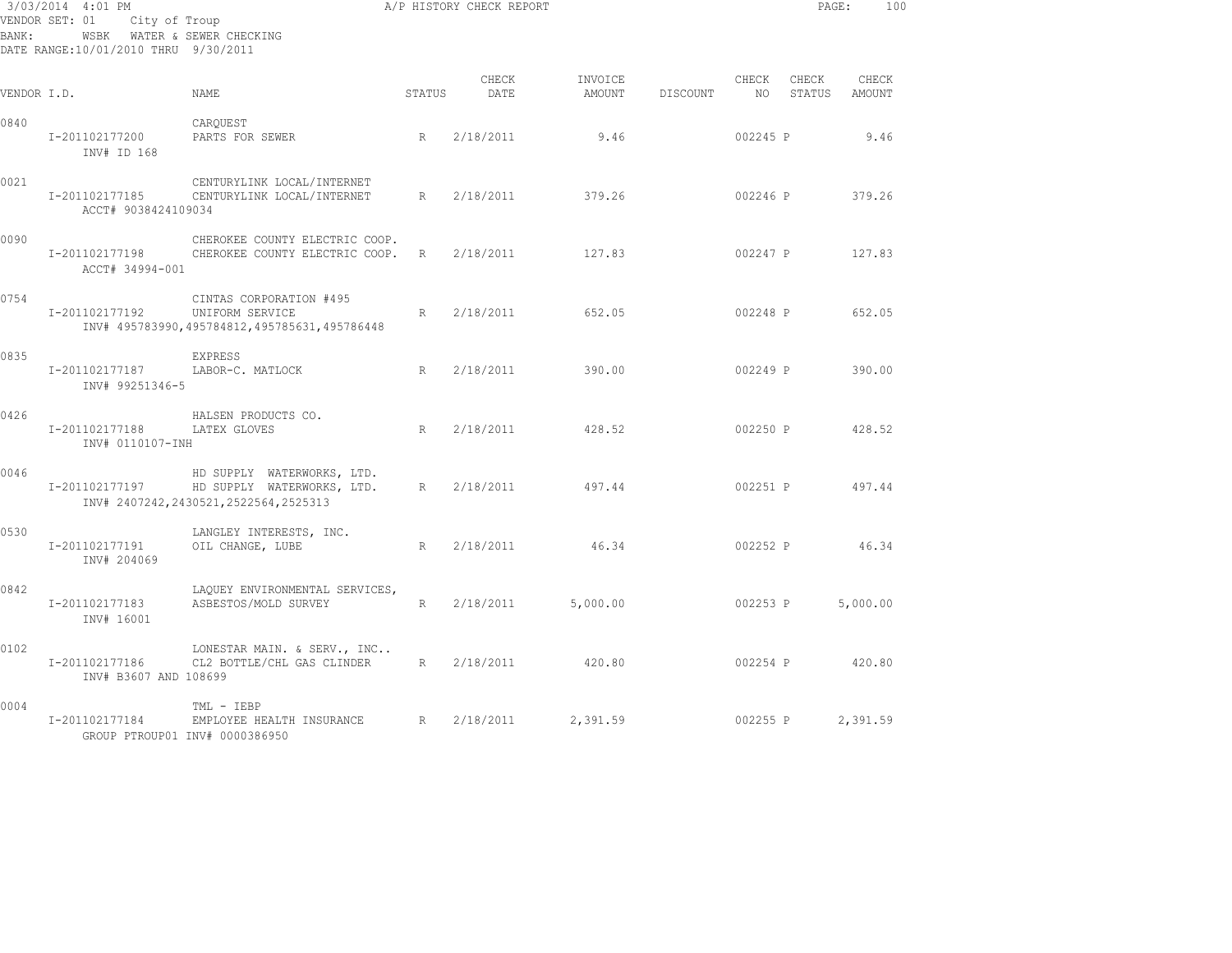| BANK:       | 3/03/2014 4:01 PM<br>City of Troup<br>VENDOR SET: 01<br>WSBK WATER & SEWER CHECKING<br>DATE RANGE:10/01/2010 THRU 9/30/2011 |                                                                                                     |             | A/P HISTORY CHECK REPORT |                   | PAGE:    | 100           |                 |                 |
|-------------|-----------------------------------------------------------------------------------------------------------------------------|-----------------------------------------------------------------------------------------------------|-------------|--------------------------|-------------------|----------|---------------|-----------------|-----------------|
| VENDOR I.D. |                                                                                                                             | NAME                                                                                                | STATUS      | CHECK<br>DATE            | INVOICE<br>AMOUNT | DISCOUNT | CHECK<br>NO 1 | CHECK<br>STATUS | CHECK<br>AMOUNT |
| 0840        | I-201102177200<br>INV# ID 168                                                                                               | CARQUEST<br>PARTS FOR SEWER                                                                         | R           | 2/18/2011                | 9.46              |          | 002245 P      |                 | 9.46            |
| 0021        | I-201102177185<br>ACCT# 9038424109034                                                                                       | CENTURYLINK LOCAL/INTERNET<br>CENTURYLINK LOCAL/INTERNET                                            | R           | 2/18/2011                | 379.26            |          | 002246 P      |                 | 379.26          |
| 0090        | I-201102177198<br>ACCT# 34994-001                                                                                           | CHEROKEE COUNTY ELECTRIC COOP.<br>CHEROKEE COUNTY ELECTRIC COOP.                                    | $R_{\perp}$ | 2/18/2011                | 127.83            |          | 002247 P      |                 | 127.83          |
| 0754        | I-201102177192                                                                                                              | CINTAS CORPORATION #495<br>UNIFORM SERVICE<br>INV# 495783990,495784812,495785631,495786448          | R           | 2/18/2011                | 652.05            |          | 002248 P      |                 | 652.05          |
| 0835        | I-201102177187<br>INV# 99251346-5                                                                                           | EXPRESS<br>LABOR-C. MATLOCK                                                                         | R           | 2/18/2011                | 390.00            |          | 002249 P      |                 | 390.00          |
| 0426        | I-201102177188<br>INV# 0110107-INH                                                                                          | HALSEN PRODUCTS CO.<br>LATEX GLOVES                                                                 | R           | 2/18/2011                | 428.52            |          | 002250 P      |                 | 428.52          |
| 0046        | I-201102177197                                                                                                              | HD SUPPLY WATERWORKS, LTD.<br>HD SUPPLY WATERWORKS, LTD.<br>INV# 2407242, 2430521, 2522564, 2525313 | R           | 2/18/2011                | 497.44            |          | 002251 P      |                 | 497.44          |
| 0530        | I-201102177191<br>INV# 204069                                                                                               | LANGLEY INTERESTS, INC.<br>OIL CHANGE, LUBE                                                         | R           | 2/18/2011                | 46.34             |          | 002252 P      |                 | 46.34           |
| 0842        | I-201102177183<br>INV# 16001                                                                                                | LAQUEY ENVIRONMENTAL SERVICES,<br>ASBESTOS/MOLD SURVEY                                              | R           | 2/18/2011                | 5,000.00          |          | 002253 P      |                 | 5,000.00        |
| 0102        | I-201102177186<br>INV# B3607 AND 108699                                                                                     | LONESTAR MAIN. & SERV., INC<br>CL2 BOTTLE/CHL GAS CLINDER                                           | R           | 2/18/2011                | 420.80            |          | 002254 P      |                 | 420.80          |
| 0004        | I-201102177184                                                                                                              | TML - IEBP<br>EMPLOYEE HEALTH INSURANCE<br>GROUP PTROUP01 INV# 0000386950                           | R           | 2/18/2011                | 2,391.59          |          | 002255 P      |                 | 2,391.59        |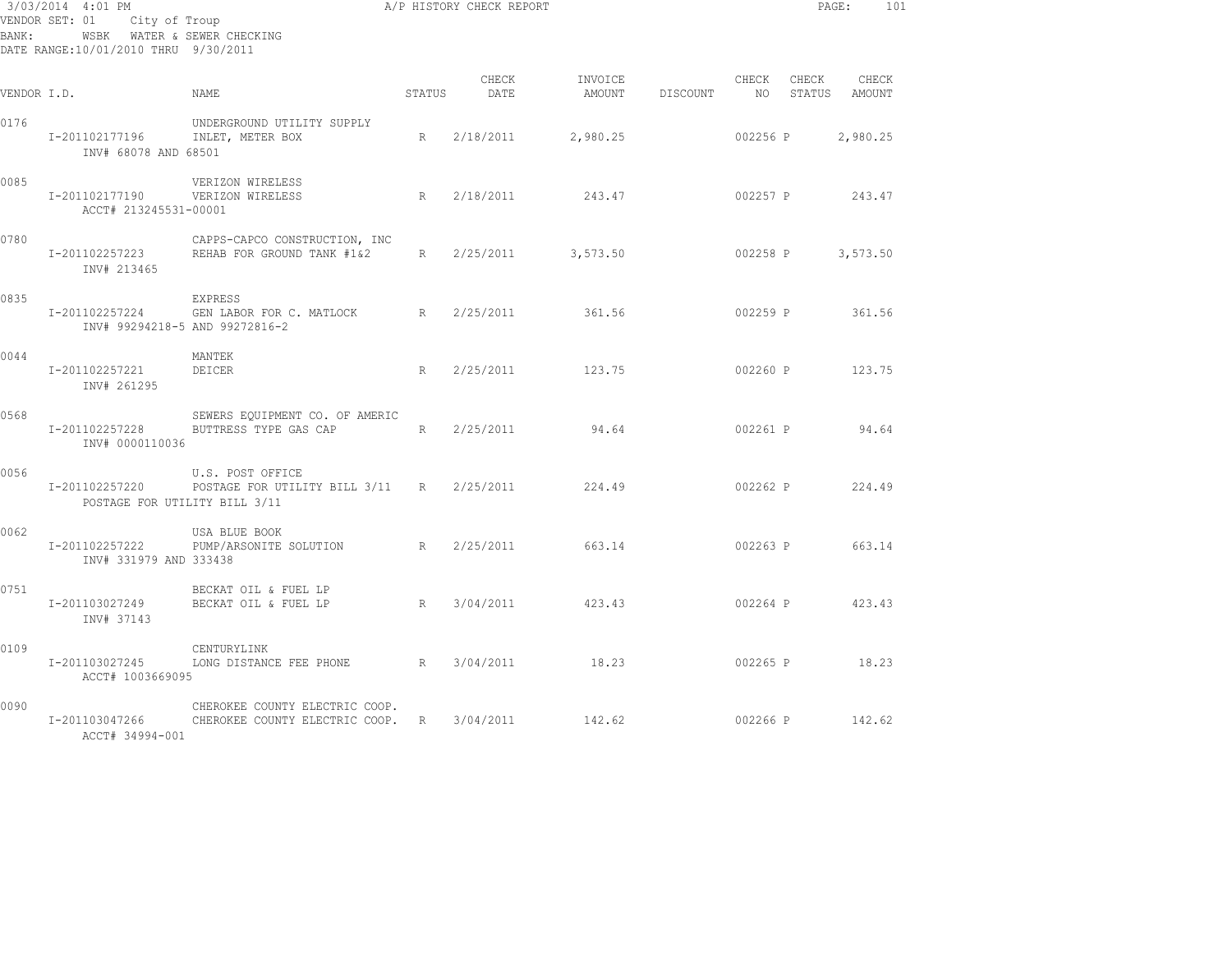| BANK:       | 3/03/2014 4:01 PM<br>City of Troup<br>VENDOR SET: 01<br>WSBK WATER & SEWER CHECKING<br>DATE RANGE:10/01/2010 THRU 9/30/2011 |                                                                    |        | A/P HISTORY CHECK REPORT |          |                 |             |       | PAGE:                  | 101 |
|-------------|-----------------------------------------------------------------------------------------------------------------------------|--------------------------------------------------------------------|--------|--------------------------|----------|-----------------|-------------|-------|------------------------|-----|
| VENDOR I.D. |                                                                                                                             | NAMF.                                                              | STATUS | CHECK<br>DATE            | INVOICE  | AMOUNT DISCOUNT | CHECK<br>NO | CHECK | CHECK<br>STATUS AMOUNT |     |
| 0176        | I-201102177196<br>INV# 68078 AND 68501                                                                                      | UNDERGROUND UTILITY SUPPLY<br>INLET, METER BOX                     | R      | 2/18/2011                | 2,980.25 |                 | 002256 P    |       | 2,980.25               |     |
| 0085        | I-201102177190 VERIZON WIRELESS<br>ACCT# 213245531-00001                                                                    | VERIZON WIRELESS                                                   | R      | 2/18/2011                | 243.47   |                 |             |       | 002257 P 243.47        |     |
| 0780        | I-201102257223<br>INV# 213465                                                                                               | CAPPS-CAPCO CONSTRUCTION, INC<br>REHAB FOR GROUND TANK #1&2        | R      | 2/25/2011                | 3,573.50 |                 | 002258 P    |       | 3,573.50               |     |
| 0835        | I-201102257224<br>INV# 99294218-5 AND 99272816-2                                                                            | <b>EXPRESS</b><br>GEN LABOR FOR C. MATLOCK R 2/25/2011             |        |                          | 361.56   |                 | 002259 P    |       | 361.56                 |     |
| 0044        | I-201102257221<br>INV# 261295                                                                                               | MANTEK<br>DEICER                                                   | R      | 2/25/2011                | 123.75   |                 | 002260 P    |       | 123.75                 |     |
| 0568        | I-201102257228<br>INV# 0000110036                                                                                           | SEWERS EQUIPMENT CO. OF AMERIC<br>BUTTRESS TYPE GAS CAP            | R      | 2/25/2011                | 94.64    |                 |             |       | 002261 P 94.64         |     |
| 0056        | I-201102257220<br>POSTAGE FOR UTILITY BILL 3/11                                                                             | U.S. POST OFFICE<br>POSTAGE FOR UTILITY BILL 3/11 R 2/25/2011      |        |                          | 224.49   |                 |             |       | 002262 P 224.49        |     |
| 0062        | I-201102257222<br>INV# 331979 AND 333438                                                                                    | USA BLUE BOOK<br>PUMP/ARSONITE SOLUTION                            |        | R 2/25/2011              | 663.14   |                 |             |       | 002263 P 663.14        |     |
| 0751        | I-201103027249<br>INV# 37143                                                                                                | BECKAT OIL & FUEL LP<br>BECKAT OIL & FUEL LP                       |        | R 3/04/2011 423.43       |          |                 |             |       | 002264 P 423.43        |     |
| 0109        | I-201103027245<br>ACCT# 1003669095                                                                                          | CENTURYLINK<br>LONG DISTANCE FEE PHONE R 3/04/2011 18.23           |        |                          |          |                 |             |       | 002265 P 18.23         |     |
| 0090        | I-201103047266<br>ACCT# 34994-001                                                                                           | CHEROKEE COUNTY ELECTRIC COOP.<br>CHEROKEE COUNTY ELECTRIC COOP. R |        | 3/04/2011                | 142.62   |                 |             |       | 002266 P 142.62        |     |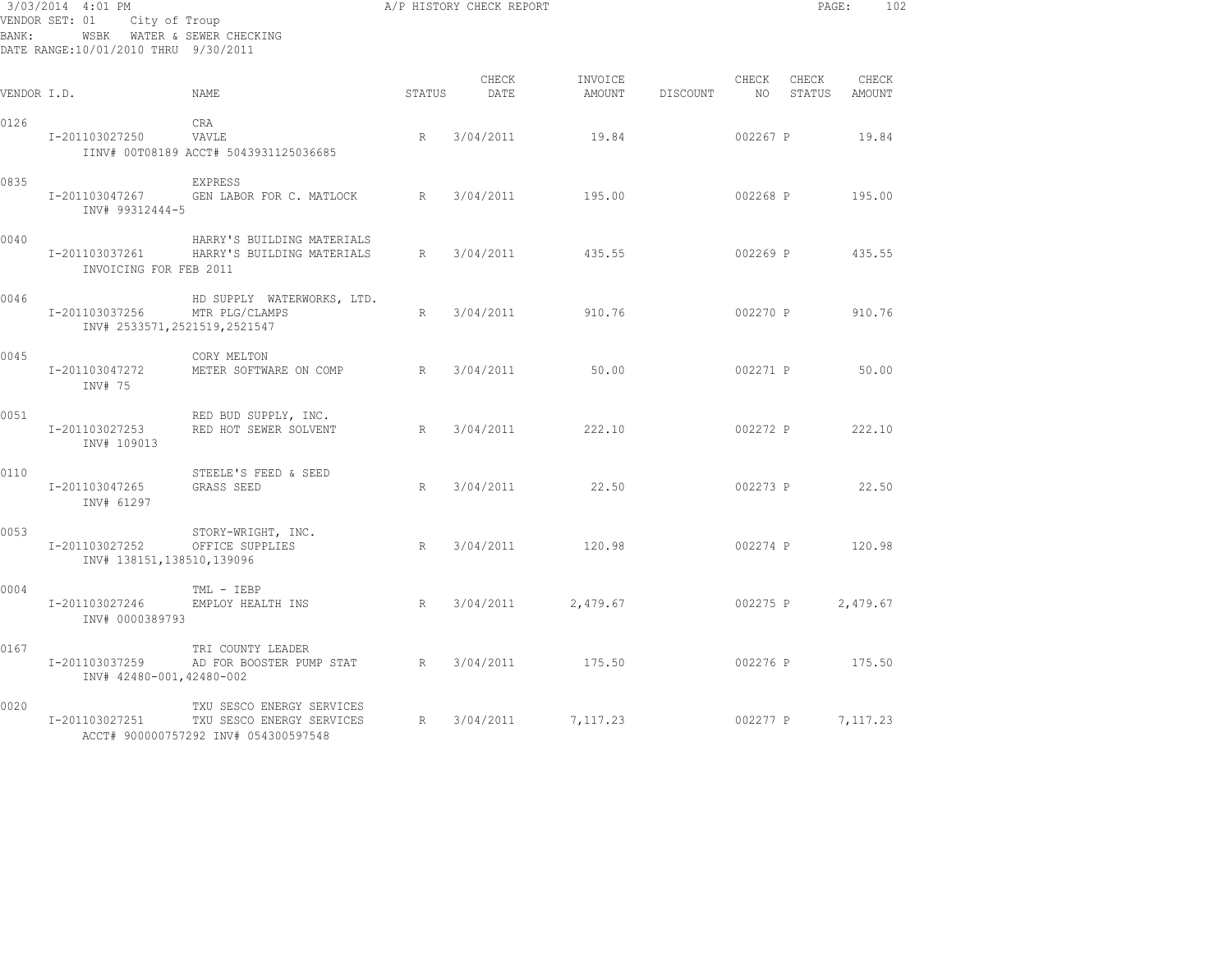| BANK:       | 3/03/2014 4:01 PM<br>VENDOR SET: 01<br>City of Troup<br>WSBK WATER & SEWER CHECKING<br>DATE RANGE:10/01/2010 THRU 9/30/2011 |                                                                                                |        | A/P HISTORY CHECK REPORT |                   |          |               | PAGE:           | 102             |
|-------------|-----------------------------------------------------------------------------------------------------------------------------|------------------------------------------------------------------------------------------------|--------|--------------------------|-------------------|----------|---------------|-----------------|-----------------|
| VENDOR I.D. |                                                                                                                             | NAME.                                                                                          | STATUS | CHECK<br>DATE            | INVOICE<br>AMOUNT | DISCOUNT | CHECK<br>NO – | CHECK<br>STATUS | CHECK<br>AMOUNT |
| 0126        | I-201103027250                                                                                                              | CRA<br>VAVLE<br>IINV# 00T08189 ACCT# 5043931125036685                                          | R      | 3/04/2011                | 19.84             |          | 002267 P      |                 | 19.84           |
| 0835        | I-201103047267<br>INV# 99312444-5                                                                                           | EXPRESS<br>GEN LABOR FOR C. MATLOCK                                                            | R      | 3/04/2011                | 195.00            |          | 002268 P      |                 | 195.00          |
| 0040        | I-201103037261<br>INVOICING FOR FEB 2011                                                                                    | HARRY'S BUILDING MATERIALS<br>HARRY'S BUILDING MATERIALS                                       | R      | 3/04/2011                | 435.55            |          | 002269 P      |                 | 435.55          |
| 0046        | I-201103037256<br>INV# 2533571, 2521519, 2521547                                                                            | HD SUPPLY WATERWORKS, LTD.<br>MTR PLG/CLAMPS                                                   | R      | 3/04/2011                | 910.76            |          | 002270 P      |                 | 910.76          |
| 0045        | I-201103047272<br>INV# 75                                                                                                   | CORY MELTON<br>METER SOFTWARE ON COMP                                                          | R      | 3/04/2011                | 50.00             |          | 002271 P      |                 | 50.00           |
| 0051        | I-201103027253<br>INV# 109013                                                                                               | RED BUD SUPPLY, INC.<br>RED HOT SEWER SOLVENT                                                  | R      | 3/04/2011                | 222.10            |          | 002272 P      |                 | 222.10          |
| 0110        | I-201103047265<br>INV# 61297                                                                                                | STEELE'S FEED & SEED<br>GRASS SEED                                                             | R      | 3/04/2011                | 22.50             |          | 002273 P      |                 | 22.50           |
| 0053        | I-201103027252<br>INV# 138151,138510,139096                                                                                 | STORY-WRIGHT, INC.<br>OFFICE SUPPLIES                                                          | R      | 3/04/2011                | 120.98            |          | 002274 P      |                 | 120.98          |
| 0004        | I-201103027246<br>INV# 0000389793                                                                                           | TML - IEBP<br>EMPLOY HEALTH INS                                                                | R      | 3/04/2011                | 2,479.67          |          | 002275 P      |                 | 2,479.67        |
| 0167        | I-201103037259<br>INV# 42480-001,42480-002                                                                                  | TRI COUNTY LEADER<br>AD FOR BOOSTER PUMP STAT                                                  | R      | 3/04/2011                | 175.50            |          | 002276 P      |                 | 175.50          |
| 0020        | I-201103027251                                                                                                              | TXU SESCO ENERGY SERVICES<br>TXU SESCO ENERGY SERVICES<br>ACCT# 900000757292 INV# 054300597548 | R      | 3/04/2011                | 7,117.23          |          | 002277 P      |                 | 7,117.23        |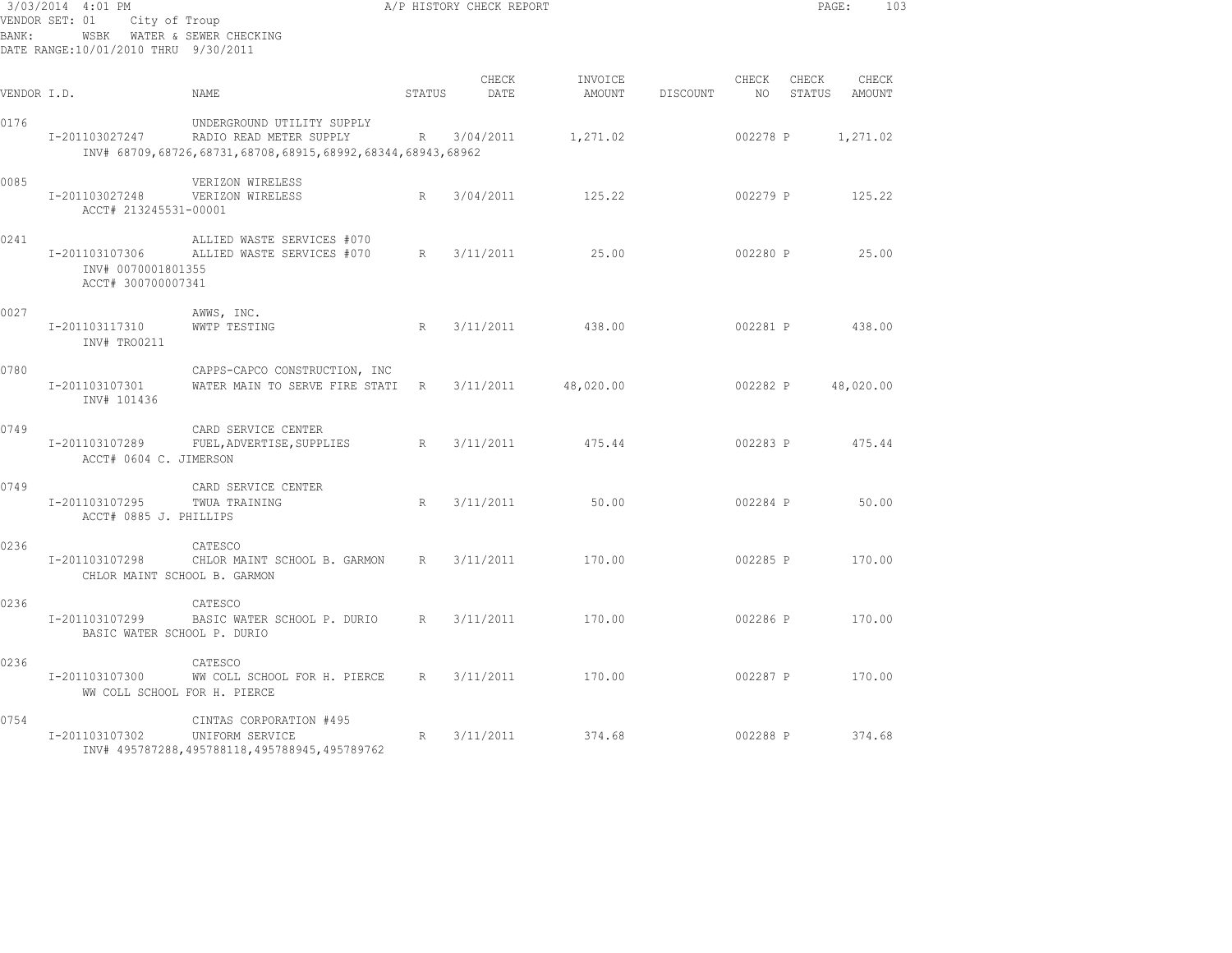| BANK:       | 3/03/2014 4:01 PM<br>VENDOR SET: 01<br>City of Troup<br>DATE RANGE: 10/01/2010 THRU 9/30/2011 | WSBK WATER & SEWER CHECKING                                                                                         |             | A/P HISTORY CHECK REPORT |                   |          |             |                 | PAGE:<br>103    |
|-------------|-----------------------------------------------------------------------------------------------|---------------------------------------------------------------------------------------------------------------------|-------------|--------------------------|-------------------|----------|-------------|-----------------|-----------------|
| VENDOR I.D. |                                                                                               | NAME                                                                                                                | STATUS      | CHECK<br>DATE            | INVOICE<br>AMOUNT | DISCOUNT | CHECK<br>NO | CHECK<br>STATUS | CHECK<br>AMOUNT |
| 0176        | I-201103027247                                                                                | UNDERGROUND UTILITY SUPPLY<br>RADIO READ METER SUPPLY<br>INV# 68709,68726,68731,68708,68915,68992,68344,68943,68962 |             | R 3/04/2011              | 1,271.02          |          | 002278 P    |                 | 1,271.02        |
| 0085        | I-201103027248<br>ACCT# 213245531-00001                                                       | VERIZON WIRELESS<br>VERIZON WIRELESS                                                                                | $R_{\odot}$ | 3/04/2011                | 125.22            |          | 002279 P    |                 | 125.22          |
| 0241        | I-201103107306<br>INV# 0070001801355<br>ACCT# 300700007341                                    | ALLIED WASTE SERVICES #070<br>ALLIED WASTE SERVICES #070                                                            | R           | 3/11/2011                | 25.00             |          | 002280 P    |                 | 25.00           |
| 0027        | I-201103117310<br>INV# TRO0211                                                                | AWWS, INC.<br>WWTP TESTING                                                                                          | R           | 3/11/2011                | 438.00            |          | 002281 P    |                 | 438.00          |
| 0780        | I-201103107301<br>INV# 101436                                                                 | CAPPS-CAPCO CONSTRUCTION, INC<br>WATER MAIN TO SERVE FIRE STATI R                                                   |             | 3/11/2011                | 48,020.00         |          | 002282 P    |                 | 48,020.00       |
| 0749        | I-201103107289<br>ACCT# 0604 C. JIMERSON                                                      | CARD SERVICE CENTER<br>FUEL, ADVERTISE, SUPPLIES                                                                    | R           | 3/11/2011                | 475.44            |          | 002283 P    |                 | 475.44          |
| 0749        | I-201103107295<br>ACCT# 0885 J. PHILLIPS                                                      | CARD SERVICE CENTER<br>TWUA TRAINING                                                                                | R           | 3/11/2011                | 50.00             |          | 002284 P    |                 | 50.00           |
| 0236        | I-201103107298                                                                                | CATESCO<br>CHLOR MAINT SCHOOL B. GARMON<br>CHLOR MAINT SCHOOL B. GARMON                                             | R           | 3/11/2011                | 170.00            |          | 002285 P    |                 | 170.00          |
| 0236        | I-201103107299<br>BASIC WATER SCHOOL P. DURIO                                                 | CATESCO<br>BASIC WATER SCHOOL P. DURIO                                                                              | R           | 3/11/2011                | 170.00            |          | 002286 P    |                 | 170.00          |
| 0236        | I-201103107300                                                                                | CATESCO<br>WW COLL SCHOOL FOR H. PIERCE<br>WW COLL SCHOOL FOR H. PIERCE                                             | R           | 3/11/2011                | 170.00            |          |             | 002287 P        | 170.00          |
| 0754        | I-201103107302                                                                                | CINTAS CORPORATION #495<br>UNIFORM SERVICE<br>INV# 495787288, 495788118, 495788945, 495789762                       | R           | 3/11/2011                | 374.68            |          | 002288 P    |                 | 374.68          |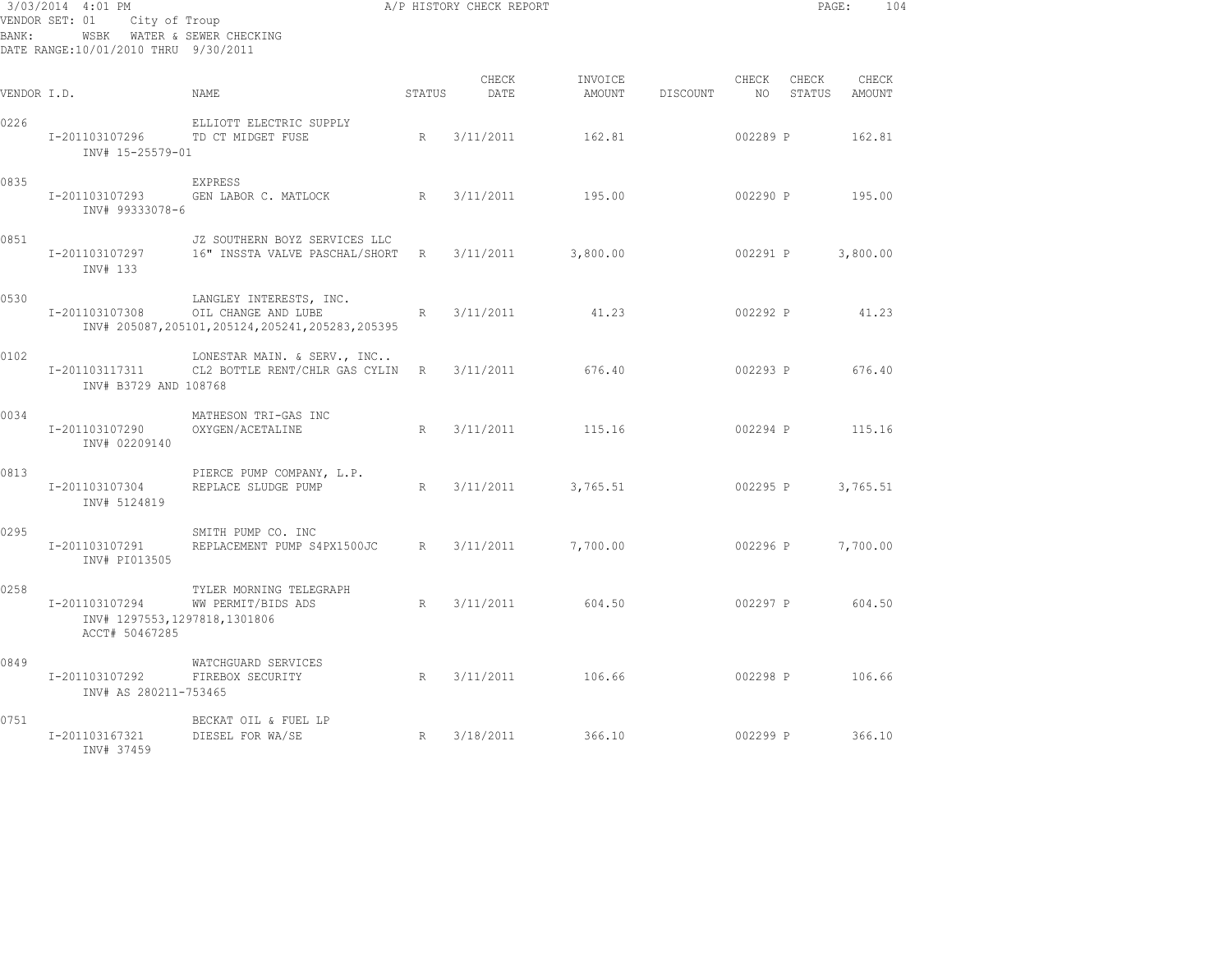| BANK:       | 3/03/2014 4:01 PM<br>VENDOR SET: 01<br>City of Troup<br>WSBK WATER & SEWER CHECKING<br>DATE RANGE:10/01/2010 THRU 9/30/2011 |                                                                                                  |        | A/P HISTORY CHECK REPORT |                   |          |             | PAGE:           | 104             |  |
|-------------|-----------------------------------------------------------------------------------------------------------------------------|--------------------------------------------------------------------------------------------------|--------|--------------------------|-------------------|----------|-------------|-----------------|-----------------|--|
| VENDOR I.D. |                                                                                                                             | NAME                                                                                             | STATUS | CHECK<br>DATE            | INVOICE<br>AMOUNT | DISCOUNT | CHECK<br>NO | CHECK<br>STATUS | CHECK<br>AMOUNT |  |
| 0226        | I-201103107296<br>INV# 15-25579-01                                                                                          | ELLIOTT ELECTRIC SUPPLY<br>TD CT MIDGET FUSE                                                     | R      | 3/11/2011                | 162.81            |          | 002289 P    |                 | 162.81          |  |
| 0835        | I-201103107293<br>INV# 99333078-6                                                                                           | <b>EXPRESS</b><br>R<br>GEN LABOR C. MATLOCK                                                      |        | 3/11/2011                | 195.00            |          | 002290 P    |                 | 195.00          |  |
| 0851        | I-201103107297<br>INV# 133                                                                                                  | JZ SOUTHERN BOYZ SERVICES LLC<br>16" INSSTA VALVE PASCHAL/SHORT                                  | R      | 3/11/2011                | 3,800.00          |          | 002291 P    |                 | 3,800.00        |  |
| 0530        | I-201103107308                                                                                                              | LANGLEY INTERESTS, INC.<br>OIL CHANGE AND LUBE<br>INV# 205087,205101,205124,205241,205283,205395 | R      | 3/11/2011                | 41.23             |          | 002292 P    |                 | 41.23           |  |
| 0102        | I-201103117311<br>INV# B3729 AND 108768                                                                                     | LONESTAR MAIN. & SERV., INC<br>CL2 BOTTLE RENT/CHLR GAS CYLIN R                                  |        | 3/11/2011                | 676.40            |          | 002293 P    |                 | 676.40          |  |
| 0034        | I-201103107290<br>INV# 02209140                                                                                             | MATHESON TRI-GAS INC<br>OXYGEN/ACETALINE                                                         | R      | 3/11/2011                | 115.16            |          | 002294 P    |                 | 115.16          |  |
| 0813        | I-201103107304<br>INV# 5124819                                                                                              | PIERCE PUMP COMPANY, L.P.<br>REPLACE SLUDGE PUMP                                                 | R      | 3/11/2011                | 3,765.51          |          | 002295 P    |                 | 3,765.51        |  |
| 0295        | I-201103107291<br>INV# PI013505                                                                                             | SMITH PUMP CO. INC<br>REPLACEMENT PUMP S4PX1500JC                                                | R      | 3/11/2011                | 7,700.00          |          | 002296 P    |                 | 7,700.00        |  |
| 0258        | I-201103107294<br>INV# 1297553,1297818,1301806<br>ACCT# 50467285                                                            | TYLER MORNING TELEGRAPH<br>WW PERMIT/BIDS ADS                                                    | R      | 3/11/2011                | 604.50            |          | 002297 P    |                 | 604.50          |  |
| 0849        | I-201103107292<br>INV# AS 280211-753465                                                                                     | WATCHGUARD SERVICES<br>FIREBOX SECURITY                                                          | R      | 3/11/2011                | 106.66            |          | 002298 P    |                 | 106.66          |  |
| 0751        | I-201103167321<br>INV# 37459                                                                                                | BECKAT OIL & FUEL LP<br>DIESEL FOR WA/SE                                                         | R      | 3/18/2011                | 366.10            |          | 002299 P    |                 | 366.10          |  |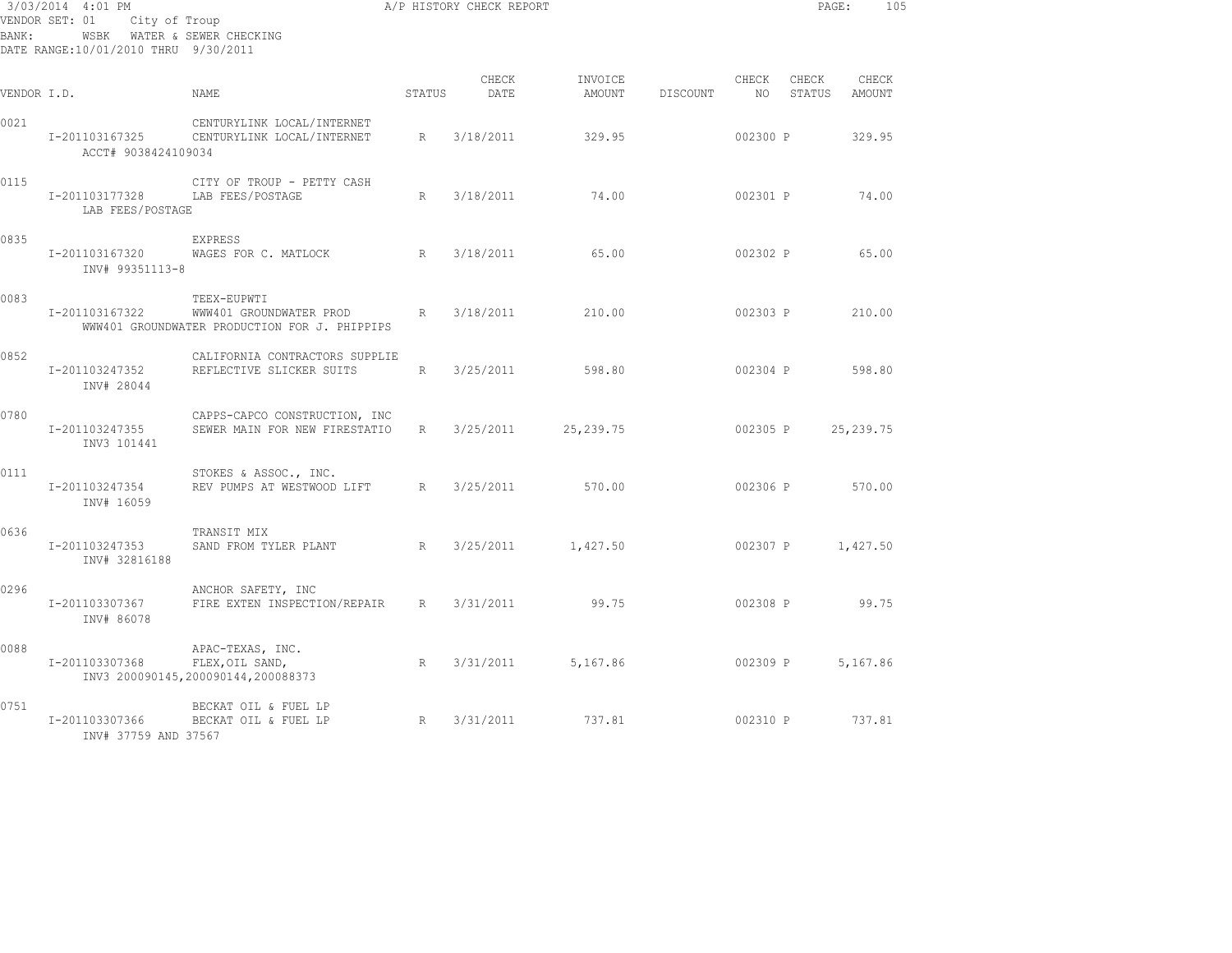| BANK:       | 3/03/2014 4:01 PM<br>VENDOR SET: 01<br>City of Troup<br>WSBK WATER & SEWER CHECKING<br>DATE RANGE:10/01/2010 THRU 9/30/2011 |                                                                                         |                 | A/P HISTORY CHECK REPORT |                   | PAGE:    | 105           |                   |                 |
|-------------|-----------------------------------------------------------------------------------------------------------------------------|-----------------------------------------------------------------------------------------|-----------------|--------------------------|-------------------|----------|---------------|-------------------|-----------------|
| VENDOR I.D. |                                                                                                                             | NAME                                                                                    | STATUS          | CHECK<br>DATE            | INVOICE<br>AMOUNT | DISCOUNT | CHECK<br>NO . | CHECK<br>STATUS   | CHECK<br>AMOUNT |
| 0021        | I-201103167325<br>ACCT# 9038424109034                                                                                       | CENTURYLINK LOCAL/INTERNET<br>CENTURYLINK LOCAL/INTERNET                                | R               | 3/18/2011                | 329.95            |          | 002300 P      |                   | 329.95          |
| 0115        | I-201103177328<br>LAB FEES/POSTAGE                                                                                          | CITY OF TROUP - PETTY CASH<br>LAB FEES/POSTAGE                                          | R               | 3/18/2011                | 74.00             |          | 002301 P      |                   | 74.00           |
| 0835        | I-201103167320<br>INV# 99351113-8                                                                                           | EXPRESS<br>WAGES FOR C. MATLOCK                                                         | $R_{\parallel}$ | 3/18/2011                | 65.00             |          | 002302 P      |                   | 65.00           |
| 0083        | I-201103167322                                                                                                              | TEEX-EUPWTI<br>WWW401 GROUNDWATER PROD<br>WWW401 GROUNDWATER PRODUCTION FOR J. PHIPPIPS | R               | 3/18/2011                | 210.00            |          | 002303 P      |                   | 210.00          |
| 0852        | I-201103247352<br>INV# 28044                                                                                                | CALIFORNIA CONTRACTORS SUPPLIE<br>REFLECTIVE SLICKER SUITS                              | R               | 3/25/2011                | 598.80            |          | 002304 P      |                   | 598.80          |
| 0780        | I-201103247355<br>INV3 101441                                                                                               | CAPPS-CAPCO CONSTRUCTION, INC<br>SEWER MAIN FOR NEW FIRESTATIO                          | $R_{\perp}$     | 3/25/2011                | 25, 239.75        |          | 002305 P      |                   | 25, 239.75      |
| 0111        | I-201103247354<br>INV# 16059                                                                                                | STOKES & ASSOC., INC.<br>REV PUMPS AT WESTWOOD LIFT                                     | R               | 3/25/2011                | 570.00            |          | 002306 P      |                   | 570.00          |
| 0636        | I-201103247353<br>INV# 32816188                                                                                             | TRANSIT MIX<br>SAND FROM TYLER PLANT                                                    | R               | 3/25/2011                | 1,427.50          |          |               | 002307 P 1,427.50 |                 |
| 0296        | I-201103307367<br>INV# 86078                                                                                                | ANCHOR SAFETY, INC<br>FIRE EXTEN INSPECTION/REPAIR                                      | R               | 3/31/2011                | 99.75             |          | 002308 P      |                   | 99.75           |
| 0088        | I-201103307368                                                                                                              | APAC-TEXAS, INC.<br>FLEX, OIL SAND,<br>INV3 200090145,200090144,200088373               | R               | 3/31/2011                | 5,167.86          |          | 002309 P      |                   | 5,167.86        |
| 0751        | I-201103307366<br>INV# 37759 AND 37567                                                                                      | BECKAT OIL & FUEL LP<br>BECKAT OIL & FUEL LP                                            | R               | 3/31/2011                | 737.81            |          | 002310 P      |                   | 737.81          |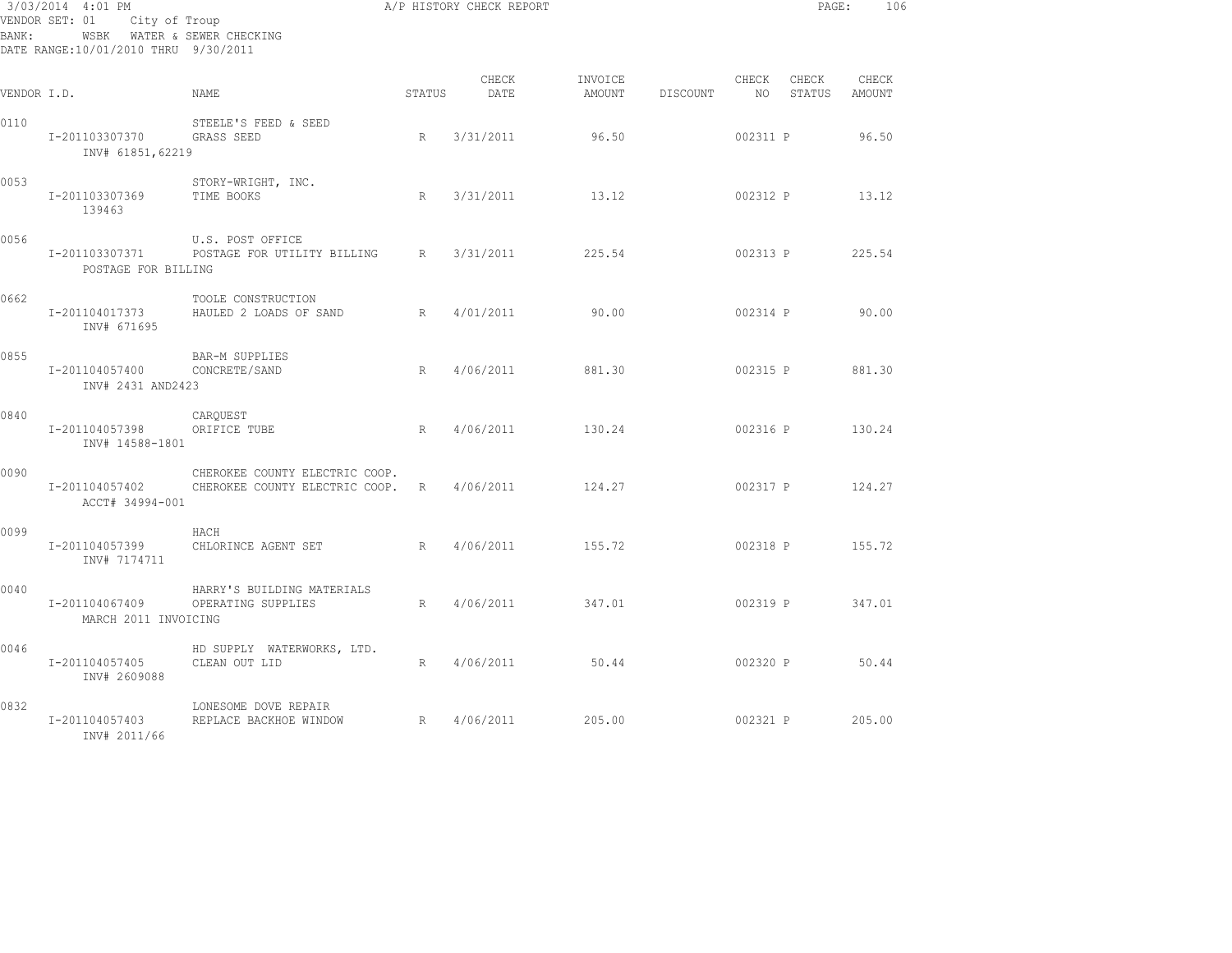| BANK:       | 3/03/2014 4:01 PM<br>VENDOR SET: 01 City of Troup<br>WSBK WATER & SEWER CHECKING<br>DATE RANGE:10/01/2010 THRU 9/30/2011 | A/P HISTORY CHECK REPORT                                           |        |                  |         |                 |          |                           | PAGE:<br>106 |
|-------------|--------------------------------------------------------------------------------------------------------------------------|--------------------------------------------------------------------|--------|------------------|---------|-----------------|----------|---------------------------|--------------|
| VENDOR I.D. |                                                                                                                          | NAME                                                               | STATUS | CHECK<br>DATE    | INVOICE | AMOUNT DISCOUNT | CHECK    | CHECK<br>NO STATUS AMOUNT | CHECK        |
| 0110        | I-201103307370<br>INV# 61851,62219                                                                                       | STEELE'S FEED & SEED<br>GRASS SEED                                 | R      | 3/31/2011        | 96.50   |                 | 002311 P |                           | 96.50        |
| 0053        | I-201103307369<br>139463                                                                                                 | STORY-WRIGHT, INC.<br>TIME BOOKS                                   | R      | 3/31/2011        | 13.12   |                 |          | 002312 P 13.12            |              |
| 0056        | I-201103307371<br>POSTAGE FOR BILLING                                                                                    | U.S. POST OFFICE<br>POSTAGE FOR UTILITY BILLING R 3/31/2011        |        |                  | 225.54  |                 | 002313 P |                           | 225.54       |
| 0662        | I-201104017373<br>INV# 671695                                                                                            | TOOLE CONSTRUCTION<br>HAULED 2 LOADS OF SAND                       | R      | 4/01/2011        | 90.00   |                 | 002314 P |                           | 90.00        |
| 0855        | I-201104057400<br>INV# 2431 AND2423                                                                                      | BAR-M SUPPLIES<br>CONCRETE/SAND                                    | R      | 4/06/2011        | 881.30  |                 |          | 002315 P 881.30           |              |
| 0840        | I-201104057398<br>INV# 14588-1801                                                                                        | CAROUEST<br>ORIFICE TUBE                                           | R      | 4/06/2011        | 130.24  |                 |          | 002316 P 130.24           |              |
| 0090        | I-201104057402<br>ACCT# 34994-001                                                                                        | CHEROKEE COUNTY ELECTRIC COOP.<br>CHEROKEE COUNTY ELECTRIC COOP. R |        | 4/06/2011        | 124.27  |                 |          | 002317 P 124.27           |              |
| 0099        | I-201104057399<br>INV# 7174711                                                                                           | HACH<br>CHLORINCE AGENT SET<br>$R = \sqrt{R}$                      |        | 4/06/2011 155.72 |         |                 |          | 002318 P 155.72           |              |
| 0040        | I-201104067409<br>MARCH 2011 INVOICING                                                                                   | HARRY'S BUILDING MATERIALS<br>OPERATING SUPPLIES                   | R      | 4/06/2011        | 347.01  |                 | 002319 P |                           | 347.01       |
| 0046        | I-201104057405<br>INV# 2609088                                                                                           | HD SUPPLY WATERWORKS, LTD.<br>CLEAN OUT LID                        | R      | 4/06/2011 50.44  |         |                 | 002320 P |                           | 50.44        |
| 0832        | I-201104057403<br>INV# 2011/66                                                                                           | LONESOME DOVE REPAIR<br>REPLACE BACKHOE WINDOW R                   |        | 4/06/2011        | 205.00  |                 | 002321 P |                           | 205.00       |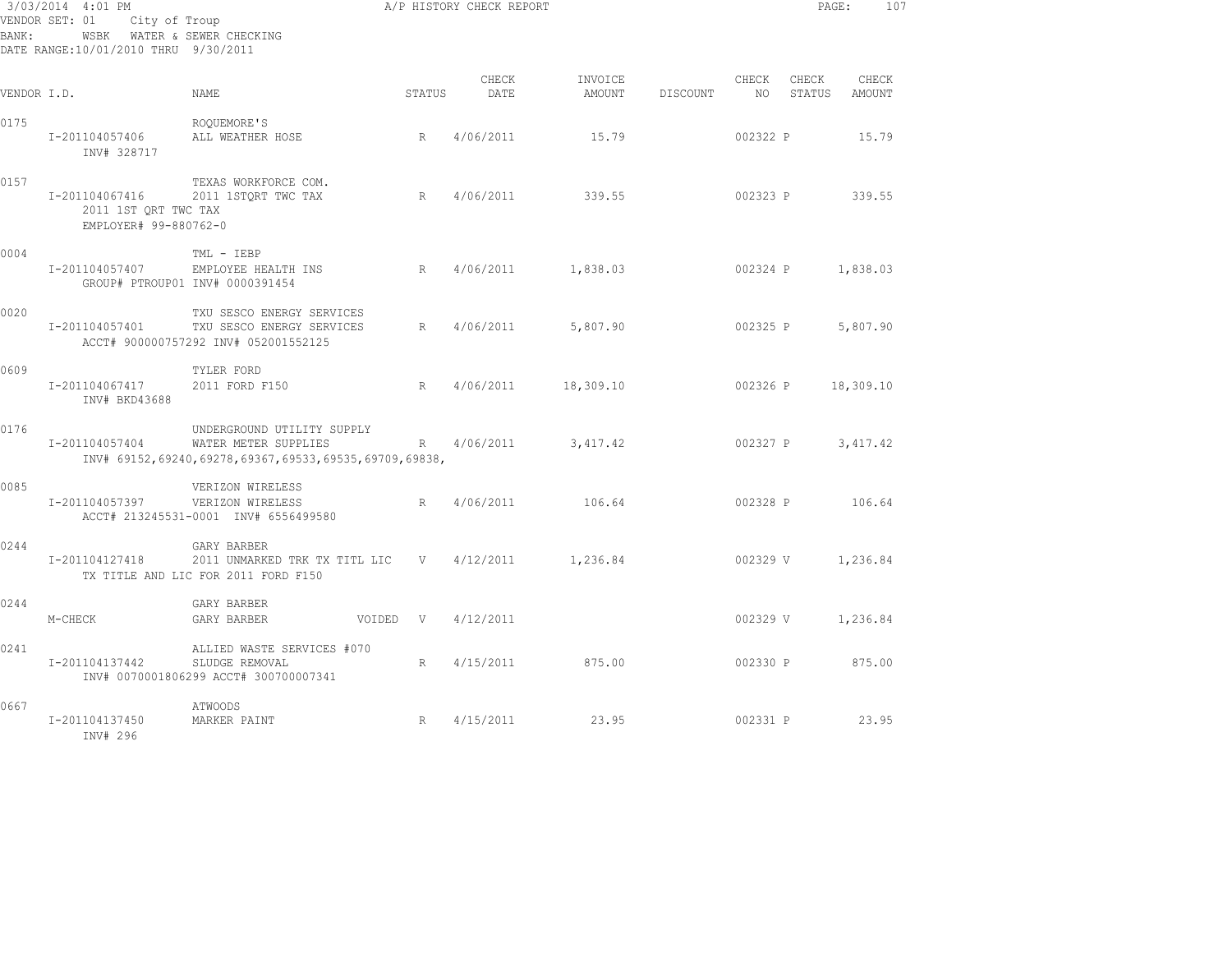| BANK:       | 3/03/2014 4:01 PM<br>VENDOR SET: 01<br>WSBK WATER & SEWER CHECKING<br>DATE RANGE:10/01/2010 THRU 9/30/2011 | City of Troup                                                                                               |          | A/P HISTORY CHECK REPORT |                                        |          |                          | PAGE: | 107                    |  |
|-------------|------------------------------------------------------------------------------------------------------------|-------------------------------------------------------------------------------------------------------------|----------|--------------------------|----------------------------------------|----------|--------------------------|-------|------------------------|--|
| VENDOR I.D. |                                                                                                            | NAME                                                                                                        | STATUS   | CHECK<br>DATE            | INVOICE<br>AMOUNT                      | DISCOUNT | CHECK<br>NO <sub>1</sub> | CHECK | CHECK<br>STATUS AMOUNT |  |
| 0175        | I-201104057406<br>INV# 328717                                                                              | ROOUEMORE'S<br>ALL WEATHER HOSE                                                                             | R        | 4/06/2011                | 15.79                                  |          | 002322 P                 |       | 15.79                  |  |
| 0157        | 2011 1ST QRT TWC TAX<br>EMPLOYER# 99-880762-0                                                              | TEXAS WORKFORCE COM.<br>I-201104067416 2011 1STORT TWC TAX                                                  | R        | 4/06/2011                | 339.55                                 |          | 002323 P 339.55          |       |                        |  |
| 0004        | I-201104057407                                                                                             | TML - IEBP<br>EMPLOYEE HEALTH INS<br>GROUP# PTROUP01 INV# 0000391454                                        |          |                          | R 4/06/2011 1,838.03 002324 P 1,838.03 |          |                          |       |                        |  |
| 0020        | I-201104057401                                                                                             | TXU SESCO ENERGY SERVICES<br>TXU SESCO ENERGY SERVICES<br>ACCT# 900000757292 INV# 052001552125              |          |                          | R 4/06/2011 5,807.90                   |          | 002325 P                 |       | 5,807.90               |  |
| 0609        | I-201104067417<br>INV# BKD43688                                                                            | TYLER FORD<br>2011 FORD F150                                                                                |          |                          | R 4/06/2011 18,309.10                  |          | 002326 P                 |       | 18,309.10              |  |
| 0176        | I-201104057404                                                                                             | UNDERGROUND UTILITY SUPPLY<br>WATER METER SUPPLIES<br>INV# 69152,69240,69278,69367,69533,69535,69709,69838, |          |                          | R 4/06/2011 3,417.42                   |          | 002327 P                 |       | 3,417.42               |  |
| 0085        | I-201104057397                                                                                             | VERIZON WIRELESS<br>VERIZON WIRELESS<br>ACCT# 213245531-0001 INV# 6556499580                                |          | R 4/06/2011              | 106.64                                 |          | 002328 P 106.64          |       |                        |  |
| 0244        | I-201104127418                                                                                             | GARY BARBER<br>2011 UNMARKED TRK TX TITL LIC V 4/12/2011<br>TX TITLE AND LIC FOR 2011 FORD F150             |          |                          | 1,236.84                               |          | 002329 V                 |       | 1,236.84               |  |
| 0244        | M-CHECK                                                                                                    | GARY BARBER<br>GARY BARBER                                                                                  | VOIDED V | 4/12/2011                |                                        |          | 002329 V                 |       | 1,236.84               |  |
| 0241        | I-201104137442                                                                                             | ALLIED WASTE SERVICES #070<br>SLUDGE REMOVAL<br>INV# 0070001806299 ACCT# 300700007341                       | R        | 4/15/2011                | 875.00                                 |          | 002330 P                 |       | 875.00                 |  |
| 0667        | I-201104137450<br>INV# 296                                                                                 | ATWOODS<br>MARKER PAINT                                                                                     | R        | 4/15/2011                | 23.95                                  |          | 002331 P                 |       | 23.95                  |  |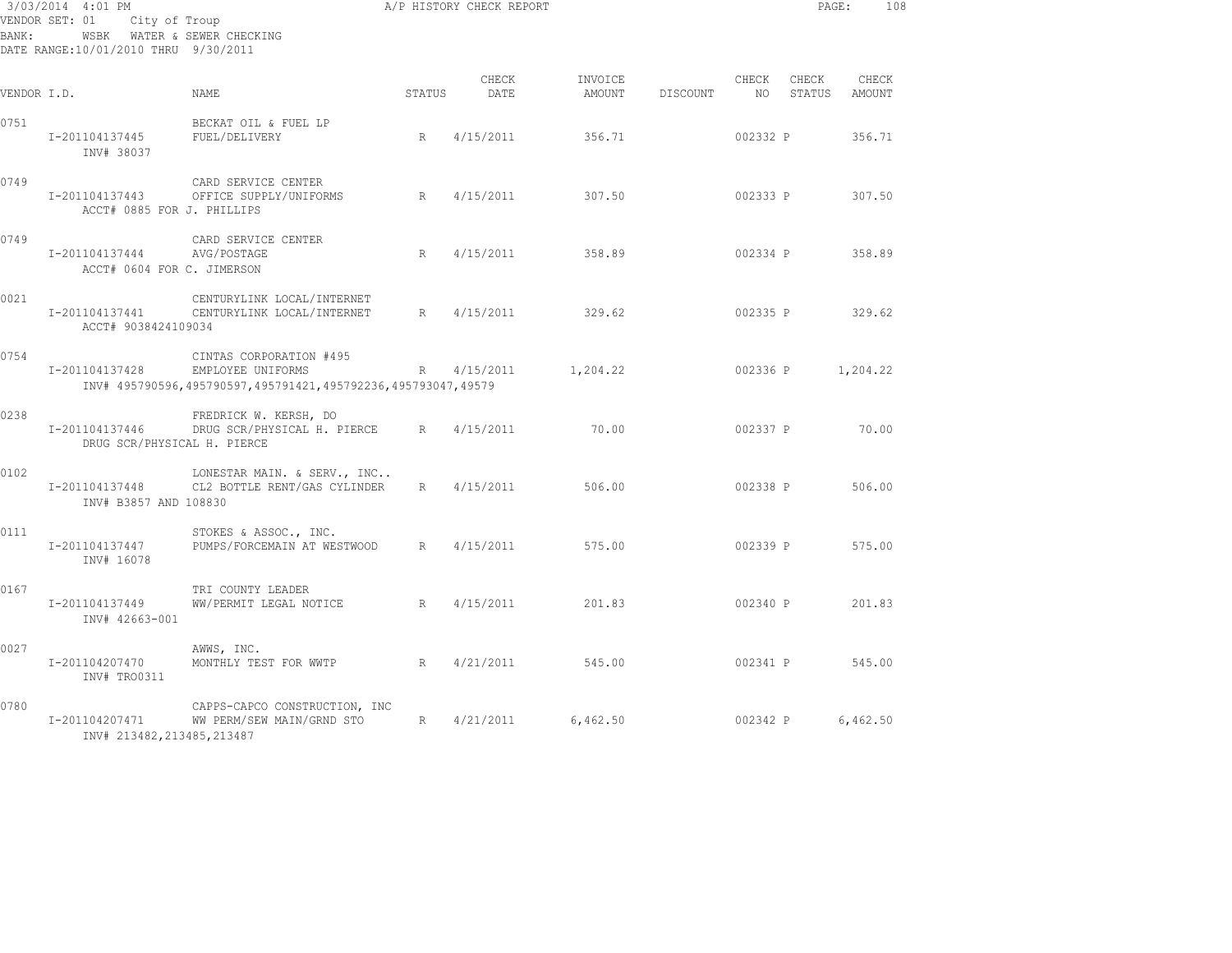| BANK:       | 3/03/2014 4:01 PM<br>VENDOR SET: 01<br>City of Troup<br>WSBK WATER & SEWER CHECKING<br>DATE RANGE:10/01/2010 THRU 9/30/2011 |                                                                                                              |        | A/P HISTORY CHECK REPORT |                   |          |                          | PAGE:           | 108               |
|-------------|-----------------------------------------------------------------------------------------------------------------------------|--------------------------------------------------------------------------------------------------------------|--------|--------------------------|-------------------|----------|--------------------------|-----------------|-------------------|
| VENDOR I.D. |                                                                                                                             | NAME                                                                                                         | STATUS | CHECK<br>DATE            | INVOICE<br>AMOUNT | DISCOUNT | CHECK<br>NO <sub>1</sub> | CHECK<br>STATUS | CHECK<br>AMOUNT   |
| 0751        | I-201104137445<br>INV# 38037                                                                                                | BECKAT OIL & FUEL LP<br>FUEL/DELIVERY                                                                        | R      | 4/15/2011                | 356.71            |          | 002332 P                 |                 | 356.71            |
| 0749        | I-201104137443<br>ACCT# 0885 FOR J. PHILLIPS                                                                                | CARD SERVICE CENTER<br>OFFICE SUPPLY/UNIFORMS                                                                | R      | 4/15/2011                | 307.50            |          | 002333 P                 |                 | 307.50            |
| 0749        | I-201104137444<br>ACCT# 0604 FOR C. JIMERSON                                                                                | CARD SERVICE CENTER<br>AVG/POSTAGE                                                                           | R      | 4/15/2011                | 358.89            |          | 002334 P                 |                 | 358.89            |
| 0021        | I-201104137441<br>ACCT# 9038424109034                                                                                       | CENTURYLINK LOCAL/INTERNET<br>CENTURYLINK LOCAL/INTERNET                                                     | R      | 4/15/2011                | 329.62            |          |                          | 002335 P 329.62 |                   |
| 0754        | I-201104137428                                                                                                              | CINTAS CORPORATION #495<br>EMPLOYEE UNIFORMS<br>INV# 495790596,495790597,495791421,495792236,495793047,49579 | R      | 4/15/2011                | 1,204.22          |          |                          |                 | 002336 P 1,204.22 |
| 0238        | I-201104137446<br>DRUG SCR/PHYSICAL H. PIERCE                                                                               | FREDRICK W. KERSH, DO<br>DRUG SCR/PHYSICAL H. PIERCE                                                         | R      | 4/15/2011                | 70.00             |          | 002337 P                 |                 | 70.00             |
| 0102        | I-201104137448<br>INV# B3857 AND 108830                                                                                     | LONESTAR MAIN. & SERV., INC<br>CL2 BOTTLE RENT/GAS CYLINDER                                                  |        | R 4/15/2011              | 506.00            |          | 002338 P                 |                 | 506.00            |
| 0111        | I-201104137447<br>INV# 16078                                                                                                | STOKES & ASSOC., INC.<br>PUMPS/FORCEMAIN AT WESTWOOD                                                         | R      | 4/15/2011                | 575.00            |          | 002339 P                 |                 | 575.00            |
| 0167        | I-201104137449<br>INV# 42663-001                                                                                            | TRI COUNTY LEADER<br>WW/PERMIT LEGAL NOTICE                                                                  | R      | 4/15/2011                | 201.83            |          | 002340 P                 |                 | 201.83            |
| 0027        | I-201104207470<br>INV# TRO0311                                                                                              | AWWS, INC.<br>MONTHLY TEST FOR WWTP                                                                          | R      | 4/21/2011                | 545.00            |          | 002341 P                 |                 | 545.00            |
| 0780        | I-201104207471<br>INV# 213482, 213485, 213487                                                                               | CAPPS-CAPCO CONSTRUCTION, INC<br>WW PERM/SEW MAIN/GRND STO                                                   | R      | 4/21/2011                | 6,462.50          |          | 002342 P                 |                 | 6,462.50          |
|             |                                                                                                                             |                                                                                                              |        |                          |                   |          |                          |                 |                   |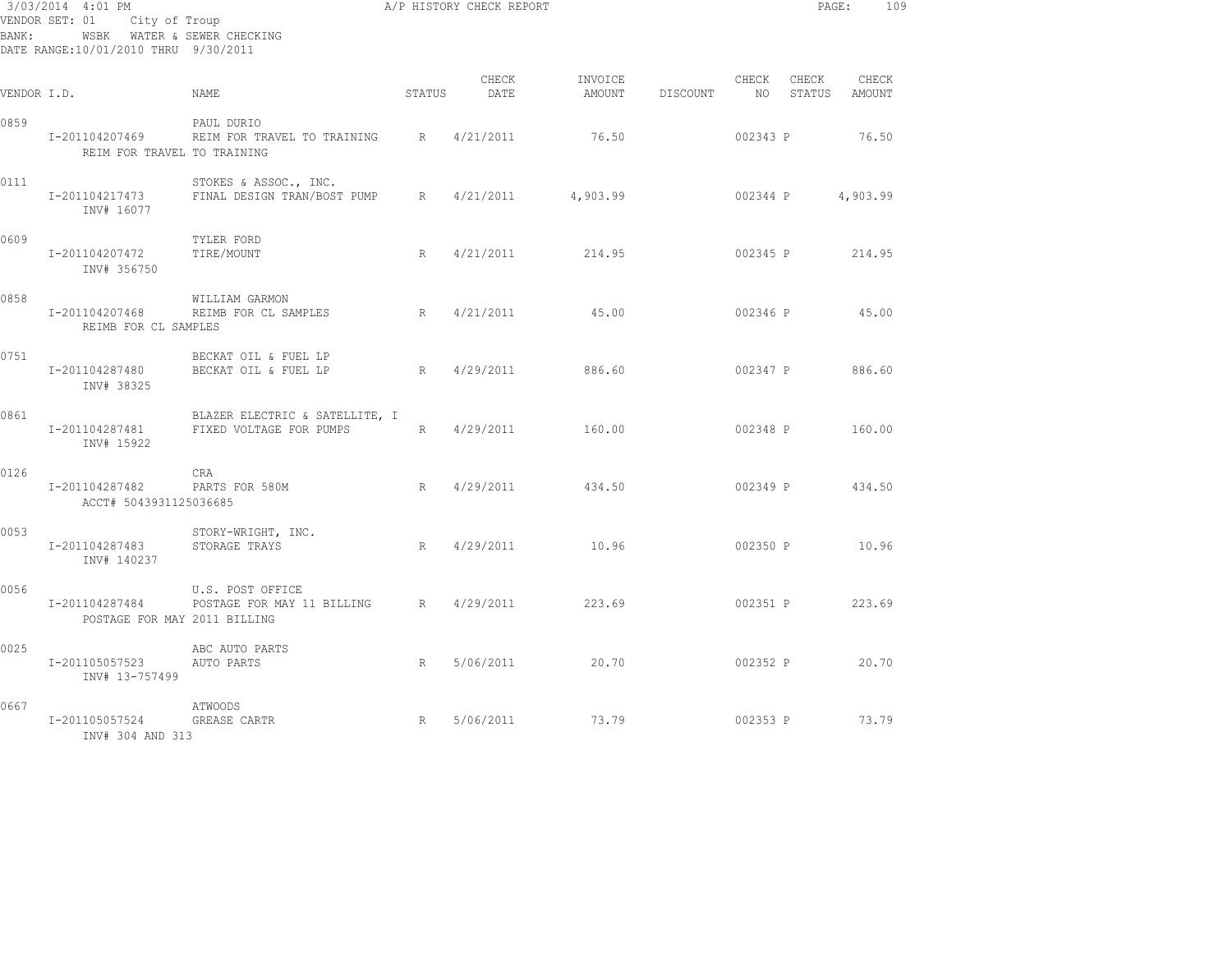| BANK:       | 3/03/2014 4:01 PM<br>VENDOR SET: 01 City of Troup<br>WSBK WATER & SEWER CHECKING<br>DATE RANGE:10/01/2010 THRU 9/30/2011 |                                                                      |        | A/P HISTORY CHECK REPORT |          |                 |             | PAGE:    | 109                    |
|-------------|--------------------------------------------------------------------------------------------------------------------------|----------------------------------------------------------------------|--------|--------------------------|----------|-----------------|-------------|----------|------------------------|
| VENDOR I.D. |                                                                                                                          | NAME                                                                 | STATUS | CHECK<br>DATE            | INVOICE  | AMOUNT DISCOUNT | CHECK<br>NO | CHECK    | CHECK<br>STATUS AMOUNT |
| 0859        | REIM FOR TRAVEL TO TRAINING                                                                                              | PAUL DURIO<br>I-201104207469 REIM FOR TRAVEL TO TRAINING R 4/21/2011 |        |                          | 76.50    |                 | 002343 P    |          | 76.50                  |
| 0111        | I-201104217473<br>INV# 16077                                                                                             | STOKES & ASSOC., INC.<br>FINAL DESIGN TRAN/BOST PUMP R               |        | 4/21/2011                | 4,903.99 |                 | 002344 P    |          | 4,903.99               |
| 0609        | I-201104207472<br>INV# 356750                                                                                            | TYLER FORD<br>TIRE/MOUNT                                             | R      | 4/21/2011                | 214.95   |                 |             |          | 002345 P 214.95        |
| 0858        | I-201104207468<br>REIMB FOR CL SAMPLES                                                                                   | WILLIAM GARMON<br>REIMB FOR CL SAMPLES                               |        | R 4/21/2011              | 45.00    |                 | 002346 P    |          | 45.00                  |
| 0751        | I-201104287480<br>INV# 38325                                                                                             | BECKAT OIL & FUEL LP<br>BECKAT OIL & FUEL LP                         | R      | 4/29/2011                | 886.60   |                 | 002347 P    |          | 886.60                 |
| 0861        | I-201104287481<br>INV# 15922                                                                                             | BLAZER ELECTRIC & SATELLITE, I<br>FIXED VOLTAGE FOR PUMPS            |        | R 4/29/2011              | 160.00   |                 |             |          | 002348 P 160.00        |
| 0126        | I-201104287482<br>ACCT# 5043931125036685                                                                                 | CRA<br>PARTS FOR 580M                                                |        | R 4/29/2011              | 434.50   |                 |             |          | 002349 P 434.50        |
| 0053        | I-201104287483<br>INV# 140237                                                                                            | STORY-WRIGHT, INC.<br>STORAGE TRAYS                                  | R      | 4/29/2011                | 10.96    |                 |             |          | 002350 P 10.96         |
| 0056        | I-201104287484<br>POSTAGE FOR MAY 2011 BILLING                                                                           | U.S. POST OFFICE<br>POSTAGE FOR MAY 11 BILLING R 4/29/2011 223.69    |        |                          |          |                 |             | 002351 P | 223.69                 |
| 0025        | I-201105057523<br>INV# 13-757499                                                                                         | ABC AUTO PARTS<br>AUTO PARTS                                         |        | R 5/06/2011 20.70        |          |                 |             |          | 002352 P 20.70         |
| 0667        | I-201105057524<br>INV# 304 AND 313                                                                                       | ATWOODS<br>R<br><b>GREASE CARTR</b>                                  |        | 5/06/2011                | 73.79    |                 |             |          | 002353 P 73.79         |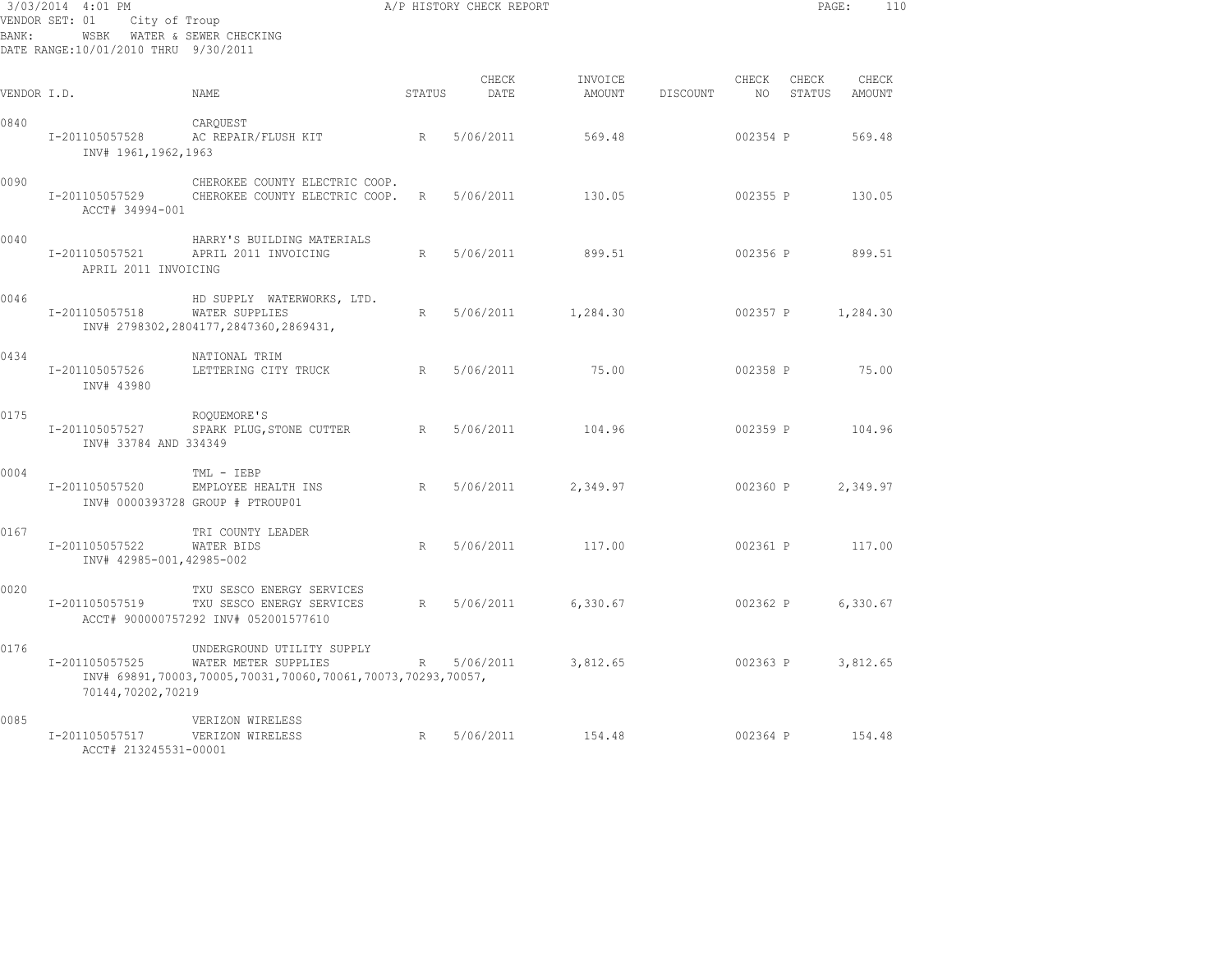| BANK:       | 3/03/2014 4:01 PM<br>VENDOR SET: 01<br>City of Troup<br>WSBK WATER & SEWER CHECKING<br>DATE RANGE:10/01/2010 THRU 9/30/2011 | A P HISTORY CHECK REPORT                                                                                          |   |               |                    |          |             | PAGE:           | 110               |
|-------------|-----------------------------------------------------------------------------------------------------------------------------|-------------------------------------------------------------------------------------------------------------------|---|---------------|--------------------|----------|-------------|-----------------|-------------------|
| VENDOR I.D. |                                                                                                                             | <b>STATUS</b><br><b>NAME</b>                                                                                      |   | CHECK<br>DATE | INVOICE<br>AMOUNT  | DISCOUNT | CHECK<br>NO | CHECK<br>STATUS | CHECK<br>AMOUNT   |
| 0840        | I-201105057528<br>INV# 1961,1962,1963                                                                                       | CAROUEST<br>AC REPAIR/FLUSH KIT<br>R                                                                              |   | 5/06/2011     | 569.48             |          | 002354 P    |                 | 569.48            |
| 0090        | I-201105057529<br>ACCT# 34994-001                                                                                           | CHEROKEE COUNTY ELECTRIC COOP.<br>CHEROKEE COUNTY ELECTRIC COOP.                                                  | R | 5/06/2011     | 130.05             |          |             | 002355 P        | 130.05            |
| 0040        | I-201105057521<br>APRIL 2011 INVOICING                                                                                      | HARRY'S BUILDING MATERIALS<br>APRIL 2011 INVOICING                                                                | R | 5/06/2011     | 899.51             |          |             |                 | 002356 P 899.51   |
| 0046        | I-201105057518                                                                                                              | HD SUPPLY WATERWORKS, LTD.<br>WATER SUPPLIES<br>INV# 2798302,2804177,2847360,2869431,                             | R |               | 5/06/2011 1,284.30 |          |             |                 | 002357 P 1,284.30 |
| 0434        | I-201105057526<br>INV# 43980                                                                                                | NATIONAL TRIM<br>LETTERING CITY TRUCK                                                                             |   | R 5/06/2011   | 75.00              |          | 002358 P    |                 | 75.00             |
| 0175        | I-201105057527<br>INV# 33784 AND 334349                                                                                     | ROOUEMORE'S<br>SPARK PLUG, STONE CUTTER                                                                           | R | 5/06/2011     | 104.96             |          |             |                 | 002359 P 104.96   |
| 0004        | I-201105057520                                                                                                              | TML - IEBP<br>EMPLOYEE HEALTH INS<br>INV# 0000393728 GROUP # PTROUP01                                             | R | 5/06/2011     | 2,349.97           |          | 002360 P    |                 | 2,349.97          |
| 0167        | I-201105057522<br>INV# 42985-001,42985-002                                                                                  | TRI COUNTY LEADER<br>WATER BIDS                                                                                   | R | 5/06/2011     | 117.00             |          | 002361 P    |                 | 117.00            |
| 0020        | I-201105057519                                                                                                              | TXU SESCO ENERGY SERVICES<br>TXU SESCO ENERGY SERVICES<br>ACCT# 900000757292 INV# 052001577610                    | R | 5/06/2011     | 6,330.67           |          | 002362 P    |                 | 6,330.67          |
| 0176        | I-201105057525<br>70144,70202,70219                                                                                         | UNDERGROUND UTILITY SUPPLY<br>WATER METER SUPPLIES<br>INV# 69891,70003,70005,70031,70060,70061,70073,70293,70057, | R | 5/06/2011     | 3,812.65           |          | 002363 P    |                 | 3,812.65          |
| 0085        | I-201105057517<br>ACCT# 213245531-00001                                                                                     | VERIZON WIRELESS<br>$R = \frac{1}{2}$<br>VERIZON WIRELESS                                                         |   | 5/06/2011     | 154.48             |          | 002364 P    |                 | 154.48            |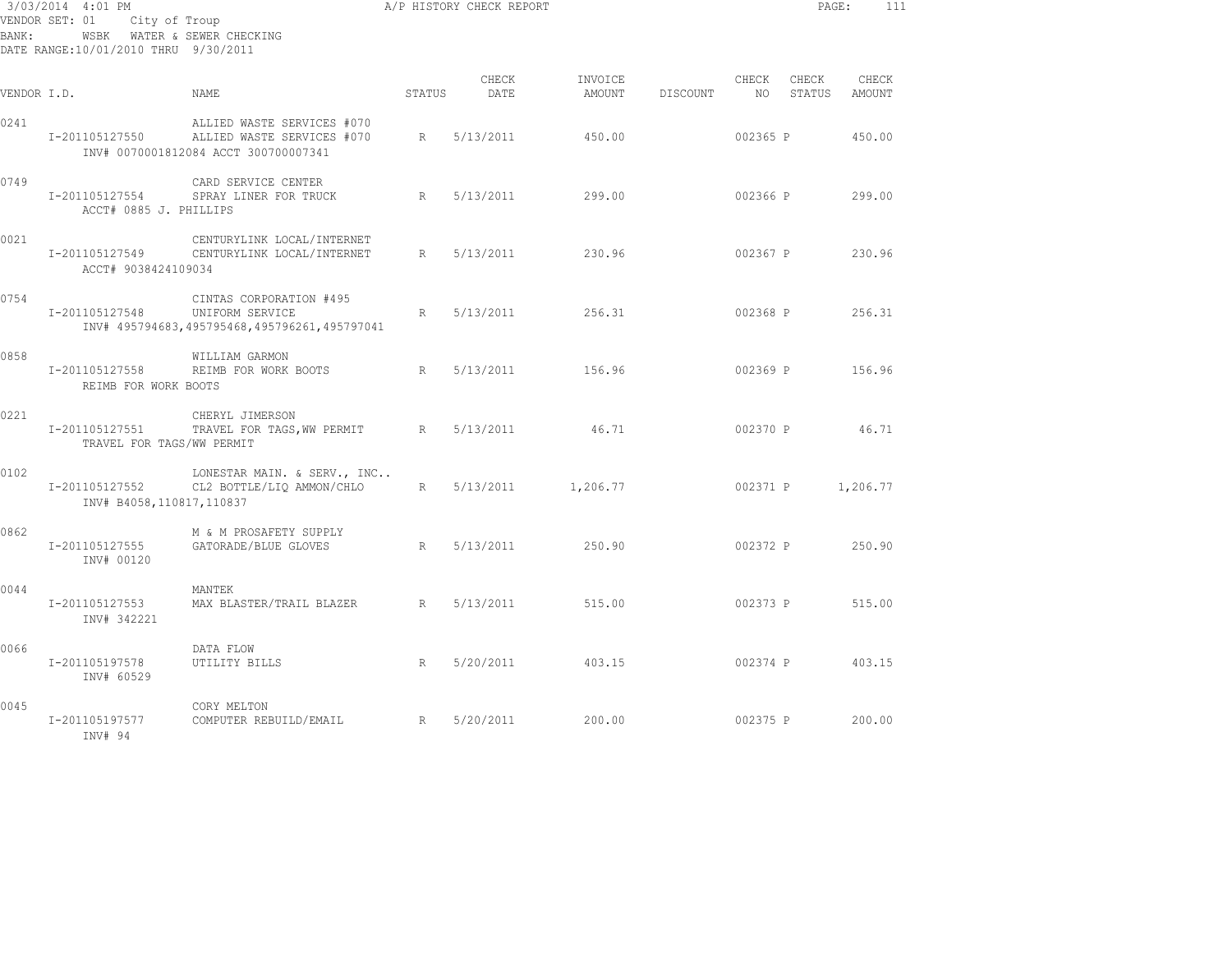| 3/03/2014 4:01 PM<br>VENDOR SET: 01<br>City of Troup<br>WSBK WATER & SEWER CHECKING<br>BANK:<br>DATE RANGE:10/01/2010 THRU 9/30/2011 |                                             |                                                                                                  |        | A/P HISTORY CHECK REPORT |                   |          |             | PAGE:           | 111             |
|--------------------------------------------------------------------------------------------------------------------------------------|---------------------------------------------|--------------------------------------------------------------------------------------------------|--------|--------------------------|-------------------|----------|-------------|-----------------|-----------------|
| VENDOR I.D.                                                                                                                          |                                             | NAME.                                                                                            | STATUS | CHECK<br>DATE            | INVOICE<br>AMOUNT | DISCOUNT | CHECK<br>NO | CHECK<br>STATUS | CHECK<br>AMOUNT |
| 0241                                                                                                                                 | I-201105127550                              | ALLIED WASTE SERVICES #070<br>ALLIED WASTE SERVICES #070<br>INV# 0070001812084 ACCT 300700007341 | R      | 5/13/2011                | 450.00            |          | 002365 P    |                 | 450.00          |
| 0749                                                                                                                                 | I-201105127554<br>ACCT# 0885 J. PHILLIPS    | CARD SERVICE CENTER<br>SPRAY LINER FOR TRUCK                                                     | R      | 5/13/2011                | 299.00            |          | 002366 P    |                 | 299.00          |
| 0021                                                                                                                                 | I-201105127549<br>ACCT# 9038424109034       | CENTURYLINK LOCAL/INTERNET<br>CENTURYLINK LOCAL/INTERNET                                         | R      | 5/13/2011                | 230.96            |          | 002367 P    |                 | 230.96          |
| 0754                                                                                                                                 | I-201105127548                              | CINTAS CORPORATION #495<br>UNIFORM SERVICE<br>INV# 495794683,495795468,495796261,495797041       | R      | 5/13/2011                | 256.31            |          | 002368 P    |                 | 256.31          |
| 0858                                                                                                                                 | I-201105127558<br>REIMB FOR WORK BOOTS      | WILLIAM GARMON<br>REIMB FOR WORK BOOTS                                                           | R      | 5/13/2011                | 156.96            |          | 002369 P    |                 | 156.96          |
| 0221                                                                                                                                 | I-201105127551<br>TRAVEL FOR TAGS/WW PERMIT | CHERYL JIMERSON<br>TRAVEL FOR TAGS, WW PERMIT                                                    | R      | 5/13/2011                | 46.71             |          | 002370 P    |                 | 46.71           |
| 0102                                                                                                                                 | I-201105127552<br>INV# B4058,110817,110837  | LONESTAR MAIN. & SERV., INC<br>CL2 BOTTLE/LIQ AMMON/CHLO                                         | R      | 5/13/2011                | 1,206.77          |          | 002371 P    |                 | 1,206.77        |
| 0862                                                                                                                                 | I-201105127555<br>INV# 00120                | M & M PROSAFETY SUPPLY<br>GATORADE/BLUE GLOVES                                                   | R      | 5/13/2011                | 250.90            |          | 002372 P    |                 | 250.90          |
| 0044                                                                                                                                 | I-201105127553<br>INV# 342221               | MANTEK<br>MAX BLASTER/TRAIL BLAZER                                                               | R      | 5/13/2011                | 515.00            |          | 002373 P    |                 | 515.00          |
| 0066                                                                                                                                 | I-201105197578<br>INV# 60529                | DATA FLOW<br>UTILITY BILLS                                                                       | R      | 5/20/2011                | 403.15            |          | 002374 P    |                 | 403.15          |
| 0045                                                                                                                                 | I-201105197577<br>INV# 94                   | CORY MELTON<br>COMPUTER REBUILD/EMAIL                                                            | R      | 5/20/2011                | 200.00            |          | 002375 P    |                 | 200.00          |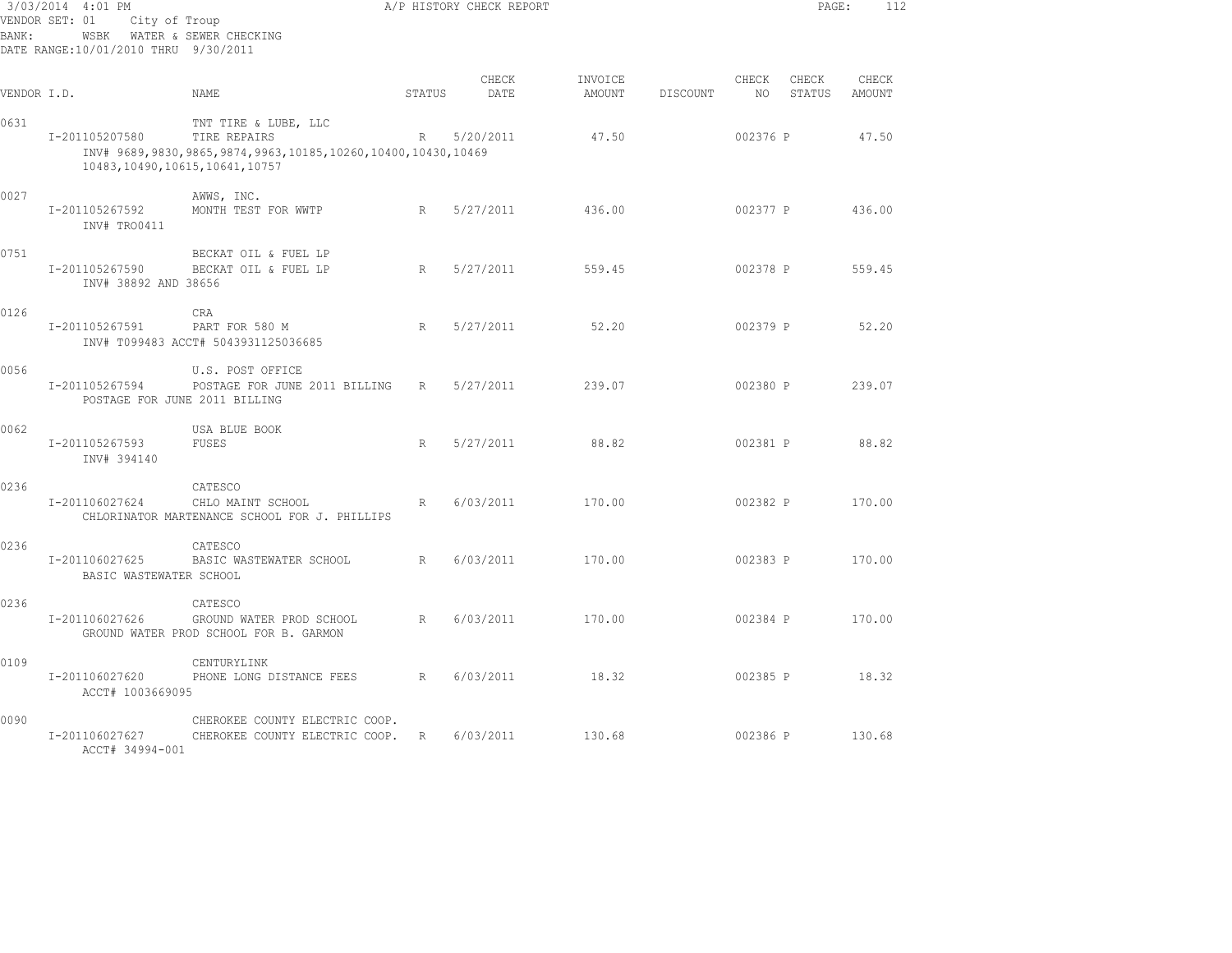| BANK:       | 3/03/2014 4:01 PM<br>VENDOR SET: 01<br>City of Troup<br>WSBK<br>DATE RANGE:10/01/2010 THRU 9/30/2011 | WATER & SEWER CHECKING                                                                                       |        | A/P HISTORY CHECK REPORT |                   |          |             | PAGE:           | 112             |
|-------------|------------------------------------------------------------------------------------------------------|--------------------------------------------------------------------------------------------------------------|--------|--------------------------|-------------------|----------|-------------|-----------------|-----------------|
| VENDOR I.D. |                                                                                                      | NAME                                                                                                         | STATUS | CHECK<br>DATE            | INVOICE<br>AMOUNT | DISCOUNT | CHECK<br>NO | CHECK<br>STATUS | CHECK<br>AMOUNT |
| 0631        | I-201105207580<br>10483, 10490, 10615, 10641, 10757                                                  | TNT TIRE & LUBE, LLC<br>TIRE REPAIRS<br>INV# 9689, 9830, 9865, 9874, 9963, 10185, 10260, 10400, 10430, 10469 | R      | 5/20/2011                | 47.50             |          | 002376 P    |                 | 47.50           |
| 0027        | I-201105267592<br>INV# TRO0411                                                                       | AWWS, INC.<br>MONTH TEST FOR WWTP                                                                            | R      | 5/27/2011                | 436.00            |          | 002377 P    |                 | 436.00          |
| 0751        | I-201105267590<br>INV# 38892 AND 38656                                                               | BECKAT OIL & FUEL LP<br>BECKAT OIL & FUEL LP                                                                 | R      | 5/27/2011                | 559.45            |          | 002378 P    |                 | 559.45          |
| 0126        | I-201105267591                                                                                       | <b>CRA</b><br>PART FOR 580 M<br>INV# T099483 ACCT# 5043931125036685                                          | R      | 5/27/2011                | 52.20             |          | 002379 P    |                 | 52.20           |
| 0056        | I-201105267594                                                                                       | U.S. POST OFFICE<br>POSTAGE FOR JUNE 2011 BILLING<br>POSTAGE FOR JUNE 2011 BILLING                           | R      | 5/27/2011                | 239.07            |          | 002380 P    |                 | 239.07          |
| 0062        | I-201105267593<br>INV# 394140                                                                        | USA BLUE BOOK<br>FUSES                                                                                       | R      | 5/27/2011                | 88.82             |          | 002381 P    |                 | 88.82           |
| 0236        | I-201106027624                                                                                       | CATESCO<br>CHLO MAINT SCHOOL<br>CHLORINATOR MARTENANCE SCHOOL FOR J. PHILLIPS                                | R      | 6/03/2011                | 170.00            |          | 002382 P    |                 | 170.00          |
| 0236        | I-201106027625<br>BASIC WASTEWATER SCHOOL                                                            | CATESCO<br>BASIC WASTEWATER SCHOOL                                                                           | R      | 6/03/2011                | 170.00            |          | 002383 P    |                 | 170.00          |
| 0236        | I-201106027626                                                                                       | CATESCO<br>GROUND WATER PROD SCHOOL<br>GROUND WATER PROD SCHOOL FOR B. GARMON                                | R      | 6/03/2011                | 170.00            |          | 002384 P    |                 | 170.00          |
| 0109        | I-201106027620<br>ACCT# 1003669095                                                                   | CENTURYLINK<br>PHONE LONG DISTANCE FEES                                                                      | R      | 6/03/2011                | 18.32             |          | 002385 P    |                 | 18.32           |
| 0090        | I-201106027627<br>ACCT# 34994-001                                                                    | CHEROKEE COUNTY ELECTRIC COOP.<br>CHEROKEE COUNTY ELECTRIC COOP.                                             | R      | 6/03/2011                | 130.68            |          | 002386 P    |                 | 130.68          |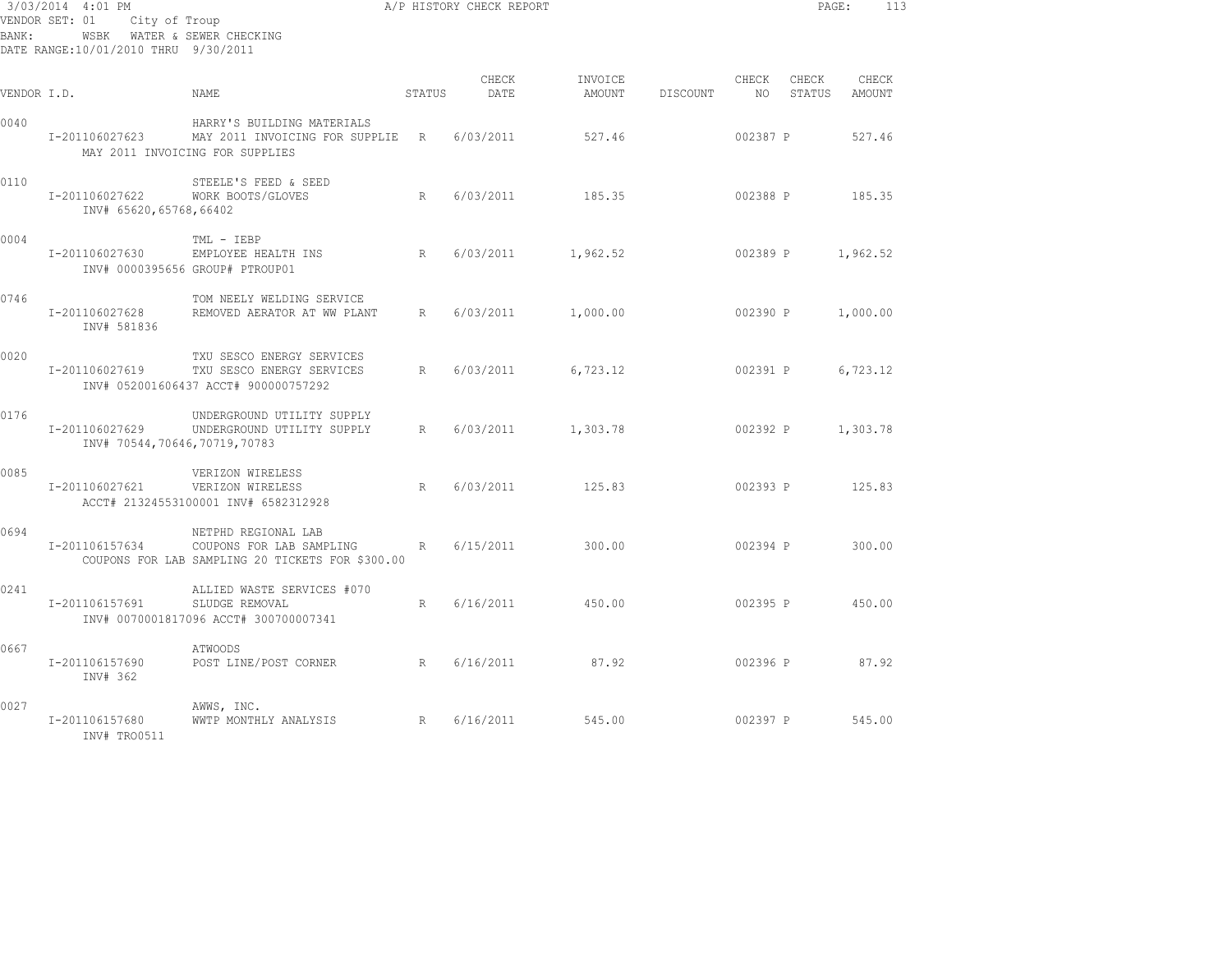| 3/03/2014 4:01 PM<br>VENDOR SET: 01<br>City of Troup<br>WSBK WATER & SEWER CHECKING<br>BANK:<br>DATE RANGE:10/01/2010 THRU 9/30/2011 |                                                |                                                                                                     |        | A/P HISTORY CHECK REPORT |                   |          |               | PAGE:           | 113             |
|--------------------------------------------------------------------------------------------------------------------------------------|------------------------------------------------|-----------------------------------------------------------------------------------------------------|--------|--------------------------|-------------------|----------|---------------|-----------------|-----------------|
| VENDOR I.D.                                                                                                                          |                                                | NAME.                                                                                               | STATUS | CHECK<br>DATE            | INVOICE<br>AMOUNT | DISCOUNT | CHECK<br>NO 1 | CHECK<br>STATUS | CHECK<br>AMOUNT |
| 0040                                                                                                                                 | I-201106027623                                 | HARRY'S BUILDING MATERIALS<br>MAY 2011 INVOICING FOR SUPPLIE R<br>MAY 2011 INVOICING FOR SUPPLIES   |        | 6/03/2011                | 527.46            |          | 002387 P      |                 | 527.46          |
| 0110                                                                                                                                 | I-201106027622<br>INV# 65620,65768,66402       | STEELE'S FEED & SEED<br>WORK BOOTS/GLOVES                                                           | R      | 6/03/2011                | 185.35            |          | 002388 P      |                 | 185.35          |
| 0004                                                                                                                                 | I-201106027630                                 | TML - IEBP<br>EMPLOYEE HEALTH INS<br>INV# 0000395656 GROUP# PTROUP01                                | R      | 6/03/2011                | 1,962.52          |          | 002389 P      |                 | 1,962.52        |
| 0746                                                                                                                                 | I-201106027628<br>INV# 581836                  | TOM NEELY WELDING SERVICE<br>REMOVED AERATOR AT WW PLANT                                            | R      | 6/03/2011                | 1,000.00          |          | 002390 P      |                 | 1,000.00        |
| 0020                                                                                                                                 | I-201106027619                                 | TXU SESCO ENERGY SERVICES<br>TXU SESCO ENERGY SERVICES<br>INV# 052001606437 ACCT# 900000757292      | R      | 6/03/2011                | 6,723.12          |          | 002391 P      |                 | 6,723.12        |
| 0176                                                                                                                                 | I-201106027629<br>INV# 70544,70646,70719,70783 | UNDERGROUND UTILITY SUPPLY<br>UNDERGROUND UTILITY SUPPLY                                            | R      | 6/03/2011                | 1,303.78          |          | 002392 P      |                 | 1,303.78        |
| 0085                                                                                                                                 | I-201106027621                                 | VERIZON WIRELESS<br>VERIZON WIRELESS<br>ACCT# 21324553100001 INV# 6582312928                        | R      | 6/03/2011                | 125.83            |          | 002393 P      |                 | 125.83          |
| 0694                                                                                                                                 | I-201106157634                                 | NETPHD REGIONAL LAB<br>COUPONS FOR LAB SAMPLING<br>COUPONS FOR LAB SAMPLING 20 TICKETS FOR \$300.00 | R      | 6/15/2011                | 300.00            |          | 002394 P      |                 | 300.00          |
| 0241                                                                                                                                 | I-201106157691                                 | ALLIED WASTE SERVICES #070<br>SLUDGE REMOVAL<br>INV# 0070001817096 ACCT# 300700007341               | R      | 6/16/2011                | 450.00            |          | 002395 P      |                 | 450.00          |
| 0667                                                                                                                                 | I-201106157690<br>INV# 362                     | ATWOODS<br>POST LINE/POST CORNER                                                                    |        | R 6/16/2011              | 87.92             |          | 002396 P      |                 | 87.92           |
| 0027                                                                                                                                 | I-201106157680<br>INV# TRO0511                 | AWWS, INC.<br>R<br>WWTP MONTHLY ANALYSIS                                                            |        | 6/16/2011                | 545.00            |          | 002397 P      |                 | 545.00          |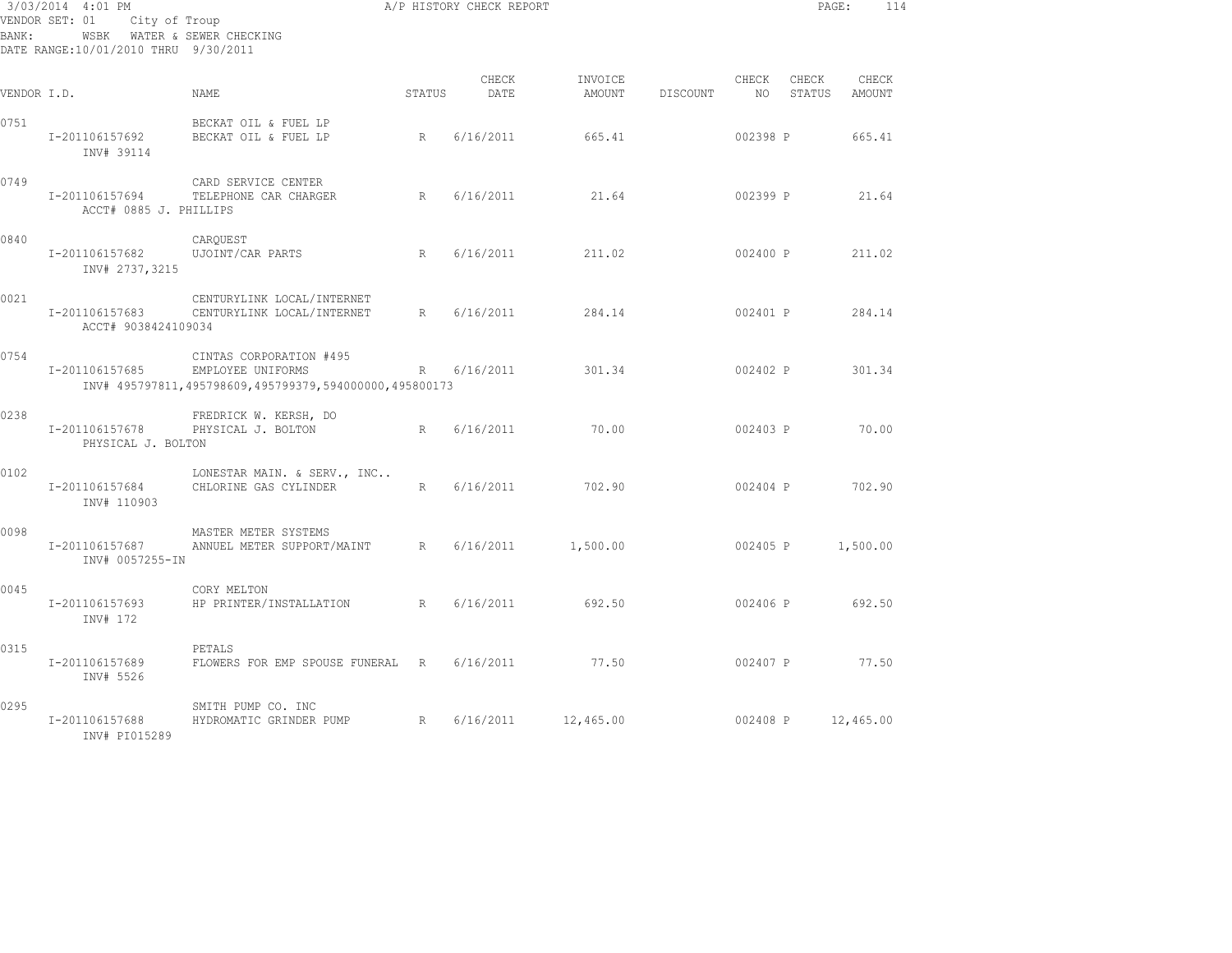| BANK:       | 3/03/2014 4:01 PM<br>City of Troup<br>VENDOR SET: 01<br>DATE RANGE:10/01/2010 THRU 9/30/2011 | WSBK WATER & SEWER CHECKING                                                                            |             | A/P HISTORY CHECK REPORT |                   |          |               | PAGE:             | 114             |
|-------------|----------------------------------------------------------------------------------------------|--------------------------------------------------------------------------------------------------------|-------------|--------------------------|-------------------|----------|---------------|-------------------|-----------------|
| VENDOR I.D. |                                                                                              | NAME                                                                                                   | STATUS      | CHECK<br>DATE            | INVOICE<br>AMOUNT | DISCOUNT | CHECK<br>NO 1 | CHECK<br>STATUS   | CHECK<br>AMOUNT |
| 0751        | I-201106157692<br>INV# 39114                                                                 | BECKAT OIL & FUEL LP<br>BECKAT OIL & FUEL LP                                                           | $R_{\odot}$ | 6/16/2011                | 665.41            |          | 002398 P      |                   | 665.41          |
| 0749        | I-201106157694<br>ACCT# 0885 J. PHILLIPS                                                     | CARD SERVICE CENTER<br>TELEPHONE CAR CHARGER                                                           | R           | 6/16/2011                | 21.64             |          | 002399 P      |                   | 21.64           |
| 0840        | I-201106157682<br>INV# 2737,3215                                                             | CARQUEST<br>UJOINT/CAR PARTS                                                                           | R           | 6/16/2011                | 211.02            |          | 002400 P      |                   | 211.02          |
| 0021        | I-201106157683<br>ACCT# 9038424109034                                                        | CENTURYLINK LOCAL/INTERNET<br>CENTURYLINK LOCAL/INTERNET                                               | R           | 6/16/2011                | 284.14            |          | 002401 P      |                   | 284.14          |
| 0754        | I-201106157685                                                                               | CINTAS CORPORATION #495<br>EMPLOYEE UNIFORMS<br>INV# 495797811,495798609,495799379,594000000,495800173 | R           | 6/16/2011                | 301.34            |          | 002402 P      |                   | 301.34          |
| 0238        | I-201106157678<br>PHYSICAL J. BOLTON                                                         | FREDRICK W. KERSH, DO<br>PHYSICAL J. BOLTON                                                            | R           | 6/16/2011                | 70.00             |          | 002403 P      |                   | 70.00           |
| 0102        | I-201106157684<br>INV# 110903                                                                | LONESTAR MAIN. & SERV., INC<br>CHLORINE GAS CYLINDER                                                   | R           | 6/16/2011                | 702.90            |          | 002404 P      |                   | 702.90          |
| 0098        | I-201106157687<br>INV# 0057255-IN                                                            | MASTER METER SYSTEMS<br>ANNUEL METER SUPPORT/MAINT                                                     | R           | 6/16/2011                | 1,500.00          |          |               | 002405 P 1,500.00 |                 |
| 0045        | I-201106157693<br>INV# 172                                                                   | CORY MELTON<br>HP PRINTER/INSTALLATION                                                                 | R           | 6/16/2011                | 692.50            |          | 002406 P      |                   | 692.50          |
| 0315        | I-201106157689<br>INV# 5526                                                                  | PETALS<br>FLOWERS FOR EMP SPOUSE FUNERAL R 6/16/2011                                                   |             |                          | 77.50             |          | 002407 P      |                   | 77.50           |
| 0295        | I-201106157688<br>INV# PI015289                                                              | SMITH PUMP CO. INC<br>HYDROMATIC GRINDER PUMP                                                          | R           | 6/16/2011                | 12,465.00         |          | 002408 P      |                   | 12,465.00       |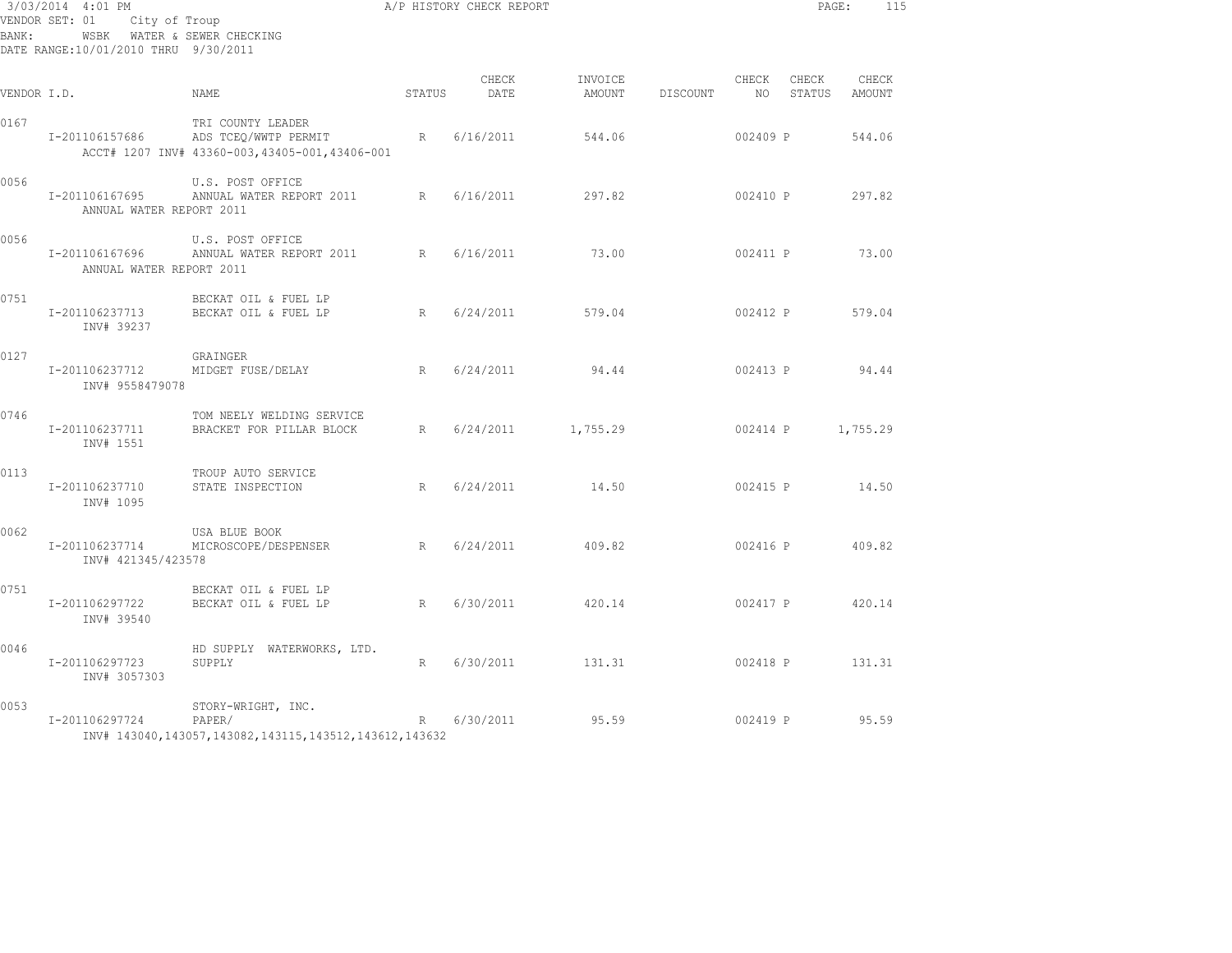| BANK:       | 3/03/2014 4:01 PM<br>VENDOR SET: 01<br>City of Troup<br>WSBK WATER & SEWER CHECKING<br>DATE RANGE:10/01/2010 THRU 9/30/2011 |                                                                                              |             | A/P HISTORY CHECK REPORT |                   |          |               | PAGE:           | 115             |  |
|-------------|-----------------------------------------------------------------------------------------------------------------------------|----------------------------------------------------------------------------------------------|-------------|--------------------------|-------------------|----------|---------------|-----------------|-----------------|--|
| VENDOR I.D. |                                                                                                                             | NAME                                                                                         | STATUS      | CHECK<br>DATE            | INVOICE<br>AMOUNT | DISCOUNT | CHECK<br>NO . | CHECK<br>STATUS | CHECK<br>AMOUNT |  |
| 0167        | I-201106157686                                                                                                              | TRI COUNTY LEADER<br>ADS TCEQ/WWTP PERMIT<br>ACCT# 1207 INV# 43360-003, 43405-001, 43406-001 | $R_{\odot}$ | 6/16/2011                | 544.06            |          | 002409 P      |                 | 544.06          |  |
| 0056        | I-201106167695<br>ANNUAL WATER REPORT 2011                                                                                  | U.S. POST OFFICE<br>ANNUAL WATER REPORT 2011 R                                               |             | 6/16/2011                | 297.82            |          | 002410 P      |                 | 297.82          |  |
| 0056        | I-201106167696<br>ANNUAL WATER REPORT 2011                                                                                  | U.S. POST OFFICE<br>ANNUAL WATER REPORT 2011                                                 | R           | 6/16/2011                | 73.00             |          | 002411 P      |                 | 73.00           |  |
| 0751        | I-201106237713<br>INV# 39237                                                                                                | BECKAT OIL & FUEL LP<br>BECKAT OIL & FUEL LP                                                 | R           | 6/24/2011                | 579.04            |          | 002412 P      |                 | 579.04          |  |
| 0127        | I-201106237712<br>INV# 9558479078                                                                                           | GRAINGER<br>MIDGET FUSE/DELAY                                                                | R           | 6/24/2011                | 94.44             |          | 002413 P      |                 | 94.44           |  |
| 0746        | I-201106237711<br>INV# 1551                                                                                                 | TOM NEELY WELDING SERVICE<br>BRACKET FOR PILLAR BLOCK                                        | R           | 6/24/2011                | 1,755.29          |          | 002414 P      |                 | 1,755.29        |  |
| 0113        | I-201106237710<br>INV# 1095                                                                                                 | TROUP AUTO SERVICE<br>STATE INSPECTION                                                       | R           | 6/24/2011                | 14.50             |          | 002415 P      |                 | 14.50           |  |
| 0062        | I-201106237714<br>INV# 421345/423578                                                                                        | USA BLUE BOOK<br>MICROSCOPE/DESPENSER                                                        | R           | 6/24/2011                | 409.82            |          | 002416 P      |                 | 409.82          |  |
| 0751        | I-201106297722<br>INV# 39540                                                                                                | BECKAT OIL & FUEL LP<br>BECKAT OIL & FUEL LP                                                 | R           | 6/30/2011                | 420.14            |          | 002417 P      |                 | 420.14          |  |
| 0046        | I-201106297723<br>INV# 3057303                                                                                              | HD SUPPLY WATERWORKS, LTD.<br>SUPPLY                                                         | R           | 6/30/2011                | 131.31            |          | 002418 P      |                 | 131.31          |  |
| 0053        | I-201106297724                                                                                                              | STORY-WRIGHT, INC.<br>PAPER/<br>INV# 143040,143057,143082,143115,143512,143612,143632        | R           | 6/30/2011                | 95.59             |          | 002419 P      |                 | 95.59           |  |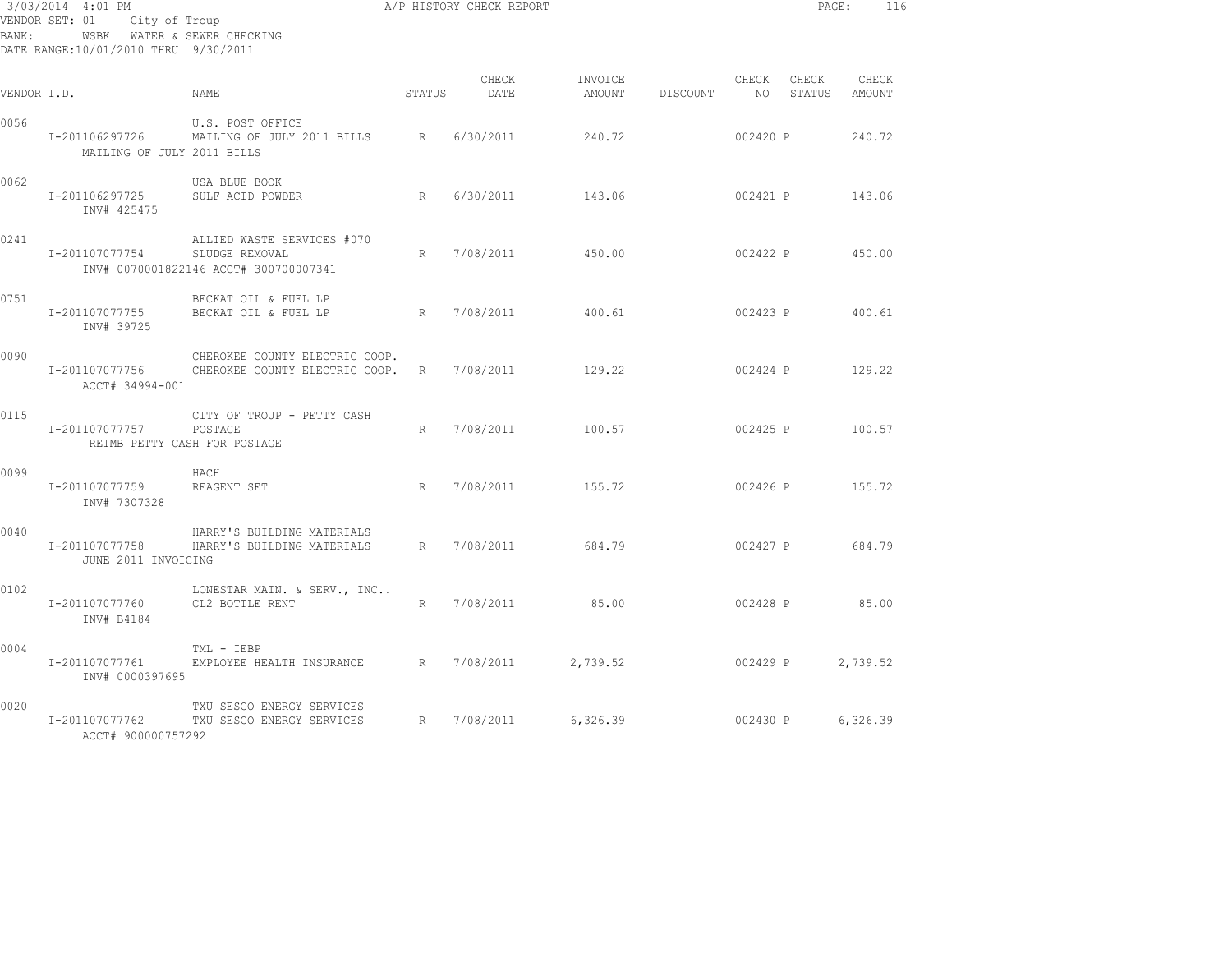| BANK:       | 3/03/2014 4:01 PM<br>VENDOR SET: 01<br>City of Troup<br>DATE RANGE:10/01/2010 THRU 9/30/2011 | WSBK WATER & SEWER CHECKING                                                           |        | A/P HISTORY CHECK REPORT |                   |          |                | PAGE:           | 116             |
|-------------|----------------------------------------------------------------------------------------------|---------------------------------------------------------------------------------------|--------|--------------------------|-------------------|----------|----------------|-----------------|-----------------|
| VENDOR I.D. |                                                                                              | NAME                                                                                  | STATUS | CHECK<br>DATE            | INVOICE<br>AMOUNT | DISCOUNT | CHECK<br>NO 11 | CHECK<br>STATUS | CHECK<br>AMOUNT |
| 0056        | I-201106297726<br>MAILING OF JULY 2011 BILLS                                                 | U.S. POST OFFICE<br>MAILING OF JULY 2011 BILLS                                        | R      | 6/30/2011                | 240.72            |          | 002420 P       |                 | 240.72          |
| 0062        | I-201106297725<br>INV# 425475                                                                | USA BLUE BOOK<br>SULF ACID POWDER                                                     | R      | 6/30/2011                | 143.06            |          | 002421 P       |                 | 143.06          |
| 0241        | I-201107077754                                                                               | ALLIED WASTE SERVICES #070<br>SLUDGE REMOVAL<br>INV# 0070001822146 ACCT# 300700007341 | R      | 7/08/2011                | 450.00            |          | 002422 P       |                 | 450.00          |
| 0751        | I-201107077755<br>INV# 39725                                                                 | BECKAT OIL & FUEL LP<br>BECKAT OIL & FUEL LP                                          | R      | 7/08/2011                | 400.61            |          | 002423 P       |                 | 400.61          |
| 0090        | I-201107077756<br>ACCT# 34994-001                                                            | CHEROKEE COUNTY ELECTRIC COOP.<br>CHEROKEE COUNTY ELECTRIC COOP.                      | R      | 7/08/2011                | 129.22            |          | 002424 P       |                 | 129.22          |
| 0115        | I-201107077757                                                                               | CITY OF TROUP - PETTY CASH<br>POSTAGE<br>REIMB PETTY CASH FOR POSTAGE                 | R      | 7/08/2011                | 100.57            |          |                | 002425 P        | 100.57          |
| 0099        | I-201107077759<br>INV# 7307328                                                               | HACH<br>REAGENT SET                                                                   | R      | 7/08/2011                | 155.72            |          |                | 002426 P 155.72 |                 |
| 0040        | I-201107077758<br>JUNE 2011 INVOICING                                                        | HARRY'S BUILDING MATERIALS<br>HARRY'S BUILDING MATERIALS                              | R      | 7/08/2011                | 684.79            |          |                | 002427 P        | 684.79          |
| 0102        | I-201107077760<br>INV# B4184                                                                 | LONESTAR MAIN. & SERV., INC<br>CL2 BOTTLE RENT                                        | R      | 7/08/2011                | 85.00             |          |                | 002428 P        | 85.00           |
| 0004        | I-201107077761<br>INV# 0000397695                                                            | TML - IEBP<br>EMPLOYEE HEALTH INSURANCE R 7/08/2011                                   |        |                          | 2,739.52          |          | 002429 P       |                 | 2,739.52        |
| 0020        | I-201107077762<br>ACCT# 900000757292                                                         | TXU SESCO ENERGY SERVICES<br>TXU SESCO ENERGY SERVICES                                | R      | 7/08/2011                | 6,326.39          |          | 002430 P       |                 | 6,326.39        |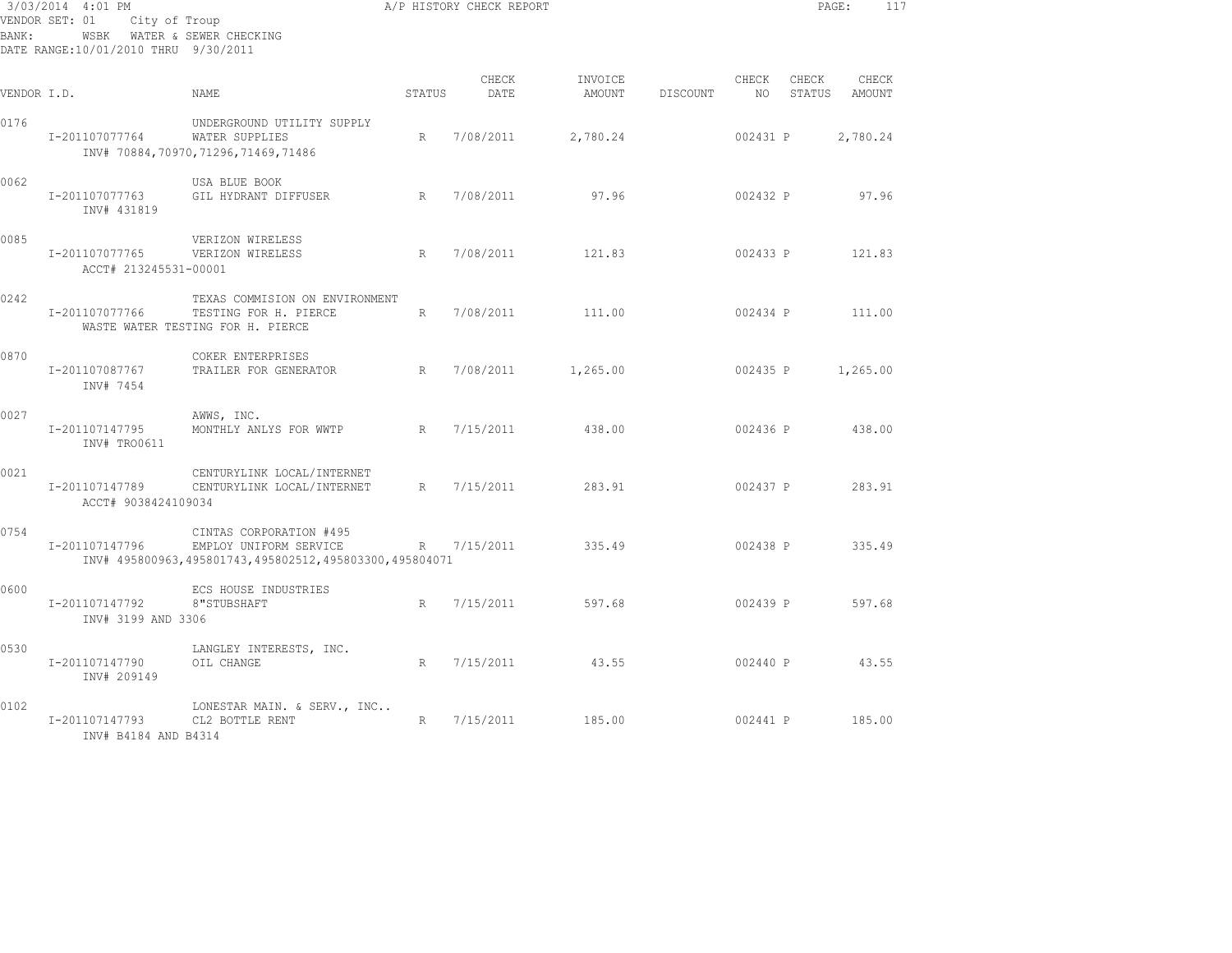| BANK:       | 3/03/2014 4:01 PM<br>VENDOR SET: 01<br>City of Troup<br>DATE RANGE:10/01/2010 THRU 9/30/2011 | WSBK WATER & SEWER CHECKING                                                                                 |        | A/P HISTORY CHECK REPORT |                   |          |                |                 | PAGE:<br>117    |
|-------------|----------------------------------------------------------------------------------------------|-------------------------------------------------------------------------------------------------------------|--------|--------------------------|-------------------|----------|----------------|-----------------|-----------------|
| VENDOR I.D. |                                                                                              | NAME.                                                                                                       | STATUS | CHECK<br>DATE            | INVOICE<br>AMOUNT | DISCOUNT | CHECK<br>NO 11 | CHECK<br>STATUS | CHECK<br>AMOUNT |
| 0176        | I-201107077764                                                                               | UNDERGROUND UTILITY SUPPLY<br>WATER SUPPLIES<br>INV# 70884,70970,71296,71469,71486                          | R      | 7/08/2011                | 2,780.24          |          | 002431 P       |                 | 2,780.24        |
| 0062        | I-201107077763<br>INV# 431819                                                                | USA BLUE BOOK<br>GIL HYDRANT DIFFUSER                                                                       | R      | 7/08/2011                | 97.96             |          | 002432 P       |                 | 97.96           |
| 0085        | I-201107077765<br>ACCT# 213245531-00001                                                      | VERIZON WIRELESS<br>VERIZON WIRELESS                                                                        | R      | 7/08/2011                | 121.83            |          | 002433 P       |                 | 121.83          |
| 0242        | I-201107077766                                                                               | TEXAS COMMISION ON ENVIRONMENT<br>TESTING FOR H. PIERCE<br>WASTE WATER TESTING FOR H. PIERCE                | R      | 7/08/2011                | 111.00            |          | 002434 P       |                 | 111.00          |
| 0870        | I-201107087767<br>INV# 7454                                                                  | COKER ENTERPRISES<br>TRAILER FOR GENERATOR                                                                  | R      | 7/08/2011                | 1,265.00          |          | 002435 P       |                 | 1,265.00        |
| 0027        | I-201107147795<br>INV# TRO0611                                                               | AWWS, INC.<br>MONTHLY ANLYS FOR WWTP                                                                        | R      | 7/15/2011                | 438.00            |          | 002436 P       |                 | 438.00          |
| 0021        | I-201107147789<br>ACCT# 9038424109034                                                        | CENTURYLINK LOCAL/INTERNET<br>CENTURYLINK LOCAL/INTERNET                                                    | R      | 7/15/2011                | 283.91            |          | 002437 P       |                 | 283.91          |
| 0754        | I-201107147796                                                                               | CINTAS CORPORATION #495<br>EMPLOY UNIFORM SERVICE<br>INV# 495800963,495801743,495802512,495803300,495804071 |        | R 7/15/2011              | 335.49            |          | 002438 P       |                 | 335.49          |
| 0600        | I-201107147792<br>INV# 3199 AND 3306                                                         | ECS HOUSE INDUSTRIES<br>8"STUBSHAFT                                                                         | R      | 7/15/2011                | 597.68            |          | 002439 P       |                 | 597.68          |
| 0530        | I-201107147790<br>INV# 209149                                                                | LANGLEY INTERESTS, INC.<br>OIL CHANGE                                                                       | R      | 7/15/2011                | 43.55             |          | 002440 P       |                 | 43.55           |
| 0102        | I-201107147793<br>INV# B4184 AND B4314                                                       | LONESTAR MAIN. & SERV., INC<br>CL2 BOTTLE RENT                                                              | R      | 7/15/2011                | 185.00            |          | 002441 P       |                 | 185.00          |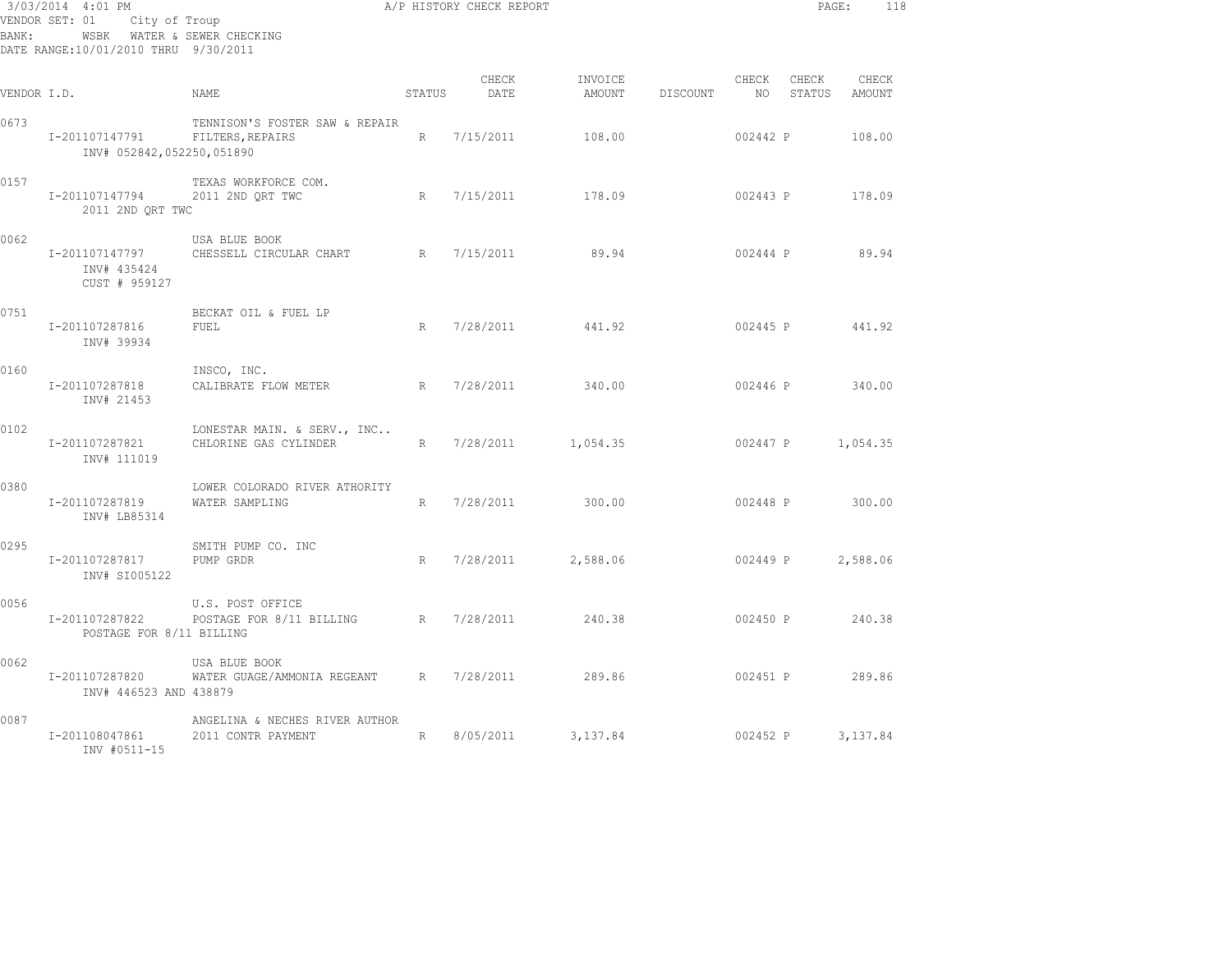| 3/03/2014 4:01 PM<br>VENDOR SET: 01<br>City of Troup<br>WSBK WATER & SEWER CHECKING<br>BANK:<br>DATE RANGE:10/01/2010 THRU 9/30/2011 |                                                |                                                      |        | A/P HISTORY CHECK REPORT |                   |                 |               |                 | PAGE:           | 118 |
|--------------------------------------------------------------------------------------------------------------------------------------|------------------------------------------------|------------------------------------------------------|--------|--------------------------|-------------------|-----------------|---------------|-----------------|-----------------|-----|
| VENDOR I.D.                                                                                                                          |                                                | <b>NAME</b>                                          | STATUS | CHECK<br>DATE            | INVOICE<br>AMOUNT | <b>DISCOUNT</b> | CHECK<br>NO . | CHECK<br>STATUS | CHECK<br>AMOUNT |     |
| 0673                                                                                                                                 | I-201107147791<br>INV# 052842,052250,051890    | TENNISON'S FOSTER SAW & REPAIR<br>FILTERS, REPAIRS   | R      | 7/15/2011                | 108.00            |                 | 002442 P      |                 | 108.00          |     |
| 0157                                                                                                                                 | I-201107147794<br>2011 2ND QRT TWC             | TEXAS WORKFORCE COM.<br>2011 2ND QRT TWC             | R      | 7/15/2011                | 178.09            |                 | 002443 P      |                 | 178.09          |     |
| 0062                                                                                                                                 | I-201107147797<br>INV# 435424<br>CUST # 959127 | USA BLUE BOOK<br>CHESSELL CIRCULAR CHART             | R      | 7/15/2011                | 89.94             |                 | 002444 P      |                 | 89.94           |     |
| 0751                                                                                                                                 | I-201107287816<br>INV# 39934                   | BECKAT OIL & FUEL LP<br>FUEL                         | R      | 7/28/2011                | 441.92            |                 | 002445 P      |                 | 441.92          |     |
| 0160                                                                                                                                 | I-201107287818<br>INV# 21453                   | INSCO, INC.<br>CALIBRATE FLOW METER                  | R      | 7/28/2011                | 340.00            |                 | 002446 P      |                 | 340.00          |     |
| 0102                                                                                                                                 | I-201107287821<br>INV# 111019                  | LONESTAR MAIN. & SERV., INC<br>CHLORINE GAS CYLINDER | R      | 7/28/2011                | 1,054.35          |                 | 002447 P      |                 | 1,054.35        |     |
| 0380                                                                                                                                 | I-201107287819<br>INV# LB85314                 | LOWER COLORADO RIVER ATHORITY<br>WATER SAMPLING      | R      | 7/28/2011                | 300.00            |                 | 002448 P      |                 | 300.00          |     |
| 0295                                                                                                                                 | I-201107287817<br>INV# SI005122                | SMITH PUMP CO. INC<br>PUMP GRDR                      | R      | 7/28/2011                | 2,588.06          |                 | 002449 P      |                 | 2,588.06        |     |
| 0056                                                                                                                                 | I-201107287822<br>POSTAGE FOR 8/11 BILLING     | U.S. POST OFFICE<br>POSTAGE FOR 8/11 BILLING         | R      | 7/28/2011                | 240.38            |                 | 002450 P      |                 | 240.38          |     |
| 0062                                                                                                                                 | I-201107287820<br>INV# 446523 AND 438879       | USA BLUE BOOK<br>WATER GUAGE/AMMONIA REGEANT         | R      | 7/28/2011                | 289.86            |                 |               | 002451 P        | 289.86          |     |
| 0087                                                                                                                                 | I-201108047861<br>INV #0511-15                 | ANGELINA & NECHES RIVER AUTHOR<br>2011 CONTR PAYMENT | R      | 8/05/2011                | 3,137.84          |                 | 002452 P      |                 | 3,137.84        |     |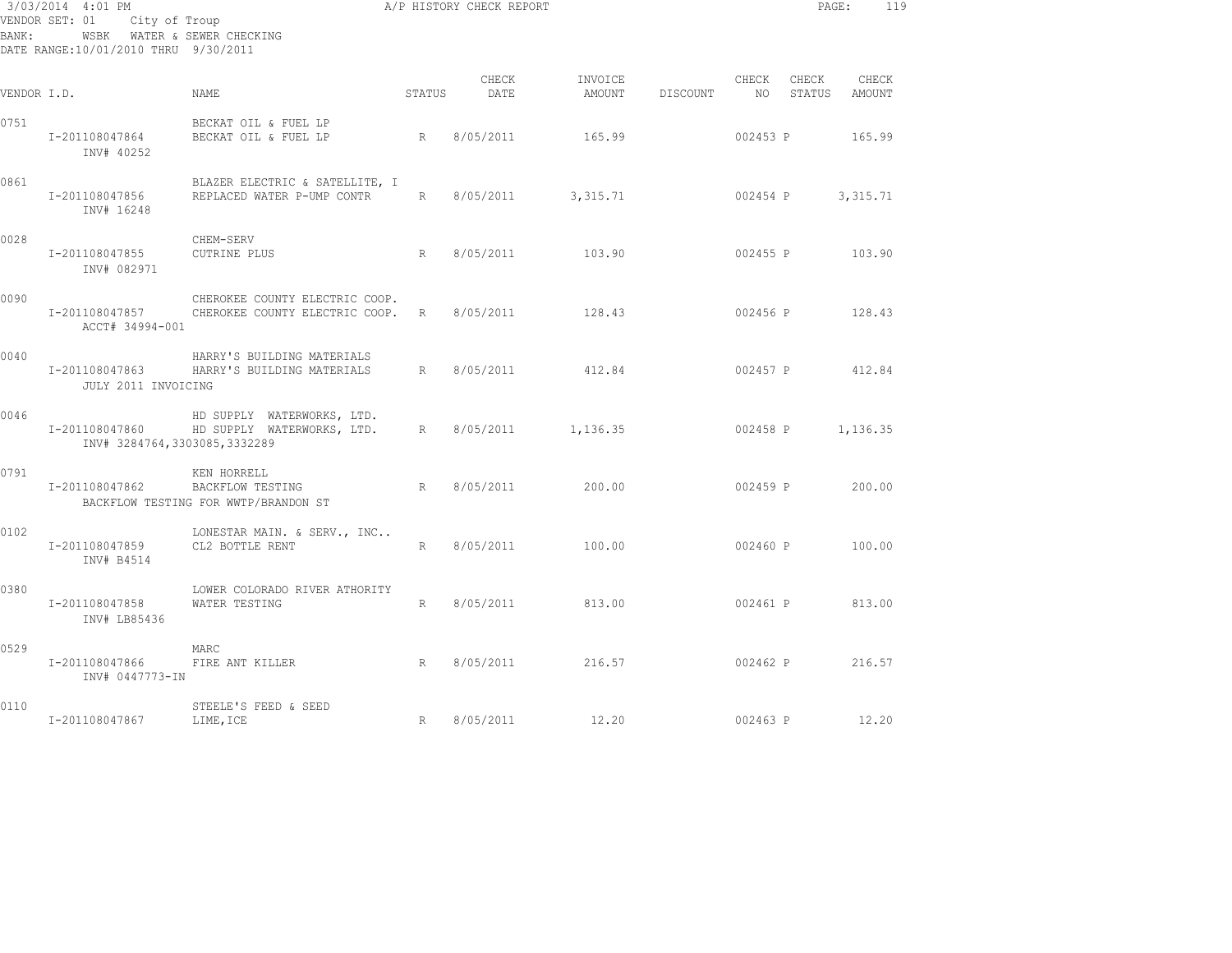| BANK:       | 3/03/2014 4:01 PM<br>VENDOR SET: 01 City of Troup<br>WSBK WATER & SEWER CHECKING<br>DATE RANGE:10/01/2010 THRU 9/30/2011 |                                                                                   |                 | A/P HISTORY CHECK REPORT |                   |             |          |                 | PAGE:<br>119      |  |
|-------------|--------------------------------------------------------------------------------------------------------------------------|-----------------------------------------------------------------------------------|-----------------|--------------------------|-------------------|-------------|----------|-----------------|-------------------|--|
| VENDOR I.D. |                                                                                                                          | NAME                                                                              | STATUS          | CHECK<br>DATE            | INVOICE<br>AMOUNT | DISCOUNT NO | CHECK    | CHECK<br>STATUS | CHECK<br>AMOUNT   |  |
| 0751        | I-201108047864<br>INV# 40252                                                                                             | BECKAT OIL & FUEL LP<br>BECKAT OIL & FUEL LP                                      |                 | R 8/05/2011              | 165.99            |             | 002453 P |                 | 165.99            |  |
| 0861        | I-201108047856<br>INV# 16248                                                                                             | BLAZER ELECTRIC & SATELLITE, I<br>REPLACED WATER P-UMP CONTR                      | R               | 8/05/2011                | 3,315.71          |             | 002454 P |                 | 3,315.71          |  |
| 0028        | I-201108047855<br>INV# 082971                                                                                            | CHEM-SERV<br><b>CUTRINE PLUS</b>                                                  | R               | 8/05/2011                | 103.90            |             |          |                 | 002455 P 103.90   |  |
| 0090        | ACCT# 34994-001                                                                                                          | CHEROKEE COUNTY ELECTRIC COOP.<br>I-201108047857 CHEROKEE COUNTY ELECTRIC COOP. R |                 | 8/05/2011                | 128.43            |             |          |                 | 002456 P 128.43   |  |
| 0040        | JULY 2011 INVOICING                                                                                                      | HARRY'S BUILDING MATERIALS<br>I-201108047863 HARRY'S BUILDING MATERIALS           | R               | 8/05/2011                | 412.84            |             |          |                 | 002457 P 412.84   |  |
| 0046        | I-201108047860<br>INV# 3284764,3303085,3332289                                                                           | HD SUPPLY WATERWORKS, LTD.<br>HD SUPPLY WATERWORKS, LTD.                          | R               | 8/05/2011                | 1,136.35          |             |          |                 | 002458 P 1,136.35 |  |
| 0791        | I-201108047862 BACKFLOW TESTING                                                                                          | KEN HORRELL<br>BACKFLOW TESTING FOR WWTP/BRANDON ST                               | R               | 8/05/2011                | 200.00            |             | 002459 P |                 | 200.00            |  |
| 0102        | I-201108047859<br>INV# B4514                                                                                             | LONESTAR MAIN. & SERV., INC<br>CL2 BOTTLE RENT                                    | R               | 8/05/2011                | 100.00            |             | 002460 P |                 | 100.00            |  |
| 0380        | I-201108047858 WATER TESTING<br>INV# LB85436                                                                             | LOWER COLORADO RIVER ATHORITY                                                     | R               | 8/05/2011                | 813.00            |             | 002461 P |                 | 813.00            |  |
| 0529        | I-201108047866<br>INV# 0447773-IN                                                                                        | MARC<br>FIRE ANT KILLER<br>R                                                      |                 | 8/05/2011                | 216.57            |             |          |                 | 002462 P 216.57   |  |
| 0110        | I-201108047867                                                                                                           | STEELE'S FEED & SEED<br>LIME, ICE                                                 | $R_{\parallel}$ | 8/05/2011                | 12.20             |             | 002463 P |                 | 12.20             |  |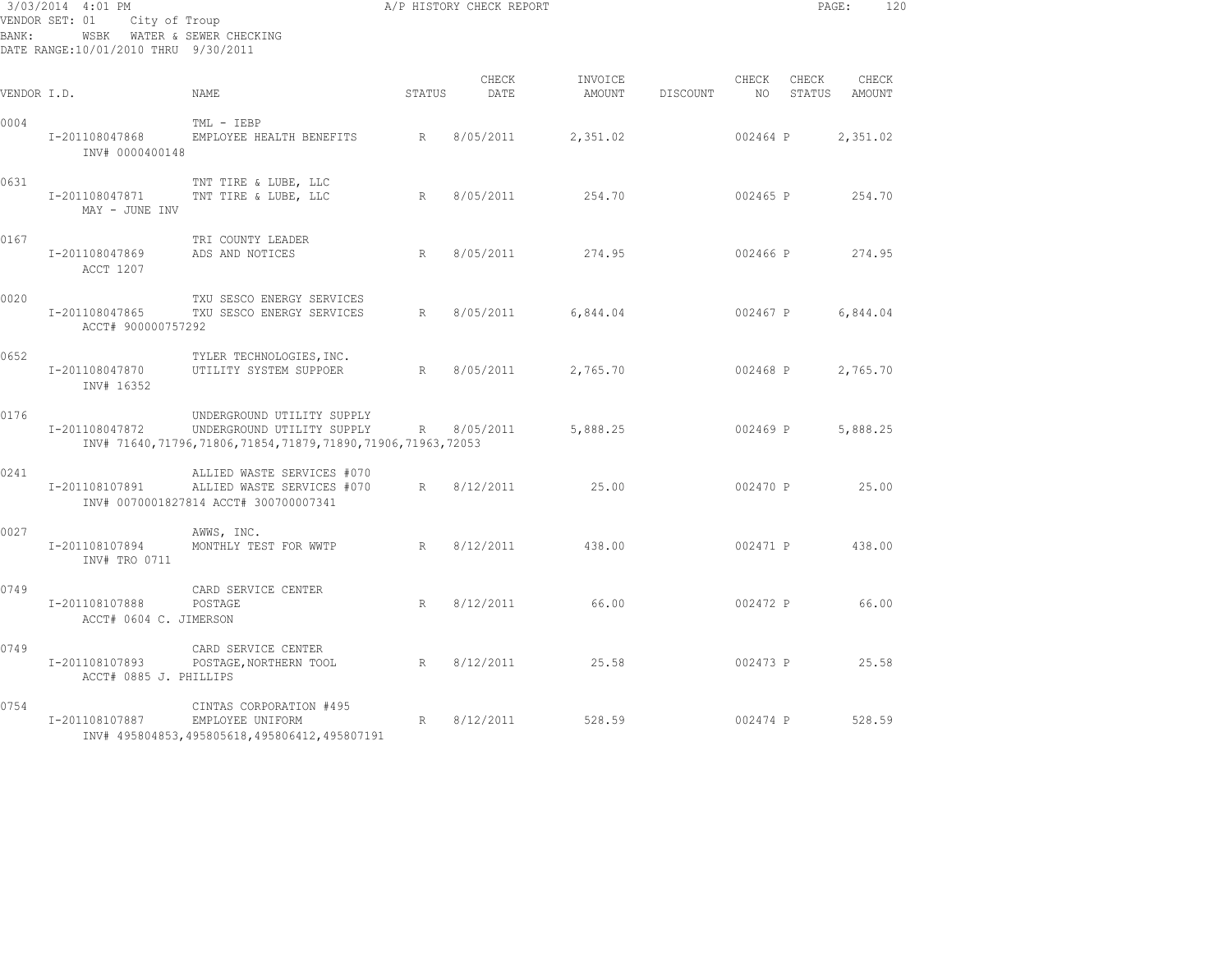| BANK:       | 3/03/2014 4:01 PM<br>VENDOR SET: 01<br>City of Troup<br>WSBK WATER & SEWER CHECKING<br>DATE RANGE:10/01/2010 THRU 9/30/2011 |                                                                                                                        |             | A/P HISTORY CHECK REPORT |                   |          |                |       | PAGE:<br>120           |
|-------------|-----------------------------------------------------------------------------------------------------------------------------|------------------------------------------------------------------------------------------------------------------------|-------------|--------------------------|-------------------|----------|----------------|-------|------------------------|
| VENDOR I.D. |                                                                                                                             | NAME                                                                                                                   | STATUS      | CHECK<br>DATE            | INVOICE<br>AMOUNT | DISCOUNT | CHECK<br>NO 11 | CHECK | CHECK<br>STATUS AMOUNT |
| 0004        | I-201108047868<br>INV# 0000400148                                                                                           | TML - IEBP<br>EMPLOYEE HEALTH BENEFITS                                                                                 | R           | 8/05/2011                | 2,351.02          |          | 002464 P       |       | 2,351.02               |
| 0631        | I-201108047871<br>MAY - JUNE INV                                                                                            | TNT TIRE & LUBE, LLC<br>TNT TIRE & LUBE, LLC                                                                           | $R_{\odot}$ | 8/05/2011                | 254.70            |          | 002465 P       |       | 254.70                 |
| 0167        | I-201108047869<br>ACCT 1207                                                                                                 | TRI COUNTY LEADER<br>ADS AND NOTICES                                                                                   | $R_{\perp}$ | 8/05/2011                | 274.95            |          | 002466 P       |       | 274.95                 |
| 0020        | I-201108047865<br>ACCT# 900000757292                                                                                        | TXU SESCO ENERGY SERVICES<br>TXU SESCO ENERGY SERVICES                                                                 | R           | 8/05/2011                | 6,844.04          |          | 002467 P       |       | 6,844.04               |
| 0652        | I-201108047870<br>INV# 16352                                                                                                | TYLER TECHNOLOGIES, INC.<br>UTILITY SYSTEM SUPPOER                                                                     | R           | 8/05/2011                | 2,765.70          |          | 002468 P       |       | 2,765.70               |
| 0176        | I-201108047872                                                                                                              | UNDERGROUND UTILITY SUPPLY<br>UNDERGROUND UTILITY SUPPLY<br>INV# 71640,71796,71806,71854,71879,71890,71906,71963,72053 | R           | 8/05/2011                | 5,888.25          |          | 002469 P       |       | 5,888.25               |
| 0241        | I-201108107891                                                                                                              | ALLIED WASTE SERVICES #070<br>ALLIED WASTE SERVICES #070<br>INV# 0070001827814 ACCT# 300700007341                      | R           | 8/12/2011                | 25.00             |          | 002470 P       |       | 25.00                  |
| 0027        | I-201108107894<br>INV# TRO 0711                                                                                             | AWWS, INC.<br>MONTHLY TEST FOR WWTP                                                                                    |             | R 8/12/2011 438.00       |                   |          | 002471 P       |       | 438.00                 |
| 0749        | I-201108107888<br>ACCT# 0604 C. JIMERSON                                                                                    | CARD SERVICE CENTER<br>POSTAGE                                                                                         | R           | 8/12/2011                | 66.00             |          | 002472 P       |       | 66.00                  |
| 0749        | I-201108107893<br>ACCT# 0885 J. PHILLIPS                                                                                    | CARD SERVICE CENTER<br>POSTAGE, NORTHERN TOOL                                                                          |             | R 8/12/2011              | 25.58             |          | 002473 P       |       | 25.58                  |
| 0754        | I-201108107887                                                                                                              | CINTAS CORPORATION #495<br>EMPLOYEE UNIFORM<br>INV# 495804853,495805618,495806412,495807191                            | $R_{\perp}$ | 8/12/2011                | 528.59            |          | 002474 P       |       | 528.59                 |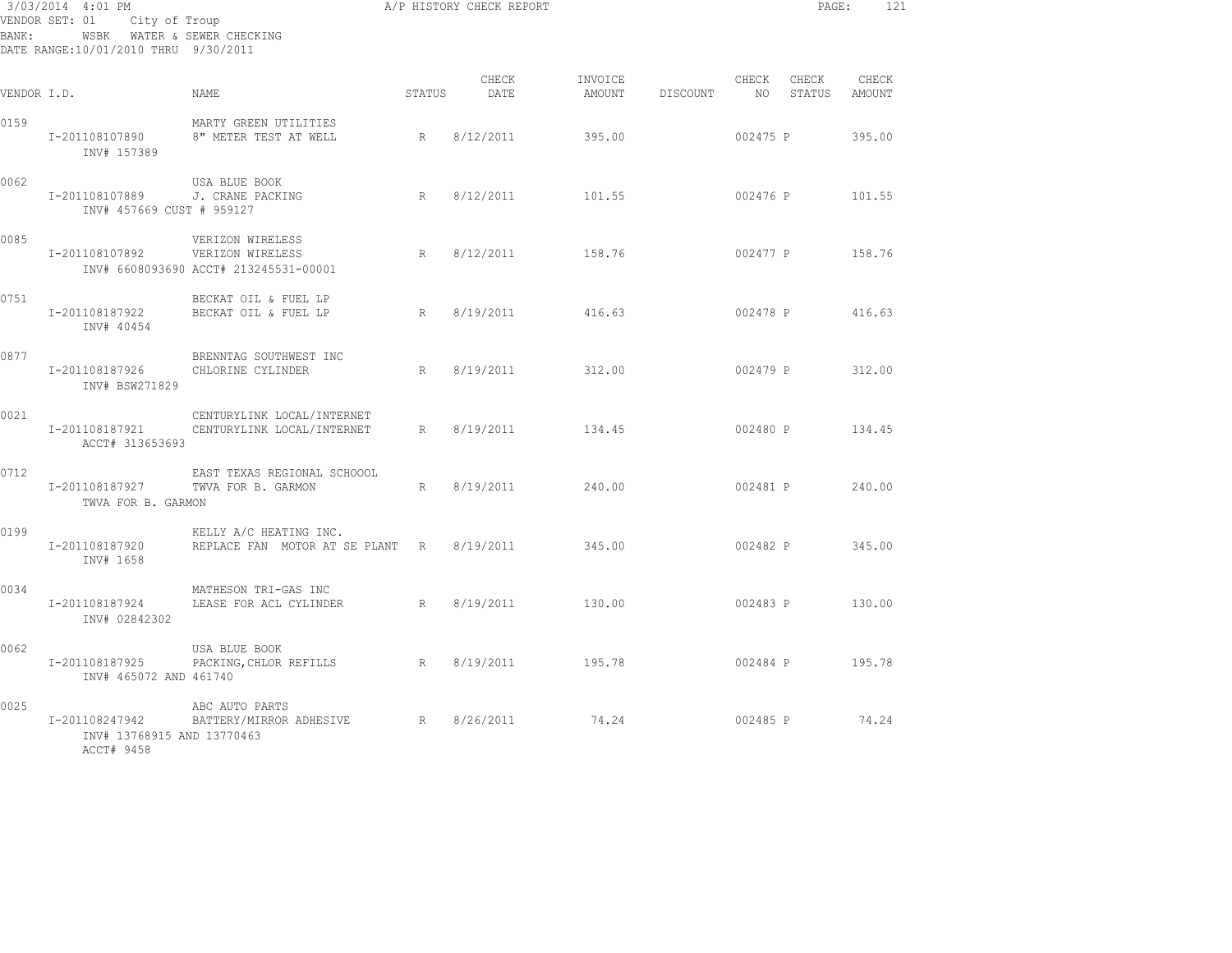| BANK:       | 3/03/2014 4:01 PM<br>VENDOR SET: 01<br>City of Troup<br>WSBK WATER & SEWER CHECKING<br>DATE RANGE:10/01/2010 THRU 9/30/2011 |                                                                               |             | A/P HISTORY CHECK REPORT |                   |          |             | PAGE:           | 121             |
|-------------|-----------------------------------------------------------------------------------------------------------------------------|-------------------------------------------------------------------------------|-------------|--------------------------|-------------------|----------|-------------|-----------------|-----------------|
| VENDOR I.D. |                                                                                                                             | NAME                                                                          | STATUS      | CHECK<br>DATE            | INVOICE<br>AMOUNT | DISCOUNT | CHECK<br>NO | CHECK<br>STATUS | CHECK<br>AMOUNT |
| 0159        | I-201108107890<br>INV# 157389                                                                                               | MARTY GREEN UTILITIES<br>8" METER TEST AT WELL                                | $R_{\perp}$ | 8/12/2011                | 395.00            |          | 002475 P    |                 | 395.00          |
| 0062        | I-201108107889<br>INV# 457669 CUST # 959127                                                                                 | USA BLUE BOOK<br>J. CRANE PACKING                                             | R           | 8/12/2011                | 101.55            |          | 002476 P    |                 | 101.55          |
| 0085        | I-201108107892                                                                                                              | VERIZON WIRELESS<br>VERIZON WIRELESS<br>INV# 6608093690 ACCT# 213245531-00001 | R           | 8/12/2011                | 158.76            |          | 002477 P    |                 | 158.76          |
| 0751        | I-201108187922<br>INV# 40454                                                                                                | BECKAT OIL & FUEL LP<br>BECKAT OIL & FUEL LP                                  | R           | 8/19/2011                | 416.63            |          | 002478 P    |                 | 416.63          |
| 0877        | I-201108187926<br>INV# BSW271829                                                                                            | BRENNTAG SOUTHWEST INC<br>CHLORINE CYLINDER                                   | R           | 8/19/2011                | 312.00            |          | 002479 P    |                 | 312.00          |
| 0021        | I-201108187921<br>ACCT# 313653693                                                                                           | CENTURYLINK LOCAL/INTERNET<br>CENTURYLINK LOCAL/INTERNET                      | R           | 8/19/2011                | 134.45            |          | 002480 P    |                 | 134.45          |
| 0712        | I-201108187927<br>TWVA FOR B. GARMON                                                                                        | EAST TEXAS REGIONAL SCHOOOL<br>TWVA FOR B. GARMON                             | R           | 8/19/2011                | 240.00            |          | 002481 P    |                 | 240.00          |
| 0199        | I-201108187920<br>INV# 1658                                                                                                 | KELLY A/C HEATING INC.<br>REPLACE FAN MOTOR AT SE PLANT R                     |             | 8/19/2011                | 345.00            |          | 002482 P    |                 | 345.00          |
| 0034        | I-201108187924<br>INV# 02842302                                                                                             | MATHESON TRI-GAS INC<br>LEASE FOR ACL CYLINDER                                | R           | 8/19/2011                | 130.00            |          | 002483 P    |                 | 130.00          |
| 0062        | I-201108187925<br>INV# 465072 AND 461740                                                                                    | USA BLUE BOOK<br>PACKING, CHLOR REFILLS                                       | R           | 8/19/2011                | 195.78            |          | 002484 P    |                 | 195.78          |
| 0025        | I-201108247942<br>INV# 13768915 AND 13770463<br>ACCT# 9458                                                                  | ABC AUTO PARTS<br>BATTERY/MIRROR ADHESIVE                                     | R           | 8/26/2011                | 74.24             |          | 002485 P    |                 | 74.24           |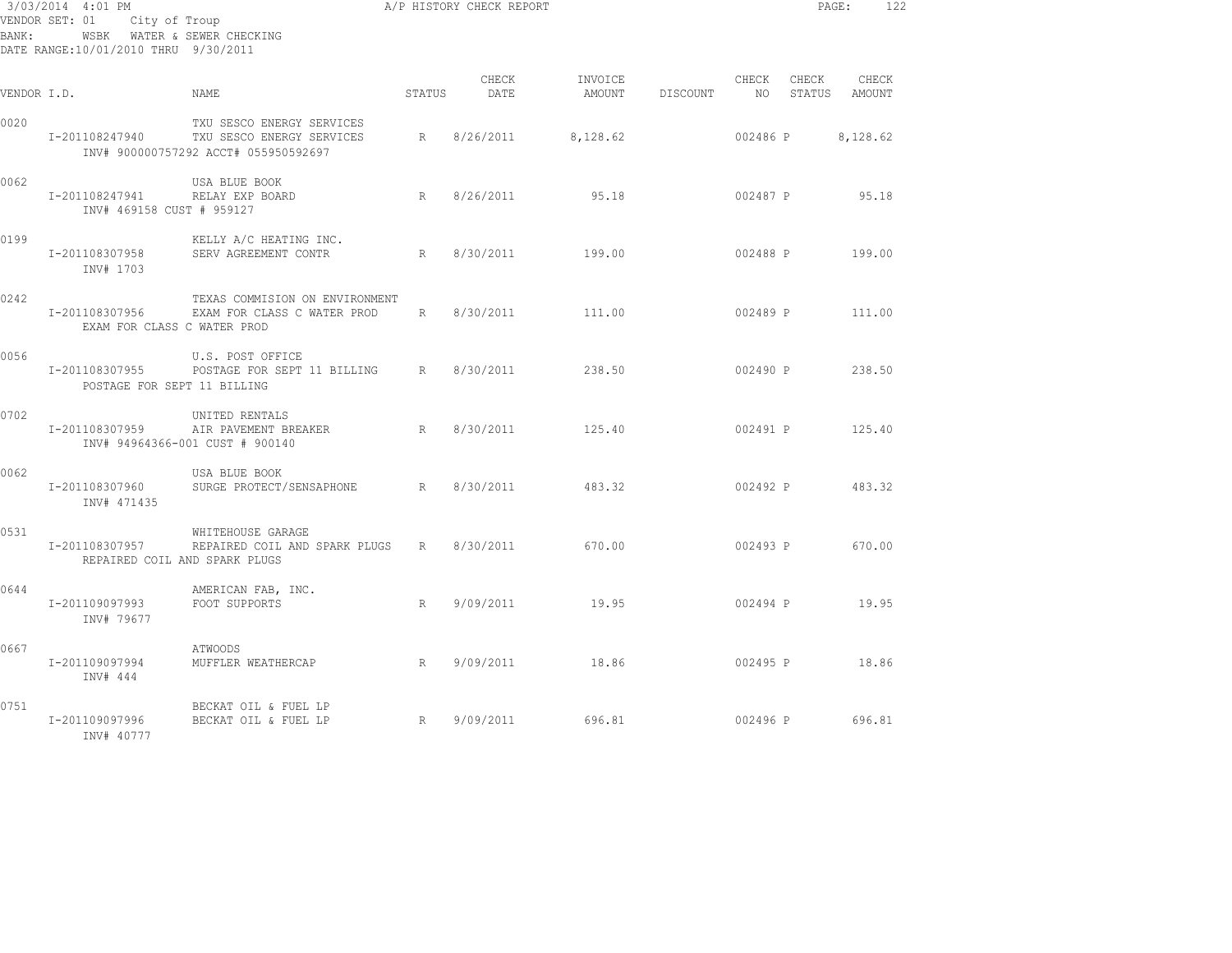| BANK:       | 3/03/2014 4:01 PM<br>DATE RANGE:10/01/2010 THRU 9/30/2011 | A/P HISTORY CHECK REPORT<br>VENDOR SET: 01 City of Troup<br>WSBK WATER & SEWER CHECKING                    |        |                    |          |                                  |          |       | PAGE:<br>122    |  |
|-------------|-----------------------------------------------------------|------------------------------------------------------------------------------------------------------------|--------|--------------------|----------|----------------------------------|----------|-------|-----------------|--|
| VENDOR I.D. |                                                           | NAME.                                                                                                      | STATUS | CHECK<br>DATE      | INVOICE  | AMOUNT DISCOUNT NO STATUS AMOUNT | CHECK    | CHECK | CHECK           |  |
| 0020        | I-201108247940                                            | TXU SESCO ENERGY SERVICES<br>TXU SESCO ENERGY SERVICES R 8/26/2011<br>INV# 900000757292 ACCT# 055950592697 |        |                    | 8,128.62 |                                  | 002486 P |       | 8,128.62        |  |
| 0062        | I-201108247941<br>INV# 469158 CUST # 959127               | USA BLUE BOOK<br>RELAY EXP BOARD                                                                           |        | R 8/26/2011        | 95.18    |                                  |          |       | 002487 P 95.18  |  |
| 0199        | I-201108307958<br>INV# 1703                               | KELLY A/C HEATING INC.<br>SERV AGREEMENT CONTR                                                             |        | R 8/30/2011 199.00 |          |                                  |          |       | 002488 P 199.00 |  |
| 0242        | I-201108307956<br>EXAM FOR CLASS C WATER PROD             | TEXAS COMMISION ON ENVIRONMENT<br>EXAM FOR CLASS C WATER PROD R 8/30/2011                                  |        |                    | 111.00   |                                  |          |       | 002489 P 111.00 |  |
| 0056        | I-201108307955<br>POSTAGE FOR SEPT 11 BILLING             | U.S. POST OFFICE<br>POSTAGE FOR SEPT 11 BILLING R 8/30/2011                                                |        |                    | 238.50   | $002490 \text{ P}$ 238.50        |          |       |                 |  |
| 0702        | I-201108307959                                            | UNITED RENTALS<br>AIR PAVEMENT BREAKER<br>INV# 94964366-001 CUST # 900140                                  |        | R 8/30/2011        | 125.40   |                                  |          |       | 002491 P 125.40 |  |
| 0062        | I-201108307960<br>INV# 471435                             | USA BLUE BOOK<br>SURGE PROTECT/SENSAPHONE R 8/30/2011 483.32                                               |        |                    |          | $002492 P$ 483.32                |          |       |                 |  |
| 0531        | I-201108307957                                            | WHITEHOUSE GARAGE<br>REPAIRED COIL AND SPARK PLUGS R 8/30/2011 670.00<br>REPAIRED COIL AND SPARK PLUGS     |        |                    |          |                                  |          |       | 002493 P 670.00 |  |
| 0644        | I-201109097993<br>INV# 79677                              | AMERICAN FAB, INC.<br>FOOT SUPPORTS                                                                        |        | R 9/09/2011 19.95  |          |                                  |          |       | 002494 P 19.95  |  |
| 0667        | I-201109097994<br>INV# 444                                | ATWOODS<br>MUFFLER WEATHERCAP 			R 9/09/2011 			18.86                                                      |        |                    |          |                                  |          |       | 002495 P 18.86  |  |
| 0751        | I-201109097996<br>INV# 40777                              | BECKAT OIL & FUEL LP<br>BECKAT OIL & FUEL LP                                                               |        | R 9/09/2011 696.81 |          | 002496 P 696.81                  |          |       |                 |  |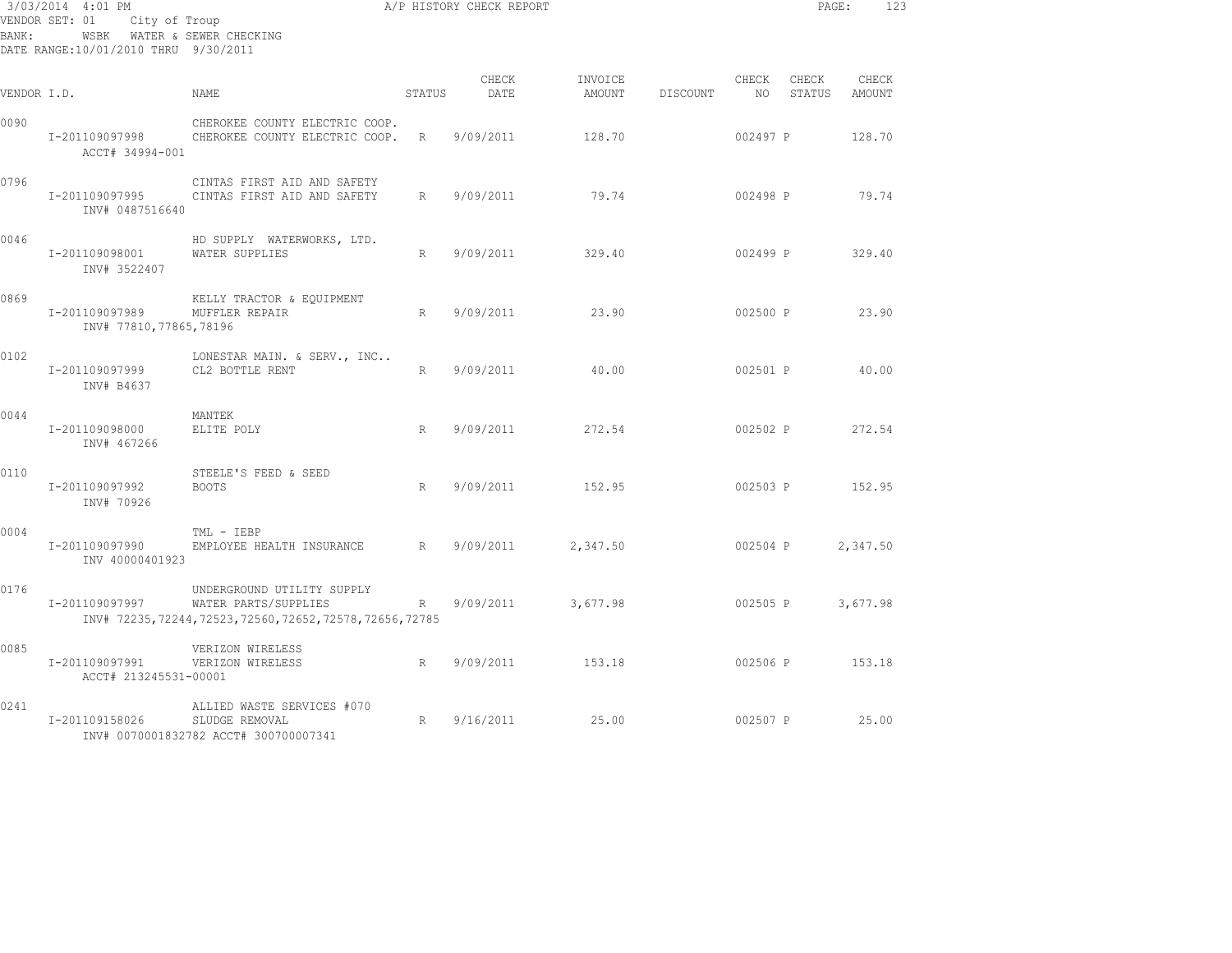| BANK:       | 3/03/2014 4:01 PM<br>VENDOR SET: 01<br>WSBK WATER & SEWER CHECKING<br>DATE RANGE:10/01/2010 THRU 9/30/2011 | City of Troup                                                                                                     |             | A/P HISTORY CHECK REPORT |          |                 |                          | PAGE:           | 123             |
|-------------|------------------------------------------------------------------------------------------------------------|-------------------------------------------------------------------------------------------------------------------|-------------|--------------------------|----------|-----------------|--------------------------|-----------------|-----------------|
| VENDOR I.D. |                                                                                                            | <b>NAME</b>                                                                                                       | STATUS      | CHECK<br>DATE            | INVOICE  | AMOUNT DISCOUNT | CHECK<br>NO <sub>1</sub> | CHECK<br>STATUS | CHECK<br>AMOUNT |
| 0090        | I-201109097998<br>ACCT# 34994-001                                                                          | CHEROKEE COUNTY ELECTRIC COOP.<br>CHEROKEE COUNTY ELECTRIC COOP.                                                  | $R_{\odot}$ | 9/09/2011                | 128.70   |                 | 002497 P                 |                 | 128.70          |
| 0796        | I-201109097995<br>INV# 0487516640                                                                          | CINTAS FIRST AID AND SAFETY<br>CINTAS FIRST AID AND SAFETY                                                        | R           | 9/09/2011                | 79.74    |                 | 002498 P                 |                 | 79.74           |
| 0046        | I-201109098001<br>INV# 3522407                                                                             | HD SUPPLY WATERWORKS, LTD.<br>WATER SUPPLIES                                                                      | R           | 9/09/2011                | 329.40   |                 | 002499 P                 |                 | 329.40          |
| 0869        | I-201109097989<br>INV# 77810,77865,78196                                                                   | KELLY TRACTOR & EQUIPMENT<br>MUFFLER REPAIR                                                                       | R           | 9/09/2011                | 23.90    |                 | 002500 P                 |                 | 23.90           |
| 0102        | I-201109097999<br>INV# B4637                                                                               | LONESTAR MAIN. & SERV., INC<br>CL2 BOTTLE RENT                                                                    | R           | 9/09/2011                | 40.00    |                 | 002501 P                 |                 | 40.00           |
| 0044        | I-201109098000<br>INV# 467266                                                                              | MANTEK<br>ELITE POLY                                                                                              | R           | 9/09/2011                | 272.54   |                 |                          |                 | 002502 P 272.54 |
| 0110        | I-201109097992<br>INV# 70926                                                                               | STEELE'S FEED & SEED<br><b>BOOTS</b>                                                                              | R           | 9/09/2011                | 152.95   |                 |                          |                 | 002503 P 152.95 |
| 0004        | I-201109097990<br>INV 40000401923                                                                          | TML - IEBP<br>EMPLOYEE HEALTH INSURANCE                                                                           | R           | 9/09/2011                | 2,347.50 |                 |                          | 002504 P        | 2,347.50        |
| 0176        | I-201109097997                                                                                             | UNDERGROUND UTILITY SUPPLY<br>WATER PARTS/SUPPLIES<br>INV# 72235, 72244, 72523, 72560, 72652, 72578, 72656, 72785 | R           | 9/09/2011                | 3,677.98 |                 | 002505 P                 |                 | 3,677.98        |
| 0085        | I-201109097991<br>ACCT# 213245531-00001                                                                    | VERIZON WIRELESS<br>VERIZON WIRELESS                                                                              | R           | 9/09/2011                | 153.18   |                 |                          |                 | 002506 P 153.18 |
| 0241        | I-201109158026                                                                                             | ALLIED WASTE SERVICES #070<br>SLUDGE REMOVAL<br>INV# 0070001832782 ACCT# 300700007341                             | R           | 9/16/2011                | 25.00    |                 | 002507 P                 |                 | 25.00           |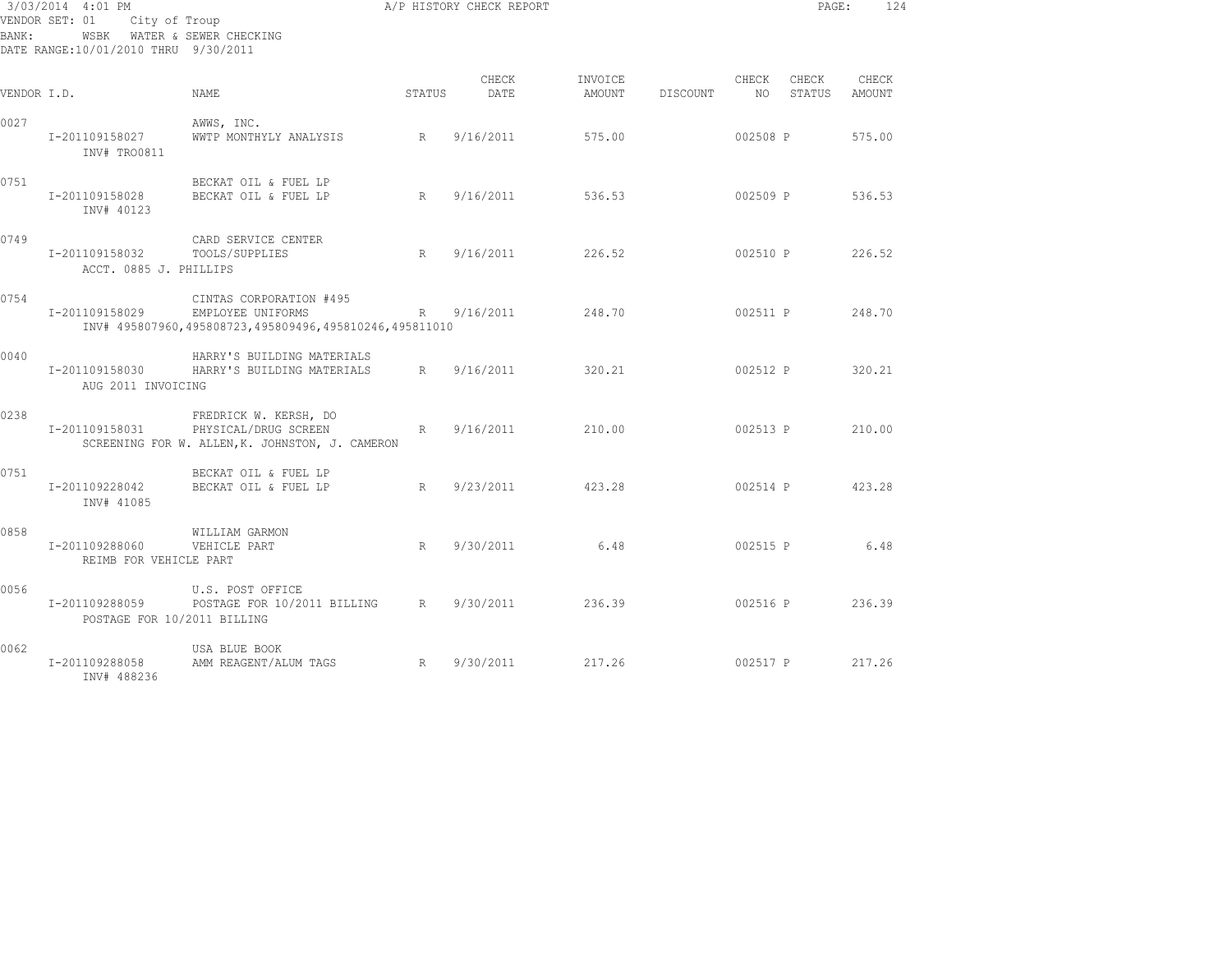| BANK:       | 3/03/2014 4:01 PM<br>VENDOR SET: 01 City of Troup<br>WSBK WATER & SEWER CHECKING<br>DATE RANGE:10/01/2010 THRU 9/30/2011 |                                                                                                                                   |        | A/P HISTORY CHECK REPORT |                 |                        |                          |                        | 124<br>PAGE: |
|-------------|--------------------------------------------------------------------------------------------------------------------------|-----------------------------------------------------------------------------------------------------------------------------------|--------|--------------------------|-----------------|------------------------|--------------------------|------------------------|--------------|
| VENDOR I.D. |                                                                                                                          | NAME.                                                                                                                             | STATUS | CHECK<br>DATE            | AMOUNT DISCOUNT | INVOICE                | CHECK<br>NO <sub>1</sub> | CHECK<br>STATUS AMOUNT | CHECK        |
| 0027        | I-201109158027<br>INV# TRO0811                                                                                           | AWWS, INC.<br>WWTP MONTHYLY ANALYSIS R 9/16/2011 575.00                                                                           |        |                          |                 |                        |                          | 002508 P 575.00        |              |
| 0751        | I-201109158028<br>INV# 40123                                                                                             | BECKAT OIL & FUEL LP<br>BECKAT OIL & FUEL LP                                                                                      |        | R 9/16/2011 536.53       |                 |                        |                          | 002509 P 536.53        |              |
| 0749        | I-201109158032 TOOLS/SUPPLIES<br>ACCT. 0885 J. PHILLIPS                                                                  | CARD SERVICE CENTER                                                                                                               | R      | 9/16/2011                | 226.52          |                        |                          | 002510 P 226.52        |              |
| 0754        |                                                                                                                          | CINTAS CORPORATION #495<br>I-201109158029 EMPLOYEE UNIFORMS R 9/16/2011<br>INV# 495807960,495808723,495809496,495810246,495811010 |        |                          |                 | 248.70 002511 P 248.70 |                          |                        |              |
| 0040        | I-201109158030<br>AUG 2011 INVOICING                                                                                     | HARRY'S BUILDING MATERIALS<br>HARRY'S BUILDING MATERIALS 8 9/16/2011 320.21 002512 P 320.21                                       |        |                          |                 |                        |                          |                        |              |
| 0238        | I-201109158031                                                                                                           | FREDRICK W. KERSH, DO<br>R<br>PHYSICAL/DRUG SCREEN<br>SCREENING FOR W. ALLEN, K. JOHNSTON, J. CAMERON                             |        | 9/16/2011                | 210.00          | 002513 P 210.00        |                          |                        |              |
| 0751        | I-201109228042<br>INV# 41085                                                                                             | BECKAT OIL & FUEL LP<br>BECKAT OIL & FUEL LP                                                                                      |        | R 9/23/2011 423.28       |                 |                        |                          | 002514 P 423.28        |              |
| 0858        | I-201109288060 VEHICLE PART<br>REIMB FOR VEHICLE PART                                                                    | WILLIAM GARMON                                                                                                                    | R      | 9/30/2011 6.48           |                 |                        |                          | 002515 P 6.48          |              |
| 0056        | POSTAGE FOR 10/2011 BILLING                                                                                              | U.S. POST OFFICE<br>I-201109288059 POSTAGE FOR 10/2011 BILLING R 9/30/2011                                                        |        |                          |                 | 236.39 002516 P 236.39 |                          |                        |              |
| 0062        | I-201109288058<br>INV# 488236                                                                                            | USA BLUE BOOK<br>AMM REAGENT/ALUM TAGS R 9/30/2011                                                                                |        |                          | 217.26          | $002517$ P 217.26      |                          |                        |              |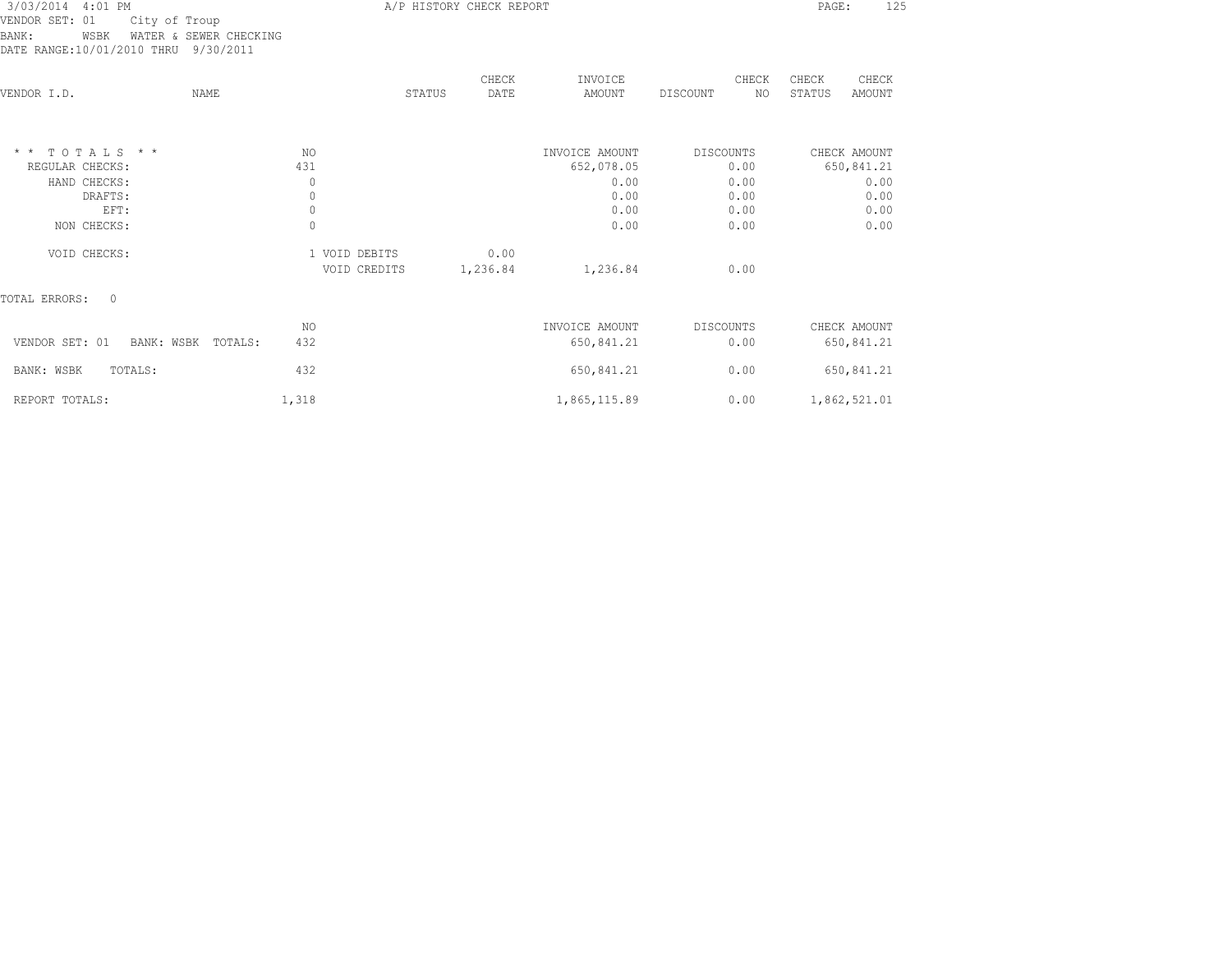| 3/03/2014 4:01 PM<br>VENDOR SET: 01<br>City of Troup<br>BANK:<br>WATER & SEWER CHECKING<br>WSBK<br>DATE RANGE:10/01/2010 THRU 9/30/2011 |                                            | A/P HISTORY CHECK REPORT |                                      |                           | 125<br>PAGE:                       |
|-----------------------------------------------------------------------------------------------------------------------------------------|--------------------------------------------|--------------------------|--------------------------------------|---------------------------|------------------------------------|
| <b>NAME</b><br>VENDOR I.D.                                                                                                              | STATUS                                     | CHECK<br>DATE            | INVOICE<br>AMOUNT                    | CHECK<br>DISCOUNT<br>NO.  | CHECK<br>CHECK<br>STATUS<br>AMOUNT |
| $*$ * TOTALS * *<br>REGULAR CHECKS:<br>HAND CHECKS:                                                                                     | NO<br>431<br>$\circ$                       |                          | INVOICE AMOUNT<br>652,078.05<br>0.00 | DISCOUNTS<br>0.00<br>0.00 | CHECK AMOUNT<br>650,841.21<br>0.00 |
| DRAFTS:<br>EFT:<br>NON CHECKS:                                                                                                          | $\mathbf 0$<br>$\mathbf 0$<br>$\mathbf{0}$ |                          | 0.00<br>0.00<br>0.00                 | 0.00<br>0.00<br>0.00      | 0.00<br>0.00<br>0.00               |
| VOID CHECKS:                                                                                                                            | 1 VOID DEBITS<br>VOID CREDITS              | 0.00<br>1,236.84         | 1,236.84                             | 0.00                      |                                    |
| TOTAL ERRORS:<br>$\Omega$                                                                                                               |                                            |                          |                                      |                           |                                    |
| VENDOR SET: 01<br>BANK: WSBK TOTALS:                                                                                                    | NO.<br>432                                 |                          | INVOICE AMOUNT<br>650,841.21         | DISCOUNTS<br>0.00         | CHECK AMOUNT<br>650,841.21         |
| BANK: WSBK<br>TOTALS:                                                                                                                   | 432                                        |                          | 650,841.21                           | 0.00                      | 650,841.21                         |
| REPORT TOTALS:                                                                                                                          | 1,318                                      |                          | 1,865,115.89                         | 0.00                      | 1,862,521.01                       |